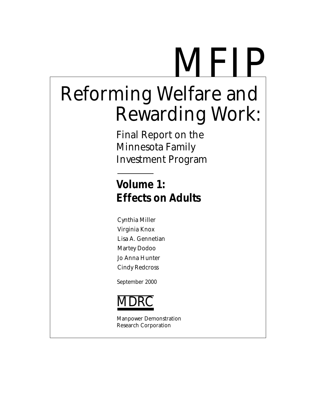# MFIP

# Rewarding Work: Reforming Welfare and

Final Report on the Minnesota Family Investment Program

# **Volume 1: Effects on Adults**

Cynthia Miller Virginia Knox Lisa A. Gennetian Martey Dodoo Jo Anna Hunter Cindy Redcross

September 2000



Manpower Demonstration Research Corporation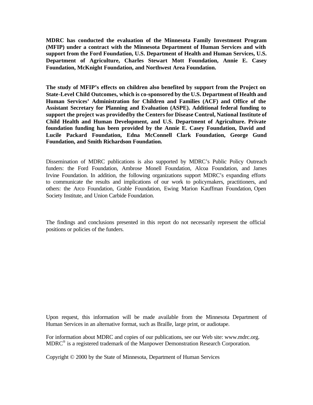**MDRC has conducted the evaluation of the Minnesota Family Investment Program (MFIP) under a contract with the Minnesota Department of Human Services and with support from the Ford Foundation, U.S. Department of Health and Human Services, U.S. Department of Agriculture, Charles Stewart Mott Foundation, Annie E. Casey Foundation, McKnight Foundation, and Northwest Area Foundation.**

**The study of MFIP's effects on children also benefited by support from the Project on State-Level Child Outcomes, which is co-sponsored by the U.S. Department of Health and Human Services' Administration for Children and Families (ACF) and Office of the Assistant Secretary for Planning and Evaluation (ASPE). Additional federal funding to support the project was provided by the Centers for Disease Control, National Institute of Child Health and Human Development, and U.S. Department of Agriculture. Private foundation funding has been provided by the Annie E. Casey Foundation, David and Lucile Packard Foundation, Edna McConnell Clark Foundation, George Gund Foundation, and Smith Richardson Foundation.**

Dissemination of MDRC publications is also supported by MDRC's Public Policy Outreach funders: the Ford Foundation, Ambrose Monell Foundation, Alcoa Foundation, and James Irvine Foundation. In addition, the following organizations support MDRC's expanding efforts to communicate the results and implications of our work to policymakers, practitioners, and others: the Arco Foundation, Grable Foundation, Ewing Marion Kauffman Foundation, Open Society Institute, and Union Carbide Foundation.

The findings and conclusions presented in this report do not necessarily represent the official positions or policies of the funders.

Upon request, this information will be made available from the Minnesota Department of Human Services in an alternative format, such as Braille, large print, or audiotape.

For information about MDRC and copies of our publications, see our Web site: www.mdrc.org. MDRC® is a registered trademark of the Manpower Demonstration Research Corporation.

Copyright © 2000 by the State of Minnesota, Department of Human Services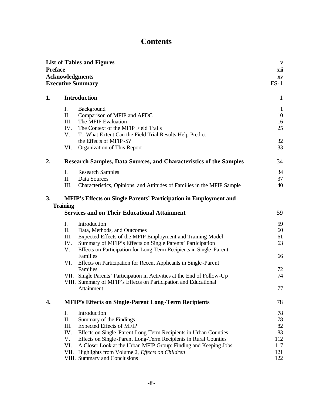# **Contents**

|                |                 | <b>List of Tables and Figures</b>                                         | $\mathbf V$  |
|----------------|-----------------|---------------------------------------------------------------------------|--------------|
| <b>Preface</b> |                 |                                                                           | xiii         |
|                |                 | <b>Acknowledgments</b>                                                    | XV           |
|                |                 | <b>Executive Summary</b>                                                  | $ES-1$       |
|                |                 |                                                                           |              |
| 1.             |                 | <b>Introduction</b>                                                       | $\mathbf{1}$ |
|                | Ι.              | Background                                                                | $\mathbf{1}$ |
|                | П.              | Comparison of MFIP and AFDC                                               | 10           |
|                | III.            | The MFIP Evaluation                                                       | 16           |
|                | IV.             | The Context of the MFIP Field Trails                                      | 25           |
|                | V.              | To What Extent Can the Field Trial Results Help Predict                   |              |
|                |                 |                                                                           |              |
|                |                 | the Effects of MFIP-S?                                                    | 32           |
|                | VI.             | Organization of This Report                                               | 33           |
| 2.             |                 | <b>Research Samples, Data Sources, and Characteristics of the Samples</b> | 34           |
|                | I.              | <b>Research Samples</b>                                                   | 34           |
|                | II.             | Data Sources                                                              | 37           |
|                | Ш.              | Characteristics, Opinions, and Attitudes of Families in the MFIP Sample   | 40           |
| 3.             |                 | <b>MFIP's Effects on Single Parents' Participation in Employment and</b>  |              |
|                | <b>Training</b> |                                                                           |              |
|                |                 | <b>Services and on Their Educational Attainment</b>                       | 59           |
|                |                 |                                                                           |              |
|                | I.              | Introduction                                                              | 59           |
|                | П.              | Data, Methods, and Outcomes                                               | 60           |
|                | III.            | Expected Effects of the MFIP Employment and Training Model                | 61           |
|                | IV.             | Summary of MFIP's Effects on Single Parents' Participation                | 63           |
|                | V.              | Effects on Participation for Long-Term Recipients in Single-Parent        |              |
|                |                 | Families                                                                  | 66           |
|                | VI.             | Effects on Participation for Recent Applicants in Single-Parent           |              |
|                |                 | Families                                                                  | 72           |
|                | VII.            | Single Parents' Participation in Activities at the End of Follow-Up       | 74           |
|                |                 | VIII. Summary of MFIP's Effects on Participation and Educational          |              |
|                |                 | Attainment                                                                | 77           |
| 4.             |                 | <b>MFIP's Effects on Single-Parent Long-Term Recipients</b>               | 78           |
|                | I.              | Introduction                                                              | 78           |
|                | Π.              | Summary of the Findings                                                   | 78           |
|                | III.            | <b>Expected Effects of MFIP</b>                                           | 82           |
|                | IV.             | Effects on Single-Parent Long-Term Recipients in Urban Counties           | 83           |
|                | V.              | Effects on Single-Parent Long-Term Recipients in Rural Counties           | 112          |
|                |                 |                                                                           |              |
|                | VI.             | A Closer Look at the Urban MFIP Group: Finding and Keeping Jobs           | 117          |
|                | VII.            | Highlights from Volume 2, Effects on Children                             | 121          |
|                |                 | VIII. Summary and Conclusions                                             | 122          |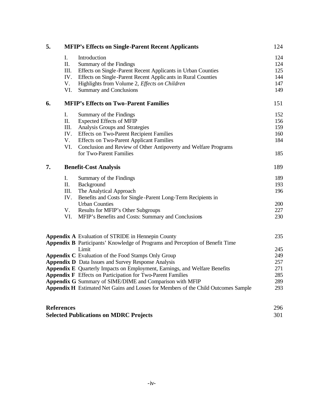| 5. |      | <b>MFIP's Effects on Single-Parent Recent Applicants</b>                                                                                         | 124        |
|----|------|--------------------------------------------------------------------------------------------------------------------------------------------------|------------|
|    | I.   | Introduction                                                                                                                                     | 124        |
|    | II.  | Summary of the Findings                                                                                                                          | 124        |
|    | III. | Effects on Single-Parent Recent Applicants in Urban Counties                                                                                     | 125        |
|    | IV.  | Effects on Single-Parent Recent Applic ants in Rural Counties                                                                                    | 144        |
|    | V.   | Highlights from Volume 2, Effects on Children                                                                                                    | 147        |
|    | VI.  | Summary and Conclusions                                                                                                                          | 149        |
| 6. |      | <b>MFIP's Effects on Two-Parent Families</b>                                                                                                     | 151        |
|    | Ι.   | Summary of the Findings                                                                                                                          | 152        |
|    | Π.   | <b>Expected Effects of MFIP</b>                                                                                                                  | 156        |
|    | III. | Analysis Groups and Strategies                                                                                                                   | 159        |
|    | IV.  | <b>Effects on Two-Parent Recipient Families</b>                                                                                                  | 160        |
|    | V.   | <b>Effects on Two-Parent Applicant Families</b>                                                                                                  | 184        |
|    | VI.  | Conclusion and Review of Other Antipoverty and Welfare Programs                                                                                  |            |
|    |      | for Two-Parent Families                                                                                                                          | 185        |
| 7. |      | <b>Benefit-Cost Analysis</b>                                                                                                                     | 189        |
|    | I.   | Summary of the Findings                                                                                                                          | 189        |
|    | II.  | Background                                                                                                                                       | 193        |
|    | III. | The Analytical Approach                                                                                                                          | 196        |
|    | IV.  | Benefits and Costs for Single-Parent Long-Term Recipients in                                                                                     |            |
|    |      | <b>Urban Counties</b>                                                                                                                            | 200        |
|    | V.   | Results for MFIP's Other Subgroups                                                                                                               | 227        |
|    | VI.  | MFIP's Benefits and Costs: Summary and Conclusions                                                                                               | 230        |
|    |      |                                                                                                                                                  |            |
|    |      | <b>Appendix A Evaluation of STRIDE in Hennepin County</b>                                                                                        | 235        |
|    |      | Appendix B Participants' Knowledge of Programs and Perception of Benefit Time                                                                    |            |
|    |      | Limit                                                                                                                                            | 245<br>249 |
|    |      | <b>Appendix C</b> Evaluation of the Food Stamps Only Group                                                                                       | 257        |
|    |      | <b>Appendix D</b> Data Issues and Survey Response Analysis                                                                                       | 271        |
|    |      | Appendix E Quarterly Impacts on Employment, Earnings, and Welfare Benefits<br><b>Appendix F</b> Effects on Participation for Two-Parent Families | 285        |
|    |      | Appendix G Summary of SIME/DIME and Comparison with MFIP                                                                                         | 289        |
|    |      | Appendix H Estimated Net Gains and Losses for Members of the Child Outcomes Sample                                                               | 293        |
|    |      |                                                                                                                                                  |            |
|    |      |                                                                                                                                                  |            |

# **References** 296 **Selected Publications on MDRC Projects** 301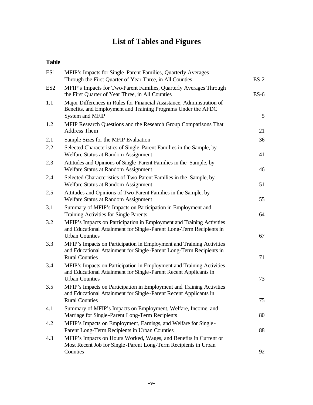# **List of Tables and Figures**

| ES1             | MFIP's Impacts for Single-Parent Families, Quarterly Averages<br>Through the First Quarter of Year Three, in All Counties                                              | $ES-2$ |
|-----------------|------------------------------------------------------------------------------------------------------------------------------------------------------------------------|--------|
| ES <sub>2</sub> | MFIP's Impacts for Two-Parent Families, Quarterly Averages Through<br>the First Quarter of Year Three, in All Counties                                                 | $ES-6$ |
| 1.1             | Major Differences in Rules for Financial Assistance, Administration of<br>Benefits, and Employment and Training Programs Under the AFDC<br>System and MFIP             | 5      |
| 1.2             | MFIP Research Questions and the Research Group Comparisons That<br><b>Address Them</b>                                                                                 | 21     |
| 2.1             | Sample Sizes for the MFIP Evaluation                                                                                                                                   | 36     |
| 2.2             | Selected Characteristics of Single-Parent Families in the Sample, by<br>Welfare Status at Random Assignment                                                            | 41     |
| 2.3             | Attitudes and Opinions of Single-Parent Families in the Sample, by<br>Welfare Status at Random Assignment                                                              | 46     |
| 2.4             | Selected Characteristics of Two-Parent Families in the Sample, by<br>Welfare Status at Random Assignment                                                               | 51     |
| 2.5             | Attitudes and Opinions of Two-Parent Families in the Sample, by<br>Welfare Status at Random Assignment                                                                 | 55     |
| 3.1             | Summary of MFIP's Impacts on Participation in Employment and<br>Training Activities for Single Parents                                                                 | 64     |
| 3.2             | MFIP's Impacts on Participation in Employment and Training Activities<br>and Educational Attainment for Single-Parent Long-Term Recipients in<br><b>Urban Counties</b> | 67     |
| 3.3             | MFIP's Impacts on Participation in Employment and Training Activities<br>and Educational Attainment for Single-Parent Long-Term Recipients in<br><b>Rural Counties</b> | 71     |
| 3.4             | MFIP's Impacts on Participation in Employment and Training Activities<br>and Educational Attainment for Single-Parent Recent Applicants in<br><b>Urban Counties</b>    | 73     |
| 3.5             | MFIP's Impacts on Participation in Employment and Training Activities<br>and Educational Attainment for Single-Parent Recent Applicants in<br><b>Rural Counties</b>    | 75     |
| 4.1             | Summary of MFIP's Impacts on Employment, Welfare, Income, and<br>Marriage for Single-Parent Long-Term Recipients                                                       | 80     |
| 4.2             | MFIP's Impacts on Employment, Earnings, and Welfare for Single-<br>Parent Long-Term Recipients in Urban Counties                                                       | 88     |
| 4.3             | MFIP's Impacts on Hours Worked, Wages, and Benefits in Current or<br>Most Recent Job for Single-Parent Long-Term Recipients in Urban                                   |        |
|                 | Counties                                                                                                                                                               | 92     |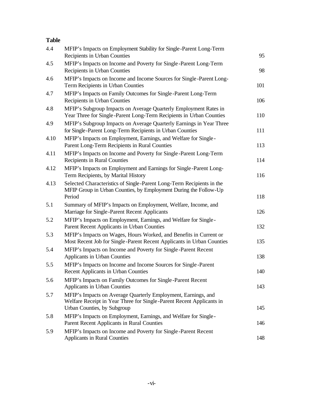| 4.4  | MFIP's Impacts on Employment Stability for Single-Parent Long-Term<br>Recipients in Urban Counties                                                                   | 95  |
|------|----------------------------------------------------------------------------------------------------------------------------------------------------------------------|-----|
| 4.5  | MFIP's Impacts on Income and Poverty for Single-Parent Long-Term<br>Recipients in Urban Counties                                                                     | 98  |
| 4.6  | MFIP's Impacts on Income and Income Sources for Single-Parent Long-<br>Term Recipients in Urban Counties                                                             | 101 |
| 4.7  | MFIP's Impacts on Family Outcomes for Single-Parent Long-Term<br>Recipients in Urban Counties                                                                        | 106 |
| 4.8  | MFIP's Subgroup Impacts on Average Quarterly Employment Rates in<br>Year Three for Single-Parent Long-Term Recipients in Urban Counties                              | 110 |
| 4.9  | MFIP's Subgroup Impacts on Average Quarterly Earnings in Year Three<br>for Single-Parent Long-Term Recipients in Urban Counties                                      | 111 |
| 4.10 | MFIP's Impacts on Employment, Earnings, and Welfare for Single-<br>Parent Long-Term Recipients in Rural Counties                                                     | 113 |
| 4.11 | MFIP's Impacts on Income and Poverty for Single-Parent Long-Term<br>Recipients in Rural Counties                                                                     | 114 |
| 4.12 | MFIP's Impacts on Employment and Earnings for Single-Parent Long-<br>Term Recipients, by Marital History                                                             | 116 |
| 4.13 | Selected Characteristics of Single-Parent Long-Term Recipients in the<br>MFIP Group in Urban Counties, by Employment During the Follow-Up<br>Period                  | 118 |
| 5.1  | Summary of MFIP's Impacts on Employment, Welfare, Income, and<br>Marriage for Single-Parent Recent Applicants                                                        | 126 |
| 5.2  | MFIP's Impacts on Employment, Earnings, and Welfare for Single-<br>Parent Recent Applicants in Urban Counties                                                        | 132 |
| 5.3  | MFIP's Impacts on Wages, Hours Worked, and Benefits in Current or<br>Most Recent Job for Single-Parent Recent Applicants in Urban Counties                           | 135 |
| 5.4  | MFIP's Impacts on Income and Poverty for Single-Parent Recent<br>Applicants in Urban Counties                                                                        | 138 |
| 5.5  | MFIP's Impacts on Income and Income Sources for Single-Parent<br>Recent Applicants in Urban Counties                                                                 | 140 |
| 5.6  | MFIP's Impacts on Family Outcomes for Single-Parent Recent<br>Applicants in Urban Counties                                                                           | 143 |
| 5.7  | MFIP's Impacts on Average Quarterly Employment, Earnings, and<br>Welfare Receipt in Year Three for Single-Parent Recent Applicants in<br>Urban Counties, by Subgroup | 145 |
| 5.8  | MFIP's Impacts on Employment, Earnings, and Welfare for Single-<br>Parent Recent Applicants in Rural Counties                                                        | 146 |
| 5.9  | MFIP's Impacts on Income and Poverty for Single-Parent Recent<br>Applicants in Rural Counties                                                                        | 148 |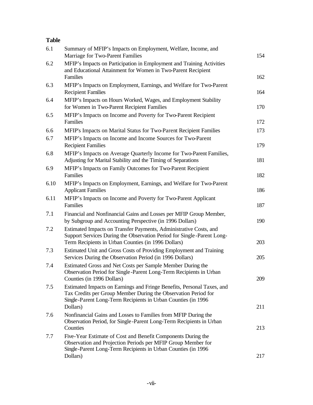| 6.1  | Summary of MFIP's Impacts on Employment, Welfare, Income, and<br>Marriage for Two-Parent Families                                                                                                         | 154 |
|------|-----------------------------------------------------------------------------------------------------------------------------------------------------------------------------------------------------------|-----|
| 6.2  | MFIP's Impacts on Participation in Employment and Training Activities<br>and Educational Attainment for Women in Two-Parent Recipient                                                                     |     |
|      | Families                                                                                                                                                                                                  | 162 |
| 6.3  | MFIP's Impacts on Employment, Earnings, and Welfare for Two-Parent<br><b>Recipient Families</b>                                                                                                           | 164 |
| 6.4  | MFIP's Impacts on Hours Worked, Wages, and Employment Stability<br>for Women in Two-Parent Recipient Families                                                                                             | 170 |
| 6.5  | MFIP's Impacts on Income and Poverty for Two-Parent Recipient<br>Families                                                                                                                                 | 172 |
| 6.6  | MFIP's Impacts on Marital Status for Two-Parent Recipient Families                                                                                                                                        | 173 |
| 6.7  | MFIP's Impacts on Income and Income Sources for Two-Parent<br><b>Recipient Families</b>                                                                                                                   | 179 |
| 6.8  | MFIP's Impacts on Average Quarterly Income for Two-Parent Families,<br>Adjusting for Marital Stability and the Timing of Separations                                                                      | 181 |
| 6.9  | MFIP's Impacts on Family Outcomes for Two-Parent Recipient<br>Families                                                                                                                                    | 182 |
| 6.10 | MFIP's Impacts on Employment, Earnings, and Welfare for Two-Parent<br><b>Applicant Families</b>                                                                                                           | 186 |
| 6.11 | MFIP's Impacts on Income and Poverty for Two-Parent Applicant<br>Families                                                                                                                                 | 187 |
| 7.1  | Financial and Nonfinancial Gains and Losses per MFIP Group Member,<br>by Subgroup and Accounting Perspective (in 1996 Dollars)                                                                            | 190 |
| 7.2  | Estimated Impacts on Transfer Payments, Administrative Costs, and<br>Support Services During the Observation Period for Single-Parent Long-<br>Term Recipients in Urban Counties (in 1996 Dollars)        | 203 |
| 7.3  | Estimated Unit and Gross Costs of Providing Employment and Training<br>Services During the Observation Period (in 1996 Dollars)                                                                           | 205 |
| 7.4  | Estimated Gross and Net Costs per Sample Member During the<br>Observation Period for Single-Parent Long-Term Recipients in Urban                                                                          |     |
|      | Counties (in 1996 Dollars)                                                                                                                                                                                | 209 |
| 7.5  | Estimated Impacts on Earnings and Fringe Benefits, Personal Taxes, and<br>Tax Credits per Group Member During the Observation Period for<br>Single-Parent Long-Term Recipients in Urban Counties (in 1996 |     |
|      | Dollars)                                                                                                                                                                                                  | 211 |
| 7.6  | Nonfinancial Gains and Losses to Families from MFIP During the<br>Observation Period, for Single-Parent Long-Term Recipients in Urban                                                                     |     |
|      | Counties                                                                                                                                                                                                  | 213 |
| 7.7  | Five-Year Estimate of Cost and Benefit Components During the<br>Observation and Projection Periods per MFIP Group Member for<br>Single-Parent Long-Term Recipients in Urban Counties (in 1996             |     |
|      | Dollars)                                                                                                                                                                                                  | 217 |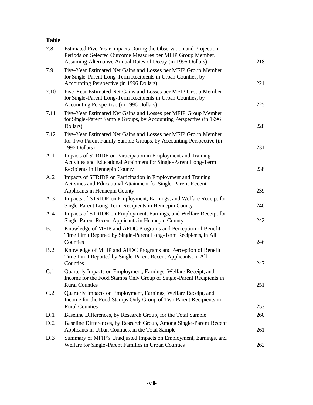| 7.8  | Estimated Five-Year Impacts During the Observation and Projection<br>Periods on Selected Outcome Measures per MFIP Group Member,<br>Assuming Alternative Annual Rates of Decay (in 1996 Dollars) | 218        |
|------|--------------------------------------------------------------------------------------------------------------------------------------------------------------------------------------------------|------------|
| 7.9  | Five-Year Estimated Net Gains and Losses per MFIP Group Member<br>for Single-Parent Long-Term Recipients in Urban Counties, by<br>Accounting Perspective (in 1996 Dollars)                       | 221        |
| 7.10 | Five-Year Estimated Net Gains and Losses per MFIP Group Member<br>for Single-Parent Long-Term Recipients in Urban Counties, by<br>Accounting Perspective (in 1996 Dollars)                       | 225        |
| 7.11 | Five-Year Estimated Net Gains and Losses per MFIP Group Member<br>for Single-Parent Sample Groups, by Accounting Perspective (in 1996)<br>Dollars)                                               | 228        |
| 7.12 | Five-Year Estimated Net Gains and Losses per MFIP Group Member<br>for Two-Parent Family Sample Groups, by Accounting Perspective (in<br>1996 Dollars)                                            | 231        |
| A.1  | Impacts of STRIDE on Participation in Employment and Training<br>Activities and Educational Attainment for Single-Parent Long-Term<br>Recipients in Hennepin County                              | 238        |
| A.2  | Impacts of STRIDE on Participation in Employment and Training<br>Activities and Educational Attainment for Single-Parent Recent<br>Applicants in Hennepin County                                 | 239        |
| A.3  | Impacts of STRIDE on Employment, Earnings, and Welfare Receipt for<br>Single-Parent Long-Term Recipients in Hennepin County                                                                      | 240        |
| A.4  | Impacts of STRIDE on Employment, Earnings, and Welfare Receipt for<br>Single-Parent Recent Applicants in Hennepin County                                                                         | 242        |
| B.1  | Knowledge of MFIP and AFDC Programs and Perception of Benefit<br>Time Limit Reported by Single-Parent Long-Term Recipients, in All<br>Counties                                                   | 246        |
| B.2  | Knowledge of MFIP and AFDC Programs and Perception of Benefit<br>Time Limit Reported by Single-Parent Recent Applicants, in All                                                                  |            |
| C.1  | Counties<br>Quarterly Impacts on Employment, Earnings, Welfare Receipt, and<br>Income for the Food Stamps Only Group of Single-Parent Recipients in<br><b>Rural Counties</b>                     | 247        |
| C.2  | Quarterly Impacts on Employment, Earnings, Welfare Receipt, and<br>Income for the Food Stamps Only Group of Two-Parent Recipients in<br><b>Rural Counties</b>                                    | 251<br>253 |
| D.1  | Baseline Differences, by Research Group, for the Total Sample                                                                                                                                    | 260        |
| D.2  | Baseline Differences, by Research Group, Among Single-Parent Recent                                                                                                                              |            |
|      | Applicants in Urban Counties, in the Total Sample                                                                                                                                                | 261        |
| D.3  | Summary of MFIP's Unadjusted Impacts on Employment, Earnings, and<br>Welfare for Single-Parent Families in Urban Counties                                                                        | 262        |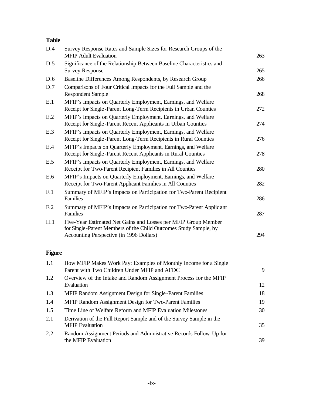| D.4             | Survey Response Rates and Sample Sizes for Research Groups of the<br><b>MFIP Adult Evaluation</b>                                                                              | 263 |
|-----------------|--------------------------------------------------------------------------------------------------------------------------------------------------------------------------------|-----|
| D.5             | Significance of the Relationship Between Baseline Characteristics and<br><b>Survey Response</b>                                                                                | 265 |
| D.6             | Baseline Differences Among Respondents, by Research Group                                                                                                                      | 266 |
| D.7             | Comparisons of Four Critical Impacts for the Full Sample and the<br><b>Respondent Sample</b>                                                                                   | 268 |
| E.1             | MFIP's Impacts on Quarterly Employment, Earnings, and Welfare<br>Receipt for Single-Parent Long-Term Recipients in Urban Counties                                              | 272 |
| E.2             | MFIP's Impacts on Quarterly Employment, Earnings, and Welfare<br>Receipt for Single-Parent Recent Applicants in Urban Counties                                                 | 274 |
| E.3             | MFIP's Impacts on Quarterly Employment, Earnings, and Welfare<br>Receipt for Single-Parent Long-Term Recipients in Rural Counties                                              | 276 |
| E.4             | MFIP's Impacts on Quarterly Employment, Earnings, and Welfare<br>Receipt for Single-Parent Recent Applicants in Rural Counties                                                 | 278 |
| E.5             | MFIP's Impacts on Quarterly Employment, Earnings, and Welfare<br>Receipt for Two-Parent Recipient Families in All Counties                                                     | 280 |
| E.6             | MFIP's Impacts on Quarterly Employment, Earnings, and Welfare<br>Receipt for Two-Parent Applicant Families in All Counties                                                     | 282 |
| F.1             | Summary of MFIP's Impacts on Participation for Two-Parent Recipient<br><b>Families</b>                                                                                         | 286 |
| F <sub>.2</sub> | Summary of MFIP's Impacts on Participation for Two-Parent Applic ant<br><b>Families</b>                                                                                        | 287 |
| H.1             | Five-Year Estimated Net Gains and Losses per MFIP Group Member<br>for Single-Parent Members of the Child Outcomes Study Sample, by<br>Accounting Perspective (in 1996 Dollars) | 294 |
|                 |                                                                                                                                                                                |     |

# **Figure**

| 1.1 | How MFIP Makes Work Pay: Examples of Monthly Income for a Single<br>Parent with Two Children Under MFIP and AFDC | 9  |
|-----|------------------------------------------------------------------------------------------------------------------|----|
| 1.2 | Overview of the Intake and Random Assignment Process for the MFIP                                                |    |
|     | Evaluation                                                                                                       | 12 |
| 1.3 | MFIP Random Assignment Design for Single-Parent Families                                                         | 18 |
| 1.4 | MFIP Random Assignment Design for Two-Parent Families                                                            | 19 |
| 1.5 | Time Line of Welfare Reform and MFIP Evaluation Milestones                                                       | 30 |
| 2.1 | Derivation of the Full Report Sample and of the Survey Sample in the                                             |    |
|     | <b>MFIP</b> Evaluation                                                                                           | 35 |
| 2.2 | Random Assignment Periods and Administrative Records Follow-Up for                                               |    |
|     | the MFIP Evaluation                                                                                              | 39 |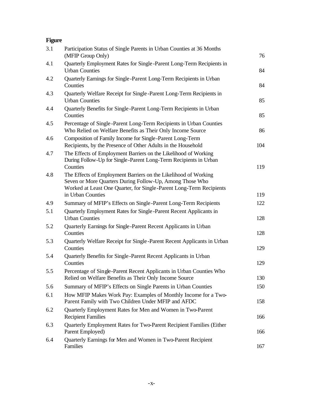# **Figure**

| 3.1 | Participation Status of Single Parents in Urban Counties at 36 Months<br>(MFIP Group Only)                                                                                                         | 76  |
|-----|----------------------------------------------------------------------------------------------------------------------------------------------------------------------------------------------------|-----|
| 4.1 | Quarterly Employment Rates for Single-Parent Long-Term Recipients in<br><b>Urban Counties</b>                                                                                                      | 84  |
| 4.2 | Quarterly Earnings for Single-Parent Long-Term Recipients in Urban<br>Counties                                                                                                                     | 84  |
| 4.3 | Quarterly Welfare Receipt for Single-Parent Long-Term Recipients in<br><b>Urban Counties</b>                                                                                                       | 85  |
| 4.4 | Quarterly Benefits for Single-Parent Long-Term Recipients in Urban<br>Counties                                                                                                                     | 85  |
| 4.5 | Percentage of Single-Parent Long-Term Recipients in Urban Counties<br>Who Relied on Welfare Benefits as Their Only Income Source                                                                   | 86  |
| 4.6 | Composition of Family Income for Single-Parent Long-Term<br>Recipients, by the Presence of Other Adults in the Household                                                                           | 104 |
| 4.7 | The Effects of Employment Barriers on the Likelihood of Working<br>During Follow-Up for Single-Parent Long-Term Recipients in Urban<br>Counties                                                    | 119 |
| 4.8 | The Effects of Employment Barriers on the Likelihood of Working<br>Seven or More Quarters During Follow-Up, Among Those Who<br>Worked at Least One Quarter, for Single-Parent Long-Term Recipients |     |
|     | in Urban Counties                                                                                                                                                                                  | 119 |
| 4.9 | Summary of MFIP's Effects on Single-Parent Long-Term Recipients                                                                                                                                    | 122 |
| 5.1 | Quarterly Employment Rates for Single-Parent Recent Applicants in<br><b>Urban Counties</b>                                                                                                         | 128 |
| 5.2 | Quarterly Earnings for Single-Parent Recent Applicants in Urban<br>Counties                                                                                                                        | 128 |
| 5.3 | Quarterly Welfare Receipt for Single-Parent Recent Applicants in Urban<br>Counties                                                                                                                 | 129 |
| 5.4 | Quarterly Benefits for Single-Parent Recent Applicants in Urban<br>Counties                                                                                                                        | 129 |
| 5.5 | Percentage of Single-Parent Recent Applicants in Urban Counties Who<br>Relied on Welfare Benefits as Their Only Income Source                                                                      | 130 |
| 5.6 | Summary of MFIP's Effects on Single Parents in Urban Counties                                                                                                                                      | 150 |
| 6.1 | How MFIP Makes Work Pay: Examples of Monthly Income for a Two-<br>Parent Family with Two Children Under MFIP and AFDC                                                                              | 158 |
| 6.2 | Quarterly Employment Rates for Men and Women in Two-Parent<br><b>Recipient Families</b>                                                                                                            | 166 |
| 6.3 | Quarterly Employment Rates for Two-Parent Recipient Families (Either<br>Parent Employed)                                                                                                           | 166 |
| 6.4 | Quarterly Earnings for Men and Women in Two-Parent Recipient<br>Families                                                                                                                           | 167 |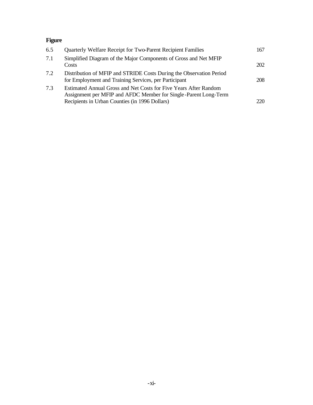# **Figure**

| 6.5 | Quarterly Welfare Receipt for Two-Parent Recipient Families                                                                                                                           | 167 |
|-----|---------------------------------------------------------------------------------------------------------------------------------------------------------------------------------------|-----|
| 7.1 | Simplified Diagram of the Major Components of Gross and Net MFIP<br>Costs                                                                                                             | 202 |
| 7.2 | Distribution of MFIP and STRIDE Costs During the Observation Period<br>for Employment and Training Services, per Participant                                                          | 208 |
| 7.3 | Estimated Annual Gross and Net Costs for Five Years After Random<br>Assignment per MFIP and AFDC Member for Single-Parent Long-Term<br>Recipients in Urban Counties (in 1996 Dollars) | 220 |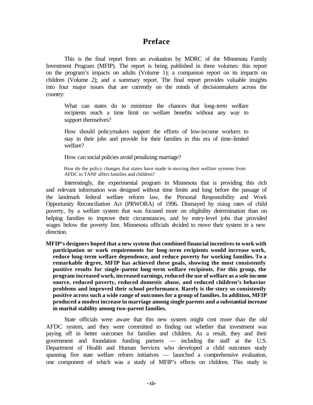# **Preface**

This is the final report from an evaluation by MDRC of the Minnesota Family Investment Program (MFIP). The report is being published in three volumes: this report on the program's impacts on adults (Volume 1); a companion report on its impacts on children (Volume 2); and a summary report. The final report provides valuable insights into four major issues that are currently on the minds of decisionmakers across the country:

What can states do to minimize the chances that long-term welfare recipients reach a time limit on welfare benefits without any way to support themselves?

How should policymakers support the efforts of low-income workers to stay in their jobs and provide for their families in this era of time-limited welfare?

How can social policies avoid penalizing marriage?

How do the policy changes that states have made in moving their welfare systems from AFDC to TANF affect families and children?

Interestingly, the experimental program in Minnesota that is providing this rich and relevant information was designed without time limits and long before the passage of the landmark federal welfare reform law, the Personal Responsibility and Work Opportunity Reconciliation Act (PRWORA) of 1996. Dismayed by rising rates of child poverty, by a welfare system that was focused more on eligibility determination than on helping families to improve their circumstances, and by entry-level jobs that provided wages below the poverty line, Minnesota officials decided to move their system in a new direction.

**MFIP's designers hoped that a new system that combined financial incentives to work with participation or work requirements for long-term recipients would increase work, reduce long-term welfare dependence, and reduce poverty for working families. To a remarkable degree, MFIP has achieved these goals, showing the most consistently positive results for single -parent long-term welfare recipients. For this group, the program increased work, increased earnings, reduced the use of welfare as a sole income source, reduced poverty, reduced domestic abuse, and reduced children's behavior problems and improved their school performance. Rarely is the story so consistently positive across such a wide range of outcomes for a group of families. In addition, MFIP produced a modest increase in marriage among single parents and a substantial increase in marital stability among two-parent families.**

State officials were aware that this new system might cost more than the old AFDC system, and they were committed to finding out whether that investment was paying off in better outcomes for families and children. As a result, they and their government and foundation funding partners — including the staff at the U.S. Department of Health and Human Services who developed a child outcomes study spanning five state welfare reform initiatives — launched a comprehensive evaluation, one component of which was a study of MFIP's effects on children. This study is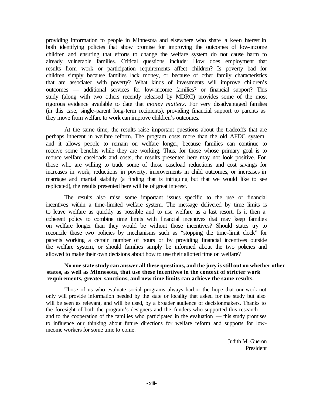providing information to people in Minnesota and elsewhere who share a keen interest in both identifying policies that show promise for improving the outcomes of low-income children and ensuring that efforts to change the welfare system do not cause harm to already vulnerable families. Critical questions include: How does employment that results from work or participation requirements affect children? Is poverty bad for children simply because families lack money, or because of other family characteristics that are associated with poverty? What kinds of investments will improve children's outcomes — additional services for low-income families? or financial support? This study (along with two others recently released by MDRC) provides some of the most rigorous evidence available to date that *money matters*. For very disadvantaged families (in this case, single-parent long-term recipients), providing financial support to parents as they move from welfare to work can improve children's outcomes.

At the same time, the results raise important questions about the tradeoffs that are perhaps inherent in welfare reform. The program costs more than the old AFDC system, and it allows people to remain on welfare longer, because families can continue to receive some benefits while they are working. Thus, for those whose primary goal is to reduce welfare caseloads and costs, the results presented here may not look positive. For those who are willing to trade some of those caseload reductions and cost savings for increases in work, reductions in poverty, improvements in child outcomes, or increases in marriage and marital stability (a finding that is intriguing but that we would like to see replicated), the results presented here will be of great interest.

The results also raise some important issues specific to the use of financial incentives within a time-limited welfare system. The message delivered by time limits is to leave welfare as quickly as possible and to use welfare as a last resort. Is it then a coherent policy to combine time limits with financial incentives that may keep families on welfare longer than they would be without those incentives? Should states try to reconcile those two policies by mechanisms such as "stopping the time-limit clock" for parents working a certain number of hours or by providing financial incentives outside the welfare system, or should families simply be informed about the two policies and allowed to make their own decisions about how to use their allotted time on welfare?

#### **No one state study can answer all these questions, and the jury is still out on whether other states, as well as Minnesota, that use these incentives in the context of stricter work requirements, greater sanctions, and new time limits can achieve the same results.**

Those of us who evaluate social programs always harbor the hope that our work not only will provide information needed by the state or locality that asked for the study but also will be seen as relevant, and will be used, by a broader audience of decisionmakers. Thanks to the foresight of both the program's designers and the funders who supported this research and to the cooperation of the families who participated in the evaluation — this study promises to influence our thinking about future directions for welfare reform and supports for lowincome workers for some time to come.

> Judith M. Gueron President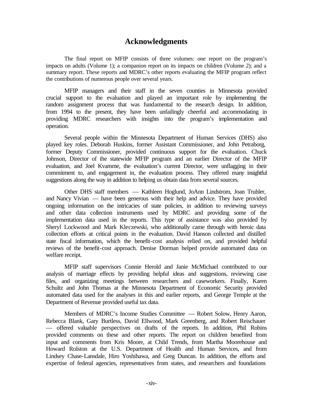# **Acknowledgments**

The final report on MFIP consists of three volumes: one report on the program's impacts on adults (Volume 1); a companion report on its impacts on children (Volume 2); and a summary report. These reports and MDRC's other reports evaluating the MFIP program reflect the contributions of numerous people over several years.

MFIP managers and their staff in the seven counties in Minnesota provided crucial support to the evaluation and played an important role by implementing the random assignment process that was fundamental to the research design. In addition, from 1994 to the present, they have been unfailingly cheerful and accommodating in providing MDRC researchers with insights into the program's implementation and operation.

Several people within the Minnesota Department of Human Services (DHS) also played key roles. Deborah Huskins, former Assistant Commissioner, and John Petraborg, former Deputy Commissioner, provided continuous support for the evaluation. Chuck Johnson, Director of the statewide MFIP program and an earlier Director of the MFIP evaluation, and Joel Kvamme, the evaluation's current Director, were unflagging in their commitment to, and engagement in, the evaluation process. They offered many insightful suggestions along the way in addition to helping us obtain data from several sources.

Other DHS staff members — Kathleen Hoglund, JoAnn Lindstrom, Joan Truhler, and Nancy Vivian — have been generous with their help and advice. They have provided ongoing information on the intricacies of state policies, in addition to reviewing surveys and other data collection instruments used by MDRC and providing some of the implementation data used in the reports. This type of assistance was also provided by Sheryl Lockwood and Mark Kleczewski, who additionally came through with heroic data collection efforts at critical points in the evaluation. David Hanson collected and distilled state fiscal information, which the benefit-cost analysis relied on, and provided helpful reviews of the benefit-cost approach. Denise Dorman helped provide automated data on welfare receipt.

MFIP staff supervisors Connie Herold and Janie McMichael contributed to our analysis of marriage effects by providing helpful ideas and suggestions, reviewing case files, and organizing meetings between researchers and caseworkers. Finally, Karen Schultz and John Thomas at the Minnesota Department of Economic Security provided automated data used for the analyses in this and earlier reports, and George Temple at the Department of Revenue provided useful tax data.

Members of MDRC's Income Studies Committee — Robert Solow, Henry Aaron, Rebecca Blank, Gary Burtless, David Ellwood, Mark Greenberg, and Robert Reischauer — offered valuable perspectives on drafts of the reports. In addition, Phil Robins provided comments on these and other reports. The report on children benefited from input and comments from Kris Moore, at Child Trends, from Martha Moorehouse and Howard Rolston at the U.S. Department of Health and Human Services, and from Lindsey Chase-Lansdale, Hiro Yoshihawa, and Greg Duncan. In addition, the efforts and expertise of federal agencies, representatives from states, and researchers and foundations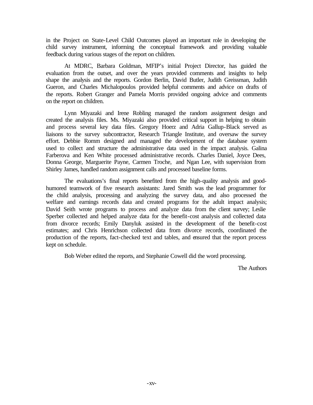in the Project on State-Level Child Outcomes played an important role in developing the child survey instrument, informing the conceptual framework and providing valuable feedback during various stages of the report on children.

At MDRC, Barbara Goldman, MFIP's initial Project Director, has guided the evaluation from the outset, and over the years provided comments and insights to help shape the analysis and the reports. Gordon Berlin, David Butler, Judith Greissman, Judith Gueron, and Charles Michalopoulos provided helpful comments and advice on drafts of the reports. Robert Granger and Pamela Morris provided ongoing advice and comments on the report on children.

Lynn Miyazaki and Irene Robling managed the random assignment design and created the analysis files. Ms. Miyazaki also provided critical support in helping to obtain and process several key data files. Gregory Hoerz and Adria Gallup-Black served as liaisons to the survey subcontractor, Research Triangle Institute, and oversaw the survey effort. Debbie Romm designed and managed the development of the database system used to collect and structure the administrative data used in the impact analysis. Galina Farberova and Ken White processed administrative records. Charles Daniel, Joyce Dees, Donna George, Marguerite Payne, Carmen Troche, and Ngan Lee, with supervision from Shirley James, handled random assignment calls and processed baseline forms.

The evaluations's final reports benefited from the high-quality analysis and goodhumored teamwork of five research assistants: Jared Smith was the lead programmer for the child analysis, processing and analyzing the survey data, and also processed the welfare and earnings records data and created programs for the adult impact analysis; David Seith wrote programs to process and analyze data from the client survey; Leslie Sperber collected and helped analyze data for the benefit-cost analysis and collected data from divorce records; Emily Danyluk assisted in the development of the benefit-cost estimates; and Chris Henrichson collected data from divorce records, coordinated the production of the reports, fact-checked text and tables, and ensured that the report process kept on schedule.

Bob Weber edited the reports, and Stephanie Cowell did the word processing.

The Authors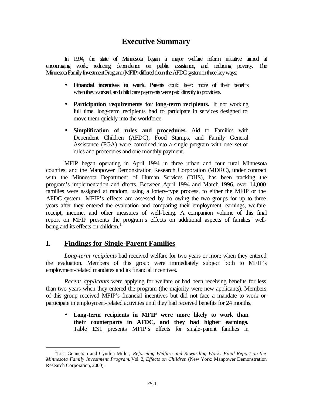# **Executive Summary**

In 1994, the state of Minnesota began a major welfare reform initiative aimed at encouraging work, reducing dependence on public assistance, and reducing poverty. The Minnesota Family Investment Program (MFIP) differed from the AFDC system in three key ways:

- **Financial incentives to work.** Parents could keep more of their benefits when they worked, and child care payments were paid directly to providers.
- **Participation requirements for long-term recipients.** If not working full time, long-term recipients had to participate in services designed to move them quickly into the workforce.
- **Simplification of rules and procedures.** Aid to Families with Dependent Children (AFDC), Food Stamps, and Family General Assistance (FGA) were combined into a single program with one set of rules and procedures and one monthly payment.

MFIP began operating in April 1994 in three urban and four rural Minnesota counties, and the Manpower Demonstration Research Corporation (MDRC), under contract with the Minnesota Department of Human Services (DHS), has been tracking the program's implementation and effects. Between April 1994 and March 1996, over 14,000 families were assigned at random, using a lottery-type process, to either the MFIP or the AFDC system. MFIP's effects are assessed by following the two groups for up to three years after they entered the evaluation and comparing their employment, earnings, welfare receipt, income, and other measures of well-being. A companion volume of this final report on MFIP presents the program's effects on additional aspects of families' wellbeing and its effects on children.<sup>1</sup>

# **I. Findings for Single-Parent Families**

 $\overline{a}$ 

*Long-term recipients* had received welfare for two years or more when they entered the evaluation. Members of this group were immediately subject both to MFIP's employment-related mandates and its financial incentives.

*Recent applicants* were applying for welfare or had been receiving benefits for less than two years when they entered the program (the majority were new applicants). Members of this group received MFIP's financial incentives but did not face a mandate to work or participate in employment-related activities until they had received benefits for 24 months.

• **Long-term recipients in MFIP were more likely to work than their counterparts in AFDC, and they had higher earnings.** Table ES1 presents MFIP's effects for single-parent families in

<sup>&</sup>lt;sup>1</sup>Lisa Gennetian and Cynthia Miller, *Reforming Welfare and Rewarding Work: Final Report on the Minnesota Family Investment Program*, Vol. 2, *Effects on Children* (New York: Manpower Demonstration Research Corporation, 2000).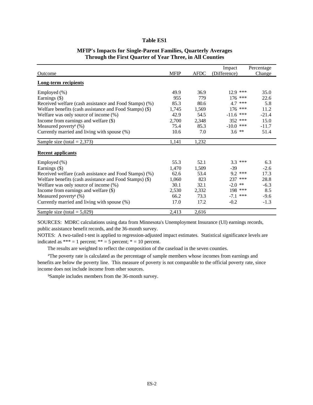#### **Table ES1**

|                                                         |             |             | Impact       | Percentage |
|---------------------------------------------------------|-------------|-------------|--------------|------------|
| Outcome                                                 | <b>MFIP</b> | <b>AFDC</b> | (Difference) | Change     |
| Long-term recipients                                    |             |             |              |            |
| Employed (%)                                            | 49.9        | 36.9        | 12.9 ***     | 35.0       |
| Earnings (\$)                                           | 955         | 779         | $176$ ***    | 22.6       |
| Received welfare (cash assistance and Food Stamps) (%)  | 85.3        | 80.6        | $4.7$ ***    | 5.8        |
| Welfare benefits (cash assistance and Food Stamps) (\$) | 1,745       | 1,569       | $176$ ***    | 11.2       |
| Welfare was only source of income (%)                   | 42.9        | 54.5        | $-11.6$ ***  | $-21.4$    |
| Income from earnings and welfare $(\$)$                 | 2,700       | 2,348       | 352 ***      | 15.0       |
| Measured poverty <sup>a</sup> (%)                       | 75.4        | 85.3        | $-10.0$ ***  | $-11.7$    |
| Currently married and living with spouse (%)            | 10.6        | 7.0         | $3.6$ **     | 51.4       |
| Sample size (total = $2,373$ )                          | 1,141       | 1,232       |              |            |
| <b>Recent applicants</b>                                |             |             |              |            |
| Employed (%)                                            | 55.3        | 52.1        | $3.3***$     | 6.3        |
| Earnings (\$)                                           | 1,470       | 1,509       | $-39$        | $-2.6$     |
| Received welfare (cash assistance and Food Stamps) (%)  | 62.6        | 53.4        | $9.2$ ***    | 17.3       |
| Welfare benefits (cash assistance and Food Stamps) (\$) | 1,060       | 823         | 237<br>***   | 28.8       |
| Welfare was only source of income (%)                   | 30.1        | 32.1        | $-2.0$ **    | $-6.3$     |
| Income from earnings and welfare $(\$)$                 | 2,530       | 2,332       | 198 ***      | 8.5        |
| Measured poverty <sup>a</sup> $(\%)$                    | 66.2        | 73.3        | $-7.1$ ***   | $-9.6$     |
| Currently married and living with spouse (%)            | 17.0        | 17.2        | $-0.2$       | $-1.3$     |
| Sample size (total = $5,029$ )                          | 2,413       | 2,616       |              |            |

#### **MFIP's Impacts for Single-Parent Families, Quarterly Averages Through the First Quarter of Year Three, in All Counties**

SOURCES: MDRC calculations using data from Minnesota's Unemployment Insurance (UI) earnings records, public assistance benefit records, and the 36-month survey.

NOTES: A two-tailed t-test is applied to regression-adjusted impact estimates. Statistical significance levels are indicated as  $*** = 1$  percent;  $** = 5$  percent;  $* = 10$  percent.

The results are weighted to reflect the composition of the caseload in the seven counties.

<sup>a</sup>The poverty rate is calculated as the percentage of sample members whose incomes from earnings and benefits are below the poverty line. This measure of poverty is not comparable to the official poverty rate, since income does not include income from other sources.

bSample includes members from the 36-month survey.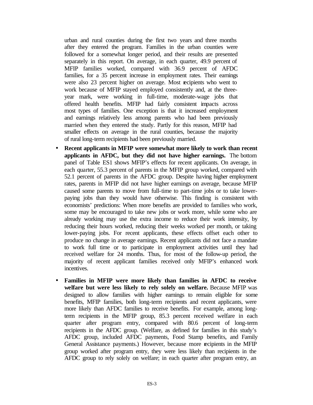urban and rural counties during the first two years and three months after they entered the program. Families in the urban counties were followed for a somewhat longer period, and their results are presented separately in this report. On average, in each quarter, 49.9 percent of MFIP families worked, compared with 36.9 percent of AFDC families, for a 35 percent increase in employment rates. Their earnings were also 23 percent higher on average. Most recipients who went to work because of MFIP stayed employed consistently and, at the threeyear mark, were working in full-time, moderate-wage jobs that offered health benefits. MFIP had fairly consistent impacts across most types of families. One exception is that it increased employment and earnings relatively less among parents who had been previously married when they entered the study. Partly for this reason, MFIP had smaller effects on average in the rural counties, because the majority of rural long-term recipients had been previously married.

- **Recent applicants in MFIP were somewhat more likely to work than recent applicants in AFDC, but they did not have higher earnings.** The bottom panel of Table ES1 shows MFIP's effects for recent applicants. On average, in each quarter, 55.3 percent of parents in the MFIP group worked, compared with 52.1 percent of parents in the AFDC group. Despite having higher employment rates, parents in MFIP did not have higher earnings on average, because MFIP caused some parents to move from full-time to part-time jobs or to take lowerpaying jobs than they would have otherwise. This finding is consistent with economists' predictions: When more benefits are provided to families who work, some may be encouraged to take new jobs or work more, while some who are already working may use the extra income to reduce their work intensity, by reducing their hours worked, reducing their weeks worked per month, or taking lower-paying jobs. For recent applicants, these effects offset each other to produce no change in average earnings. Recent applicants did not face a mandate to work full time or to participate in employment activities until they had received welfare for 24 months. Thus, for most of the follow-up period, the majority of recent applicant families received only MFIP's enhanced work incentives.
- **Families in MFIP were more likely than families in AFDC to receive welfare but were less likely to rely solely on welfare.** Because MFIP was designed to allow families with higher earnings to remain eligible for some benefits, MFIP families, both long-term recipients and recent applicants, were more likely than AFDC families to receive benefits. For example, among longterm recipients in the MFIP group, 85.3 percent received welfare in each quarter after program entry, compared with 80.6 percent of long-term recipients in the AFDC group. (Welfare, as defined for families in this study's AFDC group, included AFDC payments, Food Stamp benefits, and Family General Assistance payments.) However, because more recipients in the MFIP group worked after program entry, they were less likely than recipients in the AFDC group to rely solely on welfare; in each quarter after program entry, an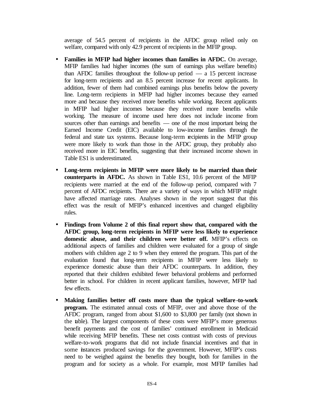average of 54.5 percent of recipients in the AFDC group relied only on welfare, compared with only 42.9 percent of recipients in the MFIP group.

- **Families in MFIP had higher incomes than families in AFDC.** On average, MFIP families had higher incomes (the sum of earnings plus welfare benefits) than AFDC families throughout the follow-up period — a 15 percent increase for long-term recipients and an 8.5 percent increase for recent applicants. In addition, fewer of them had combined earnings plus benefits below the poverty line. Long-term recipients in MFIP had higher incomes because they earned more and because they received more benefits while working. Recent applicants in MFIP had higher incomes because they received more benefits while working. The measure of income used here does not include income from sources other than earnings and benefits — one of the most important being the Earned Income Credit (EIC) available to low-income families through the federal and state tax systems. Because long-term recipients in the MFIP group were more likely to work than those in the AFDC group, they probably also received more in EIC benefits, suggesting that their increased income shown in Table ES1 is underestimated.
- **Long-term recipients in MFIP were more likely to be married than their counterparts in AFDC.** As shown in Table ES1, 10.6 percent of the MFIP recipients were married at the end of the follow-up period, compared with 7 percent of AFDC recipients. There are a variety of ways in which MFIP might have affected marriage rates. Analyses shown in the report suggest that this effect was the result of MFIP's enhanced incentives and changed eligibility rules.
- **Findings from Volume 2 of this final report show that, compared with the AFDC group, long-term recipients in MFIP were less likely to experience domestic abuse, and their children were better off.** MFIP's effects on additional aspects of families and children were evaluated for a group of single mothers with children age 2 to 9 when they entered the program. This part of the evaluation found that long-term recipients in MFIP were less likely to experience domestic abuse than their AFDC counterparts. In addition, they reported that their children exhibited fewer behavioral problems and performed better in school. For children in recent applicant families, however, MFIP had few effects.
- **Making families better off costs more than the typical welfare -to-work program.** The estimated annual costs of MFIP, over and above those of the AFDC program, ranged from about \$1,600 to \$3,800 per family (not shown in the table). The largest components of these costs were MFIP's more generous benefit payments and the cost of families' continued enrollment in Medicaid while receiving MFIP benefits. These net costs contrast with costs of previous welfare-to-work programs that did not include financial incentives and that in some instances produced savings for the government. However, MFIP's costs need to be weighed against the benefits they bought, both for families in the program and for society as a whole. For example, most MFIP families had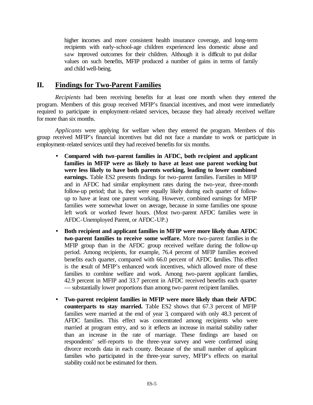higher incomes and more consistent health insurance coverage, and long-term recipients with early-school-age children experienced less domestic abuse and saw improved outcomes for their children. Although it is difficult to put dollar values on such benefits, MFIP produced a number of gains in terms of family and child well-being.

# **II. Findings for Two-Parent Families**

*Recipients* had been receiving benefits for at least one month when they entered the program. Members of this group received MFIP's financial incentives, and most were immediately required to participate in employment-related services, because they had already received welfare for more than six months.

*Applicants* were applying for welfare when they entered the program. Members of this group received MFIP's financial incentives but did not face a mandate to work or participate in employment-related services until they had received benefits for six months.

- **Compared with two-parent families in AFDC, both recipient and applicant families in MFIP were as likely to have at least one parent working but were less likely to have both parents working, leading to lower combined earnings.** Table ES2 presents findings for two-parent families. Families in MFIP and in AFDC had similar employment rates during the two-year, three-month follow-up period; that is, they were equally likely during each quarter of followup to have at least one parent working. However, combined earnings for MFIP families were somewhat lower on average, because in some families one spouse left work or worked fewer hours. (Most two-parent AFDC families were in AFDC-Unemployed Parent, or AFDC-UP.)
- **Both recipient and applicant families in MFIP were more likely than AFDC two-parent families to receive some welfare.** More two-parent families in the MFIP group than in the AFDC group received welfare during the follow-up period. Among recipients, for example, 76.4 percent of MFIP families received benefits each quarter, compared with 66.0 percent of AFDC families. This effect is the result of MFIP's enhanced work incentives, which allowed more of these families to combine welfare and work. Among two-parent applicant families, 42.9 percent in MFIP and 33.7 percent in AFDC received benefits each quarter — substantially lower proportions than among two-parent recipient families.
- **Two-parent recipient families in MFIP were more likely than their AFDC counterparts to stay married.** Table ES2 shows that 67.3 percent of MFIP families were married at the end of year 3, compared with only 48.3 percent of AFDC families. This effect was concentrated among recipients who were married at program entry, and so it reflects an increase in marital stability rather than an increase in the rate of marriage. These findings are based on respondents' self-reports to the three-year survey and were confirmed using divorce records data in each county. Because of the small number of applicant families who participated in the three-year survey, MFIP's effects on marital stability could not be estimated for them.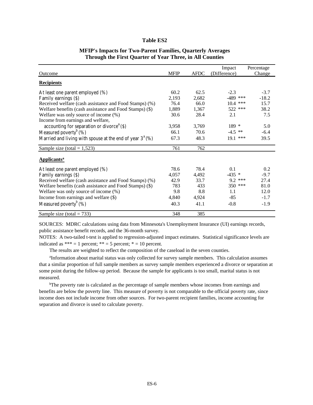#### **Table ES2**

|                                                                     |             |             | Impact       | Percentage |
|---------------------------------------------------------------------|-------------|-------------|--------------|------------|
| Outcome                                                             | <b>MFIP</b> | <b>AFDC</b> | (Difference) | Change     |
| <b>Recipients</b>                                                   |             |             |              |            |
| At least one parent employed (%)                                    | 60.2        | 62.5        | $-2.3$       | $-3.7$     |
| Family earnings (S)                                                 | 2,193       | 2,682       | $-489$ ***   | $-18.2$    |
| Received welfare (cash assistance and Food Stamps) (%)              | 76.4        | 66.0        | $10.4$ ***   | 15.7       |
| Welfare benefits (cash assistance and Food Stamps) (\$)             | 1,889       | 1,367       | 522 ***      | 38.2       |
| Welfare was only source of income (%)                               | 30.6        | 28.4        | 2.1          | 7.5        |
| Income from earnings and welfare,                                   |             |             |              |            |
| accounting for separation or divorce <sup>a</sup> $(S)$             | 3,958       | 3,769       | 189 *        | 5.0        |
| Measured poverty <sup>b</sup> $(\%)$                                | 66.1        | 70.6        | $-4.5$ **    | $-6.4$     |
| Married and living with spouse at the end of year $3^{\degree}$ (%) | 67.3        | 48.3        | $19.1$ ***   | 39.5       |
| Sample size (total = $1,523$ )                                      | 761         | 762         |              |            |
| <b>Applicants</b> <sup>a</sup>                                      |             |             |              |            |
| At least one parent employed (%)                                    | 78.6        | 78.4        | 0.1          | 0.2        |
| Family earnings (\$)                                                | 4,057       | 4,492       | $-435$ *     | $-9.7$     |
| Received welfare (cash assistance and Food Stamps) (%)              | 42.9        | 33.7        | $9.2$ ***    | 27.4       |
| Welfare benefits (cash assistance and Food Stamps) (\$)             | 783         | 433         | 350 ***      | 81.0       |
| Welfare was only source of income (%)                               | 9.8         | 8.8         | 1.1          | 12.0       |
| Income from earnings and welfare $(\$)$                             | 4,840       | 4,924       | $-85$        | $-1.7$     |
| Measured poverty <sup>b</sup> $(\%)$                                | 40.3        | 41.1        | $-0.8$       | $-1.9$     |
| Sample size (total $= 733$ )                                        | 348         | 385         |              |            |

#### **MFIP's Impacts for Two-Parent Families, Quarterly Averages Through the First Quarter of Year Three, in All Counties**

SOURCES: MDRC calculations using data from Minnesota's Unemployment Insurance (UI) earnings records, public assistance benefit records, and the 36-month survey.

NOTES: A two-tailed t-test is applied to regression-adjusted impact estimates. Statistical significance levels are indicated as  $*** = 1$  percent;  $** = 5$  percent;  $* = 10$  percent.

The results are weighted to reflect the composition of the caseload in the seven counties.

<sup>a</sup>Information about marital status was only collected for survey sample members. This calculation assumes that a similar proportion of full sample members as survey sample members experienced a divorce or separation at some point during the follow-up period. Because the sample for applicants is too small, marital status is not measured.

<sup>b</sup>The poverty rate is calculated as the percentage of sample members whose incomes from earnings and benefits are below the poverty line. This measure of poverty is not comparable to the official poverty rate, since income does not include income from other sources. For two-parent recipient families, income accounting for separation and divorce is used to calculate poverty.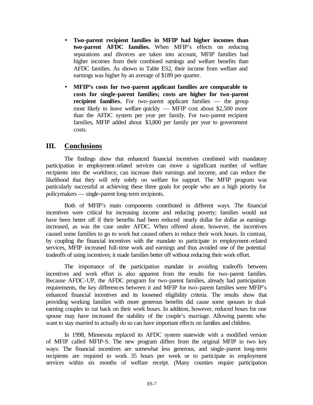- **Two-parent recipient families in MFIP had higher incomes than two-parent AFDC families.** When MFIP's effects on reducing separations and divorces are taken into account, MFIP families had higher incomes from their combined earnings and welfare benefits than AFDC families. As shown in Table ES2, their income from welfare and earnings was higher by an average of \$189 per quarter.
- **MFIP's costs for two-parent applicant families are comparable to costs for single-parent families; costs are higher for two-parent recipient families.** For two-parent applicant families — the group most likely to leave welfare quickly — MFIP cost about \$2,500 more than the AFDC system per year per family. For two-parent recipient families, MFIP added about \$3,800 per family per year to government costs.

## **III. Conclusions**

The findings show that enhanced financial incentives combined with mandatory participation in employment-related services can move a significant number of welfare recipients into the workforce, can increase their earnings and income, and can reduce the likelihood that they will rely solely on welfare for support. The MFIP program was particularly successful at achieving these three goals for people who are a high priority for policymakers — single-parent long-term recipients.

Both of MFIP's main components contributed in different ways. The financial incentives were critical for increasing income and reducing poverty; families would not have been better off if their benefits had been reduced nearly dollar for dollar as earnings increased, as was the case under AFDC. When offered alone, however, the incentives caused some families to go to work but caused others to reduce their work hours. In contrast, by coupling the financial incentives with the mandate to participate in employment-related services, MFIP increased full-time work and earnings and thus avoided one of the potential tradeoffs of using incentives; it made families better off without reducing their work effort.

The importance of the participation mandate in avoiding tradeoffs between incentives and work effort is also apparent from the results for two-parent families. Because AFDC-UP, the AFDC program for two-parent families, already had participation requirements, the key differences between it and MFIP for two-parent families were MFIP's enhanced financial incentives and its loosened eligibility criteria. The results show that providing working families with more generous benefits did cause some spouses in dualearning couples to cut back on their work hours. In addition, however, reduced hours for one spouse may have increased the stability of the couple's marriage. Allowing parents who want to stay married to actually do so can have important effects on families and children.

In 1998, Minnesota replaced its AFDC system statewide with a modified version of MFIP called MFIP-S. The new program differs from the original MFIP in two key ways: The financial incentives are somewhat less generous, and single-parent long-term recipients are required to work 35 hours per week or to participate in employment services within six months of welfare receipt. (Many counties require participation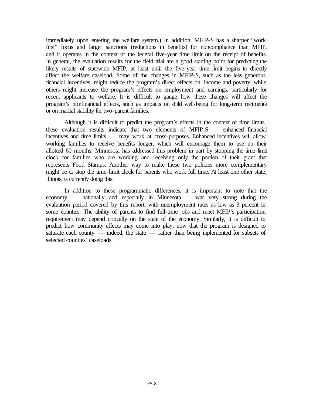immediately upon entering the welfare system.) In addition, MFIP-S has a sharper "work first" focus and larger sanctions (reductions in benefits) for noncompliance than MFIP, and it operates in the context of the federal five-year time limit on the receipt of benefits. In general, the evaluation results for the field trial are a good starting point for predicting the likely results of statewide MFIP, at least until the five-year time limit begins to directly affect the welfare caseload. Some of the changes in MFIP-S, such as the less generous financial incentives, might reduce the program's direct effects on income and poverty, while others might increase the program's effects on employment and earnings, particularly for recent applicants to welfare. It is difficult to gauge how these changes will affect the program's nonfinancial effects, such as impacts on child well-being for long-term recipients or on marital stability for two-parent families.

Although it is difficult to predict the program's effects in the context of time limits, these evaluation results indicate that two elements of MFIP-S — enhanced financial incentives and time limits — may work at cross-purposes. Enhanced incentives will allow working families to receive benefits longer, which will encourage them to use up their allotted 60 months. Minnesota has addressed this problem in part by stopping the time-limit clock for families who are working and receiving only the portion of their grant that represents Food Stamps. Another way to make these two policies more complementary might be to stop the time-limit clock for parents who work full time. At least one other state, Illinois, is currently doing this.

In addition to these programmatic differences, it is important to note that the economy — nationally and especially in Minnesota — was very strong during the evaluation period covered by this report, with unemployment rates as low as 3 percent in some counties. The ability of parents to find full-time jobs and meet MFIP's participation requirement may depend critically on the state of the economy. Similarly, it is difficult to predict how community effects may come into play, now that the program is designed to saturate each county — indeed, the state — rather than being implemented for subsets of selected counties' caseloads.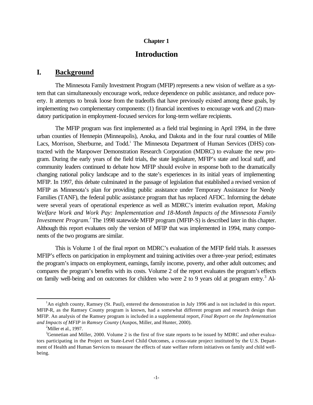#### **Chapter 1**

# **Introduction**

#### **I. Background**

The Minnesota Family Investment Program (MFIP) represents a new vision of welfare as a system that can simultaneously encourage work, reduce dependence on public assistance, and reduce poverty. It attempts to break loose from the tradeoffs that have previously existed among these goals, by implementing two complementary components: (1) financial incentives to encourage work and (2) mandatory participation in employment-focused services for long-term welfare recipients.

The MFIP program was first implemented as a field trial beginning in April 1994, in the three urban counties of Hennepin (Minneapolis), Anoka, and Dakota and in the four rural counties of Mille Lacs, Morrison, Sherburne, and Todd.<sup>1</sup> The Minnesota Department of Human Services (DHS) contracted with the Manpower Demonstration Research Corporation (MDRC) to evaluate the new program. During the early years of the field trials, the state legislature, MFIP's state and local staff, and community leaders continued to debate how MFIP should evolve in response both to the dramatically changing national policy landscape and to the state's experiences in its initial years of implementing MFIP. In 1997, this debate culminated in the passage of legislation that established a revised version of MFIP as Minnesota's plan for providing public assistance under Temporary Assistance for Needy Families (TANF), the federal public assistance program that has replaced AFDC. Informing the debate were several years of operational experience as well as MDRC's interim evaluation report, *Making Welfare Work and Work Pay: Implementation and 18-Month Impacts of the Minnesota Family Investment Program.*<sup>2</sup> The 1998 statewide MFIP program (MFIP-S) is described later in this chapter. Although this report evaluates only the version of MFIP that was implemented in 1994, many components of the two programs are similar.

This is Volume 1 of the final report on MDRC's evaluation of the MFIP field trials. It assesses MFIP's effects on participation in employment and training activities over a three-year period; estimates the program's impacts on employment, earnings, family income, poverty, and other adult outcomes; and compares the program's benefits with its costs. Volume 2 of the report evaluates the program's effects on family well-being and on outcomes for children who were 2 to 9 years old at program entry.<sup>3</sup> Al-

l

<sup>&</sup>lt;sup>1</sup>An eighth county, Ramsey (St. Paul), entered the demonstration in July 1996 and is not included in this report. MFIP-R, as the Ramsey County program is known, had a somewhat different program and research design than MFIP. An analysis of the Ramsey program is included in a supplemental report, *Final Report on the Implementation and Impacts of MFIP in Ramsey County* (Auspos, Miller, and Hunter, 2000).

 $<sup>2</sup>$ Miller et al., 1997.</sup>

<sup>&</sup>lt;sup>3</sup>Gennetian and Miller, 2000. Volume 2 is the first of five state reports to be issued by MDRC and other evaluators participating in the Project on State-Level Child Outcomes, a cross-state project instituted by the U.S. Department of Health and Human Services to measure the effects of state welfare reform initiatives on family and child wellbeing.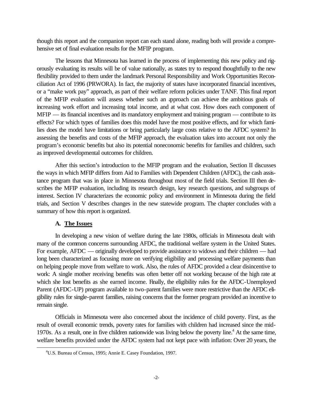though this report and the companion report can each stand alone, reading both will provide a comprehensive set of final evaluation results for the MFIP program.

The lessons that Minnesota has learned in the process of implementing this new policy and rigorously evaluating its results will be of value nationally, as states try to respond thoughtfully to the new flexibility provided to them under the landmark Personal Responsibility and Work Opportunities Reconciliation Act of 1996 (PRWORA). In fact, the majority of states have incorporated financial incentives, or a "make work pay" approach, as part of their welfare reform policies under TANF. This final report of the MFIP evaluation will assess whether such an approach can achieve the ambitious goals of increasing work effort and increasing total income, and at what cost. How does each component of MFIP — its financial incentives and its mandatory employment and training program — contribute to its effects? For which types of families does this model have the most positive effects, and for which families does the model have limitations or bring particularly large costs relative to the AFDC system? In assessing the benefits and costs of the MFIP approach, the evaluation takes into account not only the program's economic benefits but also its potential noneconomic benefits for families and children, such as improved developmental outcomes for children.

After this section's introduction to the MFIP program and the evaluation, Section II discusses the ways in which MFIP differs from Aid to Families with Dependent Children (AFDC), the cash assistance program that was in place in Minnesota throughout most of the field trials. Section III then describes the MFIP evaluation, including its research design, key research questions, and subgroups of interest. Section IV characterizes the economic policy and environment in Minnesota during the field trials, and Section V describes changes in the new statewide program. The chapter concludes with a summary of how this report is organized.

#### **A. The Issues**

l

In developing a new vision of welfare during the late 1980s, officials in Minnesota dealt with many of the common concerns surrounding AFDC, the traditional welfare system in the United States. For example, AFDC — originally developed to provide assistance to widows and their children — had long been characterized as focusing more on verifying eligibility and processing welfare payments than on helping people move from welfare to work. Also, the rules of AFDC provided a clear disincentive to work: A single mother receiving benefits was often better off not working because of the high rate at which she lost benefits as she earned income. Finally, the eligibility rules for the AFDC-Unemployed Parent (AFDC-UP) program available to two-parent families were more restrictive than the AFDC eligibility rules for single-parent families, raising concerns that the former program provided an incentive to remain single.

Officials in Minnesota were also concerned about the incidence of child poverty. First, as the result of overall economic trends, poverty rates for families with children had increased since the mid-1970s. As a result, one in five children nationwide was living below the poverty line.<sup>4</sup> At the same time, welfare benefits provided under the AFDC system had not kept pace with inflation: Over 20 years, the

<sup>4</sup>U.S. Bureau of Census, 1995; Annie E. Casey Foundation, 1997.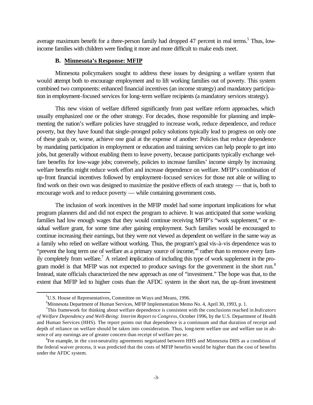average maximum benefit for a three-person family had dropped 47 percent in real terms.<sup>5</sup> Thus, lowincome families with children were finding it more and more difficult to make ends meet.

#### **B. Minnesota's Response: MFIP**

Minnesota policymakers sought to address these issues by designing a welfare system that would attempt both to encourage employment and to lift working families out of poverty. This system combined two components: enhanced financial incentives (an income strategy) and mandatory participation in employment-focused services for long-term welfare recipients (a mandatory services strategy).

This new vision of welfare differed significantly from past welfare reform approaches, which usually emphasized one or the other strategy. For decades, those responsible for planning and implementing the nation's welfare policies have struggled to increase work, reduce dependence, and reduce poverty, but they have found that single-pronged policy solutions typically lead to progress on only one of these goals or, worse, achieve one goal at the expense of another: Policies that reduce dependence by mandating participation in employment or education and training services can help people to get into jobs, but generally without enabling them to leave poverty, because participants typically exchange welfare benefits for low-wage jobs; conversely, policies to increase families' income simply by increasing welfare benefits might reduce work effort and increase dependence on welfare. MFIP's combination of up-front financial incentives followed by employment-focused services for those not able or willing to find work on their own was designed to maximize the positive effects of each strategy — that is, both to encourage work and to reduce poverty — while containing government costs.

The inclusion of work incentives in the MFIP model had some important implications for what program planners did and did not expect the program to achieve. It was anticipated that some working families had low enough wages that they would continue receiving MFIP's "work supplement," or residual welfare grant, for some time after gaining employment. Such families would be encouraged to continue increasing their earnings, but they were not viewed as dependent on welfare in the same way as a family who relied on welfare without working. Thus, the program's goal vis-à-vis dependence was to "prevent the long term use of welfare as a primary source of income," rather than to remove every family completely from welfare.<sup>7</sup> A related implication of including this type of work supplement in the program model is that MFIP was not expected to produce savings for the government in the short run.<sup>8</sup> Instead, state officials characterized the new approach as one of "investment." The hope was that, to the extent that MFIP led to higher costs than the AFDC system in the short run, the up-front investment

l

<sup>5</sup>U.S. House of Representatives, Committee on Ways and Means, 1996.

<sup>&</sup>lt;sup>6</sup>Minnesota Department of Human Services, MFIP Implementation Memo No. 4, April 30, 1993, p. 1.

<sup>7</sup> This framework for thinking about welfare dependence is consistent with the conclusions reached in *Indicators of Welfare Dependency and Well-Being: Interim Report to Congress*, October 1996, by the U.S. Department of Health and Human Services (HHS). The report points out that dependence is a continuum and that duration of receipt and depth of reliance on welfare should be taken into consideration. Thus, long-term welfare use and welfare use in absence of any earnings are of greater concern than receipt of welfare per se.

<sup>&</sup>lt;sup>8</sup>For example, in the cost-neutrality agreements negotiated between HHS and Minnesota DHS as a condition of the federal waiver process, it was predicted that the costs of MFIP benefits would be higher than the cost of benefits under the AFDC system.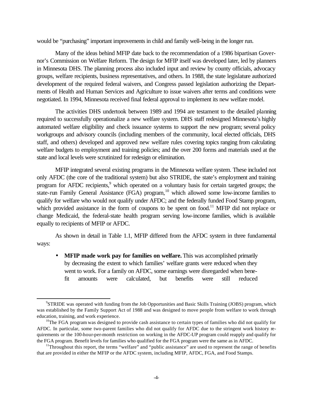would be "purchasing" important improvements in child and family well-being in the longer run.

Many of the ideas behind MFIP date back to the recommendation of a 1986 bipartisan Governor's Commission on Welfare Reform. The design for MFIP itself was developed later, led by planners in Minnesota DHS. The planning process also included input and review by county officials, advocacy groups, welfare recipients, business representatives, and others. In 1988, the state legislature authorized development of the required federal waivers, and Congress passed legislation authorizing the Departments of Health and Human Services and Agriculture to issue waivers after terms and conditions were negotiated. In 1994, Minnesota received final federal approval to implement its new welfare model.

The activities DHS undertook between 1989 and 1994 are testament to the detailed planning required to successfully operationalize a new welfare system. DHS staff redesigned Minnesota's highly automated welfare eligibility and check issuance systems to support the new program; several policy workgroups and advisory councils (including members of the community, local elected officials, DHS staff, and others) developed and approved new welfare rules covering topics ranging from calculating welfare budgets to employment and training policies; and the over 200 forms and materials used at the state and local levels were scrutinized for redesign or elimination.

MFIP integrated several existing programs in the Minnesota welfare system. These included not only AFDC (the core of the traditional system) but also STRIDE, the state's employment and training program for AFDC recipients,<sup>9</sup> which operated on a voluntary basis for certain targeted groups; the state-run Family General Assistance (FGA) program,  $10$  which allowed some low-income families to qualify for welfare who would not qualify under AFDC; and the federally funded Food Stamp program, which provided assistance in the form of coupons to be spent on food.<sup>11</sup> MFIP did not replace or change Medicaid, the federal-state health program serving low-income families, which is available equally to recipients of MFIP or AFDC.

As shown in detail in Table 1.1, MFIP differed from the AFDC system in three fundamental ways:

• **MFIP made work pay for families on welfare.** This was accomplished primarily by decreasing the extent to which families' welfare grants were reduced when they went to work. For a family on AFDC, some earnings were disregarded when benefit amounts were calculated, but benefits were still reduced

l

<sup>9</sup> STRIDE was operated with funding from the Job Opportunities and Basic Skills Training (JOBS) program, which was established by the Family Support Act of 1988 and was designed to move people from welfare to work through education, training, and work experience.

<sup>&</sup>lt;sup>10</sup>The FGA program was designed to provide cash assistance to certain types of families who did not qualify for AFDC. In particular, some two-parent families who did not qualify for AFDC due to the stringent work history requirements or the 100-hour-per-month restriction on working in the AFDC-UP program could reapply and qualify for the FGA program. Benefit levels for families who qualified for the FGA program were the same as in AFDC.

 $11$ Throughout this report, the terms "welfare" and "public assistance" are used to represent the range of benefits that are provided in either the MFIP or the AFDC system, including MFIP, AFDC, FGA, and Food Stamps.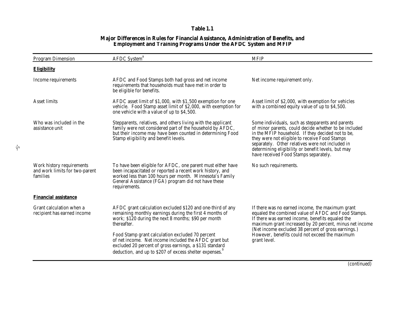#### **Table 1.1**

| <b>Program Dimension</b>                                                | AFDC System <sup>a</sup>                                                                                                                                                                                                                                                                                                                                                                                                       | <b>MFIP</b>                                                                                                                                                                                                                                                                                                                                                         |
|-------------------------------------------------------------------------|--------------------------------------------------------------------------------------------------------------------------------------------------------------------------------------------------------------------------------------------------------------------------------------------------------------------------------------------------------------------------------------------------------------------------------|---------------------------------------------------------------------------------------------------------------------------------------------------------------------------------------------------------------------------------------------------------------------------------------------------------------------------------------------------------------------|
| <b>Eligibility</b>                                                      |                                                                                                                                                                                                                                                                                                                                                                                                                                |                                                                                                                                                                                                                                                                                                                                                                     |
| Income requirements                                                     | AFDC and Food Stamps both had gross and net income<br>requirements that households must have met in order to<br>be eligible for benefits.                                                                                                                                                                                                                                                                                      | Net income requirement only.                                                                                                                                                                                                                                                                                                                                        |
| Asset limits                                                            | AFDC asset limit of \$1,000, with \$1,500 exemption for one<br>vehicle. Food Stamp asset limit of \$2,000, with exemption for<br>one vehicle with a value of up to \$4,500.                                                                                                                                                                                                                                                    | Asset limit of \$2,000, with exemption for vehicles<br>with a combined equity value of up to \$4,500.                                                                                                                                                                                                                                                               |
| Who was included in the<br>assistance unit                              | Stepparents, relatives, and others living with the applicant<br>family were not considered part of the household by AFDC,<br>but their income may have been counted in determining Food<br>Stamp eligibility and benefit levels.                                                                                                                                                                                               | Some individuals, such as stepparents and parents<br>of minor parents, could decide whether to be included<br>in the MFIP household. If they decided not to be,<br>they were not eligible to receive Food Stamps<br>separately. Other relatives were not included in<br>determining eligibility or benefit levels, but may<br>have received Food Stamps separately. |
| Work history requirements<br>and work limits for two-parent<br>families | To have been eligible for AFDC, one parent must either have<br>been incapacitated or reported a recent work history, and<br>worked less than 100 hours per month. Minnesota's Family<br>General Assistance (FGA) program did not have these<br>requirements.                                                                                                                                                                   | No such requirements.                                                                                                                                                                                                                                                                                                                                               |
| <b>Financial assistance</b>                                             |                                                                                                                                                                                                                                                                                                                                                                                                                                |                                                                                                                                                                                                                                                                                                                                                                     |
| Grant calculation when a<br>recipient has earned income                 | AFDC grant calculation excluded \$120 and one-third of any<br>remaining monthly earnings during the first 4 months of<br>work; \$120 during the next 8 months; \$90 per month<br>thereafter.<br>Food Stamp grant calculation excluded 70 percent<br>of net income. Net income included the AFDC grant but<br>excluded 20 percent of gross earnings, a \$131 standard<br>deduction, and up to \$207 of excess shelter expenses. | If there was no earned income, the maximum grant<br>equaled the combined value of AFDC and Food Stamps.<br>If there was earned income, benefits equaled the<br>maximum grant increased by 20 percent, minus net income<br>(Net income excluded 38 percent of gross earnings.)<br>However, benefits could not exceed the maximum<br>grant level.                     |

#### **Major Differences in Rules for Financial Assistance, Administration of Benefits, and Employment and Training Programs Under the AFDC System and MFIP**

(continued)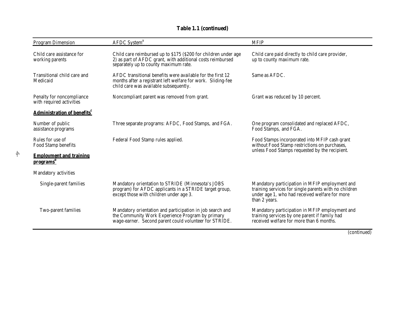# **Table 1.1 (continued)**

| <b>Program Dimension</b>                              | AFDC System <sup>a</sup>                                                                                                                                                | <b>MFIP</b>                                                                                                                                                                |
|-------------------------------------------------------|-------------------------------------------------------------------------------------------------------------------------------------------------------------------------|----------------------------------------------------------------------------------------------------------------------------------------------------------------------------|
| Child care assistance for<br>working parents          | Child care reimbursed up to \$175 (\$200 for children under age<br>2) as part of AFDC grant, with additional costs reimbursed<br>separately up to county maximum rate.  | Child care paid directly to child care provider,<br>up to county maximum rate.                                                                                             |
| Transitional child care and<br>Medicaid               | AFDC transitional benefits were available for the first 12<br>months after a registrant left welfare for work. Sliding-fee<br>child care was available subsequently.    | Same as AFDC.                                                                                                                                                              |
| Penalty for noncompliance<br>with required activities | Noncompliant parent was removed from grant.                                                                                                                             | Grant was reduced by 10 percent.                                                                                                                                           |
| <b>Administration of benefits</b> <sup>c</sup>        |                                                                                                                                                                         |                                                                                                                                                                            |
| Number of public<br>assistance programs               | Three separate programs: AFDC, Food Stamps, and FGA.                                                                                                                    | One program consolidated and replaced AFDC,<br>Food Stamps, and FGA.                                                                                                       |
| Rules for use of<br><b>Food Stamp benefits</b>        | Federal Food Stamp rules applied.                                                                                                                                       | Food Stamps incorporated into MFIP cash grant<br>without Food Stamp restrictions on purchases,<br>unless Food Stamps requested by the recipient.                           |
| <b>Employment and training</b><br>programs            |                                                                                                                                                                         |                                                                                                                                                                            |
| Mandatory activities                                  |                                                                                                                                                                         |                                                                                                                                                                            |
| Single-parent families                                | Mandatory orientation to STRIDE (Minnesota's JOBS<br>program) for AFDC applicants in a STRIDE target group,<br>except those with children under age 3.                  | Mandatory participation in MFIP employment and<br>training services for single parents with no children<br>under age 1, who had received welfare for more<br>than 2 years. |
| Two-parent families                                   | Mandatory orientation and participation in job search and<br>the Community Work Experience Program by primary<br>wage-earner. Second parent could volunteer for STRIDE. | Mandatory participation in MFIP employment and<br>training services by one parent if family had<br>received welfare for more than 6 months.                                |

 $\frac{1}{2}$ 

(continued)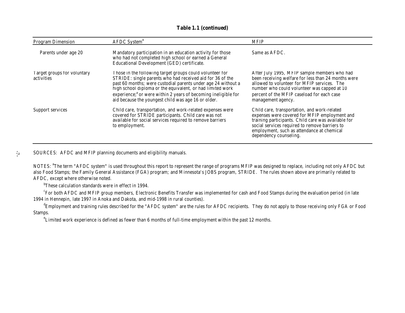#### **Table 1.1 (continued)**

| <b>Program Dimension</b>                  | AFDC System <sup>a</sup>                                                                                                                                                                                                                                                                                                                                                                  | <b>MFIP</b>                                                                                                                                                                                                                                                                    |
|-------------------------------------------|-------------------------------------------------------------------------------------------------------------------------------------------------------------------------------------------------------------------------------------------------------------------------------------------------------------------------------------------------------------------------------------------|--------------------------------------------------------------------------------------------------------------------------------------------------------------------------------------------------------------------------------------------------------------------------------|
| Parents under age 20                      | Mandatory participation in an education activity for those<br>who had not completed high school or earned a General<br>Educational Development (GED) certificate.                                                                                                                                                                                                                         | Same as AFDC.                                                                                                                                                                                                                                                                  |
| Target groups for voluntary<br>activities | Those in the following target groups could volunteer for<br>STRIDE: single parents who had received aid for 36 of the<br>past 60 months; were custodial parents under age 24 without a<br>high school diploma or the equivalent, or had limited work<br>experience; <sup>e</sup> or were within 2 years of becoming ineligible for<br>aid because the youngest child was age 16 or older. | After July 1995, MFIP sample members who had<br>been receiving welfare for less than 24 months were<br>allowed to volunteer for MFIP services. The<br>number who could volunteer was capped at 10<br>percent of the MFIP caseload for each case<br>management agency.          |
| Support services                          | Child care, transportation, and work-related expenses were<br>covered for STRIDE participants. Child care was not<br>available for social services required to remove barriers<br>to employment.                                                                                                                                                                                          | Child care, transportation, and work-related<br>expenses were covered for MFIP employment and<br>training participants. Child care was available for<br>social services required to remove barriers to<br>employment, such as attendance at chemical<br>dependency counseling. |

SOURCES: AFDC and MFIP planning documents and eligibility manuals.

NOTES: <sup>a</sup>The term "AFDC system" is used throughout this report to represent the range of programs MFIP was designed to replace, including not only AFDC but also Food Stamps; the Family General Assistance (FGA) program; and Minnesota's JOBS program, STRIDE. The rules shown above are primarily related to AFDC, except where otherwise noted.

<sup>b</sup>These calculation standards were in effect in 1994.

-7-

<sup>c</sup>For both AFDC and MFIP group members, Electronic Benefits Transfer was implemented for cash and Food Stamps during the evaluation period (in late 1994 in Hennepin, late 1997 in Anoka and Dakota, and mid-1998 in rural counties).

<sup>d</sup>Employment and training rules described for the "AFDC system" are the rules for AFDC recipients. They do not apply to those receiving only FGA or Food Stamps.

e Limited work experience is defined as fewer than 6 months of full-time employment within the past 12 months.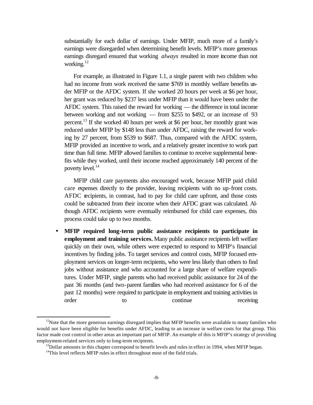substantially for each dollar of earnings. Under MFIP, much more of a family's earnings were disregarded when determining benefit levels. MFIP's more generous earnings disregard ensured that working *always* resulted in more income than not working. $^{12}$ 

For example, as illustrated in Figure 1.1, a single parent with two children who had no income from work received the same \$769 in monthly welfare benefits under MFIP or the AFDC system. If she worked 20 hours per week at \$6 per hour, her grant was reduced by \$237 less under MFIP than it would have been under the AFDC system. This raised the reward for working — the difference in total income between working and not working — from \$255 to \$492, or an increase of 93 percent.<sup>13</sup> If she worked 40 hours per week at \$6 per hour, her monthly grant was reduced under MFIP by \$148 less than under AFDC, raising the reward for working by 27 percent, from \$539 to \$687. Thus, compared with the AFDC system, MFIP provided an incentive to work, and a relatively greater incentive to work part time than full time. MFIP allowed families to continue to receive supplemental benefits while they worked, until their income reached approximately 140 percent of the poverty level.<sup>14</sup>

MFIP child care payments also encouraged work, because MFIP paid child care expenses directly to the provider, leaving recipients with no up-front costs. AFDC recipients, in contrast, had to pay for child care upfront, and those costs could be subtracted from their income when their AFDC grant was calculated. Although AFDC recipients were eventually reimbursed for child care expenses, this process could take up to two months.

• **MFIP required long-term public assistance recipients to participate in employment and training services.** Many public assistance recipients left welfare quickly on their own, while others were expected to respond to MFIP's financial incentives by finding jobs. To target services and control costs, MFIP focused employment services on longer-term recipients, who were less likely than others to find jobs without assistance and who accounted for a large share of welfare expenditures. Under MFIP, single parents who had received public assistance for 24 of the past 36 months (and two-parent families who had received assistance for 6 of the past 12 months) were required to participate in employment and training activities in order to continue receiving

l

 $12$ Note that the more generous earnings disregard implies that MFIP benefits were available to many families who would not have been eligible for benefits under AFDC, leading to an increase in welfare costs for that group. This factor made cost control in other areas an important part of MFIP. An example of this is MFIP's strategy of providing employment-related services only to long-term recipients.

 $13$ Dollar amounts in this chapter correspond to benefit levels and rules in effect in 1994, when MFIP began.

<sup>&</sup>lt;sup>14</sup>This level reflects MFIP rules in effect throughout most of the field trials.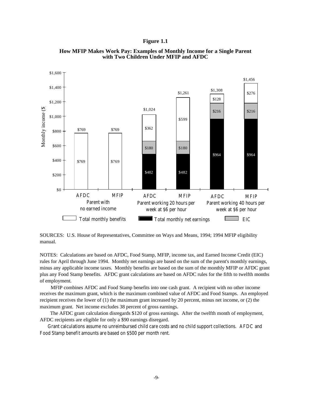#### **Figure 1.1**



#### **How MFIP Makes Work Pay: Examples of Monthly Income for a Single Parent with Two Children Under MFIP and AFDC**

SOURCES: U.S. House of Representatives, Committee on Ways and Means, 1994; 1994 MFIP eligibility manual.

NOTES: Calculations are based on AFDC, Food Stamp, MFIP, income tax, and Earned Income Credit (EIC) rules for April through June 1994. Monthly net earnings are based on the sum of the parent's monthly earnings, minus any applicable income taxes. Monthly benefits are based on the sum of the monthly MFIP or AFDC grant plus any Food Stamp benefits. AFDC grant calculations are based on AFDC rules for the fifth to twelfth months of employment.

 MFIP combines AFDC and Food Stamp benefits into one cash grant. A recipient with no other income receives the maximum grant, which is the maximum combined value of AFDC and Food Stamps. An employed recipient receives the lower of (1) the maximum grant increased by 20 percent, minus net income, or (2) the maximum grant. Net income excludes 38 percent of gross earnings.

 The AFDC grant calculation disregards \$120 of gross earnings. After the twelfth month of employment, AFDC recipients are eligible for only a \$90 earnings disregard.

 Grant calculations assume no unreimbursed child care costs and no child support collections. AFDC and Food Stamp benefit amounts are based on \$500 per month rent.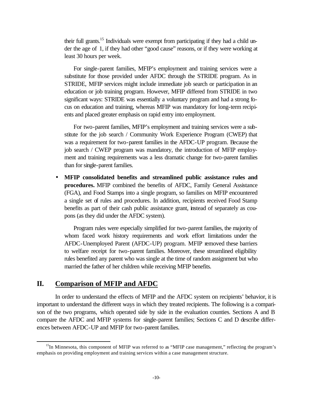their full grants.<sup>15</sup> Individuals were exempt from participating if they had a child under the age of 1, if they had other "good cause" reasons, or if they were working at least 30 hours per week.

For single-parent families, MFIP's employment and training services were a substitute for those provided under AFDC through the STRIDE program. As in STRIDE, MFIP services might include immediate job search or participation in an education or job training program. However, MFIP differed from STRIDE in two significant ways: STRIDE was essentially a voluntary program and had a strong focus on education and training, whereas MFIP was mandatory for long-term recipients and placed greater emphasis on rapid entry into employment.

For two-parent families, MFIP's employment and training services were a substitute for the job search / Community Work Experience Program (CWEP) that was a requirement for two-parent families in the AFDC-UP program. Because the job search / CWEP program was mandatory, the introduction of MFIP employment and training requirements was a less dramatic change for two-parent families than for single-parent families.

• **MFIP consolidated benefits and streamlined public assistance rules and procedures.** MFIP combined the benefits of AFDC, Family General Assistance (FGA), and Food Stamps into a single program, so families on MFIP encountered a single set of rules and procedures. In addition, recipients received Food Stamp benefits as part of their cash public assistance grant, instead of separately as coupons (as they did under the AFDC system).

Program rules were especially simplified for two-parent families, the majority of whom faced work history requirements and work effort limitations under the AFDC-Unemployed Parent (AFDC-UP) program. MFIP removed these barriers to welfare receipt for two-parent families. Moreover, these streamlined eligibility rules benefited any parent who was single at the time of random assignment but who married the father of her children while receiving MFIP benefits.

## **II. Comparison of MFIP and AFDC**

l

In order to understand the effects of MFIP and the AFDC system on recipients' behavior, it is important to understand the different ways in which they treated recipients. The following is a comparison of the two programs, which operated side by side in the evaluation counties. Sections A and B compare the AFDC and MFIP systems for single-parent families; Sections C and D describe differences between AFDC-UP and MFIP for two-parent families.

 $15$ In Minnesota, this component of MFIP was referred to as "MFIP case management," reflecting the program's emphasis on providing employment and training services within a case management structure.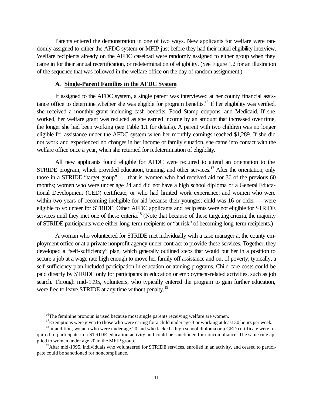Parents entered the demonstration in one of two ways. New applicants for welfare were randomly assigned to either the AFDC system or MFIP just before they had their initial eligibility interview. Welfare recipients already on the AFDC caseload were randomly assigned to either group when they came in for their annual recertification, or redetermination of eligibility. (See Figure 1.2 for an illustration of the sequence that was followed in the welfare office on the day of random assignment.)

#### **A. Single-Parent Families in the AFDC System**

If assigned to the AFDC system, a single parent was interviewed at her county financial assistance office to determine whether she was eligible for program benefits.<sup>16</sup> If her eligibility was verified, she received a monthly grant including cash benefits, Food Stamp coupons, and Medicaid. If she worked, her welfare grant was reduced as she earned income by an amount that increased over time, the longer she had been working (see Table 1.1 for details). A parent with two children was no longer eligible for assistance under the AFDC system when her monthly earnings reached \$1,289. If she did not work and experienced no changes in her income or family situation, she came into contact with the welfare office once a year, when she returned for redetermination of eligibility.

All new applicants found eligible for AFDC were required to attend an orientation to the STRIDE program, which provided education, training, and other services.<sup>17</sup> After the orientation, only those in a STRIDE "target group" — that is, women who had received aid for 36 of the previous 60 months; women who were under age 24 and did not have a high school diploma or a General Educational Development (GED) certificate, or who had limited work experience; and women who were within two years of becoming ineligible for aid because their youngest child was 16 or older — were eligible to volunteer for STRIDE. Other AFDC applicants and recipients were not eligible for STRIDE services until they met one of these criteria.<sup>18</sup> (Note that because of these targeting criteria, the majority of STRIDE participants were either long-term recipients or "at risk" of becoming long-term recipients.)

A woman who volunteered for STRIDE met individually with a case manager at the county employment office or at a private nonprofit agency under contract to provide these services. Together, they developed a "self-sufficiency" plan, which generally outlined steps that would put her in a position to secure a job at a wage rate high enough to move her family off assistance and out of poverty; typically, a self-sufficiency plan included participation in education or training programs. Child care costs could be paid directly by STRIDE only for participants in education or employment-related activities, such as job search. Through mid-1995, volunteers, who typically entered the program to gain further education, were free to leave STRIDE at any time without penalty.<sup>19</sup>

l

 $16$ The feminine pronoun is used because most single parents receiving welfare are women.

<sup>&</sup>lt;sup>17</sup>Exemptions were given to those who were caring for a child under age 3 or working at least 30 hours per week.

<sup>&</sup>lt;sup>18</sup>In addition, women who were under age 20 and who lacked a high school diploma or a GED certificate were required to participate in a STRIDE education activity and could be sanctioned for noncompliance. The same rule applied to women under age 20 in the MFIP group.

<sup>&</sup>lt;sup>19</sup>After mid-1995, individuals who volunteered for STRIDE services, enrolled in an activity, and ceased to participate could be sanctioned for noncompliance.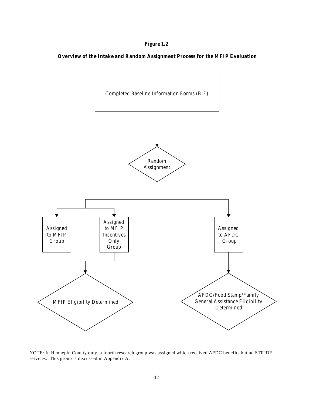**Figure 1.2**





NOTE: In Hennepin County only, a fourth research group was assigned which received AFDC benefits but no STRIDE services. This group is discussed in Appendix A.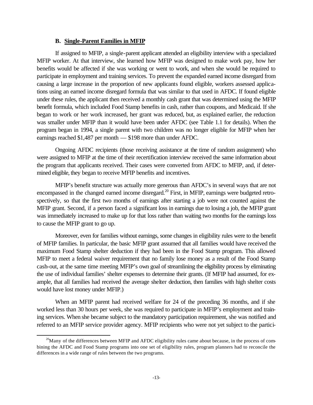#### **B. Single-Parent Families in MFIP**

If assigned to MFIP, a single-parent applicant attended an eligibility interview with a specialized MFIP worker. At that interview, she learned how MFIP was designed to make work pay, how her benefits would be affected if she was working or went to work, and when she would be required to participate in employment and training services. To prevent the expanded earned income disregard from causing a large increase in the proportion of new applicants found eligible, workers assessed applications using an earned income disregard formula that was similar to that used in AFDC. If found eligible under these rules, the applicant then received a monthly cash grant that was determined using the MFIP benefit formula, which included Food Stamp benefits in cash, rather than coupons, and Medicaid. If she began to work or her work increased, her grant was reduced, but, as explained earlier, the reduction was smaller under MFIP than it would have been under AFDC (see Table 1.1 for details). When the program began in 1994, a single parent with two children was no longer eligible for MFIP when her earnings reached \$1,487 per month — \$198 more than under AFDC.

Ongoing AFDC recipients (those receiving assistance at the time of random assignment) who were assigned to MFIP at the time of their recertification interview received the same information about the program that applicants received. Their cases were converted from AFDC to MFIP, and, if determined eligible, they began to receive MFIP benefits and incentives.

MFIP's benefit structure was actually more generous than AFDC's in several ways that are not encompassed in the changed earned income disregard.<sup>20</sup> First, in MFIP, earnings were budgeted retrospectively, so that the first two months of earnings after starting a job were not counted against the MFIP grant. Second, if a person faced a significant loss in earnings due to losing a job, the MFIP grant was immediately increased to make up for that loss rather than waiting two months for the earnings loss to cause the MFIP grant to go up.

Moreover, even for families without earnings, some changes in eligibility rules were to the benefit of MFIP families. In particular, the basic MFIP grant assumed that all families would have received the maximum Food Stamp shelter deduction if they had been in the Food Stamp program. This allowed MFIP to meet a federal waiver requirement that no family lose money as a result of the Food Stamp cash-out, at the same time meeting MFIP's own goal of streamlining the eligibility process by eliminating the use of individual families' shelter expenses to determine their grants. (If MFIP had assumed, for example, that all families had received the average shelter deduction, then families with high shelter costs would have lost money under MFIP.)

When an MFIP parent had received welfare for 24 of the preceding 36 months, and if she worked less than 30 hours per week, she was required to participate in MFIP's employment and training services. When she became subject to the mandatory participation requirement, she was notified and referred to an MFIP service provider agency. MFIP recipients who were not yet subject to the partici-

l

<sup>&</sup>lt;sup>20</sup>Many of the differences between MFIP and AFDC eligibility rules came about because, in the process of combining the AFDC and Food Stamp programs into one set of eligibility rules, program planners had to reconcile the differences in a wide range of rules between the two programs.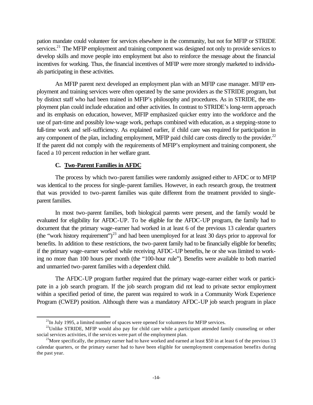pation mandate could volunteer for services elsewhere in the community, but not for MFIP or STRIDE services.<sup>21</sup> The MFIP employment and training component was designed not only to provide services to develop skills and move people into employment but also to reinforce the message about the financial incentives for working. Thus, the financial incentives of MFIP were more strongly marketed to individuals participating in these activities.

An MFIP parent next developed an employment plan with an MFIP case manager. MFIP employment and training services were often operated by the same providers as the STRIDE program, but by distinct staff who had been trained in MFIP's philosophy and procedures. As in STRIDE, the employment plan could include education and other activities. In contrast to STRIDE's long-term approach and its emphasis on education, however, MFIP emphasized quicker entry into the workforce and the use of part-time and possibly low-wage work, perhaps combined with education, as a stepping-stone to full-time work and self-sufficiency. As explained earlier, if child care was required for participation in any component of the plan, including employment, MFIP paid child care costs directly to the provider.<sup>22</sup> If the parent did not comply with the requirements of MFIP's employment and training component, she faced a 10 percent reduction in her welfare grant.

### **C. Two-Parent Families in AFDC**

l

The process by which two-parent families were randomly assigned either to AFDC or to MFIP was identical to the process for single-parent families. However, in each research group, the treatment that was provided to two-parent families was quite different from the treatment provided to singleparent families.

In most two-parent families, both biological parents were present, and the family would be evaluated for eligibility for AFDC-UP. To be eligible for the AFDC-UP program, the family had to document that the primary wage-earner had worked in at least 6 of the previous 13 calendar quarters (the "work history requirement")<sup>23</sup> and had been unemployed for at least 30 days prior to approval for benefits. In addition to these restrictions, the two-parent family had to be financially eligible for benefits; if the primary wage-earner worked while receiving AFDC-UP benefits, he or she was limited to working no more than 100 hours per month (the "100-hour rule"). Benefits were available to both married and unmarried two-parent families with a dependent child.

The AFDC-UP program further required that the primary wage-earner either work or participate in a job search program. If the job search program did not lead to private sector employment within a specified period of time, the parent was required to work in a Community Work Experience Program (CWEP) position. Although there was a mandatory AFDC-UP job search program in place

 $^{21}$ In July 1995, a limited number of spaces were opened for volunteers for MFIP services.

<sup>&</sup>lt;sup>22</sup>Unlike STRIDE, MFIP would also pay for child care while a participant attended family counseling or other social services activities, if the services were part of the employment plan.

<sup>&</sup>lt;sup>23</sup>More specifically, the primary earner had to have worked and earned at least \$50 in at least 6 of the previous 13 calendar quarters, or the primary earner had to have been eligible for unemployment compensation benefits during the past year.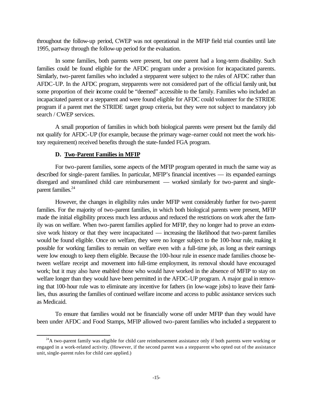throughout the follow-up period, CWEP was not operational in the MFIP field trial counties until late 1995, partway through the follow-up period for the evaluation.

In some families, both parents were present, but one parent had a long-term disability. Such families could be found eligible for the AFDC program under a provision for incapacitated parents. Similarly, two-parent families who included a stepparent were subject to the rules of AFDC rather than AFDC-UP. In the AFDC program, stepparents were not considered part of the official family unit, but some proportion of their income could be "deemed" accessible to the family. Families who included an incapacitated parent or a stepparent and were found eligible for AFDC could volunteer for the STRIDE program if a parent met the STRIDE target group criteria, but they were not subject to mandatory job search / CWEP services.

A small proportion of families in which both biological parents were present but the family did not qualify for AFDC-UP (for example, because the primary wage-earner could not meet the work history requirement) received benefits through the state-funded FGA program.

### **D. Two-Parent Families in MFIP**

l

For two-parent families, some aspects of the MFIP program operated in much the same way as described for single-parent families. In particular, MFIP's financial incentives — its expanded earnings disregard and streamlined child care reimbursement — worked similarly for two-parent and singleparent families.<sup>24</sup>

However, the changes in eligibility rules under MFIP went considerably further for two-parent families. For the majority of two-parent families, in which both biological parents were present, MFIP made the initial eligibility process much less arduous and reduced the restrictions on work after the family was on welfare. When two-parent families applied for MFIP, they no longer had to prove an extensive work history or that they were incapacitated — increasing the likelihood that two-parent families would be found eligible. Once on welfare, they were no longer subject to the 100-hour rule, making it possible for working families to remain on welfare even with a full-time job, as long as their earnings were low enough to keep them eligible. Because the 100-hour rule in essence made families choose between welfare receipt and movement into full-time employment, its removal should have encouraged work; but it may also have enabled those who would have worked in the absence of MFIP to stay on welfare longer than they would have been permitted in the AFDC-UP program. A major goal in removing that 100-hour rule was to eliminate any incentive for fathers (in low-wage jobs) to leave their families, thus assuring the families of continued welfare income and access to public assistance services such as Medicaid.

To ensure that families would not be financially worse off under MFIP than they would have been under AFDC and Food Stamps, MFIP allowed two-parent families who included a stepparent to

 $^{24}$ A two-parent family was eligible for child care reimbursement assistance only if both parents were working or engaged in a work-related activity. (However, if the second parent was a stepparent who opted out of the assistance unit, single-parent rules for child care applied.)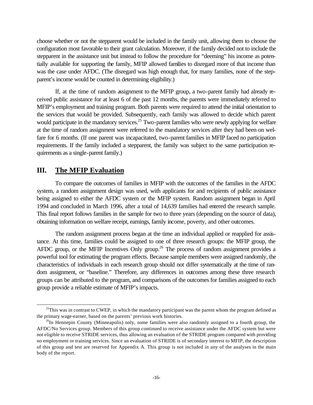choose whether or not the stepparent would be included in the family unit, allowing them to choose the configuration most favorable to their grant calculation. Moreover, if the family decided not to include the stepparent in the assistance unit but instead to follow the procedure for "deeming" his income as potentially available for supporting the family, MFIP allowed families to disregard more of that income than was the case under AFDC. (The disregard was high enough that, for many families, none of the stepparent's income would be counted in determining eligibility.)

If, at the time of random assignment to the MFIP group, a two-parent family had already received public assistance for at least 6 of the past 12 months, the parents were immediately referred to MFIP's employment and training program. Both parents were required to attend the initial orientation to the services that would be provided. Subsequently, each family was allowed to decide which parent would participate in the mandatory services.<sup>25</sup> Two-parent families who were newly applying for welfare at the time of random assignment were referred to the mandatory services after they had been on welfare for 6 months. (If one parent was incapacitated, two-parent families in MFIP faced no participation requirements. If the family included a stepparent, the family was subject to the same participation requirements as a single-parent family.)

## **III. The MFIP Evaluation**

l

To compare the outcomes of families in MFIP with the outcomes of the families in the AFDC system, a random assignment design was used, with applicants for and recipients of public assistance being assigned to either the AFDC system or the MFIP system. Random assignment began in April 1994 and concluded in March 1996, after a total of 14,639 families had entered the research sample. This final report follows families in the sample for two to three years (depending on the source of data), obtaining information on welfare receipt, earnings, family income, poverty, and other outcomes.

The random assignment process began at the time an individual applied or reapplied for assistance. At this time, families could be assigned to one of three research groups: the MFIP group, the AFDC group, or the MFIP Incentives Only group.<sup>26</sup> The process of random assignment provides a powerful tool for estimating the program effects. Because sample members were assigned randomly, the characteristics of individuals in each research group should not differ systematically at the time of random assignment, or "baseline." Therefore, any differences in outcomes among these three research groups can be attributed to the program, and comparisons of the outcomes for families assigned to each group provide a reliable estimate of MFIP's impacts.

 $25$ This was in contrast to CWEP, in which the mandatory participant was the parent whom the program defined as the primary wage-earner, based on the parents' previous work histories.

 $^{26}$ In Hennepin County (Minneapolis) only, some families were also randomly assigned to a fourth group, the AFDC/No Services group. Members of this group continued to receive assistance under the AFDC system but were not eligible to receive STRIDE services, thus allowing an evaluation of the STRIDE program compared with providing no employment or training services. Since an evaluation of STRIDE is of secondary interest to MFIP, the description of this group and test are reserved for Appendix A. This group is not included in any of the analyses in the main body of the report.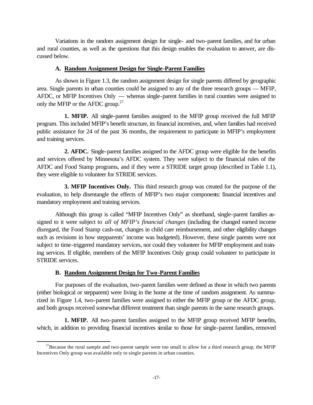Variations in the random assignment design for single- and two-parent families, and for urban and rural counties, as well as the questions that this design enables the evaluation to answer, are discussed below.

## **A. Random Assignment Design for Single-Parent Families**

As shown in Figure 1.3, the random assignment design for single parents differed by geographic area. Single parents in urban counties could be assigned to any of the three research groups — MFIP, AFDC, or MFIP Incentives Only — whereas single-parent families in rural counties were assigned to only the MFIP or the AFDC group. $27$ 

**1. MFIP.** All single-parent families assigned to the MFIP group received the full MFIP program. This included MFIP's benefit structure, its financial incentives, and, when families had received public assistance for 24 of the past 36 months, the requirement to participate in MFIP's employment and training services.

**2. AFDC.** Single-parent families assigned to the AFDC group were eligible for the benefits and services offered by Minnesota's AFDC system. They were subject to the financial rules of the AFDC and Food Stamp programs, and if they were a STRIDE target group (described in Table 1.1), they were eligible to volunteer for STRIDE services.

**3. MFIP Incentives Only.** This third research group was created for the purpose of the evaluation, to help disentangle the effects of MFIP's two major components: financial incentives and mandatory employment and training services.

Although this group is called "MFIP Incentives Only" as shorthand, single-parent families assigned to it were subject to *all of MFIP's financial changes* (including the changed earned income disregard, the Food Stamp cash-out, changes in child care reimbursement, and other eligibility changes such as revisions in how stepparents' income was budgeted). However, these single parents were not subject to time-triggered mandatory services, nor could they volunteer for MFIP employment and training services. If eligible, members of the MFIP Incentives Only group could volunteer to participate in STRIDE services.

## **B. Random Assignment Design for Two-Parent Families**

l

For purposes of the evaluation, two-parent families were defined as those in which two parents (either biological or stepparent) were living in the home at the time of random assignment. As summarized in Figure 1.4, two-parent families were assigned to either the MFIP group or the AFDC group, and both groups received somewhat different treatment than single parents in the same research groups.

**1. MFIP.** All two-parent families assigned to the MFIP group received MFIP benefits, which, in addition to providing financial incentives similar to those for single-parent families, removed

<sup>&</sup>lt;sup>27</sup>Because the rural sample and two-parent sample were too small to allow for a third research group, the MFIP Incentives Only group was available only to single parents in urban counties.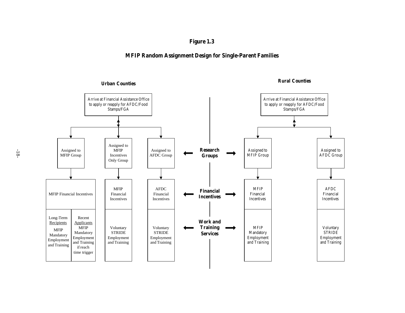## **Figure 1.3**

## **MFIP Random Assignment Design for Single-Parent Families**



**Rural Counties**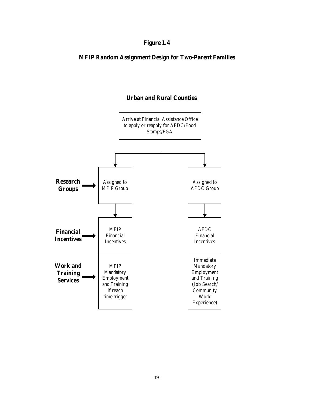## **Figure 1.4**

## **MFIP Random Assignment Design for Two-Parent Families**



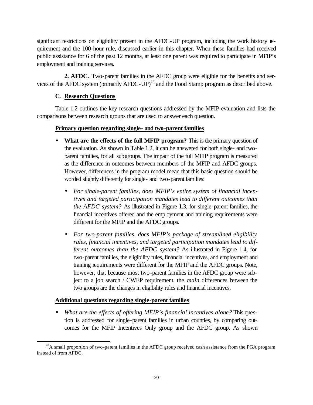significant restrictions on eligibility present in the AFDC-UP program, including the work history requirement and the 100-hour rule, discussed earlier in this chapter. When these families had received public assistance for 6 of the past 12 months, at least one parent was required to participate in MFIP's employment and training services.

**2. AFDC.** Two-parent families in the AFDC group were eligible for the benefits and services of the AFDC system (primarily AFDC-UP) $^{28}$  and the Food Stamp program as described above.

## **C. Research Questions**

Table 1.2 outlines the key research questions addressed by the MFIP evaluation and lists the comparisons between research groups that are used to answer each question.

## **Primary question regarding single- and two-parent families**

- **What are the effects of the full MFIP program?** This is the primary question of the evaluation. As shown in Table 1.2, it can be answered for both single- and twoparent families, for all subgroups. The impact of the full MFIP program is measured as the difference in outcomes between members of the MFIP and AFDC groups. However, differences in the program model mean that this basic question should be worded slightly differently for single- and two-parent families:
	- *For single-parent families, does MFIP's entire system of financial incentives and targeted participation mandates lead to different outcomes than the AFDC system?* As illustrated in Figure 1.3, for single-parent families, the financial incentives offered and the employment and training requirements were different for the MFIP and the AFDC groups.
	- *For two-parent families, does MFIP's package of streamlined eligibility rules, financial incentives, and targeted participation mandates lead to different outcomes than the AFDC system?* As illustrated in Figure 1.4, for two-parent families, the eligibility rules, financial incentives, and employment and training requirements were different for the MFIP and the AFDC groups. Note, however, that because most two-parent families in the AFDC group were subject to a job search / CWEP requirement, the *main* differences between the two groups are the changes in eligibility rules and financial incentives.

## **Additional questions regarding single-parent families**

l

• *What are the effects of offering MFIP's financial incentives alone?* This question is addressed for single-parent families in urban counties, by comparing outcomes for the MFIP Incentives Only group and the AFDC group. As shown

 $^{28}$ A small proportion of two-parent families in the AFDC group received cash assistance from the FGA program instead of from AFDC.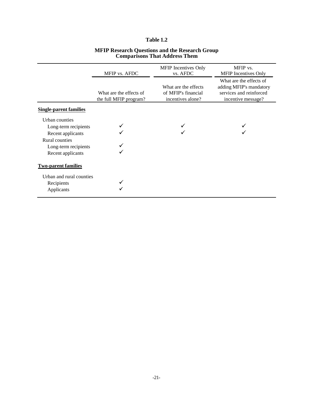## **Table 1.2**

|                                                                                                                                   | MFIP vs. AFDC                                     | <b>MFIP</b> Incentives Only<br>vs. AFDC                          | MFIP vs.<br><b>MFIP</b> Incentives Only                                                             |
|-----------------------------------------------------------------------------------------------------------------------------------|---------------------------------------------------|------------------------------------------------------------------|-----------------------------------------------------------------------------------------------------|
|                                                                                                                                   | What are the effects of<br>the full MFIP program? | What are the effects<br>of MFIP's financial<br>incentives alone? | What are the effects of<br>adding MFIP's mandatory<br>services and reinforced<br>incentive message? |
| <b>Single-parent families</b>                                                                                                     |                                                   |                                                                  |                                                                                                     |
| Urban counties<br>Long-term recipients<br>Recent applicants<br><b>Rural</b> counties<br>Long-term recipients<br>Recent applicants |                                                   |                                                                  |                                                                                                     |
| <b>Two-parent families</b>                                                                                                        |                                                   |                                                                  |                                                                                                     |
| Urban and rural counties<br>Recipients<br>Applicants                                                                              |                                                   |                                                                  |                                                                                                     |

#### **MFIP Research Questions and the Research Group Comparisons That Address Them**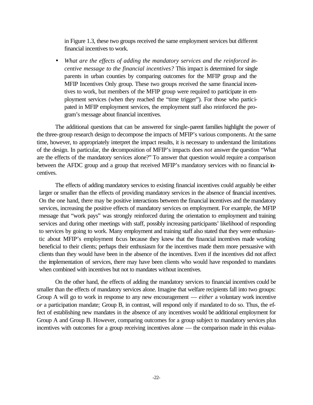in Figure 1.3, these two groups received the same employment services but different financial incentives to work.

• *What are the effects of adding the mandatory services and the reinforced incentive message to the financial incentives?* This impact is determined for single parents in urban counties by comparing outcomes for the MFIP group and the MFIP Incentives Only group. These two groups received the same financial incentives to work, but members of the MFIP group were required to participate in employment services (when they reached the "time trigger"). For those who participated in MFIP employment services, the employment staff also reinforced the program's message about financial incentives.

The additional questions that can be answered for single-parent families highlight the power of the three-group research design to decompose the impacts of MFIP's various components. At the same time, however, to appropriately interpret the impact results, it is necessary to understand the limitations of the design. In particular, the decomposition of MFIP's impacts does *not* answer the question "What are the effects of the mandatory services alone?" To answer that question would require a comparison between the AFDC group and a group that received MFIP's mandatory services with no financial incentives.

The effects of adding mandatory services to existing financial incentives could arguably be either larger or smaller than the effects of providing mandatory services in the absence of financial incentives. On the one hand, there may be positive interactions between the financial incentives and the mandatory services, increasing the positive effects of mandatory services on employment. For example, the MFIP message that "work pays" was strongly reinforced during the orientation to employment and training services and during other meetings with staff, possibly increasing participants' likelihood of responding to services by going to work. Many employment and training staff also stated that they were enthusiastic about MFIP's employment focus because they knew that the financial incentives made working beneficial to their clients; perhaps their enthusiasm for the incentives made them more persuasive with clients than they would have been in the absence of the incentives. Even if the incentives did not affect the implementation of services, there may have been clients who would have responded to mandates when combined with incentives but not to mandates without incentives.

On the other hand, the effects of adding the mandatory services to financial incentives could be smaller than the effects of mandatory services alone. Imagine that welfare recipients fall into two groups: Group A will go to work in response to any new encouragement — *either* a voluntary work incentive *or* a participation mandate; Group B, in contrast, will respond only if mandated to do so. Thus, the effect of establishing new mandates in the absence of any incentives would be additional employment for Group A and Group B. However, comparing outcomes for a group subject to mandatory services plus incentives with outcomes for a group receiving incentives alone — the comparison made in this evalua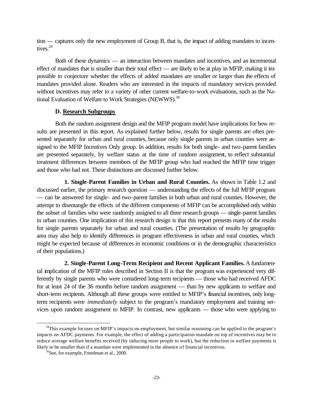tion — captures only the new employment of Group B, that is, the impact of adding mandates to incentives.<sup>29</sup>

Both of these dynamics — an interaction between mandates and incentives, and an incremental effect of mandates that is smaller than their total effect — are likely to be at play in MFIP, making it impossible to conjecture whether the effects of added mandates are smaller or larger than the effects of mandates provided alone. Readers who are interested in the impacts of mandatory services provided without incentives may refer to a variety of other current welfare-to-work evaluations, such as the National Evaluation of Welfare to Work Strategies (NEWWS).<sup>30</sup>

### **D. Research Subgroups**

Both the random assignment design and the MFIP program model have implications for how results are presented in this report. As explained further below, results for single parents are often presented separately for urban and rural counties, because only single parents in urban counties were assigned to the MFIP Incentives Only group. In addition, results for both single- and two-parent families are presented separately, by welfare status at the time of random assignment, to reflect substantial treatment differences between members of the MFIP group who had reached the MFIP time trigger and those who had not. These distinctions are discussed further below.

**1. Single-Parent Families in Urban and Rural Counties.** As shown in Table 1.2 and discussed earlier, the primary research question — understanding the effects of the full MFIP program — can be answered for single- and two-parent families in both urban and rural counties. However, the attempt to disentangle the effects of the different components of MFIP can be accomplished only within the subset of families who were randomly assigned to all three research groups — single-parent families in urban counties. One implication of this research design is that this report presents many of the results for single parents separately for urban and rural counties. (The presentation of results by geographic area may also help to identify differences in program effectiveness in urban and rural counties, which might be expected because of differences in economic conditions or in the demographic characteristics of their populations.)

**2. Single-Parent Long-Term Recipient and Recent Applicant Families.** A fundamental implication of the MFIP rules described in Section II is that the program was experienced very differently by single parents who were considered long-term recipients — those who had received AFDC for at least 24 of the 36 months before random assignment — than by new applicants to welfare and short-term recipients. Although all these groups were entitled to MFIP's financial incentives, only longterm recipients were *immediately* subject to the program's mandatory employment and training services upon random assignment to MFIP. In contrast, new applicants — those who were applying to

<sup>&</sup>lt;sup>29</sup>This example focuses on MFIP's impacts on employment, but similar reasoning can be applied to the program's impacts on AFDC payments. For example, the effect of adding a participation mandate on top of incentives may be to reduce average welfare benefits received (by inducing more people to work), but the reduction in welfare payments is likely to be smaller than if a mandate were implemented in the absence of financial incentives.

<sup>&</sup>lt;sup>30</sup>See, for example, Freedman et al., 2000.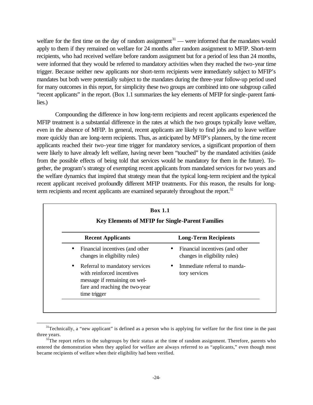welfare for the first time on the day of random assignment<sup>31</sup> — were informed that the mandates would apply to them if they remained on welfare for 24 months after random assignment to MFIP. Short-term recipients, who had received welfare before random assignment but for a period of less than 24 months, were informed that they would be referred to mandatory activities when they reached the two-year time trigger. Because neither new applicants nor short-term recipients were immediately subject to MFIP's mandates but both were potentially subject to the mandates during the three-year follow-up period used for many outcomes in this report, for simplicity these two groups are combined into one subgroup called "recent applicants" in the report. (Box 1.1 summarizes the key elements of MFIP for single-parent families.)

Compounding the difference in how long-term recipients and recent applicants experienced the MFIP treatment is a substantial difference in the rates at which the two groups typically leave welfare, even in the absence of MFIP. In general, recent applicants are likely to find jobs and to leave welfare more quickly than are long-term recipients. Thus, as anticipated by MFIP's planners, by the time recent applicants reached their two-year time trigger for mandatory services, a significant proportion of them were likely to have already left welfare, having never been "touched" by the mandated activities (aside from the possible effects of being told that services would be mandatory for them in the future). Together, the program's strategy of exempting recent applicants from mandated services for two years and the welfare dynamics that inspired that strategy mean that the typical long-term recipient and the typical recent applicant received profoundly different MFIP treatments. For this reason, the results for longterm recipients and recent applicants are examined separately throughout the report.<sup>32</sup>

| <b>Box 1.1</b><br><b>Key Elements of MFIP for Single-Parent Families</b> |                                                                                                                                                |           |                                                                  |
|--------------------------------------------------------------------------|------------------------------------------------------------------------------------------------------------------------------------------------|-----------|------------------------------------------------------------------|
|                                                                          | <b>Recent Applicants</b>                                                                                                                       |           | <b>Long-Term Recipients</b>                                      |
| $\bullet$                                                                | Financial incentives (and other<br>changes in eligibility rules)                                                                               | $\bullet$ | Financial incentives (and other<br>changes in eligibility rules) |
| $\bullet$                                                                | Referral to mandatory services<br>with reinforced incentives<br>message if remaining on wel-<br>fare and reaching the two-year<br>time trigger | $\bullet$ | Immediate referral to manda-<br>tory services                    |

<sup>&</sup>lt;sup>31</sup>Technically, a "new applicant" is defined as a person who is applying for welfare for the first time in the past three years.

 $32$ The report refers to the subgroups by their status at the time of random assignment. Therefore, parents who entered the demonstration when they applied for welfare are always referred to as "applicants," even though most became recipients of welfare when their eligibility had been verified.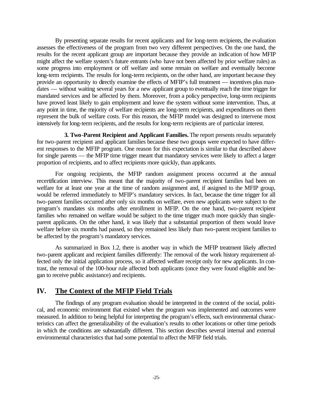By presenting separate results for recent applicants and for long-term recipients, the evaluation assesses the effectiveness of the program from two very different perspectives. On the one hand, the results for the recent applicant group are important because they provide an indication of how MFIP might affect the welfare system's future entrants (who have not been affected by prior welfare rules) as some progress into employment or off welfare and some remain on welfare and eventually become long-term recipients. The results for long-term recipients, on the other hand, are important because they provide an opportunity to directly examine the effects of MFIP's full treatment — incentives plus mandates — without waiting several years for a new applicant group to eventually reach the time trigger for mandated services and be affected by them. Moreover, from a policy perspective, long-term recipients have proved least likely to gain employment and leave the system without some intervention. Thus, at any point in time, the majority of welfare recipients are long-term recipients, and expenditures on them represent the bulk of welfare costs. For this reason, the MFIP model was designed to intervene most intensively for long-term recipients, and the results for long-term recipients are of particular interest.

**3. Two-Parent Recipient and Applicant Families.** The report presents results separately for two-parent recipient and applicant families because these two groups were expected to have different responses to the MFIP program. One reason for this expectation is similar to that described above for single parents — the MFIP time trigger meant that mandatory services were likely to affect a larger proportion of recipients, and to affect recipients more quickly, than applicants.

For ongoing recipients, the MFIP random assignment process occurred at the annual recertification interview. This meant that the majority of two-parent recipient families had been on welfare for at least one year at the time of random assignment and, if assigned to the MFIP group, would be referred immediately to MFIP's mandatory services. In fact, because the time trigger for all two-parent families occurred after only six months on welfare, even new applicants were subject to the program's mandates six months after enrollment in MFIP. On the one hand, two-parent recipient families who remained on welfare would be subject to the time trigger much more quickly than singleparent applicants. On the other hand, it was likely that a substantial proportion of them would leave welfare before six months had passed, so they remained less likely than two-parent recipient families to be affected by the program's mandatory services.

As summarized in Box 1.2, there is another way in which the MFIP treatment likely affected two-parent applicant and recipient families differently: The removal of the work history requirement affected only the initial application process, so it affected welfare receipt only for new applicants. In contrast, the removal of the 100-hour rule affected both applicants (once they were found eligible and began to receive public assistance) and recipients.

## **IV. The Context of the MFIP Field Trials**

The findings of any program evaluation should be interpreted in the context of the social, political, and economic environment that existed when the program was implemented and outcomes were measured. In addition to being helpful for interpreting the program's effects, such environmental characteristics can affect the generalizability of the evaluation's results to other locations or other time periods in which the conditions are substantially different. This section describes several internal and external environmental characteristics that had some potential to affect the MFIP field trials.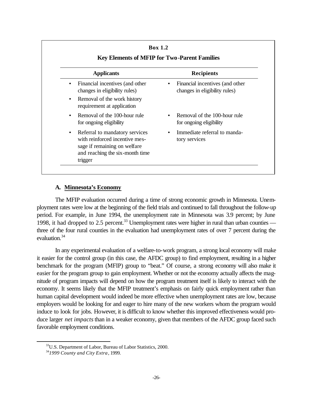| <b>Box 1.2</b><br><b>Key Elements of MFIP for Two-Parent Families</b>                                                                                       |                                                                  |  |
|-------------------------------------------------------------------------------------------------------------------------------------------------------------|------------------------------------------------------------------|--|
| <b>Applicants</b>                                                                                                                                           | <b>Recipients</b>                                                |  |
| Financial incentives (and other<br>$\bullet$<br>changes in eligibility rules)                                                                               | Financial incentives (and other<br>changes in eligibility rules) |  |
| Removal of the work history<br>$\bullet$<br>requirement at application                                                                                      |                                                                  |  |
| Removal of the 100-hour rule<br>$\bullet$<br>for ongoing eligibility                                                                                        | Removal of the 100-hour rule<br>for ongoing eligibility          |  |
| Referral to mandatory services<br>$\bullet$<br>with reinforced incentive mes-<br>sage if remaining on welfare<br>and reaching the six-month time<br>trigger | Immediate referral to manda-<br>tory services                    |  |

## **A. Minnesota's Economy**

The MFIP evaluation occurred during a time of strong economic growth in Minnesota. Unemployment rates were low at the beginning of the field trials and continued to fall throughout the follow-up period. For example, in June 1994, the unemployment rate in Minnesota was 3.9 percent; by June 1998, it had dropped to 2.5 percent.<sup>33</sup> Unemployment rates were higher in rural than urban counties three of the four rural counties in the evaluation had unemployment rates of over 7 percent during the evaluation.<sup>34</sup>

In any experimental evaluation of a welfare-to-work program, a strong local economy will make it easier for the control group (in this case, the AFDC group) to find employment, resulting in a higher benchmark for the program (MFIP) group to "beat." Of course, a strong economy will also make it easier for the program group to gain employment. Whether or not the economy actually affects the magnitude of program impacts will depend on how the program treatment itself is likely to interact with the economy. It seems likely that the MFIP treatment's emphasis on fairly quick employment rather than human capital development would indeed be more effective when unemployment rates are low, because employers would be looking for and eager to hire many of the new workers whom the program would induce to look for jobs. However, it is difficult to know whether this improved effectiveness would produce larger *net impacts* than in a weaker economy, given that members of the AFDC group faced such favorable employment conditions.

<sup>&</sup>lt;sup>33</sup>U.S. Department of Labor, Bureau of Labor Statistics, 2000.

<sup>34</sup>*1999 County and City Extra*, 1999.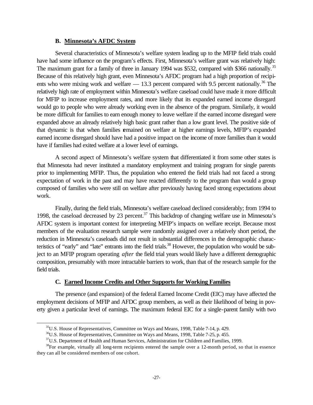#### **B. Minnesota's AFDC System**

Several characteristics of Minnesota's welfare system leading up to the MFIP field trials could have had some influence on the program's effects. First, Minnesota's welfare grant was relatively high: The maximum grant for a family of three in January 1994 was \$532, compared with \$366 nationally.<sup>35</sup> Because of this relatively high grant, even Minnesota's AFDC program had a high proportion of recipients who were mixing work and welfare  $- 13.3$  percent compared with 9.5 percent nationally.<sup>36</sup> The relatively high rate of employment within Minnesota's welfare caseload could have made it more difficult for MFIP to increase employment rates, and more likely that its expanded earned income disregard would go to people who were already working even in the absence of the program. Similarly, it would be more difficult for families to earn enough money to leave welfare if the earned income disregard were expanded above an already relatively high basic grant rather than a low grant level. The positive side of that dynamic is that when families remained on welfare at higher earnings levels, MFIP's expanded earned income disregard should have had a positive impact on the income of more families than it would have if families had exited welfare at a lower level of earnings.

A second aspect of Minnesota's welfare system that differentiated it from some other states is that Minnesota had never instituted a mandatory employment and training program for single parents prior to implementing MFIP. Thus, the population who entered the field trials had not faced a strong expectation of work in the past and may have reacted differently to the program than would a group composed of families who were still on welfare after previously having faced strong expectations about work.

Finally, during the field trials, Minnesota's welfare caseload declined considerably; from 1994 to 1998, the caseload decreased by 23 percent.<sup>37</sup> This backdrop of changing welfare use in Minnesota's AFDC system is important context for interpreting MFIP's impacts on welfare receipt. Because most members of the evaluation research sample were randomly assigned over a relatively short period, the reduction in Minnesota's caseloads did not result in substantial differences in the demographic characteristics of "early" and "late" entrants into the field trials.<sup>38</sup> However, the population who would be subject to an MFIP program operating *after* the field trial years would likely have a different demographic composition, presumably with more intractable barriers to work, than that of the research sample for the field trials.

#### **C. Earned Income Credits and Other Supports for Working Families**

The presence (and expansion) of the federal Earned Income Credit (EIC) may have affected the employment decisions of MFIP and AFDC group members, as well as their likelihood of being in poverty given a particular level of earnings. The maximum federal EIC for a single-parent family with two

 $35$ U.S. House of Representatives, Committee on Ways and Means, 1998, Table 7-14, p. 429.

<sup>&</sup>lt;sup>36</sup>U.S. House of Representatives, Committee on Ways and Means, 1998, Table 7-25, p. 455.

<sup>&</sup>lt;sup>37</sup>U.S. Department of Health and Human Services, Administration for Children and Families, 1999.

 $38$ For example, virtually all long-term recipients entered the sample over a 12-month period, so that in essence they can all be considered members of one cohort.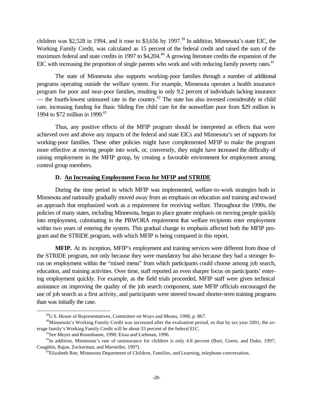children was \$2,528 in 1994, and it rose to \$3,656 by 1997.<sup>39</sup> In addition, Minnesota's state EIC, the Working Family Credit, was calculated as 15 percent of the federal credit and raised the sum of the maximum federal and state credits in 1997 to \$4,204.<sup>40</sup> A growing literature credits the expansion of the EIC with increasing the proportion of single parents who work and with reducing family poverty rates.<sup>41</sup>

The state of Minnesota also supports working-poor families through a number of additional programs operating outside the welfare system. For example, Minnesota operates a health insurance program for poor and near-poor families, resulting in only 9.2 percent of individuals lacking insurance — the fourth-lowest uninsured rate in the country.<sup>42</sup> The state has also invested considerably in child care, increasing funding for Basic Sliding Fee child care for the nonwelfare poor from \$29 million in 1994 to \$72 million in 1999.<sup>43</sup>

Thus, any positive effects of the MFIP program should be interpreted as effects that were achieved over and above any impacts of the federal and state EICs and Minnesota's set of supports for working-poor families. These other policies might have complemented MFIP to make the program more effective at moving people into work, or, conversely, they might have increased the difficulty of raising employment in the MFIP group, by creating a favorable environment for employment among control group members.

### **D. An Increasing Employment Focus for MFIP and STRIDE**

During the time period in which MFIP was implemented, welfare-to-work strategies both in Minnesota and nationally gradually moved away from an emphasis on education and training and toward an approach that emphasized work as a requirement for receiving welfare. Throughout the 1990s, the policies of many states, including Minnesota, began to place greater emphasis on moving people quickly into employment, culminating in the PRWORA requirement that welfare recipients enter employment within two years of entering the system. This gradual change in emphasis affected both the MFIP program and the STRIDE program, with which MFIP is being compared in this report.

**MFIP.** At its inception, MFIP's employment and training services were different from those of the STRIDE program, not only because they were mandatory but also because they had a stronger focus on employment within the "mixed menu" from which participants could choose among job search, education, and training activities. Over time, staff reported an even sharper focus on participants' entering employment quickly. For example, as the field trials proceeded, MFIP staff were given technical assistance on improving the quality of the job search component, state MFIP officials encouraged the use of job search as a first activity, and participants were steered toward shorter-term training programs than was initially the case.

<sup>39</sup>U.S. House of Representatives, Committee on Ways and Means, 1998, p. 867.

<sup>&</sup>lt;sup>40</sup>Minnesota's Working Family Credit was increased after the evaluation period, so that by tax year 2001, the average family's Working Family Credit will be about 33 percent of the federal EIC.

<sup>41</sup>See Meyer and Rosenbaum, 1998; Eissa and Liebman, 1996.

 $^{42}$ In addition, Minnesota's rate of uninsurance for children is only 4.8 percent (Burt, Green, and Duke, 1997; Coughlin, Rajan, Zuckerman, and Marsteller, 1997).

 $^{43}$ Elizabeth Roe, Minnesota Department of Children, Families, and Learning, telephone conversation.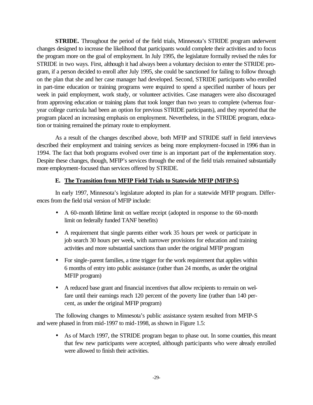**STRIDE.** Throughout the period of the field trials, Minnesota's STRIDE program underwent changes designed to increase the likelihood that participants would complete their activities and to focus the program more on the goal of employment. In July 1995, the legislature formally revised the rules for STRIDE in two ways. First, although it had always been a voluntary decision to enter the STRIDE program, if a person decided to enroll after July 1995, she could be sanctioned for failing to follow through on the plan that she and her case manager had developed. Second, STRIDE participants who enrolled in part-time education or training programs were required to spend a specified number of hours per week in paid employment, work study, or volunteer activities. Case managers were also discouraged from approving education or training plans that took longer than two years to complete (whereas fouryear college curricula had been an option for previous STRIDE participants), and they reported that the program placed an increasing emphasis on employment. Nevertheless, in the STRIDE program, education or training remained the primary route to employment.

As a result of the changes described above, both MFIP and STRIDE staff in field interviews described their employment and training services as being more employment-focused in 1996 than in 1994. The fact that both programs evolved over time is an important part of the implementation story. Despite these changes, though, MFIP's services through the end of the field trials remained substantially more employment-focused than services offered by STRIDE.

## **E. The Transition from MFIP Field Trials to Statewide MFIP (MFIP-S)**

In early 1997, Minnesota's legislature adopted its plan for a statewide MFIP program. Differences from the field trial version of MFIP include:

- A 60-month lifetime limit on welfare receipt (adopted in response to the 60-month limit on federally funded TANF benefits)
- A requirement that single parents either work 35 hours per week or participate in job search 30 hours per week, with narrower provisions for education and training activities and more substantial sanctions than under the original MFIP program
- For single-parent families, a time trigger for the work requirement that applies within 6 months of entry into public assistance (rather than 24 months, as under the original MFIP program)
- A reduced base grant and financial incentives that allow recipients to remain on welfare until their earnings reach 120 percent of the poverty line (rather than 140 percent, as under the original MFIP program)

The following changes to Minnesota's public assistance system resulted from MFIP-S and were phased in from mid-1997 to mid-1998, as shown in Figure 1.5:

• As of March 1997, the STRIDE program began to phase out. In some counties, this meant that few new participants were accepted, although participants who were already enrolled were allowed to finish their activities.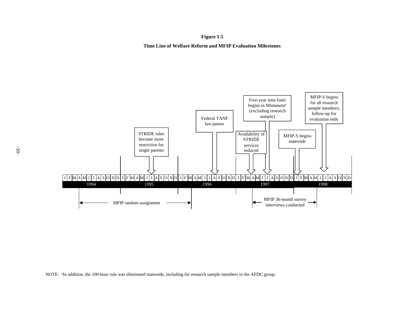

**Time Line of Welfare Reform and MFIP Evaluation Milestones**



NOTE: <sup>a</sup>In addition, the 100-hour rule was eliminated statewide, including for research sample members in the AFDC group.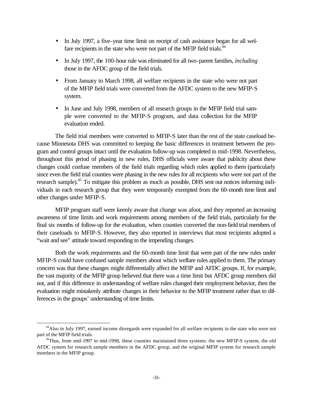- In July 1997, a five-year time limit on receipt of cash assistance began for all welfare recipients in the state who were not part of the MFIP field trials.<sup>44</sup>
- In July 1997, the 100-hour rule was eliminated for all two-parent families, *including*  those in the AFDC group of the field trials.
- From January to March 1998, all welfare recipients in the state who were not part of the MFIP field trials were converted from the AFDC system to the new MFIP-S system.
- In June and July 1998, members of all research groups in the MFIP field trial sample were converted to the MFIP-S program, and data collection for the MFIP evaluation ended.

The field trial members were converted to MFIP-S later than the rest of the state caseload because Minnesota DHS was committed to keeping the basic differences in treatment between the program and control groups intact until the evaluation follow-up was completed in mid-1998. Nevertheless, throughout this period of phasing in new rules, DHS officials were aware that publicity about these changes could confuse members of the field trials regarding which rules applied to them (particularly since even the field trial counties were phasing in the new rules for all recipients who were not part of the research sample).<sup>45</sup> To mitigate this problem as much as possible, DHS sent out notices informing individuals in each research group that they were temporarily exempted from the 60-month time limit and other changes under MFIP-S.

MFIP program staff were keenly aware that change was afoot, and they reported an increasing awareness of time limits and work requirements among members of the field trials, particularly for the final six months of follow-up for the evaluation, when counties converted the non-field trial members of their caseloads to MFIP-S. However, they also reported in interviews that most recipients adopted a "wait and see" attitude toward responding to the impending changes.

Both the work requirements and the 60-month time limit that were part of the new rules under MFIP-S could have confused sample members about which welfare rules applied to them. The primary concern was that these changes might differentially affect the MFIP and AFDC groups. If, for example, the vast majority of the MFIP group believed that there was a time limit but AFDC group members did not, and if this difference in understanding of welfare rules changed their employment behavior, then the evaluation might mistakenly attribute changes in their behavior to the MFIP treatment rather than to differences in the groups' understanding of time limits.

<sup>&</sup>lt;sup>44</sup>Also in July 1997, earned income disregards were expanded for all welfare recipients in the state who were not part of the MFIP field trials.

 $45$ Thus, from mid-1997 to mid-1998, these counties maintained three systems: the new MFIP-S system, the old AFDC system for research sample members in the AFDC group, and the original MFIP system for research sample members in the MFIP group.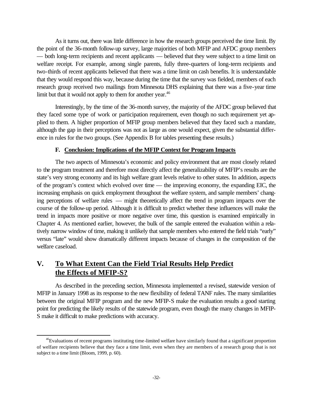As it turns out, there was little difference in how the research groups perceived the time limit. By the point of the 36-month follow-up survey, large majorities of both MFIP and AFDC group members — both long-term recipients and recent applicants — believed that they were subject to a time limit on welfare receipt. For example, among single parents, fully three-quarters of long-term recipients and two-thirds of recent applicants believed that there was a time limit on cash benefits. It is understandable that they would respond this way, because during the time that the survey was fielded, members of each research group received two mailings from Minnesota DHS explaining that there was a five-year time limit but that it would not apply to them for another year.<sup>46</sup>

Interestingly, by the time of the 36-month survey, the majority of the AFDC group believed that they faced some type of work or participation requirement, even though no such requirement yet applied to them. A higher proportion of MFIP group members believed that they faced such a mandate, although the gap in their perceptions was not as large as one would expect, given the substantial difference in rules for the two groups. (See Appendix B for tables presenting these results.)

## **F. Conclusion: Implications of the MFIP Context for Program Impacts**

The two aspects of Minnesota's economic and policy environment that are most closely related to the program treatment and therefore most directly affect the generalizability of MFIP's results are the state's very strong economy and its high welfare grant levels relative to other states. In addition, aspects of the program's context which evolved over time — the improving economy, the expanding EIC, the increasing emphasis on quick employment throughout the welfare system, and sample members' changing perceptions of welfare rules — might theoretically affect the trend in program impacts over the course of the follow-up period. Although it is difficult to predict whether these influences will make the trend in impacts more positive or more negative over time, this question is examined empirically in Chapter 4. As mentioned earlier, however, the bulk of the sample entered the evaluation within a relatively narrow window of time, making it unlikely that sample members who entered the field trials "early" versus "late" would show dramatically different impacts because of changes in the composition of the welfare caseload.

# **V. To What Extent Can the Field Trial Results Help Predict the Effects of MFIP-S?**

l

As described in the preceding section, Minnesota implemented a revised, statewide version of MFIP in January 1998 as its response to the new flexibility of federal TANF rules. The many similarities between the original MFIP program and the new MFIP-S make the evaluation results a good starting point for predicting the likely results of the statewide program, even though the many changes in MFIP-S make it difficult to make predictions with accuracy.

 $^{46}$ Evaluations of recent programs instituting time-limited welfare have similarly found that a significant proportion of welfare recipients believe that they face a time limit, even when they are members of a research group that is not subject to a time limit (Bloom, 1999, p. 60).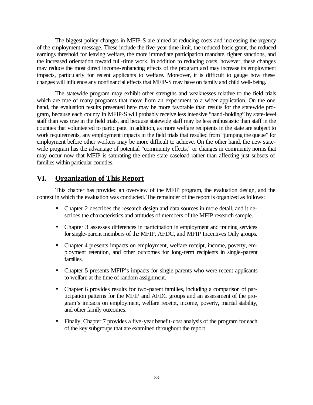The biggest policy changes in MFIP-S are aimed at reducing costs and increasing the urgency of the employment message. These include the five-year time limit, the reduced basic grant, the reduced earnings threshold for leaving welfare, the more immediate participation mandate, tighter sanctions, and the increased orientation toward full-time work. In addition to reducing costs, however, these changes may reduce the most direct income-enhancing effects of the program and may increase its employment impacts, particularly for recent applicants to welfare. Moreover, it is difficult to gauge how these changes will influence any nonfinancial effects that MFIP-S may have on family and child well-being.

The statewide program may exhibit other strengths and weaknesses relative to the field trials which are true of many programs that move from an experiment to a wider application. On the one hand, the evaluation results presented here may be more favorable than results for the statewide program, because each county in MFIP-S will probably receive less intensive "hand-holding" by state-level staff than was true in the field trials, and because statewide staff may be less enthusiastic than staff in the counties that volunteered to participate. In addition, as more welfare recipients in the state are subject to work requirements, any employment impacts in the field trials that resulted from "jumping the queue" for employment before other workers may be more difficult to achieve. On the other hand, the new statewide program has the advantage of potential "community effects," or changes in community norms that may occur now that MFIP is saturating the entire state caseload rather than affecting just subsets of families within particular counties.

# **VI. Organization of This Report**

This chapter has provided an overview of the MFIP program, the evaluation design, and the context in which the evaluation was conducted. The remainder of the report is organized as follows:

- Chapter 2 describes the research design and data sources in more detail, and it describes the characteristics and attitudes of members of the MFIP research sample.
- Chapter 3 assesses differences in participation in employment and training services for single-parent members of the MFIP, AFDC, and MFIP Incentives Only groups.
- Chapter 4 presents impacts on employment, welfare receipt, income, poverty, employment retention, and other outcomes for long-term recipients in single-parent families.
- Chapter 5 presents MFIP's impacts for single parents who were recent applicants to welfare at the time of random assignment.
- Chapter 6 provides results for two-parent families, including a comparison of participation patterns for the MFIP and AFDC groups and an assessment of the program's impacts on employment, welfare receipt, income, poverty, marital stability, and other family outcomes.
- Finally, Chapter 7 provides a five-year benefit-cost analysis of the program for each of the key subgroups that are examined throughout the report.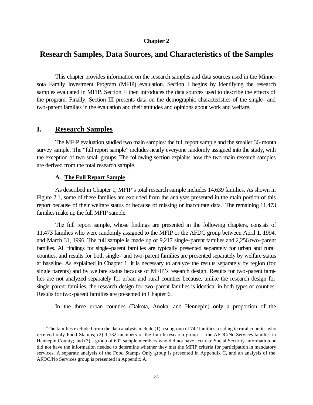#### **Chapter 2**

# **Research Samples, Data Sources, and Characteristics of the Samples**

This chapter provides information on the research samples and data sources used in the Minnesota Family Investment Program (MFIP) evaluation. Section I begins by identifying the research samples evaluated in MFIP. Section II then introduces the data sources used to describe the effects of the program. Finally, Section III presents data on the demographic characteristics of the single- and two-parent families in the evaluation and their attitudes and opinions about work and welfare.

## **I. Research Samples**

l

The MFIP evaluation studied two main samples: the full report sample and the smaller 36-month survey sample. The "full report sample" includes nearly everyone randomly assigned into the study, with the exception of two small groups. The following section explains how the two main research samples are derived from the total research sample.

#### **A. The Full Report Sample**

As described in Chapter 1, MFIP's total research sample includes 14,639 families. As shown in Figure 2.1, some of these families are excluded from the analyses presented in the main portion of this report because of their welfare status or because of missing or inaccurate data.<sup>1</sup> The remaining 11,473 families make up the full MFIP sample.

The full report sample, whose findings are presented in the following chapters, consists of 11,473 families who were randomly assigned to the MFIP or the AFDC group between April 1, 1994, and March 31, 1996. The full sample is made up of 9,217 single-parent families and 2,256 two-parent families. All findings for single-parent families are typically presented separately for urban and rural counties, and results for both single- and two-parent families are presented separately by welfare status at baseline. As explained in Chapter 1, it is necessary to analyze the results separately by region (for single parents) and by welfare status because of MFIP's research design. Results for two-parent families are not analyzed separately for urban and rural counties because, unlike the research design for single-parent families, the research design for two-parent families is identical in both types of counties. Results for two-parent families are presented in Chapter 6.

In the three urban counties (Dakota, Anoka, and Hennepin) only a proportion of the

<sup>&</sup>lt;sup>1</sup>The families excluded from the data analysis include (1) a subgroup of 742 families residing in rural counties who received only Food Stamps; (2) 1,732 members of the fourth research group — the AFDC/No Services families in Hennepin County; and (3) a group of 692 sample members who did not have accurate Social Security information or did not have the information needed to determine whether they met the MFIP criteria for participation in mandatory services. A separate analysis of the Food Stamps Only group is presented in Appendix C, and an analysis of the AFDC/No Services group is presented in Appendix A.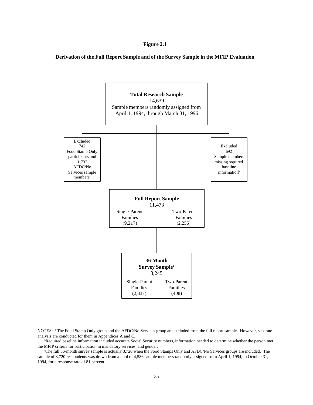#### **Figure 2.1**

#### **Derivation of the Full Report Sample and of the Survey Sample in the MFIP Evaluation**



NOTES: a The Food Stamp Only group and the AFDC/No Services group are excluded from the full report sample. However, separate analysis are conducted for them in Appendices A and C.

<sup>b</sup>Required baseline information included accurate Social Security numbers, information needed to determine whether the person met the MFIP criteria for participation in mandatory services, and gender.

<sup>c</sup>The full 36-month survey sample is actually 3,720 when the Food Stamps Only and AFDC/No Services groups are included. The sample of 3,720 respondents was drawn from a pool of 4,586 sample members randomly assigned from April 1, 1994, to October 31, 1994, for a response rate of 81 percent.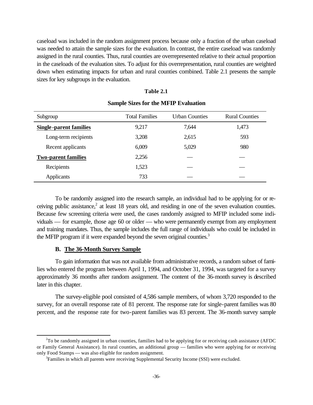caseload was included in the random assignment process because only a fraction of the urban caseload was needed to attain the sample sizes for the evaluation. In contrast, the entire caseload was randomly assigned in the rural counties. Thus, rural counties are overrepresented relative to their actual proportion in the caseloads of the evaluation sites. To adjust for this overrepresentation, rural counties are weighted down when estimating impacts for urban and rural counties combined. Table 2.1 presents the sample sizes for key subgroups in the evaluation.

| Table 2.1 |  |
|-----------|--|
|-----------|--|

| Subgroup                      | <b>Total Families</b> | <b>Urban Counties</b> | <b>Rural Counties</b> |
|-------------------------------|-----------------------|-----------------------|-----------------------|
| <b>Single-parent families</b> | 9,217                 | 7,644                 | 1,473                 |
| Long-term recipients          | 3,208                 | 2,615                 | 593                   |
| Recent applicants             | 6,009                 | 5,029                 | 980                   |
| <b>Two-parent families</b>    | 2,256                 |                       |                       |
| Recipients                    | 1,523                 |                       |                       |
| Applicants                    | 733                   |                       |                       |
|                               |                       |                       |                       |

## **Sample Sizes for the MFIP Evaluation**

To be randomly assigned into the research sample, an individual had to be applying for or receiving public assistance, $2$  at least 18 years old, and residing in one of the seven evaluation counties. Because few screening criteria were used, the cases randomly assigned to MFIP included some individuals — for example, those age 60 or older — who were permanently exempt from any employment and training mandates. Thus, the sample includes the full range of individuals who could be included in the MFIP program if it were expanded beyond the seven original counties.<sup>3</sup>

### **B. The 36-Month Survey Sample**

l

To gain information that was not available from administrative records, a random subset of families who entered the program between April 1, 1994, and October 31, 1994, was targeted for a survey approximately 36 months after random assignment. The content of the 36-month survey is described later in this chapter.

The survey-eligible pool consisted of 4,586 sample members, of whom 3,720 responded to the survey, for an overall response rate of 81 percent. The response rate for single-parent families was 80 percent, and the response rate for two-parent families was 83 percent. The 36-month survey sample

 $2^2$ To be randomly assigned in urban counties, families had to be applying for or receiving cash assistance (AFDC) or Family General Assistance). In rural counties, an additional group — families who were applying for or receiving only Food Stamps — was also eligible for random assignment.

<sup>&</sup>lt;sup>3</sup> Families in which all parents were receiving Supplemental Security Income (SSI) were excluded.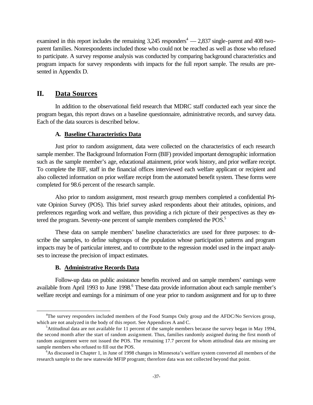examined in this report includes the remaining  $3,245$  responders<sup>4</sup> — 2,837 single-parent and 408 twoparent families. Nonrespondents included those who could not be reached as well as those who refused to participate. A survey response analysis was conducted by comparing background characteristics and program impacts for survey respondents with impacts for the full report sample. The results are presented in Appendix D.

## **II. Data Sources**

In addition to the observational field research that MDRC staff conducted each year since the program began, this report draws on a baseline questionnaire, administrative records, and survey data. Each of the data sources is described below.

## **A. Baseline Characteristics Data**

Just prior to random assignment, data were collected on the characteristics of each research sample member. The Background Information Form (BIF) provided important demographic information such as the sample member's age, educational attainment, prior work history, and prior welfare receipt. To complete the BIF, staff in the financial offices interviewed each welfare applicant or recipient and also collected information on prior welfare receipt from the automated benefit system. These forms were completed for 98.6 percent of the research sample.

Also prior to random assignment, most research group members completed a confidential Private Opinion Survey (POS). This brief survey asked respondents about their attitudes, opinions, and preferences regarding work and welfare, thus providing a rich picture of their perspectives as they entered the program. Seventy-one percent of sample members completed the POS.<sup>5</sup>

These data on sample members' baseline characteristics are used for three purposes: to describe the samples, to define subgroups of the population whose participation patterns and program impacts may be of particular interest, and to contribute to the regression model used in the impact analyses to increase the precision of impact estimates.

## **B. Administrative Records Data**

l

Follow-up data on public assistance benefits received and on sample members' earnings were available from April 1993 to June 1998.<sup>6</sup> These data provide information about each sample member's welfare receipt and earnings for a minimum of one year prior to random assignment and for up to three

<sup>&</sup>lt;sup>4</sup>The survey responders included members of the Food Stamps Only group and the AFDC/No Services group, which are not analyzed in the body of this report. See Appendices A and C.

<sup>5</sup>Attitudinal data are not available for 11 percent of the sample members because the survey began in May 1994, the second month after the start of random assignment. Thus, families randomly assigned during the first month of random assignment were not issued the POS. The remaining 17.7 percent for whom attitudinal data are missing are sample members who refused to fill out the POS.

<sup>6</sup>As discussed in Chapter 1, in June of 1998 changes in Minnesota's welfare system converted all members of the research sample to the new statewide MFIP program; therefore data was not collected beyond that point.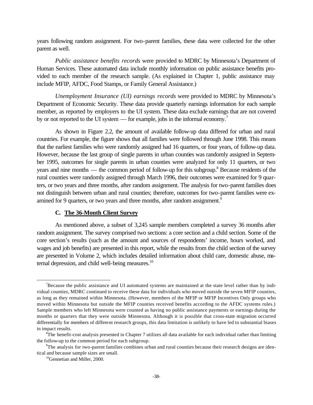years following random assignment. For two-parent families, these data were collected for the other parent as well.

*Public assistance benefits records* were provided to MDRC by Minnesota's Department of Human Services. These automated data include monthly information on public assistance benefits provided to each member of the research sample. (As explained in Chapter 1, public assistance may include MFIP, AFDC, Food Stamps, or Family General Assistance.)

*Unemployment Insurance (UI) earnings records* were provided to MDRC by Minnesota's Department of Economic Security. These data provide quarterly earnings information for each sample member, as reported by employers to the UI system. These data exclude earnings that are not covered by or not reported to the UI system — for example, jobs in the informal economy.<sup>7</sup>

As shown in Figure 2.2, the amount of available follow-up data differed for urban and rural countries. For example, the figure shows that all families were followed through June 1998. This means that the earliest families who were randomly assigned had 16 quarters, or four years, of follow-up data. However, because the last group of single parents in urban counties was randomly assigned in September 1995, outcomes for single parents in urban counties were analyzed for only 11 quarters, or two years and nine months — the common period of follow-up for this subgroup.<sup>8</sup> Because residents of the rural counties were randomly assigned through March 1996, their outcomes were examined for 9 quarters, or two years and three months, after random assignment. The analysis for two-parent families does not distinguish between urban and rural counties; therefore, outcomes for two-parent families were examined for 9 quarters, or two years and three months, after random assignment.<sup>9</sup>

#### **C. The 36-Month Client Survey**

As mentioned above, a subset of 3,245 sample members completed a survey 36 months after random assignment. The survey comprised two sections: a core section and a child section. Some of the core section's results (such as the amount and sources of respondents' income, hours worked, and wages and job benefits) are presented in this report, while the results from the child section of the survey are presented in Volume 2, which includes detailed information about child care, domestic abuse, maternal depression, and child well-being measures.<sup>10</sup>

<sup>&</sup>lt;sup>7</sup>Because the public assistance and UI automated systems are maintained at the state level rather than by individual counties, MDRC continued to receive these data for individuals who moved outside the seven MFIP counties, as long as they remained within Minnesota. (However, members of the MFIP or MFIP Incentives Only groups who moved within Minnesota but outside the MFIP counties received benefits according to the AFDC systems rules.) Sample members who left Minnesota were counted as having no public assistance payments or earnings during the months or quarters that they were outside Minnesota. Although it is possible that cross-state migration occurred differentially for members of different research groups, this data limitation is unlikely to have led to substantial biases in impact results.

<sup>&</sup>lt;sup>8</sup>The benefit-cost analysis presented in Chapter 7 utilizes all data available for each individual rather than limiting the follow-up to the common period for each subgroup.

<sup>&</sup>lt;sup>9</sup>The analysis for two-parent families combines urban and rural counties because their research designs are identical and because sample sizes are small.

<sup>10</sup>Gennetian and Miller, 2000.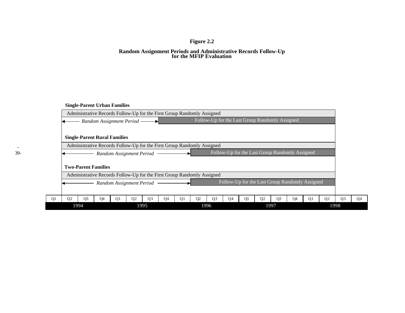### **Figure 2.2**

#### **Random Assignment Periods and Administrative Records Follow-Up for the MFIP Evaluation**

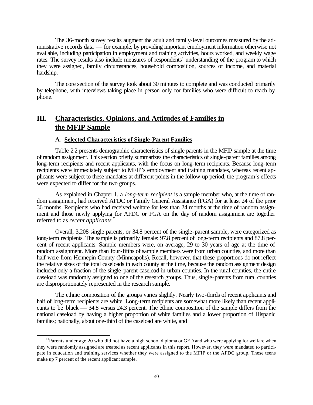The 36-month survey results augment the adult and family-level outcomes measured by the administrative records data — for example, by providing important employment information otherwise not available, including participation in employment and training activities, hours worked, and weekly wage rates. The survey results also include measures of respondents' understanding of the program to which they were assigned, family circumstances, household composition, sources of income, and material hardship.

The core section of the survey took about 30 minutes to complete and was conducted primarily by telephone, with interviews taking place in person only for families who were difficult to reach by phone.

# **III. Characteristics, Opinions, and Attitudes of Families in the MFIP Sample**

#### **A. Selected Characteristics of Single-Parent Families**

Table 2.2 presents demographic characteristics of single parents in the MFIP sample at the time of random assignment. This section briefly summarizes the characteristics of single-parent families among long-term recipients and recent applicants, with the focus on long-term recipients. Because long-term recipients were immediately subject to MFIP's employment and training mandates, whereas recent applicants were subject to these mandates at different points in the follow-up period, the program's effects were expected to differ for the two groups.

As explained in Chapter 1, a *long-term recipient* is a sample member who, at the time of random assignment, had received AFDC or Family General Assistance (FGA) for at least 24 of the prior 36 months. Recipients who had received welfare for less than 24 months at the time of random assignment and those newly applying for AFDC or FGA on the day of random assignment are together referred to as *recent applicants.<sup>11</sup>*

Overall, 3,208 single parents, or 34.8 percent of the single-parent sample, were categorized as long-term recipients. The sample is primarily female: 97.8 percent of long-term recipients and 87.8 percent of recent applicants. Sample members were, on average, 29 to 30 years of age at the time of random assignment. More than four-fifths of sample members were from urban counties, and more than half were from Hennepin County (Minneapolis). Recall, however, that these proportions do not reflect the relative sizes of the total caseloads in each county at the time, because the random assignment design included only a fraction of the single-parent caseload in urban counties. In the rural counties, the entire caseload was randomly assigned to one of the research groups. Thus, single-parents from rural counties are disproportionately represented in the research sample.

The ethnic composition of the groups varies slightly. Nearly two-thirds of recent applicants and half of long-term recipients are white. Long-term recipients are somewhat more likely than recent applicants to be black — 34.8 versus 24.3 percent. The ethnic composition of the sample differs from the national caseload by having a higher proportion of white families and a lower proportion of Hispanic families; nationally, about one-third of the caseload are white, and

 $11$ Parents under age 20 who did not have a high school diploma or GED and who were applying for welfare when they were randomly assigned are treated as recent applicants in this report. However, they were mandated to participate in education and training services whether they were assigned to the MFIP or the AFDC group. These teens make up 7 percent of the recent applicant sample.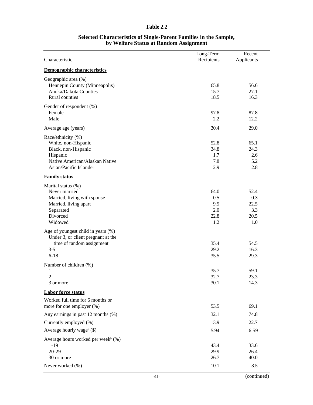## **Table 2.2**

| Characteristic                                                                                                                           | Long-Term<br>Recipients                  | Recent<br>Applicants                      |
|------------------------------------------------------------------------------------------------------------------------------------------|------------------------------------------|-------------------------------------------|
| Demographic characteristics                                                                                                              |                                          |                                           |
| Geographic area (%)<br>Hennepin County (Minneapolis)<br>Anoka/Dakota Counties<br>Rural counties                                          | 65.8<br>15.7<br>18.5                     | 56.6<br>27.1<br>16.3                      |
| Gender of respondent (%)<br>Female<br>Male                                                                                               | 97.8<br>2.2                              | 87.8<br>12.2                              |
| Average age (years)                                                                                                                      | 30.4                                     | 29.0                                      |
| Race/ethnicity (%)<br>White, non-Hispanic<br>Black, non-Hispanic<br>Hispanic<br>Native American/Alaskan Native<br>Asian/Pacific Islander | 52.8<br>34.8<br>1.7<br>7.8<br>2.9        | 65.1<br>24.3<br>2.6<br>5.2<br>2.8         |
| <b>Family status</b>                                                                                                                     |                                          |                                           |
| Marital status (%)<br>Never married<br>Married, living with spouse<br>Married, living apart<br>Separated<br>Divorced<br>Widowed          | 64.0<br>0.5<br>9.5<br>2.0<br>22.8<br>1.2 | 52.4<br>0.3<br>22.5<br>3.3<br>20.5<br>1.0 |
| Age of youngest child in years (%)<br>Under 3, or client pregnant at the<br>time of random assignment<br>$3 - 5$<br>$6 - 18$             | 35.4<br>29.2<br>35.5                     | 54.5<br>16.3<br>29.3                      |
| Number of children (%)<br>1<br>$\overline{c}$<br>3 or more                                                                               | 35.7<br>32.7<br>30.1                     | 59.1<br>23.3<br>14.3                      |
| <b>Labor force status</b>                                                                                                                |                                          |                                           |
| Worked full time for 6 months or<br>more for one employer (%)                                                                            | 53.5                                     | 69.1                                      |
| Any earnings in past 12 months (%)                                                                                                       | 32.1                                     | 74.8                                      |
| Currently employed (%)                                                                                                                   | 13.9                                     | 22.7                                      |
| Average hourly wage <sup>a</sup> (\$)                                                                                                    | 5.94                                     | 6.59                                      |
| Average hours worked per week $\frac{b}{\sqrt{6}}$ (%)<br>$1-19$<br>20-29<br>30 or more                                                  | 43.4<br>29.9<br>26.7                     | 33.6<br>26.4<br>40.0                      |
| Never worked (%)                                                                                                                         | 10.1                                     | 3.5                                       |

#### **Selected Characteristics of Single-Parent Families in the Sample, by Welfare Status at Random Assignment**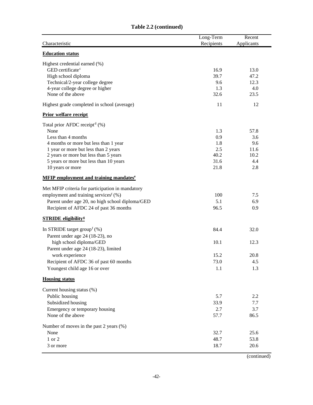| Characteristic                                            | Long-Term<br>Recipients | Recent<br>Applicants |
|-----------------------------------------------------------|-------------------------|----------------------|
| <b>Education status</b>                                   |                         |                      |
| Highest credential earned (%)                             |                         |                      |
| GED certificate <sup>c</sup>                              | 16.9                    | 13.0                 |
| High school diploma                                       | 39.7                    | 47.2                 |
| Technical/2-year college degree                           | 9.6                     | 12.3                 |
| 4-year college degree or higher                           | 1.3                     | 4.0                  |
| None of the above                                         | 32.6                    | 23.5                 |
| Highest grade completed in school (average)               | 11                      | 12                   |
| Prior welfare receipt                                     |                         |                      |
| Total prior AFDC receipt <sup>d</sup> (%)                 |                         |                      |
| None                                                      | 1.3                     | 57.8                 |
| Less than 4 months                                        | 0.9                     | 3.6                  |
| 4 months or more but less than 1 year                     | 1.8                     | 9.6                  |
| 1 year or more but less than 2 years                      | 2.5                     | 11.6                 |
| 2 years or more but less than 5 years                     | 40.2                    | 10.2                 |
| 5 years or more but less than 10 years                    | 31.6                    | 4.4                  |
| 10 years or more                                          | 21.8                    | 2.8                  |
| <b>MFIP</b> employment and training mandates <sup>e</sup> |                         |                      |
| Met MFIP criteria for participation in mandatory          |                         |                      |
| employment and training services <sup>f</sup> (%)         | 100                     | 7.5                  |
| Parent under age 20, no high school diploma/GED           | 5.1                     | 6.9                  |
| Recipient of AFDC 24 of past 36 months                    | 96.5                    | 0.9                  |
| <b>STRIDE</b> eligibility <sup>g</sup>                    |                         |                      |
| In STRIDE target group <sup>f</sup> $(\%)$                | 84.4                    | 32.0                 |
| Parent under age 24 (18-23), no                           |                         |                      |
| high school diploma/GED                                   | 10.1                    | 12.3                 |
| Parent under age 24 (18-23), limited                      |                         |                      |
| work experience                                           | 15.2                    | 20.8                 |
| Recipient of AFDC 36 of past 60 months                    | 73.0                    | 4.5                  |
| Youngest child age 16 or over                             | 1.1                     | 1.3                  |
| <b>Housing status</b>                                     |                         |                      |
| Current housing status (%)                                |                         |                      |
| Public housing                                            | 5.7                     | 2.2                  |
| Subsidized housing                                        | 33.9                    | 7.7                  |
| Emergency or temporary housing                            | 2.7                     | 3.7                  |
| None of the above                                         | 57.7                    | 86.5                 |
| Number of moves in the past 2 years (%)                   |                         |                      |
| None                                                      | 32.7                    | 25.6                 |
| 1 or 2                                                    | 48.7                    | 53.8                 |
| 3 or more                                                 | 18.7                    | 20.6                 |
|                                                           |                         |                      |

# **Table 2.2 (continued)**

(continued)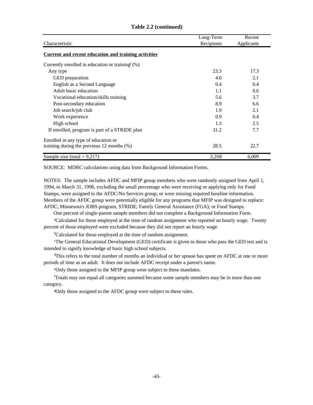| Characteristic                                              | Long-Term<br>Recipients | Recent<br>Applicants |
|-------------------------------------------------------------|-------------------------|----------------------|
| <b>Current and recent education and training activities</b> |                         |                      |
| Currently enrolled in education or training $(\%)$          |                         |                      |
| Any type                                                    | 23.3                    | 17.3                 |
| <b>GED</b> preparation                                      | 4.6                     | 2.1                  |
| English as a Second Language                                | 0.4                     | 0.4                  |
| Adult basic education                                       | 1.1                     | 0.6                  |
| Vocational education/skills training                        | 5.6                     | 3.7                  |
| Post-secondary education                                    | 8.9                     | 6.6                  |
| Job search/job club                                         | 1.9                     | 2.1                  |
| Work experience                                             | 0.9                     | 0.4                  |
| High school                                                 | 1.3                     | 2.5                  |
| If enrolled, program is part of a STRIDE plan               | 31.2                    | 7.7                  |
| Enrolled in any type of education or                        |                         |                      |
| training during the previous $12$ months $(\%)$             | 28.5                    | 22.7                 |
| Sample size (total = $9,217$ )                              | 3,208                   | 6,009                |

#### **Table 2.2 (continued)**

SOURCE: MDRC calculations using data from Background Information Forms.

NOTES: The sample includes AFDC and MFIP group members who were randomly assigned from April 1, 1994, to March 31, 1996, excluding the small percentage who were receiving or applying only for Food Stamps, were assigned to the AFDC/No Services group, or were missing required baseline information. Members of the AFDC group were potentially eligible for any programs that MFIP was designed to replace: AFDC; Minnesota's JOBS program, STRIDE; Family General Assistance (FGA); or Food Stamps.

One percent of single-parent sample members did not complete a Background Information Form.

<sup>a</sup>Calculated for those employed at the time of random assignment who reported an hourly wage. Twenty percent of those employed were excluded because they did not report an hourly wage.

<sup>b</sup>Calculated for those employed at the time of random assignment.

<sup>c</sup>The General Educational Development (GED) certificate is given to those who pass the GED test and is intended to signify knowledge of basic high school subjects.

<sup>d</sup>This refers to the total number of months an individual or her spouse has spent on AFDC at one or more periods of time as an adult. It does not include AFDC receipt under a parent's name.

<sup>e</sup>Only those assigned to the MFIP group were subject to these mandates.

<sup>f</sup>Totals may not equal all categories summed because some sample members may be in more than one category.

gOnly those assigned to the AFDC group were subject to these rules.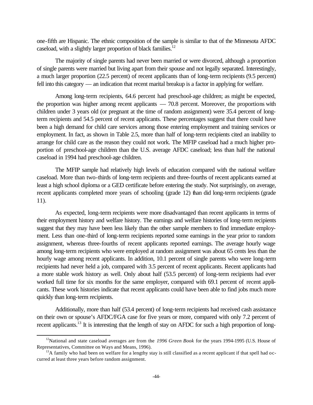one-fifth are Hispanic. The ethnic composition of the sample is similar to that of the Minnesota AFDC caseload, with a slightly larger proportion of black families.<sup>12</sup>

The majority of single parents had never been married or were divorced, although a proportion of single parents were married but living apart from their spouse and not legally separated. Interestingly, a much larger proportion (22.5 percent) of recent applicants than of long-term recipients (9.5 percent) fell into this category — an indication that recent marital breakup is a factor in applying for welfare.

Among long-term recipients, 64.6 percent had preschool-age children; as might be expected, the proportion was higher among recent applicants — 70.8 percent. Moreover, the proportions with children under 3 years old (or pregnant at the time of random assignment) were 35.4 percent of longterm recipients and 54.5 percent of recent applicants. These percentages suggest that there could have been a high demand for child care services among those entering employment and training services or employment. In fact, as shown in Table 2.5, more than half of long-term recipients cited an inability to arrange for child care as the reason they could not work. The MFIP caseload had a much higher proportion of preschool-age children than the U.S. average AFDC caseload; less than half the national caseload in 1994 had preschool-age children.

The MFIP sample had relatively high levels of education compared with the national welfare caseload. More than two-thirds of long-term recipients and three-fourths of recent applicants earned at least a high school diploma or a GED certificate before entering the study. Not surprisingly, on average, recent applicants completed more years of schooling (grade 12) than did long-term recipients (grade 11).

As expected, long-term recipients were more disadvantaged than recent applicants in terms of their employment history and welfare history. The earnings and welfare histories of long-term recipients suggest that they may have been less likely than the other sample members to find immediate employment. Less than one-third of long-term recipients reported some earnings in the year prior to random assignment, whereas three-fourths of recent applicants reported earnings. The average hourly wage among long-term recipients who were employed at random assignment was about 65 cents less than the hourly wage among recent applicants. In addition, 10.1 percent of single parents who were long-term recipients had never held a job, compared with 3.5 percent of recent applicants. Recent applicants had a more stable work history as well. Only about half (53.5 percent) of long-term recipients had ever worked full time for six months for the same employer, compared with 69.1 percent of recent applicants. These work histories indicate that recent applicants could have been able to find jobs much more quickly than long-term recipients.

Additionally, more than half (53.4 percent) of long-term recipients had received cash assistance on their own or spouse's AFDC/FGA case for five years or more, compared with only 7.2 percent of recent applicants.<sup>13</sup> It is interesting that the length of stay on AFDC for such a high proportion of long-

<sup>&</sup>lt;sup>12</sup>National and state caseload averages are from the *1996 Green Book* for the years 1994-1995 (U.S. House of Representatives, Committee on Ways and Means, 1996).

 $<sup>13</sup>A$  family who had been on welfare for a lengthy stay is still classified as a recent applicant if that spell had oc-</sup> curred at least three years before random assignment.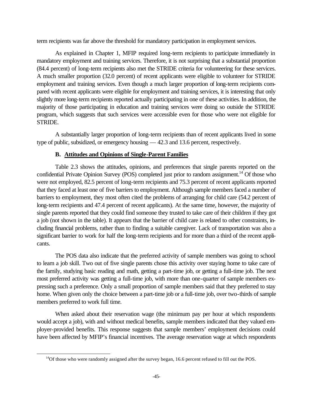term recipients was far above the threshold for mandatory participation in employment services.

As explained in Chapter 1, MFIP required long-term recipients to participate immediately in mandatory employment and training services. Therefore, it is not surprising that a substantial proportion (84.4 percent) of long-term recipients also met the STRIDE criteria for volunteering for these services. A much smaller proportion (32.0 percent) of recent applicants were eligible to volunteer for STRIDE employment and training services. Even though a much larger proportion of long-term recipients compared with recent applicants were eligible for employment and training services, it is interesting that only slightly more long-term recipients reported actually participating in one of these activities. In addition, the majority of those participating in education and training services were doing so outside the STRIDE program, which suggests that such services were accessible even for those who were not eligible for STRIDE.

A substantially larger proportion of long-term recipients than of recent applicants lived in some type of public, subsidized, or emergency housing — 42.3 and 13.6 percent, respectively.

## **B. Attitudes and Opinions of Single-Parent Families**

Table 2.3 shows the attitudes, opinions, and preferences that single parents reported on the confidential Private Opinion Survey (POS) completed just prior to random assignment.<sup>14</sup> Of those who were not employed, 82.5 percent of long-term recipients and 75.3 percent of recent applicants reported that they faced at least one of five barriers to employment. Although sample members faced a number of barriers to employment, they most often cited the problems of arranging for child care (54.2 percent of long-term recipients and 47.4 percent of recent applicants). At the same time, however, the majority of single parents reported that they could find someone they trusted to take care of their children if they got a job (not shown in the table). It appears that the barrier of child care is related to other constraints, including financial problems, rather than to finding a suitable caregiver. Lack of transportation was also a significant barrier to work for half the long-term recipients and for more than a third of the recent applicants.

The POS data also indicate that the preferred activity of sample members was going to school to learn a job skill. Two out of five single parents chose this activity over staying home to take care of the family, studying basic reading and math, getting a part-time job, or getting a full-time job. The next most preferred activity was getting a full-time job, with more than one-quarter of sample members expressing such a preference. Only a small proportion of sample members said that they preferred to stay home. When given only the choice between a part-time job or a full-time job, over two-thirds of sample members preferred to work full time.

When asked about their reservation wage (the minimum pay per hour at which respondents would accept a job), with and without medical benefits, sample members indicated that they valued employer-provided benefits. This response suggests that sample members' employment decisions could have been affected by MFIP's financial incentives. The average reservation wage at which respondents

 $14$ Of those who were randomly assigned after the survey began, 16.6 percent refused to fill out the POS.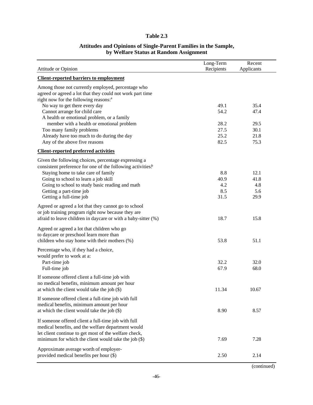#### **Table 2.3**

| Attitude or Opinion                                                                                                                                                                                                        | Long-Term<br>Recipients | Recent<br>Applicants |
|----------------------------------------------------------------------------------------------------------------------------------------------------------------------------------------------------------------------------|-------------------------|----------------------|
| <b>Client-reported barriers to employment</b>                                                                                                                                                                              |                         |                      |
| Among those not currently employed, percentage who<br>agreed or agreed a lot that they could not work part time<br>right now for the following reasons: <sup>a</sup>                                                       |                         |                      |
| No way to get there every day                                                                                                                                                                                              | 49.1                    | 35.4                 |
| Cannot arrange for child care                                                                                                                                                                                              | 54.2                    | 47.4                 |
| A health or emotional problem, or a family                                                                                                                                                                                 |                         |                      |
| member with a health or emotional problem                                                                                                                                                                                  | 28.2                    | 29.5                 |
| Too many family problems                                                                                                                                                                                                   | 27.5                    | 30.1                 |
| Already have too much to do during the day                                                                                                                                                                                 | 25.2                    | 21.8                 |
| Any of the above five reasons                                                                                                                                                                                              | 82.5                    | 75.3                 |
| <b>Client-reported preferred activities</b>                                                                                                                                                                                |                         |                      |
| Given the following choices, percentage expressing a<br>consistent preference for one of the following activities. <sup>b</sup>                                                                                            |                         |                      |
| Staying home to take care of family                                                                                                                                                                                        | 8.8                     | 12.1                 |
| Going to school to learn a job skill                                                                                                                                                                                       | 40.9                    | 41.8                 |
| Going to school to study basic reading and math                                                                                                                                                                            | 4.2                     | 4.8                  |
| Getting a part-time job                                                                                                                                                                                                    | 8.5                     | 5.6                  |
| Getting a full-time job                                                                                                                                                                                                    | 31.5                    | 29.9                 |
| Agreed or agreed a lot that they cannot go to school<br>or job training program right now because they are<br>afraid to leave children in daycare or with a baby-sitter (%)                                                | 18.7                    | 15.8                 |
| Agreed or agreed a lot that children who go<br>to daycare or preschool learn more than<br>children who stay home with their mothers (%)                                                                                    | 53.8                    | 51.1                 |
| Percentage who, if they had a choice,<br>would prefer to work at a:                                                                                                                                                        |                         |                      |
| Part-time job<br>Full-time job                                                                                                                                                                                             | 32.2<br>67.9            | 32.0<br>68.0         |
| If someone offered client a full-time job with<br>no medical benefits, minimum amount per hour<br>at which the client would take the job (\$)                                                                              | 11.34                   | 10.67                |
| If someone offered client a full-time job with full<br>medical benefits, minimum amount per hour<br>at which the client would take the job $(\$)$                                                                          | 8.90                    | 8.57                 |
| If someone offered client a full-time job with full<br>medical benefits, and the welfare department would<br>let client continue to get most of the welfare check,<br>minimum for which the client would take the job (\$) | 7.69                    | 7.28                 |
| Approximate average worth of employer-<br>provided medical benefits per hour (\$)                                                                                                                                          | 2.50                    | 2.14                 |

#### **Attitudes and Opinions of Single-Parent Families in the Sample, by Welfare Status at Random Assignment**

(continued)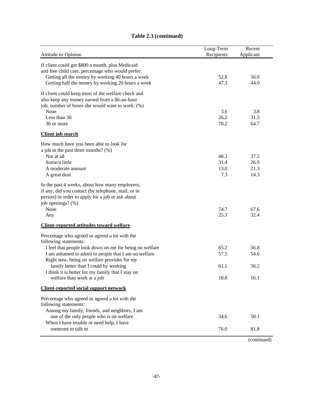| Attitude or Opinion                                                                                                                                                           | Long-Term<br>Recipients | Recent<br>Applicant |
|-------------------------------------------------------------------------------------------------------------------------------------------------------------------------------|-------------------------|---------------------|
| If client could get \$800 a month, plus Medicaid<br>and free child care, percentage who would prefer:<br>Getting all the money by working 40 hours a week                     | 52.8                    | 56.0                |
| Getting half the money by working 20 hours a week                                                                                                                             | 47.3                    | 44.0                |
| If client could keep most of the welfare check and<br>also keep any money earned from a \$6-an-hour<br>job, number of hours she would want to work: (%)<br>None               | 3.6                     | 3.8                 |
| Less than 30                                                                                                                                                                  | 26.2                    | 31.5                |
| 30 or more                                                                                                                                                                    | 70.2                    | 64.7                |
| <b>Client job search</b>                                                                                                                                                      |                         |                     |
| How much have you been able to look for<br>a job in the past three months? (%)                                                                                                |                         |                     |
| Not at all                                                                                                                                                                    | 48.3                    | 37.5                |
| Some/a little                                                                                                                                                                 | 31.4                    | 26.9                |
| A moderate amount                                                                                                                                                             | 13.0                    | 21.3                |
| A great deal                                                                                                                                                                  | 7.3                     | 14.3                |
| In the past 4 weeks, about how many employers,<br>if any, did you contact (by telephone, mail, or in<br>person) in order to apply for a job or ask about<br>job openings? (%) |                         |                     |
| None                                                                                                                                                                          | 74.7                    | 67.6                |
| Any                                                                                                                                                                           | 25.3                    | 32.4                |
| <b>Client-reported attitudes toward welfare</b>                                                                                                                               |                         |                     |
| Percentage who agreed or agreed a lot with the<br>following statements:                                                                                                       |                         |                     |
| I feel that people look down on me for being on welfare                                                                                                                       | 65.2                    | 56.8                |
| I am ashamed to admit to people that I am on welfare<br>Right now, being on welfare provides for my                                                                           | 57.5                    | 54.6                |
| family better than I could by working                                                                                                                                         | 61.1                    | 56.2                |
| I think it is better for my family that I stay on                                                                                                                             |                         |                     |
| welfare than work at a job                                                                                                                                                    | 18.8                    | 16.1                |
| <b>Client-reported social support network</b>                                                                                                                                 |                         |                     |
| Percentage who agreed or agreed a lot with the<br>following statements:                                                                                                       |                         |                     |
| Among my family, friends, and neighbors, I am<br>one of the only people who is on welfare<br>When I have trouble or need help, I have                                         | 34.6                    | 50.1                |
| someone to talk to                                                                                                                                                            | 76.0                    | 81.8                |

## **Table 2.3 (continued)**

(continued)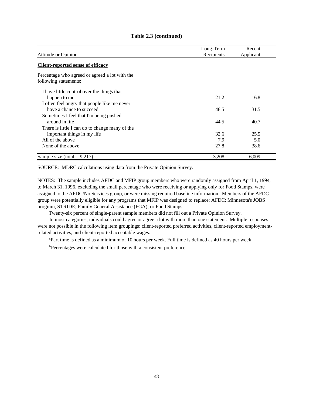|                                                | Long-Term  | Recent    |
|------------------------------------------------|------------|-----------|
| Attitude or Opinion                            | Recipients | Applicant |
| <b>Client-reported sense of efficacy</b>       |            |           |
| Percentage who agreed or agreed a lot with the |            |           |
| following statements:                          |            |           |
| I have little control over the things that     |            |           |
| happen to me                                   | 21.2       | 16.8      |
| I often feel angry that people like me never   |            |           |
| have a chance to succeed                       | 48.5       | 31.5      |
| Sometimes I feel that I'm being pushed         |            |           |
| around in life                                 | 44.5       | 40.7      |
| There is little I can do to change many of the |            |           |
| important things in my life                    | 32.6       | 25.5      |
| All of the above                               | 7.9        | 5.0       |
| None of the above                              | 27.8       | 38.6      |
| Sample size (total = $9,217$ )                 | 3,208      | 6,009     |

#### **Table 2.3 (continued)**

SOURCE: MDRC calculations using data from the Private Opinion Survey.

NOTES: The sample includes AFDC and MFIP group members who were randomly assigned from April 1, 1994, to March 31, 1996, excluding the small percentage who were receiving or applying only for Food Stamps, were assigned to the AFDC/No Services group, or were missing required baseline information. Members of the AFDC group were potentially eligible for any programs that MFIP was designed to replace: AFDC; Minnesota's JOBS program, STRIDE; Family General Assistance (FGA); or Food Stamps.

Twenty-six percent of single-parent sample members did not fill out a Private Opinion Survey.

 In most categories, individuals could agree or agree a lot with more than one statement. Multiple responses were not possible in the following item groupings: client-reported preferred activities, client-reported employmentrelated activities, and client-reported acceptable wages.

<sup>a</sup>Part time is defined as a minimum of 10 hours per week. Full time is defined as 40 hours per week.

bPercentages were calculated for those with a consistent preference.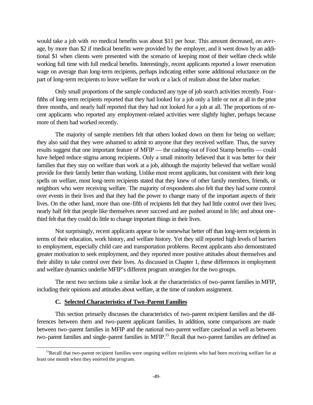would take a job with *no* medical benefits was about \$11 per hour. This amount decreased, on average, by more than \$2 if medical benefits were provided by the employer, and it went down by an additional \$1 when clients were presented with the scenario of keeping most of their welfare check while working full time with full medical benefits. Interestingly, recent applicants reported a lower reservation wage on average than long-term recipients, perhaps indicating either some additional reluctance on the part of long-term recipients to leave welfare for work or a lack of realism about the labor market.

Only small proportions of the sample conducted any type of job search activities recently. Fourfifths of long-term recipients reported that they had looked for a job only a little or not at all in the prior three months, and nearly half reported that they had not looked for a job at all. The proportions of recent applicants who reported any employment-related activities were slightly higher, perhaps because more of them had worked recently.

The majority of sample members felt that others looked down on them for being on welfare; they also said that they were ashamed to admit to anyone that they received welfare. Thus, the survey results suggest that one important feature of MFIP — the cashing-out of Food Stamp benefits — could have helped reduce stigma among recipients. Only a small minority believed that it was better for their families that they stay on welfare than work at a job, although the majority believed that welfare would provide for their family better than working. Unlike most recent applicants, but consistent with their long spells on welfare, most long-term recipients stated that they knew of other family members, friends, or neighbors who were receiving welfare. The majority of respondents also felt that they had some control over events in their lives and that they had the power to change many of the important aspects of their lives. On the other hand, more than one-fifth of recipients felt that they had little control over their lives; nearly half felt that people like themselves never succeed and are pushed around in life; and about onethird felt that they could do little to change important things in their lives.

Not surprisingly, recent applicants appear to be somewhat better off than long-term recipients in terms of their education, work history, and welfare history. Yet they still reported high levels of barriers to employment, especially child care and transportation problems. Recent applicants also demonstrated greater motivation to seek employment, and they reported more positive attitudes about themselves and their ability to take control over their lives. As discussed in Chapter 1, these differences in employment and welfare dynamics underlie MFIP's different program strategies for the two groups.

The next two sections take a similar look at the characteristics of two-parent families in MFIP, including their opinions and attitudes about welfare, at the time of random assignment.

#### **C. Selected Characteristics of Two-Parent Families**

l

This section primarily discusses the characteristics of two-parent recipient families and the differences between them and two-parent applicant families. In addition, some comparisons are made between two-parent families in MFIP and the national two-parent welfare caseload as well as between two-parent families and single-parent families in MFIP.<sup>15</sup> Recall that two-parent families are defined as

<sup>&</sup>lt;sup>15</sup>Recall that two-parent recipient families were ongoing welfare recipients who had been receiving welfare for at least one month when they entered the program.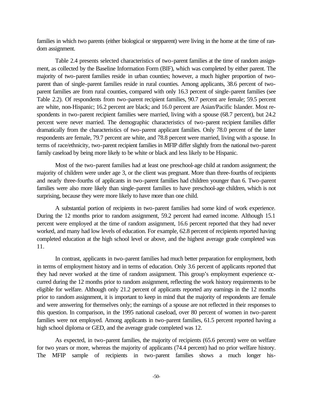families in which two parents (either biological or stepparent) were living in the home at the time of random assignment.

Table 2.4 presents selected characteristics of two-parent families at the time of random assignment, as collected by the Baseline Information Form (BIF), which was completed by either parent. The majority of two-parent families reside in urban counties; however, a much higher proportion of twoparent than of single-parent families reside in rural counties. Among applicants, 38.6 percent of twoparent families are from rural counties, compared with only 16.3 percent of single-parent families (see Table 2.2). Of respondents from two-parent recipient families, 90.7 percent are female; 59.5 percent are white, non-Hispanic; 16.2 percent are black; and 16.0 percent are Asian/Pacific Islander. Most respondents in two-parent recipient families were married, living with a spouse (68.7 percent), but 24.2 percent were never married. The demographic characteristics of two-parent recipient families differ dramatically from the characteristics of two-parent applicant families. Only 78.0 percent of the latter respondents are female, 79.7 percent are white, and 78.8 percent were married, living with a spouse. In terms of race/ethnicity, two-parent recipient families in MFIP differ slightly from the national two-parent family caseload by being more likely to be white or black and less likely to be Hispanic.

Most of the two-parent families had at least one preschool-age child at random assignment; the majority of children were under age 3, or the client was pregnant. More than three-fourths of recipients and nearly three-fourths of applicants in two-parent families had children younger than 6. Two-parent families were also more likely than single-parent families to have preschool-age children, which is not surprising, because they were more likely to have more than one child.

A substantial portion of recipients in two-parent families had some kind of work experience. During the 12 months prior to random assignment, 59.2 percent had earned income. Although 15.1 percent were employed at the time of random assignment, 16.6 percent reported that they had never worked, and many had low levels of education. For example, 62.8 percent of recipients reported having completed education at the high school level or above, and the highest average grade completed was 11.

In contrast, applicants in two-parent families had much better preparation for employment, both in terms of employment history and in terms of education. Only 3.6 percent of applicants reported that they had never worked at the time of random assignment. This group's employment experience  $\alpha$ curred during the 12 months prior to random assignment, reflecting the work history requirements to be eligible for welfare. Although only 21.2 percent of applicants reported any earnings in the 12 months prior to random assignment, it is important to keep in mind that the majority of respondents are female and were answering for themselves only; the earnings of a spouse are not reflected in their responses to this question. In comparison, in the 1995 national caseload, over 80 percent of women in two-parent families were not employed. Among applicants in two-parent families, 61.5 percent reported having a high school diploma or GED, and the average grade completed was 12.

As expected, in two-parent families, the majority of recipients (65.6 percent) were on welfare for two years or more, whereas the majority of applicants (74.4 percent) had no prior welfare history. The MFIP sample of recipients in two-parent families shows a much longer his-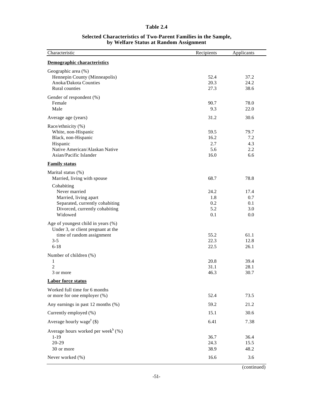## **Table 2.4**

| Characteristic                                     | Recipients | Applicants |
|----------------------------------------------------|------------|------------|
| Demographic characteristics                        |            |            |
| Geographic area (%)                                |            |            |
| Hennepin County (Minneapolis)                      | 52.4       | 37.2       |
| Anoka/Dakota Counties                              | 20.3       | 24.2       |
| <b>Rural</b> counties                              | 27.3       | 38.6       |
| Gender of respondent (%)                           |            |            |
| Female                                             | 90.7       | 78.0       |
| Male                                               | 9.3        | 22.0       |
| Average age (years)                                | 31.2       | 30.6       |
| Race/ethnicity (%)                                 |            |            |
| White, non-Hispanic                                | 59.5       | 79.7       |
| Black, non-Hispanic                                | 16.2       | 7.2        |
| Hispanic                                           | 2.7        | 4.3        |
| Native American/Alaskan Native                     | 5.6        | 2.2        |
| Asian/Pacific Islander                             | 16.0       | 6.6        |
| <b>Family status</b>                               |            |            |
| Marital status (%)                                 |            |            |
| Married, living with spouse                        | 68.7       | 78.8       |
| Cohabiting<br>Never married                        | 24.2       | 17.4       |
| Married, living apart                              | 1.8        | 0.7        |
| Separated, currently cohabiting                    | 0.2        | 0.1        |
| Divorced, currently cohabiting                     | 5.2        | 3.0        |
| Widowed                                            | 0.1        | 0.0        |
| Age of youngest child in years (%)                 |            |            |
| Under 3, or client pregnant at the                 |            |            |
| time of random assignment                          | 55.2       | 61.1       |
| $3 - 5$                                            | 22.3       | 12.8       |
| $6 - 18$                                           | 22.5       | 26.1       |
| Number of children (%)                             |            |            |
| 1                                                  | 20.8       | 39.4       |
| $\overline{2}$                                     | 31.1       | 28.1       |
| 3 or more                                          | 46.3       | 30.7       |
| <b>Labor force status</b>                          |            |            |
| Worked full time for 6 months                      |            |            |
| or more for one employer $(\%)$                    | 52.4       | 73.5       |
| Any earnings in past 12 months (%)                 | 59.2       | 21.2       |
| Currently employed (%)                             | 15.1       | 30.6       |
| Average hourly wage <sup><math>a</math></sup> (\$) | 6.41       | 7.38       |
| Average hours worked per week <sup>b</sup> $(\%)$  |            |            |
| $1-19$                                             | 36.7       | 36.4       |
| $20 - 29$                                          | 24.3       | 15.5       |
| 30 or more                                         | 38.9       | 48.2       |
| Never worked (%)                                   | 16.6       | 3.6        |

### **Selected Characteristics of Two-Parent Families in the Sample, by Welfare Status at Random Assignment**

(continued)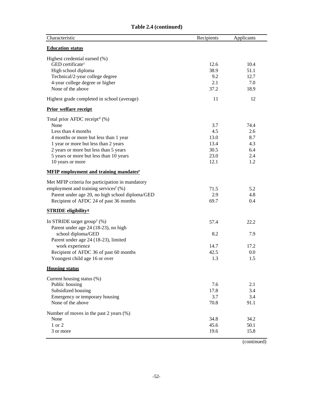# **Table 2.4 (continued)**

| Characteristic                                     | Recipients | Applicants |
|----------------------------------------------------|------------|------------|
| <b>Education status</b>                            |            |            |
| Highest credential earned (%)                      |            |            |
| GED certificate <sup>c</sup>                       | 12.6       | 10.4       |
| High school diploma                                | 38.9       | 51.1       |
| Technical/2-year college degree                    | 9.2        | 12.7       |
| 4-year college degree or higher                    | 2.1        | 7.0        |
| None of the above                                  | 37.2       | 18.9       |
| Highest grade completed in school (average)        | 11         | 12         |
| <b>Prior welfare receipt</b>                       |            |            |
| Total prior AFDC receipt <sup>d</sup> (%)          |            |            |
| None                                               | 3.7        | 74.4       |
| Less than 4 months                                 | 4.5        | 2.6        |
| 4 months or more but less than 1 year              | 13.0       | 8.7        |
| 1 year or more but less than 2 years               | 13.4       | 4.3        |
| 2 years or more but less than 5 years              | 30.5       | 6.4        |
| 5 years or more but less than 10 years             | 23.0       | 2.4        |
| 10 years or more                                   | 12.1       | 1.2        |
| MFIP employment and training mandates <sup>e</sup> |            |            |
| Met MFIP criteria for participation in mandatory   |            |            |
| employment and training services <sup>f</sup> (%)  | 71.5       | 5.2        |
| Parent under age 20, no high school diploma/GED    | 2.9        | 4.8        |
| Recipient of AFDC 24 of past 36 months             | 69.7       | 0.4        |
| <b>STRIDE</b> eligibility <sup>g</sup>             |            |            |
| In STRIDE target group <sup>f</sup> $(\%)$         | 57.4       | 22.2       |
| Parent under age 24 (18-23), no high               |            |            |
| school diploma/GED                                 | 8.2        | 7.9        |
| Parent under age 24 (18-23), limited               |            |            |
| work experience                                    | 14.7       | 17.2       |
| Recipient of AFDC 36 of past 60 months             | 42.5       | 0.0        |
| Youngest child age 16 or over                      | 1.3        | 1.5        |
| <b>Housing status</b>                              |            |            |
| Current housing status (%)                         |            |            |
| Public housing                                     | 7.6        | 2.1        |
| Subsidized housing                                 | 17.8       | 3.4        |
| Emergency or temporary housing                     | 3.7        | 3.4        |
| None of the above                                  | 70.8       | 91.1       |
| Number of moves in the past 2 years (%)            |            |            |
| None                                               | 34.8       | 34.2       |
| 1 or 2                                             | 45.6       | 50.1       |
| 3 or more                                          | 19.6       | 15.8       |
|                                                    |            |            |

(continued)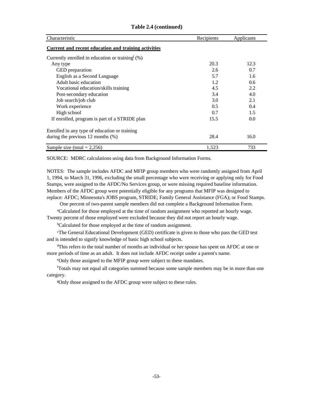| Characteristic                                              | Recipients | Applicants |
|-------------------------------------------------------------|------------|------------|
| <b>Current and recent education and training activities</b> |            |            |
| Currently enrolled in education or training $(\%)$          |            |            |
| Any type                                                    | 20.3       | 12.3       |
| GED preparation                                             | 2.6        | 0.7        |
| English as a Second Language                                | 5.7        | 1.6        |
| Adult basic education                                       | 1.2        | 0.6        |
| Vocational education/skills training                        | 4.5        | 2.2        |
| Post-secondary education                                    | 3.4        | 4.0        |
| Job search/job club                                         | 3.0        | 2.1        |
| Work experience                                             | 0.5        | 0.4        |
| High school                                                 | 0.7        | 1.5        |
| If enrolled, program is part of a STRIDE plan               | 15.5       | 0.0        |
| Enrolled in any type of education or training               |            |            |
| during the previous $12$ months $(\%)$                      | 28.4       | 16.0       |
| Sample size (total = $2,256$ )                              | 1,523      | 733        |

#### **Table 2.4 (continued)**

SOURCE: MDRC calculations using data from Background Information Forms.

NOTES: The sample includes AFDC and MFIP group members who were randomly assigned from April 1, 1994, to March 31, 1996, excluding the small percentage who were receiving or applying only for Food Stamps, were assigned to the AFDC/No Services group, or were missing required baseline information. Members of the AFDC group were potentially eligible for any programs that MFIP was designed to replace: AFDC; Minnesota's JOBS program, STRIDE; Family General Assistance (FGA); or Food Stamps.

One percent of two-parent sample members did not complete a Background Information Form.

<sup>a</sup>Calculated for those employed at the time of random assignment who reported an hourly wage. Twenty percent of those employed were excluded because they did not report an hourly wage.

<sup>b</sup>Calculated for those employed at the time of random assignment.

<sup>c</sup>The General Educational Development (GED) certificate is given to those who pass the GED test and is intended to signify knowledge of basic high school subjects.

 $\text{d}_{\text{This}}$  refers to the total number of months an individual or her spouse has spent on AFDC at one or more periods of time as an adult. It does not include AFDC receipt under a parent's name.

<sup>e</sup>Only those assigned to the MFIP group were subject to these mandates.

<sup>f</sup>Totals may not equal all categories summed because some sample members may be in more than one category.

gOnly those assigned to the AFDC group were subject to these rules.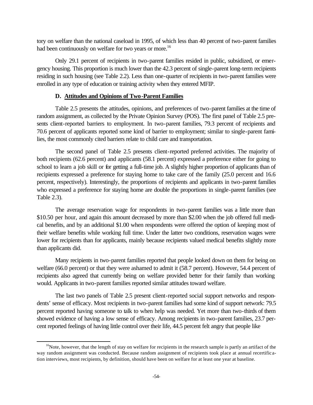tory on welfare than the national caseload in 1995, of which less than 40 percent of two-parent families had been continuously on welfare for two years or more.<sup>16</sup>

Only 29.1 percent of recipients in two-parent families resided in public, subsidized, or emergency housing. This proportion is much lower than the 42.3 percent of single-parent long-term recipients residing in such housing (see Table 2.2). Less than one-quarter of recipients in two-parent families were enrolled in any type of education or training activity when they entered MFIP.

### **D. Attitudes and Opinions of Two-Parent Families**

Table 2.5 presents the attitudes, opinions, and preferences of two-parent families at the time of random assignment, as collected by the Private Opinion Survey (POS). The first panel of Table 2.5 presents client-reported barriers to employment. In two-parent families, 79.3 percent of recipients and 70.6 percent of applicants reported some kind of barrier to employment; similar to single-parent families, the most commonly cited barriers relate to child care and transportation.

The second panel of Table 2.5 presents client-reported preferred activities. The majority of both recipients (62.6 percent) and applicants (58.1 percent) expressed a preference either for going to school to learn a job skill or for getting a full-time job. A slightly higher proportion of applicants than of recipients expressed a preference for staying home to take care of the family (25.0 percent and 16.6 percent, respectively). Interestingly, the proportions of recipients and applicants in two-parent families who expressed a preference for staying home are double the proportions in single-parent families (see Table 2.3).

The average reservation wage for respondents in two-parent families was a little more than \$10.50 per hour, and again this amount decreased by more than \$2.00 when the job offered full medical benefits, and by an additional \$1.00 when respondents were offered the option of keeping most of their welfare benefits while working full time. Under the latter two conditions, reservation wages were lower for recipients than for applicants, mainly because recipients valued medical benefits slightly more than applicants did.

Many recipients in two-parent families reported that people looked down on them for being on welfare (66.0 percent) or that they were ashamed to admit it (58.7 percent). However, 54.4 percent of recipients also agreed that currently being on welfare provided better for their family than working would. Applicants in two-parent families reported similar attitudes toward welfare.

The last two panels of Table 2.5 present client-reported social support networks and respondents' sense of efficacy. Most recipients in two-parent families had some kind of support network: 79.5 percent reported having someone to talk to when help was needed. Yet more than two-thirds of them showed evidence of having a low sense of efficacy. Among recipients in two-parent families, 23.7 percent reported feelings of having little control over their life, 44.5 percent felt angry that people like

l

 $16$ Note, however, that the length of stay on welfare for recipients in the research sample is partly an artifact of the way random assignment was conducted. Because random assignment of recipients took place at annual recertification interviews, most recipients, by definition, should have been on welfare for at least one year at baseline.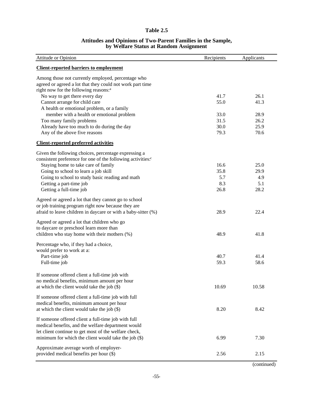### **Table 2.5**

#### **Attitudes and Opinions of Two-Parent Families in the Sample, by Welfare Status at Random Assignment**

| Attitude or Opinion                                                                           | Recipients | Applicants |
|-----------------------------------------------------------------------------------------------|------------|------------|
| <b>Client-reported barriers to employment</b>                                                 |            |            |
| Among those not currently employed, percentage who                                            |            |            |
| agreed or agreed a lot that they could not work part time                                     |            |            |
| right now for the following reasons: <sup>a</sup>                                             |            |            |
| No way to get there every day                                                                 | 41.7       | 26.1       |
| Cannot arrange for child care                                                                 | 55.0       | 41.3       |
| A health or emotional problem, or a family                                                    |            |            |
| member with a health or emotional problem                                                     | 33.0       | 28.9       |
| Too many family problems                                                                      | 31.5       | 26.2       |
| Already have too much to do during the day                                                    | 30.0       | 25.9       |
| Any of the above five reasons                                                                 | 79.3       | 70.6       |
| <b>Client-reported preferred activities</b>                                                   |            |            |
| Given the following choices, percentage expressing a                                          |            |            |
| consistent preference for one of the following activities. <sup>c</sup>                       |            |            |
| Staying home to take care of family                                                           | 16.6       | 25.0       |
| Going to school to learn a job skill                                                          | 35.8       | 29.9       |
| Going to school to study basic reading and math                                               | 5.7        | 4.9        |
| Getting a part-time job                                                                       | 8.3        | 5.1        |
| Getting a full-time job                                                                       | 26.8       | 28.2       |
| Agreed or agreed a lot that they cannot go to school                                          |            |            |
| or job training program right now because they are                                            |            |            |
| afraid to leave children in daycare or with a baby-sitter (%)                                 | 28.9       | 22.4       |
| Agreed or agreed a lot that children who go                                                   |            |            |
| to daycare or preschool learn more than                                                       |            |            |
| children who stay home with their mothers (%)                                                 | 48.9       | 41.8       |
|                                                                                               |            |            |
| Percentage who, if they had a choice,                                                         |            |            |
| would prefer to work at a:                                                                    |            |            |
| Part-time job                                                                                 | 40.7       | 41.4       |
| Full-time job                                                                                 | 59.3       | 58.6       |
|                                                                                               |            |            |
| If someone offered client a full-time job with                                                |            |            |
| no medical benefits, minimum amount per hour<br>at which the client would take the job $(\$)$ | 10.69      | 10.58      |
|                                                                                               |            |            |
| If someone offered client a full-time job with full                                           |            |            |
| medical benefits, minimum amount per hour                                                     |            |            |
| at which the client would take the job $(\$)$                                                 | 8.20       | 8.42       |
| If someone offered client a full-time job with full                                           |            |            |
| medical benefits, and the welfare department would                                            |            |            |
| let client continue to get most of the welfare check,                                         |            |            |
| minimum for which the client would take the job (\$)                                          | 6.99       | 7.30       |
|                                                                                               |            |            |
| Approximate average worth of employer-                                                        |            |            |
| provided medical benefits per hour (\$)                                                       | 2.56       | 2.15       |

(continued)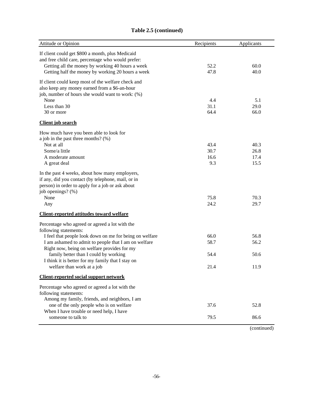# **Table 2.5 (continued)**

| Attitude or Opinion                                                                                                                                                                                                                                                                                                                                                   | Recipients                   | Applicants                   |
|-----------------------------------------------------------------------------------------------------------------------------------------------------------------------------------------------------------------------------------------------------------------------------------------------------------------------------------------------------------------------|------------------------------|------------------------------|
| If client could get \$800 a month, plus Medicaid<br>and free child care, percentage who would prefer:<br>Getting all the money by working 40 hours a week<br>Getting half the money by working 20 hours a week                                                                                                                                                        | 52.2<br>47.8                 | 60.0<br>40.0                 |
| If client could keep most of the welfare check and<br>also keep any money earned from a \$6-an-hour<br>job, number of hours she would want to work: (%)                                                                                                                                                                                                               |                              |                              |
| None<br>Less than 30<br>30 or more                                                                                                                                                                                                                                                                                                                                    | 4.4<br>31.1<br>64.4          | 5.1<br>29.0<br>66.0          |
| <b>Client job search</b>                                                                                                                                                                                                                                                                                                                                              |                              |                              |
| How much have you been able to look for<br>a job in the past three months? (%)<br>Not at all<br>Some/a little<br>A moderate amount<br>A great deal                                                                                                                                                                                                                    | 43.4<br>30.7<br>16.6<br>9.3  | 40.3<br>26.8<br>17.4<br>15.5 |
| In the past 4 weeks, about how many employers,<br>if any, did you contact (by telephone, mail, or in<br>person) in order to apply for a job or ask about<br>job openings? (%)<br>None<br>Any                                                                                                                                                                          | 75.8<br>24.2                 | 70.3<br>29.7                 |
| <b>Client-reported attitudes toward welfare</b>                                                                                                                                                                                                                                                                                                                       |                              |                              |
| Percentage who agreed or agreed a lot with the<br>following statements:<br>I feel that people look down on me for being on welfare<br>I am ashamed to admit to people that I am on welfare<br>Right now, being on welfare provides for my<br>family better than I could by working<br>I think it is better for my family that I stay on<br>welfare than work at a job | 66.0<br>58.7<br>54.4<br>21.4 | 56.8<br>56.2<br>50.6<br>11.9 |
| <b>Client-reported social support network</b>                                                                                                                                                                                                                                                                                                                         |                              |                              |
| Percentage who agreed or agreed a lot with the<br>following statements:<br>Among my family, friends, and neighbors, I am<br>one of the only people who is on welfare<br>When I have trouble or need help, I have<br>someone to talk to                                                                                                                                | 37.6<br>79.5                 | 52.8<br>86.6                 |

(continued)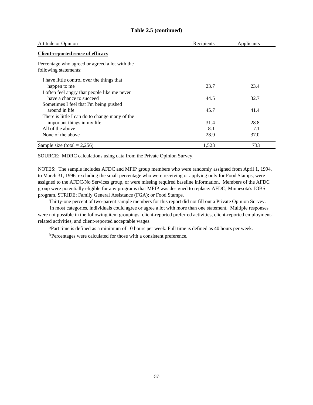#### **Table 2.5 (continued)**

| Attitude or Opinion                            | Recipients | Applicants |
|------------------------------------------------|------------|------------|
| <b>Client-reported sense of efficacy</b>       |            |            |
| Percentage who agreed or agreed a lot with the |            |            |
| following statements:                          |            |            |
| I have little control over the things that     |            |            |
| happen to me                                   | 23.7       | 23.4       |
| I often feel angry that people like me never   |            |            |
| have a chance to succeed                       | 44.5       | 32.7       |
| Sometimes I feel that I'm being pushed         |            |            |
| around in life                                 | 45.7       | 41.4       |
| There is little I can do to change many of the |            |            |
| important things in my life                    | 31.4       | 28.8       |
| All of the above                               | 8.1        | 7.1        |
| None of the above                              | 28.9       | 37.0       |
| Sample size (total = $2,256$ )                 | 1,523      | 733        |

SOURCE: MDRC calculations using data from the Private Opinion Survey.

NOTES: The sample includes AFDC and MFIP group members who were randomly assigned from April 1, 1994, to March 31, 1996, excluding the small percentage who were receiving or applying only for Food Stamps, were assigned to the AFDC/No Services group, or were missing required baseline information. Members of the AFDC group were potentially eligible for any programs that MFIP was designed to replace: AFDC; Minnesota's JOBS program, STRIDE; Family General Assistance (FGA); or Food Stamps.

Thirty-one percent of two-parent sample members for this report did not fill out a Private Opinion Survey.

 In most categories, individuals could agree or agree a lot with more than one statement. Multiple responses were not possible in the following item groupings: client-reported preferred activities, client-reported employmentrelated activities, and client-reported acceptable wages.

<sup>a</sup>Part time is defined as a minimum of 10 hours per week. Full time is defined as 40 hours per week.

b<sub>Percentages</sub> were calculated for those with a consistent preference.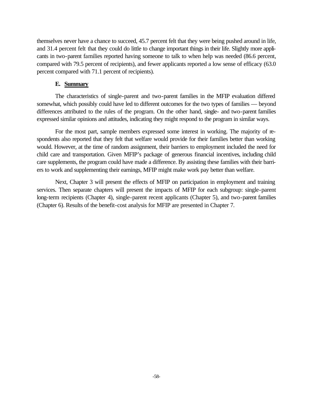themselves never have a chance to succeed, 45.7 percent felt that they were being pushed around in life, and 31.4 percent felt that they could do little to change important things in their life. Slightly more applicants in two-parent families reported having someone to talk to when help was needed (86.6 percent, compared with 79.5 percent of recipients), and fewer applicants reported a low sense of efficacy (63.0 percent compared with 71.1 percent of recipients).

## **E. Summary**

The characteristics of single-parent and two-parent families in the MFIP evaluation differed somewhat, which possibly could have led to different outcomes for the two types of families — beyond differences attributed to the rules of the program. On the other hand, single- and two-parent families expressed similar opinions and attitudes, indicating they might respond to the program in similar ways.

For the most part, sample members expressed some interest in working. The majority of respondents also reported that they felt that welfare would provide for their families better than working would. However, at the time of random assignment, their barriers to employment included the need for child care and transportation. Given MFIP's package of generous financial incentives, including child care supplements, the program could have made a difference. By assisting these families with their barriers to work and supplementing their earnings, MFIP might make work pay better than welfare.

Next, Chapter 3 will present the effects of MFIP on participation in employment and training services. Then separate chapters will present the impacts of MFIP for each subgroup: single-parent long-term recipients (Chapter 4), single-parent recent applicants (Chapter 5), and two-parent families (Chapter 6). Results of the benefit-cost analysis for MFIP are presented in Chapter 7.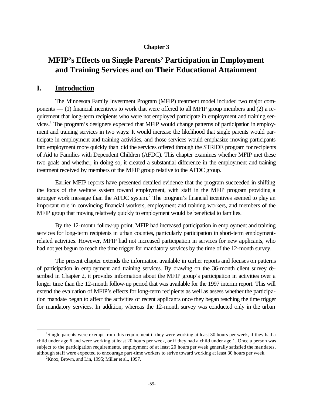### **Chapter 3**

# **MFIP's Effects on Single Parents' Participation in Employment and Training Services and on Their Educational Attainment**

# **I. Introduction**

The Minnesota Family Investment Program (MFIP) treatment model included two major components — (1) financial incentives to work that were offered to all MFIP group members and (2) a requirement that long-term recipients who were not employed participate in employment and training services.<sup>1</sup> The program's designers expected that MFIP would change patterns of participation in employment and training services in two ways: It would increase the likelihood that single parents would participate in employment and training activities, and those services would emphasize moving participants into employment more quickly than did the services offered through the STRIDE program for recipients of Aid to Families with Dependent Children (AFDC). This chapter examines whether MFIP met these two goals and whether, in doing so, it created a substantial difference in the employment and training treatment received by members of the MFIP group relative to the AFDC group.

Earlier MFIP reports have presented detailed evidence that the program succeeded in shifting the focus of the welfare system toward employment, with staff in the MFIP program providing a stronger work message than the AFDC system.<sup>2</sup> The program's financial incentives seemed to play an important role in convincing financial workers, employment and training workers, and members of the MFIP group that moving relatively quickly to employment would be beneficial to families.

By the 12-month follow-up point, MFIP had increased participation in employment and training services for long-term recipients in urban counties, particularly participation in short-term employmentrelated activities. However, MFIP had not increased participation in services for new applicants, who had not yet begun to reach the time trigger for mandatory services by the time of the 12-month survey.

The present chapter extends the information available in earlier reports and focuses on patterns of participation in employment and training services. By drawing on the 36-month client survey described in Chapter 2, it provides information about the MFIP group's participation in activities over a longer time than the 12-month follow-up period that was available for the 1997 interim report. This will extend the evaluation of MFIP's effects for long-term recipients as well as assess whether the participation mandate began to affect the activities of recent applicants once they began reaching the time trigger for mandatory services. In addition, whereas the 12-month survey was conducted only in the urban

l

<sup>&</sup>lt;sup>1</sup>Single parents were exempt from this requirement if they were working at least 30 hours per week, if they had a child under age 6 and were working at least 20 hours per week, or if they had a child under age 1. Once a person was subject to the participation requirements, employment of at least 20 hours per week generally satisfied the mandates, although staff were expected to encourage part-time workers to strive toward working at least 30 hours per week.

 ${}^{2}$ Knox, Brown, and Lin, 1995; Miller et al., 1997.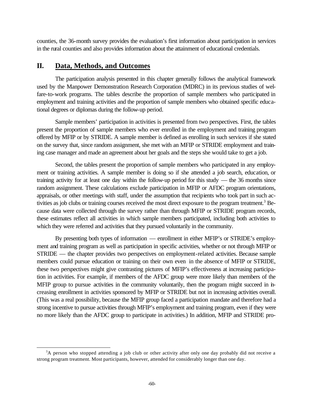counties, the 36-month survey provides the evaluation's first information about participation in services in the rural counties and also provides information about the attainment of educational credentials.

# **II. Data, Methods, and Outcomes**

l

The participation analysis presented in this chapter generally follows the analytical framework used by the Manpower Demonstration Research Corporation (MDRC) in its previous studies of welfare-to-work programs. The tables describe the proportion of sample members who participated in employment and training activities and the proportion of sample members who obtained specific educational degrees or diplomas during the follow-up period.

Sample members' participation in activities is presented from two perspectives. First, the tables present the proportion of sample members who ever enrolled in the employment and training program offered by MFIP or by STRIDE. A sample member is defined as enrolling in such services if she stated on the survey that, since random assignment, she met with an MFIP or STRIDE employment and training case manager and made an agreement about her goals and the steps she would take to get a job.

Second, the tables present the proportion of sample members who participated in any employment or training activities. A sample member is doing so if she attended a job search, education, or training activity for at least one day within the follow-up period for this study — the 36 months since random assignment. These calculations exclude participation in MFIP or AFDC program orientations, appraisals, or other meetings with staff, under the assumption that recipients who took part in such activities as job clubs or training courses received the most direct exposure to the program treatment.<sup>3</sup> Because data were collected through the survey rather than through MFIP or STRIDE program records, these estimates reflect all activities in which sample members participated, including both activities to which they were referred and activities that they pursued voluntarily in the community.

By presenting both types of information — enrollment in either MFIP's or STRIDE's employment and training program as well as participation in specific activities, whether or not through MFIP or STRIDE — the chapter provides two perspectives on employment-related activities. Because sample members could pursue education or training on their own even in the absence of MFIP or STRIDE, these two perspectives might give contrasting pictures of MFIP's effectiveness at increasing participation in activities. For example, if members of the AFDC group were more likely than members of the MFIP group to pursue activities in the community voluntarily, then the program might succeed in increasing enrollment in activities sponsored by MFIP or STRIDE but not in increasing activities overall. (This was a real possibility, because the MFIP group faced a participation mandate and therefore had a strong incentive to pursue activities through MFIP's employment and training program, even if they were no more likely than the AFDC group to participate in activities.) In addition, MFIP and STRIDE pro-

<sup>&</sup>lt;sup>3</sup>A person who stopped attending a job club or other activity after only one day probably did not receive a strong program treatment. Most participants, however, attended for considerably longer than one day.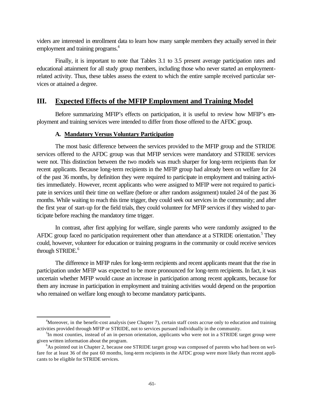viders are interested in enrollment data to learn how many sample members they actually served in their employment and training programs.<sup>4</sup>

Finally, it is important to note that Tables 3.1 to 3.5 present average participation rates and educational attainment for all study group members, including those who never started an employmentrelated activity. Thus, these tables assess the extent to which the entire sample received particular services or attained a degree.

# **III. Expected Effects of the MFIP Employment and Training Model**

Before summarizing MFIP's effects on participation, it is useful to review how MFIP's employment and training services were intended to differ from those offered to the AFDC group.

#### **A. Mandatory Versus Voluntary Participation**

l

The most basic difference between the services provided to the MFIP group and the STRIDE services offered to the AFDC group was that MFIP services were mandatory and STRIDE services were not. This distinction between the two models was much sharper for long-term recipients than for recent applicants. Because long-term recipients in the MFIP group had already been on welfare for 24 of the past 36 months, by definition they were required to participate in employment and training activities immediately. However, recent applicants who were assigned to MFIP were not required to participate in services until their time on welfare (before or after random assignment) totaled 24 of the past 36 months. While waiting to reach this time trigger, they could seek out services in the community; and after the first year of start-up for the field trials, they could volunteer for MFIP services if they wished to participate before reaching the mandatory time trigger.

In contrast, after first applying for welfare, single parents who were randomly assigned to the AFDC group faced no participation requirement other than attendance at a STRIDE orientation.<sup>5</sup> They could, however, volunteer for education or training programs in the community or could receive services through STRIDE.<sup>6</sup>

The difference in MFIP rules for long-term recipients and recent applicants meant that the rise in participation under MFIP was expected to be more pronounced for long-term recipients. In fact, it was uncertain whether MFIP would cause an increase in participation among recent applicants, because for them any increase in participation in employment and training activities would depend on the proportion who remained on welfare long enough to become mandatory participants.

<sup>4</sup>Moreover, in the benefit-cost analysis (see Chapter 7), certain staff costs accrue only to education and training activities provided through MFIP or STRIDE, not to services pursued individually in the community.

<sup>&</sup>lt;sup>5</sup>In most counties, instead of an in-person orientation, applicants who were not in a STRIDE target group were given written information about the program.

<sup>&</sup>lt;sup>6</sup>As pointed out in Chapter 2, because one STRIDE target group was composed of parents who had been on welfare for at least 36 of the past 60 months, long-term recipients in the AFDC group were more likely than recent applicants to be eligible for STRIDE services.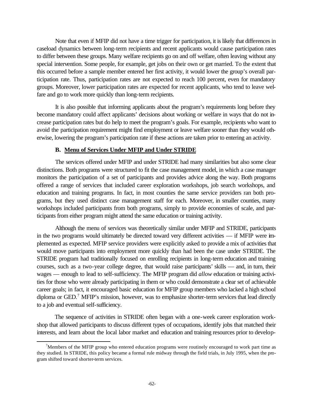Note that even if MFIP did not have a time trigger for participation, it is likely that differences in caseload dynamics between long-term recipients and recent applicants would cause participation rates to differ between these groups. Many welfare recipients go on and off welfare, often leaving without any special intervention. Some people, for example, get jobs on their own or get married. To the extent that this occurred before a sample member entered her first activity, it would lower the group's overall participation rate. Thus, participation rates are not expected to reach 100 percent, even for mandatory groups. Moreover, lower participation rates are expected for recent applicants, who tend to leave welfare and go to work more quickly than long-term recipients.

It is also possible that informing applicants about the program's requirements long before they become mandatory could affect applicants' decisions about working or welfare in ways that do not increase participation rates but do help to meet the program's goals. For example, recipients who want to avoid the participation requirement might find employment or leave welfare sooner than they would otherwise, lowering the program's participation rate if these actions are taken prior to entering an activity.

## **B. Menu of Services Under MFIP and Under STRIDE**

The services offered under MFIP and under STRIDE had many similarities but also some clear distinctions. Both programs were structured to fit the case management model, in which a case manager monitors the participation of a set of participants and provides advice along the way. Both programs offered a range of services that included career exploration workshops, job search workshops, and education and training programs. In fact, in most counties the same service providers ran both programs, but they used distinct case management staff for each. Moreover, in smaller counties, many workshops included participants from both programs, simply to provide economies of scale, and participants from either program might attend the same education or training activity.

Although the menu of services was theoretically similar under MFIP and STRIDE, participants in the two programs would ultimately be directed toward very different activities — if MFIP were implemented as expected. MFIP service providers were explicitly asked to provide a mix of activities that would move participants into employment more quickly than had been the case under STRIDE. The STRIDE program had traditionally focused on enrolling recipients in long-term education and training courses, such as a two-year college degree, that would raise participants' skills — and, in turn, their wages — enough to lead to self-sufficiency. The MFIP program did *allow* education or training activities for those who were already participating in them or who could demonstrate a clear set of achievable career goals; in fact, it encouraged basic education for MFIP group members who lacked a high school diploma or GED.<sup>7</sup> MFIP's mission, however, was to emphasize shorter-term services that lead directly to a job and eventual self-sufficiency.

The sequence of activities in STRIDE often began with a one-week career exploration workshop that allowed participants to discuss different types of occupations, identify jobs that matched their interests, and learn about the local labor market and education and training resources prior to develop-

l

 $\mu$ <sup>7</sup>Members of the MFIP group who entered education programs were routinely encouraged to work part time as they studied. In STRIDE, this policy became a formal rule midway through the field trials, in July 1995, when the program shifted toward shorter-term services.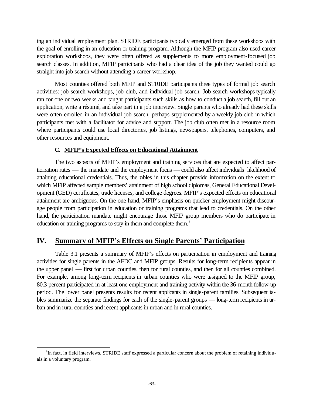ing an individual employment plan. STRIDE participants typically emerged from these workshops with the goal of enrolling in an education or training program. Although the MFIP program also used career exploration workshops, they were often offered as supplements to more employment-focused job search classes. In addition, MFIP participants who had a clear idea of the job they wanted could go straight into job search without attending a career workshop.

Most counties offered both MFIP and STRIDE participants three types of formal job search activities: job search workshops, job club, and individual job search. Job search workshops typically ran for one or two weeks and taught participants such skills as how to conduct a job search, fill out an application, write a résumé, and take part in a job interview. Single parents who already had these skills were often enrolled in an individual job search, perhaps supplemented by a weekly job club in which participants met with a facilitator for advice and support. The job club often met in a resource room where participants could use local directories, job listings, newspapers, telephones, computers, and other resources and equipment.

## **C. MFIP's Expected Effects on Educational Attainment**

The two aspects of MFIP's employment and training services that are expected to affect participation rates — the mandate and the employment focus — could also affect individuals' likelihood of attaining educational credentials. Thus, the tables in this chapter provide information on the extent to which MFIP affected sample members' attainment of high school diplomas, General Educational Development (GED) certificates, trade licenses, and college degrees. MFIP's expected effects on educational attainment are ambiguous. On the one hand, MFIP's emphasis on quicker employment might discourage people from participation in education or training programs that lead to credentials. On the other hand, the participation mandate might encourage those MFIP group members who do participate in education or training programs to stay in them and complete them.<sup>8</sup>

# **IV. Summary of MFIP's Effects on Single Parents' Participation**

Table 3.1 presents a summary of MFIP's effects on participation in employment and training activities for single parents in the AFDC and MFIP groups. Results for long-term recipients appear in the upper panel — first for urban counties, then for rural counties, and then for all counties combined. For example, among long-term recipients in urban counties who were assigned to the MFIP group, 80.3 percent participated in at least one employment and training activity within the 36-month follow-up period. The lower panel presents results for recent applicants in single-parent families. Subsequent tables summarize the separate findings for each of the single-parent groups — long-term recipients in urban and in rural counties and recent applicants in urban and in rural counties.

l

<sup>&</sup>lt;sup>8</sup>In fact, in field interviews, STRIDE staff expressed a particular concern about the problem of retaining individuals in a voluntary program.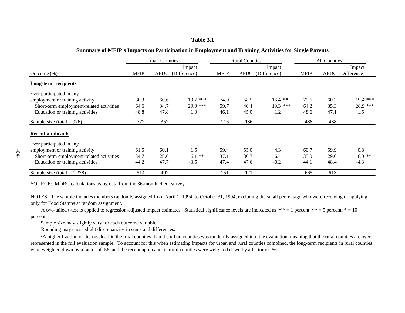#### **Table 3.1**

### **Summary of MFIP's Impacts on Participation in Employment and Training Activities for Single Parents**

|                                          | <b>Urban Counties</b> |                   |            |             | <b>Rural Counties</b> |                             | All Counties <sup>a</sup> |                   |            |
|------------------------------------------|-----------------------|-------------------|------------|-------------|-----------------------|-----------------------------|---------------------------|-------------------|------------|
| Outcome $(\%)$                           | <b>MFIP</b>           | AFDC (Difference) | Impact     | <b>MFIP</b> |                       | Impact<br>AFDC (Difference) | <b>MFIP</b>               | AFDC (Difference) | Impact     |
| Long-term recipients                     |                       |                   |            |             |                       |                             |                           |                   |            |
| Ever participated in any                 |                       |                   |            |             |                       |                             |                           |                   |            |
| employment or training activity          | 80.3                  | 60.6              | $19.7$ *** | 74.9        | 58.5                  | $16.4$ **                   | 79.6                      | 60.2              | $19.4$ *** |
| Short-term employment-related activities | 64.6                  | 34.7              | 29.9 ***   | 59.7        | 40.4                  | $19.3$ ***                  | 64.2                      | 35.3              | 28.9 ***   |
| Education or training activities         | 48.8                  | 47.8              | 1.0        | 46.1        | 45.0                  | 1.2                         | 48.6                      | 47.1              | 1.5        |
| Sample size (total = $976$ )             | 372                   | 352               |            | 116         | 136                   |                             | 488                       | 488               |            |
| <b>Recent applicants</b>                 |                       |                   |            |             |                       |                             |                           |                   |            |
| Ever participated in any                 |                       |                   |            |             |                       |                             |                           |                   |            |
| employment or training activity          | 61.5                  | 60.1              | 1.5        | 59.4        | 55.0                  | 4.3                         | 60.7                      | 59.9              | 0.8        |
| Short-term employment-related activities | 34.7                  | 28.6              | $6.1**$    | 37.1        | 30.7                  | 6.4                         | 35.0                      | 29.0              | $6.0$ **   |
| Education or training activities         | 44.2                  | 47.7              | $-3.5$     | 47.4        | 47.6                  | $-0.2$                      | 44.1                      | 48.4              | $-4.3$     |
| Sample size (total = $1,278$ )           | 514                   | 492               |            | 151         | 121                   |                             | 665                       | 613               |            |

SOURCE: MDRC calculations using data from the 36-month client survey.

NOTES: The sample includes members randomly assigned from April 1, 1994, to October 31, 1994, excluding the small percentage who were receiving or applying only for Food Stamps at random assignment.

A two-tailed t-test is applied to regression-adjusted impact estimates. Statistical significance levels are indicated as \*\*\* = 1 percent; \*\* = 5 percent; \* = 10 percent.

Sample size may slightly vary for each outcome variable.

Rounding may cause slight discrepancies in sums and differences.

<sup>a</sup>A higher fraction of the caseload in the rural counties than the urban counties was randomly assigned into the evaluation, meaning that the rural counties are overrepresented in the full evaluation sample. To account for this when estimating impacts for urban and rural counties combined, the long-term recipients in rural counties were weighted down by a factor of .56, and the recent applicants in rural counties were weighted down by a factor of .66.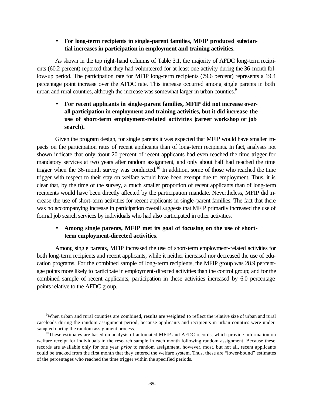# • **For long-term recipients in single-parent families, MFIP produced substantial increases in participation in employment and training activities.**

As shown in the top right-hand columns of Table 3.1, the majority of AFDC long-term recipients (60.2 percent) reported that they had volunteered for at least one activity during the 36-month follow-up period. The participation rate for MFIP long-term recipients (79.6 percent) represents a 19.4 percentage point increase over the AFDC rate. This increase occurred among single parents in both urban and rural counties, although the increase was somewhat larger in urban counties.<sup>9</sup>

• **For recent applicants in single-parent families, MFIP did not increase overall participation in employment and training activities, but it did increase the use of short-term employment-related activities (career workshop or job search).**

Given the program design, for single parents it was expected that MFIP would have smaller impacts on the participation rates of recent applicants than of long-term recipients. In fact, analyses not shown indicate that only about 20 percent of recent applicants had even reached the time trigger for mandatory services at two years after random assignment, and only about half had reached the time trigger when the 36-month survey was conducted.<sup>10</sup> In addition, some of those who reached the time trigger with respect to their stay on welfare would have been exempt due to employment. Thus, it is clear that, by the time of the survey, a much smaller proportion of recent applicants than of long-term recipients would have been directly affected by the participation mandate. Nevertheless, MFIP did increase the use of short-term activities for recent applicants in single-parent families. The fact that there was no accompanying increase in participation overall suggests that MFIP primarily increased the use of formal job search services by individuals who had also participated in other activities.

# • **Among single parents, MFIP met its goal of focusing on the use of shortterm employment-directed activities.**

Among single parents, MFIP increased the use of short-term employment-related activities for both long-term recipients and recent applicants, while it neither increased nor decreased the use of education programs. For the combined sample of long-term recipients, the MFIP group was 28.9 percentage points more likely to participate in employment-directed activities than the control group; and for the combined sample of recent applicants, participation in these activities increased by 6.0 percentage points relative to the AFDC group.

l

<sup>&</sup>lt;sup>9</sup>When urban and rural counties are combined, results are weighted to reflect the relative size of urban and rural caseloads during the random assignment period, because applicants and recipients in urban counties were undersampled during the random assignment process.

 $10$ These estimates are based on analysis of automated MFIP and AFDC records, which provide information on welfare receipt for individuals in the research sample in each month following random assignment. Because these records are available only for one year *prior* to random assignment, however, most, but not all, recent applicants could be tracked from the first month that they entered the welfare system. Thus, these are "lower-bound" estimates of the percentages who reached the time trigger within the specified periods.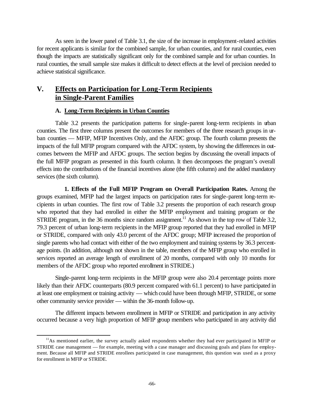As seen in the lower panel of Table 3.1, the size of the increase in employment-related activities for recent applicants is similar for the combined sample, for urban counties, and for rural counties, even though the impacts are statistically significant only for the combined sample and for urban counties. In rural counties, the small sample size makes it difficult to detect effects at the level of precision needed to achieve statistical significance.

# **V. Effects on Participation for Long-Term Recipients in Single-Parent Families**

## **A. Long-Term Recipients in Urban Counties**

l

Table 3.2 presents the participation patterns for single-parent long-term recipients in urban counties. The first three columns present the outcomes for members of the three research groups in urban counties — MFIP, MFIP Incentives Only, and the AFDC group. The fourth column presents the impacts of the full MFIP program compared with the AFDC system, by showing the differences in outcomes between the MFIP and AFDC groups. The section begins by discussing the overall impacts of the full MFIP program as presented in this fourth column. It then decomposes the program's overall effects into the contributions of the financial incentives alone (the fifth column) and the added mandatory services (the sixth column).

**1. Effects of the Full MFIP Program on Overall Participation Rates.** Among the groups examined, MFIP had the largest impacts on participation rates for single-parent long-term recipients in urban counties. The first row of Table 3.2 presents the proportion of each research group who reported that they had enrolled in either the MFIP employment and training program or the STRIDE program, in the 36 months since random assignment.<sup>11</sup> As shown in the top row of Table 3.2, 79.3 percent of urban long-term recipients in the MFIP group reported that they had enrolled in MFIP or STRIDE, compared with only 43.0 percent of the AFDC group; MFIP increased the proportion of single parents who had contact with either of the two employment and training systems by 36.3 percentage points. (In addition, although not shown in the table, members of the MFIP group who enrolled in services reported an average length of enrollment of 20 months, compared with only 10 months for members of the AFDC group who reported enrollment in STRIDE.)

Single-parent long-term recipients in the MFIP group were also 20.4 percentage points more likely than their AFDC counterparts (80.9 percent compared with 61.1 percent) to have participated in at least one employment or training activity — which could have been through MFIP, STRIDE, or some other community service provider — within the 36-month follow-up.

The different impacts between enrollment in MFIP or STRIDE and participation in any activity occurred because a very high proportion of MFIP group members who participated in any activity did

 $11$ As mentioned earlier, the survey actually asked respondents whether they had ever participated in MFIP or STRIDE case management — for example, meeting with a case manager and discussing goals and plans for employment. Because all MFIP and STRIDE enrollees participated in case management, this question was used as a proxy for enrollment in MFIP or STRIDE.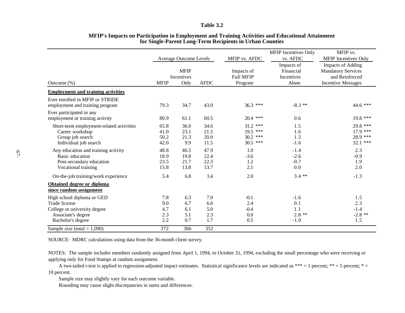#### **Table 3.2**

|                                                                                                                        |                                                                        | Average Outcome Levels          |                                 | MFIP vs. AFDC                                        | <b>MFIP</b> Incentives Only<br>vs. AFDC               | MFIP vs.<br>MFIP Incentives Only                                                                     |  |
|------------------------------------------------------------------------------------------------------------------------|------------------------------------------------------------------------|---------------------------------|---------------------------------|------------------------------------------------------|-------------------------------------------------------|------------------------------------------------------------------------------------------------------|--|
| Outcome (%)                                                                                                            | <b>MFIP</b><br><b>Incentives</b><br><b>AFDC</b><br><b>MFIP</b><br>Only |                                 |                                 | Impacts of<br><b>Full MFIP</b><br>Program            | Impacts of<br>Financial<br><b>Incentives</b><br>Alone | <b>Impacts of Adding</b><br><b>Mandatory Services</b><br>and Reinforced<br><b>Incentive Messages</b> |  |
| <b>Employment and training activities</b>                                                                              |                                                                        |                                 |                                 |                                                      |                                                       |                                                                                                      |  |
| Ever enrolled in MFIP or STRIDE<br>employment and training program                                                     | 79.3                                                                   | 34.7                            | 43.0                            | $36.3$ ***                                           | $-8.3$ **                                             | 44.6 ***                                                                                             |  |
| Ever participated in any<br>employment or training activity                                                            | 80.9                                                                   | 61.1                            | 60.5                            | 20.4 ***                                             | 0.6                                                   | $19.8***$                                                                                            |  |
| Short-term employment-related activities<br>Career workshop<br>Group job search<br>Individual job search               | 65.8<br>41.0<br>50.2<br>42.0                                           | 36.0<br>23.1<br>21.3<br>9.9     | 34.6<br>21.5<br>20.0<br>11.5    | $31.2$ ***<br>$19.5$ ***<br>$30.2$ ***<br>$30.5$ *** | 1.5<br>1.6<br>1.3<br>$-1.6$                           | 29.8 ***<br>$17.9$ ***<br>28.9 ***<br>32.1 ***                                                       |  |
| Any education and training activity<br>Basic education<br>Post-secondary education<br>Vocational training              | 48.8<br>18.9<br>23.5<br>15.8                                           | 46.5<br>19.8<br>21.7<br>13.8    | 47.9<br>22.4<br>22.3<br>13.7    | 1.0<br>$-3.6$<br>1.2<br>2.1                          | $-1.4$<br>$-2.6$<br>$-0.7$<br>0.0                     | 2.3<br>$-0.9$<br>1.9<br>2.0                                                                          |  |
| On-the-job training/work experience                                                                                    | 5.4                                                                    | 6.8                             | 3.4                             | 2.0                                                  | $3.4$ **                                              | $-1.3$                                                                                               |  |
| <b>Obtained degree or diploma</b><br>since random assignment                                                           |                                                                        |                                 |                                 |                                                      |                                                       |                                                                                                      |  |
| High school diploma or GED<br>Trade license<br>College or university degree<br>Associate's degree<br>Bachelor's degree | 7.8<br>9.0<br>4.7<br>2.3<br>2.2                                        | 6.3<br>6.7<br>6.1<br>5.1<br>0.7 | 7.9<br>6.6<br>5.0<br>2.3<br>1.7 | $-0.1$<br>2.4<br>$-0.4$<br>0.0<br>0.5                | $-1.6$<br>0.1<br>1.1<br>$2.8**$<br>$-1.0$             | 1.5<br>2.3<br>$-1.4$<br>$-2.8$ **<br>1.5                                                             |  |
| Sample size (total = $1,090$ )                                                                                         | 372                                                                    | 366                             | 352                             |                                                      |                                                       |                                                                                                      |  |

## **MFIP's Impacts on Participation in Employment and Training Activities and Educational Attainment for Single-Parent Long-Term Recipients in Urban Counties**

SOURCE: MDRC calculations using data from the 36-month client survey.

NOTES: The sample includes members randomly assigned from April 1, 1994, to October 31, 1994, excluding the small percentage who were receiving or applying only for Food Stamps at random assignment.

A two-tailed t-test is applied to regression-adjusted impact estimates. Statistical significance levels are indicated as  $*** = 1$  percent;  $** = 5$  percent;  $* =$ 10 percent.

Sample size may slightly vary for each outcome variable.

Rounding may cause slight discrepancies in sums and differences.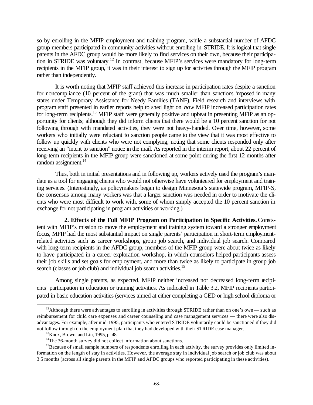so by enrolling in the MFIP employment and training program, while a substantial number of AFDC group members participated in community activities without enrolling in STRIDE. It is logical that single parents in the AFDC group would be more likely to find services on their own, because their participation in STRIDE was voluntary.<sup>12</sup> In contrast, because MFIP's services were mandatory for long-term recipients in the MFIP group, it was in their interest to sign up for activities through the MFIP program rather than independently.

It is worth noting that MFIP staff achieved this increase in participation rates despite a sanction for noncompliance (10 percent of the grant) that was much smaller than sanctions imposed in many states under Temporary Assistance for Needy Families (TANF). Field research and interviews with program staff presented in earlier reports help to shed light on *how* MFIP increased participation rates for long-term recipients.<sup>13</sup> MFIP staff were generally positive and upbeat in presenting MFIP as an opportunity for clients; although they did inform clients that there would be a 10 percent sanction for not following through with mandated activities, they were not heavy-handed. Over time, however, some workers who initially were reluctant to sanction people came to the view that it was most effective to follow up quickly with clients who were not complying, noting that some clients responded only after receiving an "intent to sanction" notice in the mail. As reported in the interim report, about 22 percent of long-term recipients in the MFIP group were sanctioned at some point during the first 12 months after random assignment. $^{14}$ 

Thus, both in initial presentations and in following up, workers actively used the program's mandate as a tool for engaging clients who would not otherwise have volunteered for employment and training services. (Interestingly, as policymakers began to design Minnesota's statewide program, MFIP-S, the consensus among many workers was that a larger sanction was needed in order to motivate the clients who were most difficult to work with, some of whom simply accepted the 10 percent sanction in exchange for not participating in program activities or working.)

**2. Effects of the Full MFIP Program on Participation in Specific Activities.** Consistent with MFIP's mission to move the employment and training system toward a stronger employment focus, MFIP had the most substantial impact on single parents' participation in short-term employmentrelated activities such as career workshops, group job search, and individual job search. Compared with long-term recipients in the AFDC group, members of the MFIP group were about twice as likely to have participated in a career exploration workshop, in which counselors helped participants assess their job skills and set goals for employment, and more than twice as likely to participate in group job search (classes or job club) and individual job search activities.<sup>15</sup>

Among single parents, as expected, MFIP neither increased nor decreased long-term recipients' participation in education or training activities. As indicated in Table 3.2, MFIP recipients participated in basic education activities (services aimed at either completing a GED or high school diploma or

l

<sup>&</sup>lt;sup>12</sup>Although there were advantages to enrolling in activities through STRIDE rather than on one's own — such as reimbursement for child care expenses and career counseling and case management services — there were also disadvantages. For example, after mid-1995, participants who entered STRIDE voluntarily could be sanctioned if they did not follow through on the employment plan that they had developed with their STRIDE case manager.

 $13$ Knox, Brown, and Lin, 1995, p. 48.

<sup>&</sup>lt;sup>14</sup>The 36-month survey did not collect information about sanctions.

<sup>&</sup>lt;sup>15</sup>Because of small sample numbers of respondents enrolling in each activity, the survey provides only limited information on the length of stay in activities. However, the average stay in individual job search or job club was about 3.5 months (across all single parents in the MFIP and AFDC groups who reported participating in these activities).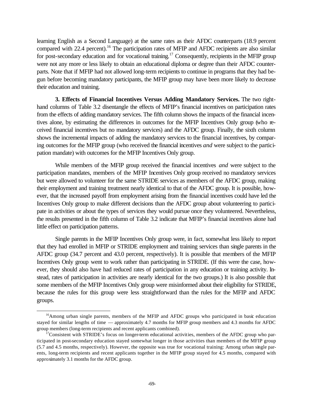learning English as a Second Language) at the same rates as their AFDC counterparts (18.9 percent compared with 22.4 percent).<sup>16</sup> The participation rates of MFIP and AFDC recipients are also similar for post-secondary education and for vocational training.<sup>17</sup> Consequently, recipients in the MFIP group were not any more or less likely to obtain an educational diploma or degree than their AFDC counterparts. Note that if MFIP had not allowed long-term recipients to continue in programs that they had begun before becoming mandatory participants, the MFIP group may have been more likely to decrease their education and training.

**3. Effects of Financial Incentives Versus Adding Mandatory Services.** The two righthand columns of Table 3.2 disentangle the effects of MFIP's financial incentives on participation rates from the effects of adding mandatory services. The fifth column shows the impacts of the financial incentives alone, by estimating the differences in outcomes for the MFIP Incentives Only group (who received financial incentives but no mandatory services) and the AFDC group. Finally, the sixth column shows the incremental impacts of adding the mandatory services to the financial incentives, by comparing outcomes for the MFIP group (who received the financial incentives *and* were subject to the participation mandate) with outcomes for the MFIP Incentives Only group.

While members of the MFIP group received the financial incentives *and* were subject to the participation mandates, members of the MFIP Incentives Only group received no mandatory services but were allowed to volunteer for the same STRIDE services as members of the AFDC group, making their employment and training treatment nearly identical to that of the AFDC group. It is possible, however, that the increased payoff from employment arising from the financial incentives could have led the Incentives Only group to make different decisions than the AFDC group about volunteering to participate in activities or about the types of services they would pursue once they volunteered. Nevertheless, the results presented in the fifth column of Table 3.2 indicate that MFIP's financial incentives alone had little effect on participation patterns.

Single parents in the MFIP Incentives Only group were, in fact, somewhat less likely to report that they had enrolled in MFIP or STRIDE employment and training services than single parents in the AFDC group (34.7 percent and 43.0 percent, respectively). It is possible that members of the MFIP Incentives Only group went to work rather than participating in STRIDE. (If this were the case, however, they should also have had reduced rates of participation in any education or training activity. Instead, rates of participation in activities are nearly identical for the two groups.) It is also possible that some members of the MFIP Incentives Only group were misinformed about their eligibility for STRIDE, because the rules for this group were less straightforward than the rules for the MFIP and AFDC groups.

l

<sup>&</sup>lt;sup>16</sup>Among urban single parents, members of the MFIP and AFDC groups who participated in basic education stayed for similar lengths of time — approximately 4.7 months for MFIP group members and 4.3 months for AFDC group members (long-term recipients and recent applicants combined).

 $17$ Consistent with STRIDE's focus on longer-term educational activities, members of the AFDC group who participated in post-secondary education stayed somewhat longer in those activities than members of the MFIP group (5.7 and 4.5 months, respectively). However, the opposite was true for vocational training: Among urban single parents, long-term recipients and recent applicants together in the MFIP group stayed for 4.5 months, compared with approximately 3.1 months for the AFDC group.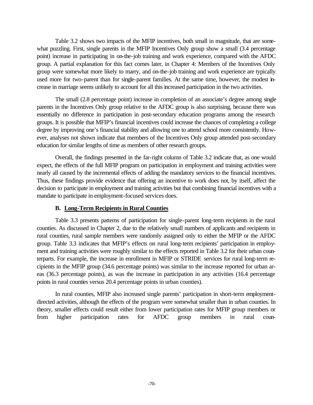Table 3.2 shows two impacts of the MFIP incentives, both small in magnitude, that are somewhat puzzling. First, single parents in the MFIP Incentives Only group show a small  $(3.4)$  percentage point) increase in participating in on-the-job training and work experience, compared with the AFDC group. A partial explanation for this fact comes later, in Chapter 4: Members of the Incentives Only group were somewhat more likely to marry, and on-the-job training and work experience are typically used more for two-parent than for single-parent families. At the same time, however, the modest increase in marriage seems unlikely to account for all this increased participation in the two activities.

The small (2.8 percentage point) increase in completion of an associate's degree among single parents in the Incentives Only group relative to the AFDC group is also surprising, because there was essentially no difference in participation in post-secondary education programs among the research groups. It is possible that MFIP's financial incentives could increase the chances of completing a college degree by improving one's financial stability and allowing one to attend school more consistently. However, analyses not shown indicate that members of the Incentives Only group attended post-secondary education for similar lengths of time as members of other research groups.

Overall, the findings presented in the far-right column of Table 3.2 indicate that, as one would expect, the effects of the full MFIP program on participation in employment and training activities were nearly all caused by the incremental effects of adding the mandatory services to the financial incentives. Thus, these findings provide evidence that offering an incentive to work does not, by itself, affect the decision to participate in employment and training activities but that combining financial incentives with a mandate to participate in employment-focused services does.

### **B. Long-Term Recipients in Rural Counties**

Table 3.3 presents patterns of participation for single-parent long-term recipients in the rural counties. As discussed in Chapter 2, due to the relatively small numbers of applicants and recipients in rural counties, rural sample members were randomly assigned only to either the MFIP or the AFDC group. Table 3.3 indicates that MFIP's effects on rural long-term recipients' participation in employment and training activities were roughly similar to the effects reported in Table 3.2 for their urban counterparts. For example, the increase in enrollment in MFIP or STRIDE services for rural long-term recipients in the MFIP group (34.6 percentage points) was similar to the increase reported for urban areas (36.3 percentage points), as was the increase in participation in any activities (16.4 percentage points in rural counties versus 20.4 percentage points in urban counties).

In rural counties, MFIP also increased single parents' participation in short-term employmentdirected activities, although the effects of the program were somewhat smaller than in urban counties. In theory, smaller effects could result either from lower participation rates for MFIP group members or from higher participation rates for AFDC group members in rural coun-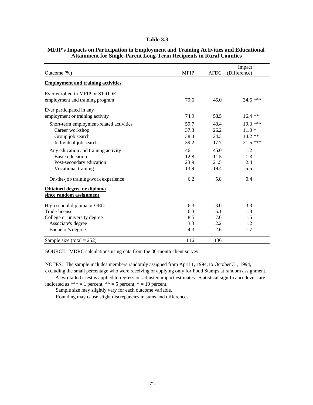## **Table 3.3**

|                                           | Impact      |             |              |  |  |
|-------------------------------------------|-------------|-------------|--------------|--|--|
| Outcome $(\%)$                            | <b>MFIP</b> | <b>AFDC</b> | (Difference) |  |  |
| <b>Employment and training activities</b> |             |             |              |  |  |
| Ever enrolled in MFIP or STRIDE           |             |             |              |  |  |
| employment and training program           | 79.6        | 45.0        | 34.6 ***     |  |  |
| Ever participated in any                  |             |             |              |  |  |
| employment or training activity           | 74.9        | 58.5        | $16.4**$     |  |  |
| Short-term employment-related activities  | 59.7        | 40.4        | $19.3***$    |  |  |
| Career workshop                           | 37.3        | 26.2        | $11.0*$      |  |  |
| Group job search                          | 38.4        | 24.3        | $14.2**$     |  |  |
| Individual job search                     | 39.2        | 17.7        | $21.5$ ***   |  |  |
| Any education and training activity       | 46.1        | 45.0        | 1.2          |  |  |
| Basic education                           | 12.8        | 11.5        | 1.3          |  |  |
| Post-secondary education                  | 23.9        | 21.5        | 2.4          |  |  |
| Vocational training                       | 13.9        | 19.4        | $-5.5$       |  |  |
| On-the-job training/work experience       | 6.2         | 5.8         | 0.4          |  |  |
| <b>Obtained degree or diploma</b>         |             |             |              |  |  |
| since random assignment                   |             |             |              |  |  |
| High school diploma or GED                | 6.3         | 3.0         | 3.3          |  |  |
| Trade license                             | 6.3         | 5.1         | 1.3          |  |  |
| College or university degree              | 8.5         | 7.0         | 1.5          |  |  |
| Associate's degree                        | 3.3         | 2.2         | 1.2          |  |  |
| Bachelor's degree                         | 4.3         | 2.6         | 1.7          |  |  |
| Sample size (total = $252$ )              | 116         | 136         |              |  |  |

#### **MFIP's Impacts on Participation in Employment and Training Activities and Educational Attainment for Single-Parent Long-Term Recipients in Rural Counties**

SOURCE: MDRC calculations using data from the 36-month client survey.

NOTES: The sample includes members randomly assigned from April 1, 1994, to October 31, 1994, excluding the small percentage who were receiving or applying only for Food Stamps at random assignment.

 A two-tailed t-test is applied to regression-adjusted impact estimates. Statistical significance levels are indicated as  $*** = 1$  percent;  $** = 5$  percent;  $* = 10$  percent.

Sample size may slightly vary for each outcome variable.

Rounding may cause slight discrepancies in sums and differences.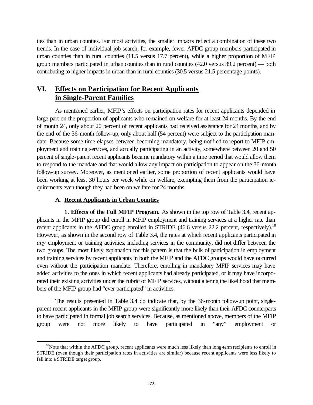ties than in urban counties. For most activities, the smaller impacts reflect a combination of these two trends. In the case of individual job search, for example, fewer AFDC group members participated in urban counties than in rural counties (11.5 versus 17.7 percent), while a higher proportion of MFIP group members participated in urban counties than in rural counties (42.0 versus 39.2 percent) — both contributing to higher impacts in urban than in rural counties (30.5 versus 21.5 percentage points).

# **VI. Effects on Participation for Recent Applicants in Single-Parent Families**

As mentioned earlier, MFIP's effects on participation rates for recent applicants depended in large part on the proportion of applicants who remained on welfare for at least 24 months. By the end of month 24, only about 20 percent of recent applicants had received assistance for 24 months, and by the end of the 36-month follow-up, only about half (54 percent) were subject to the participation mandate. Because some time elapses between becoming mandatory, being notified to report to MFIP employment and training services, and actually participating in an activity, somewhere between 20 and 50 percent of single-parent recent applicants became mandatory within a time period that would allow them to respond to the mandate and that would allow any impact on participation to appear on the 36-month follow-up survey. Moreover, as mentioned earlier, some proportion of recent applicants would have been working at least 30 hours per week while on welfare, exempting them from the participation requirements even though they had been on welfare for 24 months.

## **A. Recent Applicants in Urban Counties**

l

**1. Effects of the Full MFIP Program.** As shown in the top row of Table 3.4, recent applicants in the MFIP group did enroll in MFIP employment and training services at a higher rate than recent applicants in the AFDC group enrolled in STRIDE (46.6 versus 22.2 percent, respectively).<sup>18</sup> However, as shown in the second row of Table 3.4, the rates at which recent applicants participated in *any* employment or training activities, including services in the community, did not differ between the two groups. The most likely explanation for this pattern is that the bulk of participation in employment and training services by recent applicants in both the MFIP and the AFDC groups would have occurred even without the participation mandate. Therefore, enrolling in mandatory MFIP services may have added activities to the ones in which recent applicants had already participated, or it may have incorporated their existing activities under the rubric of MFIP services, without altering the likelihood that members of the MFIP group had "ever participated" in activities.

The results presented in Table 3.4 do indicate that, by the 36-month follow-up point, singleparent recent applicants in the MFIP group were significantly more likely than their AFDC counterparts to have participated in formal job search services. Because, as mentioned above, members of the MFIP group were not more likely to have participated in "any" employment or

 $18$ Note that within the AFDC group, recent applicants were much less likely than long-term recipients to enroll in STRIDE (even though their participation rates in activities are similar) because recent applicants were less likely to fall into a STRIDE target group.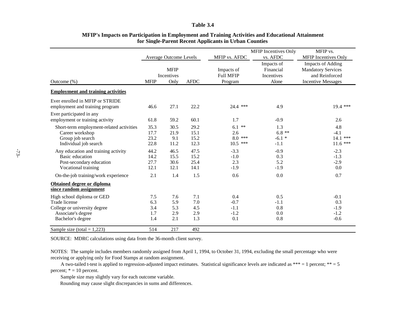#### **Table 3.4**

|                                           |                               |             |             |                  | <b>MFIP</b> Incentives Only | MFIP vs.                    |  |
|-------------------------------------------|-------------------------------|-------------|-------------|------------------|-----------------------------|-----------------------------|--|
|                                           | <b>Average Outcome Levels</b> |             |             | MFIP vs. AFDC    | vs. AFDC                    | <b>MFIP</b> Incentives Only |  |
|                                           |                               |             |             |                  | Impacts of                  | <b>Impacts of Adding</b>    |  |
|                                           |                               | <b>MFIP</b> |             | Impacts of       | Financial                   | <b>Mandatory Services</b>   |  |
|                                           | Incentives                    |             |             | <b>Full MFIP</b> | <b>Incentives</b>           | and Reinforced              |  |
| Outcome $(\%)$                            | <b>MFIP</b>                   | Only        | <b>AFDC</b> | Program          | Alone                       | <b>Incentive Messages</b>   |  |
| <b>Employment and training activities</b> |                               |             |             |                  |                             |                             |  |
| Ever enrolled in MFIP or STRIDE           |                               |             |             |                  |                             |                             |  |
| employment and training program           | 46.6                          | 27.1        | 22.2        | 24.4 ***         | 4.9                         | 19.4 ***                    |  |
| Ever participated in any                  |                               |             |             |                  |                             |                             |  |
| employment or training activity           | 61.8                          | 59.2        | 60.1        | 1.7              | $-0.9$                      | 2.6                         |  |
| Short-term employment-related activities  | 35.3                          | 30.5        | 29.2        | 6.1<br>$**$      | 1.3                         | 4.8                         |  |
| Career workshop                           | 17.7                          | 21.9        | 15.1        | 2.6              | $6.8**$                     | $-4.1$                      |  |
| Group job search                          | 23.2                          | 9.1         | 15.2        | $8.0$ ***        | $-6.1 *$                    | $14.1$ ***                  |  |
| Individual job search                     | 22.8                          | 11.2        | 12.3        | $10.5$ ***       | $-1.1$                      | $11.6$ ***                  |  |
| Any education and training activity       | 44.2                          | 46.5        | 47.5        | $-3.3$           | $-0.9$                      | $-2.3$                      |  |
| Basic education                           | 14.2                          | 15.5        | 15.2        | $-1.0$           | 0.3                         | $-1.3$                      |  |
| Post-secondary education                  | 27.7                          | 30.6        | 25.4        | 2.3              | 5.2                         | $-2.9$                      |  |
| Vocational training                       | 12.1                          | 12.1        | 14.1        | $-1.9$           | $-1.9$                      | 0.0                         |  |
| On-the-job training/work experience       | 2.1                           | 1.4         | 1.5         | 0.6              | 0.0                         | 0.7                         |  |
| <b>Obtained degree or diploma</b>         |                               |             |             |                  |                             |                             |  |
| since random assignment                   |                               |             |             |                  |                             |                             |  |
| High school diploma or GED                | 7.5                           | 7.6         | 7.1         | 0.4              | 0.5                         | $-0.1$                      |  |
| <b>Trade license</b>                      | 6.3                           | 5.9         | 7.0         | $-0.7$           | $-1.1$                      | 0.3                         |  |
| College or university degree              | 3.4                           | 5.3         | 4.5         | $-1.1$           | 0.8                         | $-1.9$                      |  |
| Associate's degree                        | 1.7                           | 2.9         | 2.9         | $-1.2$           | 0.0                         | $-1.2$                      |  |
| Bachelor's degree                         | 1.4                           | 2.1         | 1.3         | 0.1              | 0.8                         | $-0.6$                      |  |
| Sample size (total = $1,223$ )            | 514                           | 217         | 492         |                  |                             |                             |  |

### **MFIP's Impacts on Participation in Employment and Training Activities and Educational Attainment for Single-Parent Recent Applicants in Urban Counties**

SOURCE: MDRC calculations using data from the 36-month client survey.

NOTES: The sample includes members randomly assigned from April 1, 1994, to October 31, 1994, excluding the small percentage who were receiving or applying only for Food Stamps at random assignment.

 A two-tailed t-test is applied to regression-adjusted impact estimates. Statistical significance levels are indicated as \*\*\* = 1 percent; \*\* = 5 percent;  $* = 10$  percent.

Sample size may slightly vary for each outcome variable.

Rounding may cause slight discrepancies in sums and differences.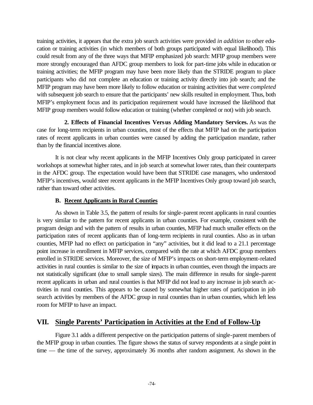training activities, it appears that the extra job search activities were provided *in addition to* other education or training activities (in which members of both groups participated with equal likelihood). This could result from any of the three ways that MFIP emphasized job search: MFIP group members were more strongly encouraged than AFDC group members to look for part-time jobs while in education or training activities; the MFIP program may have been more likely than the STRIDE program to place participants who did not complete an education or training activity directly into job search; and the MFIP program may have been more likely to follow education or training activities that were *completed*  with subsequent job search to ensure that the participants' new skills resulted in employment. Thus, both MFIP's employment focus and its participation requirement would have increased the likelihood that MFIP group members would follow education or training (whether completed or not) with job search.

**2. Effects of Financial Incentives Versus Adding Mandatory Services.** As was the case for long-term recipients in urban counties, most of the effects that MFIP had on the participation rates of recent applicants in urban counties were caused by adding the participation mandate, rather than by the financial incentives alone.

It is not clear why recent applicants in the MFIP Incentives Only group participated in career workshops at somewhat higher rates, and in job search at somewhat lower rates, than their counterparts in the AFDC group. The expectation would have been that STRIDE case managers, who understood MFIP's incentives, would steer recent applicants in the MFIP Incentives Only group toward job search, rather than toward other activities.

## **B. Recent Applicants in Rural Counties**

As shown in Table 3.5, the pattern of results for single-parent recent applicants in rural counties is very similar to the pattern for recent applicants in urban counties. For example, consistent with the program design and with the pattern of results in urban counties, MFIP had much smaller effects on the participation rates of recent applicants than of long-term recipients in rural counties. Also as in urban counties, MFIP had no effect on participation in "any" activities, but it did lead to a 21.1 percentage point increase in enrollment in MFIP services, compared with the rate at which AFDC group members enrolled in STRIDE services. Moreover, the size of MFIP's impacts on short-term employment-related activities in rural counties is similar to the size of impacts in urban counties, even though the impacts are not statistically significant (due to small sample sizes). The main difference in results for single-parent recent applicants in urban and rural counties is that MFIP did not lead to any increase in job search activities in rural counties. This appears to be caused by somewhat higher rates of participation in job search activities by members of the AFDC group in rural counties than in urban counties, which left less room for MFIP to have an impact.

# **VII. Single Parents' Participation in Activities at the End of Follow-Up**

Figure 3.1 adds a different perspective on the participation patterns of single-parent members of the MFIP group in urban counties. The figure shows the status of survey respondents at a single point in time — the time of the survey, approximately 36 months after random assignment. As shown in the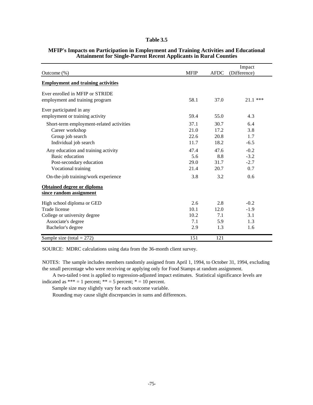### **Table 3.5**

|                                           |             |             | Impact       |
|-------------------------------------------|-------------|-------------|--------------|
| Outcome $(\%)$                            | <b>MFIP</b> | <b>AFDC</b> | (Difference) |
| <b>Employment and training activities</b> |             |             |              |
| Ever enrolled in MFIP or STRIDE           |             |             |              |
| employment and training program           | 58.1        | 37.0        | $21.1$ ***   |
| Ever participated in any                  |             |             |              |
| employment or training activity           | 59.4        | 55.0        | 4.3          |
| Short-term employment-related activities  | 37.1        | 30.7        | 6.4          |
| Career workshop                           | 21.0        | 17.2        | 3.8          |
| Group job search                          | 22.6        | 20.8        | 1.7          |
| Individual job search                     | 11.7        | 18.2        | $-6.5$       |
| Any education and training activity       | 47.4        | 47.6        | $-0.2$       |
| Basic education                           | 5.6         | 8.8         | $-3.2$       |
| Post-secondary education                  | 29.0        | 31.7        | $-2.7$       |
| Vocational training                       | 21.4        | 20.7        | 0.7          |
| On-the-job training/work experience       | 3.8         | 3.2         | 0.6          |
| <b>Obtained degree or diploma</b>         |             |             |              |
| since random assignment                   |             |             |              |
| High school diploma or GED                | 2.6         | 2.8         | $-0.2$       |
| Trade license                             | 10.1        | 12.0        | $-1.9$       |
| College or university degree              | 10.2        | 7.1         | 3.1          |
| Associate's degree                        | 7.1         | 5.9         | 1.3          |
| Bachelor's degree                         | 2.9         | 1.3         | 1.6          |
| Sample size (total = $272$ )              | 151         | 121         |              |

#### **MFIP's Impacts on Participation in Employment and Training Activities and Educational Attainment for Single-Parent Recent Applicants in Rural Counties**

SOURCE: MDRC calculations using data from the 36-month client survey.

NOTES: The sample includes members randomly assigned from April 1, 1994, to October 31, 1994, excluding the small percentage who were receiving or applying only for Food Stamps at random assignment.

 A two-tailed t-test is applied to regression-adjusted impact estimates. Statistical significance levels are indicated as  $*** = 1$  percent;  $** = 5$  percent;  $* = 10$  percent.

Sample size may slightly vary for each outcome variable.

Rounding may cause slight discrepancies in sums and differences.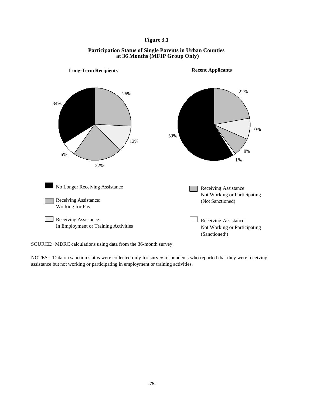### **Figure 3.1**



#### **Participation Status of Single Parents in Urban Counties at 36 Months (MFIP Group Only)**

SOURCE: MDRC calculations using data from the 36-month survey.

NOTES: "Data on sanction status were collected only for survey respondents who reported that they were receiving assistance but not working or participating in employment or training activities.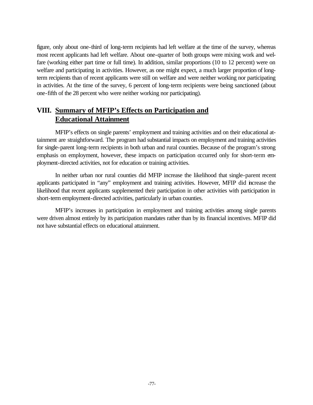figure, only about one-third of long-term recipients had left welfare at the time of the survey, whereas most recent applicants had left welfare. About one-quarter of both groups were mixing work and welfare (working either part time or full time). In addition, similar proportions (10 to 12 percent) were on welfare and participating in activities. However, as one might expect, a much larger proportion of longterm recipients than of recent applicants were still on welfare and were neither working nor participating in activities. At the time of the survey, 6 percent of long-term recipients were being sanctioned (about one-fifth of the 28 percent who were neither working nor participating).

# **VIII. Summary of MFIP's Effects on Participation and Educational Attainment**

MFIP's effects on single parents' employment and training activities and on their educational attainment are straightforward. The program had substantial impacts on employment and training activities for single-parent long-term recipients in both urban and rural counties. Because of the program's strong emphasis on employment, however, these impacts on participation occurred only for short-term employment-directed activities, not for education or training activities.

In neither urban nor rural counties did MFIP increase the likelihood that single-parent recent applicants participated in "any" employment and training activities. However, MFIP did increase the likelihood that recent applicants supplemented their participation in other activities with participation in short-term employment-directed activities, particularly in urban counties.

MFIP's increases in participation in employment and training activities among single parents were driven almost entirely by its participation mandates rather than by its financial incentives. MFIP did not have substantial effects on educational attainment.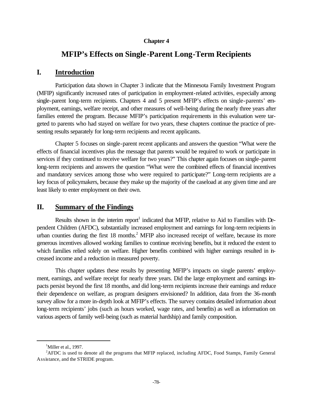## **Chapter 4**

# **MFIP's Effects on Single-Parent Long-Term Recipients**

## **I. Introduction**

Participation data shown in Chapter 3 indicate that the Minnesota Family Investment Program (MFIP) significantly increased rates of participation in employment-related activities, especially among single-parent long-term recipients. Chapters 4 and 5 present MFIP's effects on single-parents' employment, earnings, welfare receipt, and other measures of well-being during the nearly three years after families entered the program. Because MFIP's participation requirements in this evaluation were targeted to parents who had stayed on welfare for two years, these chapters continue the practice of presenting results separately for long-term recipients and recent applicants.

Chapter 5 focuses on single-parent recent applicants and answers the question "What were the effects of financial incentives plus the message that parents would be required to work or participate in services if they continued to receive welfare for two years?" This chapter again focuses on single-parent long-term recipients and answers the question "What were the combined effects of financial incentives and mandatory services among those who were required to participate?" Long-term recipients are a key focus of policymakers, because they make up the majority of the caseload at any given time and are least likely to enter employment on their own.

# **II. Summary of the Findings**

Results shown in the interim report<sup>1</sup> indicated that MFIP, relative to Aid to Families with Dependent Children (AFDC), substantially increased employment and earnings for long-term recipients in urban counties during the first 18 months.<sup>2</sup> MFIP also increased receipt of welfare, because its more generous incentives allowed working families to continue receiving benefits, but it reduced the extent to which families relied solely on welfare. Higher benefits combined with higher earnings resulted in increased income and a reduction in measured poverty.

This chapter updates these results by presenting MFIP's impacts on single parents' employment, earnings, and welfare receipt for nearly three years. Did the large employment and earnings impacts persist beyond the first 18 months, and did long-term recipients increase their earnings and reduce their dependence on welfare, as program designers envisioned? In addition, data from the 36-month survey allow for a more in-depth look at MFIP's effects. The survey contains detailed information about long-term recipients' jobs (such as hours worked, wage rates, and benefits) as well as information on various aspects of family well-being (such as material hardship) and family composition.

 $\overline{a}$ 

 $<sup>1</sup>$ Miller et al., 1997.</sup>

<sup>&</sup>lt;sup>2</sup>AFDC is used to denote all the programs that MFIP replaced, including AFDC, Food Stamps, Family General Assistance, and the STRIDE program.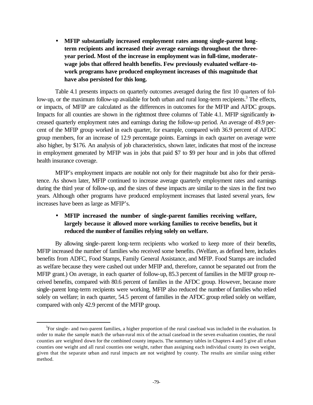• **MFIP substantially increased employment rates among single-parent longterm recipients and increased their average earnings throughout the threeyear period. Most of the increase in employment was in full-time, moderatewage jobs that offered health benefits. Few previously evaluated welfare-towork programs have produced employment increases of this magnitude that have also persisted for this long.**

Table 4.1 presents impacts on quarterly outcomes averaged during the first 10 quarters of follow-up, or the maximum follow-up available for both urban and rural long-term recipients.<sup>3</sup> The effects, or impacts, of MFIP are calculated as the differences in outcomes for the MFIP and AFDC groups. Impacts for all counties are shown in the rightmost three columns of Table 4.1. MFIP significantly increased quarterly employment rates and earnings during the follow-up period. An average of 49.9 percent of the MFIP group worked in each quarter, for example, compared with 36.9 percent of AFDC group members, for an increase of 12.9 percentage points. Earnings in each quarter on average were also higher, by \$176. An analysis of job characteristics, shown later, indicates that most of the increase in employment generated by MFIP was in jobs that paid \$7 to \$9 per hour and in jobs that offered health insurance coverage.

MFIP's employment impacts are notable not only for their magnitude but also for their persistence. As shown later, MFIP continued to increase average quarterly employment rates and earnings during the third year of follow-up, and the sizes of these impacts are similar to the sizes in the first two years. Although other programs have produced employment increases that lasted several years, few increases have been as large as MFIP's.

# • **MFIP increased the number of single-parent families receiving welfare, largely because it allowed more working families to receive benefits, but it reduced the number of families relying solely on welfare.**

By allowing single-parent long-term recipients who worked to keep more of their benefits, MFIP increased the number of families who received some benefits. (Welfare, as defined here, includes benefits from ADFC, Food Stamps, Family General Assistance, and MFIP. Food Stamps are included as welfare because they were cashed out under MFIP and, therefore, cannot be separated out from the MFIP grant.) On average, in each quarter of follow-up, 85.3 percent of families in the MFIP group received benefits, compared with 80.6 percent of families in the AFDC group. However, because more single-parent long-term recipients were working, MFIP also reduced the number of families who relied solely on welfare; in each quarter, 54.5 percent of families in the AFDC group relied solely on welfare, compared with only 42.9 percent of the MFIP group.

 $\overline{a}$ 

<sup>&</sup>lt;sup>3</sup>For single- and two-parent families, a higher proportion of the rural caseload was included in the evaluation. In order to make the sample match the urban-rural mix of the actual caseload in the seven evaluation counties, the rural counties are weighted down for the combined county impacts. The summary tables in Chapters 4 and 5 give all urban counties one weight and all rural counties one weight, rather than assigning each individual county its own weight, given that the separate urban and rural impacts are not weighted by county. The results are similar using either method.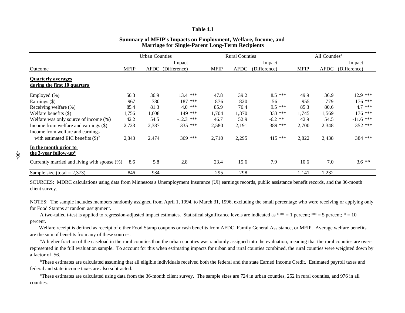#### **Table 4.1**

|                                              | <b>Urban Counties</b> |       |                   |             | <b>Rural Counties</b> |              | All Counties <sup>a</sup> |             |              |  |
|----------------------------------------------|-----------------------|-------|-------------------|-------------|-----------------------|--------------|---------------------------|-------------|--------------|--|
|                                              |                       |       | Impact            |             |                       | Impact       |                           |             | Impact       |  |
| Outcome                                      | <b>MFIP</b>           |       | AFDC (Difference) | <b>MFIP</b> | AFDC                  | (Difference) | <b>MFIP</b>               | <b>AFDC</b> | (Difference) |  |
| <b>Quarterly averages</b>                    |                       |       |                   |             |                       |              |                           |             |              |  |
| during the first 10 quarters                 |                       |       |                   |             |                       |              |                           |             |              |  |
| Employed (%)                                 | 50.3                  | 36.9  | $13.4$ ***        | 47.8        | 39.2                  | $8.5***$     | 49.9                      | 36.9        | $12.9$ ***   |  |
| Earnings (\$)                                | 967                   | 780   | 187 ***           | 876         | 820                   | 56           | 955                       | 779         | $176***$     |  |
| Receiving welfare (%)                        | 85.4                  | 81.3  | $4.0$ ***         | 85.9        | 76.4                  | $9.5***$     | 85.3                      | 80.6        | $4.7$ ***    |  |
| Welfare benefits (\$)                        | 1,756                 | 1,608 | $149$ ***         | 1,704       | 1,370                 | 333 ***      | 1,745                     | 1,569       | $176$ ***    |  |
| Welfare was only source of income (%)        | 42.2                  | 54.5  | $-12.3$ ***       | 46.7        | 52.9                  | $-6.2$ **    | 42.9                      | 54.5        | $-11.6$ ***  |  |
| Income from welfare and earnings $(\$)$      | 2,723                 | 2,387 | 335 ***           | 2,580       | 2,191                 | 389 ***      | 2,700                     | 2,348       | 352 ***      |  |
| Income from welfare and earnings             |                       |       |                   |             |                       |              |                           |             |              |  |
| with estimated EIC benefits $(\text{\$})^b$  | 2,843                 | 2,474 | $369$ ***         | 2,710       | 2,295                 | 415 ***      | 2,822                     | 2,438       | 384 ***      |  |
| In the month prior to                        |                       |       |                   |             |                       |              |                           |             |              |  |
| the 3-year follow-up $c$                     |                       |       |                   |             |                       |              |                           |             |              |  |
| Currently married and living with spouse (%) | 8.6                   | 5.8   | 2.8               | 23.4        | 15.6                  | 7.9          | 10.6                      | 7.0         | $3.6$ **     |  |
| Sample size (total $= 2,373$ )               | 846                   | 934   |                   | 295         | 298                   |              | 1,141                     | 1,232       |              |  |

#### **Summary of MFIP's Impacts on Employment, Welfare, Income, and Marriage for Single-Parent Long-Term Recipients**

SOURCES: MDRC calculations using data from Minnesota's Unemployment Insurance (UI) earnings records, public assistance benefit records, and the 36-month client survey.

NOTES: The sample includes members randomly assigned from April 1, 1994, to March 31, 1996, excluding the small percentage who were receiving or applying only for Food Stamps at random assignment.

A two-tailed t-test is applied to regression-adjusted impact estimates. Statistical significance levels are indicated as \*\*\* = 1 percent; \*\* = 5 percent; \* = 10 percent.

 Welfare receipt is defined as receipt of either Food Stamp coupons or cash benefits from AFDC, Family General Assistance, or MFIP. Average welfare benefits are the sum of benefits from any of these sources.

<sup>a</sup>A higher fraction of the caseload in the rural counties than the urban counties was randomly assigned into the evaluation, meaning that the rural counties are overrepresented in the full evaluation sample. To account for this when estimating impacts for urban and rural counties combined, the rural counties were weighted down by a factor of .56.

<sup>b</sup>These estimates are calculated assuming that all eligible individuals received both the federal and the state Earned Income Credit. Estimated payroll taxes and federal and state income taxes are also subtracted.

<sup>c</sup>These estimates are calculated using data from the 36-month client survey. The sample sizes are 724 in urban counties, 252 in rural counties, and 976 in all counties.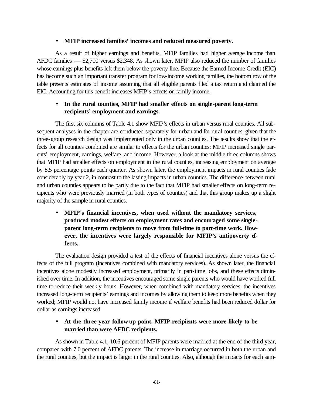## • **MFIP increased families' incomes and reduced measured poverty.**

As a result of higher earnings and benefits, MFIP families had higher average income than AFDC families — \$2,700 versus \$2,348. As shown later, MFIP also reduced the number of families whose earnings plus benefits left them below the poverty line. Because the Earned Income Credit (EIC) has become such an important transfer program for low-income working families, the bottom row of the table presents estimates of income assuming that all eligible parents filed a tax return and claimed the EIC. Accounting for this benefit increases MFIP's effects on family income.

# • **In the rural counties, MFIP had smaller effects on single-parent long-term recipients' employment and earnings.**

The first six columns of Table 4.1 show MFIP's effects in urban versus rural counties. All subsequent analyses in the chapter are conducted separately for urban and for rural counties, given that the three-group research design was implemented only in the urban counties. The results show that the effects for all counties combined are similar to effects for the urban counties: MFIP increased single parents' employment, earnings, welfare, and income. However, a look at the middle three columns shows that MFIP had smaller effects on employment in the rural counties, increasing employment on average by 8.5 percentage points each quarter. As shown later, the employment impacts in rural counties fade considerably by year 2, in contrast to the lasting impacts in urban counties. The difference between rural and urban counties appears to be partly due to the fact that MFIP had smaller effects on long-term recipients who were previously married (in both types of counties) and that this group makes up a slight majority of the sample in rural counties.

• **MFIP's financial incentives, when used without the mandatory services, produced modest effects on employment rates and encouraged some singleparent long-term recipients to move from full-time to part-time work. However, the incentives were largely responsible for MFIP's antipoverty effects.**

The evaluation design provided a test of the effects of financial incentives alone versus the effects of the full program (incentives combined with mandatory services). As shown later, the financial incentives alone modestly increased employment, primarily in part-time jobs, and these effects diminished over time. In addition, the incentives encouraged some single parents who would have worked full time to reduce their weekly hours. However, when combined with mandatory services, the incentives increased long-term recipients' earnings and incomes by allowing them to keep more benefits when they worked; MFIP would not have increased family income if welfare benefits had been reduced dollar for dollar as earnings increased.

# • **At the three-year follow-up point, MFIP recipients were more likely to be married than were AFDC recipients.**

As shown in Table 4.1, 10.6 percent of MFIP parents were married at the end of the third year, compared with 7.0 percent of AFDC parents. The increase in marriage occurred in both the urban and the rural counties, but the impact is larger in the rural counties. Also, although the impacts for each sam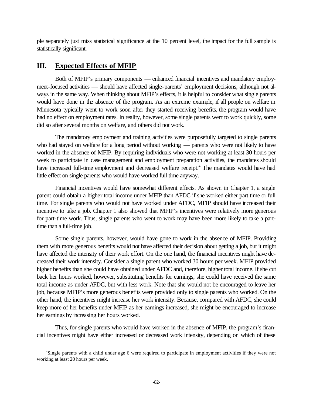ple separately just miss statistical significance at the 10 percent level, the impact for the full sample is statistically significant.

# **III. Expected Effects of MFIP**

 $\overline{a}$ 

Both of MFIP's primary components — enhanced financial incentives and mandatory employment-focused activities — should have affected single-parents' employment decisions, although not always in the same way. When thinking about MFIP's effects, it is helpful to consider what single parents would have done in the absence of the program. As an extreme example, if all people on welfare in Minnesota typically went to work soon after they started receiving benefits, the program would have had no effect on employment rates. In reality, however, some single parents went to work quickly, some did so after several months on welfare, and others did not work.

The mandatory employment and training activities were purposefully targeted to single parents who had stayed on welfare for a long period without working — parents who were not likely to have worked in the absence of MFIP. By requiring individuals who were not working at least 30 hours per week to participate in case management and employment preparation activities, the mandates should have increased full-time employment and decreased welfare receipt.<sup>4</sup> The mandates would have had little effect on single parents who would have worked full time anyway.

Financial incentives would have somewhat different effects. As shown in Chapter 1, a single parent could obtain a higher total income under MFIP than AFDC if she worked either part time or full time. For single parents who would not have worked under AFDC, MFIP should have increased their incentive to take a job. Chapter 1 also showed that MFIP's incentives were relatively more generous for part-time work. Thus, single parents who went to work may have been more likely to take a parttime than a full-time job.

Some single parents, however, would have gone to work in the absence of MFIP. Providing them with more generous benefits would not have affected their decision about getting a job, but it might have affected the intensity of their work effort. On the one hand, the financial incentives might have decreased their work intensity. Consider a single parent who worked 30 hours per week. MFIP provided higher benefits than she could have obtained under AFDC and, therefore, higher total income. If she cut back her hours worked, however, substituting benefits for earnings, she could have received the same total income as under AFDC, but with less work. Note that she would not be encouraged to leave her job, because MFIP's more generous benefits were provided only to single parents who worked. On the other hand, the incentives might increase her work intensity. Because, compared with AFDC, she could keep more of her benefits under MFIP as her earnings increased, she might be encouraged to increase her earnings by increasing her hours worked.

Thus, for single parents who would have worked in the absence of MFIP, the program's financial incentives might have either increased or decreased work intensity, depending on which of these

<sup>&</sup>lt;sup>4</sup>Single parents with a child under age 6 were required to participate in employment activities if they were not working at least 20 hours per week.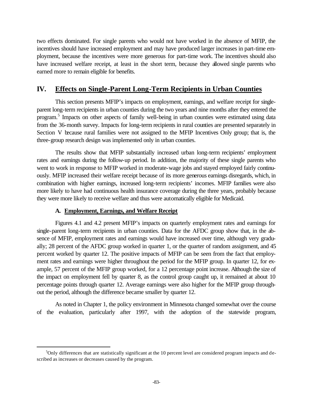two effects dominated. For single parents who would not have worked in the absence of MFIP, the incentives should have increased employment and may have produced larger increases in part-time employment, because the incentives were more generous for part-time work. The incentives should also have increased welfare receipt, at least in the short term, because they allowed single parents who earned more to remain eligible for benefits.

# **IV. Effects on Single-Parent Long-Term Recipients in Urban Counties**

This section presents MFIP's impacts on employment, earnings, and welfare receipt for singleparent long-term recipients in urban counties during the two years and nine months after they entered the program.<sup>5</sup> Impacts on other aspects of family well-being in urban counties were estimated using data from the 36-month survey. Impacts for long-term recipients in rural counties are presented separately in Section V because rural families were not assigned to the MFIP Incentives Only group; that is, the three-group research design was implemented only in urban counties.

The results show that MFIP substantially increased urban long-term recipients' employment rates and earnings during the follow-up period. In addition, the majority of these single parents who went to work in response to MFIP worked in moderate-wage jobs and stayed employed fairly continuously. MFIP increased their welfare receipt because of its more generous earnings disregards, which, in combination with higher earnings, increased long-term recipients' incomes. MFIP families were also more likely to have had continuous health insurance coverage during the three years, probably because they were more likely to receive welfare and thus were automatically eligible for Medicaid.

# **A. Employment, Earnings, and Welfare Receipt**

 $\overline{a}$ 

Figures 4.1 and 4.2 present MFIP's impacts on quarterly employment rates and earnings for single-parent long-term recipients in urban counties. Data for the AFDC group show that, in the absence of MFIP, employment rates and earnings would have increased over time, although very gradually; 28 percent of the AFDC group worked in quarter 1, or the quarter of random assignment, and 45 percent worked by quarter 12. The positive impacts of MFIP can be seen from the fact that employment rates and earnings were higher throughout the period for the MFIP group. In quarter 12, for example, 57 percent of the MFIP group worked, for a 12 percentage point increase. Although the size of the impact on employment fell by quarter 8, as the control group caught up, it remained at about 10 percentage points through quarter 12. Average earnings were also higher for the MFIP group throughout the period, although the difference became smaller by quarter 12.

As noted in Chapter 1, the policy environment in Minnesota changed somewhat over the course of the evaluation, particularly after 1997, with the adoption of the statewide program,

 $5$ Only differences that are statistically significant at the 10 percent level are considered program impacts and described as increases or decreases caused by the program.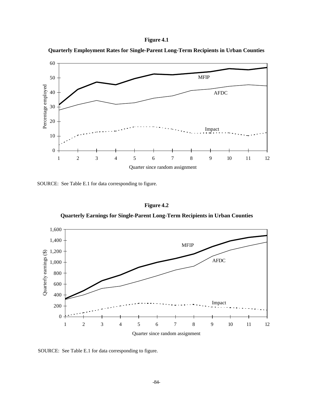



**Quarterly Employment Rates for Single-Parent Long-Term Recipients in Urban Counties**

SOURCE: See Table E.1 for data corresponding to figure.

**Figure 4.2**

**Quarterly Earnings for Single-Parent Long-Term Recipients in Urban Counties**



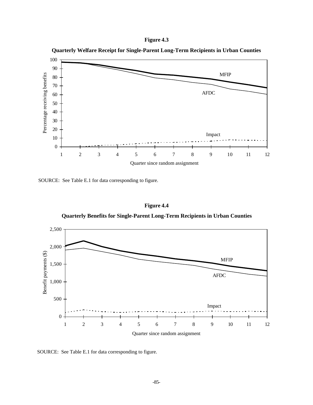



**Quarterly Welfare Receipt for Single-Parent Long-Term Recipients in Urban Counties**

SOURCE: See Table E.1 for data corresponding to figure.



SOURCE: See Table E.1 for data corresponding to figure.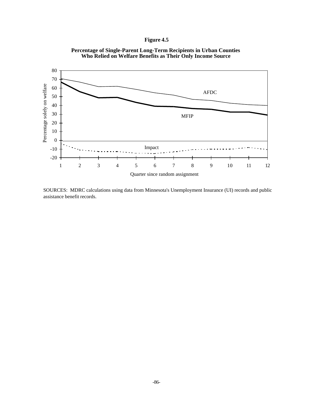



**Percentage of Single-Parent Long-Term Recipients in Urban Counties Who Relied on Welfare Benefits as Their Only Income Source** 

SOURCES: MDRC calculations using data from Minnesota's Unemployment Insurance (UI) records and public assistance benefit records.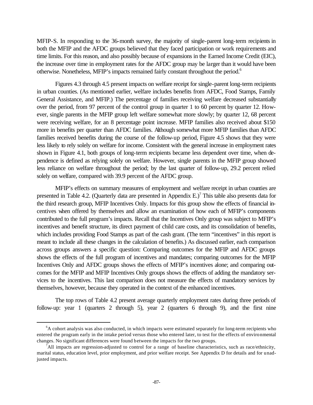MFIP-S. In responding to the 36-month survey, the majority of single-parent long-term recipients in both the MFIP and the AFDC groups believed that they faced participation or work requirements and time limits. For this reason, and also possibly because of expansions in the Earned Income Credit (EIC), the increase over time in employment rates for the AFDC group may be larger than it would have been otherwise. Nonetheless, MFIP's impacts remained fairly constant throughout the period.<sup>6</sup>

Figures 4.3 through 4.5 present impacts on welfare receipt for single-parent long-term recipients in urban counties. (As mentioned earlier, welfare includes benefits from AFDC, Food Stamps, Family General Assistance, and MFIP.) The percentage of families receiving welfare decreased substantially over the period, from 97 percent of the control group in quarter 1 to 60 percent by quarter 12. However, single parents in the MFIP group left welfare somewhat more slowly; by quarter 12, 68 percent were receiving welfare, for an 8 percentage point increase. MFIP families also received about \$150 more in benefits per quarter than AFDC families. Although somewhat more MFIP families than AFDC families received benefits during the course of the follow-up period, Figure 4.5 shows that they were less likely to rely solely on welfare for income. Consistent with the general increase in employment rates shown in Figure 4.1, both groups of long-term recipients became less dependent over time, when dependence is defined as relying solely on welfare. However, single parents in the MFIP group showed less reliance on welfare throughout the period; by the last quarter of follow-up, 29.2 percent relied solely on welfare, compared with 39.9 percent of the AFDC group.

MFIP's effects on summary measures of employment and welfare receipt in urban counties are presented in Table 4.2. (Quarterly data are presented in Appendix E.)<sup>7</sup> This table also presents data for the third research group, MFIP Incentives Only. Impacts for this group show the effects of financial incentives when offered by themselves and allow an examination of how each of MFIP's components contributed to the full program's impacts. Recall that the Incentives Only group was subject to MFIP's incentives and benefit structure, its direct payment of child care costs, and its consolidation of benefits, which includes providing Food Stamps as part of the cash grant. (The term "incentives" in this report is meant to include all these changes in the calculation of benefits.) As discussed earlier, each comparison across groups answers a specific question: Comparing outcomes for the MFIP and AFDC groups shows the effects of the full program of incentives and mandates; comparing outcomes for the MFIP Incentives Only and AFDC groups shows the effects of MFIP's incentives alone; and comparing outcomes for the MFIP and MFIP Incentives Only groups shows the effects of adding the mandatory services to the incentives. This last comparison does not measure the effects of mandatory services by themselves, however, because they operated in the context of the enhanced incentives.

The top rows of Table 4.2 present average quarterly employment rates during three periods of follow-up: year 1 (quarters 2 through 5), year 2 (quarters 6 through 9), and the first nine

<sup>6</sup>A cohort analysis was also conducted, in which impacts were estimated separately for long-term recipients who entered the program early in the intake period versus those who entered later, to test for the effects of environmental changes. No significant differences were found between the impacts for the two groups.

 $<sup>7</sup>$ All impacts are regression-adjusted to control for a range of baseline characteristics, such as race/ethnicity,</sup> marital status, education level, prior employment, and prior welfare receipt. See Appendix D for details and for unadjusted impacts.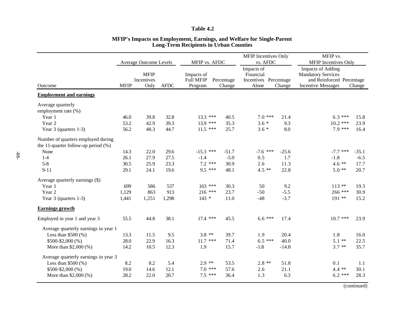|                                                                           |             | <b>Average Outcome Levels</b>     |             | MFIP vs. AFDC                             |                      | MFIP Incentives Only<br>vs. AFDC                          |         | MFIP vs.<br><b>MFIP</b> Incentives Only                                                                         |         |
|---------------------------------------------------------------------------|-------------|-----------------------------------|-------------|-------------------------------------------|----------------------|-----------------------------------------------------------|---------|-----------------------------------------------------------------------------------------------------------------|---------|
| Outcome                                                                   | <b>MFIP</b> | <b>MFIP</b><br>Incentives<br>Only | <b>AFDC</b> | Impacts of<br><b>Full MFIP</b><br>Program | Percentage<br>Change | Impacts of<br>Financial<br>Incentives Percentage<br>Alone | Change  | <b>Impacts of Adding</b><br><b>Mandatory Services</b><br>and Reinforced Percentage<br><b>Incentive Messages</b> | Change  |
| <b>Employment and earnings</b>                                            |             |                                   |             |                                           |                      |                                                           |         |                                                                                                                 |         |
| Average quarterly<br>employment rate (%)                                  |             |                                   |             |                                           |                      |                                                           |         |                                                                                                                 |         |
| Year 1                                                                    | 46.0        | 39.8                              | 32.8        | $13.3$ ***                                | 40.5                 | $7.0***$                                                  | 21.4    | $6.3***$                                                                                                        | 15.8    |
| Year 2                                                                    | 53.2        | 42.9                              | 39.3        | $13.9$ ***                                | 35.3                 | $3.6*$                                                    | 9.3     | $10.2$ ***                                                                                                      | 23.9    |
| Year 3 (quarters 1-3)                                                     | 56.2        | 48.3                              | 44.7        | $11.5$ ***                                | 25.7                 | $3.6*$                                                    | 8.0     | $7.9***$                                                                                                        | 16.4    |
| Number of quarters employed during<br>the 11-quarter follow-up period (%) |             |                                   |             |                                           |                      |                                                           |         |                                                                                                                 |         |
| None                                                                      | 14.3        | 22.0                              | 29.6        | $-15.3$ ***                               | $-51.7$              | $-7.6$ ***                                                | $-25.6$ | $-7.7$ ***                                                                                                      | $-35.1$ |
| $1 - 4$                                                                   | 26.1        | 27.9                              | 27.5        | $-1.4$                                    | $-5.0$               | 0.5                                                       | 1.7     | $-1.8$                                                                                                          | $-6.5$  |
| $5 - 8$                                                                   | 30.5        | 25.9                              | 23.3        | $7.2$ ***                                 | 30.9                 | 2.6                                                       | 11.3    | $4.6**$                                                                                                         | 17.7    |
| $9 - 11$                                                                  | 29.1        | 24.1                              | 19.6        | $9.5***$                                  | 48.1                 | $4.5$ **                                                  | 22.8    | $5.0**$                                                                                                         | 20.7    |
| Average quarterly earnings (\$)                                           |             |                                   |             |                                           |                      |                                                           |         |                                                                                                                 |         |
| Year 1                                                                    | 699         | 586                               | 537         | $163$ ***                                 | 30.3                 | 50                                                        | 9.2     | $113**$                                                                                                         | 19.3    |
| Year 2                                                                    | 1,129       | 863                               | 913         | 216 ***                                   | 23.7                 | $-50$                                                     | $-5.5$  | 266 ***                                                                                                         | 30.9    |
| Year 3 (quarters 1-3)                                                     | 1,441       | 1,251                             | 1,298       | $143 *$                                   | 11.0                 | $-48$                                                     | $-3.7$  | 191 **                                                                                                          | 15.2    |
| <b>Earnings growth</b>                                                    |             |                                   |             |                                           |                      |                                                           |         |                                                                                                                 |         |
| Employed in year 1 and year 3                                             | 55.5        | 44.8                              | 38.1        | $17.4$ ***                                | 45.5                 | $6.6***$                                                  | 17.4    | $10.7$ ***                                                                                                      | 23.9    |
| Average quarterly earnings in year 1                                      |             |                                   |             |                                           |                      |                                                           |         |                                                                                                                 |         |
| Less than $$500\,(%)$                                                     | 13.3        | 11.5                              | 9.5         | $3.8$ **                                  | 39.7                 | 1.9                                                       | 20.4    | 1.8                                                                                                             | 16.0    |
| $$500-\$2,000\ (\%)\$                                                     | 28.0        | 22.9                              | 16.3        | $11.7$ ***                                | 71.4                 | $6.5***$                                                  | 40.0    | $5.1$ **                                                                                                        | 22.5    |
| More than \$2,000 (%)                                                     | 14.2        | 10.5                              | 12.3        | 1.9                                       | 15.7                 | $-1.8$                                                    | $-14.8$ | $3.7**$                                                                                                         | 35.7    |
| Average quarterly earnings in year 3                                      |             |                                   |             |                                           |                      |                                                           |         |                                                                                                                 |         |
| Less than $$500$ (%)                                                      | 8.2         | 8.2                               | 5.4         | $2.9$ **                                  | 53.5                 | $2.8**$                                                   | 51.8    | 0.1                                                                                                             | 1.1     |
| \$500-\$2,000 (%)                                                         | 19.0        | 14.6                              | 12.1        | $7.0$ ***                                 | 57.6                 | 2.6                                                       | 21.1    | $4.4$ **                                                                                                        | 30.1    |
| More than \$2,000 (%)                                                     | 28.2        | 22.0                              | 20.7        | $7.5$ ***                                 | 36.4                 | 1.3                                                       | 6.3     | $6.2$ ***                                                                                                       | 28.3    |
|                                                                           |             |                                   |             |                                           |                      |                                                           |         |                                                                                                                 |         |

#### **MFIP's Impacts on Employment, Earnings, and Welfare for Single-Parent Long-Term Recipients in Urban Counties**

(continued)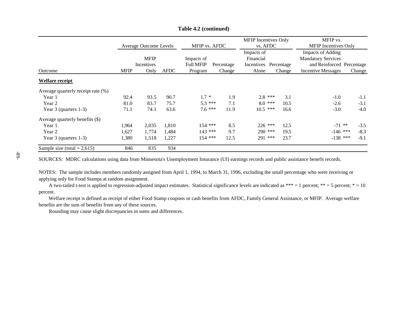|                                    | Average Outcome Levels |                           |       | MFIP vs. AFDC                  |            | <b>MFIP</b> Incentives Only<br>vs. AFDC          |        | MFIP vs.<br>MFIP Incentives Only                                            |        |
|------------------------------------|------------------------|---------------------------|-------|--------------------------------|------------|--------------------------------------------------|--------|-----------------------------------------------------------------------------|--------|
|                                    |                        | <b>MFIP</b><br>Incentives |       | Impacts of<br><b>Full MFIP</b> | Percentage | Impacts of<br>Financial<br>Incentives Percentage |        | Impacts of Adding<br><b>Mandatory Services</b><br>and Reinforced Percentage |        |
| Outcome                            | <b>MFIP</b>            | Only                      | AFDC  | Program                        | Change     | Alone                                            | Change | Incentive Messages                                                          | Change |
| Welfare receipt                    |                        |                           |       |                                |            |                                                  |        |                                                                             |        |
| Average quarterly receipt rate (%) |                        |                           |       |                                |            |                                                  |        |                                                                             |        |
| Year 1                             | 92.4                   | 93.5                      | 90.7  | $1.7*$                         | 1.9        | $2.8$ ***                                        | 3.1    | $-1.0$                                                                      | $-1.1$ |
| Year 2                             | 81.0                   | 83.7                      | 75.7  | $5.3***$                       | 7.1        | $8.0$ ***                                        | 10.5   | $-2.6$                                                                      | $-3.1$ |
| Year 3 (quarters 1-3)              | 71.1                   | 74.1                      | 63.6  | $7.6***$                       | 11.9       | $10.5$ ***                                       | 16.6   | $-3.0$                                                                      | $-4.0$ |
| Average quarterly benefits (\$)    |                        |                           |       |                                |            |                                                  |        |                                                                             |        |
| Year 1                             | 1,964                  | 2,035                     | 1,810 | 154 ***                        | 8.5        | $226$ ***                                        | 12.5   | $-71$ **                                                                    | $-3.5$ |
| Year 2                             | 1,627                  | 1,774                     | 1.484 | $143$ ***                      | 9.7        | 290 ***                                          | 19.5   | $-146$ ***                                                                  | $-8.3$ |
| Year 3 (quarters 1-3)              | 1,380                  | 1,518                     | 1,227 | 154 ***                        | 12.5       | 291 ***                                          | 23.7   | $-138$ ***                                                                  | $-9.1$ |
| Sample size (total = $2,615$ )     | 846                    | 835                       | 934   |                                |            |                                                  |        |                                                                             |        |

SOURCES: MDRC calculations using data from Minnesota's Unemployment Insurance (UI) earnings records and public assistance benefit records.

NOTES: The sample includes members randomly assigned from April 1, 1994, to March 31, 1996, excluding the small percentage who were receiving or applying only for Food Stamps at random assignment.

A two-tailed t-test is applied to regression-adjusted impact estimates. Statistical significance levels are indicated as  $*** = 1$  percent;  $** = 5$  percent;  $* = 10$ percent.

 Welfare receipt is defined as receipt of either Food Stamp coupons or cash benefits from AFDC, Family General Assistance, or MFIP. Average welfare benefits are the sum of benefits from any of these sources.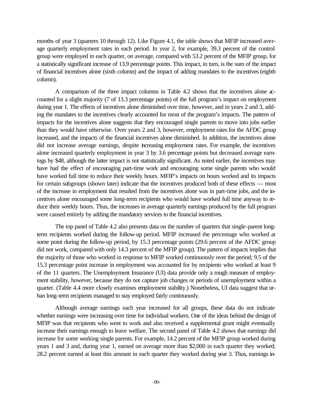months of year 3 (quarters 10 through 12). Like Figure 4.1, the table shows that MFIP increased average quarterly employment rates in each period. In year 2, for example, 39.3 percent of the control group were employed in each quarter, on average, compared with 53.2 percent of the MFIP group, for a statistically significant increase of 13.9 percentage points. This impact, in turn, is the sum of the impact of financial incentives alone (sixth column) and the impact of adding mandates to the incentives (eighth column).

A comparison of the three impact columns in Table 4.2 shows that the incentives alone accounted for a slight majority (7 of 13.3 percentage points) of the full program's impact on employment during year 1. The effects of incentives alone diminished over time, however, and in years 2 and 3, adding the mandates to the incentives clearly accounted for most of the program's impacts. The pattern of impacts for the incentives alone suggests that they encouraged single parents to move into jobs earlier than they would have otherwise. Over years 2 and 3, however, employment rates for the AFDC group increased, and the impacts of the financial incentives alone diminished. In addition, the incentives alone did not increase average earnings, despite increasing employment rates. For example, the incentives alone increased quarterly employment in year 3 by 3.6 percentage points but decreased average earnings by \$48, although the latter impact is not statistically significant. As noted earlier, the incentives may have had the effect of encouraging part-time work and encouraging some single parents who would have worked full time to reduce their weekly hours. MFIP's impacts on hours worked and its impacts for certain subgroups (shown later) indicate that the incentives produced both of these effects — most of the increase in employment that resulted from the incentives alone was in part-time jobs, and the incentives alone encouraged some long-term recipients who would have worked full time anyway to reduce their weekly hours. Thus, the increases in average quarterly earnings produced by the full program were caused entirely by adding the mandatory services to the financial incentives.

The top panel of Table 4.2 also presents data on the number of quarters that single-parent longterm recipients worked during the follow-up period. MFIP increased the percentage who worked at some point during the follow-up period, by 15.3 percentage points (29.6 percent of the AFDC group did not work, compared with only 14.3 percent of the MFIP group). The pattern of impacts implies that the majority of those who worked in response to MFIP worked continuously over the period; 9.5 of the 15.3 percentage point increase in employment was accounted for by recipients who worked at least 9 of the 11 quarters. The Unemployment Insurance (UI) data provide only a rough measure of employment stability, however, because they do not capture job changes or periods of unemployment within a quarter. (Table 4.4 more closely examines employment stability.) Nonetheless, UI data suggest that urban long-term recipients managed to stay employed fairly continuously.

Although average earnings each year increased for all groups, these data do not indicate whether earnings were increasing over time for individual workers. One of the ideas behind the design of MFIP was that recipients who went to work and also received a supplemental grant might eventually increase their earnings enough to leave welfare. The second panel of Table 4.2 shows that earnings did increase for some working single parents. For example, 14.2 percent of the MFIP group worked during years 1 and 3 and, during year 1, earned on average more than \$2,000 in each quarter they worked; 28.2 percent earned at least this amount in each quarter they worked during year 3. Thus, earnings in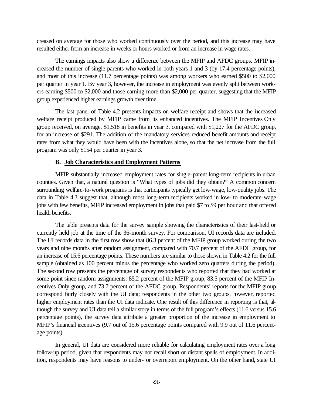creased on average for those who worked continuously over the period, and this increase may have resulted either from an increase in weeks or hours worked or from an increase in wage rates.

The earnings impacts also show a difference between the MFIP and AFDC groups. MFIP increased the number of single parents who worked in both years 1 and 3 (by 17.4 percentage points), and most of this increase (11.7 percentage points) was among workers who earned \$500 to \$2,000 per quarter in year 1. By year 3, however, the increase in employment was evenly split between workers earning \$500 to \$2,000 and those earning more than \$2,000 per quarter, suggesting that the MFIP group experienced higher earnings growth over time.

The last panel of Table 4.2 presents impacts on welfare receipt and shows that the increased welfare receipt produced by MFIP came from its enhanced incentives. The MFIP Incentives Only group received, on average, \$1,518 in benefits in year 3, compared with \$1,227 for the AFDC group, for an increase of \$291. The addition of the mandatory services reduced benefit amounts and receipt rates from what they would have been with the incentives alone, so that the net increase from the full program was only \$154 per quarter in year 3.

## **B. Job Characteristics and Employment Patterns**

MFIP substantially increased employment rates for single-parent long-term recipients in urban counties. Given that, a natural question is "What types of jobs did they obtain?" A common concern surrounding welfare-to-work programs is that participants typically get low-wage, low-quality jobs. The data in Table 4.3 suggest that, although most long-term recipients worked in low- to moderate-wage jobs with few benefits, MFIP increased employment in jobs that paid \$7 to \$9 per hour and that offered health benefits.

The table presents data for the survey sample showing the characteristics of their last-held or currently held job at the time of the 36-month survey. For comparison, UI records data are included. The UI records data in the first row show that 86.3 percent of the MFIP group worked during the two years and nine months after random assignment, compared with 70.7 percent of the AFDC group, for an increase of 15.6 percentage points. These numbers are similar to those shown in Table 4.2 for the full sample (obtained as 100 percent minus the percentage who worked zero quarters during the period). The second row presents the percentage of survey respondents who reported that they had worked at some point since random assignments: 85.2 percent of the MFIP group, 83.5 percent of the MFIP Incentives Only group, and 73.7 percent of the AFDC group. Respondents' reports for the MFIP group correspond fairly closely with the UI data; respondents in the other two groups, however, reported higher employment rates than the UI data indicate. One result of this difference in reporting is that, although the survey and UI data tell a similar story in terms of the full program's effects (11.6 versus 15.6 percentage points), the survey data attribute a greater proportion of the increase in employment to MFIP's financial incentives (9.7 out of 15.6 percentage points compared with 9.9 out of 11.6 percentage points).

In general, UI data are considered more reliable for calculating employment rates over a long follow-up period, given that respondents may not recall short or distant spells of employment. In addition, respondents may have reasons to under- or overreport employment. On the other hand, state UI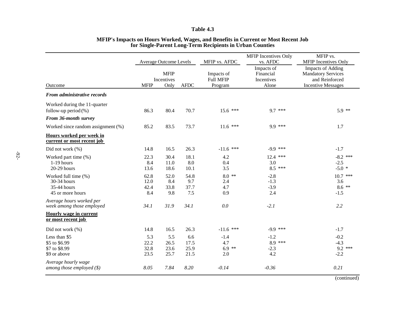|                                                                        | <b>Average Outcome Levels</b> |                                   |                             | MFIP vs. AFDC                             | <b>MFIP</b> Incentives Only<br>vs. AFDC        | MFIP vs.<br>MFIP Incentives Only                                                                     |
|------------------------------------------------------------------------|-------------------------------|-----------------------------------|-----------------------------|-------------------------------------------|------------------------------------------------|------------------------------------------------------------------------------------------------------|
| Outcome                                                                | <b>MFIP</b>                   | <b>MFIP</b><br>Incentives<br>Only | <b>AFDC</b>                 | Impacts of<br><b>Full MFIP</b><br>Program | Impacts of<br>Financial<br>Incentives<br>Alone | <b>Impacts of Adding</b><br><b>Mandatory Services</b><br>and Reinforced<br><b>Incentive Messages</b> |
| From administrative records                                            |                               |                                   |                             |                                           |                                                |                                                                                                      |
| Worked during the 11-quarter<br>follow-up period $(\%)$                | 86.3                          | 80.4                              | 70.7                        | $15.6$ ***                                | 9.7 ***                                        | 5.9 **                                                                                               |
| From 36-month survey                                                   |                               |                                   |                             |                                           |                                                |                                                                                                      |
| Worked since random assignment (%)                                     | 85.2                          | 83.5                              | 73.7                        | $11.6$ ***                                | 9.9 ***                                        | 1.7                                                                                                  |
| Hours worked per week in<br>current or most recent job                 |                               |                                   |                             |                                           |                                                |                                                                                                      |
| Did not work (%)                                                       | 14.8                          | 16.5                              | 26.3                        | $-11.6$ ***                               | $-9.9$ ***                                     | $-1.7$                                                                                               |
| Worked part time (%)<br>$1-19$ hours<br>20-29 hours                    | 22.3<br>8.4<br>13.6           | 30.4<br>11.0<br>18.6              | 18.1<br>8.0<br>10.1         | 4.2<br>0.4<br>3.5                         | $12.4$ ***<br>3.0<br>$8.5$ ***                 | $-8.2$ ***<br>$-2.5$<br>$-5.0$ *                                                                     |
| Worked full time (%)<br>30-34 hours<br>35-44 hours<br>45 or more hours | 62.8<br>12.0<br>42.4<br>8.4   | 52.0<br>8.4<br>33.8<br>9.8        | 54.8<br>9.7<br>37.7<br>7.5  | $8.0$ **<br>2.4<br>4.7<br>0.9             | $-2.8$<br>$-1.3$<br>$-3.9$<br>2.4              | $10.7$ ***<br>3.6<br>$8.6$ **<br>$-1.5$                                                              |
| Average hours worked per<br>week among those employed                  | 34.1                          | 31.9                              | 34.1                        | 0.0                                       | $-2.1$                                         | 2.2                                                                                                  |
| <b>Hourly wage in current</b><br>or most recent job                    |                               |                                   |                             |                                           |                                                |                                                                                                      |
| Did not work (%)                                                       | 14.8                          | 16.5                              | 26.3                        | $-11.6$ ***                               | $-9.9$ ***                                     | $-1.7$                                                                                               |
| Less than \$5<br>\$5 to \$6.99<br>\$7 to \$8.99<br>\$9 or above        | 5.3<br>22.2<br>32.8<br>23.5   | 5.5<br>26.5<br>23.6<br>25.7       | 6.6<br>17.5<br>25.9<br>21.5 | $-1.4$<br>4.7<br>$6.9$ **<br>2.0          | $-1.2$<br>8.9 ***<br>$-2.3$<br>4.2             | $-0.2$<br>$-4.3$<br>9.2 ***<br>$-2.2$                                                                |
| Average hourly wage<br>among those employed $(\$)$                     | 8.05                          | 7.84                              | 8.20                        | $-0.14$                                   | $-0.36$                                        | 0.21                                                                                                 |

#### **MFIP's Impacts on Hours Worked, Wages, and Benefits in Current or Most Recent Job for Single-Parent Long-Term Recipients in Urban Counties**

(continued)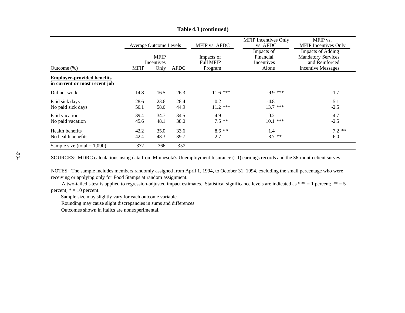|                                                                    | <b>Average Outcome Levels</b><br><b>MFIP</b><br>Incentives |              | MFIP vs. AFDC<br>Impacts of<br><b>Full MFIP</b> | <b>MFIP</b> Incentives Only<br>vs. AFDC<br>Impacts of<br>Financial<br>Incentives | MFIP vs.<br><b>MFIP</b> Incentives Only<br><b>Impacts of Adding</b><br><b>Mandatory Services</b><br>and Reinforced |                           |  |
|--------------------------------------------------------------------|------------------------------------------------------------|--------------|-------------------------------------------------|----------------------------------------------------------------------------------|--------------------------------------------------------------------------------------------------------------------|---------------------------|--|
| Outcome (%)                                                        | <b>MFIP</b>                                                | Only         | <b>AFDC</b>                                     | Program                                                                          | Alone                                                                                                              | <b>Incentive Messages</b> |  |
| <b>Employer-provided benefits</b><br>in current or most recent job |                                                            |              |                                                 |                                                                                  |                                                                                                                    |                           |  |
| Did not work                                                       | 14.8                                                       | 16.5         | 26.3                                            | $-11.6$ ***                                                                      | $-9.9$ ***                                                                                                         | $-1.7$                    |  |
| Paid sick days<br>No paid sick days                                | 28.6<br>56.1                                               | 23.6<br>58.6 | 28.4<br>44.9                                    | 0.2<br>$11.2$ ***                                                                | $-4.8$<br>$13.7$ ***                                                                                               | 5.1<br>$-2.5$             |  |
| Paid vacation<br>No paid vacation                                  | 39.4<br>45.6                                               | 34.7<br>48.1 | 34.5<br>38.0                                    | 4.9<br>$7.5$ **                                                                  | 0.2<br>$10.1$ ***                                                                                                  | 4.7<br>$-2.5$             |  |
| Health benefits<br>No health benefits                              | 42.2<br>42.4                                               | 35.0<br>48.3 | 33.6<br>39.7                                    | $8.6$ **<br>2.7                                                                  | 1.4<br>$8.7$ **                                                                                                    | $7.2$ **<br>$-6.0$        |  |
| Sample size (total = $1,090$ )                                     | 372                                                        | 366          | 352                                             |                                                                                  |                                                                                                                    |                           |  |

**Table 4.3 (continued)**

SOURCES: MDRC calculations using data from Minnesota's Unemployment Insurance (UI) earnings records and the 36-month client survey.

NOTES: The sample includes members randomly assigned from April 1, 1994, to October 31, 1994, excluding the small percentage who were receiving or applying only for Food Stamps at random assignment.

A two-tailed t-test is applied to regression-adjusted impact estimates. Statistical significance levels are indicated as  $*** = 1$  percent;  $** = 5$ percent;  $* = 10$  percent.

Sample size may slightly vary for each outcome variable.

Rounding may cause slight discrepancies in sums and differences.

Outcomes shown in italics are nonexperimental.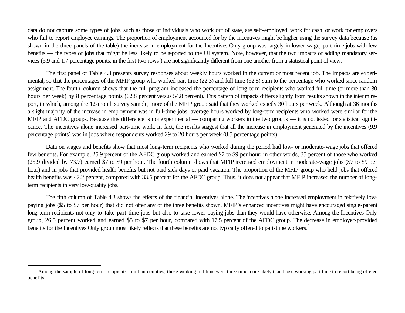data do not capture some types of jobs, such as those of individuals who work out of state, are self-employed, work for cash, or work for employers who fail to report employee earnings. The proportion of employment accounted for by the incentives might be higher using the survey data because (as shown in the three panels of the table) the increase in employment for the Incentives Only group was largely in lower-wage, part-time jobs with few benefits — the types of jobs that might be less likely to be reported to the UI system. Note, however, that the two impacts of adding mandatory services (5.9 and 1.7 percentage points, in the first two rows ) are not significantly different from one another from a statistical point of view.

The first panel of Table 4.3 presents survey responses about weekly hours worked in the current or most recent job. The impacts are experimental, so that the percentages of the MFIP group who worked part time (22.3) and full time (62.8) sum to the percentage who worked since random assignment. The fourth column shows that the full program increased the percentage of long-term recipients who worked full time (or more than 30 hours per week) by 8 percentage points (62.8 percent versus 54.8 percent). This pattern of impacts differs slightly from results shown in the interim report, in which, among the 12-month survey sample, more of the MFIP group said that they worked exactly 30 hours per week. Although at 36 months a slight majority of the increase in employment was in full-time jobs, average hours worked by long-term recipients who worked were similar for the MFIP and AFDC groups. Because this difference is nonexperimental — comparing workers in the two groups — it is not tested for statistical significance. The incentives alone increased part-time work. In fact, the results suggest that all the increase in employment generated by the incentives (9.9 percentage points) was in jobs where respondents worked 29 to 20 hours per week (8.5 percentage points).

Data on wages and benefits show that most long-term recipients who worked during the period had low- or moderate-wage jobs that offered few benefits. For example, 25.9 percent of the AFDC group worked and earned \$7 to \$9 per hour; in other words, 35 percent of those who worked (25.9 divided by 73.7) earned \$7 to \$9 per hour. The fourth column shows that MFIP increased employment in moderate-wage jobs (\$7 to \$9 per hour) and in jobs that provided health benefits but not paid sick days or paid vacation. The proportion of the MFIP group who held jobs that offered health benefits was 42.2 percent, compared with 33.6 percent for the AFDC group. Thus, it does not appear that MFIP increased the number of longterm recipients in very low-quality jobs.

The fifth column of Table 4.3 shows the effects of the financial incentives alone. The incentives alone increased employment in relatively lowpaying jobs (\$5 to \$7 per hour) that did not offer any of the three benefits shown. MFIP's enhanced incentives might have encouraged single-parent long-term recipients not only to take part-time jobs but also to take lower-paying jobs than they would have otherwise. Among the Incentives Only group, 26.5 percent worked and earned \$5 to \$7 per hour, compared with 17.5 percent of the AFDC group. The decrease in employer-provided benefits for the Incentives Only group most likely reflects that these benefits are not typically offered to part-time workers.<sup>8</sup>

<sup>&</sup>lt;sup>8</sup>Among the sample of long-term recipients in urban counties, those working full time were three time more likely than those working part time to report being offered benefits.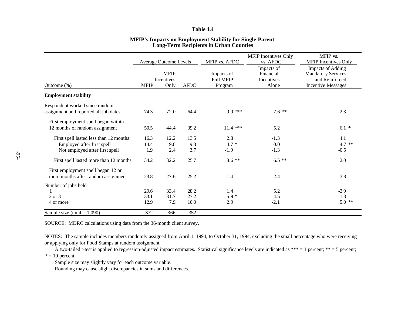### **MFIP's Impacts on Employment Stability for Single-Parent Long-Term Recipients in Urban Counties**

|                                                                                                        |                                                                 | <b>Average Outcome Levels</b> |                      | MFIP vs. AFDC                             | <b>MFIP</b> Incentives Only<br>vs. AFDC               | MFIP vs.<br><b>MFIP</b> Incentives Only                                                              |
|--------------------------------------------------------------------------------------------------------|-----------------------------------------------------------------|-------------------------------|----------------------|-------------------------------------------|-------------------------------------------------------|------------------------------------------------------------------------------------------------------|
| Outcome $(\%)$                                                                                         | <b>MFIP</b><br>Incentives<br><b>AFDC</b><br><b>MFIP</b><br>Only |                               |                      | Impacts of<br><b>Full MFIP</b><br>Program | Impacts of<br>Financial<br><b>Incentives</b><br>Alone | <b>Impacts of Adding</b><br><b>Mandatory Services</b><br>and Reinforced<br><b>Incentive Messages</b> |
| <b>Employment stability</b>                                                                            |                                                                 |                               |                      |                                           |                                                       |                                                                                                      |
| Respondent worked since random<br>assignment and reported all job dates                                | 74.3                                                            | 72.0                          | 64.4                 | $9.9***$                                  | $7.6**$                                               | 2.3                                                                                                  |
| First employment spell began within<br>12 months of random assignment                                  | 50.5                                                            | 44.4                          | 39.2                 | $11.4$ ***                                | 5.2                                                   | $6.1 *$                                                                                              |
| First spell lasted less than 12 months<br>Employed after first spell<br>Not employed after first spell | 16.3<br>14.4<br>1.9                                             | 12.2<br>9.8<br>2.4            | 13.5<br>9.8<br>3.7   | 2.8<br>$4.7 *$<br>$-1.9$                  | $-1.3$<br>0.0<br>$-1.3$                               | 4.1<br>4.7 **<br>$-0.5$                                                                              |
| First spell lasted more than 12 months                                                                 | 34.2                                                            | 32.2                          | 25.7                 | $8.6**$                                   | $6.5**$                                               | 2.0                                                                                                  |
| First employment spell began 12 or<br>more months after random assignment                              | 23.8                                                            | 27.6                          | 25.2                 | $-1.4$                                    | 2.4                                                   | $-3.8$                                                                                               |
| Number of jobs held<br>$2$ or $3$<br>4 or more                                                         | 29.6<br>33.1<br>12.9                                            | 33.4<br>31.7<br>7.9           | 28.2<br>27.2<br>10.0 | 1.4<br>$5.9 *$<br>2.9                     | 5.2<br>4.5<br>$-2.1$                                  | $-3.9$<br>1.3<br>$5.0$ **                                                                            |
| Sample size (total = $1,090$ )                                                                         | 372                                                             | 366                           | 352                  |                                           |                                                       |                                                                                                      |

SOURCE: MDRC calculations using data from the 36-month client survey.

NOTES: The sample includes members randomly assigned from April 1, 1994, to October 31, 1994, excluding the small percentage who were receiving or applying only for Food Stamps at random assignment.

 A two-tailed t-test is applied to regression-adjusted impact estimates. Statistical significance levels are indicated as \*\*\* = 1 percent; \*\* = 5 percent;  $* = 10$  percent.

Sample size may slightly vary for each outcome variable.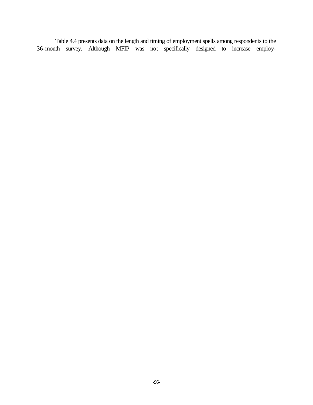Table 4.4 presents data on the length and timing of employment spells among respondents to the 36-month survey. Although MFIP was not specifically designed to increase employ-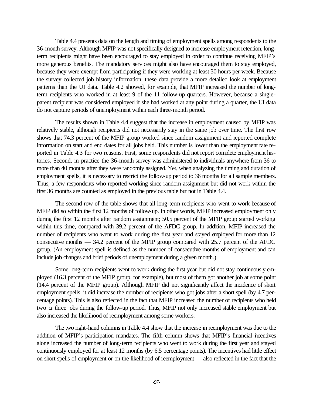Table 4.4 presents data on the length and timing of employment spells among respondents to the 36-month survey. Although MFIP was not specifically designed to increase employment retention, longterm recipients might have been encouraged to stay employed in order to continue receiving MFIP's more generous benefits. The mandatory services might also have encouraged them to stay employed, because they were exempt from participating if they were working at least 30 hours per week. Because the survey collected job history information, these data provide a more detailed look at employment patterns than the UI data. Table 4.2 showed, for example, that MFIP increased the number of longterm recipients who worked in at least 9 of the 11 follow-up quarters. However, because a singleparent recipient was considered employed if she had worked at any point during a quarter, the UI data do not capture periods of unemployment within each three-month period.

The results shown in Table 4.4 suggest that the increase in employment caused by MFIP was relatively stable, although recipients did not necessarily stay in the same job over time. The first row shows that 74.3 percent of the MFIP group worked since random assignment and reported complete information on start and end dates for all jobs held. This number is lower than the employment rate reported in Table 4.3 for two reasons. First, some respondents did not report complete employment histories. Second, in practice the 36-month survey was administered to individuals anywhere from 36 to more than 40 months after they were randomly assigned. Yet, when analyzing the timing and duration of employment spells, it is necessary to restrict the follow-up period to 36 months for all sample members. Thus, a few respondents who reported working since random assignment but did not work within the first 36 months are counted as employed in the previous table but not in Table 4.4.

The second row of the table shows that all long-term recipients who went to work because of MFIP did so within the first 12 months of follow-up. In other words, MFIP increased employment only during the first 12 months after random assignment; 50.5 percent of the MFIP group started working within this time, compared with 39.2 percent of the AFDC group. In addition, MFIP increased the number of recipients who went to work during the first year and stayed employed for more than 12 consecutive months — 34.2 percent of the MFIP group compared with 25.7 percent of the AFDC group. (An employment spell is defined as the number of consecutive months of employment and can include job changes and brief periods of unemployment during a given month.)

Some long-term recipients went to work during the first year but did not stay continuously employed (16.3 percent of the MFIP group, for example), but most of them got another job at some point (14.4 percent of the MFIP group). Although MFIP did not significantly affect the incidence of short employment spells, it did increase the number of recipients who got jobs after a short spell (by 4.7 percentage points). This is also reflected in the fact that MFIP increased the number of recipients who held two or three jobs during the follow-up period. Thus, MFIP not only increased stable employment but also increased the likelihood of reemployment among some workers.

The two right-hand columns in Table 4.4 show that the increase in reemployment was due to the addition of MFIP's participation mandates. The fifth column shows that MFIP's financial incentives alone increased the number of long-term recipients who went to work during the first year and stayed continuously employed for at least 12 months (by 6.5 percentage points). The incentives had little effect on short spells of employment or on the likelihood of reemployment — also reflected in the fact that the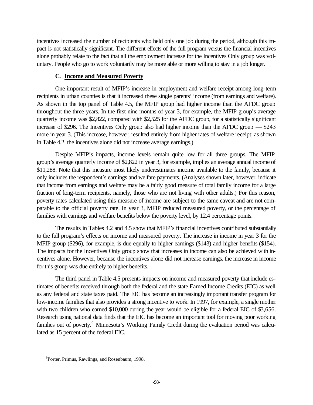incentives increased the number of recipients who held only one job during the period, although this impact is not statistically significant. The different effects of the full program versus the financial incentives alone probably relate to the fact that all the employment increase for the Incentives Only group was voluntary. People who go to work voluntarily may be more able or more willing to stay in a job longer.

## **C. Income and Measured Poverty**

One important result of MFIP's increase in employment and welfare receipt among long-term recipients in urban counties is that it increased these single parents' income (from earnings and welfare). As shown in the top panel of Table 4.5, the MFIP group had higher income than the AFDC group throughout the three years. In the first nine months of year 3, for example, the MFIP group's average quarterly income was \$2,822, compared with \$2,525 for the AFDC group, for a statistically significant increase of \$296. The Incentives Only group also had higher income than the AFDC group — \$243 more in year 3. (This increase, however, resulted entirely from higher rates of welfare receipt; as shown in Table 4.2, the incentives alone did not increase average earnings.)

Despite MFIP's impacts, income levels remain quite low for all three groups. The MFIP group's average quarterly income of \$2,822 in year 3, for example, implies an average annual income of \$11,288. Note that this measure most likely underestimates income available to the family, because it only includes the respondent's earnings and welfare payments. (Analyses shown later, however, indicate that income from earnings and welfare may be a fairly good measure of total family income for a large fraction of long-term recipients, namely, those who are not living with other adults.) For this reason, poverty rates calculated using this measure of income are subject to the same caveat and are not comparable to the official poverty rate. In year 3, MFIP reduced measured poverty, or the percentage of families with earnings and welfare benefits below the poverty level, by 12.4 percentage points.

The results in Tables 4.2 and 4.5 show that MFIP's financial incentives contributed substantially to the full program's effects on income and measured poverty. The increase in income in year 3 for the MFIP group (\$296), for example, is due equally to higher earnings (\$143) and higher benefits (\$154). The impacts for the Incentives Only group show that increases in income can also be achieved with incentives alone. However, because the incentives alone did not increase earnings, the increase in income for this group was due entirely to higher benefits.

The third panel in Table 4.5 presents impacts on income and measured poverty that include estimates of benefits received through both the federal and the state Earned Income Credits (EIC) as well as any federal and state taxes paid. The EIC has become an increasingly important transfer program for low-income families that also provides a strong incentive to work. In 1997, for example, a single mother with two children who earned \$10,000 during the year would be eligible for a federal EIC of \$3,656. Research using national data finds that the EIC has become an important tool for moving poor working families out of poverty.<sup>9</sup> Minnesota's Working Family Credit during the evaluation period was calculated as 15 percent of the federal EIC.

<sup>9</sup> Porter, Primus, Rawlings, and Rosenbaum, 1998.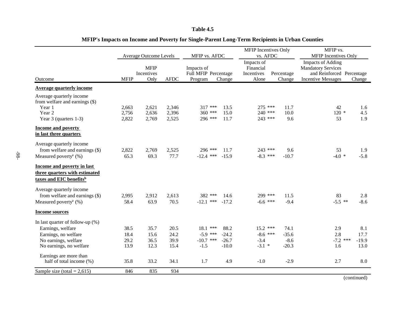|                                                                      |             |                               |             |                                    |         | <b>MFIP</b> Incentives Only |            | MFIP vs.                                               |         |
|----------------------------------------------------------------------|-------------|-------------------------------|-------------|------------------------------------|---------|-----------------------------|------------|--------------------------------------------------------|---------|
|                                                                      |             | <b>Average Outcome Levels</b> |             | MFIP vs. AFDC                      |         | vs. AFDC                    |            | <b>MFIP</b> Incentives Only                            |         |
|                                                                      |             |                               |             |                                    |         | Impacts of                  |            | <b>Impacts of Adding</b>                               |         |
|                                                                      |             | <b>MFIP</b><br>Incentives     |             | Impacts of<br>Full MFIP Percentage |         | Financial<br>Incentives     | Percentage | <b>Mandatory Services</b><br>and Reinforced Percentage |         |
| Outcome                                                              | <b>MFIP</b> | Only                          | <b>AFDC</b> | Program                            | Change  | Alone                       | Change     | <b>Incentive Messages</b>                              | Change  |
| <b>Average quarterly income</b>                                      |             |                               |             |                                    |         |                             |            |                                                        |         |
| Average quarterly income<br>from welfare and earnings (\$)           |             |                               |             |                                    |         |                             |            |                                                        |         |
| Year 1                                                               | 2,663       | 2,621                         | 2,346       | 317 ***                            | 13.5    | 275 ***                     | 11.7       | 42                                                     | 1.6     |
| Year 2                                                               | 2,756       | 2,636                         | 2,396       | 360 ***                            | 15.0    | 240 ***                     | 10.0       | $120*$                                                 | 4.5     |
| Year 3 (quarters 1-3)                                                | 2,822       | 2,769                         | 2,525       | 296 ***                            | 11.7    | 243 ***                     | 9.6        | 53                                                     | 1.9     |
| <b>Income and poverty</b>                                            |             |                               |             |                                    |         |                             |            |                                                        |         |
| in last three quarters                                               |             |                               |             |                                    |         |                             |            |                                                        |         |
| Average quarterly income                                             |             |                               |             |                                    |         |                             |            |                                                        |         |
| from welfare and earnings $(\$)$                                     | 2,822       | 2,769                         | 2,525       | 296 ***                            | 11.7    | 243 ***                     | 9.6        | 53                                                     | 1.9     |
| Measured poverty <sup>a</sup> (%)                                    | 65.3        | 69.3                          | 77.7        | $-12.4$ ***                        | $-15.9$ | $-8.3$ ***                  | $-10.7$    | $-4.0*$                                                | $-5.8$  |
| Income and poverty in last                                           |             |                               |             |                                    |         |                             |            |                                                        |         |
| three quarters with estimated<br>taxes and EIC benefits <sup>b</sup> |             |                               |             |                                    |         |                             |            |                                                        |         |
| Average quarterly income                                             |             |                               |             |                                    |         |                             |            |                                                        |         |
| from welfare and earnings $(\$)$                                     | 2,995       | 2,912                         | 2,613       | 382 ***                            | 14.6    | 299 ***                     | 11.5       | 83                                                     | 2.8     |
| Measured poverty <sup>a</sup> $(\%)$                                 | 58.4        | 63.9                          | 70.5        | $-12.1$ ***                        | $-17.2$ | $-6.6$ ***                  | $-9.4$     | $-5.5$ **                                              | $-8.6$  |
| <b>Income sources</b>                                                |             |                               |             |                                    |         |                             |            |                                                        |         |
| In last quarter of follow-up $(\%)$                                  |             |                               |             |                                    |         |                             |            |                                                        |         |
| Earnings, welfare                                                    | 38.5        | 35.7                          | 20.5        | 18.1 ***                           | 88.2    | $15.2$ ***                  | 74.1       | 2.9                                                    | 8.1     |
| Earnings, no welfare                                                 | 18.4        | 15.6                          | 24.2        | $-5.9$ ***                         | $-24.2$ | $-8.6$ ***                  | $-35.6$    | 2.8                                                    | 17.7    |
| No earnings, welfare                                                 | 29.2        | 36.5                          | 39.9        | $-10.7$ ***                        | $-26.7$ | $-3.4$                      | $-8.6$     | $-7.2$ ***                                             | $-19.9$ |
| No earnings, no welfare                                              | 13.9        | 12.3                          | 15.4        | $-1.5$                             | $-10.0$ | $-3.1$ *                    | $-20.3$    | 1.6                                                    | 13.0    |
| Earnings are more than                                               |             |                               |             |                                    |         |                             |            |                                                        |         |
| half of total income (%)                                             | 35.8        | 33.2                          | 34.1        | 1.7                                | 4.9     | $-1.0$                      | $-2.9$     | 2.7                                                    | 8.0     |
| Sample size (total = $2,615$ )                                       | 846         | 835                           | 934         |                                    |         |                             |            |                                                        |         |

# **MFIP's Impacts on Income and Poverty for Single-Parent Long-Term Recipients in Urban Counties**

(continued)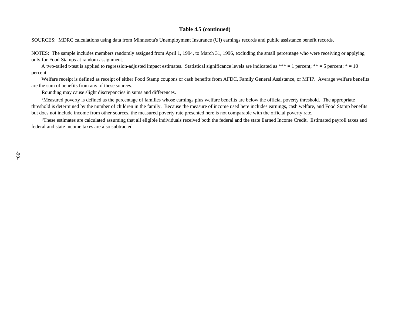#### **Table 4.5 (continued)**

SOURCES: MDRC calculations using data from Minnesota's Unemployment Insurance (UI) earnings records and public assistance benefit records.

NOTES: The sample includes members randomly assigned from April 1, 1994, to March 31, 1996, excluding the small percentage who were receiving or applying only for Food Stamps at random assignment.

A two-tailed t-test is applied to regression-adjusted impact estimates. Statistical significance levels are indicated as  $*** = 1$  percent;  $** = 5$  percent;  $* = 10$ percent.

Welfare receipt is defined as receipt of either Food Stamp coupons or cash benefits from AFDC, Family General Assistance, or MFIP. Average welfare benefits are the sum of benefits from any of these sources.

Rounding may cause slight discrepancies in sums and differences.

<sup>a</sup>Measured poverty is defined as the percentage of families whose earnings plus welfare benefits are below the official poverty threshold. The appropriate threshold is determined by the number of children in the family. Because the measure of income used here includes earnings, cash welfare, and Food Stamp benefits but does not include income from other sources, the measured poverty rate presented here is not comparable with the official poverty rate.

<sup>b</sup>These estimates are calculated assuming that all eligible individuals received both the federal and the state Earned Income Credit. Estimated payroll taxes and federal and state income taxes are also subtracted.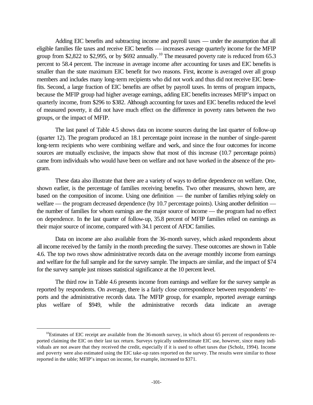Adding EIC benefits and subtracting income and payroll taxes — under the assumption that all eligible families file taxes and receive EIC benefits — increases average quarterly income for the MFIP group from \$2,822 to \$2,995, or by \$692 annually.<sup>10</sup> The measured poverty rate is reduced from 65.3 percent to 58.4 percent. The increase in average income after accounting for taxes and EIC benefits is smaller than the state maximum EIC benefit for two reasons. First, income is averaged over all group members and includes many long-term recipients who did not work and thus did not receive EIC benefits. Second, a large fraction of EIC benefits are offset by payroll taxes. In terms of program impacts, because the MFIP group had higher average earnings, adding EIC benefits increases MFIP's impact on quarterly income, from \$296 to \$382. Although accounting for taxes and EIC benefits reduced the level of measured poverty, it did not have much effect on the difference in poverty rates between the two groups, or the impact of MFIP.

The last panel of Table 4.5 shows data on income sources during the last quarter of follow-up (quarter 12). The program produced an 18.1 percentage point increase in the number of single-parent long-term recipients who were combining welfare and work, and since the four outcomes for income sources are mutually exclusive, the impacts show that most of this increase (10.7 percentage points) came from individuals who would have been on welfare and not have worked in the absence of the program.

These data also illustrate that there are a variety of ways to define dependence on welfare. One, shown earlier, is the percentage of families receiving benefits. Two other measures, shown here, are based on the composition of income. Using one definition — the number of families relying solely on welfare — the program decreased dependence (by 10.7 percentage points). Using another definition the number of families for whom earnings are the major source of income — the program had no effect on dependence. In the last quarter of follow-up, 35.8 percent of MFIP families relied on earnings as their major source of income, compared with 34.1 percent of AFDC families.

Data on income are also available from the 36-month survey, which asked respondents about all income received by the family in the month preceding the survey. These outcomes are shown in Table 4.6. The top two rows show administrative records data on the average monthly income from earnings and welfare for the full sample and for the survey sample. The impacts are similar, and the impact of \$74 for the survey sample just misses statistical significance at the 10 percent level.

The third row in Table 4.6 presents income from earnings and welfare for the survey sample as reported by respondents. On average, there is a fairly close correspondence between respondents' reports and the administrative records data. The MFIP group, for example, reported average earnings plus welfare of \$949, while the administrative records data indicate an average

 $10$ Estimates of EIC receipt are available from the 36-month survey, in which about 65 percent of respondents reported claiming the EIC on their last tax return. Surveys typically underestimate EIC use, however, since many individuals are not aware that they received the credit, especially if it is used to offset taxes due (Scholz, 1994). Income and poverty were also estimated using the EIC take-up rates reported on the survey. The results were similar to those reported in the table; MFIP's impact on income, for example, increased to \$371.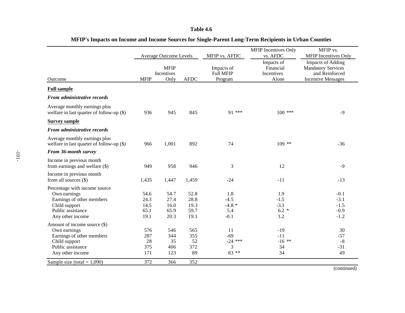|                                                                              |             |                               |             |                  | <b>MFIP</b> Incentives Only | MFIP vs.                    |  |
|------------------------------------------------------------------------------|-------------|-------------------------------|-------------|------------------|-----------------------------|-----------------------------|--|
|                                                                              |             | <b>Average Outcome Levels</b> |             | MFIP vs. AFDC    | vs. AFDC                    | <b>MFIP</b> Incentives Only |  |
|                                                                              |             |                               |             |                  | Impacts of                  | <b>Impacts of Adding</b>    |  |
|                                                                              | <b>MFIP</b> |                               |             | Impacts of       | Financial                   | <b>Mandatory Services</b>   |  |
|                                                                              |             | Incentives                    |             | <b>Full MFIP</b> | Incentives                  | and Reinforced              |  |
| Outcome                                                                      | <b>MFIP</b> | Only                          | <b>AFDC</b> | Program          | Alone                       | <b>Incentive Messages</b>   |  |
| <b>Full sample</b>                                                           |             |                               |             |                  |                             |                             |  |
| <b>From administrative records</b>                                           |             |                               |             |                  |                             |                             |  |
| Average monthly earnings plus<br>welfare in last quarter of follow-up (\$)   | 936         | 945                           | 845         | 91 ***           | $100$ ***                   | $-9$                        |  |
| <b>Survey</b> sample                                                         |             |                               |             |                  |                             |                             |  |
| From administrative records                                                  |             |                               |             |                  |                             |                             |  |
| Average monthly earnings plus<br>welfare in last quarter of follow-up $(\$)$ | 966         | 1,001                         | 892         | 74               | $109$ **                    | $-36$                       |  |
| From 36-month survey                                                         |             |                               |             |                  |                             |                             |  |
| Income in previous month<br>from earnings and welfare (\$)                   | 949         | 958                           | 946         | 3                | 12                          | $-9$                        |  |
| Income in previous month<br>from all sources $(\$)$                          | 1,435       | 1,447                         | 1,459       | $-24$            | $-11$                       | $-13$                       |  |
| Percentage with income source                                                |             |                               |             |                  |                             |                             |  |
| Own earnings                                                                 | 54.6        | 54.7                          | 52.8        | 1.8              | 1.9                         | $-0.1$                      |  |
| Earnings of other members                                                    | 24.3        | 27.4                          | 28.8        | $-4.5$           | $-1.5$                      | $-3.1$                      |  |
| Child support                                                                | 14.5        | 16.0                          | 19.3        | $-4.8 *$         | $-3.3$                      | $-1.5$                      |  |
| Public assistance                                                            | 65.1        | 65.9                          | 59.7        | 5.4              | $6.2 *$                     | $-0.9$                      |  |
| Any other income                                                             | 19.1        | 20.3                          | 19.1        | $-0.1$           | 1.2                         | $-1.2$                      |  |
| Amount of income source (\$)                                                 |             |                               |             |                  |                             |                             |  |
| Own earnings                                                                 | 576         | 546                           | 565         | 11               | $-19$                       | 30                          |  |
| Earnings of other members                                                    | 287         | 344                           | 355         | $-69$            | $-11$                       | $-57$                       |  |
| Child support                                                                | 28          | 35                            | 52          | $-24$ ***        | $-16$ **                    | $-8$                        |  |
| Public assistance                                                            | 375         | 406                           | 372         | 3                | 34                          | $-31$                       |  |
| Any other income                                                             | 171         | 123                           | 89          | 83 **            | 34                          | 49                          |  |
| Sample size (total = $1,090$ )                                               | 372         | 366                           | 352         |                  |                             |                             |  |

# **MFIP's Impacts on Income and Income Sources for Single-Parent Long-Term Recipients in Urban Counties**

(continued)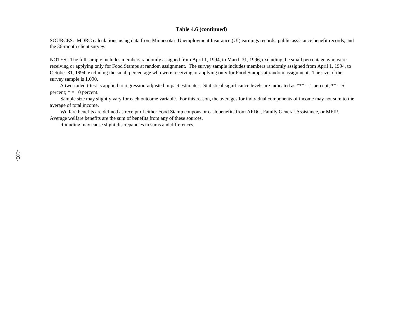#### **Table 4.6 (continued)**

SOURCES: MDRC calculations using data from Minnesota's Unemployment Insurance (UI) earnings records, public assistance benefit records, and the 36-month client survey.

NOTES: The full sample includes members randomly assigned from April 1, 1994, to March 31, 1996, excluding the small percentage who were receiving or applying only for Food Stamps at random assignment. The survey sample includes members randomly assigned from April 1, 1994, to October 31, 1994, excluding the small percentage who were receiving or applying only for Food Stamps at random assignment. The size of the survey sample is 1,090.

 A two-tailed t-test is applied to regression-adjusted impact estimates. Statistical significance levels are indicated as \*\*\* = 1 percent; \*\* = 5 percent;  $* = 10$  percent.

 Sample size may slightly vary for each outcome variable. For this reason, the averages for individual components of income may not sum to the average of total income.

 Welfare benefits are defined as receipt of either Food Stamp coupons or cash benefits from AFDC, Family General Assistance, or MFIP. Average welfare benefits are the sum of benefits from any of these sources.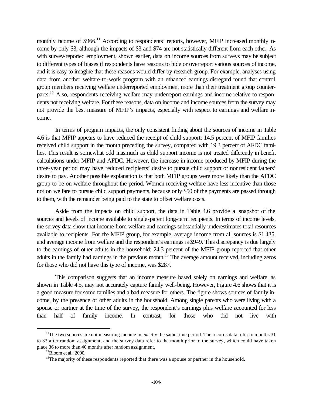monthly income of \$966.<sup>11</sup> According to respondents' reports, however, MFIP increased monthly income by only \$3, although the impacts of \$3 and \$74 are not statistically different from each other. As with survey-reported employment, shown earlier, data on income sources from surveys may be subject to different types of biases if respondents have reasons to hide or overreport various sources of income, and it is easy to imagine that these reasons would differ by research group. For example, analyses using data from another welfare-to-work program with an enhanced earnings disregard found that control group members receiving welfare underreported employment more than their treatment group counterparts.<sup>12</sup> Also, respondents receiving welfare may underreport earnings and income relative to respondents not receiving welfare. For these reasons, data on income and income sources from the survey may not provide the best measure of MFIP's impacts, especially with respect to earnings and welfare income.

In terms of program impacts, the only consistent finding about the sources of income in Table 4.6 is that MFIP appears to have reduced the receipt of child support; 14.5 percent of MFIP families received child support in the month preceding the survey, compared with 19.3 percent of AFDC families. This result is somewhat odd inasmuch as child support income is not treated differently in benefit calculations under MFIP and AFDC. However, the increase in income produced by MFIP during the three-year period may have reduced recipients' desire to pursue child support or nonresident fathers' desire to pay. Another possible explanation is that both MFIP groups were more likely than the AFDC group to be on welfare throughout the period. Women receiving welfare have less incentive than those not on welfare to pursue child support payments, because only \$50 of the payments are passed through to them, with the remainder being paid to the state to offset welfare costs.

Aside from the impacts on child support, the data in Table 4.6 provide a snapshot of the sources and levels of income available to single-parent long-term recipients. In terms of income levels, the survey data show that income from welfare and earnings substantially underestimates total resources available to recipients. For the MFIP group, for example, average income from all sources is \$1,435, and average income from welfare and the respondent's earnings is \$949. This discrepancy is due largely to the earnings of other adults in the household; 24.3 percent of the MFIP group reported that other adults in the family had earnings in the previous month.<sup>13</sup> The average amount received, including zeros for those who did not have this type of income, was \$287.

This comparison suggests that an income measure based solely on earnings and welfare, as shown in Table 4.5, may not accurately capture family well-being. However, Figure 4.6 shows that it is a good measure for some families and a bad measure for others. The figure shows sources of family income, by the presence of other adults in the household. Among single parents who were living with a spouse or partner at the time of the survey, the respondent's earnings plus welfare accounted for less than half of family income. In contrast, for those who did not live with

 $11$ The two sources are not measuring income in exactly the same time period. The records data refer to months 31 to 33 after random assignment, and the survey data refer to the month prior to the survey, which could have taken place 36 to more than 40 months after random assignment.

 $12$ Bloom et al., 2000.

 $13$ The majority of these respondents reported that there was a spouse or partner in the household.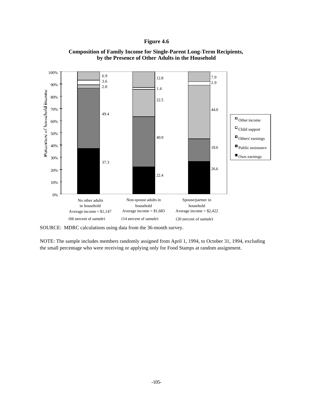### **Figure 4.6**



## **Composition of Family Income for Single-Parent Long-Term Recipients, by the Presence of Other Adults in the Household**

SOURCE: MDRC calculations using data from the 36-month survey.

NOTE: The sample includes members randomly assigned from April 1, 1994, to October 31, 1994, excluding the small percentage who were receiving or applying only for Food Stamps at random assignment.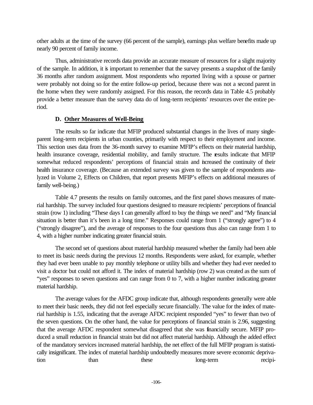other adults at the time of the survey (66 percent of the sample), earnings plus welfare benefits made up nearly 90 percent of family income.

Thus, administrative records data provide an accurate measure of resources for a slight majority of the sample. In addition, it is important to remember that the survey presents a snapshot of the family 36 months after random assignment. Most respondents who reported living with a spouse or partner were probably not doing so for the entire follow-up period, because there was not a second parent in the home when they were randomly assigned. For this reason, the records data in Table 4.5 probably provide a better measure than the survey data do of long-term recipients' resources over the entire period.

## **D. Other Measures of Well-Being**

The results so far indicate that MFIP produced substantial changes in the lives of many singleparent long-term recipients in urban counties, primarily with respect to their employment and income. This section uses data from the 36-month survey to examine MFIP's effects on their material hardship, health insurance coverage, residential mobility, and family structure. The results indicate that MFIP somewhat reduced respondents' perceptions of financial strain and increased the continuity of their health insurance coverage. (Because an extended survey was given to the sample of respondents analyzed in Volume 2, Effects on Children, that report presents MFIP's effects on additional measures of family well-being.)

Table 4.7 presents the results on family outcomes, and the first panel shows measures of material hardship. The survey included four questions designed to measure recipients' perceptions of financial strain (row 1) including "These days I can generally afford to buy the things we need" and "My financial situation is better than it's been in a long time." Responses could range from 1 ("strongly agree") to 4 ("strongly disagree"), and the average of responses to the four questions thus also can range from 1 to 4, with a higher number indicating greater financial strain.

The second set of questions about material hardship measured whether the family had been able to meet its basic needs during the previous 12 months. Respondents were asked, for example, whether they had ever been unable to pay monthly telephone or utility bills and whether they had ever needed to visit a doctor but could not afford it. The index of material hardship (row 2) was created as the sum of "yes" responses to seven questions and can range from 0 to 7, with a higher number indicating greater material hardship.

The average values for the AFDC group indicate that, although respondents generally were able to meet their basic needs, they did not feel especially secure financially. The value for the index of material hardship is 1.55, indicating that the average AFDC recipient responded "yes" to fewer than two of the seven questions. On the other hand, the value for perceptions of financial strain is 2.96, suggesting that the average AFDC respondent somewhat disagreed that she was financially secure. MFIP produced a small reduction in financial strain but did not affect material hardship. Although the added effect of the mandatory services increased material hardship, the net effect of the full MFIP program is statistically insignificant. The index of material hardship undoubtedly measures more severe economic deprivation than these long-term recipi-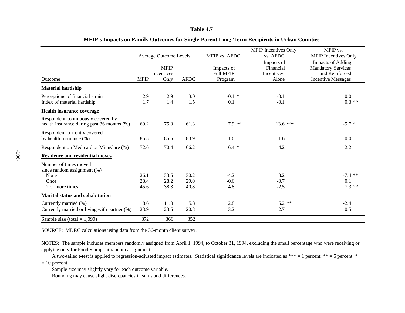|                                                                                  |                                                                 | <b>Average Outcome Levels</b> |                                           | MFIP vs. AFDC                                  | MFIP Incentives Only<br>vs. AFDC                                                                     | MFIP vs.<br><b>MFIP</b> Incentives Only |
|----------------------------------------------------------------------------------|-----------------------------------------------------------------|-------------------------------|-------------------------------------------|------------------------------------------------|------------------------------------------------------------------------------------------------------|-----------------------------------------|
| Outcome                                                                          | <b>MFIP</b><br>Incentives<br><b>AFDC</b><br><b>MFIP</b><br>Only |                               | Impacts of<br><b>Full MFIP</b><br>Program | Impacts of<br>Financial<br>Incentives<br>Alone | <b>Impacts of Adding</b><br><b>Mandatory Services</b><br>and Reinforced<br><b>Incentive Messages</b> |                                         |
| <b>Material hardship</b>                                                         |                                                                 |                               |                                           |                                                |                                                                                                      |                                         |
| Perceptions of financial strain<br>Index of material hardship                    | 2.9<br>1.7                                                      | 2.9<br>1.4                    | 3.0<br>1.5                                | $-0.1$ *<br>0.1                                | $-0.1$<br>$-0.1$                                                                                     | 0.0<br>$0.3**$                          |
| <b>Health insurance coverage</b>                                                 |                                                                 |                               |                                           |                                                |                                                                                                      |                                         |
| Respondent continuously covered by<br>health insurance during past 36 months (%) | 69.2                                                            | 75.0                          | 61.3                                      | $7.9$ **                                       | 13.6 ***                                                                                             | $-5.7*$                                 |
| Respondent currently covered<br>by health insurance $(\%)$                       | 85.5                                                            | 85.5                          | 83.9                                      | 1.6                                            | 1.6                                                                                                  | 0.0                                     |
| Respondent on Medicaid or MinnCare (%)                                           | 72.6                                                            | 70.4                          | 66.2                                      | $6.4 *$                                        | 4.2                                                                                                  | 2.2                                     |
| <b>Residence and residential moves</b>                                           |                                                                 |                               |                                           |                                                |                                                                                                      |                                         |
| Number of times moved<br>since random assignment $(\%)$                          |                                                                 |                               |                                           |                                                |                                                                                                      |                                         |
| None<br>Once<br>2 or more times                                                  | 26.1<br>28.4<br>45.6                                            | 33.5<br>28.2<br>38.3          | 30.2<br>29.0<br>40.8                      | $-4.2$<br>$-0.6$<br>4.8                        | 3.2<br>$-0.7$<br>$-2.5$                                                                              | $-7.4$ **<br>0.1<br>$7.3***$            |
| Marital status and cohabitation                                                  |                                                                 |                               |                                           |                                                |                                                                                                      |                                         |
| Currently married (%)<br>Currently married or living with partner (%)            | 8.6<br>23.9                                                     | 11.0<br>23.5                  | 5.8<br>20.8                               | 2.8<br>3.2                                     | $5.2$ **<br>2.7                                                                                      | $-2.4$<br>0.5                           |
| Sample size (total = $1,090$ )                                                   | 372                                                             | 366                           | 352                                       |                                                |                                                                                                      |                                         |

## **MFIP's Impacts on Family Outcomes for Single-Parent Long-Term Recipients in Urban Counties**

SOURCE: MDRC calculations using data from the 36-month client survey.

NOTES: The sample includes members randomly assigned from April 1, 1994, to October 31, 1994, excluding the small percentage who were receiving or applying only for Food Stamps at random assignment.

A two-tailed t-test is applied to regression-adjusted impact estimates. Statistical significance levels are indicated as  $*** = 1$  percent;  $** = 5$  percent; \*  $= 10$  percent.

Sample size may slightly vary for each outcome variable.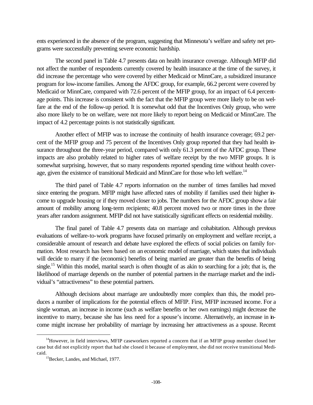ents experienced in the absence of the program, suggesting that Minnesota's welfare and safety net programs were successfully preventing severe economic hardship.

The second panel in Table 4.7 presents data on health insurance coverage. Although MFIP did not affect the number of respondents currently covered by health insurance at the time of the survey, it did increase the percentage who were covered by either Medicaid or MinnCare, a subsidized insurance program for low-income families. Among the AFDC group, for example, 66.2 percent were covered by Medicaid or MinnCare, compared with 72.6 percent of the MFIP group, for an impact of 6.4 percentage points. This increase is consistent with the fact that the MFIP group were more likely to be on welfare at the end of the follow-up period. It is somewhat odd that the Incentives Only group, who were also more likely to be on welfare, were not more likely to report being on Medicaid or MinnCare. The impact of 4.2 percentage points is not statistically significant.

Another effect of MFIP was to increase the continuity of health insurance coverage; 69.2 percent of the MFIP group and 75 percent of the Incentives Only group reported that they had health insurance throughout the three-year period, compared with only 61.3 percent of the AFDC group. These impacts are also probably related to higher rates of welfare receipt by the two MFIP groups. It is somewhat surprising, however, that so many respondents reported spending time without health coverage, given the existence of transitional Medicaid and MinnCare for those who left welfare.<sup>14</sup>

The third panel of Table 4.7 reports information on the number of times families had moved since entering the program. MFIP might have affected rates of mobility if families used their higher income to upgrade housing or if they moved closer to jobs. The numbers for the AFDC group show a fair amount of mobility among long-term recipients; 40.8 percent moved two or more times in the three years after random assignment. MFIP did not have statistically significant effects on residential mobility.

The final panel of Table 4.7 presents data on marriage and cohabitation. Although previous evaluations of welfare-to-work programs have focused primarily on employment and welfare receipt, a considerable amount of research and debate have explored the effects of social policies on family formation. Most research has been based on an economic model of marriage, which states that individuals will decide to marry if the (economic) benefits of being married are greater than the benefits of being single.<sup>15</sup> Within this model, marital search is often thought of as akin to searching for a job; that is, the likelihood of marriage depends on the number of potential partners in the marriage market and the individual's "attractiveness" to these potential partners.

Although decisions about marriage are undoubtedly more complex than this, the model produces a number of implications for the potential effects of MFIP. First, MFIP increased income. For a single woman, an increase in income (such as welfare benefits or her own earnings) might decrease the incentive to marry, because she has less need for a spouse's income. Alternatively, an increase in income might increase her probability of marriage by increasing her attractiveness as a spouse. Recent

 $14$ However, in field interviews, MFIP caseworkers reported a concern that if an MFIP group member closed her case but did not explicitly report that had she closed it because of employment, she did not receive transitional Medicaid.

<sup>&</sup>lt;sup>15</sup>Becker, Landes, and Michael, 1977.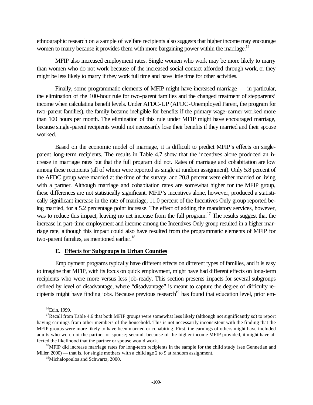ethnographic research on a sample of welfare recipients also suggests that higher income may encourage women to marry because it provides them with more bargaining power within the marriage.<sup>16</sup>

MFIP also increased employment rates. Single women who work may be more likely to marry than women who do not work because of the increased social contact afforded through work, or they might be less likely to marry if they work full time and have little time for other activities.

Finally, some programmatic elements of MFIP might have increased marriage — in particular, the elimination of the 100-hour rule for two-parent families and the changed treatment of stepparents' income when calculating benefit levels. Under AFDC-UP (AFDC-Unemployed Parent, the program for two-parent families), the family became ineligible for benefits if the primary wage-earner worked more than 100 hours per month. The elimination of this rule under MFIP might have encouraged marriage, because single-parent recipients would not necessarily lose their benefits if they married and their spouse worked.

Based on the economic model of marriage, it is difficult to predict MFIP's effects on singleparent long-term recipients. The results in Table 4.7 show that the incentives alone produced an increase in marriage rates but that the full program did not. Rates of marriage and cohabitation are low among these recipients (all of whom were reported as single at random assignment). Only 5.8 percent of the AFDC group were married at the time of the survey, and 20.8 percent were either married or living with a partner. Although marriage and cohabitation rates are somewhat higher for the MFIP group, these differences are not statistically significant. MFIP's incentives alone, however, produced a statistically significant increase in the rate of marriage; 11.0 percent of the Incentives Only group reported being married, for a 5.2 percentage point increase. The effect of adding the mandatory services, however, was to reduce this impact, leaving no net increase from the full program.<sup>17</sup> The results suggest that the increase in part-time employment and income among the Incentives Only group resulted in a higher marriage rate, although this impact could also have resulted from the programmatic elements of MFIP for two-parent families, as mentioned earlier.<sup>18</sup>

## **E. Effects for Subgroups in Urban Counties**

Employment programs typically have different effects on different types of families, and it is easy to imagine that MFIP, with its focus on quick employment, might have had different effects on long-term recipients who were more versus less job-ready. This section presents impacts for several subgroups defined by level of disadvantage, where "disadvantage" is meant to capture the degree of difficulty recipients might have finding jobs. Because previous research<sup>19</sup> has found that education level, prior em-

<sup>&</sup>lt;sup>16</sup>Edin, 1999.

<sup>&</sup>lt;sup>17</sup>Recall from Table 4.6 that both MFIP groups were somewhat less likely (although not significantly so) to report having earnings from other members of the household. This is not necessarily inconsistent with the finding that the MFIP groups were more likely to have been married or cohabiting. First, the earnings of others might have included adults who were not the partner or spouse; second, because of the higher income MFIP provided, it might have affected the likelihood that the partner or spouse would work.

 $18$ MFIP did increase marriage rates for long-term recipients in the sample for the child study (see Gennetian and Miller,  $2000$  — that is, for single mothers with a child age 2 to 9 at random assignment.

<sup>&</sup>lt;sup>19</sup>Michalopoulos and Schwartz, 2000.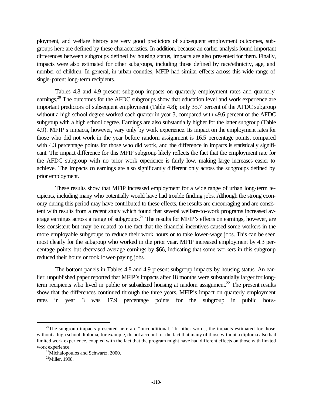ployment, and welfare history are very good predictors of subsequent employment outcomes, subgroups here are defined by these characteristics. In addition, because an earlier analysis found important differences between subgroups defined by housing status, impacts are also presented for them. Finally, impacts were also estimated for other subgroups, including those defined by race/ethnicity, age, and number of children. In general, in urban counties, MFIP had similar effects across this wide range of single-parent long-term recipients.

Tables 4.8 and 4.9 present subgroup impacts on quarterly employment rates and quarterly earnings.<sup>20</sup> The outcomes for the AFDC subgroups show that education level and work experience are important predictors of subsequent employment (Table 4.8); only 35.7 percent of the AFDC subgroup without a high school degree worked each quarter in year 3, compared with 49.6 percent of the AFDC subgroup with a high school degree. Earnings are also substantially higher for the latter subgroup (Table 4.9). MFIP's impacts, however, vary only by work experience. Its impact on the employment rates for those who did not work in the year before random assignment is 16.5 percentage points, compared with 4.3 percentage points for those who did work, and the difference in impacts is statistically significant. The impact difference for this MFIP subgroup likely reflects the fact that the employment rate for the AFDC subgroup with no prior work experience is fairly low, making large increases easier to achieve. The impacts on earnings are also significantly different only across the subgroups defined by prior employment.

These results show that MFIP increased employment for a wide range of urban long-term recipients, including many who potentially would have had trouble finding jobs. Although the strong economy during this period may have contributed to these effects, the results are encouraging and are consistent with results from a recent study which found that several welfare-to-work programs increased average earnings across a range of subgroups.<sup>21</sup> The results for MFIP's effects on earnings, however, are less consistent but may be related to the fact that the financial incentives caused some workers in the more employable subgroups to reduce their work hours or to take lower-wage jobs. This can be seen most clearly for the subgroup who worked in the prior year. MFIP increased employment by 4.3 percentage points but decreased average earnings by \$66, indicating that some workers in this subgroup reduced their hours or took lower-paying jobs.

The bottom panels in Tables 4.8 and 4.9 present subgroup impacts by housing status. An earlier, unpublished paper reported that MFIP's impacts after 18 months were substantially larger for longterm recipients who lived in public or subsidized housing at random assignment.<sup>22</sup> The present results show that the differences continued through the three years. MFIP's impact on quarterly employment rates in year 3 was 17.9 percentage points for the subgroup in public hous-

 $20$ The subgroup impacts presented here are "unconditional." In other words, the impacts estimated for those without a high school diploma, for example, do not account for the fact that many of those without a diploma also had limited work experience, coupled with the fact that the program might have had different effects on those with limited work experience.

<sup>&</sup>lt;sup>21</sup>Michalopoulos and Schwartz, 2000.

 $22$ Miller, 1998.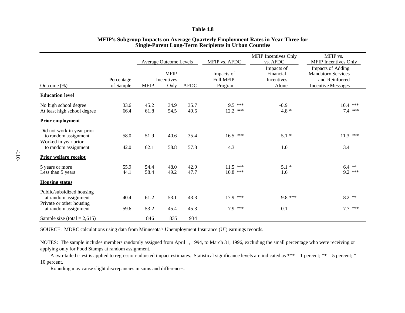|                                                                                                       |                         |              | <b>Average Outcome Levels</b>     |              | MFIP vs. AFDC                             | MFIP Incentives Only<br>vs. AFDC               | MFIP vs.<br>MFIP Incentives Only                                                                     |
|-------------------------------------------------------------------------------------------------------|-------------------------|--------------|-----------------------------------|--------------|-------------------------------------------|------------------------------------------------|------------------------------------------------------------------------------------------------------|
| Outcome $(\%)$                                                                                        | Percentage<br>of Sample | <b>MFIP</b>  | <b>MFIP</b><br>Incentives<br>Only | <b>AFDC</b>  | Impacts of<br><b>Full MFIP</b><br>Program | Impacts of<br>Financial<br>Incentives<br>Alone | <b>Impacts of Adding</b><br><b>Mandatory Services</b><br>and Reinforced<br><b>Incentive Messages</b> |
| <b>Education level</b>                                                                                |                         |              |                                   |              |                                           |                                                |                                                                                                      |
| No high school degree<br>At least high school degree                                                  | 33.6<br>66.4            | 45.2<br>61.8 | 34.9<br>54.5                      | 35.7<br>49.6 | $9.5$ ***<br>$12.2$ ***                   | $-0.9$<br>$4.8 *$                              | $10.4$ ***<br>$7.4$ ***                                                                              |
| <b>Prior employment</b>                                                                               |                         |              |                                   |              |                                           |                                                |                                                                                                      |
| Did not work in year prior<br>to random assignment<br>Worked in year prior<br>to random assignment    | 58.0<br>42.0            | 51.9<br>62.1 | 40.6<br>58.8                      | 35.4<br>57.8 | 16.5 ***<br>4.3                           | $5.1 *$<br>1.0                                 | $11.3$ ***<br>3.4                                                                                    |
| <b>Prior welfare receipt</b>                                                                          |                         |              |                                   |              |                                           |                                                |                                                                                                      |
| 5 years or more<br>Less than 5 years                                                                  | 55.9<br>44.1            | 54.4<br>58.4 | 48.0<br>49.2                      | 42.9<br>47.7 | $11.5$ ***<br>$10.8$ ***                  | $5.1 *$<br>1.6                                 | $6.4$ **<br>9.2 ***                                                                                  |
| <b>Housing status</b>                                                                                 |                         |              |                                   |              |                                           |                                                |                                                                                                      |
| Public/subsidized housing<br>at random assignment<br>Private or other housing<br>at random assignment | 40.4<br>59.6            | 61.2<br>53.2 | 53.1<br>45.4                      | 43.3<br>45.3 | 17.9 ***<br>7.9 ***                       | $9.8***$<br>0.1                                | $8.2$ **<br>$7.7***$                                                                                 |
| Sample size (total = $2,615$ )                                                                        |                         | 846          | 835                               | 934          |                                           |                                                |                                                                                                      |

## **MFIP's Subgroup Impacts on Average Quarterly Employment Rates in Year Three for Single-Parent Long-Term Recipients in Urban Counties**

SOURCE: MDRC calculations using data from Minnesota's Unemployment Insurance (UI) earnings records.

NOTES: The sample includes members randomly assigned from April 1, 1994, to March 31, 1996, excluding the small percentage who were receiving or applying only for Food Stamps at random assignment.

A two-tailed t-test is applied to regression-adjusted impact estimates. Statistical significance levels are indicated as \*\*\* = 1 percent; \*\* = 5 percent; \* = 10 percent.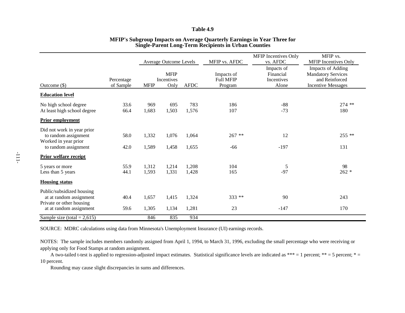|                                                                                                             |                         |                | Average Outcome Levels                   |                | MFIP vs. AFDC                             | MFIP Incentives Only<br>vs. AFDC               | MFIP vs.<br>MFIP Incentives Only                                                                     |
|-------------------------------------------------------------------------------------------------------------|-------------------------|----------------|------------------------------------------|----------------|-------------------------------------------|------------------------------------------------|------------------------------------------------------------------------------------------------------|
| Outcome (\$)                                                                                                | Percentage<br>of Sample | <b>MFIP</b>    | <b>MFIP</b><br><b>Incentives</b><br>Only | <b>AFDC</b>    | Impacts of<br><b>Full MFIP</b><br>Program | Impacts of<br>Financial<br>Incentives<br>Alone | <b>Impacts of Adding</b><br><b>Mandatory Services</b><br>and Reinforced<br><b>Incentive Messages</b> |
| <b>Education level</b>                                                                                      |                         |                |                                          |                |                                           |                                                |                                                                                                      |
| No high school degree<br>At least high school degree                                                        | 33.6<br>66.4            | 969<br>1,683   | 695<br>1,503                             | 783<br>1,576   | 186<br>107                                | $-88$<br>$-73$                                 | $274$ **<br>180                                                                                      |
| <b>Prior employment</b>                                                                                     |                         |                |                                          |                |                                           |                                                |                                                                                                      |
| Did not work in year prior<br>to random assignment<br>Worked in year prior<br>to random assignment          | 58.0<br>42.0            | 1,332<br>1,589 | 1,076<br>1,458                           | 1,064<br>1,655 | 267 **<br>$-66$                           | 12<br>$-197$                                   | 255 **<br>131                                                                                        |
| Prior welfare receipt                                                                                       |                         |                |                                          |                |                                           |                                                |                                                                                                      |
| 5 years or more<br>Less than 5 years                                                                        | 55.9<br>44.1            | 1,312<br>1,593 | 1,214<br>1,331                           | 1,208<br>1,428 | 104<br>165                                | 5<br>$-97$                                     | 98<br>$262 *$                                                                                        |
| <b>Housing status</b>                                                                                       |                         |                |                                          |                |                                           |                                                |                                                                                                      |
| Public/subsidized housing<br>at at random assignment<br>Private or other housing<br>at at random assignment | 40.4<br>59.6            | 1,657<br>1,305 | 1,415<br>1,134                           | 1,324<br>1,281 | 333 **<br>23                              | 90<br>$-147$                                   | 243<br>170                                                                                           |
| Sample size (total = $2,615$ )                                                                              |                         | 846            | 835                                      | 934            |                                           |                                                |                                                                                                      |

## **MFIP's Subgroup Impacts on Average Quarterly Earnings in Year Three for Single-Parent Long-Term Recipients in Urban Counties**

SOURCE: MDRC calculations using data from Minnesota's Unemployment Insurance (UI) earnings records.

NOTES: The sample includes members randomly assigned from April 1, 1994, to March 31, 1996, excluding the small percentage who were receiving or applying only for Food Stamps at random assignment.

A two-tailed t-test is applied to regression-adjusted impact estimates. Statistical significance levels are indicated as \*\*\* = 1 percent; \*\* = 5 percent; \* = 10 percent.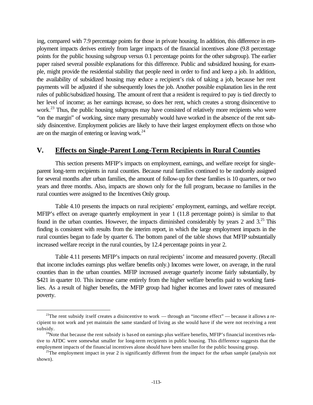ing, compared with 7.9 percentage points for those in private housing. In addition, this difference in employment impacts derives entirely from larger impacts of the financial incentives alone (9.8 percentage points for the public housing subgroup versus 0.1 percentage points for the other subgroup). The earlier paper raised several possible explanations for this difference. Public and subsidized housing, for example, might provide the residential stability that people need in order to find and keep a job. In addition, the availability of subsidized housing may reduce a recipient's risk of taking a job, because her rent payments will be adjusted if she subsequently loses the job. Another possible explanation lies in the rent rules of public/subsidized housing. The amount of rent that a resident is required to pay is tied directly to her level of income; as her earnings increase, so does her rent, which creates a strong disincentive to work.<sup>23</sup> Thus, the public housing subgroups may have consisted of relatively more recipients who were "on the margin" of working, since many presumably would have worked in the absence of the rent subsidy disincentive. Employment policies are likely to have their largest employment effects on those who are on the margin of entering or leaving work. $^{24}$ 

# **V. Effects on Single-Parent Long-Term Recipients in Rural Counties**

This section presents MFIP's impacts on employment, earnings, and welfare receipt for singleparent long-term recipients in rural counties. Because rural families continued to be randomly assigned for several months after urban families, the amount of follow-up for these families is 10 quarters, or two years and three months. Also, impacts are shown only for the full program, because no families in the rural counties were assigned to the Incentives Only group.

Table 4.10 presents the impacts on rural recipients' employment, earnings, and welfare receipt. MFIP's effect on average quarterly employment in year 1 (11.8 percentage points) is similar to that found in the urban counties. However, the impacts diminished considerably by years 2 and 3.<sup>25</sup> This finding is consistent with results from the interim report, in which the large employment impacts in the rural counties began to fade by quarter 6. The bottom panel of the table shows that MFIP substantially increased welfare receipt in the rural counties, by 12.4 percentage points in year 2.

Table 4.11 presents MFIP's impacts on rural recipients' income and measured poverty. (Recall that income includes earnings plus welfare benefits only.) Incomes were lower, on average, in the rural counties than in the urban counties. MFIP increased average quarterly income fairly substantially, by \$421 in quarter 10. This increase came entirely from the higher welfare benefits paid to working families. As a result of higher benefits, the MFIP group had higher incomes and lower rates of measured poverty.

<sup>&</sup>lt;sup>23</sup>The rent subsidy itself creates a disincentive to work — through an "income effect" — because it allows a recipient to not work and yet maintain the same standard of living as she would have if she were not receiving a rent subsidy.

 $24$ Note that because the rent subsidy is based on earnings plus welfare benefits, MFIP's financial incentives relative to AFDC were somewhat smaller for long-term recipients in public housing. This difference suggests that the employment impacts of the financial incentives alone should have been smaller for the public housing group.

 $25$ The employment impact in year 2 is significantly different from the impact for the urban sample (analysis not shown).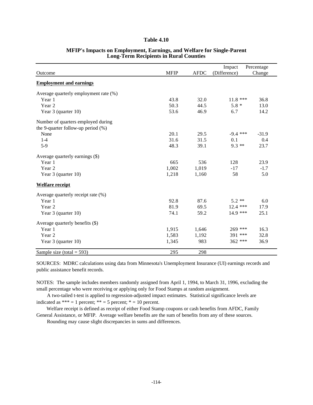|                                       |             |             | Impact       | Percentage |
|---------------------------------------|-------------|-------------|--------------|------------|
| Outcome                               | <b>MFIP</b> | <b>AFDC</b> | (Difference) | Change     |
| <b>Employment and earnings</b>        |             |             |              |            |
| Average quarterly employment rate (%) |             |             |              |            |
| Year 1                                | 43.8        | 32.0        | $11.8***$    | 36.8       |
| Year 2                                | 50.3        | 44.5        | $5.8*$       | 13.0       |
| Year 3 (quarter 10)                   | 53.6        | 46.9        | 6.7          | 14.2       |
| Number of quarters employed during    |             |             |              |            |
| the 9-quarter follow-up period $(\%)$ |             |             |              |            |
| None                                  | 20.1        | 29.5        | $-9.4$ ***   | $-31.9$    |
| $1 - 4$                               | 31.6        | 31.5        | 0.1          | 0.4        |
| $5-9$                                 | 48.3        | 39.1        | $9.3***$     | 23.7       |
| Average quarterly earnings (\$)       |             |             |              |            |
| Year 1                                | 665         | 536         | 128          | 23.9       |
| Year 2                                | 1,002       | 1,019       | $-17$        | $-1.7$     |
| Year 3 (quarter 10)                   | 1,218       | 1,160       | 58           | 5.0        |
| <b>Welfare receipt</b>                |             |             |              |            |
| Average quarterly receipt rate (%)    |             |             |              |            |
| Year 1                                | 92.8        | 87.6        | $5.2**$      | 6.0        |
| Year 2                                | 81.9        | 69.5        | $12.4$ ***   | 17.9       |
| Year 3 (quarter 10)                   | 74.1        | 59.2        | $14.9***$    | 25.1       |
| Average quarterly benefits (\$)       |             |             |              |            |
| Year 1                                | 1,915       | 1,646       | $269$ ***    | 16.3       |
| Year 2                                | 1,583       | 1,192       | 391 ***      | 32.8       |
| Year 3 (quarter 10)                   | 1,345       | 983         | 362 ***      | 36.9       |
| Sample size (total = $593$ )          | 295         | 298         |              |            |

#### **MFIP's Impacts on Employment, Earnings, and Welfare for Single-Parent Long-Term Recipients in Rural Counties**

SOURCES: MDRC calculations using data from Minnesota's Unemployment Insurance (UI) earnings records and public assistance benefit records.

NOTES: The sample includes members randomly assigned from April 1, 1994, to March 31, 1996, excluding the small percentage who were receiving or applying only for Food Stamps at random assignment.

 A two-tailed t-test is applied to regression-adjusted impact estimates. Statistical significance levels are indicated as  $*** = 1$  percent;  $** = 5$  percent;  $* = 10$  percent.

 Welfare receipt is defined as receipt of either Food Stamp coupons or cash benefits from AFDC, Family General Assistance, or MFIP. Average welfare benefits are the sum of benefits from any of these sources.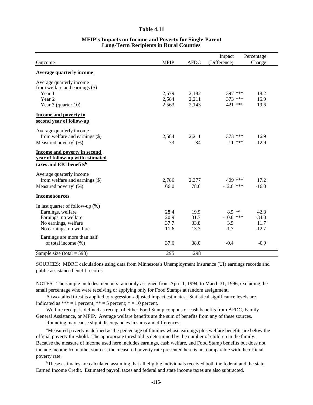|                                      |             |             | Impact       | Percentage |
|--------------------------------------|-------------|-------------|--------------|------------|
| Outcome                              | <b>MFIP</b> | <b>AFDC</b> | (Difference) | Change     |
| <b>Average quarterly income</b>      |             |             |              |            |
| Average quarterly income             |             |             |              |            |
| from welfare and earnings (\$)       |             |             |              |            |
| Year 1                               | 2,579       | 2,182       | 397 ***      | 18.2       |
| Year 2                               | 2,584       | 2,211       | $373$ ***    | 16.9       |
| Year 3 (quarter 10)                  | 2,563       | 2,143       | 421 ***      | 19.6       |
| <b>Income and poverty in</b>         |             |             |              |            |
| second year of follow-up             |             |             |              |            |
| Average quarterly income             |             |             |              |            |
| from welfare and earnings (\$)       | 2,584       | 2,211       | $373$ ***    | 16.9       |
| Measured poverty <sup>a</sup> $(\%)$ | 73          | 84          | $-11$ ***    | $-12.9$    |
| Income and poverty in second         |             |             |              |            |
| year of follow-up with estimated     |             |             |              |            |
| taxes and EIC benefits <sup>b</sup>  |             |             |              |            |
| Average quarterly income             |             |             |              |            |
| from welfare and earnings $(\$)$     | 2,786       | 2,377       | 409 ***      | 17.2       |
| Measured poverty <sup>a</sup> (%)    | 66.0        | 78.6        | $-12.6$ ***  | $-16.0$    |
| <b>Income sources</b>                |             |             |              |            |
| In last quarter of follow-up $(\%)$  |             |             |              |            |
| Earnings, welfare                    | 28.4        | 19.9        | $8.5$ **     | 42.8       |
| Earnings, no welfare                 | 20.9        | 31.7        | $-10.8$ ***  | $-34.0$    |
| No earnings, welfare                 | 37.7        | 33.8        | 3.9          | 11.7       |
| No earnings, no welfare              | 11.6        | 13.3        | $-1.7$       | $-12.7$    |
| Earnings are more than half          |             |             |              |            |
| of total income (%)                  | 37.6        | 38.0        | $-0.4$       | $-0.9$     |
| Sample size (total = 593)            | 295         | 298         |              |            |

## **MFIP's Impacts on Income and Poverty for Single-Parent Long-Term Recipients in Rural Counties**

SOURCES: MDRC calculations using data from Minnesota's Unemployment Insurance (UI) earnings records and public assistance benefit records.

NOTES: The sample includes members randomly assigned from April 1, 1994, to March 31, 1996, excluding the small percentage who were receiving or applying only for Food Stamps at random assignment.

 A two-tailed t-test is applied to regression-adjusted impact estimates. Statistical significance levels are indicated as  $*** = 1$  percent;  $** = 5$  percent;  $* = 10$  percent.

 Welfare receipt is defined as receipt of either Food Stamp coupons or cash benefits from AFDC, Family General Assistance, or MFIP. Average welfare benefits are the sum of benefits from any of these sources.

Rounding may cause slight discrepancies in sums and differences.

<sup>a</sup>Measured poverty is defined as the percentage of families whose earnings plus welfare benefits are below the official poverty threshold. The appropriate threshold is determined by the number of children in the family. Because the measure of income used here includes earnings, cash welfare, and Food Stamp benefits but does not include income from other sources, the measured poverty rate presented here is not comparable with the official poverty rate.

<sup>b</sup>These estimates are calculated assuming that all eligible individuals received both the federal and the state Earned Income Credit. Estimated payroll taxes and federal and state income taxes are also subtracted.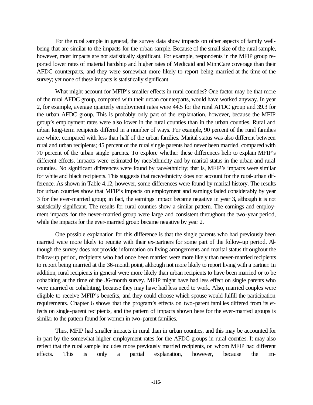For the rural sample in general, the survey data show impacts on other aspects of family wellbeing that are similar to the impacts for the urban sample. Because of the small size of the rural sample, however, most impacts are not statistically significant. For example, respondents in the MFIP group reported lower rates of material hardship and higher rates of Medicaid and MinnCare coverage than their AFDC counterparts, and they were somewhat more likely to report being married at the time of the survey; yet none of these impacts is statistically significant.

What might account for MFIP's smaller effects in rural counties? One factor may be that more of the rural AFDC group, compared with their urban counterparts, would have worked anyway. In year 2, for example, average quarterly employment rates were 44.5 for the rural AFDC group and 39.3 for the urban AFDC group. This is probably only part of the explanation, however, because the MFIP group's employment rates were also lower in the rural counties than in the urban counties. Rural and urban long-term recipients differed in a number of ways. For example, 90 percent of the rural families are white, compared with less than half of the urban families. Marital status was also different between rural and urban recipients; 45 percent of the rural single parents had never been married, compared with 70 percent of the urban single parents. To explore whether these differences help to explain MFIP's different effects, impacts were estimated by race/ethnicity and by marital status in the urban and rural counties. No significant differences were found by race/ethnicity; that is, MFIP's impacts were similar for white and black recipients. This suggests that race/ethnicity does not account for the rural-urban difference. As shown in Table 4.12, however, some differences were found by marital history. The results for urban counties show that MFIP's impacts on employment and earnings faded considerably by year 3 for the ever-married group; in fact, the earnings impact became negative in year 3, although it is not statistically significant. The results for rural counties show a similar pattern. The earnings and employment impacts for the never-married group were large and consistent throughout the two-year period, while the impacts for the ever-married group became negative by year 2.

One possible explanation for this difference is that the single parents who had previously been married were more likely to reunite with their ex-partners for some part of the follow-up period. Although the survey does not provide information on living arrangements and marital status throughout the follow-up period, recipients who had once been married were more likely than never-married recipients to report being married at the 36-month point, although not more likely to report living with a partner. In addition, rural recipients in general were more likely than urban recipients to have been married or to be cohabiting at the time of the 36-month survey. MFIP might have had less effect on single parents who were married or cohabiting, because they may have had less need to work. Also, married couples were eligible to receive MFIP's benefits, and they could choose which spouse would fulfill the participation requirements. Chapter 6 shows that the program's effects on two-parent families differed from its effects on single-parent recipients, and the pattern of impacts shown here for the ever-married groups is similar to the pattern found for women in two-parent families.

Thus, MFIP had smaller impacts in rural than in urban counties, and this may be accounted for in part by the somewhat higher employment rates for the AFDC groups in rural counties. It may also reflect that the rural sample includes more previously married recipients, on whom MFIP had different effects. This is only a partial explanation, however, because the im-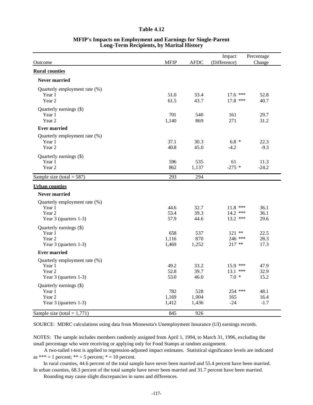|                                |             |             | Impact       | Percentage |
|--------------------------------|-------------|-------------|--------------|------------|
| Outcome                        | <b>MFIP</b> | <b>AFDC</b> | (Difference) | Change     |
| <b>Rural counties</b>          |             |             |              |            |
| <b>Never married</b>           |             |             |              |            |
| Quarterly employment rate (%)  |             |             |              |            |
| Year 1                         | 51.0        | 33.4        | 17.6 ***     | 52.8       |
| Year 2                         | 61.5        | 43.7        | $17.8$ ***   | 40.7       |
| Quarterly earnings (\$)        |             |             |              |            |
| Year 1                         | 701         | 540         | 161          | 29.7       |
| Year <sub>2</sub>              | 1,140       | 869         | 271          | 31.2       |
| <b>Ever married</b>            |             |             |              |            |
| Quarterly employment rate (%)  |             |             |              |            |
| Year 1                         | 37.1        | 30.3        | $6.8 *$      | 22.3       |
| Year <sub>2</sub>              | 40.8        | 45.0        | $-4.2$       | $-9.3$     |
| Quarterly earnings (\$)        |             |             |              |            |
| Year 1                         | 596         | 535         | 61           | 11.3       |
| Year 2                         | 862         | 1,137       | $-275$ *     | $-24.2$    |
| Sample size (total = $587$ )   | 293         | 294         |              |            |
| <b>Urban counties</b>          |             |             |              |            |
| <b>Never married</b>           |             |             |              |            |
| Quarterly employment rate (%)  |             |             |              |            |
| Year 1                         | 44.6        | 32.7        | $11.8$ ***   | 36.1       |
| Year 2                         | 53.4        | 39.3        | $14.2$ ***   | 36.1       |
| Year 3 (quarters 1-3)          | 57.9        | 44.6        | $13.2$ ***   | 29.6       |
| Quarterly earnings (\$)        |             |             |              |            |
| Year 1                         | 658         | 537         | $121$ **     | 22.5       |
| Year 2                         | 1,116       | 870         | 246 ***      | 28.3       |
| Year 3 (quarters 1-3)          | 1,469       | 1,252       | $217**$      | 17.3       |
| <b>Ever married</b>            |             |             |              |            |
| Quarterly employment rate (%)  |             |             |              |            |
| Year 1                         | 49.2        | 33.2        | 15.9 ***     | 47.9       |
| Year <sub>2</sub>              | 52.8        | 39.7        | 13.1 ***     | 32.9       |
| Year 3 (quarters 1-3)          | 53.0        | 46.0        | $7.0*$       | 15.2       |
| Quarterly earnings (\$)        |             |             |              |            |
| Year 1                         | 782         | 528         | 254 ***      | 48.1       |
| Year 2                         | 1,169       | 1,004       | 165          | 16.4       |
| Year 3 (quarters 1-3)          | 1,412       | 1,436       | $-24$        | $-1.7$     |
| Sample size (total = $1,771$ ) | 845         | 926         |              |            |

## **MFIP's Impacts on Employment and Earnings for Single-Parent Long-Term Recipients, by Marital History**

SOURCE: MDRC calculations using data from Minnesota's Unemployment Insurance (UI) earnings records.

NOTES: The sample includes members randomly assigned from April 1, 1994, to March 31, 1996, excluding the small percentage who were receiving or applying only for Food Stamps at random assignment.

 A two-tailed t-test is applied to regression-adjusted impact estimates. Statistical significance levels are indicated as \*\*\* = 1 percent; \*\* = 5 percent; \* = 10 percent.

 In rural counties, 44.6 percent of the total sample have never been married and 55.4 percent have been married. In urban counties, 68.3 percent of the total sample have never been married and 31.7 percent have been married.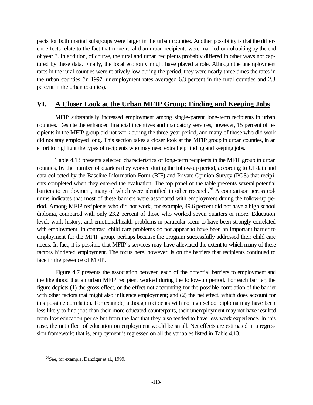pacts for both marital subgroups were larger in the urban counties. Another possibility is that the different effects relate to the fact that more rural than urban recipients were married or cohabiting by the end of year 3. In addition, of course, the rural and urban recipients probably differed in other ways not captured by these data. Finally, the local economy might have played a role. Although the unemployment rates in the rural counties were relatively low during the period, they were nearly three times the rates in the urban counties (in 1997, unemployment rates averaged 6.3 percent in the rural counties and 2.3 percent in the urban counties).

# **VI. A Closer Look at the Urban MFIP Group: Finding and Keeping Jobs**

MFIP substantially increased employment among single-parent long-term recipients in urban counties. Despite the enhanced financial incentives and mandatory services, however, 15 percent of recipients in the MFIP group did not work during the three-year period, and many of those who did work did not stay employed long. This section takes a closer look at the MFIP group in urban counties, in an effort to highlight the types of recipients who may need extra help finding and keeping jobs.

Table 4.13 presents selected characteristics of long-term recipients in the MFIP group in urban counties, by the number of quarters they worked during the follow-up period, according to UI data and data collected by the Baseline Information Form (BIF) and Private Opinion Survey (POS) that recipients completed when they entered the evaluation. The top panel of the table presents several potential barriers to employment, many of which were identified in other research.<sup>26</sup> A comparison across columns indicates that most of these barriers were associated with employment during the follow-up period. Among MFIP recipients who did not work, for example, 49.6 percent did not have a high school diploma, compared with only 23.2 percent of those who worked seven quarters or more. Education level, work history, and emotional/health problems in particular seem to have been strongly correlated with employment. In contrast, child care problems do not appear to have been an important barrier to employment for the MFIP group, perhaps because the program successfully addressed their child care needs. In fact, it is possible that MFIP's services may have alleviated the extent to which many of these factors hindered employment. The focus here, however, is on the barriers that recipients continued to face in the presence of MFIP.

Figure 4.7 presents the association between each of the potential barriers to employment and the likelihood that an urban MFIP recipient worked during the follow-up period. For each barrier, the figure depicts (1) the gross effect, or the effect not accounting for the possible correlation of the barrier with other factors that might also influence employment; and  $(2)$  the net effect, which does account for this possible correlation. For example, although recipients with no high school diploma may have been less likely to find jobs than their more educated counterparts, their unemployment may not have resulted from low education per se but from the fact that they also tended to have less work experience. In this case, the net effect of education on employment would be small. Net effects are estimated in a regression framework; that is, employment is regressed on all the variables listed in Table 4.13.

 $26$ See, for example, Danziger et al., 1999.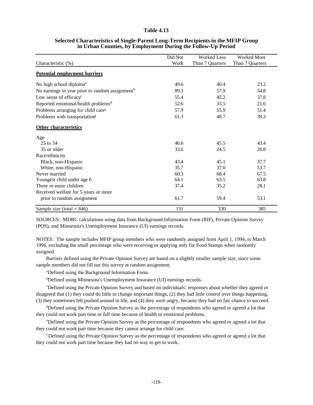| Characteristic (%)                                          | Did Not<br>Work | <b>Worked Less</b><br>Than 7 Quarters | <b>Worked More</b> |
|-------------------------------------------------------------|-----------------|---------------------------------------|--------------------|
|                                                             |                 |                                       | Than 7 Quarters    |
| <b>Potential employment barriers</b>                        |                 |                                       |                    |
| No high school diploma <sup>a</sup>                         | 49.6            | 40.4                                  | 23.2               |
| No earnings in year prior to random assignment <sup>b</sup> | 89.3            | 57.9                                  | 54.8               |
| Low sense of efficacy <sup>c</sup>                          | 55.4            | 42.2                                  | 37.8               |
| Reported emotional/health problems <sup>d</sup>             | 52.6            | 33.5                                  | 21.6               |
| Problems arranging for child care <sup>e</sup>              | 57.9            | 55.9                                  | 51.4               |
| Problems with transportationf                               | 61.3            | 48.7                                  | 39.3               |
| Other characteristics                                       |                 |                                       |                    |
| Age                                                         |                 |                                       |                    |
| 25 to 34                                                    | 46.6            | 45.5                                  | 43.4               |
| 35 or older                                                 | 33.6            | 24.5                                  | 26.8               |
| Race/ethnicity                                              |                 |                                       |                    |
| Black, non-Hispanic                                         | 43.4            | 45.1                                  | 37.7               |
| White, non-Hispanic                                         | 35.7            | 37.0                                  | 53.7               |
| Never married                                               | 60.3            | 68.4                                  | 67.5               |
| Youngest child under age 6                                  | 64.1            | 63.5                                  | 63.8               |
| Three or more children                                      | 37.4            | 35.2                                  | 28.1               |
| Received welfare for 5 years or more                        |                 |                                       |                    |
| prior to random assignment                                  | 61.7            | 59.4                                  | 53.1               |
| Sample size (total = $846$ )                                | 131             | 330                                   | 385                |

## **Selected Characteristics of Single-Parent Long-Term Recipients in the MFIP Group in Urban Counties, by Employment During the Follow-Up Period**

SOURCES: MDRC calculations using data from Background Information Form (BIF), Private Opinion Survey (POS), and Minnesota's Unemployment Insurance (UI) earnings records.

NOTES: The sample includes MFIP group members who were randomly assigned from April 1, 1994, to March 1996, excluding the small percentage who were receiving or applying only for Food Stamps when randomly assigned.

 Barriers defined using the Private Opinion Survey are based on a slightly smaller sample size, since some sample members did not fill out this survey at random assignment.

<sup>a</sup>Defined using the Background Information Form.

<sup>b</sup>Defined using Minnesota's Unemployment Insurance (UI) earnings records.

<sup>c</sup>Defined using the Private Opinion Survey and based on individuals' responses about whether they agreed or disagreed that (1) they could do little to change important things, (2) they had little control over things happening, (3) they sometimes felt pushed around in life, and (4) they were angry, because they had no fair chance to succeed.

<sup>d</sup>Defined using the Private Opinion Survey as the percentage of respondents who agreed or agreed a lot that they could not work part time or full time because of health or emotional problems.

<sup>e</sup>Defined using the Private Opinion Survey as the percentage of respondents who agreed or agreed a lot that they could not work part time because they cannot arrange for child care.

<sup>f</sup>Defined using the Private Opinion Survey as the percentage of respondents who agreed or agreed a lot that they could not work part time because they had no way to get to work.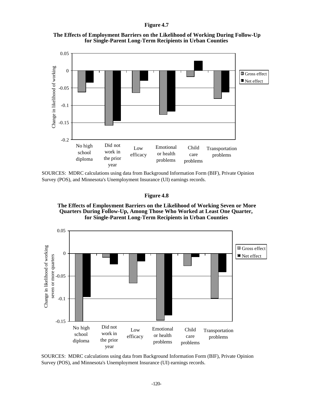## **Figure 4.7**





SOURCES: MDRC calculations using data from Background Information Form (BIF), Private Opinion Survey (POS), and Minnesota's Unemployment Insurance (UI) earnings records.

#### **Figure 4.8**

**The Effects of Employment Barriers on the Likelihood of Working Seven or More Quarters During Follow-Up, Among Those Who Worked at Least One Quarter, for Single-Parent Long-Term Recipients in Urban Counties**



SOURCES: MDRC calculations using data from Background Information Form (BIF), Private Opinion Survey (POS), and Minnesota's Unemployment Insurance (UI) earnings records.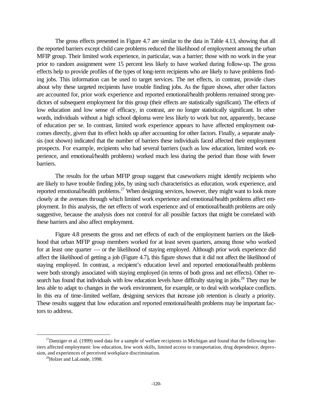The gross effects presented in Figure 4.7 are similar to the data in Table 4.13, showing that all the reported barriers except child care problems reduced the likelihood of employment among the urban MFIP group. Their limited work experience, in particular, was a barrier; those with no work in the year prior to random assignment were 15 percent less likely to have worked during follow-up. The gross effects help to provide profiles of the types of long-term recipients who are likely to have problems finding jobs. This information can be used to target services. The net effects, in contrast, provide clues about why these targeted recipients have trouble finding jobs. As the figure shows, after other factors are accounted for, prior work experience and reported emotional/health problems remained strong predictors of subsequent employment for this group (their effects are statistically significant). The effects of low education and low sense of efficacy, in contrast, are no longer statistically significant. In other words, individuals without a high school diploma were less likely to work but not, apparently, because of education per se. In contrast, limited work experience appears to have affected employment outcomes directly, given that its effect holds up after accounting for other factors. Finally, a separate analysis (not shown) indicated that the number of barriers these individuals faced affected their employment prospects. For example, recipients who had several barriers (such as low education, limited work experience, and emotional/health problems) worked much less during the period than those with fewer barriers.

The results for the urban MFIP group suggest that caseworkers might identify recipients who are likely to have trouble finding jobs, by using such characteristics as education, work experience, and reported emotional/health problems.<sup>27</sup> When designing services, however, they might want to look more closely at the avenues through which limited work experience and emotional/health problems affect employment. In this analysis, the net effects of work experience and of emotional/health problems are only suggestive, because the analysis does not control for all possible factors that might be correlated with these barriers and also affect employment.

Figure 4.8 presents the gross and net effects of each of the employment barriers on the likelihood that urban MFIP group members worked for at least seven quarters, among those who worked for at least one quarter — or the likelihood of staying employed. Although prior work experience did affect the likelihood of getting a job (Figure 4.7), this figure shows that it did not affect the likelihood of staying employed. In contrast, a recipient's education level and reported emotional/health problems were both strongly associated with staying employed (in terms of both gross and net effects). Other research has found that individuals with low education levels have difficulty staying in jobs.<sup>28</sup> They may be less able to adapt to changes in the work environment, for example, or to deal with workplace conflicts. In this era of time-limited welfare, designing services that increase job retention is clearly a priority. These results suggest that low education and reported emotional/health problems may be important factors to address.

<sup>&</sup>lt;sup>27</sup>Danziger et al. (1999) used data for a sample of welfare recipients in Michigan and found that the following barriers affected employment: low education, few work skills, limited access to transportation, drug dependence, depression, and experiences of perceived workplace discrimination.

<sup>&</sup>lt;sup>28</sup>Holzer and LaLonde, 1998.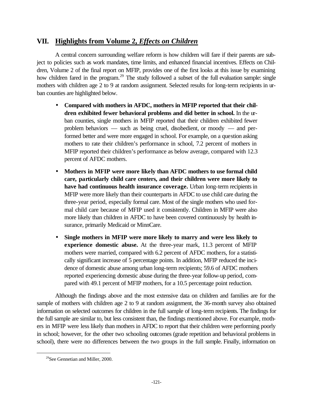# **VII. Highlights from Volume 2,** *Effects on Children*

A central concern surrounding welfare reform is how children will fare if their parents are subject to policies such as work mandates, time limits, and enhanced financial incentives. Effects on Children, Volume 2 of the final report on MFIP, provides one of the first looks at this issue by examining how children fared in the program.<sup>29</sup> The study followed a subset of the full evaluation sample: single mothers with children age 2 to 9 at random assignment. Selected results for long-term recipients in urban counties are highlighted below.

- **Compared with mothers in AFDC, mothers in MFIP reported that their children exhibited fewer behavioral problems and did better in school.** In the urban counties, single mothers in MFIP reported that their children exhibited fewer problem behaviors — such as being cruel, disobedient, or moody — and performed better and were more engaged in school. For example, on a question asking mothers to rate their children's performance in school, 7.2 percent of mothers in MFIP reported their children's performance as below average, compared with 12.3 percent of AFDC mothers.
- **Mothers in MFIP were more likely than AFDC mothers to use formal child care, particularly child care centers, and their children were more likely to have had continuous health insurance coverage.** Urban long-term recipients in MFIP were more likely than their counterparts in AFDC to use child care during the three-year period, especially formal care. Most of the single mothers who used formal child care because of MFIP used it consistently. Children in MFIP were also more likely than children in AFDC to have been covered continuously by health insurance, primarily Medicaid or MinnCare.
- **Single mothers in MFIP were more likely to marry and were less likely to experience domestic abuse.** At the three-year mark, 11.3 percent of MFIP mothers were married, compared with 6.2 percent of AFDC mothers, for a statistically significant increase of 5 percentage points. In addition, MFIP reduced the incidence of domestic abuse among urban long-term recipients; 59.6 of AFDC mothers reported experiencing domestic abuse during the three-year follow-up period, compared with 49.1 percent of MFIP mothers, for a 10.5 percentage point reduction.

Although the findings above and the most extensive data on children and families are for the sample of mothers with children age 2 to 9 at random assignment, the 36-month survey also obtained information on selected outcomes for children in the full sample of long-term recipients. The findings for the full sample are similar to, but less consistent than, the findings mentioned above. For example, mothers in MFIP were less likely than mothers in AFDC to report that their children were performing poorly in school; however, for the other two schooling outcomes (grade repetition and behavioral problems in school), there were no differences between the two groups in the full sample. Finally, information on

 $29$ See Gennetian and Miller, 2000.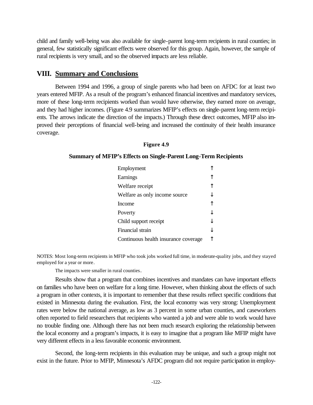child and family well-being was also available for single-parent long-term recipients in rural counties; in general, few statistically significant effects were observed for this group. Again, however, the sample of rural recipients is very small, and so the observed impacts are less reliable.

# **VIII. Summary and Conclusions**

Between 1994 and 1996, a group of single parents who had been on AFDC for at least two years entered MFIP. As a result of the program's enhanced financial incentives and mandatory services, more of these long-term recipients worked than would have otherwise, they earned more on average, and they had higher incomes. (Figure 4.9 summarizes MFIP's effects on single-parent long-term recipients. The arrows indicate the direction of the impacts.) Through these direct outcomes, MFIP also improved their perceptions of financial well-being and increased the continuity of their health insurance coverage.

### **Figure 4.9**

### **Summary of MFIP's Effects on Single-Parent Long-Term Recipients**

| Employment                           |  |
|--------------------------------------|--|
| Earnings                             |  |
| Welfare receipt                      |  |
| Welfare as only income source        |  |
| Income                               |  |
| Poverty                              |  |
| Child support receipt                |  |
| Financial strain                     |  |
| Continuous health insurance coverage |  |

NOTES: Most long-term recipients in MFIP who took jobs worked full time, in moderate-quality jobs, and they stayed employed for a year or more.

The impacts were smaller in rural counties.

Results show that a program that combines incentives and mandates can have important effects on families who have been on welfare for a long time. However, when thinking about the effects of such a program in other contexts, it is important to remember that these results reflect specific conditions that existed in Minnesota during the evaluation. First, the local economy was very strong: Unemployment rates were below the national average, as low as 3 percent in some urban counties, and caseworkers often reported to field researchers that recipients who wanted a job and were able to work would have no trouble finding one. Although there has not been much research exploring the relationship between the local economy and a program's impacts, it is easy to imagine that a program like MFIP might have very different effects in a less favorable economic environment.

Second, the long-term recipients in this evaluation may be unique, and such a group might not exist in the future. Prior to MFIP, Minnesota's AFDC program did not require participation in employ-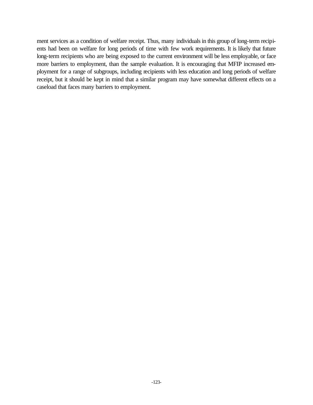ment services as a condition of welfare receipt. Thus, many individuals in this group of long-term recipients had been on welfare for long periods of time with few work requirements. It is likely that future long-term recipients who are being exposed to the current environment will be less employable, or face more barriers to employment, than the sample evaluation. It is encouraging that MFIP increased employment for a range of subgroups, including recipients with less education and long periods of welfare receipt, but it should be kept in mind that a similar program may have somewhat different effects on a caseload that faces many barriers to employment.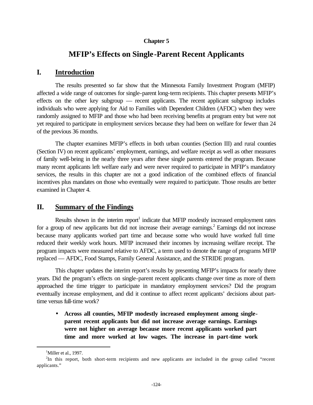### **Chapter 5**

# **MFIP's Effects on Single-Parent Recent Applicants**

## **I. Introduction**

The results presented so far show that the Minnesota Family Investment Program (MFIP) affected a wide range of outcomes for single-parent long-term recipients. This chapter presents MFIP's effects on the other key subgroup — recent applicants. The recent applicant subgroup includes individuals who were applying for Aid to Families with Dependent Children (AFDC) when they were randomly assigned to MFIP and those who had been receiving benefits at program entry but were not yet required to participate in employment services because they had been on welfare for fewer than 24 of the previous 36 months.

The chapter examines MFIP's effects in both urban counties (Section III) and rural counties (Section IV) on recent applicants' employment, earnings, and welfare receipt as well as other measures of family well-being in the nearly three years after these single parents entered the program. Because many recent applicants left welfare early and were never required to participate in MFIP's mandatory services, the results in this chapter are not a good indication of the combined effects of financial incentives plus mandates on those who eventually were required to participate. Those results are better examined in Chapter 4.

## **II. Summary of the Findings**

Results shown in the interim report<sup>1</sup> indicate that MFIP modestly increased employment rates for a group of new applicants but did not increase their average earnings.<sup>2</sup> Earnings did not increase because many applicants worked part time and because some who would have worked full time reduced their weekly work hours. MFIP increased their incomes by increasing welfare receipt. The program impacts were measured relative to AFDC, a term used to denote the range of programs MFIP replaced — AFDC, Food Stamps, Family General Assistance, and the STRIDE program.

This chapter updates the interim report's results by presenting MFIP's impacts for nearly three years. Did the program's effects on single-parent recent applicants change over time as more of them approached the time trigger to participate in mandatory employment services? Did the program eventually increase employment, and did it continue to affect recent applicants' decisions about parttime versus full-time work?

• **Across all counties, MFIP modestly increased employment among singleparent recent applicants but did not increase average earnings. Earnings were not higher on average because more recent applicants worked part time and more worked at low wages. The increase in part-time work**

 $<sup>1</sup>$ Miller et al., 1997.</sup>

 $2$ In this report, both short-term recipients and new applicants are included in the group called "recent" applicants."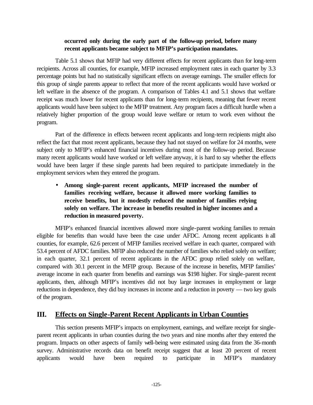## **occurred only during the early part of the follow-up period, before many recent applicants became subject to MFIP's participation mandates.**

Table 5.1 shows that MFIP had very different effects for recent applicants than for long-term recipients. Across all counties, for example, MFIP increased employment rates in each quarter by 3.3 percentage points but had no statistically significant effects on average earnings. The smaller effects for this group of single parents appear to reflect that more of the recent applicants would have worked or left welfare in the absence of the program. A comparison of Tables 4.1 and 5.1 shows that welfare receipt was much lower for recent applicants than for long-term recipients, meaning that fewer recent applicants would have been subject to the MFIP treatment. Any program faces a difficult hurdle when a relatively higher proportion of the group would leave welfare or return to work even without the program.

Part of the difference in effects between recent applicants and long-term recipients might also reflect the fact that most recent applicants, because they had not stayed on welfare for 24 months, were subject only to MFIP's enhanced financial incentives during most of the follow-up period. Because many recent applicants would have worked or left welfare anyway, it is hard to say whether the effects would have been larger if these single parents had been required to participate immediately in the employment services when they entered the program.

• **Among single-parent recent applicants, MFIP increased the number of families receiving welfare, because it allowed more working families to receive benefits, but it modestly reduced the number of families relying solely on welfare. The increase in benefits resulted in higher incomes and a reduction in measured poverty.**

MFIP's enhanced financial incentives allowed more single-parent working families to remain eligible for benefits than would have been the case under AFDC. Among recent applicants in all counties, for example, 62.6 percent of MFIP families received welfare in each quarter, compared with 53.4 percent of AFDC families. MFIP also reduced the number of families who relied solely on welfare; in each quarter, 32.1 percent of recent applicants in the AFDC group relied solely on welfare, compared with 30.1 percent in the MFIP group. Because of the increase in benefits, MFIP families' average income in each quarter from benefits and earnings was \$198 higher. For single-parent recent applicants, then, although MFIP's incentives did not buy large increases in employment or large reductions in dependence, they did buy increases in income and a reduction in poverty — two key goals of the program.

# **III. Effects on Single-Parent Recent Applicants in Urban Counties**

This section presents MFIP's impacts on employment, earnings, and welfare receipt for singleparent recent applicants in urban counties during the two years and nine months after they entered the program. Impacts on other aspects of family well-being were estimated using data from the 36-month survey. Administrative records data on benefit receipt suggest that at least 20 percent of recent applicants would have been required to participate in MFIP's mandatory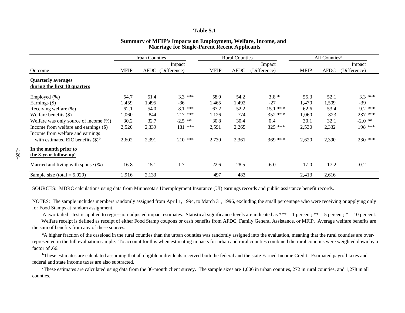#### **Table 5.1**

|                                                            |             | <b>Urban Counties</b> |                   |             | <b>Rural Counties</b> |              |             | All Counties <sup>a</sup> |              |
|------------------------------------------------------------|-------------|-----------------------|-------------------|-------------|-----------------------|--------------|-------------|---------------------------|--------------|
|                                                            |             |                       | Impact            |             |                       | Impact       |             |                           | Impact       |
| Outcome                                                    | <b>MFIP</b> |                       | AFDC (Difference) | <b>MFIP</b> | <b>AFDC</b>           | (Difference) | <b>MFIP</b> | <b>AFDC</b>               | (Difference) |
| <b>Quarterly averages</b>                                  |             |                       |                   |             |                       |              |             |                           |              |
| during the first 10 quarters                               |             |                       |                   |             |                       |              |             |                           |              |
| Employed (%)                                               | 54.7        | 51.4                  | $3.3***$          | 58.0        | 54.2                  | $3.8 *$      | 55.3        | 52.1                      | $3.3***$     |
| Earnings (\$)                                              | 1,459       | 1,495                 | $-36$             | 1,465       | 1,492                 | $-27$        | 1,470       | 1,509                     | $-39$        |
| Receiving welfare (%)                                      | 62.1        | 54.0                  | 8.1<br>***        | 67.2        | 52.2                  | $15.1$ ***   | 62.6        | 53.4                      | $9.2$ ***    |
| Welfare benefits $(\$)$                                    | 1,060       | 844                   | 217<br>***        | 1,126       | 774                   | 352 ***      | 1,060       | 823                       | 237 ***      |
| Welfare was only source of income (%)                      | 30.2        | 32.7                  | $-2.5$<br>**      | 30.8        | 30.4                  | 0.4          | 30.1        | 32.1                      | $-2.0$ **    |
| Income from welfare and earnings (\$)                      | 2,520       | 2,339                 | 181<br>***        | 2,591       | 2,265                 | 325 ***      | 2,530       | 2,332                     | $198$ ***    |
| Income from welfare and earnings                           |             |                       |                   |             |                       |              |             |                           |              |
| with estimated EIC benefits $(\text{\$})^b$                | 2,602       | 2,391                 | $210$ ***         | 2,730       | 2,361                 | $369$ ***    | 2,620       | 2,390                     | 230 ***      |
| In the month prior to<br>the 3-year follow-up <sup>c</sup> |             |                       |                   |             |                       |              |             |                           |              |
| Married and living with spouse (%)                         | 16.8        | 15.1                  | 1.7               | 22.6        | 28.5                  | $-6.0$       | 17.0        | 17.2                      | $-0.2$       |
| Sample size (total = $5,029$ )                             | 1,916       | 2,133                 |                   | 497         | 483                   |              | 2,413       | 2,616                     |              |

#### **Summary of MFIP's Impacts on Employment, Welfare, Income, and Marriage for Single-Parent Recent Applicants**

SOURCES: MDRC calculations using data from Minnesota's Unemployment Insurance (UI) earnings records and public assistance benefit records.

NOTES: The sample includes members randomly assigned from April 1, 1994, to March 31, 1996, excluding the small percentage who were receiving or applying only for Food Stamps at random assignment.

A two-tailed t-test is applied to regression-adjusted impact estimates. Statistical significance levels are indicated as \*\*\* = 1 percent; \*\* = 5 percent; \* = 10 percent. Welfare receipt is defined as receipt of either Food Stamp coupons or cash benefits from AFDC, Family General Assistance, or MFIP. Average welfare benefits are the sum of benefits from any of these sources.

<sup>a</sup>A higher fraction of the caseload in the rural counties than the urban counties was randomly assigned into the evaluation, meaning that the rural counties are overrepresented in the full evaluation sample. To account for this when estimating impacts for urban and rural counties combined the rural counties were weighted down by a factor of .66.

<sup>b</sup>These estimates are calculated assuming that all eligible individuals received both the federal and the state Earned Income Credit. Estimated payroll taxes and federal and state income taxes are also subtracted.

<sup>c</sup>These estimates are calculated using data from the 36-month client survey. The sample sizes are 1,006 in urban counties, 272 in rural counties, and 1,278 in all counties.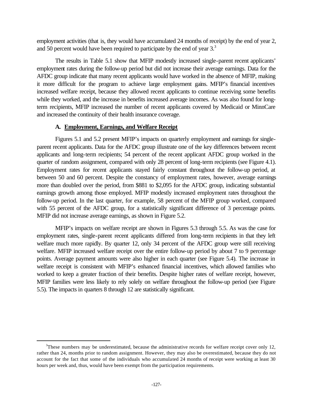employment activities (that is, they would have accumulated 24 months of receipt) by the end of year 2, and 50 percent would have been required to participate by the end of year 3.<sup>3</sup>

The results in Table 5.1 show that MFIP modestly increased single-parent recent applicants' employment rates during the follow-up period but did not increase their average earnings. Data for the AFDC group indicate that many recent applicants would have worked in the absence of MFIP, making it more difficult for the program to achieve large employment gains. MFIP's financial incentives increased welfare receipt, because they allowed recent applicants to continue receiving some benefits while they worked, and the increase in benefits increased average incomes. As was also found for longterm recipients, MFIP increased the number of recent applicants covered by Medicaid or MinnCare and increased the continuity of their health insurance coverage.

### **A. Employment, Earnings, and Welfare Receipt**

 $\overline{a}$ 

Figures 5.1 and 5.2 present MFIP's impacts on quarterly employment and earnings for singleparent recent applicants. Data for the AFDC group illustrate one of the key differences between recent applicants and long-term recipients; 54 percent of the recent applicant AFDC group worked in the quarter of random assignment, compared with only 28 percent of long-term recipients (see Figure 4.1). Employment rates for recent applicants stayed fairly constant throughout the follow-up period, at between 50 and 60 percent. Despite the constancy of employment rates, however, average earnings more than doubled over the period, from \$881 to \$2,095 for the AFDC group, indicating substantial earnings growth among those employed. MFIP modestly increased employment rates throughout the follow-up period. In the last quarter, for example, 58 percent of the MFIP group worked, compared with 55 percent of the AFDC group, for a statistically significant difference of 3 percentage points. MFIP did not increase average earnings, as shown in Figure 5.2.

MFIP's impacts on welfare receipt are shown in Figures 5.3 through 5.5. As was the case for employment rates, single-parent recent applicants differed from long-term recipients in that they left welfare much more rapidly. By quarter 12, only 34 percent of the AFDC group were still receiving welfare. MFIP increased welfare receipt over the entire follow-up period by about 7 to 9 percentage points. Average payment amounts were also higher in each quarter (see Figure 5.4). The increase in welfare receipt is consistent with MFIP's enhanced financial incentives, which allowed families who worked to keep a greater fraction of their benefits. Despite higher rates of welfare receipt, however, MFIP families were less likely to rely solely on welfare throughout the follow-up period (see Figure 5.5). The impacts in quarters 8 through 12 are statistically significant.

 $3$ These numbers may be underestimated, because the administrative records for welfare receipt cover only 12, rather than 24, months prior to random assignment. However, they may also be overestimated, because they do not account for the fact that some of the individuals who accumulated 24 months of receipt were working at least 30 hours per week and, thus, would have been exempt from the participation requirements.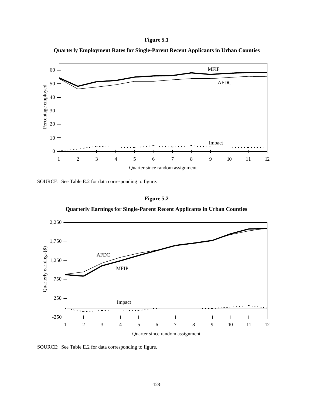

**Quarterly Employment Rates for Single-Parent Recent Applicants in Urban Counties**



SOURCE: See Table E.2 for data corresponding to figure.

**Figure 5.2**

**Quarterly Earnings for Single-Parent Recent Applicants in Urban Counties**



SOURCE: See Table E.2 for data corresponding to figure.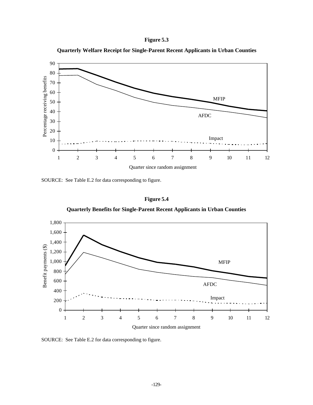



**Quarterly Welfare Receipt for Single-Parent Recent Applicants in Urban Counties**

SOURCE: See Table E.2 for data corresponding to figure.

**Figure 5.4**

**Quarterly Benefits for Single-Parent Recent Applicants in Urban Counties**



SOURCE: See Table E.2 for data corresponding to figure.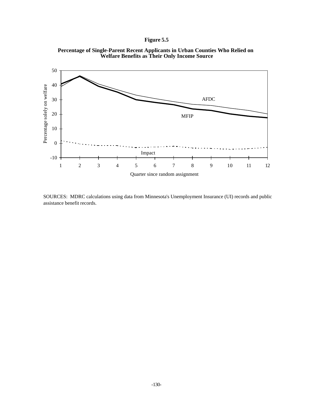## **Figure 5.5**



**Percentage of Single-Parent Recent Applicants in Urban Counties Who Relied on Welfare Benefits as Their Only Income Source**

SOURCES: MDRC calculations using data from Minnesota's Unemployment Insurance (UI) records and public assistance benefit records.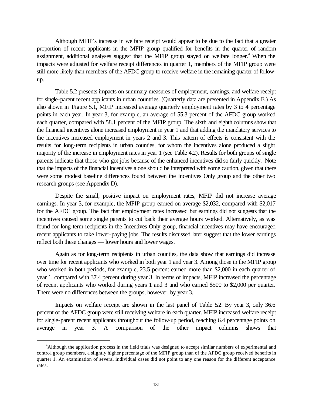Although MFIP's increase in welfare receipt would appear to be due to the fact that a greater proportion of recent applicants in the MFIP group qualified for benefits in the quarter of random assignment, additional analyses suggest that the MFIP group stayed on welfare longer.<sup>4</sup> When the impacts were adjusted for welfare receipt differences in quarter 1, members of the MFIP group were still more likely than members of the AFDC group to receive welfare in the remaining quarter of followup.

Table 5.2 presents impacts on summary measures of employment, earnings, and welfare receipt for single-parent recent applicants in urban countries. (Quarterly data are presented in Appendix E.) As also shown in Figure 5.1, MFIP increased average quarterly employment rates by 3 to 4 percentage points in each year. In year 3, for example, an average of 55.3 percent of the AFDC group worked each quarter, compared with 58.1 percent of the MFIP group. The sixth and eighth columns show that the financial incentives alone increased employment in year 1 and that adding the mandatory services to the incentives increased employment in years 2 and 3. This pattern of effects is consistent with the results for long-term recipients in urban counties, for whom the incentives alone produced a slight majority of the increase in employment rates in year 1 (see Table 4.2). Results for both groups of single parents indicate that those who got jobs because of the enhanced incentives did so fairly quickly. Note that the impacts of the financial incentives alone should be interpreted with some caution, given that there were some modest baseline differences found between the Incentives Only group and the other two research groups (see Appendix D).

Despite the small, positive impact on employment rates, MFIP did not increase average earnings. In year 3, for example, the MFIP group earned on average \$2,032, compared with \$2,017 for the AFDC group. The fact that employment rates increased but earnings did not suggests that the incentives caused some single parents to cut back their average hours worked. Alternatively, as was found for long-term recipients in the Incentives Only group, financial incentives may have encouraged recent applicants to take lower-paying jobs. The results discussed later suggest that the lower earnings reflect both these changes — lower hours and lower wages.

Again as for long-term recipients in urban counties, the data show that earnings did increase over time for recent applicants who worked in both year 1 and year 3. Among those in the MFIP group who worked in both periods, for example, 23.5 percent earned more than \$2,000 in each quarter of year 1, compared with 37.4 percent during year 3. In terms of impacts, MFIP increased the percentage of recent applicants who worked during years 1 and 3 and who earned \$500 to \$2,000 per quarter. There were no differences between the groups, however, by year 3.

Impacts on welfare receipt are shown in the last panel of Table 5.2. By year 3, only 36.6 percent of the AFDC group were still receiving welfare in each quarter. MFIP increased welfare receipt for single-parent recent applicants throughout the follow-up period, reaching 6.4 percentage points on average in year 3. A comparison of the other impact columns shows that

<sup>4</sup>Although the application process in the field trials was designed to accept similar numbers of experimental and control group members, a slightly higher percentage of the MFIP group than of the AFDC group received benefits in quarter 1. An examination of several individual cases did not point to any one reason for the different acceptance rates.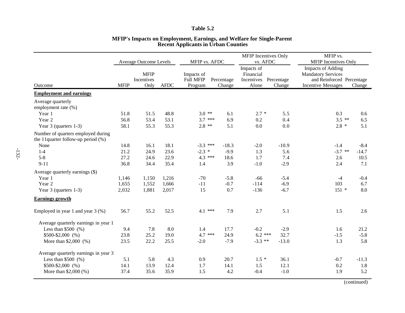### **Table 5.2**

|                                                                              |             | <b>Average Outcome Levels</b><br>MFIP vs. AFDC |             |                                | <b>MFIP</b> Incentives Only |                                                              | MFIP vs. |                                                                                                                   |         |
|------------------------------------------------------------------------------|-------------|------------------------------------------------|-------------|--------------------------------|-----------------------------|--------------------------------------------------------------|----------|-------------------------------------------------------------------------------------------------------------------|---------|
|                                                                              |             | <b>MFIP</b><br>Incentives                      |             | Impacts of<br><b>Full MFIP</b> | Percentage                  | vs. AFDC<br>Impacts of<br>Financial<br>Incentives Percentage |          | <b>MFIP</b> Incentives Only<br><b>Impacts of Adding</b><br><b>Mandatory Services</b><br>and Reinforced Percentage |         |
| Outcome                                                                      | <b>MFIP</b> | Only                                           | <b>AFDC</b> | Program                        | Change                      | Alone                                                        | Change   | <b>Incentive Messages</b>                                                                                         | Change  |
| <b>Employment and earnings</b>                                               |             |                                                |             |                                |                             |                                                              |          |                                                                                                                   |         |
| Average quarterly<br>employment rate (%)                                     |             |                                                |             |                                |                             |                                                              |          |                                                                                                                   |         |
| Year 1                                                                       | 51.8        | 51.5                                           | 48.8        | $3.0$ **                       | 6.1                         | $2.7 *$                                                      | 5.5      | 0.3                                                                                                               | 0.6     |
| Year 2                                                                       | 56.8        | 53.4                                           | 53.1        | $3.7$ ***                      | 6.9                         | 0.2                                                          | 0.4      | $3.5$ **                                                                                                          | 6.5     |
| Year 3 (quarters 1-3)                                                        | 58.1        | 55.3                                           | 55.3        | $2.8$ **                       | 5.1                         | 0.0                                                          | 0.0      | $2.8 *$                                                                                                           | 5.1     |
| Number of quarters employed during<br>the 11 quarter follow-up period $(\%)$ |             |                                                |             |                                |                             |                                                              |          |                                                                                                                   |         |
| None                                                                         | 14.8        | 16.1                                           | 18.1        | $-3.3$ ***                     | $-18.3$                     | $-2.0$                                                       | $-10.9$  | $-1.4$                                                                                                            | $-8.4$  |
| $1-4$                                                                        | 21.2        | 24.9                                           | 23.6        | $-2.3$ *                       | $-9.9$                      | 1.3                                                          | 5.6      | $-3.7$ **                                                                                                         | $-14.7$ |
| $5 - 8$                                                                      | 27.2        | 24.6                                           | 22.9        | 4.3 ***                        | 18.6                        | 1.7                                                          | 7.4      | 2.6                                                                                                               | 10.5    |
| $9 - 11$                                                                     | 36.8        | 34.4                                           | 35.4        | 1.4                            | 3.9                         | $-1.0$                                                       | $-2.9$   | 2.4                                                                                                               | 7.1     |
| Average quarterly earnings (\$)                                              |             |                                                |             |                                |                             |                                                              |          |                                                                                                                   |         |
| Year 1                                                                       | 1,146       | 1,150                                          | 1,216       | $-70$                          | $-5.8$                      | $-66$                                                        | $-5.4$   | $-4$                                                                                                              | $-0.4$  |
| Year 2                                                                       | 1,655       | 1,552                                          | 1,666       | $-11$                          | $-0.7$                      | $-114$                                                       | $-6.9$   | 103                                                                                                               | 6.7     |
| Year 3 (quarters 1-3)                                                        | 2,032       | 1,881                                          | 2,017       | 15                             | 0.7                         | $-136$                                                       | $-6.7$   | $151 *$                                                                                                           | 8.0     |
| <b>Earnings growth</b>                                                       |             |                                                |             |                                |                             |                                                              |          |                                                                                                                   |         |
| Employed in year 1 and year $3$ (%)                                          | 56.7        | 55.2                                           | 52.5        | 4.1 ***                        | 7.9                         | 2.7                                                          | 5.1      | 1.5                                                                                                               | 2.6     |
| Average quarterly earnings in year 1                                         |             |                                                |             |                                |                             |                                                              |          |                                                                                                                   |         |
| Less than $$500$ $(\%)$                                                      | 9.4         | 7.8                                            | 8.0         | 1.4                            | 17.7                        | $-0.2$                                                       | $-2.9$   | 1.6                                                                                                               | 21.2    |
| $$500-\$2,000$ (%)                                                           | 23.8        | 25.2                                           | 19.0        | $4.7$ ***                      | 24.9                        | $6.2$ ***                                                    | 32.7     | $-1.5$                                                                                                            | $-5.8$  |
| More than \$2,000 (%)                                                        | 23.5        | 22.2                                           | 25.5        | $-2.0$                         | $-7.9$                      | $-3.3$ **                                                    | $-13.0$  | 1.3                                                                                                               | 5.8     |
| Average quarterly earnings in year 3                                         |             |                                                |             |                                |                             |                                                              |          |                                                                                                                   |         |
| Less than $$500$ (%)                                                         | 5.1         | 5.8                                            | 4.3         | 0.9                            | 20.7                        | $1.5 *$                                                      | 36.1     | $-0.7$                                                                                                            | $-11.3$ |
| $$500-\$2,000$ (%)                                                           | 14.1        | 13.9                                           | 12.4        | 1.7                            | 14.1                        | 1.5                                                          | 12.1     | 0.2                                                                                                               | 1.8     |
| More than \$2,000 (%)                                                        | 37.4        | 35.6                                           | 35.9        | 1.5                            | 4.2                         | $-0.4$                                                       | $-1.0$   | 1.9                                                                                                               | 5.2     |
|                                                                              |             |                                                |             |                                |                             |                                                              |          |                                                                                                                   |         |

#### **MFIP's Impacts on Employment, Earnings, and Welfare for Single-Parent Recent Applicants in Urban Counties**

(continued)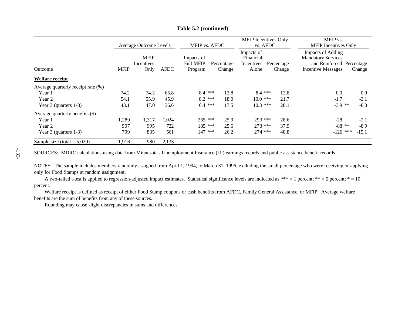|                                    |             | Average Outcome Levels            |             |                                           | MFIP vs. AFDC        |                                                | <b>MFIP</b> Incentives Only<br>vs. AFDC | MFIP vs.<br><b>MFIP</b> Incentives Only                                                                  |         |
|------------------------------------|-------------|-----------------------------------|-------------|-------------------------------------------|----------------------|------------------------------------------------|-----------------------------------------|----------------------------------------------------------------------------------------------------------|---------|
| Outcome                            | <b>MFIP</b> | <b>MFIP</b><br>Incentives<br>Only | <b>AFDC</b> | Impacts of<br><b>Full MFIP</b><br>Program | Percentage<br>Change | Impacts of<br>Financial<br>Incentives<br>Alone | Percentage<br>Change                    | Impacts of Adding<br><b>Mandatory Services</b><br>and Reinforced Percentage<br><b>Incentive Messages</b> | Change  |
| Welfare receipt                    |             |                                   |             |                                           |                      |                                                |                                         |                                                                                                          |         |
| Average quarterly receipt rate (%) |             |                                   |             |                                           |                      |                                                |                                         |                                                                                                          |         |
| Year 1                             | 74.2        | 74.2                              | 65.8        | $8.4$ ***                                 | 12.8                 | $8.4$ ***                                      | 12.8                                    | 0.0                                                                                                      | 0.0     |
| Year 2                             | 54.1        | 55.9                              | 45.9        | $8.2$ ***                                 | 18.0                 | $10.0$ ***                                     | 21.7                                    | $-1.7$                                                                                                   | $-3.1$  |
| Year 3 (quarters 1-3)              | 43.1        | 47.0                              | 36.6        | $6.4$ ***                                 | 17.5                 | $10.3$ ***                                     | 28.1                                    | $-3.9$ **                                                                                                | $-8.3$  |
| Average quarterly benefits (\$)    |             |                                   |             |                                           |                      |                                                |                                         |                                                                                                          |         |
| Year 1                             | 1,289       | 1,317                             | 1,024       | 265 ***                                   | 25.9                 | 293 ***                                        | 28.6                                    | $-28$                                                                                                    | $-2.1$  |
| Year 2                             | 907         | 995                               | 722         | $185$ ***                                 | 25.6                 | 273 ***                                        | 37.9                                    | $-88$ **                                                                                                 | $-8.9$  |
| Year 3 (quarters 1-3)              | 709         | 835                               | 561         | $147$ ***                                 | 26.2                 | $274$ ***                                      | 48.8                                    | $-126$ ***                                                                                               | $-15.1$ |
| Sample size (total = $5,029$ )     | 1,916       | 980                               | 2,133       |                                           |                      |                                                |                                         |                                                                                                          |         |

**Table 5.2 (continued)**

SOURCES: MDRC calculations using data from Minnesota's Unemployment Insurance (UI) earnings records and public assistance benefit records.

NOTES: The sample includes members randomly assigned from April 1, 1994, to March 31, 1996, excluding the small percentage who were receiving or applying only for Food Stamps at random assignment.

A two-tailed t-test is applied to regression-adjusted impact estimates. Statistical significance levels are indicated as  $*** = 1$  percent;  $** = 5$  percent;  $* = 10$ percent.

 Welfare receipt is defined as receipt of either Food Stamp coupons or cash benefits from AFDC, Family General Assistance, or MFIP. Average welfare benefits are the sum of benefits from any of these sources.

Rounding may cause slight discrepancies in sums and differences.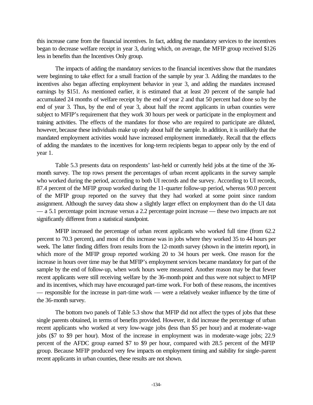this increase came from the financial incentives. In fact, adding the mandatory services to the incentives began to decrease welfare receipt in year 3, during which, on average, the MFIP group received \$126 less in benefits than the Incentives Only group.

The impacts of adding the mandatory services to the financial incentives show that the mandates were beginning to take effect for a small fraction of the sample by year 3. Adding the mandates to the incentives also began affecting employment behavior in year 3, and adding the mandates increased earnings by \$151. As mentioned earlier, it is estimated that at least 20 percent of the sample had accumulated 24 months of welfare receipt by the end of year 2 and that 50 percent had done so by the end of year 3. Thus, by the end of year 3, about half the recent applicants in urban counties were subject to MFIP's requirement that they work 30 hours per week or participate in the employment and training activities. The effects of the mandates for those who are required to participate are diluted, however, because these individuals make up only about half the sample. In addition, it is unlikely that the mandated employment activities would have increased employment immediately. Recall that the effects of adding the mandates to the incentives for long-term recipients began to appear only by the end of year 1.

Table 5.3 presents data on respondents' last-held or currently held jobs at the time of the 36 month survey. The top rows present the percentages of urban recent applicants in the survey sample who worked during the period, according to both UI records and the survey. According to UI records, 87.4 percent of the MFIP group worked during the 11-quarter follow-up period, whereas 90.0 percent of the MFIP group reported on the survey that they had worked at some point since random assignment. Although the survey data show a slightly larger effect on employment than do the UI data — a 5.1 percentage point increase versus a 2.2 percentage point increase — these two impacts are not significantly different from a statistical standpoint.

MFIP increased the percentage of urban recent applicants who worked full time (from 62.2 percent to 70.3 percent), and most of this increase was in jobs where they worked 35 to 44 hours per week. The latter finding differs from results from the 12-month survey (shown in the interim report), in which more of the MFIP group reported working 20 to 34 hours per week. One reason for the increase in hours over time may be that MFIP's employment services became mandatory for part of the sample by the end of follow-up, when work hours were measured. Another reason may be that fewer recent applicants were still receiving welfare by the 36-month point and thus were not subject to MFIP and its incentives, which may have encouraged part-time work. For both of these reasons, the incentives — responsible for the increase in part-time work — were a relatively weaker influence by the time of the 36-month survey.

The bottom two panels of Table 5.3 show that MFIP did not affect the types of jobs that these single parents obtained, in terms of benefits provided. However, it did increase the percentage of urban recent applicants who worked at very low-wage jobs (less than \$5 per hour) and at moderate-wage jobs (\$7 to \$9 per hour). Most of the increase in employment was in moderate-wage jobs; 22.9 percent of the AFDC group earned \$7 to \$9 per hour, compared with 28.5 percent of the MFIP group. Because MFIP produced very few impacts on employment timing and stability for single-parent recent applicants in urban counties, these results are not shown.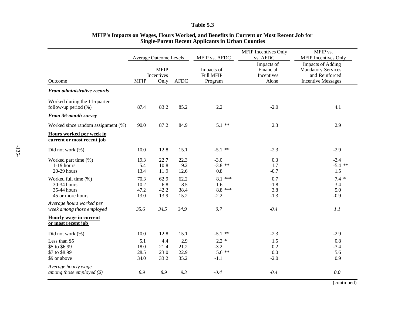### **Table 5.3**

|                                                                        | <b>Average Outcome Levels</b>                    |                             |                             | MFIP vs. AFDC                             | <b>MFIP</b> Incentives Only<br>vs. AFDC        | MFIP vs.<br>MFIP Incentives Only                                                                     |
|------------------------------------------------------------------------|--------------------------------------------------|-----------------------------|-----------------------------|-------------------------------------------|------------------------------------------------|------------------------------------------------------------------------------------------------------|
| Outcome                                                                | <b>MFIP</b><br>Incentives<br><b>MFIP</b><br>Only |                             | <b>AFDC</b>                 | Impacts of<br><b>Full MFIP</b><br>Program | Impacts of<br>Financial<br>Incentives<br>Alone | <b>Impacts of Adding</b><br><b>Mandatory Services</b><br>and Reinforced<br><b>Incentive Messages</b> |
| From administrative records                                            |                                                  |                             |                             |                                           |                                                |                                                                                                      |
|                                                                        |                                                  |                             |                             |                                           |                                                |                                                                                                      |
| Worked during the 11-quarter<br>follow-up period $(\%)$                | 87.4                                             | 83.2                        | 85.2                        | 2.2                                       | $-2.0$                                         | 4.1                                                                                                  |
| From 36-month survey                                                   |                                                  |                             |                             |                                           |                                                |                                                                                                      |
| Worked since random assignment (%)                                     | 90.0                                             | 87.2                        | 84.9                        | $5.1$ **                                  | 2.3                                            | 2.9                                                                                                  |
| Hours worked per week in<br>current or most recent job                 |                                                  |                             |                             |                                           |                                                |                                                                                                      |
| Did not work (%)                                                       | 10.0                                             | 12.8                        | 15.1                        | $-5.1$ **                                 | $-2.3$                                         | $-2.9$                                                                                               |
| Worked part time (%)<br>$1-19$ hours<br>20-29 hours                    | 19.3<br>5.4<br>13.4                              | 22.7<br>10.8<br>11.9        | 22.3<br>9.2<br>12.6         | $-3.0$<br>$-3.8$ **<br>0.8                | 0.3<br>1.7<br>$-0.7$                           | $-3.4$<br>$-5.4$ **<br>1.5                                                                           |
| Worked full time (%)<br>30-34 hours<br>35-44 hours<br>45 or more hours | 70.3<br>10.2<br>47.2<br>13.0                     | 62.9<br>6.8<br>42.2<br>13.9 | 62.2<br>8.5<br>38.4<br>15.2 | ***<br>8.1<br>1.6<br>$8.8$ ***<br>$-2.2$  | 0.7<br>$-1.8$<br>3.8<br>$-1.3$                 | $7.4*$<br>3.4<br>5.0<br>$-0.9$                                                                       |
| Average hours worked per<br>week among those employed                  | 35.6                                             | 34.5                        | 34.9                        | 0.7                                       | $-0.4$                                         | 1.1                                                                                                  |
| Hourly wage in current<br>or most recent job                           |                                                  |                             |                             |                                           |                                                |                                                                                                      |
| Did not work (%)                                                       | 10.0                                             | 12.8                        | 15.1                        | $-5.1$ **                                 | $-2.3$                                         | $-2.9$                                                                                               |
| Less than \$5<br>\$5 to \$6.99<br>\$7 to \$8.99<br>\$9 or above        | 5.1<br>18.0<br>28.5<br>34.0                      | 4.4<br>21.4<br>23.0<br>33.2 | 2.9<br>21.2<br>22.9<br>35.2 | $2.2 *$<br>$-3.2$<br>$5.6$ **<br>$-1.1$   | 1.5<br>0.2<br>0.0<br>$-2.0$                    | 0.8<br>$-3.4$<br>5.6<br>0.9                                                                          |
| Average hourly wage<br>among those employed $(\$)$                     | 8.9                                              | 8.9                         | 9.3                         | $-0.4$                                    | $-0.4$                                         | 0.0                                                                                                  |

#### **MFIP's Impacts on Wages, Hours Worked, and Benefits in Current or Most Recent Job for Single-Parent Recent Applicants in Urban Counties**

(continued)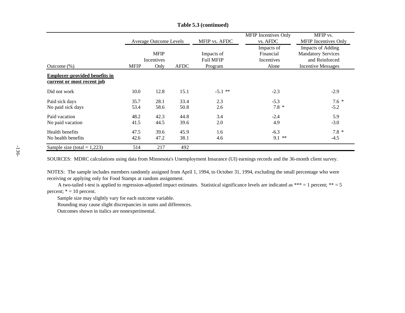|                                                                    |              | <b>Average Outcome Levels</b>     |              | MFIP vs. AFDC                             | MFIP Incentives Only<br>vs. AFDC               | MFIP vs.<br><b>MFIP</b> Incentives Only                                                       |
|--------------------------------------------------------------------|--------------|-----------------------------------|--------------|-------------------------------------------|------------------------------------------------|-----------------------------------------------------------------------------------------------|
| Outcome $(\%)$                                                     | <b>MFIP</b>  | <b>MFIP</b><br>Incentives<br>Only |              | Impacts of<br><b>Full MFIP</b><br>Program | Impacts of<br>Financial<br>Incentives<br>Alone | Impacts of Adding<br><b>Mandatory Services</b><br>and Reinforced<br><b>Incentive Messages</b> |
| <b>Employer-provided benefits in</b><br>current or most recent job |              |                                   |              |                                           |                                                |                                                                                               |
| Did not work                                                       | 10.0         | 12.8                              | 15.1         | $-5.1$ **                                 | $-2.3$                                         | $-2.9$                                                                                        |
| Paid sick days<br>No paid sick days                                | 35.7<br>53.4 | 28.1<br>58.6                      | 33.4<br>50.8 | 2.3<br>2.6                                | $-5.3$<br>$7.8*$                               | $7.6*$<br>$-5.2$                                                                              |
| Paid vacation<br>No paid vacation                                  | 48.2<br>41.5 | 42.3<br>44.5                      | 44.8<br>39.6 | 3.4<br>2.0                                | $-2.4$<br>4.9                                  | 5.9<br>$-3.0$                                                                                 |
| Health benefits<br>No health benefits                              | 47.5<br>42.6 | 39.6<br>47.2                      | 45.9<br>38.1 | 1.6<br>4.6                                | $-6.3$<br>$9.1$ **                             | $7.8 *$<br>$-4.5$                                                                             |
| Sample size (total = $1,223$ )                                     | 514          | 217                               | 492          |                                           |                                                |                                                                                               |

**Table 5.3 (continued)**

SOURCES: MDRC calculations using data from Minnesota's Unemployment Insurance (UI) earnings records and the 36-month client survey.

NOTES: The sample includes members randomly assigned from April 1, 1994, to October 31, 1994, excluding the small percentage who were receiving or applying only for Food Stamps at random assignment.

A two-tailed t-test is applied to regression-adjusted impact estimates. Statistical significance levels are indicated as \*\*\* = 1 percent; \*\* = 5 percent;  $* = 10$  percent.

Sample size may slightly vary for each outcome variable.

Rounding may cause slight discrepancies in sums and differences.

Outcomes shown in italics are nonexperimental.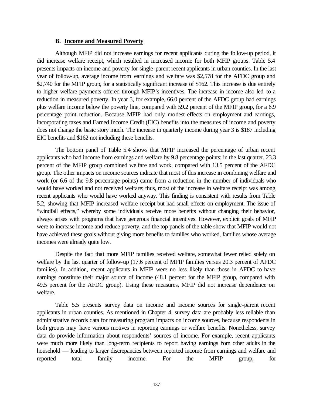### **B. Income and Measured Poverty**

Although MFIP did not increase earnings for recent applicants during the follow-up period, it did increase welfare receipt, which resulted in increased income for both MFIP groups. Table 5.4 presents impacts on income and poverty for single-parent recent applicants in urban counties. In the last year of follow-up, average income from earnings and welfare was \$2,578 for the AFDC group and \$2,740 for the MFIP group, for a statistically significant increase of \$162. This increase is due entirely to higher welfare payments offered through MFIP's incentives. The increase in income also led to a reduction in measured poverty. In year 3, for example, 66.0 percent of the AFDC group had earnings plus welfare income below the poverty line, compared with 59.2 percent of the MFIP group, for a 6.9 percentage point reduction. Because MFIP had only modest effects on employment and earnings, incorporating taxes and Earned Income Credit (EIC) benefits into the measures of income and poverty does not change the basic story much. The increase in quarterly income during year 3 is \$187 including EIC benefits and \$162 not including these benefits.

The bottom panel of Table 5.4 shows that MFIP increased the percentage of urban recent applicants who had income from earnings and welfare by 9.8 percentage points; in the last quarter, 23.3 percent of the MFIP group combined welfare and work, compared with 13.5 percent of the AFDC group. The other impacts on income sources indicate that most of this increase in combining welfare and work (or 6.6 of the 9.8 percentage points) came from a reduction in the number of individuals who would have worked and not received welfare; thus, most of the increase in welfare receipt was among recent applicants who would have worked anyway. This finding is consistent with results from Table 5.2, showing that MFIP increased welfare receipt but had small effects on employment. The issue of "windfall effects," whereby some individuals receive more benefits without changing their behavior, always arises with programs that have generous financial incentives. However, explicit goals of MFIP were to increase income and reduce poverty, and the top panels of the table show that MFIP would not have achieved these goals without giving more benefits to families who worked, families whose average incomes were already quite low.

Despite the fact that more MFIP families received welfare, somewhat fewer relied solely on welfare by the last quarter of follow-up (17.6 percent of MFIP families versus 20.3 percent of AFDC families). In addition, recent applicants in MFIP were no less likely than those in AFDC to have earnings constitute their major source of income (48.1 percent for the MFIP group, compared with 49.5 percent for the AFDC group). Using these measures, MFIP did not increase dependence on welfare.

Table 5.5 presents survey data on income and income sources for single-parent recent applicants in urban counties. As mentioned in Chapter 4, survey data are probably less reliable than administrative records data for measuring program impacts on income sources, because respondents in both groups may have various motives in reporting earnings or welfare benefits. Nonetheless, survey data do provide information about respondents' sources of income. For example, recent applicants were much more likely than long-term recipients to report having earnings from other adults in the household — leading to larger discrepancies between reported income from earnings and welfare and reported total family income. For the MFIP group, for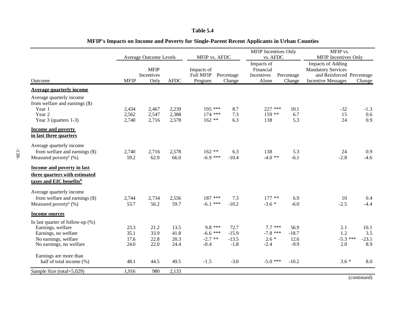|                                                                                                                                     |                              | <b>Average Outcome Levels</b>     |                                            | MFIP vs. AFDC                                 |                                      | MFIP Incentives Only<br>vs. AFDC               |                                   | MFIP vs.<br><b>MFIP</b> Incentives Only                                                                         |                               |
|-------------------------------------------------------------------------------------------------------------------------------------|------------------------------|-----------------------------------|--------------------------------------------|-----------------------------------------------|--------------------------------------|------------------------------------------------|-----------------------------------|-----------------------------------------------------------------------------------------------------------------|-------------------------------|
| Outcome                                                                                                                             | <b>MFIP</b>                  | <b>MFIP</b><br>Incentives<br>Only | $\mathbf{A}\mathbf{F}\mathbf{D}\mathbf{C}$ | Impacts of<br><b>Full MFIP</b><br>Program     | Percentage<br>Change                 | Impacts of<br>Financial<br>Incentives<br>Alone | Percentage<br>Change              | <b>Impacts of Adding</b><br><b>Mandatory Services</b><br>and Reinforced Percentage<br><b>Incentive Messages</b> | Change                        |
| <b>Average quarterly income</b>                                                                                                     |                              |                                   |                                            |                                               |                                      |                                                |                                   |                                                                                                                 |                               |
| Average quarterly income<br>from welfare and earnings $(\$)$<br>Year 1<br>Year 2<br>Year 3 (quarters 1-3)                           | 2,434<br>2,562<br>2,740      | 2,467<br>2,547<br>2,716           | 2,239<br>2,388<br>2,578                    | 195 ***<br>174 ***<br>$162**$                 | 8.7<br>7.3<br>6.3                    | 227 ***<br>$159**$<br>138                      | 10.1<br>6.7<br>5.3                | $-32$<br>15<br>24                                                                                               | $-1.3$<br>0.6<br>0.9          |
| <b>Income and poverty</b><br>in last three quarters                                                                                 |                              |                                   |                                            |                                               |                                      |                                                |                                   |                                                                                                                 |                               |
| Average quarterly income<br>from welfare and earnings (\$)<br>Measured poverty <sup>a</sup> (%)                                     | 2,740<br>59.2                | 2,716<br>62.0                     | 2,578<br>66.0                              | $162**$<br>$-6.9$ ***                         | 6.3<br>$-10.4$                       | 138<br>$-4.0$ **                               | 5.3<br>$-6.1$                     | 24<br>$-2.8$                                                                                                    | 0.9<br>$-4.6$                 |
| Income and poverty in last<br>three quarters with estimated<br>taxes and EIC benefits <sup>b</sup>                                  |                              |                                   |                                            |                                               |                                      |                                                |                                   |                                                                                                                 |                               |
| Average quarterly income<br>from welfare and earnings $(\$)$<br>Measured poverty <sup>a</sup> $(\%)$                                | 2,744<br>53.7                | 2,734<br>56.2                     | 2.556<br>59.7                              | 187 ***<br>$-6.1$ ***                         | 7.3<br>$-10.2$                       | $177$ **<br>$-3.6*$                            | 6.9<br>$-6.0$                     | 10<br>$-2.5$                                                                                                    | 0.4<br>$-4.4$                 |
| <b>Income sources</b>                                                                                                               |                              |                                   |                                            |                                               |                                      |                                                |                                   |                                                                                                                 |                               |
| In last quarter of follow-up $(\%)$<br>Earnings, welfare<br>Earnings, no welfare<br>No earnings, welfare<br>No earnings, no welfare | 23.3<br>35.1<br>17.6<br>24.0 | 21.2<br>33.9<br>22.8<br>22.0      | 13.5<br>41.8<br>20.3<br>24.4               | $9.8***$<br>$-6.6$ ***<br>$-2.7$ **<br>$-0.4$ | 72.7<br>$-15.9$<br>$-13.5$<br>$-1.8$ | $7.7***$<br>$-7.8$ ***<br>$2.6*$<br>$-2.4$     | 56.9<br>$-18.7$<br>12.6<br>$-9.9$ | 2.1<br>1.2<br>$-5.3$ ***<br>2.0                                                                                 | 10.1<br>3.5<br>$-23.1$<br>8.9 |
| Earnings are more than<br>half of total income (%)                                                                                  | 48.1                         | 44.5                              | 49.5                                       | $-1.5$                                        | $-3.0$                               | $-5.0$ ***                                     | $-10.2$                           | $3.6*$                                                                                                          | 8.0                           |
| Sample Size (total=5,029)                                                                                                           | 1,916                        | 980                               | 2,133                                      |                                               |                                      |                                                |                                   |                                                                                                                 |                               |

# **Table 5.4 MFIP's Impacts on Income and Poverty for Single-Parent Recent Applicants in Urban Counties**

(continued)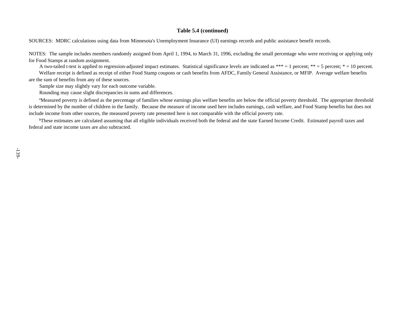#### **Table 5.4 (continued)**

SOURCES: MDRC calculations using data from Minnesota's Unemployment Insurance (UI) earnings records and public assistance benefit records.

NOTES: The sample includes members randomly assigned from April 1, 1994, to March 31, 1996, excluding the small percentage who were receiving or applying only for Food Stamps at random assignment.

A two-tailed t-test is applied to regression-adjusted impact estimates. Statistical significance levels are indicated as  $*** = 1$  percent;  $** = 5$  percent;  $* = 10$  percent.

Welfare receipt is defined as receipt of either Food Stamp coupons or cash benefits from AFDC, Family General Assistance, or MFIP. Average welfare benefits are the sum of benefits from any of these sources.

Sample size may slightly vary for each outcome variable.

Rounding may cause slight discrepancies in sums and differences.

<sup>a</sup>Measured poverty is defined as the percentage of families whose earnings plus welfare benefits are below the official poverty threshold. The appropriate threshold is determined by the number of children in the family. Because the measure of income used here includes earnings, cash welfare, and Food Stamp benefits but does not include income from other sources, the measured poverty rate presented here is not comparable with the official poverty rate.

<sup>b</sup>These estimates are calculated assuming that all eligible individuals received both the federal and the state Earned Income Credit. Estimated payroll taxes and federal and state income taxes are also subtracted.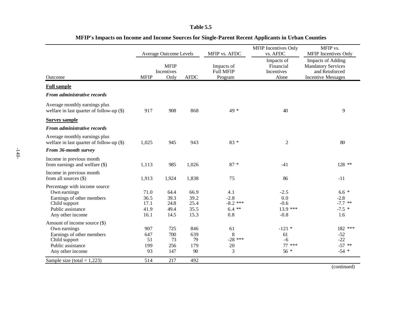|                                                                              |                                                  | <b>Average Outcome Levels</b> |             | MFIP vs. AFDC                             | <b>MFIP</b> Incentives Only<br>vs. AFDC        | MFIP vs.<br><b>MFIP</b> Incentives Only                                                              |  |
|------------------------------------------------------------------------------|--------------------------------------------------|-------------------------------|-------------|-------------------------------------------|------------------------------------------------|------------------------------------------------------------------------------------------------------|--|
| Outcome                                                                      | <b>MFIP</b><br>Incentives<br><b>MFIP</b><br>Only |                               | <b>AFDC</b> | Impacts of<br><b>Full MFIP</b><br>Program | Impacts of<br>Financial<br>Incentives<br>Alone | <b>Impacts of Adding</b><br><b>Mandatory Services</b><br>and Reinforced<br><b>Incentive Messages</b> |  |
| <b>Full sample</b>                                                           |                                                  |                               |             |                                           |                                                |                                                                                                      |  |
| From administrative records                                                  |                                                  |                               |             |                                           |                                                |                                                                                                      |  |
| Average monthly earnings plus<br>welfare in last quarter of follow-up (\$)   | 917                                              | 908                           | 868         | $49*$                                     | 40                                             | 9                                                                                                    |  |
| <b>Survey sample</b>                                                         |                                                  |                               |             |                                           |                                                |                                                                                                      |  |
| From administrative records                                                  |                                                  |                               |             |                                           |                                                |                                                                                                      |  |
| Average monthly earnings plus<br>welfare in last quarter of follow-up $(\$)$ | 1,025                                            | 945                           | 943         | $83 *$                                    | $\overline{2}$                                 | 80                                                                                                   |  |
| From 36-month survey                                                         |                                                  |                               |             |                                           |                                                |                                                                                                      |  |
| Income in previous month<br>from earnings and welfare $(\$)$                 | 1,113                                            | 985                           | 1,026       | $87 *$                                    | $-41$                                          | $128$ **                                                                                             |  |
| Income in previous month<br>from all sources $(\$)$                          | 1,913                                            | 1,924                         | 1,838       | 75                                        | 86                                             | $-11$                                                                                                |  |
| Percentage with income source                                                |                                                  |                               |             |                                           |                                                |                                                                                                      |  |
| Own earnings                                                                 | 71.0                                             | 64.4                          | 66.9        | 4.1                                       | $-2.5$                                         | $6.6 *$                                                                                              |  |
| Earnings of other members                                                    | 36.5                                             | 39.3                          | 39.2        | $-2.8$                                    | 0.0                                            | $-2.8$                                                                                               |  |
| Child support                                                                | 17.1                                             | 24.8                          | 25.4        | $-8.2$ ***                                | $-0.6$                                         | $-7.7$ **                                                                                            |  |
| Public assistance                                                            | 41.9                                             | 49.4                          | 35.5        | $6.4$ **                                  | $13.9***$                                      | $-7.5$ *                                                                                             |  |
| Any other income                                                             | 16.1                                             | 14.5                          | 15.3        | 0.8                                       | $-0.8$                                         | 1.6                                                                                                  |  |
| Amount of income source (\$)                                                 |                                                  |                               |             |                                           |                                                |                                                                                                      |  |
| Own earnings                                                                 | 907                                              | 725                           | 846         | 61                                        | $-121$ *                                       | 182 ***                                                                                              |  |
| Earnings of other members                                                    | 647                                              | 700                           | 639         | $\,8\,$                                   | 61                                             | $-52$                                                                                                |  |
| Child support                                                                | 51                                               | 73                            | 79          | $-28$ ***                                 | $-6$                                           | $-22$                                                                                                |  |
| Public assistance                                                            | 199                                              | 256                           | 179         | 20                                        | 77 ***                                         | $-57$ **                                                                                             |  |
| Any other income                                                             | 93                                               | 147                           | 90          | 3                                         | $56*$                                          | $-54$ *                                                                                              |  |
| Sample size (total = $1,223$ )                                               | 514                                              | 217                           | 492         |                                           |                                                |                                                                                                      |  |

# **MFIP's Impacts on Income and Income Sources for Single-Parent Recent Applicants in Urban Counties**

**Table 5.5**

(continued)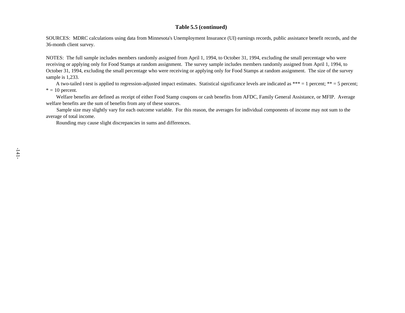#### **Table 5.5 (continued)**

SOURCES: MDRC calculations using data from Minnesota's Unemployment Insurance (UI) earnings records, public assistance benefit records, and the 36-month client survey.

NOTES: The full sample includes members randomly assigned from April 1, 1994, to October 31, 1994, excluding the small percentage who were receiving or applying only for Food Stamps at random assignment. The survey sample includes members randomly assigned from April 1, 1994, to October 31, 1994, excluding the small percentage who were receiving or applying only for Food Stamps at random assignment. The size of the survey sample is 1,233.

A two-tailed t-test is applied to regression-adjusted impact estimates. Statistical significance levels are indicated as \*\*\* = 1 percent; \*\* = 5 percent;  $* = 10$  percent.

 Welfare benefits are defined as receipt of either Food Stamp coupons or cash benefits from AFDC, Family General Assistance, or MFIP. Average welfare benefits are the sum of benefits from any of these sources.

 Sample size may slightly vary for each outcome variable. For this reason, the averages for individual components of income may not sum to the average of total income.

Rounding may cause slight discrepancies in sums and differences.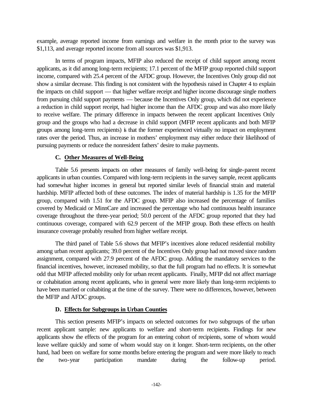example, average reported income from earnings and welfare in the month prior to the survey was \$1,113, and average reported income from all sources was \$1,913.

In terms of program impacts, MFIP also reduced the receipt of child support among recent applicants, as it did among long-term recipients; 17.1 percent of the MFIP group reported child support income, compared with 25.4 percent of the AFDC group. However, the Incentives Only group did not show a similar decrease. This finding is not consistent with the hypothesis raised in Chapter 4 to explain the impacts on child support — that higher welfare receipt and higher income discourage single mothers from pursuing child support payments — because the Incentives Only group, which did not experience a reduction in child support receipt, had higher income than the AFDC group and was also more likely to receive welfare. The primary difference in impacts between the recent applicant Incentives Only group and the groups who had a decrease in child support (MFIP recent applicants and both MFIP groups among long-term recipients) is that the former experienced virtually no impact on employment rates over the period. Thus, an increase in mothers' employment may either reduce their likelihood of pursuing payments or reduce the nonresident fathers' desire to make payments.

### **C. Other Measures of Well-Being**

Table 5.6 presents impacts on other measures of family well-being for single-parent recent applicants in urban counties. Compared with long-term recipients in the survey sample, recent applicants had somewhat higher incomes in general but reported similar levels of financial strain and material hardship. MFIP affected both of these outcomes. The index of material hardship is 1.35 for the MFIP group, compared with 1.51 for the AFDC group. MFIP also increased the percentage of families covered by Medicaid or MinnCare and increased the percentage who had continuous health insurance coverage throughout the three-year period; 50.0 percent of the AFDC group reported that they had continuous coverage, compared with 62.9 percent of the MFIP group. Both these effects on health insurance coverage probably resulted from higher welfare receipt.

The third panel of Table 5.6 shows that MFIP's incentives alone reduced residential mobility among urban recent applicants; 39.0 percent of the Incentives Only group had not moved since random assignment, compared with 27.9 percent of the AFDC group. Adding the mandatory services to the financial incentives, however, increased mobility, so that the full program had no effects. It is somewhat odd that MFIP affected mobility only for urban recent applicants. Finally, MFIP did not affect marriage or cohabitation among recent applicants, who in general were more likely than long-term recipients to have been married or cohabiting at the time of the survey. There were no differences, however, between the MFIP and AFDC groups.

## **D. Effects for Subgroups in Urban Counties**

This section presents MFIP's impacts on selected outcomes for two subgroups of the urban recent applicant sample: new applicants to welfare and short-term recipients. Findings for new applicants show the effects of the program for an entering cohort of recipients, some of whom would leave welfare quickly and some of whom would stay on it longer. Short-term recipients, on the other hand, had been on welfare for some months before entering the program and were more likely to reach the two-year participation mandate during the follow-up period.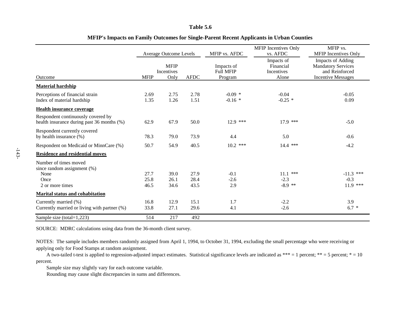### **Table 5.6**

|                                                                                            |                      | Average Outcome Levels            |                      | MFIP vs. AFDC                             | MFIP Incentives Only<br>vs. AFDC               | MFIP vs.<br>MFIP Incentives Only                                                                     |
|--------------------------------------------------------------------------------------------|----------------------|-----------------------------------|----------------------|-------------------------------------------|------------------------------------------------|------------------------------------------------------------------------------------------------------|
| Outcome                                                                                    | <b>MFIP</b>          | <b>MFIP</b><br>Incentives<br>Only | <b>AFDC</b>          | Impacts of<br><b>Full MFIP</b><br>Program | Impacts of<br>Financial<br>Incentives<br>Alone | <b>Impacts of Adding</b><br><b>Mandatory Services</b><br>and Reinforced<br><b>Incentive Messages</b> |
| <b>Material hardship</b>                                                                   |                      |                                   |                      |                                           |                                                |                                                                                                      |
| Perceptions of financial strain<br>Index of material hardship                              | 2.69<br>1.35         | 2.75<br>1.26                      | 2.78<br>1.51         | $-0.09$ *<br>$-0.16$ *                    | $-0.04$<br>$-0.25$ *                           | $-0.05$<br>0.09                                                                                      |
| <b>Health insurance coverage</b>                                                           |                      |                                   |                      |                                           |                                                |                                                                                                      |
| Respondent continuously covered by<br>health insurance during past 36 months (%)           | 62.9                 | 67.9                              | 50.0                 | 12.9 ***                                  | 17.9 ***                                       | $-5.0$                                                                                               |
| Respondent currently covered<br>by health insurance (%)                                    | 78.3                 | 79.0                              | 73.9                 | 4.4                                       | 5.0                                            | $-0.6$                                                                                               |
| Respondent on Medicaid or MinnCare (%)                                                     | 50.7                 | 54.9                              | 40.5                 | $10.2$ ***                                | 14.4 ***                                       | $-4.2$                                                                                               |
| <b>Residence and residential moves</b>                                                     |                      |                                   |                      |                                           |                                                |                                                                                                      |
| Number of times moved<br>since random assignment $(\%)$<br>None<br>Once<br>2 or more times | 27.7<br>25.8<br>46.5 | 39.0<br>26.1<br>34.6              | 27.9<br>28.4<br>43.5 | $-0.1$<br>$-2.6$<br>2.9                   | $11.1$ ***<br>$-2.3$<br>$-8.9$ **              | $-11.3$ ***<br>$-0.3$<br>$11.9$ ***                                                                  |
| <b>Marital status and cohabitation</b>                                                     |                      |                                   |                      |                                           |                                                |                                                                                                      |
| Currently married (%)<br>Currently married or living with partner (%)                      | 16.8<br>33.8         | 12.9<br>27.1                      | 15.1<br>29.6         | 1.7<br>4.1                                | $-2.2$<br>$-2.6$                               | 3.9<br>$6.7 *$                                                                                       |
| Sample size (total= $1,223$ )                                                              | 514                  | 217                               | 492                  |                                           |                                                |                                                                                                      |

# **MFIP's Impacts on Family Outcomes for Single-Parent Recent Applicants in Urban Counties**

SOURCE: MDRC calculations using data from the 36-month client survey.

NOTES: The sample includes members randomly assigned from April 1, 1994, to October 31, 1994, excluding the small percentage who were receiving or applying only for Food Stamps at random assignment.

A two-tailed t-test is applied to regression-adjusted impact estimates. Statistical significance levels are indicated as \*\*\* = 1 percent; \*\* = 5 percent; \* = 10 percent.

Sample size may slightly vary for each outcome variable.

Rounding may cause slight discrepancies in sums and differences.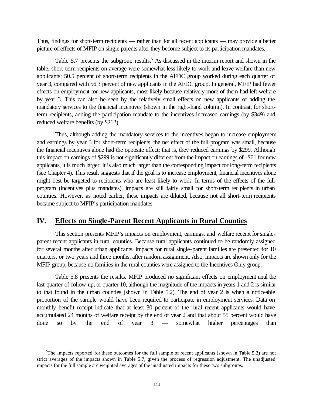Thus, findings for short-term recipients — rather than for all recent applicants — may provide a better picture of effects of MFIP on single parents after they become subject to its participation mandates.

Table 5.7 presents the subgroup results.<sup>5</sup> As discussed in the interim report and shown in the table, short-term recipients on average were somewhat less likely to work and leave welfare than new applicants; 50.5 percent of short-term recipients in the AFDC group worked during each quarter of year 3, compared with 56.3 percent of new applicants in the AFDC group. In general, MFIP had fewer effects on employment for new applicants, most likely because relatively more of them had left welfare by year 3. This can also be seen by the relatively small effects on new applicants of adding the mandatory services to the financial incentives (shown in the right-hand column). In contrast, for shortterm recipients, adding the participation mandate to the incentives increased earnings (by \$349) and reduced welfare benefits (by \$212).

Thus, although adding the mandatory services to the incentives began to increase employment and earnings by year 3 for short-term recipients, the net effect of the full program was small, because the financial incentives alone had the opposite effect; that is, they reduced earnings by \$299. Although this impact on earnings of \$299 is not significantly different from the impact on earnings of -\$61 for new applicants, it is much larger. It is also much larger than the corresponding impact for long-term recipients (see Chapter 4). This result suggests that if the goal is to increase employment, financial incentives alone might best be targeted to recipients who are least likely to work. In terms of the effects of the full program (incentives plus mandates), impacts are still fairly small for short-term recipients in urban counties. However, as noted earlier, these impacts are diluted, because not all short-term recipients became subject to MFIP's participation mandates.

## **IV. Effects on Single-Parent Recent Applicants in Rural Counties**

This section presents MFIP's impacts on employment, earnings, and welfare receipt for singleparent recent applicants in rural counties. Because rural applicants continued to be randomly assigned for several months after urban applicants, impacts for rural single-parent families are presented for 10 quarters, or two years and three months, after random assignment. Also, impacts are shown only for the MFIP group, because no families in the rural counties were assigned to the Incentives Only group.

Table 5.8 presents the results. MFIP produced no significant effects on employment until the last quarter of follow-up, or quarter 10, although the magnitude of the impacts in years 1 and 2 is similar to that found in the urban counties (shown in Table 5.2). The end of year 2 is when a noticeable proportion of the sample would have been required to participate in employment services. Data on monthly benefit receipt indicate that at least 30 percent of the rural recent applicants would have accumulated 24 months of welfare receipt by the end of year 2 and that about 55 percent would have done so by the end of year 3 — somewhat higher percentages than

<sup>&</sup>lt;sup>5</sup>The impacts reported for these outcomes for the full sample of recent applicants (shown in Table 5.2) are not strict averages of the impacts shown in Table 5.7, given the process of regression adjustment. The unadjusted impacts for the full sample are weighted averages of the unadjusted impacts for these two subgroups.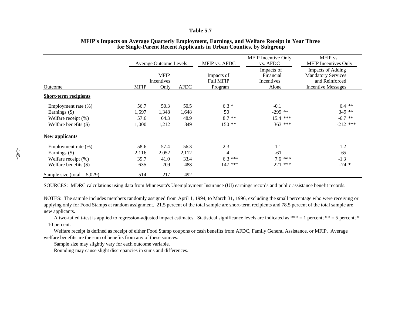#### **Table 5.7**

|                                |             | <b>Average Outcome Levels</b> |             | MFIP vs. AFDC    | MFIP Incentive Only<br>vs. AFDC | MFIP vs.<br><b>MFIP</b> Incentives Only               |  |
|--------------------------------|-------------|-------------------------------|-------------|------------------|---------------------------------|-------------------------------------------------------|--|
|                                |             | <b>MFIP</b>                   |             | Impacts of       | Impacts of<br>Financial         | <b>Impacts of Adding</b><br><b>Mandatory Services</b> |  |
|                                |             | Incentives                    |             | <b>Full MFIP</b> | Incentives                      | and Reinforced                                        |  |
| Outcome                        | <b>MFIP</b> | Only                          | <b>AFDC</b> | Program          | Alone                           | <b>Incentive Messages</b>                             |  |
| <b>Short-term recipients</b>   |             |                               |             |                  |                                 |                                                       |  |
| Employment rate (%)            | 56.7        | 50.3                          | 50.5        | $6.3 *$          | $-0.1$                          | $6.4$ **                                              |  |
| Earnings (\$)                  | 1,697       | 1,348                         | 1,648       | 50               | $-299$ **                       | 349 **                                                |  |
| Welfare receipt (%)            | 57.6        | 64.3                          | 48.9        | $8.7**$          | 15.4 ***                        | $-6.7$ **                                             |  |
| Welfare benefits (\$)          | 1,000       | 1,212                         | 849         | 150 **           | $363$ ***                       | $-212$ ***                                            |  |
| New applicants                 |             |                               |             |                  |                                 |                                                       |  |
| Employment rate (%)            | 58.6        | 57.4                          | 56.3        | 2.3              | 1.1                             | 1.2                                                   |  |
| Earnings (\$)                  | 2,116       | 2,052                         | 2,112       | 4                | $-61$                           | 65                                                    |  |
| Welfare receipt (%)            | 39.7        | 41.0                          | 33.4        | $6.3***$         | $7.6$ ***                       | $-1.3$                                                |  |
| Welfare benefits $(\$)$        | 635         | 709                           | 488         | 147 ***          | 221 ***                         | $-74$ *                                               |  |
| Sample size (total = $5,029$ ) | 514         | 217                           | 492         |                  |                                 |                                                       |  |

#### **MFIP's Impacts on Average Quarterly Employment, Earnings, and Welfare Receipt in Year Three for Single-Parent Recent Applicants in Urban Counties, by Subgroup**

SOURCES: MDRC calculations using data from Minnesota's Unemployment Insurance (UI) earnings records and public assistance benefit records.

NOTES: The sample includes members randomly assigned from April 1, 1994, to March 31, 1996, excluding the small percentage who were receiving or applying only for Food Stamps at random assignment. 21.5 percent of the total sample are short-term recipients and 78.5 percent of the total sample are new applicants.

A two-tailed t-test is applied to regression-adjusted impact estimates. Statistical significance levels are indicated as  $*** = 1$  percent;  $** = 5$  percent; \*  $= 10$  percent.

 Welfare receipt is defined as receipt of either Food Stamp coupons or cash benefits from AFDC, Family General Assistance, or MFIP. Average welfare benefits are the sum of benefits from any of these sources.

Sample size may slightly vary for each outcome variable.

Rounding may cause slight discrepancies in sums and differences.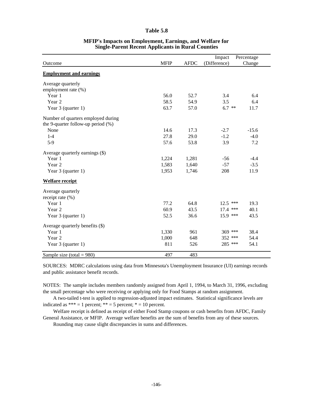| Outcome                               | <b>MFIP</b> | <b>AFDC</b> | Impact<br>(Difference) | Percentage<br>Change |
|---------------------------------------|-------------|-------------|------------------------|----------------------|
| <b>Employment and earnings</b>        |             |             |                        |                      |
| Average quarterly                     |             |             |                        |                      |
| employment rate (%)                   |             |             |                        |                      |
| Year 1                                | 56.0        | 52.7        | 3.4                    | 6.4                  |
| Year 2                                | 58.5        | 54.9        | 3.5                    | 6.4                  |
| Year 3 (quarter 1)                    | 63.7        | 57.0        | $6.7$ **               | 11.7                 |
| Number of quarters employed during    |             |             |                        |                      |
| the 9-quarter follow-up period $(\%)$ |             |             |                        |                      |
| None                                  | 14.6        | 17.3        | $-2.7$                 | $-15.6$              |
| $1 - 4$                               | 27.8        | 29.0        | $-1.2$                 | $-4.0$               |
| $5-9$                                 | 57.6        | 53.8        | 3.9                    | 7.2                  |
| Average quarterly earnings (\$)       |             |             |                        |                      |
| Year 1                                | 1,224       | 1,281       | $-56$                  | $-4.4$               |
| Year 2                                | 1,583       | 1,640       | $-57$                  | $-3.5$               |
| Year 3 (quarter 1)                    | 1,953       | 1,746       | 208                    | 11.9                 |
| Welfare receipt                       |             |             |                        |                      |
| Average quarterly                     |             |             |                        |                      |
| receipt rate $(\% )$                  |             |             |                        |                      |
| Year 1                                | 77.2        | 64.8        | 12.5 ***               | 19.3                 |
| Year 2                                | 60.9        | 43.5        | $17.4$ ***             | 40.1                 |
| Year 3 (quarter 1)                    | 52.5        | 36.6        | $15.9$ ***             | 43.5                 |
| Average quarterly benefits (\$)       |             |             |                        |                      |
| Year 1                                | 1,330       | 961         | 369 ***                | 38.4                 |
| Year 2                                | 1,000       | 648         | 352 ***                | 54.4                 |
| Year 3 (quarter 1)                    | 811         | 526         | 285 ***                | 54.1                 |
| Sample size (total = $980$ )          | 497         | 483         |                        |                      |

### **MFIP's Impacts on Employment, Earnings, and Welfare for Single-Parent Recent Applicants in Rural Counties**

**Table 5.8**

SOURCES: MDRC calculations using data from Minnesota's Unemployment Insurance (UI) earnings records and public assistance benefit records.

NOTES: The sample includes members randomly assigned from April 1, 1994, to March 31, 1996, excluding the small percentage who were receiving or applying only for Food Stamps at random assignment.

 A two-tailed t-test is applied to regression-adjusted impact estimates. Statistical significance levels are indicated as  $*** = 1$  percent;  $** = 5$  percent;  $* = 10$  percent.

 Welfare receipt is defined as receipt of either Food Stamp coupons or cash benefits from AFDC, Family General Assistance, or MFIP. Average welfare benefits are the sum of benefits from any of these sources.

Rounding may cause slight discrepancies in sums and differences.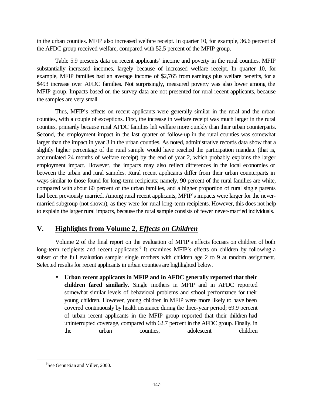in the urban counties. MFIP also increased welfare receipt. In quarter 10, for example, 36.6 percent of the AFDC group received welfare, compared with 52.5 percent of the MFIP group.

Table 5.9 presents data on recent applicants' income and poverty in the rural counties. MFIP substantially increased incomes, largely because of increased welfare receipt. In quarter 10, for example, MFIP families had an average income of \$2,765 from earnings plus welfare benefits, for a \$493 increase over AFDC families. Not surprisingly, measured poverty was also lower among the MFIP group. Impacts based on the survey data are not presented for rural recent applicants, because the samples are very small.

Thus, MFIP's effects on recent applicants were generally similar in the rural and the urban counties, with a couple of exceptions. First, the increase in welfare receipt was much larger in the rural counties, primarily because rural AFDC families left welfare more quickly than their urban counterparts. Second, the employment impact in the last quarter of follow-up in the rural counties was somewhat larger than the impact in year 3 in the urban counties. As noted, administrative records data show that a slightly higher percentage of the rural sample would have reached the participation mandate (that is, accumulated 24 months of welfare receipt) by the end of year 2, which probably explains the larger employment impact. However, the impacts may also reflect differences in the local economies or between the urban and rural samples. Rural recent applicants differ from their urban counterparts in ways similar to those found for long-term recipients; namely, 90 percent of the rural families are white, compared with about 60 percent of the urban families, and a higher proportion of rural single parents had been previously married. Among rural recent applicants, MFIP's impacts were larger for the nevermarried subgroup (not shown), as they were for rural long-term recipients. However, this does not help to explain the larger rural impacts, because the rural sample consists of fewer never-married individuals.

# **V. Highlights from Volume 2,** *Effects on Children*

Volume 2 of the final report on the evaluation of MFIP's effects focuses on children of both long-term recipients and recent applicants.<sup>6</sup> It examines MFIP's effects on children by following a subset of the full evaluation sample: single mothers with children age 2 to 9 at random assignment. Selected results for recent applicants in urban counties are highlighted below.

• **Urban recent applicants in MFIP and in AFDC generally reported that their children fared similarly.** Single mothers in MFIP and in AFDC reported somewhat similar levels of behavioral problems and school performance for their young children. However, young children in MFIP were more likely to have been covered continuously by health insurance during the three-year period; 69.9 percent of urban recent applicants in the MFIP group reported that their dildren had uninterrupted coverage, compared with 62.7 percent in the AFDC group. Finally, in the urban counties, adolescent children

<sup>6</sup> See Gennetian and Miller, 2000.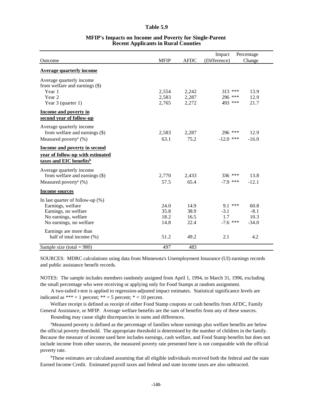#### **Table 5.9**

|                                                          |             |             | Impact             | Percentage |
|----------------------------------------------------------|-------------|-------------|--------------------|------------|
| Outcome                                                  | <b>MFIP</b> | <b>AFDC</b> | (Difference)       | Change     |
| <b>Average quarterly income</b>                          |             |             |                    |            |
| Average quarterly income                                 |             |             |                    |            |
| from welfare and earnings (\$)                           |             |             |                    |            |
| Year 1                                                   | 2,554       | 2,242       | $313$ ***          | 13.9       |
| Year 2                                                   | 2,583       | 2,287       | 296 ***<br>493 *** | 12.9       |
| Year 3 (quarter 1)                                       | 2,765       | 2,272       |                    | 21.7       |
| <b>Income and poverty in</b><br>second year of follow-up |             |             |                    |            |
| Average quarterly income                                 |             |             |                    |            |
| from welfare and earnings (\$)                           | 2,583       | 2,287       | 296 ***            | 12.9       |
| Measured poverty <sup>a</sup> $(\%)$                     | 63.1        | 75.2        | $-12.0$ ***        | $-16.0$    |
| Income and poverty in second                             |             |             |                    |            |
| year of follow-up with estimated                         |             |             |                    |            |
| taxes and EIC benefitsb                                  |             |             |                    |            |
| Average quarterly income                                 |             |             |                    |            |
| from welfare and earnings (\$)                           | 2,770       | 2,433       | 336 ***            | 13.8       |
| Measured poverty <sup>a</sup> $(\%)$                     | 57.5        | 65.4        | $-7.9$ ***         | $-12.1$    |
| <b>Income sources</b>                                    |             |             |                    |            |
| In last quarter of follow-up $(\%)$                      |             |             |                    |            |
| Earnings, welfare                                        | 24.0        | 14.9        | $9.1$ ***          | 60.8       |
| Earnings, no welfare                                     | 35.8        | 38.9        | $-3.1$             | $-8.1$     |
| No earnings, welfare                                     | 18.2        | 16.5        | 1.7                | 10.3       |
| No earnings, no welfare                                  | 14.8        | 22.4        | $-7.6$ ***         | $-34.0$    |
| Earnings are more than                                   |             |             |                    |            |
| half of total income (%)                                 | 51.2        | 49.2        | 2.1                | 4.2        |
| Sample size (total = $980$ )                             | 497         | 483         |                    |            |

#### **MFIP's Impacts on Income and Poverty for Single-Parent Recent Applicants in Rural Counties**

SOURCES: MDRC calculations using data from Minnesota's Unemployment Insurance (UI) earnings records and public assistance benefit records.

NOTES: The sample includes members randomly assigned from April 1, 1994, to March 31, 1996, excluding the small percentage who were receiving or applying only for Food Stamps at random assignment.

 A two-tailed t-test is applied to regression-adjusted impact estimates. Statistical significance levels are indicated as  $*** = 1$  percent;  $** = 5$  percent;  $* = 10$  percent.

 Welfare receipt is defined as receipt of either Food Stamp coupons or cash benefits from AFDC, Family General Assistance, or MFIP. Average welfare benefits are the sum of benefits from any of these sources.

Rounding may cause slight discrepancies in sums and differences.

<sup>a</sup>Measured poverty is defined as the percentage of families whose earnings plus welfare benefits are below the official poverty threshold. The appropriate threshold is determined by the number of children in the family. Because the measure of income used here includes earnings, cash welfare, and Food Stamp benefits but does not include income from other sources, the measured poverty rate presented here is not comparable with the official poverty rate.

<sup>b</sup>These estimates are calculated assuming that all eligible individuals received both the federal and the state Earned Income Credit. Estimated payroll taxes and federal and state income taxes are also subtracted.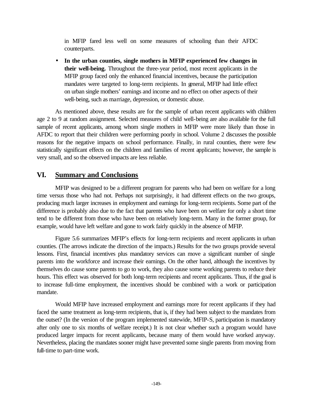in MFIP fared less well on some measures of schooling than their AFDC counterparts.

• **In the urban counties, single mothers in MFIP experienced few changes in their well-being.** Throughout the three-year period, most recent applicants in the MFIP group faced only the enhanced financial incentives, because the participation mandates were targeted to long-term recipients. In general, MFIP had little effect on urban single mothers' earnings and income and no effect on other aspects of their well-being, such as marriage, depression, or domestic abuse.

As mentioned above, these results are for the sample of urban recent applicants with children age 2 to 9 at random assignment. Selected measures of child well-being are also available for the full sample of recent applicants, among whom single mothers in MFIP were more likely than those in AFDC to report that their children were performing poorly in school. Volume 2 discusses the possible reasons for the negative impacts on school performance. Finally, in rural counties, there were few statistically significant effects on the children and families of recent applicants; however, the sample is very small, and so the observed impacts are less reliable.

# **VI. Summary and Conclusions**

MFIP was designed to be a different program for parents who had been on welfare for a long time versus those who had not. Perhaps not surprisingly, it had different effects on the two groups, producing much larger increases in employment and earnings for long-term recipients. Some part of the difference is probably also due to the fact that parents who have been on welfare for only a short time tend to be different from those who have been on relatively long-term. Many in the former group, for example, would have left welfare and gone to work fairly quickly in the absence of MFIP.

Figure 5.6 summarizes MFIP's effects for long-term recipients and recent applicants in urban counties. (The arrows indicate the direction of the impacts.) Results for the two groups provide several lessons. First, financial incentives plus mandatory services can move a significant number of single parents into the workforce and increase their earnings. On the other hand, although the incentives by themselves do cause some parents to go to work, they also cause some working parents to reduce their hours. This effect was observed for both long-term recipients and recent applicants. Thus, if the goal is to increase full-time employment, the incentives should be combined with a work or participation mandate.

Would MFIP have increased employment and earnings more for recent applicants if they had faced the same treatment as long-term recipients, that is, if they had been subject to the mandates from the outset? (In the version of the program implemented statewide, MFIP-S, participation is mandatory after only one to six months of welfare receipt.) It is not clear whether such a program would have produced larger impacts for recent applicants, because many of them would have worked anyway. Nevertheless, placing the mandates sooner might have prevented some single parents from moving from full-time to part-time work.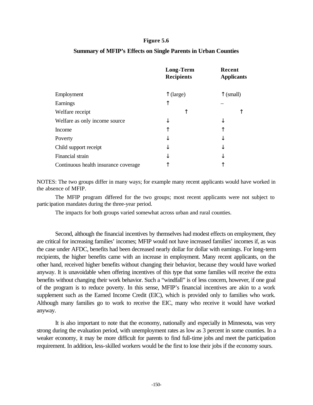### **Figure 5.6**

|                                      | <b>Long-Term</b><br><b>Recipients</b> | Recent<br><b>Applicants</b><br>$\uparrow$ (small) |  |  |
|--------------------------------------|---------------------------------------|---------------------------------------------------|--|--|
| Employment                           | $\uparrow$ (large)                    |                                                   |  |  |
| Earnings                             |                                       |                                                   |  |  |
| Welfare receipt                      |                                       |                                                   |  |  |
| Welfare as only income source        |                                       |                                                   |  |  |
| Income                               |                                       |                                                   |  |  |
| Poverty                              |                                       |                                                   |  |  |
| Child support receipt                |                                       |                                                   |  |  |
| Financial strain                     |                                       |                                                   |  |  |
| Continuous health insurance coverage |                                       |                                                   |  |  |

### **Summary of MFIP's Effects on Single Parents in Urban Counties**

NOTES: The two groups differ in many ways; for example many recent applicants would have worked in the absence of MFIP.

The MFIP program differed for the two groups; most recent applicants were not subject to partic ipation mandates during the three-year period.

The impacts for both groups varied somewhat across urban and rural counties.

Second, although the financial incentives by themselves had modest effects on employment, they are critical for increasing families' incomes; MFIP would not have increased families' incomes if, as was the case under AFDC, benefits had been decreased nearly dollar for dollar with earnings. For long-term recipients, the higher benefits came with an increase in employment. Many recent applicants, on the other hand, received higher benefits without changing their behavior, because they would have worked anyway. It is unavoidable when offering incentives of this type that some families will receive the extra benefits without changing their work behavior. Such a "windfall" is of less concern, however, if one goal of the program is to reduce poverty. In this sense, MFIP's financial incentives are akin to a work supplement such as the Earned Income Credit (EIC), which is provided only to families who work. Although many families go to work to receive the EIC, many who receive it would have worked anyway.

It is also important to note that the economy, nationally and especially in Minnesota, was very strong during the evaluation period, with unemployment rates as low as 3 percent in some counties. In a weaker economy, it may be more difficult for parents to find full-time jobs and meet the participation requirement. In addition, less-skilled workers would be the first to lose their jobs if the economy sours.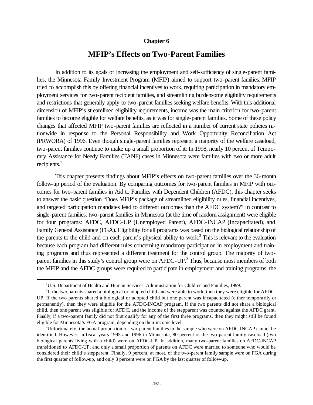#### **Chapter 6**

# **MFIP's Effects on Two-Parent Families**

In addition to its goals of increasing the employment and self-sufficiency of single-parent families, the Minnesota Family Investment Program (MFIP) aimed to support two-parent families. MFIP tried to accomplish this by offering financial incentives to work, requiring participation in mandatory employment services for two-parent recipient families, and streamlining burdensome eligibility requirements and restrictions that generally apply to two-parent families seeking welfare benefits. With this additional dimension of MFIP's streamlined eligibility requirements, income was the main criterion for two-parent families to become eligible for welfare benefits, as it was for single-parent families. Some of these policy changes that affected MFIP two-parent families are reflected in a number of current state policies nationwide in response to the Personal Responsibility and Work Opportunity Reconciliation Act (PRWORA) of 1996. Even though single-parent families represent a majority of the welfare caseload, two-parent families continue to make up a small proportion of it: In 1998, nearly 10 percent of Temporary Assistance for Needy Families (TANF) cases in Minnesota were families with two or more adult recipients. $<sup>1</sup>$ </sup>

This chapter presents findings about MFIP's effects on two-parent families over the 36-month follow-up period of the evaluation. By comparing outcomes for two-parent families in MFIP with outcomes for two-parent families in Aid to Families with Dependent Children (AFDC), this chapter seeks to answer the basic question "Does MFIP's package of streamlined eligibility rules, financial incentives, and targeted participation mandates lead to different outcomes than the AFDC system?" In contrast to single-parent families, two-parent families in Minnesota (at the time of random assignment) were eligible for four programs: AFDC, AFDC-UP (Unemployed Parent), AFDC-INCAP (Incapacitated), and Family General Assistance (FGA). Eligibility for all programs was based on the biological relationship of the parents to the child and on each parent's physical ability to work.<sup>2</sup> This is relevant to the evaluation because each program had different rules concerning mandatory participation in employment and training programs and thus represented a different treatment for the control group. The majority of twoparent families in this study's control group were on AFDC-UP.<sup>3</sup> Thus, because most members of both the MFIP and the AFDC groups were required to participate in employment and training programs, the

<sup>&</sup>lt;sup>1</sup>U.S. Department of Health and Human Services, Administration for Children and Families, 1999.

 $2^2$ If the two parents shared a biological or adopted child and were able to work, then they were eligible for AFDC-UP. If the two parents shared a biological or adopted child but one parent was incapacitated (either temporarily or permanently), then they were eligible for the AFDC-INCAP program. If the two parents did not share a biological child, then one parent was eligible for AFDC, and the income of the stepparent was counted against the AFDC grant. Finally, if a two-parent family did not first qualify for any of the first three programs, then they might still be found eligible for Minnesota's FGA program, depending on their income level.

 $3$ Unfortunately, the actual proportion of two-parent families in the sample who were on AFDC-INCAP cannot be identified. However, in fiscal years 1995 and 1996 in Minnesota, 80 percent of the two-parent family caseload (two biological parents living with a child) were on AFDC-UP. In addition, many two-parent families on AFDC-INCAP transitioned to AFDC-UP, and only a small proportion of parents on AFDC were married to someone who would be considered their child's stepparent. Finally, 9 percent, at most, of the two-parent family sample were on FGA during the first quarter of follow-up, and only 3 percent were on FGA by the last quarter of follow-up.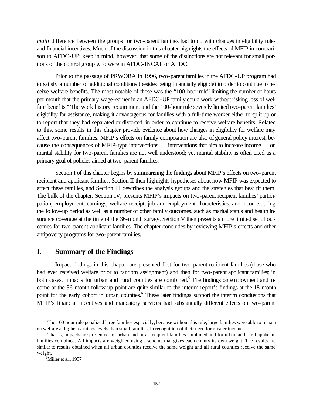*main* difference between the groups for two-parent families had to do with changes in eligibility rules and financial incentives. Much of the discussion in this chapter highlights the effects of MFIP in comparison to AFDC-UP; keep in mind, however, that some of the distinctions are not relevant for small portions of the control group who were in AFDC-INCAP or AFDC.

Prior to the passage of PRWORA in 1996, two-parent families in the AFDC-UP program had to satisfy a number of additional conditions (besides being financially eligible) in order to continue to receive welfare benefits. The most notable of these was the "100-hour rule" limiting the number of hours per month that the primary wage-earner in an AFDC-UP family could work without risking loss of welfare benefits.<sup>4</sup> The work history requirement and the 100-hour rule severely limited two-parent families' eligibility for assistance, making it advantageous for families with a full-time worker either to split up or to report that they had separated or divorced, in order to continue to receive welfare benefits. Related to this, some results in this chapter provide evidence about how changes in eligibility for welfare may affect two-parent families. MFIP's effects on family composition are also of general policy interest, because the consequences of MFIP-type interventions — interventions that aim to increase income — on marital stability for two-parent families are not well understood; yet marital stability is often cited as a primary goal of policies aimed at two-parent families.

Section I of this chapter begins by summarizing the findings about MFIP's effects on two-parent recipient and applicant families. Section II then highlights hypotheses about how MFIP was expected to affect these families, and Section III describes the analysis groups and the strategies that best fit them. The bulk of the chapter, Section IV, presents MFIP's impacts on two-parent recipient families' participation, employment, earnings, welfare receipt, job and employment characteristics, and income during the follow-up period as well as a number of other family outcomes, such as marital status and health insurance coverage at the time of the 36-month survey. Section V then presents a more limited set of outcomes for two-parent applicant families. The chapter concludes by reviewing MFIP's effects and other antipoverty programs for two-parent families.

# **I. Summary of the Findings**

Impact findings in this chapter are presented first for two-parent recipient families (those who had ever received welfare prior to random assignment) and then for two-parent applicant families; in both cases, impacts for urban and rural counties are combined.<sup>5</sup> The findings on employment and income at the 36-month follow-up point are quite similar to the interim report's findings at the 18-month point for the early cohort in urban counties.<sup>6</sup> These later findings support the interim conclusions that MFIP's financial incentives and mandatory services had substantially different effects on two-parent

<sup>&</sup>lt;sup>4</sup>The 100-hour rule penalized large families especially, because without this rule, large families were able to remain on welfare at higher earnings levels than small families, in recognition of their need for greater income.

<sup>&</sup>lt;sup>5</sup>That is, impacts are presented for urban and rural recipient families combined and for urban and rural applicant families combined. All impacts are weighted using a scheme that gives each county its own weight. The results are similar to results obtained when all urban counties receive the same weight and all rural counties receive the same weight.

<sup>&</sup>lt;sup>6</sup>Miller et al., 1997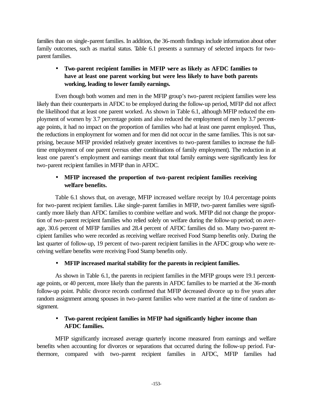families than on single-parent families. In addition, the 36-month findings include information about other family outcomes, such as marital status. Table 6.1 presents a summary of selected impacts for twoparent families.

# • **Two-parent recipient families in MFIP were as likely as AFDC families to have at least one parent working but were less likely to have both parents working, leading to lower family earnings.**

Even though both women and men in the MFIP group's two-parent recipient families were less likely than their counterparts in AFDC to be employed during the follow-up period, MFIP did not affect the likelihood that at least one parent worked. As shown in Table 6.1, although MFIP reduced the employment of women by 3.7 percentage points and also reduced the employment of men by 3.7 percentage points, it had no impact on the proportion of families who had at least one parent employed. Thus, the reductions in employment for women and for men did not occur in the same families. This is not surprising, because MFIP provided relatively greater incentives to two-parent families to increase the fulltime employment of one parent (versus other combinations of family employment). The reduction in at least one parent's employment and earnings meant that total family earnings were significantly less for two-parent recipient families in MFIP than in AFDC.

# • **MFIP increased the proportion of two-parent recipient families receiving welfare benefits.**

Table 6.1 shows that, on average, MFIP increased welfare receipt by 10.4 percentage points for two-parent recipient families. Like single-parent families in MFIP, two-parent families were significantly more likely than AFDC families to combine welfare and work. MFIP did not change the proportion of two-parent recipient families who relied solely on welfare during the follow-up period; on average, 30.6 percent of MFIP families and 28.4 percent of AFDC families did so. Many two-parent recipient families who were recorded as receiving welfare received Food Stamp benefits only. During the last quarter of follow-up, 19 percent of two-parent recipient families in the AFDC group who were receiving welfare benefits were receiving Food Stamp benefits only.

# • **MFIP increased marital stability for the parents in recipient families.**

As shown in Table 6.1, the parents in recipient families in the MFIP groups were 19.1 percentage points, or 40 percent, more likely than the parents in AFDC families to be married at the 36-month follow-up point. Public divorce records confirmed that MFIP decreased divorce up to five years after random assignment among spouses in two-parent families who were married at the time of random assignment.

# • **Two-parent recipient families in MFIP had significantly higher income than AFDC families.**

MFIP significantly increased average quarterly income measured from earnings and welfare benefits when accounting for divorces or separations that occurred during the follow-up period. Furthermore, compared with two-parent recipient families in AFDC, MFIP families had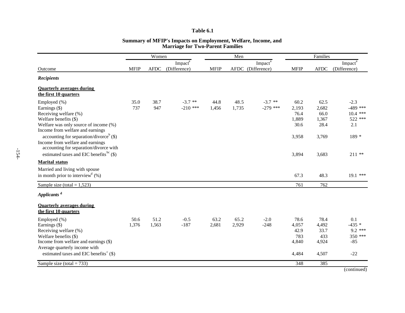### **Table 6.1**

#### **Summary of MFIP's Impacts on Employment, Welfare, Income, and Marriage for Two-Parent Families**

|                                                                                                                                                                                                                                                                                                     | Women         |               |                         | Men           |               |                         | Families                                        |                                                 |                                                               |
|-----------------------------------------------------------------------------------------------------------------------------------------------------------------------------------------------------------------------------------------------------------------------------------------------------|---------------|---------------|-------------------------|---------------|---------------|-------------------------|-------------------------------------------------|-------------------------------------------------|---------------------------------------------------------------|
|                                                                                                                                                                                                                                                                                                     |               |               | Impact <sup>a</sup>     |               |               | Impact <sup>a</sup>     |                                                 |                                                 | Impact <sup>a</sup>                                           |
| Outcome                                                                                                                                                                                                                                                                                             | <b>MFIP</b>   | <b>AFDC</b>   | (Difference)            | <b>MFIP</b>   | <b>AFDC</b>   | (Difference)            | <b>MFIP</b>                                     | <b>AFDC</b>                                     | (Difference)                                                  |
| <b>Recipients</b>                                                                                                                                                                                                                                                                                   |               |               |                         |               |               |                         |                                                 |                                                 |                                                               |
| <b>Quarterly averages during</b><br>the first 10 quarters                                                                                                                                                                                                                                           |               |               |                         |               |               |                         |                                                 |                                                 |                                                               |
| Employed (%)<br>Earnings (\$)<br>Receiving welfare (%)<br>Welfare benefits (\$)<br>Welfare was only source of income (%)<br>Income from welfare and earnings<br>accounting for separation/divorce <sup>b</sup> $(\$)$<br>Income from welfare and earnings<br>accounting for separation/divorce with | 35.0<br>737   | 38.7<br>947   | $-3.7$ **<br>$-210$ *** | 44.8<br>1,456 | 48.5<br>1,735 | $-3.7$ **<br>$-279$ *** | 60.2<br>2,193<br>76.4<br>1,889<br>30.6<br>3,958 | 62.5<br>2,682<br>66.0<br>1,367<br>28.4<br>3,769 | $-2.3$<br>$-489$ ***<br>$10.4$ ***<br>522 ***<br>2.1<br>189 * |
| estimated taxes and EIC benefits $\frac{bc}{c}$ (\$)                                                                                                                                                                                                                                                |               |               |                         |               |               |                         | 3,894                                           | 3,683                                           | $211**$                                                       |
| <b>Marital status</b>                                                                                                                                                                                                                                                                               |               |               |                         |               |               |                         |                                                 |                                                 |                                                               |
| Married and living with spouse<br>in month prior to interview <sup>d</sup> $(%)$                                                                                                                                                                                                                    |               |               |                         |               |               |                         | 67.3                                            | 48.3                                            | 19.1 ***                                                      |
| Sample size (total = $1,523$ )                                                                                                                                                                                                                                                                      |               |               |                         |               |               |                         | 761                                             | 762                                             |                                                               |
| Applicants <sup>d</sup>                                                                                                                                                                                                                                                                             |               |               |                         |               |               |                         |                                                 |                                                 |                                                               |
| <b>Quarterly averages during</b><br>the first 10 quarters                                                                                                                                                                                                                                           |               |               |                         |               |               |                         |                                                 |                                                 |                                                               |
| Employed (%)<br>Earnings (\$)<br>Receiving welfare (%)<br>Welfare benefits (\$)<br>Income from welfare and earnings $(\$)$<br>Average quarterly income with<br>estimated taxes and EIC benefits <sup>c</sup> $(\$)$                                                                                 | 50.6<br>1,376 | 51.2<br>1,563 | $-0.5$<br>$-187$        | 63.2<br>2,681 | 65.2<br>2,929 | $-2.0$<br>$-248$        | 78.6<br>4,057<br>42.9<br>783<br>4,840<br>4,484  | 78.4<br>4,492<br>33.7<br>433<br>4,924<br>4,507  | 0.1<br>$-435$ *<br>$9.2$ ***<br>350 ***<br>$-85$<br>$-22$     |
| Sample size (total = $733$ )                                                                                                                                                                                                                                                                        |               |               |                         |               |               |                         | 348                                             | 385                                             |                                                               |
|                                                                                                                                                                                                                                                                                                     |               |               |                         |               |               |                         |                                                 |                                                 | (constant)                                                    |

(continued)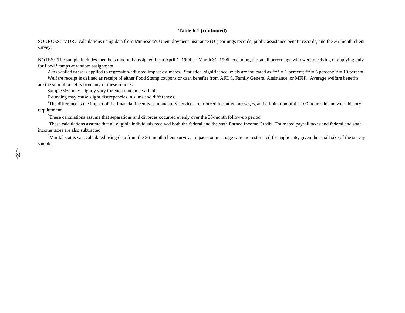#### **Table 6.1 (continued)**

SOURCES: MDRC calculations using data from Minnesota's Unemployment Insurance (UI) earnings records, public assistance benefit records, and the 36-month client survey.

NOTES: The sample includes members randomly assigned from April 1, 1994, to March 31, 1996, excluding the small percentage who were receiving or applying only for Food Stamps at random assignment.

A two-tailed t-test is applied to regression-adjusted impact estimates. Statistical significance levels are indicated as \*\*\* = 1 percent; \*\* = 5 percent; \* = 10 percent.

 Welfare receipt is defined as receipt of either Food Stamp coupons or cash benefits from AFDC, Family General Assistance, or MFIP. Average welfare benefits are the sum of benefits from any of these sources.

Sample size may slightly vary for each outcome variable.

Rounding may cause slight discrepancies in sums and differences.

<sup>a</sup>The difference is the impact of the financial incentives, mandatory services, reinforced incentive messages, and elimination of the 100-hour rule and work history requirement.

<sup>b</sup>These calculations assume that separations and divorces occurred evenly over the 36-month follow-up period.

<sup>c</sup>These calculations assume that all eligible individuals received both the federal and the state Earned Income Credit. Estimated payroll taxes and federal and state income taxes are also subtracted.

<sup>d</sup>Marital status was calculated using data from the 36-month client survey. Impacts on marriage were not estimated for applicants, given the small size of the survey sample.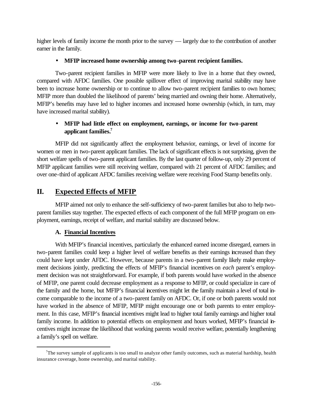higher levels of family income the month prior to the survey — largely due to the contribution of another earner in the family.

# • **MFIP increased home ownership among two-parent recipient families.**

Two-parent recipient families in MFIP were more likely to live in a home that they owned, compared with AFDC families. One possible spillover effect of improving marital stability may have been to increase home ownership or to continue to allow two-parent recipient families to own homes; MFIP more than doubled the likelihood of parents' being married and owning their home. Alternatively, MFIP's benefits may have led to higher incomes and increased home ownership (which, in turn, may have increased marital stability).

# • **MFIP had little effect on employment, earnings, or income for two-parent applicant families.<sup>7</sup>**

MFIP did not significantly affect the employment behavior, earnings, or level of income for women or men in two-parent applicant families. The lack of significant effects is not surprising, given the short welfare spells of two-parent applicant families. By the last quarter of follow-up, only 29 percent of MFIP applicant families were still receiving welfare, compared with 21 percent of AFDC families; and over one-third of applicant AFDC families receiving welfare were receiving Food Stamp benefits only.

# **II. Expected Effects of MFIP**

MFIP aimed not only to enhance the self-sufficiency of two-parent families but also to help twoparent families stay together. The expected effects of each component of the full MFIP program on employment, earnings, receipt of welfare, and marital stability are discussed below.

# **A. Financial Incentives**

 $\overline{a}$ 

With MFIP's financial incentives, particularly the enhanced earned income disregard, earners in two-parent families could keep a higher level of welfare benefits as their earnings increased than they could have kept under AFDC. However, because parents in a two-parent family likely make employment decisions jointly, predicting the effects of MFIP's financial incentives on *each* parent's employment decision was not straightforward. For example, if both parents would have worked in the absence of MFIP, one parent could decrease employment as a response to MFIP, or could specialize in care of the family and the home, but MFIP's financial incentives might let the family maintain a level of total income comparable to the income of a two-parent family on AFDC. Or, if one or both parents would not have worked in the absence of MFIP, MFIP might encourage one or both parents to enter employment. In this case, MFIP's financial incentives might lead to higher total family earnings and higher total family income. In addition to potential effects on employment and hours worked, MFIP's financial incentives might increase the likelihood that working parents would receive welfare, potentially lengthening a family's spell on welfare.

<sup>&</sup>lt;sup>7</sup>The survey sample of applicants is too small to analyze other family outcomes, such as material hardship, health insurance coverage, home ownership, and marital stability.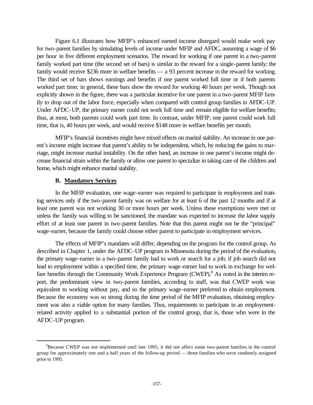Figure 6.1 illustrates how MFIP's enhanced earned income disregard would make work pay for two-parent families by simulating levels of income under MFIP and AFDC, assuming a wage of \$6 per hour in five different employment scenarios. The reward for working if one parent in a two-parent family worked part time (the second set of bars) is similar to the reward for a single-parent family; the family would receive \$236 more in welfare benefits — a 93 percent increase in the reward for working. The third set of bars shows earnings and benefits if one parent worked full time or if both parents worked part time; in general, these bars show the reward for working 40 hours per week. Though not explicitly shown in the figure, there was a particular incentive for one parent in a two-parent MFIP family to drop out of the labor force, especially when compared with control group families in AFDC-UP. Under AFDC-UP, the primary earner could not work full time and remain eligible for welfare benefits; thus, at most, both parents could work part time. In contrast, under MFIP, one parent could work full time, that is, 40 hours per week, and would receive \$148 more in welfare benefits per month.

MFIP's financial incentives might have mixed effects on marital stability. An increase in one parent's income might increase that parent's ability to be independent, which, by reducing the gains to marriage, might increase marital instability. On the other hand, an increase in one parent's income might decrease financial strain within the family or allow one parent to specialize in taking care of the children and home, which might enhance marital stability.

### **B. Mandatory Services**

 $\overline{a}$ 

In the MFIP evaluation, one wage-earner was required to participate in employment and training services only if the two-parent family was on welfare for at least 6 of the past 12 months and if at least one parent was not working 30 or more hours per week. Unless these exemptions were met or unless the family was willing to be sanctioned, the mandate was expected to increase the labor supply effort of at least one parent in two-parent families. Note that this parent might not be the "principal" wage-earner, because the family could choose either parent to participate in employment services.

The effects of MFIP's mandates will differ, depending on the program for the control group. As described in Chapter 1, under the AFDC-UP program in Minnesota during the period of the evaluation, the primary wage-earner in a two-parent family had to work or search for a job; if job search did not lead to employment within a specified time, the primary wage-earner had to work in exchange for welfare benefits through the Community Work Experience Program (CWEP).<sup>8</sup> As noted in the interim report, the predominant view in two-parent families, according to staff, was that CWEP work was equivalent to working without pay, and so the primary wage-earner preferred to obtain employment. Because the economy was so strong during the time period of the MFIP evaluation, obtaining employment was also a viable option for many families. Thus, requirements to participate in an employmentrelated activity applied to a substantial portion of the control group, that is, those who were in the AFDC-UP program.

<sup>&</sup>lt;sup>8</sup>Because CWEP was not implemented until late 1995, it did not affect some two-parent families in the control group for approximately one and a half years of the follow-up period — those families who were randomly assigned prior to 1995.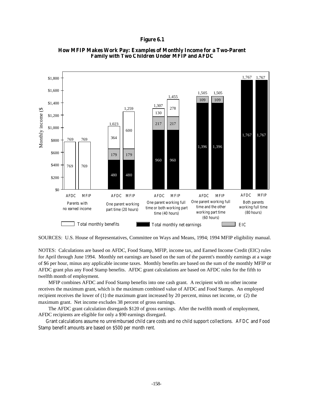#### **Figure 6.1**





NOTES: Calculations are based on AFDC, Food Stamp, MFIP, income tax, and Earned Income Credit (EIC) rules for April through June 1994. Monthly net earnings are based on the sum of the parent's monthly earnings at a wage of \$6 per hour, minus any applicable income taxes. Monthly benefits are based on the sum of the monthly MFIP or AFDC grant plus any Food Stamp benefits. AFDC grant calculations are based on AFDC rules for the fifth to twelfth month of employment.

 MFIP combines AFDC and Food Stamp benefits into one cash grant. A recipient with no other income receives the maximum grant, which is the maximum combined value of AFDC and Food Stamps. An employed recipient receives the lower of (1) the maximum grant increased by 20 percent, minus net income, or (2) the maximum grant. Net income excludes 38 percent of gross earnings.

 The AFDC grant calculation disregards \$120 of gross earnings. After the twelfth month of employment, AFDC recipients are eligible for only a \$90 earnings disregard.

 Grant calculations assume no unreimbursed child care costs and no child support collections. AFDC and Food Stamp benefit amounts are based on \$500 per month rent.

SOURCES: U.S. House of Representatives, Committee on Ways and Means, 1994; 1994 MFIP eligibility manual.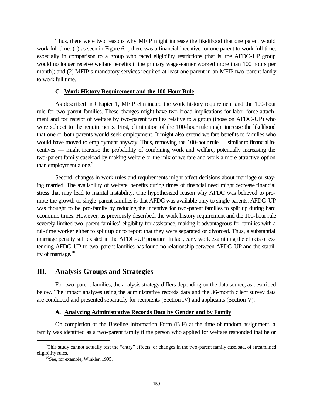Thus, there were two reasons why MFIP might increase the likelihood that one parent would work full time: (1) as seen in Figure 6.1, there was a financial incentive for one parent to work full time, especially in comparison to a group who faced eligibility restrictions (that is, the AFDC-UP group would no longer receive welfare benefits if the primary wage-earner worked more than 100 hours per month); and (2) MFIP's mandatory services required at least one parent in an MFIP two-parent family to work full time.

### **C. Work History Requirement and the 100-Hour Rule**

As described in Chapter 1, MFIP eliminated the work history requirement and the 100-hour rule for two-parent families. These changes might have two broad implications for labor force attachment and for receipt of welfare by two-parent families relative to a group (those on AFDC-UP) who were subject to the requirements. First, elimination of the 100-hour rule might increase the likelihood that one or both parents would seek employment. It might also extend welfare benefits to families who would have moved to employment anyway. Thus, removing the 100-hour rule — similar to financial incentives — might increase the probability of combining work and welfare, potentially increasing the two-parent family caseload by making welfare or the mix of welfare and work a more attractive option than employment alone.<sup>9</sup>

Second, changes in work rules and requirements might affect decisions about marriage or staying married. The availability of welfare benefits during times of financial need might decrease financial stress that may lead to marital instability. One hypothesized reason why AFDC was believed to promote the growth of single-parent families is that AFDC was available only to single parents. AFDC-UP was thought to be pro-family by reducing the incentive for two-parent families to split up during hard economic times. However, as previously described, the work history requirement and the 100-hour rule severely limited two-parent families' eligibility for assistance, making it advantageous for families with a full-time worker either to split up or to report that they were separated or divorced. Thus, a substantial marriage penalty still existed in the AFDC-UP program. In fact, early work examining the effects of extending AFDC-UP to two-parent families has found no relationship between AFDC-UP and the stability of marriage. $10$ 

### **III. Analysis Groups and Strategies**

For two-parent families, the analysis strategy differs depending on the data source, as described below. The impact analyses using the administrative records data and the 36-month client survey data are conducted and presented separately for recipients (Section IV) and applicants (Section V).

### **A. Analyzing Administrative Records Data by Gender and by Family**

On completion of the Baseline Information Form (BIF) at the time of random assignment, a family was identified as a two-parent family if the person who applied for welfare responded that he or

<sup>&</sup>lt;sup>9</sup>This study cannot actually test the "entry" effects, or changes in the two-parent family caseload, of streamlined eligibility rules.

<sup>&</sup>lt;sup>10</sup>See, for example, Winkler, 1995.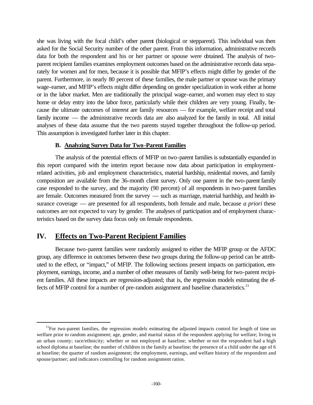she was living with the focal child's other parent (biological or stepparent). This individual was then asked for the Social Security number of the other parent. From this information, administrative records data for both the respondent and his or her partner or spouse were obtained. The analysis of twoparent recipient families examines employment outcomes based on the administrative records data separately for women and for men, because it is possible that MFIP's effects might differ by gender of the parent. Furthermore, in nearly 80 percent of these families, the male partner or spouse was the primary wage-earner, and MFIP's effects might differ depending on gender specialization in work either at home or in the labor market. Men are traditionally the principal wage-earner, and women may elect to stay home or delay entry into the labor force, particularly while their children are very young. Finally, because the ultimate outcomes of interest are family resources — for example, welfare receipt and total family income — the administrative records data are also analyzed for the family in total. All initial analyses of these data assume that the two parents stayed together throughout the follow-up period. This assumption is investigated further later in this chapter.

### **B. Analyzing Survey Data for Two-Parent Families**

The analysis of the potential effects of MFIP on two-parent families is substantially expanded in this report compared with the interim report because now data about participation in employmentrelated activities, job and employment characteristics, material hardship, residential moves, and family composition are available from the 36-month client survey. Only one parent in the two-parent family case responded to the survey, and the majority (90 percent) of all respondents in two-parent families are female. Outcomes measured from the survey — such as marriage, material hardship, and health insurance coverage — are presented for all respondents, both female and male, because *a priori* these outcomes are not expected to vary by gender. The analyses of participation and of employment characteristics based on the survey data focus only on female respondents.

# **IV. Effects on Two-Parent Recipient Families**

 $\overline{a}$ 

Because two-parent families were randomly assigned to either the MFIP group or the AFDC group, any difference in outcomes between these two groups during the follow-up period can be attributed to the effect, or "impact," of MFIP. The following sections present impacts on participation, employment, earnings, income, and a number of other measures of family well-being for two-parent recipient families. All these impacts are regression-adjusted; that is, the regression models estimating the effects of MFIP control for a number of pre-random assignment and baseline characteristics.<sup>11</sup>

 $11$ For two-parent families, the regression models estimating the adjusted impacts control for length of time on welfare prior to random assignment; age, gender, and marital status of the respondent applying for welfare; living in an urban county; race/ethnicity; whether or not employed at baseline; whether or not the respondent had a high school diploma at baseline; the number of children in the family at baseline; the presence of a child under the age of 6 at baseline; the quarter of random assignment; the employment, earnings, and welfare history of the respondent and spouse/partner; and indicators controlling for random assignment ratios.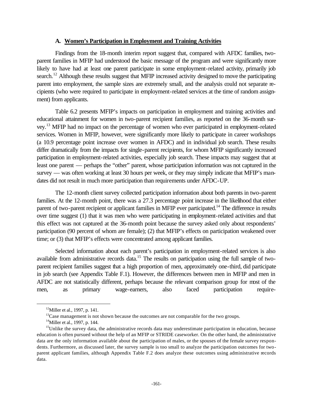### **A. Women's Participation in Employment and Training Activities**

Findings from the 18-month interim report suggest that, compared with AFDC families, twoparent families in MFIP had understood the basic message of the program and were significantly more likely to have had at least one parent participate in some employment-related activity, primarily job search.<sup>12</sup> Although these results suggest that MFIP increased activity designed to move the participating parent into employment, the sample sizes are extremely small, and the analysis could not separate recipients (who were required to participate in employment-related services at the time of random assignment) from applicants.

Table 6.2 presents MFIP's impacts on participation in employment and training activities and educational attainment for women in two-parent recipient families, as reported on the 36-month survey.<sup>13</sup> MFIP had no impact on the percentage of women who ever participated in employment-related services. Women in MFIP, however, were significantly more likely to participate in career workshops (a 10.9 percentage point increase over women in AFDC) and in individual job search. These results differ dramatically from the impacts for single-parent recipients, for whom MFIP significantly increased participation in employment-related activities, especially job search. These impacts may suggest that at least one parent — perhaps the "other" parent, whose participation information was not captured in the survey — was often working at least 30 hours per week, or they may simply indicate that MFIP's mandates did not result in much more participation than requirements under AFDC-UP.

The 12-month client survey collected participation information about both parents in two-parent families. At the 12-month point, there was a 27.3 percentage point increase in the likelihood that either parent of two-parent recipient or applicant families in MFIP ever participated.<sup>14</sup> The difference in results over time suggest (1) that it was men who were participating in employment-related activities and that this effect was not captured at the 36-month point because the survey asked only about respondents' participation (90 percent of whom are female); (2) that MFIP's effects on participation weakened over time; or (3) that MFIP's effects were concentrated among applicant families.

Selected information about each parent's participation in employment-related services is also available from administrative records data.<sup>15</sup> The results on participation using the full sample of twoparent recipient families suggest that a high proportion of men, approximately one-third, did participate in job search (see Appendix Table F.1). However, the differences between men in MFIP and men in AFDC are not statistically different, perhaps because the relevant comparison group for most of the men, as primary wage-earners, also faced participation require-

 $12$ Miller et al., 1997, p. 141.

 $<sup>13</sup>$ Case management is not shown because the outcomes are not comparable for the two groups.</sup>

<sup>&</sup>lt;sup>14</sup>Miller et al., 1997, p. 144.

<sup>&</sup>lt;sup>15</sup>Unlike the survey data, the administrative records data may underestimate participation in education, because education is often pursued without the help of an MFIP or STRIDE caseworker. On the other hand, the administrative data are the only information available about the participation of males, or the spouses of the female survey respondents. Furthermore, as discussed later, the survey sample is too small to analyze the participation outcomes for twoparent applicant families, although Appendix Table F.2 does analyze these outcomes using administrative records data.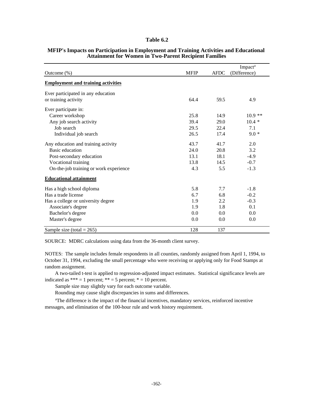|                                           |             |             | Impact <sup>a</sup> |
|-------------------------------------------|-------------|-------------|---------------------|
| Outcome $(\%)$                            | <b>MFIP</b> | <b>AFDC</b> | (Difference)        |
| <b>Employment and training activities</b> |             |             |                     |
| Ever participated in any education        |             |             |                     |
| or training activity                      | 64.4        | 59.5        | 4.9                 |
| Ever participate in:                      |             |             |                     |
| Career workshop                           | 25.8        | 14.9        | $10.9**$            |
| Any job search activity                   | 39.4        | 29.0        | $10.4*$             |
| Job search                                | 29.5        | 22.4        | 7.1                 |
| Individual job search                     | 26.5        | 17.4        | $9.0*$              |
| Any education and training activity       | 43.7        | 41.7        | 2.0                 |
| Basic education                           | 24.0        | 20.8        | 3.2                 |
| Post-secondary education                  | 13.1        | 18.1        | $-4.9$              |
| Vocational training                       | 13.8        | 14.5        | $-0.7$              |
| On-the-job training or work experience    | 4.3         | 5.5         | $-1.3$              |
| <b>Educational attainment</b>             |             |             |                     |
| Has a high school diploma                 | 5.8         | 7.7         | $-1.8$              |
| Has a trade license                       | 6.7         | 6.8         | $-0.2$              |
| Has a college or university degree        | 1.9         | 2.2         | $-0.3$              |
| Associate's degree                        | 1.9         | 1.8         | 0.1                 |
| Bachelor's degree                         | 0.0         | 0.0         | 0.0                 |
| Master's degree                           | 0.0         | 0.0         | 0.0                 |
| Sample size (total = $265$ )              | 128         | 137         |                     |

#### **MFIP's Impacts on Participation in Employment and Training Activities and Educational Attainment for Women in Two-Parent Recipient Families**

SOURCE: MDRC calculations using data from the 36-month client survey.

NOTES: The sample includes female respondents in all counties, randomly assigned from April 1, 1994, to October 31, 1994, excluding the small percentage who were receiving or applying only for Food Stamps at random assignment.

 A two-tailed t-test is applied to regression-adjusted impact estimates. Statistical significance levels are indicated as  $*** = 1$  percent;  $** = 5$  percent;  $* = 10$  percent.

Sample size may slightly vary for each outcome variable.

Rounding may cause slight discrepancies in sums and differences.

<sup>a</sup>The difference is the impact of the financial incentives, mandatory services, reinforced incentive messages, and elimination of the 100-hour rule and work history requirement.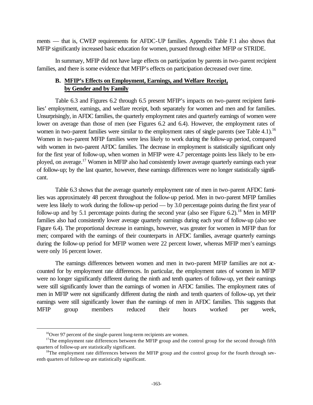ments — that is, CWEP requirements for AFDC-UP families. Appendix Table F.1 also shows that MFIP significantly increased basic education for women, pursued through either MFIP or STRIDE.

In summary, MFIP did not have large effects on participation by parents in two-parent recipient families, and there is some evidence that MFIP's effects on participation decreased over time.

# **B. MFIP's Effects on Employment, Earnings, and Welfare Receipt, by Gender and by Family**

Table 6.3 and Figures 6.2 through 6.5 present MFIP's impacts on two-parent recipient families' employment, earnings, and welfare receipt, both separately for women and men and for families. Unsurprisingly, in AFDC families, the quarterly employment rates and quarterly earnings of women were lower on average than those of men (see Figures 6.2 and 6.4). However, the employment rates of women in two-parent families were similar to the employment rates of single parents (see Table 4.1).<sup>16</sup> Women in two-parent MFIP families were less likely to work during the follow-up period, compared with women in two-parent AFDC families. The decrease in employment is statistically significant only for the first year of follow-up, when women in MFIP were 4.7 percentage points less likely to be employed, on average.<sup>17</sup> Women in MFIP also had consistently lower average quarterly earnings each year of follow-up; by the last quarter, however, these earnings differences were no longer statistically significant.

Table 6.3 shows that the average quarterly employment rate of men in two-parent AFDC families was approximately 48 percent throughout the follow-up period. Men in two-parent MFIP families were less likely to work during the follow-up period — by 3.0 percentage points during the first year of follow-up and by 5.1 percentage points during the second year (also see Figure 6.2).<sup>18</sup> Men in MFIP families also had consistently lower average quarterly earnings during each year of follow-up (also see Figure 6.4). The proportional decrease in earnings, however, was greater for women in MFIP than for men; compared with the earnings of their counterparts in AFDC families, average quarterly earnings during the follow-up period for MFIP women were 22 percent lower, whereas MFIP men's earnings were only 16 percent lower.

The earnings differences between women and men in two-parent MFIP families are not accounted for by employment rate differences. In particular, the employment rates of women in MFIP were no longer significantly different during the ninth and tenth quarters of follow-up, yet their earnings were still significantly lower than the earnings of women in AFDC families. The employment rates of men in MFIP were not significantly different during the ninth and tenth quarters of follow-up, yet their earnings were still significantly lower than the earnings of men in AFDC families. This suggests that MFIP group members reduced their hours worked per week,

<sup>&</sup>lt;sup>16</sup>Over 97 percent of the single-parent long-term recipients are women.

<sup>&</sup>lt;sup>17</sup>The employment rate differences between the MFIP group and the control group for the second through fifth quarters of follow-up are statistically significant.

<sup>&</sup>lt;sup>18</sup>The employment rate differences between the MFIP group and the control group for the fourth through seventh quarters of follow-up are statistically significant.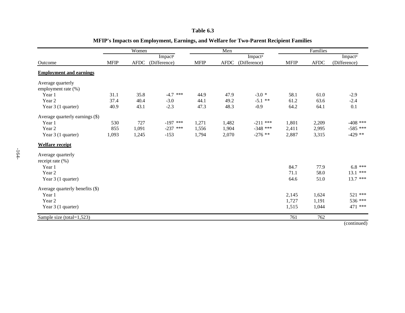|                                          | Women       |             |                     | Men         |             |                     | Families     |             |                         |
|------------------------------------------|-------------|-------------|---------------------|-------------|-------------|---------------------|--------------|-------------|-------------------------|
|                                          |             |             | Impact <sup>a</sup> |             |             | Impact <sup>a</sup> |              |             | Impact <sup>a</sup>     |
| Outcome                                  | <b>MFIP</b> | <b>AFDC</b> | (Difference)        | <b>MFIP</b> | <b>AFDC</b> | (Difference)        | <b>MFIP</b>  | <b>AFDC</b> | (Difference)            |
| <b>Employment and earnings</b>           |             |             |                     |             |             |                     |              |             |                         |
| Average quarterly<br>employment rate (%) |             |             |                     |             |             |                     |              |             |                         |
| Year 1                                   | 31.1        | 35.8        | $-4.7$ ***          | 44.9        | 47.9        | $-3.0*$             | 58.1         | 61.0        | $-2.9$                  |
| Year 2                                   | 37.4        | 40.4        | $-3.0$              | 44.1        | 49.2        | $-5.1$ **           | 61.2         | 63.6        | $-2.4$                  |
| Year 3 (1 quarter)                       | 40.9        | 43.1        | $-2.3$              | 47.3        | 48.3        | $-0.9$              | 64.2         | 64.1        | 0.1                     |
| Average quarterly earnings (\$)          |             |             |                     |             |             |                     |              |             |                         |
| Year 1                                   | 530         | 727         | $-197$ ***          | 1,271       | 1,482       | $-211$ ***          | 1,801        | 2,209       | $-408$ ***              |
| Year 2                                   | 855         | 1,091       | $-237$ ***          | 1,556       | 1,904       | $-348$ ***          | 2,411        | 2,995       | $-585$ ***              |
| Year 3 (1 quarter)                       | 1,093       | 1,245       | $-153$              | 1,794       | 2,070       | $-276$ **           | 2,887        | 3,315       | $-429$ **               |
| <b>Welfare</b> receipt                   |             |             |                     |             |             |                     |              |             |                         |
| Average quarterly                        |             |             |                     |             |             |                     |              |             |                         |
| receipt rate (%)                         |             |             |                     |             |             |                     |              |             |                         |
| Year 1<br>Year 2                         |             |             |                     |             |             |                     | 84.7<br>71.1 | 77.9        | $6.8$ ***<br>$13.1$ *** |
|                                          |             |             |                     |             |             |                     |              | 58.0        | $13.7$ ***              |
| Year 3 (1 quarter)                       |             |             |                     |             |             |                     | 64.6         | 51.0        |                         |
| Average quarterly benefits (\$)          |             |             |                     |             |             |                     |              |             |                         |
| Year 1                                   |             |             |                     |             |             |                     | 2,145        | 1,624       | 521 ***                 |
| Year 2                                   |             |             |                     |             |             |                     | 1,727        | 1,191       | 536 ***                 |
| Year 3 (1 quarter)                       |             |             |                     |             |             |                     | 1,515        | 1,044       | 471 ***                 |
| Sample size (total=1,523)                |             |             |                     |             |             |                     | 761          | 762         |                         |

## **MFIP's Impacts on Employment, Earnings, and Welfare for Two-Parent Recipient Families**

-164-

(continued)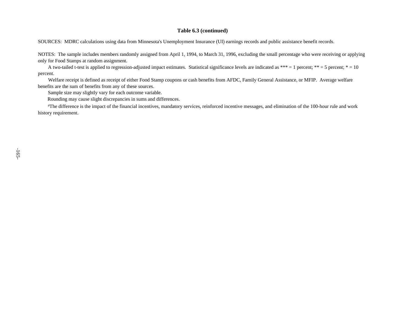#### **Table 6.3 (continued)**

SOURCES: MDRC calculations using data from Minnesota's Unemployment Insurance (UI) earnings records and public assistance benefit records.

NOTES: The sample includes members randomly assigned from April 1, 1994, to March 31, 1996, excluding the small percentage who were receiving or applying only for Food Stamps at random assignment.

A two-tailed t-test is applied to regression-adjusted impact estimates. Statistical significance levels are indicated as \*\*\* = 1 percent; \*\* = 5 percent; \* = 10 percent.

 Welfare receipt is defined as receipt of either Food Stamp coupons or cash benefits from AFDC, Family General Assistance, or MFIP. Average welfare benefits are the sum of benefits from any of these sources.

Sample size may slightly vary for each outcome variable.

Rounding may cause slight discrepancies in sums and differences.

<sup>a</sup>The difference is the impact of the financial incentives, mandatory services, reinforced incentive messages, and elimination of the 100-hour rule and work history requirement.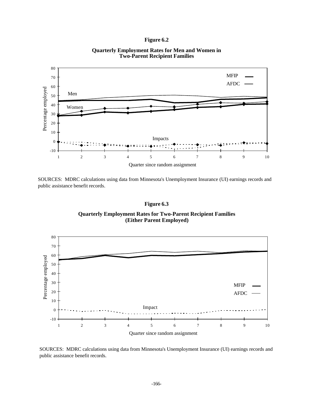



#### **Quarterly Employment Rates for Men and Women in Two-Parent Recipient Families**

SOURCES: MDRC calculations using data from Minnesota's Unemployment Insurance (UI) earnings records and public assistance benefit records.

#### **Figure 6.3**

**Quarterly Employment Rates for Two-Parent Recipient Families (Either Parent Employed)**



SOURCES: MDRC calculations using data from Minnesota's Unemployment Insurance (UI) earnings records and public assistance benefit records.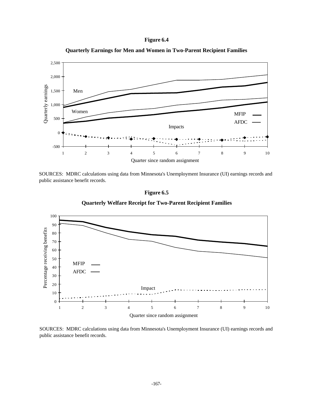### **Figure 6.4**



**Quarterly Earnings for Men and Women in Two-Parent Recipient Families**

SOURCES: MDRC calculations using data from Minnesota's Unemployment Insurance (UI) earnings records and public assistance benefit records.



**Quarterly Welfare Receipt for Two-Parent Recipient Families**



SOURCES: MDRC calculations using data from Minnesota's Unemployment Insurance (UI) earnings records and public assistance benefit records.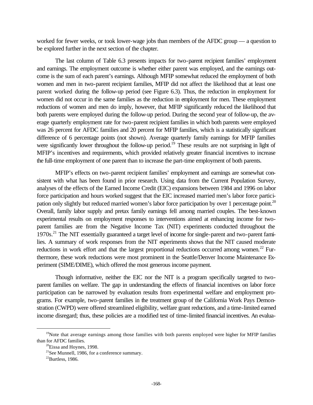worked for fewer weeks, or took lower-wage jobs than members of the AFDC group — a question to be explored further in the next section of the chapter.

The last column of Table 6.3 presents impacts for two-parent recipient families' employment and earnings. The employment outcome is whether either parent was employed, and the earnings outcome is the sum of each parent's earnings. Although MFIP somewhat reduced the employment of both women and men in two-parent recipient families, MFIP did not affect the likelihood that at least one parent worked during the follow-up period (see Figure 6.3). Thus, the reduction in employment for women did not occur in the same families as the reduction in employment for men. These employment reductions of women and men do imply, however, that MFIP significantly reduced the likelihood that both parents were employed during the follow-up period. During the second year of follow-up, the average quarterly employment rate for two-parent recipient families in which both parents were employed was 26 percent for AFDC families and 20 percent for MFIP families, which is a statistically significant difference of 6 percentage points (not shown). Average quarterly family earnings for MFIP families were significantly lower throughout the follow-up period.<sup>19</sup> These results are not surprising in light of MFIP's incentives and requirements, which provided relatively greater financial incentives to increase the full-time employment of one parent than to increase the part-time employment of both parents.

MFIP's effects on two-parent recipient families' employment and earnings are somewhat consistent with what has been found in prior research. Using data from the Current Population Survey, analyses of the effects of the Earned Income Credit (EIC) expansions between 1984 and 1996 on labor force participation and hours worked suggest that the EIC increased married men's labor force participation only slightly but reduced married women's labor force participation by over 1 percentage point.<sup>20</sup> Overall, family labor supply and pretax family earnings fell among married couples. The best-known experimental results on employment responses to interventions aimed at enhancing income for twoparent families are from the Negative Income Tax (NIT) experiments conducted throughout the 1970s.<sup>21</sup> The NIT essentially guaranteed a target level of income for single-parent and two-parent families. A summary of work responses from the NIT experiments shows that the NIT caused moderate reductions in work effort and that the largest proportional reductions occurred among women.<sup>22</sup> Furthermore, these work reductions were most prominent in the Seattle/Denver Income Maintenance Experiment (SIME/DIME), which offered the most generous income payment.

Though informative, neither the EIC nor the NIT is a program specifically targeted to twoparent families on welfare. The gap in understanding the effects of financial incentives on labor force participation can be narrowed by evaluation results from experimental welfare and employment programs. For example, two-parent families in the treatment group of the California Work Pays Demonstration (CWPD) were offered streamlined eligibility, welfare grant reductions, and a time-limited earned income disregard; thus, these policies are a modified test of time-limited financial incentives. An evalua-

 $19$ Note that average earnings among those families with both parents employed were higher for MFIP families than for AFDC families.

 $^{20}$ Eissa and Hoynes, 1998.

<sup>&</sup>lt;sup>21</sup>See Munnell, 1986, for a conference summary.

 $^{22}$ Burtless, 1986.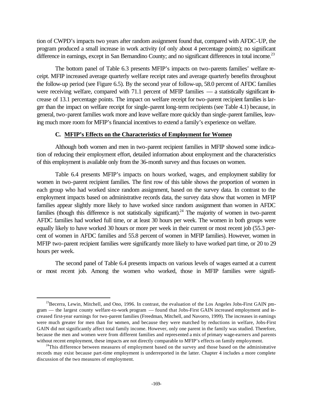tion of CWPD's impacts two years after random assignment found that, compared with AFDC-UP, the program produced a small increase in work activity (of only about 4 percentage points); no significant difference in earnings, except in San Bernandino County; and no significant differences in total income.<sup>23</sup>

The bottom panel of Table 6.3 presents MFIP's impacts on two-parents families' welfare receipt. MFIP increased average quarterly welfare receipt rates and average quarterly benefits throughout the follow-up period (see Figure 6.5). By the second year of follow-up, 58.0 percent of AFDC families were receiving welfare, compared with 71.1 percent of MFIP families — a statistically significant increase of 13.1 percentage points. The impact on welfare receipt for two-parent recipient families is larger than the impact on welfare receipt for single-parent long-term recipients (see Table 4.1) because, in general, two-parent families work more and leave welfare more quickly than single-parent families, leaving much more room for MFIP's financial incentives to extend a family's experience on welfare.

### **C. MFIP's Effects on the Characteristics of Employment for Women**

Although both women and men in two-parent recipient families in MFIP showed some indication of reducing their employment effort, detailed information about employment and the characteristics of this employment is available only from the 36-month survey and thus focuses on women.

Table 6.4 presents MFIP's impacts on hours worked, wages, and employment stability for women in two-parent recipient families. The first row of this table shows the proportion of women in each group who had worked since random assignment, based on the survey data. In contrast to the employment impacts based on administrative records data, the survey data show that women in MFIP families appear slightly more likely to have worked since random assignment than women in AFDC families (though this difference is not statistically significant).<sup>24</sup> The majority of women in two-parent AFDC families had worked full time, or at least 30 hours per week. The women in both groups were equally likely to have worked 30 hours or more per week in their current or most recent job (55.3 percent of women in AFDC families and 55.8 percent of women in MFIP families). However, women in MFIP two-parent recipient families were significantly more likely to have worked part time, or 20 to 29 hours per week.

The second panel of Table 6.4 presents impacts on various levels of wages earned at a current or most recent job. Among the women who worked, those in MFIP families were signifi-

<sup>&</sup>lt;sup>23</sup>Becerra, Lewin, Mitchell, and Ono, 1996. In contrast, the evaluation of the Los Angeles Jobs-First GAIN program — the largest county welfare-to-work program — found that Jobs-First GAIN increased employment and increased first-year earnings for two-parent families (Freedman, Mitchell, and Navorro, 1999). The increases in earnings were much greater for men than for women, and because they were matched by reductions in welfare, Jobs-First GAIN did not significantly affect total family income. However, only one parent in the family was studied. Therefore, because the men and women were from different families and represented a mix of primary wage-earners and parents without recent employment, these impacts are not directly comparable to MFIP's effects on family employment.

 $24$ This difference between measures of employment based on the survey and those based on the administrative records may exist because part-time employment is underreported in the latter. Chapter 4 includes a more complete discussion of the two measures of employment.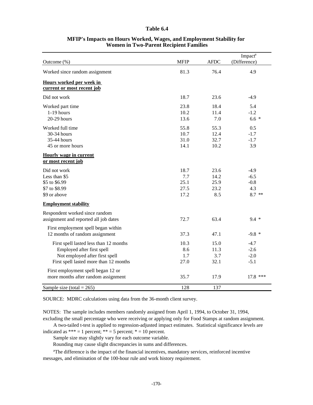|                                                        |             |             | Impact <sup>a</sup> |
|--------------------------------------------------------|-------------|-------------|---------------------|
| Outcome (%)                                            | <b>MFIP</b> | <b>AFDC</b> | (Difference)        |
| Worked since random assignment                         | 81.3        | 76.4        | 4.9                 |
| Hours worked per week in<br>current or most recent job |             |             |                     |
| Did not work                                           | 18.7        | 23.6        | $-4.9$              |
| Worked part time                                       | 23.8        | 18.4        | 5.4                 |
| $1-19$ hours                                           | 10.2        | 11.4        | $-1.2$              |
| 20-29 hours                                            | 13.6        | 7.0         | $6.6*$              |
| Worked full time                                       | 55.8        | 55.3        | 0.5                 |
| 30-34 hours                                            | 10.7        | 12.4        | $-1.7$              |
| 35-44 hours                                            | 31.0        | 32.7        | $-1.7$              |
| 45 or more hours                                       | 14.1        | 10.2        | 3.9                 |
| <b>Hourly wage in current</b><br>or most recent job    |             |             |                     |
| Did not work                                           | 18.7        | 23.6        | $-4.9$              |
| Less than \$5                                          | 7.7         | 14.2        | $-6.5$              |
| \$5 to \$6.99                                          | 25.1        | 25.9        | $-0.8$              |
| \$7 to \$8.99                                          | 27.5        | 23.2        | 4.3                 |
| \$9 or above                                           | 17.2        | 8.5         | $8.7$ **            |
| <b>Employment stability</b>                            |             |             |                     |
| Respondent worked since random                         |             |             |                     |
| assignment and reported all job dates                  | 72.7        | 63.4        | $9.4 *$             |
| First employment spell began within                    |             |             |                     |
| 12 months of random assignment                         | 37.3        | 47.1        | $-9.8*$             |
| First spell lasted less than 12 months                 | 10.3        | 15.0        | $-4.7$              |
| Employed after first spell                             | 8.6         | 11.3        | $-2.6$              |
| Not employed after first spell                         | 1.7         | 3.7         | $-2.0$              |
| First spell lasted more than 12 months                 | 27.0        | 32.1        | $-5.1$              |
| First employment spell began 12 or                     |             |             |                     |
| more months after random assignment                    | 35.7        | 17.9        | 17.8 ***            |
| Sample size (total = $265$ )                           | 128         | 137         |                     |

#### **MFIP's Impacts on Hours Worked, Wages, and Employment Stability for Women in Two-Parent Recipient Families**

SOURCE: MDRC calculations using data from the 36-month client survey.

NOTES: The sample includes members randomly assigned from April 1, 1994, to October 31, 1994,

excluding the small percentage who were receiving or applying only for Food Stamps at random assignment.

 A two-tailed t-test is applied to regression-adjusted impact estimates. Statistical significance levels are indicated as  $*** = 1$  percent;  $** = 5$  percent;  $* = 10$  percent.

Sample size may slightly vary for each outcome variable.

Rounding may cause slight discrepancies in sums and differences.

<sup>a</sup>The difference is the impact of the financial incentives, mandatory services, reinforced incentive messages, and elimination of the 100-hour rule and work history requirement.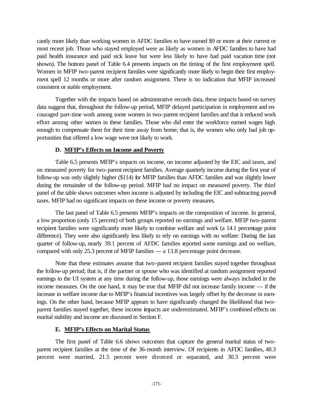cantly more likely than working women in AFDC families to have earned \$9 or more at their current or most recent job. Those who stayed employed were as likely as women in AFDC families to have had paid health insurance and paid sick leave but were less likely to have had paid vacation time (not shown). The bottom panel of Table 6.4 presents impacts on the timing of the first employment spell. Women in MFIP two-parent recipient families were significantly more likely to begin their first employment spell 12 months or more after random assignment. There is no indication that MFIP increased consistent or stable employment.

Together with the impacts based on administrative records data, these impacts based on survey data suggest that, throughout the follow-up period, MFIP delayed participation in employment and encouraged part-time work among some women in two-parent recipient families and that it reduced work effort among other women in these families. Those who did enter the workforce earned wages high enough to compensate them for their time away from home; that is, the women who only had job opportunities that offered a low wage were not likely to work.

## **D. MFIP's Effects on Income and Poverty**

Table 6.5 presents MFIP's impacts on income, on income adjusted by the EIC and taxes, and on measured poverty for two-parent recipient families. Average quarterly income during the first year of follow-up was only slightly higher (\$114) for MFIP families than AFDC families and was slightly lower during the remainder of the follow-up period. MFIP had no impact on measured poverty. The third panel of the table shows outcomes when income is adjusted by including the EIC and subtracting payroll taxes. MFIP had no significant impacts on these income or poverty measures.

The last panel of Table 6.5 presents MFIP's impacts on the composition of income. In general, a low proportion (only 15 percent) of both groups reported no earnings and welfare. MFIP two-parent recipient families were significantly more likely to combine welfare and work (a 14.1 percentage point difference). They were also significantly less likely to rely on earnings with no welfare: During the last quarter of follow-up, nearly 39.1 percent of AFDC families reported some earnings and no welfare, compared with only 25.3 percent of MFIP families — a 13.8 percentage point decrease.

Note that these estimates assume that two-parent recipient families stayed together throughout the follow-up period; that is, if the partner or spouse who was identified at random assignment reported earnings to the UI system at any time during the follow-up, those earnings were always included in the income measures. On the one hand, it may be true that MFIP did not increase family income — if the increase in welfare income due to MFIP's financial incentives was largely offset by the decrease in earnings. On the other hand, because MFIP appears to have significantly changed the likelihood that twoparent families stayed together, these income impacts are underestimated. MFIP's combined effects on marital stability and income are discussed in Section F.

# **E. MFIP's Effects on Marital Status**

The first panel of Table 6.6 shows outcomes that capture the general marital status of twoparent recipient families at the time of the 36-month interview. Of recipients in AFDC families, 48.3 percent were married, 21.5 percent were divorced or separated, and 30.3 percent were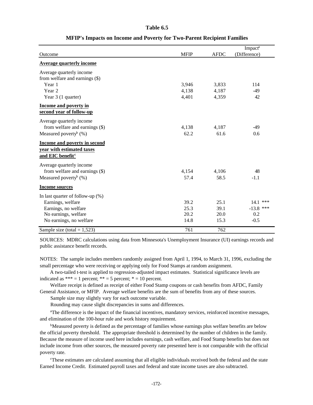|                                                                  |             |             | Impact <sup>a</sup> |
|------------------------------------------------------------------|-------------|-------------|---------------------|
| Outcome                                                          | <b>MFIP</b> | <b>AFDC</b> | (Difference)        |
| <b>Average quarterly income</b>                                  |             |             |                     |
| Average quarterly income                                         |             |             |                     |
| from welfare and earnings (\$)                                   |             |             |                     |
| Year 1                                                           | 3,946       | 3,833       | 114                 |
| Year 2                                                           | 4,138       | 4,187       | $-49$               |
| Year 3 (1 quarter)                                               | 4,401       | 4,359       | 42                  |
| Income and poverty in                                            |             |             |                     |
| second year of follow-up                                         |             |             |                     |
| Average quarterly income                                         |             |             |                     |
| from welfare and earnings $(\$)$                                 | 4,138       | 4,187       | $-49$               |
| Measured poverty <sup>b</sup> $(\%)$                             | 62.2        | 61.6        | 0.6                 |
| <b>Income and poverty in second</b><br>year with estimated taxes |             |             |                     |
| and EIC benefit <sup>c</sup>                                     |             |             |                     |
| Average quarterly income                                         |             |             |                     |
| from welfare and earnings (\$)                                   | 4,154       | 4,106       | 48                  |
| Measured poverty <sup>b</sup> $(\%)$                             | 57.4        | 58.5        | $-1.1$              |
| <b>Income sources</b>                                            |             |             |                     |
| In last quarter of follow-up $(\%)$                              |             |             |                     |
| Earnings, welfare                                                | 39.2        | 25.1        | 14.1 ***            |
| Earnings, no welfare                                             | 25.3        | 39.1        | $-13.8$ ***         |
| No earnings, welfare                                             | 20.2        | 20.0        | 0.2                 |
| No earnings, no welfare                                          | 14.8        | 15.3        | $-0.5$              |
| Sample size (total = $1,523$ )                                   | 761         | 762         |                     |

#### **MFIP's Impacts on Income and Poverty for Two-Parent Recipient Families**

SOURCES: MDRC calculations using data from Minnesota's Unemployment Insurance (UI) earnings records and public assistance benefit records.

NOTES: The sample includes members randomly assigned from April 1, 1994, to March 31, 1996, excluding the small percentage who were receiving or applying only for Food Stamps at random assignment.

 A two-tailed t-test is applied to regression-adjusted impact estimates. Statistical significance levels are indicated as  $*** = 1$  percent;  $** = 5$  percent;  $* = 10$  percent.

 Welfare receipt is defined as receipt of either Food Stamp coupons or cash benefits from AFDC, Family General Assistance, or MFIP. Average welfare benefits are the sum of benefits from any of these sources.

Sample size may slightly vary for each outcome variable.

Rounding may cause slight discrepancies in sums and differences.

<sup>a</sup>The difference is the impact of the financial incentives, mandatory services, reinforced incentive messages, and elimination of the 100-hour rule and work history requirement.

<sup>b</sup>Measured poverty is defined as the percentage of families whose earnings plus welfare benefits are below the official poverty threshold. The appropriate threshold is determined by the number of children in the family. Because the measure of income used here includes earnings, cash welfare, and Food Stamp benefits but does not include income from other sources, the measured poverty rate presented here is not comparable with the official poverty rate.

<sup>c</sup>These estimates are calculated assuming that all eligible individuals received both the federal and the state Earned Income Credit. Estimated payroll taxes and federal and state income taxes are also subtracted.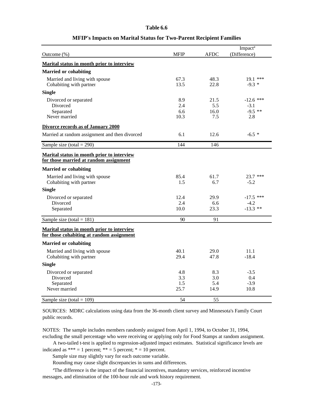|                                                                                             |                           |                            | Impact <sup>a</sup>                       |
|---------------------------------------------------------------------------------------------|---------------------------|----------------------------|-------------------------------------------|
| Outcome (%)                                                                                 | <b>MFIP</b>               | AFDC                       | (Difference)                              |
| Marital status in month prior to interview                                                  |                           |                            |                                           |
| <b>Married or cohabiting</b>                                                                |                           |                            |                                           |
| Married and living with spouse<br>Cohabiting with partner                                   | 67.3<br>13.5              | 48.3<br>22.8               | 19.1 ***<br>$-9.3*$                       |
| <b>Single</b>                                                                               |                           |                            |                                           |
| Divorced or separated<br>Divorced<br>Separated<br>Never married                             | 8.9<br>2.4<br>6.6<br>10.3 | 21.5<br>5.5<br>16.0<br>7.5 | $-12.6$ ***<br>$-3.1$<br>$-9.5$ **<br>2.8 |
|                                                                                             |                           |                            |                                           |
| Divorce records as of January 2000<br>Married at random assignment and then divorced        | 6.1                       | 12.6                       | $-6.5$ *                                  |
| Sample size (total = $290$ )                                                                | 144                       | 146                        |                                           |
| <b>Marital status in month prior to interview</b><br>for those married at random assignment |                           |                            |                                           |
| <b>Married or cohabiting</b>                                                                |                           |                            |                                           |
| Married and living with spouse<br>Cohabiting with partner                                   | 85.4<br>1.5               | 61.7<br>6.7                | $23.7$ ***<br>$-5.2$                      |
| <b>Single</b>                                                                               |                           |                            |                                           |
| Divorced or separated<br>Divorced<br>Separated                                              | 12.4<br>2.4<br>10.0       | 29.9<br>6.6<br>23.3        | $-17.5$ ***<br>$-4.2$<br>$-13.3$ **       |
| Sample size (total = $181$ )                                                                | 90                        | 91                         |                                           |
| Marital status in month prior to interview<br>for those cohabiting at random assignment     |                           |                            |                                           |
| <b>Married or cohabiting</b>                                                                |                           |                            |                                           |
| Married and living with spouse<br>Cohabiting with partner                                   | 40.1<br>29.4              | 29.0<br>47.8               | 11.1<br>$-18.4$                           |
| <b>Single</b>                                                                               |                           |                            |                                           |
| Divorced or separated<br>Divorced<br>Separated<br>Never married                             | 4.8<br>3.3<br>1.5<br>25.7 | 8.3<br>3.0<br>5.4<br>14.9  | $-3.5$<br>0.4<br>$-3.9$<br>10.8           |
| Sample size (total = $109$ )                                                                | 54                        | 55                         |                                           |

#### **MFIP's Impacts on Marital Status for Two-Parent Recipient Families**

SOURCES: MDRC calculations using data from the 36-month client survey and Minnesota's Family Court public records.

NOTES: The sample includes members randomly assigned from April 1, 1994, to October 31, 1994,

excluding the small percentage who were receiving or applying only for Food Stamps at random assignment. A two-tailed t-test is applied to regression-adjusted impact estimates. Statistical significance levels are

indicated as  $*** = 1$  percent;  $** = 5$  percent;  $* = 10$  percent.

Sample size may slightly vary for each outcome variable.

Rounding may cause slight discrepancies in sums and differences.

<sup>a</sup>The difference is the impact of the financial incentives, mandatory services, reinforced incentive messages, and elimination of the 100-hour rule and work history requirement.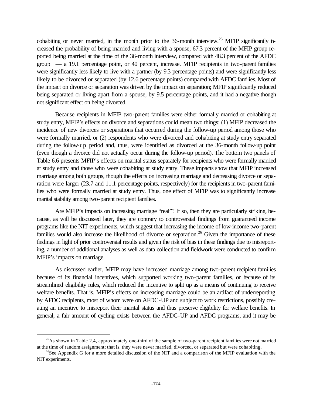cohabiting or never married, in the month prior to the  $36$ -month interview.<sup>25</sup> MFIP significantly increased the probability of being married and living with a spouse; 67.3 percent of the MFIP group reported being married at the time of the 36-month interview, compared with 48.3 percent of the AFDC group  $-$  a 19.1 percentage point, or 40 percent, increase. MFIP recipients in two-parent families were significantly less likely to live with a partner (by 9.3 percentage points) and were significantly less likely to be divorced or separated (by 12.6 percentage points) compared with AFDC families. Most of the impact on divorce or separation was driven by the impact on separation; MFIP significantly reduced being separated or living apart from a spouse, by 9.5 percentage points, and it had a negative though not significant effect on being divorced.

Because recipients in MFIP two-parent families were either formally married or cohabiting at study entry, MFIP's effects on divorce and separations could mean two things: (1) MFIP decreased the incidence of new divorces or separations that occurred during the follow-up period among those who were formally married, or (2) respondents who were divorced and cohabiting at study entry separated during the follow-up period and, thus, were identified as divorced at the 36-month follow-up point (even though a divorce did not actually occur during the follow-up period). The bottom two panels of Table 6.6 presents MFIP's effects on marital status separately for recipients who were formally married at study entry and those who were cohabiting at study entry. These impacts show that MFIP increased marriage among both groups, though the effects on increasing marriage and decreasing divorce or separation were larger (23.7 and 11.1 percentage points, respectively) for the recipients in two-parent families who were formally married at study entry. Thus, one effect of MFIP was to significantly increase marital stability among two-parent recipient families.

Are MFIP's impacts on increasing marriage "real"? If so, then they are particularly striking, because, as will be discussed later, they are contrary to controversial findings from guaranteed income programs like the NIT experiments, which suggest that increasing the income of low-income two-parent families would also increase the likelihood of divorce or separation.<sup>26</sup> Given the importance of these findings in light of prior controversial results and given the risk of bias in these findings due to misreporting, a number of additional analyses as well as data collection and fieldwork were conducted to confirm MFIP's impacts on marriage.

As discussed earlier, MFIP may have increased marriage among two-parent recipient families because of its financial incentives, which supported working two-parent families, or because of its streamlined eligibility rules, which reduced the incentive to split up as a means of continuing to receive welfare benefits. That is, MFIP's effects on increasing marriage could be an artifact of underreporting by AFDC recipients, most of whom were on AFDC-UP and subject to work restrictions, possibly creating an incentive to misreport their marital status and thus preserve eligibility for welfare benefits. In general, a fair amount of cycling exists between the AFDC-UP and AFDC programs, and it may be

 $^{25}$ As shown in Table 2.4, approximately one-third of the sample of two-parent recipient families were not married at the time of random assignment; that is, they were never married, divorced, or separated but were cohabiting.

<sup>&</sup>lt;sup>26</sup>See Appendix G for a more detailed discussion of the NIT and a comparison of the MFIP evaluation with the NIT experiments.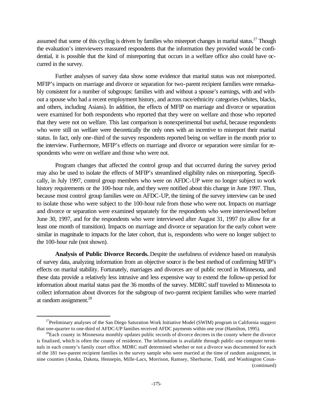assumed that some of this cycling is driven by families who misreport changes in marital status.<sup>27</sup> Though the evaluation's interviewers reassured respondents that the information they provided would be confidential, it is possible that the kind of misreporting that occurs in a welfare office also could have occurred in the survey.

Further analyses of survey data show some evidence that marital status was not misreported. MFIP's impacts on marriage and divorce or separation for two-parent recipient families were remarkably consistent for a number of subgroups: families with and without a spouse's earnings, with and without a spouse who had a recent employment history, and across race/ethnicity categories (whites, blacks, and others, including Asians). In addition, the effects of MFIP on marriage and divorce or separation were examined for both respondents who reported that they were on welfare and those who reported that they were not on welfare. This last comparison is nonexperimental but useful, because respondents who were still on welfare were theoretically the only ones with an incentive to misreport their marital status. In fact, only one-third of the survey respondents reported being on welfare in the month prior to the interview. Furthermore, MFIP's effects on marriage and divorce or separation were similar for respondents who were on welfare and those who were not.

Program changes that affected the control group and that occurred during the survey period may also be used to isolate the effects of MFIP's streamlined eligibility rules on misreporting. Specifically, in July 1997, control group members who were on AFDC-UP were no longer subject to work history requirements or the 100-hour rule, and they were notified about this change in June 1997. Thus, because most control group families were on AFDC-UP, the timing of the survey interview can be used to isolate those who were subject to the 100-hour rule from those who were not. Impacts on marriage and divorce or separation were examined separately for the respondents who were interviewed before June 30, 1997, and for the respondents who were interviewed after August 31, 1997 (to allow for at least one month of transition). Impacts on marriage and divorce or separation for the early cohort were similar in magnitude to impacts for the later cohort, that is, respondents who were no longer subject to the 100-hour rule (not shown).

**Analysis of Public Divorce Records.** Despite the usefulness of evidence based on reanalysis of survey data, analyzing information from an objective source is the best method of confirming MFIP's effects on marital stability. Fortunately, marriages and divorces are of public record in Minnesota, and these data provide a relatively less intrusive and less expensive way to extend the follow-up period for information about marital status past the 36 months of the survey. MDRC staff traveled to Minnesota to collect information about divorces for the subgroup of two-parent recipient families who were married at random assignment.<sup>28</sup>

<sup>&</sup>lt;sup>27</sup>Preliminary analyses of the San Diego Saturation Work Initiative Model (SWIM) program in California suggest that one-quarter to one-third of AFDC-UP families received AFDC payments within one year (Hamilton, 1995).

 $28$ Each county in Minnesota monthly updates public records of divorce decrees in the county where the divorce is finalized, which is often the county of residence. The information is available through public-use computer terminals in each county's family court office. MDRC staff determined whether or not a divorce was documented for each of the 181 two-parent recipient families in the survey sample who were married at the time of random assignment, in nine counties (Anoka, Dakota, Hennepin, Mille-Lacs, Morrison, Ramsey, Sherburne, Todd, and Washington Coun- (continued)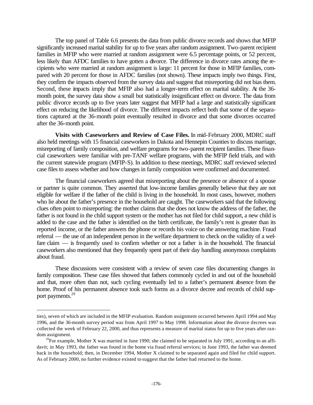The top panel of Table 6.6 presents the data from public divorce records and shows that MFIP significantly increased marital stability for up to five years after random assignment. Two-parent recipient families in MFIP who were married at random assignment were 6.5 percentage points, or 52 percent, less likely than AFDC families to have gotten a divorce. The difference in divorce rates among the recipients who were married at random assignment is large: 11 percent for those in MFIP families, compared with 20 percent for those in AFDC families (not shown). These impacts imply two things. First, they confirm the impacts observed from the survey data and suggest that misreporting did not bias them. Second, these impacts imply that MFIP also had a longer-term effect on marital stability. At the 36 month point, the survey data show a small but statistically insignificant effect on divorce. The data from public divorce records up to five years later suggest that MFIP had a large and statistically significant effect on reducing the likelihood of divorce. The different impacts reflect both that some of the separations captured at the 36-month point eventually resulted in divorce and that some divorces occurred after the 36-month point.

**Visits with Caseworkers and Review of Case Files.** In mid-February 2000, MDRC staff also held meetings with 15 financial caseworkers in Dakota and Hennepin Counties to discuss marriage, misreporting of family composition, and welfare programs for two-parent recipient families. These financial caseworkers were familiar with pre-TANF welfare programs, with the MFIP field trials, and with the current statewide program (MFIP-S). In addition to these meetings, MDRC staff reviewed selected case files to assess whether and how changes in family composition were confirmed and documented.

The financial caseworkers agreed that misreporting about the presence or absence of a spouse or partner is quite common. They asserted that low-income families generally believe that they are not eligible for welfare if the father of the child is living in the household. In most cases, however, mothers who lie about the father's presence in the household are caught. The caseworkers said that the following clues often point to misreporting: the mother claims that she does not know the address of the father, the father is not found in the child support system or the mother has not filed for child support, a new child is added to the case and the father is identified on the birth certificate, the family's rent is greater than its reported income, or the father answers the phone or records his voice on the answering machine. Fraud referral — the use of an independent person in the welfare department to check on the validity of a welfare claim — is frequently used to confirm whether or not a father is in the household. The financial caseworkers also mentioned that they frequently spent part of their day handling anonymous complaints about fraud.

These discussions were consistent with a review of seven case files documenting changes in family composition. These case files showed that fathers commonly cycled in and out of the household and that, more often than not, such cycling eventually led to a father's permanent absence from the home. Proof of his permanent absence took such forms as a divorce decree and records of child support payments.<sup>29</sup>

ties), seven of which are included in the MFIP evaluation. Random assignment occurred between April 1994 and May 1996, and the 36-month survey period was from April 1997 to May 1998. Information about the divorce decrees was collected the week of February 22, 2000, and thus represents a measure of marital status for up to five years after random assignment.

<sup>&</sup>lt;sup>29</sup>For example, Mother X was married in June 1990; she claimed to be separated in July 1991, according to an affidavit; in May 1993, the father was found in the home via fraud referral services; in June 1993, the father was deemed back in the household; then, in December 1994, Mother X claimed to be separated again and filed for child support. As of February 2000, no further evidence existed to suggest that the father had returned to the home.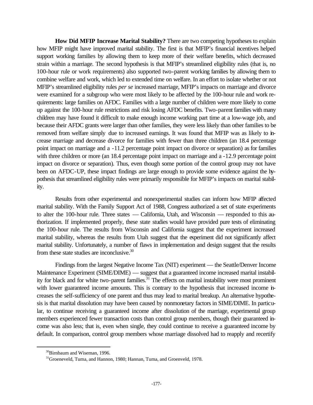**How Did MFIP Increase Marital Stability?** There are two competing hypotheses to explain how MFIP might have improved marital stability. The first is that MFIP's financial incentives helped support working families by allowing them to keep more of their welfare benefits, which decreased strain within a marriage. The second hypothesis is that MFIP's streamlined eligibility rules (that is, no 100-hour rule or work requirements) also supported two-parent working families by allowing them to combine welfare and work, which led to extended time on welfare. In an effort to isolate whether or not MFIP's streamlined eligibility rules *per se* increased marriage, MFIP's impacts on marriage and divorce were examined for a subgroup who were most likely to be affected by the 100-hour rule and work requirements: large families on AFDC. Families with a large number of children were more likely to come up against the 100-hour rule restrictions and risk losing AFDC benefits. Two-parent families with many children may have found it difficult to make enough income working part time at a low-wage job, and because their AFDC grants were larger than other families, they were less likely than other families to be removed from welfare simply due to increased earnings. It was found that MFIP was as likely to increase marriage and decrease divorce for families with fewer than three children (an 18.4 percentage point impact on marriage and a -11.2 percentage point impact on divorce or separation) as for families with three children or more (an 18.4 percentage point impact on marriage and a -12.9 percentage point impact on divorce or separation). Thus, even though some portion of the control group may not have been on AFDC-UP, these impact findings are large enough to provide some evidence against the hypothesis that streamlined eligibility rules were primarily responsible for MFIP's impacts on marital stability.

Results from other experimental and nonexperimental studies can inform how MFIP affected marital stability. With the Family Support Act of 1988, Congress authorized a set of state experiments to alter the 100-hour rule. Three states — California, Utah, and Wisconsin — responded to this authorization. If implemented properly, these state studies would have provided pure tests of eliminating the 100-hour rule. The results from Wisconsin and California suggest that the experiment increased marital stability, whereas the results from Utah suggest that the experiment did not significantly affect marital stability. Unfortunately, a number of flaws in implementation and design suggest that the results from these state studies are inconclusive.<sup>30</sup>

Findings from the largest Negative Income Tax (NIT) experiment — the Seattle/Denver Income Maintenance Experiment (SIME/DIME) — suggest that a guaranteed income increased marital instability for black and for white two-parent families.<sup>31</sup> The effects on marital instability were most prominent with lower guaranteed income amounts. This is contrary to the hypothesis that increased income increases the self-sufficiency of one parent and thus may lead to marital breakup. An alternative hypothesis is that marital dissolution may have been caused by nonmonetary factors in SIME/DIME. In particular, to continue receiving a guaranteed income after dissolution of the marriage, experimental group members experienced fewer transaction costs than control group members, though their guaranteed income was also less; that is, even when single, they could continue to receive a guaranteed income by default. In comparison, control group members whose marriage dissolved had to reapply and recertify

 $30$ Birnbaum and Wiseman, 1996.

<sup>&</sup>lt;sup>31</sup>Groeneveld, Tuma, and Hannon, 1980; Hannan, Tuma, and Groenveld, 1978.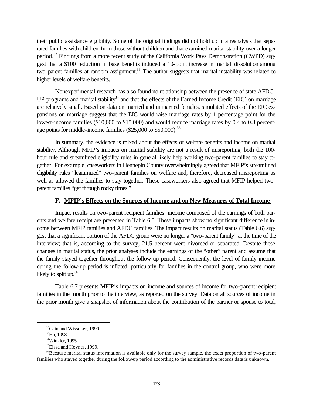their public assistance eligibility. Some of the original findings did not hold up in a reanalysis that separated families with children from those without children and that examined marital stability over a longer period.<sup>32</sup> Findings from a more recent study of the California Work Pays Demonstration (CWPD) suggest that a \$100 reduction in base benefits induced a 10-point increase in marital dissolution among two-parent families at random assignment.<sup>33</sup> The author suggests that marital instability was related to higher levels of welfare benefits.

Nonexperimental research has also found no relationship between the presence of state AFDC-UP programs and marital stability<sup>34</sup> and that the effects of the Earned Income Credit (EIC) on marriage are relatively small. Based on data on married and unmarried females, simulated effects of the EIC expansions on marriage suggest that the EIC would raise marriage rates by 1 percentage point for the lowest-income families (\$10,000 to \$15,000) and would reduce marriage rates by 0.4 to 0.8 percentage points for middle-income families (\$25,000 to \$50,000).<sup>35</sup>

In summary, the evidence is mixed about the effects of welfare benefits and income on marital stability. Although MFIP's impacts on marital stability are not a result of misreporting, both the 100 hour rule and streamlined eligibility rules in general likely help working two-parent families to stay together. For example, caseworkers in Hennepin County overwhelmingly agreed that MFIP's streamlined eligibility rules "legitimized" two-parent families on welfare and, therefore, decreased misreporting as well as allowed the families to stay together. These caseworkers also agreed that MFIP helped twoparent families "get through rocky times."

### **F. MFIP's Effects on the Sources of Income and on New Measures of Total Income**

Impact results on two-parent recipient families' income composed of the earnings of both parents and welfare receipt are presented in Table 6.5. These impacts show no significant difference in income between MFIP families and AFDC families. The impact results on marital status (Table 6.6) suggest that a significant portion of the AFDC group were no longer a "two-parent family" at the time of the interview; that is, according to the survey, 21.5 percent were divorced or separated. Despite these changes in marital status, the prior analyses include the earnings of the "other" parent and assume that the family stayed together throughout the follow-up period. Consequently, the level of family income during the follow-up period is inflated, particularly for families in the control group, who were more likely to split up.  $36$ 

Table 6.7 presents MFIP's impacts on income and sources of income for two-parent recipient families in the month prior to the interview, as reported on the survey. Data on all sources of income in the prior month give a snapshot of information about the contribution of the partner or spouse to total,

<sup>&</sup>lt;sup>32</sup>Cain and Wissoker, 1990.

<sup>33</sup>Hu, 1998.

<sup>34</sup>Winkler, 1995

 $35$ Eissa and Hoynes, 1999.

 $36$ Because marital status information is available only for the survey sample, the exact proportion of two-parent families who stayed together during the follow-up period according to the administrative records data is unknown.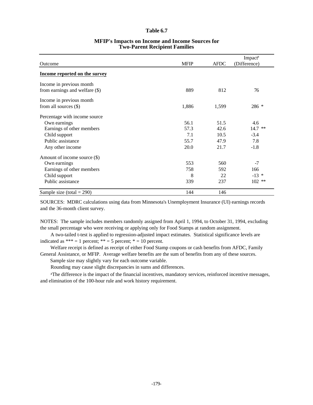|                                |             |             | Impact <sup>a</sup> |
|--------------------------------|-------------|-------------|---------------------|
| Outcome                        | <b>MFIP</b> | <b>AFDC</b> | (Difference)        |
| Income reported on the survey  |             |             |                     |
| Income in previous month       |             |             |                     |
| from earnings and welfare (\$) | 889         | 812         | 76                  |
| Income in previous month       |             |             |                     |
| from all sources $(\$)$        | 1,886       | 1,599       | $286 *$             |
| Percentage with income source  |             |             |                     |
| Own earnings                   | 56.1        | 51.5        | 4.6                 |
| Earnings of other members      | 57.3        | 42.6        | 14.7 **             |
| Child support                  | 7.1         | 10.5        | $-3.4$              |
| Public assistance              | 55.7        | 47.9        | 7.8                 |
| Any other income               | 20.0        | 21.7        | $-1.8$              |
| Amount of income source (\$)   |             |             |                     |
| Own earnings                   | 553         | 560         | $-7$                |
| Earnings of other members      | 758         | 592         | 166                 |
| Child support                  | 8           | 22          | $-13$ *             |
| Public assistance              | 339         | 237         | $102$ **            |
| Sample size (total $= 290$ )   | 144         | 146         |                     |

#### **MFIP's Impacts on Income and Income Sources for Two-Parent Recipient Families**

SOURCES: MDRC calculations using data from Minnesota's Unemployment Insurance (UI) earnings records and the 36-month client survey.

NOTES: The sample includes members randomly assigned from April 1, 1994, to October 31, 1994, excluding the small percentage who were receiving or applying only for Food Stamps at random assignment.

 A two-tailed t-test is applied to regression-adjusted impact estimates. Statistical significance levels are indicated as  $*** = 1$  percent;  $** = 5$  percent;  $* = 10$  percent.

 Welfare receipt is defined as receipt of either Food Stamp coupons or cash benefits from AFDC, Family General Assistance, or MFIP. Average welfare benefits are the sum of benefits from any of these sources.

Sample size may slightly vary for each outcome variable.

Rounding may cause slight discrepancies in sums and differences.

<sup>a</sup>The difference is the impact of the financial incentives, mandatory services, reinforced incentive messages, and elimination of the 100-hour rule and work history requirement.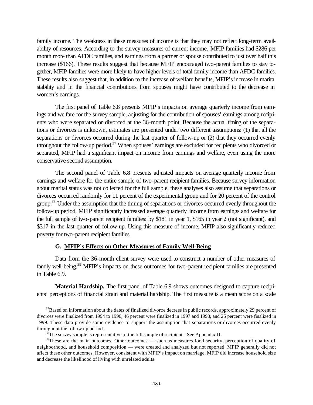family income. The weakness in these measures of income is that they may not reflect long-term availability of resources. According to the survey measures of current income, MFIP families had \$286 per month more than AFDC families, and earnings from a partner or spouse contributed to just over half this increase (\$166). These results suggest that because MFIP encouraged two-parent families to stay together, MFIP families were more likely to have higher levels of total family income than AFDC families. These results also suggest that, in addition to the increase of welfare benefits, MFIP's increase in marital stability and in the financial contributions from spouses might have contributed to the decrease in women's earnings.

The first panel of Table 6.8 presents MFIP's impacts on average quarterly income from earnings and welfare for the survey sample, adjusting for the contribution of spouses' earnings among recipients who were separated or divorced at the 36-month point. Because the actual timing of the separations or divorces is unknown, estimates are presented under two different assumptions: (1) that all the separations or divorces occurred during the last quarter of follow-up or (2) that they occurred evenly throughout the follow-up period.<sup>37</sup> When spouses' earnings are excluded for recipients who divorced or separated, MFIP had a significant impact on income from earnings and welfare, even using the more conservative second assumption.

The second panel of Table 6.8 presents adjusted impacts on average quarterly income from earnings and welfare for the entire sample of two-parent recipient families. Because survey information about marital status was not collected for the full sample, these analyses also assume that separations or divorces occurred randomly for 11 percent of the experimental group and for 20 percent of the control group.<sup>38</sup> Under the assumption that the timing of separations or divorces occurred evenly throughout the follow-up period, MFIP significantly increased average quarterly income from earnings and welfare for the full sample of two-parent recipient families: by \$181 in year 1, \$165 in year 2 (not significant), and \$317 in the last quarter of follow-up. Using this measure of income, MFIP also significantly reduced poverty for two-parent recipient families.

### **G. MFIP's Effects on Other Measures of Family Well-Being**

Data from the 36-month client survey were used to construct a number of other measures of family well-being.<sup>39</sup> MFIP's impacts on these outcomes for two-parent recipient families are presented in Table 6.9.

**Material Hardship.** The first panel of Table 6.9 shows outcomes designed to capture recipients' perceptions of financial strain and material hardship. The first measure is a mean score on a scale

 $37$ Based on information about the dates of finalized divorce decrees in public records, approximately 29 percent of divorces were finalized from 1994 to 1996, 46 percent were finalized in 1997 and 1998, and 25 percent were finalized in 1999. These data provide some evidence to support the assumption that separations or divorces occurred evenly throughout the follow-up period.

 $38$ The survey sample is representative of the full sample of recipients. See Appendix D.

 $39$ These are the main outcomes. Other outcomes — such as measures food security, perception of quality of neighborhood, and household composition — were created and analyzed but not reported. MFIP generally did not affect these other outcomes. However, consistent with MFIP's impact on marriage, MFIP did increase household size and decrease the likelihood of living with unrelated adults.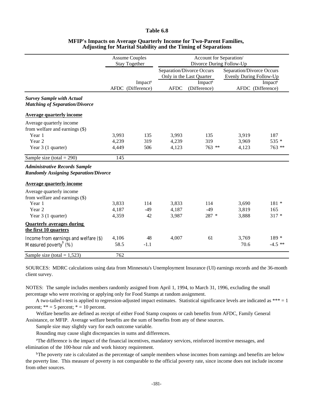|                                                                                      |             | <b>Assume Couples</b><br><b>Stay Together</b> | Account for Separation/<br>Divorce During Follow-Up |                                                       |                                                      |                                          |  |
|--------------------------------------------------------------------------------------|-------------|-----------------------------------------------|-----------------------------------------------------|-------------------------------------------------------|------------------------------------------------------|------------------------------------------|--|
|                                                                                      |             |                                               |                                                     | Separation/Divorce Occurs<br>Only in the Last Quarter | Separation/Divorce Occurs<br>Evenly During Follow-Up |                                          |  |
|                                                                                      | <b>AFDC</b> | Impact <sup>a</sup><br>(Difference)           | <b>AFDC</b>                                         | Impact <sup>a</sup><br>(Difference)                   |                                                      | Impact <sup>a</sup><br>AFDC (Difference) |  |
| <b>Survey Sample with Actual</b><br><b>Matching of Separation/Divorce</b>            |             |                                               |                                                     |                                                       |                                                      |                                          |  |
| <b>Average quarterly income</b>                                                      |             |                                               |                                                     |                                                       |                                                      |                                          |  |
| Average quarterly income<br>from welfare and earnings $(\$)$                         |             |                                               |                                                     |                                                       |                                                      |                                          |  |
| Year 1                                                                               | 3,993       | 135                                           | 3,993                                               | 135                                                   | 3,919                                                | 187                                      |  |
| Year 2                                                                               | 4,239       | 319                                           | 4,239                                               | 319                                                   | 3,969                                                | 535 *                                    |  |
| Year 3 (1 quarter)                                                                   | 4,449       | 506                                           | 4,123                                               | 763 **                                                | 4,123                                                | 763 **                                   |  |
| Sample size (total = $290$ )                                                         | 145         |                                               |                                                     |                                                       |                                                      |                                          |  |
| <b>Administrative Records Sample</b><br><b>Randomly Assigning Separation/Divorce</b> |             |                                               |                                                     |                                                       |                                                      |                                          |  |
| <b>Average quarterly income</b>                                                      |             |                                               |                                                     |                                                       |                                                      |                                          |  |
| Average quarterly income<br>from welfare and earnings (\$)                           |             |                                               |                                                     |                                                       |                                                      |                                          |  |
| Year 1                                                                               | 3,833       | 114                                           | 3,833                                               | 114                                                   | 3,690                                                | $181 *$                                  |  |
| Year 2                                                                               | 4,187       | $-49$                                         | 4,187                                               | $-49$                                                 | 3,819                                                | 165                                      |  |
| Year 3 (1 quarter)                                                                   | 4,359       | 42                                            | 3,987                                               | 287 *                                                 | 3,888                                                | $317 *$                                  |  |
| <b>Quarterly averages during</b><br>the first 10 quarters                            |             |                                               |                                                     |                                                       |                                                      |                                          |  |
| Income from earnings and welfare (\$)                                                | 4,106       | 48                                            | 4,007                                               | 61                                                    | 3,769                                                | 189 *                                    |  |
| Measured poverty <sup><math>P</math></sup> (%)                                       | 58.5        | $-1.1$                                        |                                                     |                                                       | 70.6                                                 | $-4.5$ **                                |  |
| Sample size (total = $1,523$ )                                                       | 762         |                                               |                                                     |                                                       |                                                      |                                          |  |

#### **MFIP's Impacts on Average Quarterly Income for Two-Parent Families, Adjusting for Marital Stability and the Timing of Separations**

SOURCES: MDRC calculations using data from Minnesota's Unemployment Insurance (UI) earnings records and the 36-month client survey.

NOTES: The sample includes members randomly assigned from April 1, 1994, to March 31, 1996, excluding the small percentage who were receiving or applying only for Food Stamps at random assignment.

 A two-tailed t-test is applied to regression-adjusted impact estimates. Statistical significance levels are indicated as \*\*\* = 1 percent;  $** = 5$  percent;  $* = 10$  percent.

 Welfare benefits are defined as receipt of either Food Stamp coupons or cash benefits from AFDC, Family General Assistance, or MFIP. Average welfare benefits are the sum of benefits from any of these sources.

Sample size may slightly vary for each outcome variable.

Rounding may cause slight discrepancies in sums and differences.

<sup>a</sup>The difference is the impact of the financial incentives, mandatory services, reinforced incentive messages, and elimination of the 100-hour rule and work history requirement.

<sup>b</sup>The poverty rate is calculated as the percentage of sample members whose incomes from earnings and benefits are below the poverty line. This measure of poverty is not comparable to the official poverty rate, since income does not include income from other sources.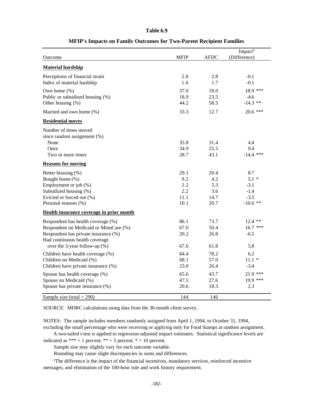|                                          |              |              | Impact <sup>a</sup> |
|------------------------------------------|--------------|--------------|---------------------|
| Outcome                                  | <b>MFIP</b>  | AFDC         | (Difference)        |
| <b>Material hardship</b>                 |              |              |                     |
| Perceptions of financial strain          | 2.8          | 2.8          | $-0.1$              |
| Index of material hardship               | 1.6          | 1.7          | $-0.1$              |
| Own home (%)                             | 37.0         | 18.0         | 18.9 ***            |
| Public or subsidized housing (%)         | 18.9         | 23.5         | $-4.6$              |
| Other housing (%)                        | 44.2         | 58.5         | $-14.3$ **          |
| Married and own home (%)                 | 33.3         | 12.7         | 20.6 ***            |
| <b>Residential moves</b>                 |              |              |                     |
| Number of times moved                    |              |              |                     |
| since random assignment (%)              |              |              |                     |
| None<br>Once                             | 35.8<br>34.9 | 31.4<br>25.5 | 4.4<br>9.4          |
| Two or more times                        | 28.7         | 43.1         | $-14.4$ ***         |
| <b>Reasons for moving</b>                |              |              |                     |
|                                          |              |              |                     |
| Better housing (%)                       | 29.1         | 20.4         | 8.7                 |
| Bought home (%)                          | 9.2          | 4.2          | $5.1 *$             |
| Employment or job (%)                    | 2.2          | 5.3          | $-3.1$              |
| Subsidized housing (%)                   | 2.2          | 3.6          | $-1.4$              |
| Evicted or forced out (%)                | 11.1         | 14.7         | $-3.5$              |
| Personal reasons (%)                     | 10.1         | 20.7         | $-10.6$ **          |
| Health insurance coverage in prior month |              |              |                     |
| Respondent has health coverage (%)       | 86.1         | 73.7         | $12.4$ **           |
| Respondent on Medicaid or MinnCare (%)   | 67.0         | 50.4         | $16.7$ ***          |
| Respondent has private insurance (%)     | 20.2         | 26.8         | $-6.5$              |
| Had continuous health coverage           |              |              |                     |
| over the 3-year follow-up $(\%)$         | 67.6         | 61.8         | 5.8                 |
| Children have health coverage (%)        | 84.4         | 78.2         | 6.2                 |
| Children on Medicaid (%)                 | 68.1         | 57.0         | $11.1 *$            |
| Children have private insurance (%)      | 23.0         | 26.4         | $-3.4$              |
| Spouse has health coverage (%)           | 65.6         | 43.7         | 21.9 ***            |
| Spouse on Medicaid (%)                   | 47.5         | 27.6         | 19.9 ***            |
| Spouse has private insurance (%)         | 20.6         | 18.3         | 2.3                 |
| Sample size (total = $290$ )             | 144          | 146          |                     |

### **MFIP's Impacts on Family Outcomes for Two-Parent Recipient Families**

SOURCE: MDRC calculations using data from the 36-month client survey.

NOTES: The sample includes members randomly assigned from April 1, 1994, to October 31, 1994, excluding the small percentage who were receiving or applying only for Food Stamps at random assignment.

A two-tailed t-test is applied to regression-adjusted impact estimates. Statistical significance levels are

indicated as  $*** = 1$  percent;  $** = 5$  percent;  $* = 10$  percent.

Sample size may slightly vary for each outcome variable.

Rounding may cause slight discrepancies in sums and differences.

<sup>a</sup>The difference is the impact of the financial incentives, mandatory services, reinforced incentive messages, and elimination of the 100-hour rule and work history requirement.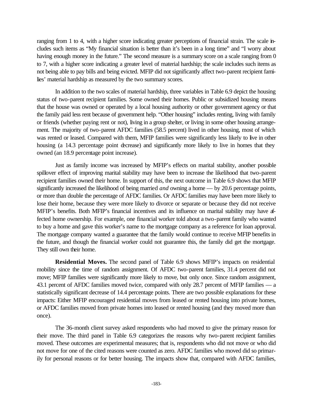ranging from 1 to 4, with a higher score indicating greater perceptions of financial strain. The scale includes such items as "My financial situation is better than it's been in a long time" and "I worry about having enough money in the future." The second measure is a summary score on a scale ranging from 0 to 7, with a higher score indicating a greater level of material hardship; the scale includes such items as not being able to pay bills and being evicted. MFIP did not significantly affect two-parent recipient families' material hardship as measured by the two summary scores.

In addition to the two scales of material hardship, three variables in Table 6.9 depict the housing status of two-parent recipient families. Some owned their homes. Public or subsidized housing means that the house was owned or operated by a local housing authority or other government agency or that the family paid less rent because of government help. "Other housing" includes renting, living with family or friends (whether paying rent or not), living in a group shelter, or living in some other housing arrangement. The majority of two-parent AFDC families (58.5 percent) lived in other housing, most of which was rented or leased. Compared with them, MFIP families were significantly less likely to live in other housing (a 14.3 percentage point decrease) and significantly more likely to live in homes that they owned (an 18.9 percentage point increase).

Just as family income was increased by MFIP's effects on marital stability, another possible spillover effect of improving marital stability may have been to increase the likelihood that two-parent recipient families owned their home. In support of this, the next outcome in Table 6.9 shows that MFIP significantly increased the likelihood of being married *and* owning a home — by 20.6 percentage points, or more than double the percentage of AFDC families. Or AFDC families may have been more likely to lose their home, because they were more likely to divorce or separate or because they did not receive MFIP's benefits. Both MFIP's financial incentives and its influence on marital stability may have affected home ownership. For example, one financial worker told about a two-parent family who wanted to buy a home and gave this worker's name to the mortgage company as a reference for loan approval. The mortgage company wanted a guarantee that the family would continue to receive MFIP benefits in the future, and though the financial worker could not guarantee this, the family did get the mortgage. They still own their home.

**Residential Moves.** The second panel of Table 6.9 shows MFIP's impacts on residential mobility since the time of random assignment. Of AFDC two-parent families, 31.4 percent did not move; MFIP families were significantly more likely to move, but only once. Since random assignment, 43.1 percent of AFDC families moved twice, compared with only 28.7 percent of MFIP families — a statistically significant decrease of 14.4 percentage points. There are two possible explanations for these impacts: Either MFIP encouraged residential moves from leased or rented housing into private homes, or AFDC families moved from private homes into leased or rented housing (and they moved more than once).

The 36-month client survey asked respondents who had moved to give the primary reason for their move. The third panel in Table 6.9 categorizes the reasons why two-parent recipient families moved. These outcomes are experimental measures; that is, respondents who did not move or who did not move for one of the cited reasons were counted as zero. AFDC families who moved did so primarily for personal reasons or for better housing. The impacts show that, compared with AFDC families,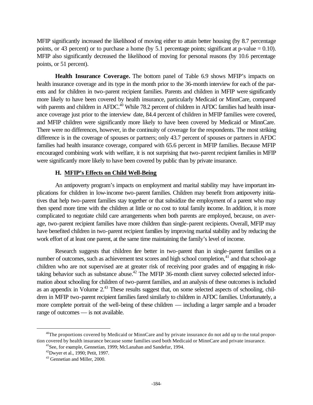MFIP significantly increased the likelihood of moving either to attain better housing (by 8.7 percentage points, or 43 percent) or to purchase a home (by 5.1 percentage points; significant at p-value  $= 0.10$ ). MFIP also significantly decreased the likelihood of moving for personal reasons (by 10.6 percentage points, or 51 percent).

**Health Insurance Coverage.** The bottom panel of Table 6.9 shows MFIP's impacts on health insurance coverage and its type in the month prior to the 36-month interview for each of the parents and for children in two-parent recipient families. Parents and children in MFIP were significantly more likely to have been covered by health insurance, particularly Medicaid or MinnCare, compared with parents and children in AFDC.<sup>40</sup> While 78.2 percent of children in AFDC families had health insurance coverage just prior to the interview date, 84.4 percent of children in MFIP families were covered, and MFIP children were significantly more likely to have been covered by Medicaid or MinnCare. There were no differences, however, in the continuity of coverage for the respondents. The most striking difference is in the coverage of spouses or partners; only 43.7 percent of spouses or partners in AFDC families had health insurance coverage, compared with 65.6 percent in MFIP families. Because MFIP encouraged combining work with welfare, it is not surprising that two-parent recipient families in MFIP were significantly more likely to have been covered by public than by private insurance.

### **H. MFIP's Effects on Child Well-Being**

An antipoverty program's impacts on employment and marital stability may have important implications for children in low-income two-parent families. Children may benefit from antipoverty initiatives that help two-parent families stay together or that subsidize the employment of a parent who may then spend more time with the children at little or no cost to total family income. In addition, it is more complicated to negotiate child care arrangements when both parents are employed, because, on average, two-parent recipient families have more children than single-parent recipients. Overall, MFIP may have benefited children in two-parent recipient families by improving marital stability and by reducing the work effort of at least one parent, at the same time maintaining the family's level of income.

Research suggests that children fare better in two-parent than in single-parent families on a number of outcomes, such as achievement test scores and high school completion,<sup>41</sup> and that school-age children who are not supervised are at greater risk of receiving poor grades and of engaging in risktaking behavior such as substance abuse.<sup>42</sup> The MFIP 36-month client survey collected selected information about schooling for children of two-parent families, and an analysis of these outcomes is included as an appendix in Volume 2.<sup>43</sup> These results suggest that, on some selected aspects of schooling, children in MFIP two-parent recipient families fared similarly to children in AFDC families. Unfortunately, a more complete portrait of the well-being of these children — including a larger sample and a broader range of outcomes — is not available.

<sup>&</sup>lt;sup>40</sup>The proportions covered by Medicaid or MinnCare and by private insurance do not add up to the total proportion covered by health insurance because some families used both Medicaid or MinnCare and private insurance.

 $41$ See, for example, Gennetian, 1999; McLanahan and Sandefur, 1994.

<sup>42</sup>Dwyer et al., 1990; Petit, 1997.

<sup>43</sup> Gennetian and Miller, 2000.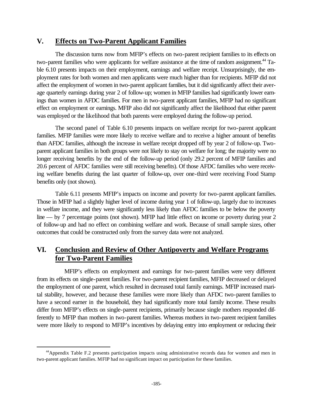# **V. Effects on Two-Parent Applicant Families**

The discussion turns now from MFIP's effects on two-parent recipient families to its effects on two-parent families who were applicants for welfare assistance at the time of random assignment.<sup>44</sup> Table 6.10 presents impacts on their employment, earnings and welfare receipt. Unsurprisingly, the employment rates for both women and men applicants were much higher than for recipients. MFIP did not affect the employment of women in two-parent applicant families, but it did significantly affect their average quarterly earnings during year 2 of follow-up; women in MFIP families had significantly lower earnings than women in AFDC families. For men in two-parent applicant families, MFIP had no significant effect on employment or earnings. MFIP also did not significantly affect the likelihood that either parent was employed or the likelihood that both parents were employed during the follow-up period.

The second panel of Table 6.10 presents impacts on welfare receipt for two-parent applicant families. MFIP families were more likely to receive welfare and to receive a higher amount of benefits than AFDC families, although the increase in welfare receipt dropped off by year 2 of follow-up. Twoparent applicant families in both groups were not likely to stay on welfare for long; the majority were no longer receiving benefits by the end of the follow-up period (only 29.2 percent of MFIP families and 20.6 percent of AFDC families were still receiving benefits). Of those AFDC families who were receiving welfare benefits during the last quarter of follow-up, over one-third were receiving Food Stamp benefits only (not shown).

Table 6.11 presents MFIP's impacts on income and poverty for two-parent applicant families. Those in MFIP had a slightly higher level of income during year 1 of follow-up, largely due to increases in welfare income, and they were significantly less likely than AFDC families to be below the poverty line — by 7 percentage points (not shown). MFIP had little effect on income or poverty during year 2 of follow-up and had no effect on combining welfare and work. Because of small sample sizes, other outcomes that could be constructed only from the survey data were not analyzed.

# **VI. Conclusion and Review of Other Antipoverty and Welfare Programs for Two-Parent Families**

MFIP's effects on employment and earnings for two-parent families were very different from its effects on single-parent families. For two-parent recipient families, MFIP decreased or delayed the employment of one parent, which resulted in decreased total family earnings. MFIP increased marital stability, however, and because these families were more likely than AFDC two-parent families to have a second earner in the household, they had significantly more total family income. These results differ from MFIP's effects on single-parent recipients, primarily because single mothers responded differently to MFIP than mothers in two-parent families. Whereas mothers in two-parent recipient families were more likely to respond to MFIP's incentives by delaying entry into employment or reducing their

<sup>&</sup>lt;sup>44</sup>Appendix Table F.2 presents participation impacts using administrative records data for women and men in two-parent applicant families. MFIP had no significant impact on participation for these families.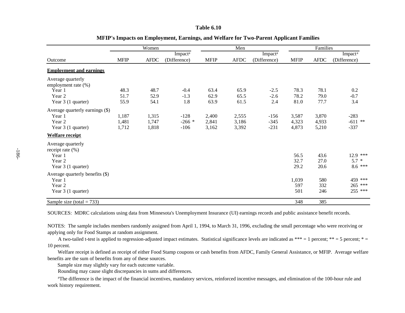|                                          |             | Women       |                     |             | Men         |                     | Families    |             |                     |
|------------------------------------------|-------------|-------------|---------------------|-------------|-------------|---------------------|-------------|-------------|---------------------|
|                                          |             |             | Impact <sup>a</sup> |             |             | Impact <sup>a</sup> |             |             | Impact <sup>a</sup> |
| Outcome                                  | <b>MFIP</b> | <b>AFDC</b> | (Difference)        | <b>MFIP</b> | <b>AFDC</b> | (Difference)        | <b>MFIP</b> | <b>AFDC</b> | (Difference)        |
| <b>Employment and earnings</b>           |             |             |                     |             |             |                     |             |             |                     |
| Average quarterly<br>employment rate (%) |             |             |                     |             |             |                     |             |             |                     |
| Year 1                                   | 48.3        | 48.7        | $-0.4$              | 63.4        | 65.9        | $-2.5$              | 78.3        | 78.1        | 0.2                 |
| Year 2                                   | 51.7        | 52.9        | $-1.3$              | 62.9        | 65.5        | $-2.6$              | 78.2        | 79.0        | $-0.7$              |
| Year 3 (1 quarter)                       | 55.9        | 54.1        | 1.8                 | 63.9        | 61.5        | 2.4                 | 81.0        | 77.7        | 3.4                 |
| Average quarterly earnings (\$)          |             |             |                     |             |             |                     |             |             |                     |
| Year 1                                   | 1,187       | 1,315       | $-128$              | 2,400       | 2,555       | $-156$              | 3,587       | 3,870       | $-283$              |
| Year 2                                   | 1,481       | 1,747       | $-266$ *            | 2,841       | 3,186       | $-345$              | 4,323       | 4,933       | $-611$ **           |
| Year 3 (1 quarter)                       | 1,712       | 1,818       | $-106$              | 3,162       | 3,392       | $-231$              | 4,873       | 5,210       | $-337$              |
| Welfare receipt                          |             |             |                     |             |             |                     |             |             |                     |
| Average quarterly<br>receipt rate (%)    |             |             |                     |             |             |                     |             |             |                     |
| Year 1                                   |             |             |                     |             |             |                     | 56.5        | 43.6        | 12.9 ***            |
| Year 2                                   |             |             |                     |             |             |                     | 32.7        | 27.0        | $5.7 *$             |
| Year 3 (1 quarter)                       |             |             |                     |             |             |                     | 29.2        | 20.6        | $8.6$ ***           |
| Average quarterly benefits (\$)          |             |             |                     |             |             |                     |             |             |                     |
| Year 1                                   |             |             |                     |             |             |                     | 1,039       | 580         | 459 ***             |
| Year 2                                   |             |             |                     |             |             |                     | 597         | 332         | 265 ***             |
| Year 3 (1 quarter)                       |             |             |                     |             |             |                     | 501         | 246         | 255 ***             |
| Sample size (total = $733$ )             |             |             |                     |             |             |                     | 348         | 385         |                     |

#### **MFIP's Impacts on Employment, Earnings, and Welfare for Two-Parent Applicant Families**

SOURCES: MDRC calculations using data from Minnesota's Unemployment Insurance (UI) earnings records and public assistance benefit records.

NOTES: The sample includes members randomly assigned from April 1, 1994, to March 31, 1996, excluding the small percentage who were receiving or applying only for Food Stamps at random assignment.

A two-tailed t-test is applied to regression-adjusted impact estimates. Statistical significance levels are indicated as  $*** = 1$  percent;  $** = 5$  percent;  $* =$ 10 percent.

 Welfare receipt is defined as receipt of either Food Stamp coupons or cash benefits from AFDC, Family General Assistance, or MFIP. Average welfare benefits are the sum of benefits from any of these sources.

Sample size may slightly vary for each outcome variable.

Rounding may cause slight discrepancies in sums and differences.

<sup>a</sup>The difference is the impact of the financial incentives, mandatory services, reinforced incentive messages, and elimination of the 100-hour rule and work history requirement.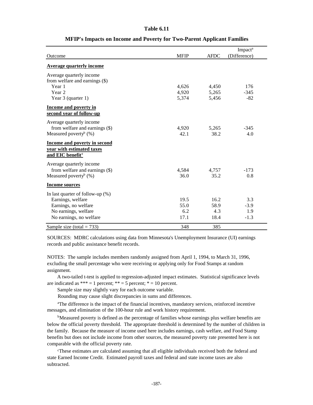|                                                                                                  |             |             | Impact <sup>a</sup> |
|--------------------------------------------------------------------------------------------------|-------------|-------------|---------------------|
| Outcome                                                                                          | <b>MFIP</b> | <b>AFDC</b> | (Difference)        |
| <b>Average quarterly income</b>                                                                  |             |             |                     |
| Average quarterly income                                                                         |             |             |                     |
| from welfare and earnings $(\$)$<br>Year 1                                                       | 4,626       | 4,450       | 176                 |
| Year 2                                                                                           | 4,920       | 5,265       | $-345$              |
| Year 3 (quarter 1)                                                                               | 5,374       | 5,456       | $-82$               |
| Income and poverty in<br>second year of follow-up                                                |             |             |                     |
| Average quarterly income                                                                         |             |             |                     |
| from welfare and earnings (\$)                                                                   | 4,920       | 5,265       | $-345$              |
| Measured poverty <sup>b</sup> $(\%)$                                                             | 42.1        | 38.2        | 4.0                 |
| <b>Income and poverty in second</b><br>year with estimated taxes<br>and EIC benefit <sup>c</sup> |             |             |                     |
| Average quarterly income                                                                         |             |             |                     |
| from welfare and earnings $(\$)$                                                                 | 4,584       | 4,757       | $-173$              |
| Measured poverty <sup>b</sup> $(\%)$                                                             | 36.0        | 35.2        | 0.8                 |
| <b>Income sources</b>                                                                            |             |             |                     |
| In last quarter of follow-up $(\%)$                                                              |             |             |                     |
| Earnings, welfare                                                                                | 19.5        | 16.2        | 3.3                 |
| Earnings, no welfare                                                                             | 55.0        | 58.9        | $-3.9$              |
| No earnings, welfare                                                                             | 6.2         | 4.3         | 1.9                 |
| No earnings, no welfare                                                                          | 17.1        | 18.4        | $-1.3$              |
| Sample size (total $= 733$ )                                                                     | 348         | 385         |                     |

#### **MFIP's Impacts on Income and Poverty for Two-Parent Applicant Families**

SOURCES: MDRC calculations using data from Minnesota's Unemployment Insurance (UI) earnings records and public assistance benefit records.

NOTES: The sample includes members randomly assigned from April 1, 1994, to March 31, 1996, excluding the small percentage who were receiving or applying only for Food Stamps at random assignment.

 A two-tailed t-test is applied to regression-adjusted impact estimates. Statistical significance levels are indicated as  $*** = 1$  percent;  $** = 5$  percent;  $* = 10$  percent.

Sample size may slightly vary for each outcome variable.

Rounding may cause slight discrepancies in sums and differences.

<sup>a</sup>The difference is the impact of the financial incentives, mandatory services, reinforced incentive messages, and elimination of the 100-hour rule and work history requirement.

<sup>b</sup>Measured poverty is defined as the percentage of families whose earnings plus welfare benefits are below the official poverty threshold. The appropriate threshold is determined by the number of children in the family. Because the measure of income used here includes earnings, cash welfare, and Food Stamp benefits but does not include income from other sources, the measured poverty rate presented here is not comparable with the official poverty rate.

<sup>c</sup>These estimates are calculated assuming that all eligible individuals received both the federal and state Earned Income Credit. Estimated payroll taxes and federal and state income taxes are also subtracted.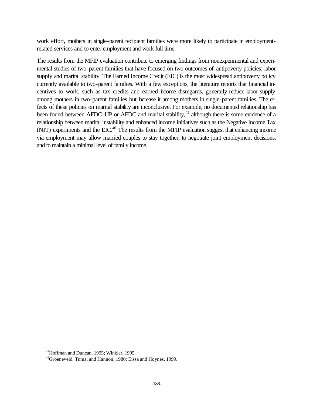work effort, mothers in single-parent recipient families were more likely to participate in employmentrelated services and to enter employment and work full time.

The results from the MFIP evaluation contribute to emerging findings from nonexperimental and experimental studies of two-parent families that have focused on two outcomes of antipoverty policies: labor supply and marital stability. The Earned Income Credit (EIC) is the most widespread antipoverty policy currently available to two-parent families. With a few exceptions, the literature reports that financial incentives to work, such as tax credits and earned income disregards, generally reduce labor supply among mothers in two-parent families but increase it among mothers in single-parent families. The effects of these policies on marital stability are inconclusive. For example, no documented relationship has been found between AFDC-UP or AFDC and marital stability,<sup>45</sup> although there is some evidence of a relationship between marital instability and enhanced income initiatives such as the Negative Income Tax (NIT) experiments and the EIC.<sup>46</sup> The results from the MFIP evaluation suggest that enhancing income via employment may allow married couples to stay together, to negotiate joint employment decisions, and to maintain a minimal level of family income.

<sup>45</sup>Hoffman and Duncan, 1995; Winkler, 1995.

<sup>46</sup>Groeneveld, Tuma, and Hannon, 1980; Eissa and Hoynes, 1999.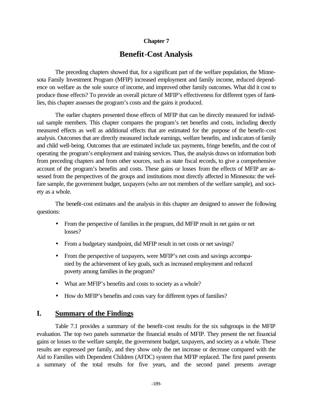# **Chapter 7**

# **Benefit-Cost Analysis**

The preceding chapters showed that, for a significant part of the welfare population, the Minnesota Family Investment Program (MFIP) increased employment and family income, reduced dependence on welfare as the sole source of income, and improved other family outcomes. What did it cost to produce those effects? To provide an overall picture of MFIP's effectiveness for different types of families, this chapter assesses the program's costs and the gains it produced.

The earlier chapters presented those effects of MFIP that can be directly measured for individual sample members. This chapter compares the program's net benefits and costs, including directly measured effects as well as additional effects that are estimated for the purpose of the benefit-cost analysis. Outcomes that are directly measured include earnings, welfare benefits, and indicators of family and child well-being. Outcomes that are estimated include tax payments, fringe benefits, and the cost of operating the program's employment and training services. Thus, the analysis draws on information both from preceding chapters and from other sources, such as state fiscal records, to give a comprehensive account of the program's benefits and costs. These gains or losses from the effects of MFIP are assessed from the perspectives of the groups and institutions most directly affected in Minnesota: the welfare sample, the government budget, taxpayers (who are not members of the welfare sample), and society as a whole.

The benefit-cost estimates and the analysis in this chapter are designed to answer the following questions:

- From the perspective of families in the program, did MFIP result in net gains or net losses?
- From a budgetary standpoint, did MFIP result in net costs or net savings?
- From the perspective of taxpayers, were MFIP's net costs and savings accompanied by the achievement of key goals, such as increased employment and reduced poverty among families in the program?
- What are MFIP's benefits and costs to society as a whole?
- How do MFIP's benefits and costs vary for different types of families?

# **I. Summary of the Findings**

Table 7.1 provides a summary of the benefit-cost results for the six subgroups in the MFIP evaluation. The top two panels summarize the financial results of MFIP. They present the net financial gains or losses to the welfare sample, the government budget, taxpayers, and society as a whole. These results are expressed per family, and they show only the net increase or decrease compared with the Aid to Families with Dependent Children (AFDC) system that MFIP replaced. The first panel presents a summary of the total results for five years, and the second panel presents average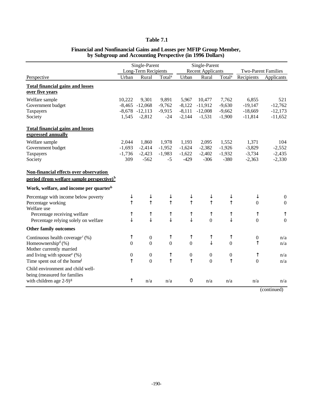# **Table 7.1**

|                                                       |              | Single-Parent        |                    |                  | Single-Parent            |                    |                  |                            |
|-------------------------------------------------------|--------------|----------------------|--------------------|------------------|--------------------------|--------------------|------------------|----------------------------|
|                                                       |              | Long-Term Recipients |                    |                  | <b>Recent Applicants</b> |                    |                  | <b>Two-Parent Families</b> |
| Perspective                                           | Urban        | Rural                | Total <sup>a</sup> | Urban            | Rural                    | Total <sup>a</sup> | Recipients       | Applicants                 |
| <b>Total financial gains and losses</b>               |              |                      |                    |                  |                          |                    |                  |                            |
| over five years                                       |              |                      |                    |                  |                          |                    |                  |                            |
| Welfare sample                                        | 10,222       | 9,301                | 9,891              | 5,967            | 10,477                   | 7,762              | 6,855            | 521                        |
| Government budget                                     |              | $-8,465$ $-12,068$   | $-9,762$           | $-8,122$         | $-11,912$                | $-9,630$           | $-19,147$        | $-12,762$                  |
| Taxpayers                                             |              | $-8,678$ $-12,113$   | $-9,915$           | $-8,111$         | $-12,008$                | $-9,662$           | $-18,669$        | $-12,173$                  |
| Society                                               | 1,545        | $-2,812$             | $-24$              | $-2,144$         | $-1,531$                 | $-1,900$           | $-11,814$        | $-11,652$                  |
| <b>Total financial gains and losses</b>               |              |                      |                    |                  |                          |                    |                  |                            |
| expressed annually                                    |              |                      |                    |                  |                          |                    |                  |                            |
| Welfare sample                                        | 2,044        | 1,860                | 1,978              | 1,193            | 2,095                    | 1,552              | 1,371            | 104                        |
| Government budget                                     | $-1,693$     | $-2,414$             | $-1,952$           | $-1,624$         | $-2,382$                 | $-1,926$           | $-3,829$         | $-2,552$                   |
| Taxpayers                                             | $-1,736$     | $-2,423$             | $-1,983$           | $-1,622$         | $-2,402$                 | $-1,932$           | $-3,734$         | $-2,435$                   |
| Society                                               | 309          | $-562$               | $-5$               | $-429$           | $-306$                   | $-380$             | $-2,363$         | $-2,330$                   |
| Non-financial effects over observation                |              |                      |                    |                  |                          |                    |                  |                            |
| period (from welfare sample perspective) <sup>b</sup> |              |                      |                    |                  |                          |                    |                  |                            |
| Work, welfare, and income per quarter <sup>b</sup>    |              |                      |                    |                  |                          |                    |                  |                            |
| Percentage with income below poverty                  | ↓            | ↓                    | ↓                  |                  |                          |                    | ↓                | 0                          |
| Percentage working                                    |              |                      |                    |                  |                          |                    | $\Omega$         | $\theta$                   |
| Welfare use                                           |              |                      |                    |                  |                          |                    |                  |                            |
| Percentage receiving welfare                          | ↑            | $\uparrow$           | $\uparrow$         | $\uparrow$       | $\uparrow$               | $\uparrow$         | $\uparrow$       | $\uparrow$                 |
| Percentage relying solely on welfare                  |              | $\downarrow$         | $\downarrow$       |                  | $\Omega$                 |                    | $\Omega$         | $\mathbf{0}$               |
| <b>Other family outcomes</b>                          |              |                      |                    |                  |                          |                    |                  |                            |
| Continuous health coverage <sup>c</sup> $(\%)$        | ↑            | $\boldsymbol{0}$     | ↑                  | ↑                | ↑                        | ↑                  | $\boldsymbol{0}$ | n/a                        |
| Homeownership <sup>d</sup> $(\%)$                     | $\theta$     | $\theta$             | $\overline{0}$     | $\Omega$         | ↓                        | $\Omega$           |                  | n/a                        |
| Mother currently married                              |              |                      |                    |                  |                          |                    |                  |                            |
| and living with spouse <sup>e</sup> (%)               | $\mathbf{0}$ | $\boldsymbol{0}$     | ↑                  | $\boldsymbol{0}$ | $\boldsymbol{0}$         | $\boldsymbol{0}$   | ↑                | n/a                        |
| Time spent out of the home <sup>f</sup>               | $\uparrow$   | $\overline{0}$       | $\uparrow$         | $\uparrow$       | $\mathbf{0}$             | ↑                  | $\overline{0}$   | n/a                        |
| Child environment and child well-                     |              |                      |                    |                  |                          |                    |                  |                            |
| being (measured for families                          |              |                      |                    |                  |                          |                    |                  |                            |
| with children age $2-9$ <sup>g</sup>                  |              | n/a                  | n/a                | $\boldsymbol{0}$ | n/a                      | n/a                | n/a              | n/a                        |

#### **Financial and Nonfinancial Gains and Losses per MFIP Group Member, by Subgroup and Accounting Perspective (in 1996 Dollars)**

(continued)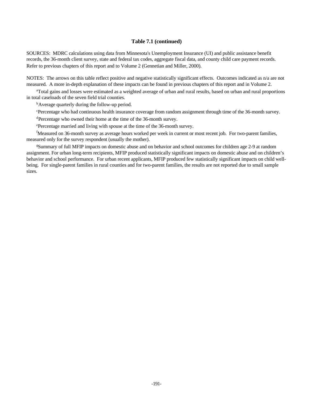#### **Table 7.1 (continued)**

SOURCES: MDRC calculations using data from Minnesota's Unemployment Insurance (UI) and public assistance benefit records, the 36-month client survey, state and federal tax codes, aggregate fiscal data, and county child care payment records. Refer to previous chapters of this report and to Volume 2 (Gennetian and Miller, 2000).

NOTES: The arrows on this table reflect positive and negative statistically significant effects. Outcomes indicated as n/a are not measured. A more in-depth explanation of these impacts can be found in previous chapters of this report and in Volume 2.

<sup>a</sup>Total gains and losses were estimated as a weighted average of urban and rural results, based on urban and rural proportions in total caseloads of the seven field trial counties.

<sup>b</sup>Average quarterly during the follow-up period.

<sup>c</sup>Percentage who had continuous health insurance coverage from random assignment through time of the 36-month survey.

<sup>d</sup>Percentage who owned their home at the time of the 36-month survey.

<sup>e</sup>Percentage married and living with spouse at the time of the 36-month survey.

<sup>f</sup>Measured on 36-month survey as average hours worked per week in current or most recent job. For two-parent families, measured only for the survey respondent (usually the mother).

<sup>g</sup>Summary of full MFIP impacts on domestic abuse and on behavior and school outcomes for children age 2-9 at random assignment. For urban long-term recipients, MFIP produced statistically significant impacts on domestic abuse and on children's behavior and school performance. For urban recent applicants, MFIP produced few statistically significant impacts on child wellbeing. For single-parent families in rural counties and for two-parent families, the results are not reported due to small sample sizes.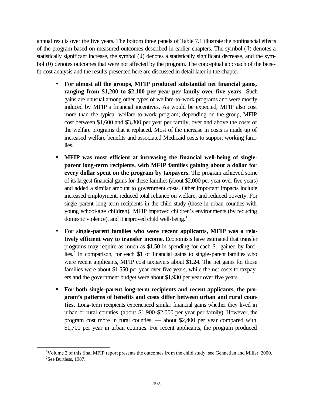annual results over the five years. The bottom three panels of Table 7.1 illustrate the nonfinancial effects of the program based on measured outcomes described in earlier chapters. The symbol (↑) denotes a statistically significant increase, the symbol  $(\downarrow)$  denotes a statistically significant decrease, and the symbol (0) denotes outcomes that were not affected by the program. The conceptual approach of the benefit-cost analysis and the results presented here are discussed in detail later in the chapter.

- **For almost all the groups, MFIP produced substantial net financial gains, ranging from \$1,200 to \$2,100 per year per family over five years.** Such gains are unusual among other types of welfare-to-work programs and were mostly induced by MFIP's financial incentives. As would be expected, MFIP also cost more than the typical welfare-to-work program; depending on the group, MFIP cost between \$1,600 and \$3,800 per year per family, over and above the costs of the welfare programs that it replaced. Most of the increase in costs is made up of increased welfare benefits and associated Medicaid costs to support working families.
- **MFIP was most efficient at increasing the financial well-being of singleparent long-term recipients, with MFIP families gaining about a dollar for every dollar spent on the program by taxpayers.** The program achieved some of its largest financial gains for these families (about \$2,000 per year over five years) and added a similar amount to government costs. Other important impacts include increased employment, reduced total reliance on welfare, and reduced poverty. For single-parent long-term recipients in the child study (those in urban counties with young school-age children), MFIP improved children's environments (by reducing domestic violence), and it improved child well-being.<sup>1</sup>
- **For single-parent families who were recent applicants, MFIP was a relatively efficient way to transfer income.** Economists have estimated that transfer programs may require as much as \$1.50 in spending for each \$1 gained by families.<sup>2</sup> In comparison, for each \$1 of financial gains to single-parent families who were recent applicants, MFIP cost taxpayers about \$1.24. The net gains for those families were about \$1,550 per year over five years, while the net costs to taxpayers and the government budget were about \$1,930 per year over five years.
- **For both single-parent long-term recipients and recent applicants, the program's patterns of benefits and costs differ between urban and rural counties.** Long-term recipients experienced similar financial gains whether they lived in urban or rural counties (about \$1,900-\$2,000 per year per family). However, the program cost more in rural counties — about \$2,400 per year compared with \$1,700 per year in urban counties. For recent applicants, the program produced

l

<sup>&</sup>lt;sup>1</sup>Volume 2 of this final MFIP report presents the outcomes from the child study; see Gennetian and Miller, 2000. <sup>2</sup>See Burtless, 1987.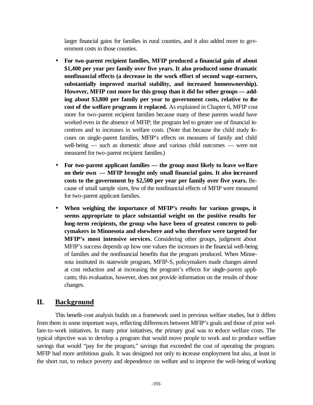larger financial gains for families in rural counties, and it also added more to government costs in those counties.

- **For two-parent recipient families, MFIP produced a financial gain of about \$1,400 per year per family over five years. It also produced some dramatic nonfinancial effects (a decrease in the work effort of second wage-earners, substantially improved marital stability, and increased homeownership). However, MFIP cost more for this group than it did for other groups — adding about \$3,800 per family per year to government costs, relative to the cost of the welfare programs it replaced.** As explained in Chapter 6, MFIP cost more for two-parent recipient families because many of these parents would have worked even in the absence of MFIP; the program led to greater use of financial incentives and to increases in welfare costs. (Note that because the child study focuses on single-parent families, MFIP's effects on measures of family and child well-being — such as domestic abuse and various child outcomes — were not measured for two-parent recipient families.)
- **For two-parent applicant families the group most likely to leave welfare on their own — MFIP brought only small financial gains. It also increased costs to the government by \$2,500 per year per family over five years.** Because of small sample sizes, few of the nonfinancial effects of MFIP were measured for two-parent applicant families.
- **When weighing the importance of MFIP's results for various groups, it seems appropriate to place substantial weight on the positive results for long-term recipients, the group who have been of greatest concern to policymakers in Minnesota and elsewhere and who therefore were targeted for MFIP's most intensive services.** Considering other groups, judgment about MFIP's success depends up how one values the increases in the financial well-being of families and the nonfinancial benefits that the program produced. When Minnesota instituted its statewide program, MFIP-S, policymakers made changes aimed at cost reduction and at increasing the program's effects for single-parent applicants; this evaluation, however, does not provide information on the results of those changes.

## **II. Background**

This benefit-cost analysis builds on a framework used in previous welfare studies, but it differs from them in some important ways, reflecting differences between MFIP's goals and those of prior welfare-to-work initiatives. In many prior initiatives, the primary goal was to reduce welfare costs. The typical objective was to develop a program that would move people to work and to produce welfare savings that would "pay for the program," savings that exceeded the cost of operating the program. MFIP had more ambitious goals. It was designed not only to increase employment but also, at least in the short run, to reduce poverty and dependence on welfare and to improve the well-being of working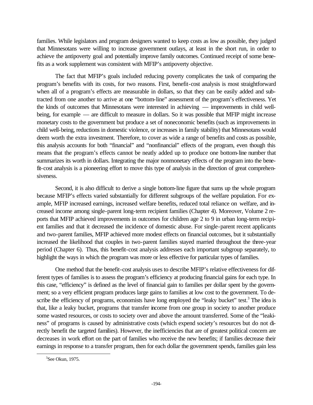families. While legislators and program designers wanted to keep costs as low as possible, they judged that Minnesotans were willing to increase government outlays, at least in the short run, in order to achieve the antipoverty goal and potentially improve family outcomes. Continued receipt of some benefits as a work supplement was consistent with MFIP's antipoverty objective.

The fact that MFIP's goals included reducing poverty complicates the task of comparing the program's benefits with its costs, for two reasons. First, benefit-cost analysis is most straightforward when all of a program's effects are measurable in dollars, so that they can be easily added and subtracted from one another to arrive at one "bottom-line" assessment of the program's effectiveness. Yet the kinds of outcomes that Minnesotans were interested in achieving — improvements in child wellbeing, for example — are difficult to measure in dollars. So it was possible that MFIP might increase monetary costs to the government but produce a set of noneconomic benefits (such as improvements in child well-being, reductions in domestic violence, or increases in family stability) that Minnesotans would deem worth the extra investment. Therefore, to cover as wide a range of benefits and costs as possible, this analysis accounts for both "financial" and "nonfinancial" effects of the program, even though this means that the program's effects cannot be neatly added up to produce one bottom-line number that summarizes its worth in dollars. Integrating the major nonmonetary effects of the program into the benefit-cost analysis is a pioneering effort to move this type of analysis in the direction of great comprehensiveness.

Second, it is also difficult to derive a single bottom-line figure that sums up the whole program because MFIP's effects varied substantially for different subgroups of the welfare population. For example, MFIP increased earnings, increased welfare benefits, reduced total reliance on welfare, and increased income among single-parent long-term recipient families (Chapter 4). Moreover, Volume 2 reports that MFIP achieved improvements in outcomes for children age 2 to 9 in urban long-term recipient families and that it decreased the incidence of domestic abuse. For single-parent recent applicants and two-parent families, MFIP achieved more modest effects on financial outcomes, but it substantially increased the likelihood that couples in two-parent families stayed married throughout the three-year period (Chapter 6). Thus, this benefit-cost analysis addresses each important subgroup separately, to highlight the ways in which the program was more or less effective for particular types of families.

One method that the benefit-cost analysis uses to describe MFIP's relative effectiveness for different types of families is to assess the program's efficiency at producing financial gains for each type. In this case, "efficiency" is defined as the level of financial gain to families per dollar spent by the government; so a very efficient program produces large gains to families at low cost to the government. To describe the efficiency of programs, economists have long employed the "leaky bucket" test.<sup>3</sup> The idea is that, like a leaky bucket, programs that transfer income from one group in society to another produce some wasted resources, or costs to society over and above the amount transferred. Some of the "leakiness" of programs is caused by administrative costs (which expend society's resources but do not directly benefit the targeted families). However, the inefficiencies that are of greatest political concern are decreases in work effort on the part of families who receive the new benefits; if families decrease their earnings in response to a transfer program, then for each dollar the government spends, families gain less

 ${}^{3}$ See Okun, 1975.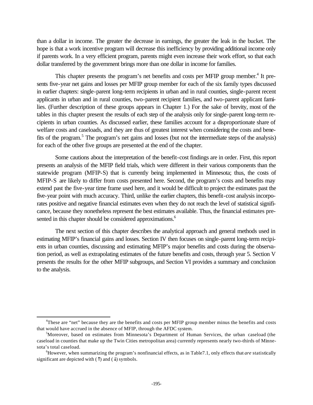than a dollar in income. The greater the decrease in earnings, the greater the leak in the bucket. The hope is that a work incentive program will decrease this inefficiency by providing additional income only if parents work. In a very efficient program, parents might even increase their work effort, so that each dollar transferred by the government brings more than one dollar in income for families.

This chapter presents the program's net benefits and costs per MFIP group member.<sup>4</sup> It presents five-year net gains and losses per MFIP group member for each of the six family types discussed in earlier chapters: single-parent long-term recipients in urban and in rural counties, single-parent recent applicants in urban and in rural counties, two-parent recipient families, and two-parent applicant families. (Further description of these groups appears in Chapter 1.) For the sake of brevity, most of the tables in this chapter present the results of each step of the analysis only for single-parent long-term recipients in urban counties. As discussed earlier, these families account for a disproportionate share of welfare costs and caseloads, and they are thus of greatest interest when considering the costs and benefits of the program.<sup>5</sup> The program's net gains and losses (but not the intermediate steps of the analysis) for each of the other five groups are presented at the end of the chapter.

Some cautions about the interpretation of the benefit-cost findings are in order. First, this report presents an analysis of the MFIP field trials, which were different in their various components than the statewide program (MFIP-S) that is currently being implemented in Minnesota; thus, the costs of MFIP-S are likely to differ from costs presented here. Second, the program's costs and benefits may extend past the five-year time frame used here, and it would be difficult to project the estimates past the five-year point with much accuracy. Third, unlike the earlier chapters, this benefit-cost analysis incorporates positive and negative financial estimates even when they do not reach the level of statistical significance, because they nonetheless represent the best estimates available. Thus, the financial estimates presented in this chapter should be considered approximations.<sup>6</sup>

The next section of this chapter describes the analytical approach and general methods used in estimating MFIP's financial gains and losses. Section IV then focuses on single-parent long-term recipients in urban counties, discussing and estimating MFIP's major benefits and costs during the observation period, as well as extrapolating estimates of the future benefits and costs, through year 5. Section V presents the results for the other MFIP subgroups, and Section VI provides a summary and conclusion to the analysis.

<sup>&</sup>lt;sup>4</sup>These are "net" because they are the benefits and costs per MFIP group member minus the benefits and costs that would have accrued in the absence of MFIP, through the AFDC system.

<sup>5</sup>Moreover, based on estimates from Minnesota's Department of Human Services, the urban caseload (the caseload in counties that make up the Twin Cities metropolitan area) currently represents nearly two-thirds of Minnesota's total caseload.

<sup>6</sup>However, when summarizing the program's nonfinancial effects, as in Table7.1, only effects that *are* statistically significant are depicted with  $(\uparrow)$  and  $(\downarrow)$  symbols.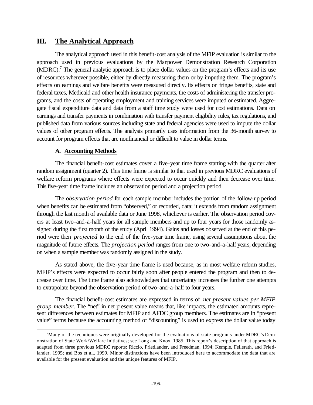## **III. The Analytical Approach**

The analytical approach used in this benefit-cost analysis of the MFIP evaluation is similar to the approach used in previous evaluations by the Manpower Demonstration Research Corporation (MDRC).<sup>7</sup> The general analytic approach is to place dollar values on the program's effects and its use of resources wherever possible, either by directly measuring them or by imputing them. The program's effects on earnings and welfare benefits were measured directly. Its effects on fringe benefits, state and federal taxes, Medicaid and other health insurance payments, the costs of administering the transfer programs, and the costs of operating employment and training services were imputed or estimated. Aggregate fiscal expenditure data and data from a staff time study were used for cost estimations. Data on earnings and transfer payments in combination with transfer payment eligibility rules, tax regulations, and published data from various sources including state and federal agencies were used to impute the dollar values of other program effects. The analysis primarily uses information from the 36-month survey to account for program effects that are nonfinancial or difficult to value in dollar terms.

### **A. Accounting Methods**

l

The financial benefit-cost estimates cover a five-year time frame starting with the quarter after random assignment (quarter 2). This time frame is similar to that used in previous MDRC evaluations of welfare reform programs where effects were expected to occur quickly and then decrease over time. This five-year time frame includes an observation period and a projection period.

The *observation period* for each sample member includes the portion of the follow-up period when benefits can be estimated from "observed," or recorded, data; it extends from random assignment through the last month of available data or June 1998, whichever is earlier. The observation period covers at least two-and-a-half years for all sample members and up to four years for those randomly assigned during the first month of the study (April 1994). Gains and losses observed at the end of this period were then *projected* to the end of the five-year time frame, using several assumptions about the magnitude of future effects. The *projection period* ranges from one to two-and-a-half years, depending on when a sample member was randomly assigned in the study.

As stated above, the five-year time frame is used because, as in most welfare reform studies, MFIP's effects were expected to occur fairly soon after people entered the program and then to decrease over time. The time frame also acknowledges that uncertainty increases the further one attempts to extrapolate beyond the observation period of two-and-a-half to four years.

The financial benefit-cost estimates are expressed in terms of *net present values per MFIP group member*. The "net" in net present value means that, like impacts, the estimated amounts represent differences between estimates for MFIP and AFDC group members. The estimates are in "present value" terms because the accounting method of "discounting" is used to express the dollar value today

 $7$ Many of the techniques were originally developed for the evaluations of state programs under MDRC's Demonstration of State Work/Welfare Initiatives; see Long and Knox, 1985. This report's description of that approach is adapted from three previous MDRC reports: Riccio, Friedlander, and Freedman, 1994; Kemple, Fellerath, and Friedlander, 1995; and Bos et al., 1999. Minor distinctions have been introduced here to accommodate the data that are available for the present evaluation and the unique features of MFIP.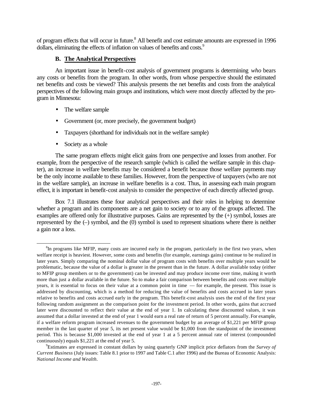of program effects that will occur in future.<sup>8</sup> All benefit and cost estimate amounts are expressed in 1996 dollars, eliminating the effects of inflation on values of benefits and costs.<sup>9</sup>

## **B. The Analytical Perspectives**

An important issue in benefit-cost analysis of government programs is determining *who* bears any costs or benefits from the program. In other words, from whose perspective should the estimated net benefits and costs be viewed? This analysis presents the net benefits and costs from the analytical perspectives of the following main groups and institutions, which were most directly affected by the program in Minnesota:

- The welfare sample
- Government (or, more precisely, the government budget)
- Taxpayers (shorthand for individuals not in the welfare sample)
- Society as a whole

l

The same program effects might elicit gains from one perspective and losses from another. For example, from the perspective of the research sample (which is called the welfare sample in this chapter), an increase in welfare benefits may be considered a benefit because those welfare payments may be the only income available to these families. However, from the perspective of taxpayers (who are not in the welfare sample), an increase in welfare benefits is a cost. Thus, in assessing each main program effect, it is important in benefit-cost analysis to consider the perspective of each directly affected group.

Box 7.1 illustrates these four analytical perspectives and their roles in helping to determine whether a program and its components are a net gain to society or to any of the groups affected. The examples are offered only for illustrative purposes. Gains are represented by the (+) symbol, losses are represented by the (–) symbol, and the (0) symbol is used to represent situations where there is neither a gain nor a loss.

<sup>&</sup>lt;sup>8</sup>In programs like MFIP, many costs are incurred early in the program, particularly in the first two years, when welfare receipt is heaviest. However, some costs and benefits (for example, earnings gains) continue to be realized in later years. Simply comparing the nominal dollar value of program costs with benefits over multiple years would be problematic, because the value of a dollar is greater in the present than in the future. A dollar available today (either to MFIP group members or to the government) can be invested and may produce income over time, making it worth more than just a dollar available in the future. So to make a fair comparison between benefits and costs over multiple years, it is essential to focus on their value at a common point in time — for example, the present. This issue is addressed by discounting, which is a method for reducing the value of benefits and costs accrued in later years relative to benefits and costs accrued early in the program. This benefit-cost analysis uses the end of the first year following random assignment as the comparison point for the investment period. In other words, gains that accrued later were discounted to reflect their value at the end of year 1. In calculating these discounted values, it was assumed that a dollar invested at the end of year 1 would earn a real rate of return of 5 percent annually. For example, if a welfare reform program increased revenues to the government budget by an average of \$1,221 per MFIP group member in the last quarter of year 5, its net present value would be \$1,000 from the standpoint of the investment period. This is because \$1,000 invested at the end of year 1 at a 5 percent annual rate of interest (compounded continuously) equals \$1,221 at the end of year 5.

<sup>9</sup> Estimates are expressed in constant dollars by using quarterly GNP implicit price deflators from the *Survey of Current Business* (July issues: Table 8.1 prior to 1997 and Table C.1 after 1996) and the Bureau of Economic Analysis: *National Income and Wealth*.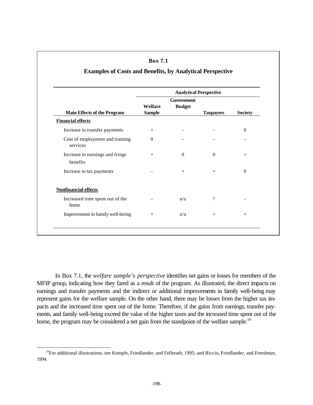|                                             |                          |                             | <b>Analytical Perspective</b> |                |
|---------------------------------------------|--------------------------|-----------------------------|-------------------------------|----------------|
| <b>Main Effects of the Program</b>          | Welfare<br><b>Sample</b> | Government<br><b>Budget</b> | <b>Taxpayers</b>              | <b>Society</b> |
| <b>Financial effects</b>                    |                          |                             |                               |                |
| Increase in transfer payments               | $^{+}$                   |                             |                               | $\Omega$       |
| Cost of employment and training<br>services | $\theta$                 |                             |                               |                |
| Increase in earnings and fringe<br>benefits | $+$                      | $\Omega$                    | $\Omega$                      | $+$            |
| Increase in tax payments                    |                          | $+$                         | $+$                           | $\overline{0}$ |
| <b>Nonfinancial effects</b>                 |                          |                             |                               |                |
| Increased time spent out of the<br>home     |                          | n/a                         | $\gamma$                      |                |
| Improvement in family well-being            | $+$                      | n/a                         | $+$                           | $+$            |

In Box 7.1, the *welfare sample's perspective* identifies net gains or losses for members of the MFIP group, indicating how they fared as a result of the program. As illustrated, the direct impacts on earnings and transfer payments and the indirect or additional improvements in family well-being may represent gains for the welfare sample. On the other hand, there may be losses from the higher tax impacts and the increased time spent out of the home. Therefore, if the gains from earnings, transfer payments, and family well-being exceed the value of the higher taxes and the increased time spent out of the home, the program may be considered a net gain from the standpoint of the welfare sample.<sup>10</sup>

<sup>&</sup>lt;sup>10</sup>For additional illustrations, see Kemple, Friedlander, and Fellerath, 1995; and Riccio, Friedlander, and Freedman, 1994.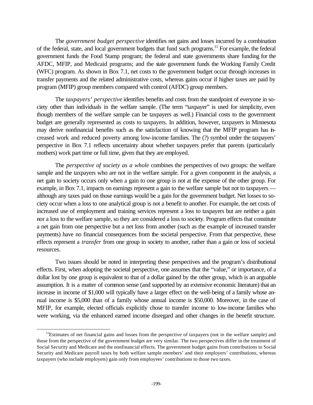The *government budget perspective* identifies net gains and losses incurred by a combination of the federal, state, and local government budgets that fund such programs.<sup>11</sup> For example, the federal government funds the Food Stamp program; the federal and state governments share funding for the AFDC, MFIP, and Medicaid programs; and the state government funds the Working Family Credit (WFC) program. As shown in Box 7.1, net costs to the government budget occur through increases in transfer payments and the related administrative costs, whereas gains occur if higher taxes are paid by program (MFIP) group members compared with control (AFDC) group members.

The *taxpayers' perspective* identifies benefits and costs from the standpoint of everyone in society other than individuals in the welfare sample. (The term "taxpayer" is used for simplicity, even though members of the welfare sample can be taxpayers as well.) Financial costs to the government budget are generally represented as costs to taxpayers. In addition, however, taxpayers in Minnesota may derive nonfinancial benefits such as the satisfaction of knowing that the MFIP program has increased work and reduced poverty among low-income families. The (?) symbol under the taxpayers' perspective in Box 7.1 reflects uncertainty about whether taxpayers prefer that parents (particularly mothers) work part time or full time, given that they are employed.

The *perspective of society as a whole* combines the perspectives of two groups: the welfare sample and the taxpayers who are not in the welfare sample. For a given component in the analysis, a net gain to society occurs only when a gain to one group is not at the expense of the other group. For example, in Box 7.1, impacts on earnings represent a gain to the welfare sample but not to taxpayers although any taxes paid on those earnings would be a gain for the government budget. Net losses to society occur when a loss to one analytical group is not a benefit to another. For example, the net costs of increased use of employment and training services represent a loss to taxpayers but are neither a gain nor a loss to the welfare sample, so they are considered a loss to society. Program effects that constitute a net gain from one perspective but a net loss from another (such as the example of increased transfer payments) have no financial consequences from the societal perspective. From that perspective, these effects represent a *transfer* from one group in society to another, rather than a gain or loss of societal resources.

Two issues should be noted in interpreting these perspectives and the program's distributional effects. First, when adopting the societal perspective, one assumes that the "value," or importance, of a dollar lost by one group is equivalent to that of a dollar gained by the other group, which is an arguable assumption. It is a matter of common sense (and supported by an extensive economic literature) that an increase in income of \$1,000 will typically have a larger effect on the well-being of a family whose annual income is \$5,000 than of a family whose annual income is \$50,000. Moreover, in the case of MFIP, for example, elected officials explicitly chose to transfer income to low-income families who were working, via the enhanced earned income disregard and other changes in the benefit structure.

<sup>&</sup>lt;sup>11</sup>Estimates of net financial gains and losses from the perspective of taxpayers (not in the welfare sample) and those from the perspective of the government budget are very similar. The two perspectives differ in the treatment of Social Security and Medicare and the nonfinancial effects. The government budget gains from contributions to Social Security and Medicare payroll taxes by both welfare sample members' and their employers' contributions, whereas taxpayers (who include employers) gain only from employees' contributions to those two taxes.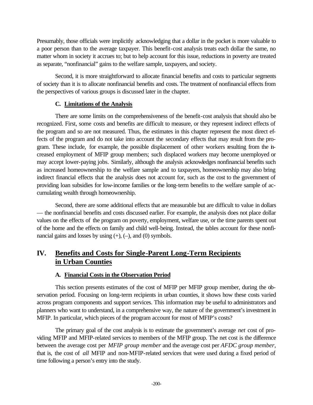Presumably, those officials were implicitly acknowledging that a dollar in the pocket is more valuable to a poor person than to the average taxpayer. This benefit-cost analysis treats each dollar the same, no matter whom in society it accrues to; but to help account for this issue, reductions in poverty are treated as separate, "nonfinancial" gains to the welfare sample, taxpayers, and society.

Second, it is more straightforward to allocate financial benefits and costs to particular segments of society than it is to allocate nonfinancial benefits and costs. The treatment of nonfinancial effects from the perspectives of various groups is discussed later in the chapter.

## **C. Limitations of the Analysis**

There are some limits on the comprehensiveness of the benefit-cost analysis that should also be recognized. First, some costs and benefits are difficult to measure, or they represent indirect effects of the program and so are not measured. Thus, the estimates in this chapter represent the most direct effects of the program and do not take into account the secondary effects that may result from the program. These include, for example, the possible displacement of other workers resulting from the increased employment of MFIP group members; such displaced workers may become unemployed or may accept lower-paying jobs. Similarly, although the analysis acknowledges nonfinancial benefits such as increased homeownership to the welfare sample and to taxpayers, homeownership may also bring indirect financial effects that the analysis does not account for, such as the cost to the government of providing loan subsidies for low-income families or the long-term benefits to the welfare sample of accumulating wealth through homeownership.

Second, there are some additional effects that are measurable but are difficult to value in dollars — the nonfinancial benefits and costs discussed earlier. For example, the analysis does not place dollar values on the effects of the program on poverty, employment, welfare use, or the time parents spent out of the home and the effects on family and child well-being. Instead, the tables account for these nonfinancial gains and losses by using  $(+)$ ,  $(-)$ , and  $(0)$  symbols.

# **IV. Benefits and Costs for Single-Parent Long-Term Recipients in Urban Counties**

## **A. Financial Costs in the Observation Period**

This section presents estimates of the cost of MFIP per MFIP group member, during the observation period. Focusing on long-term recipients in urban counties, it shows how these costs varied across program components and support services. This information may be useful to administrators and planners who want to understand, in a comprehensive way, the nature of the government's investment in MFIP. In particular, which pieces of the program account for most of MFIP's costs?

The primary goal of the cost analysis is to estimate the government's average *net* cost of providing MFIP and MFIP-related services to members of the MFIP group. The net cost is the difference between the average cost per *MFIP group member* and the average cost per *AFDC group member,* that is, the cost of *all* MFIP and non-MFIP-related services that were used during a fixed period of time following a person's entry into the study.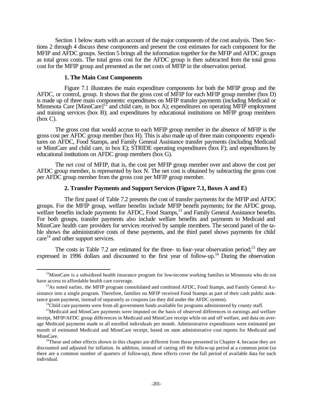Section 1 below starts with an account of the major components of the cost analysis. Then Sections 2 through 4 discuss these components and present the cost estimates for each component for the MFIP and AFDC groups. Section 5 brings all the information together for the MFIP and AFDC groups as total gross costs. The total gross cost for the AFDC group is then subtracted from the total gross cost for the MFIP group and presented as the net costs of MFIP in the observation period.

### **1. The Main Cost Components**

l

Figure 7.1 illustrates the main expenditure components for both the MFIP group and the AFDC, or control, group. It shows that the gross cost of MFIP for each MFIP group member (box D) is made up of three main components: expenditures on MFIP transfer payments (including Medicaid or Minnesota Care  $[\text{MinCare}]$ <sup>12</sup> and child care, in box A); expenditures on operating MFIP employment and training services (box B); and expenditures by educational institutions on MFIP group members  $(box C)$ .

The gross cost that would accrue to each MFIP group member in the absence of MFIP is the gross cost per AFDC group member (box H). This is also made up of three main components: expenditures on AFDC, Food Stamps, and Family General Assistance transfer payments (including Medicaid or MinnCare and child care, in box E); STRIDE operating expenditures (box F); and expenditures by educational institutions on AFDC group members (box G).

The *net cost* of MFIP, that is, the cost per MFIP group member over and above the cost per AFDC group member, is represented by box N. The net cost is obtained by subtracting the gross cost per AFDC group member from the gross cost per MFIP group member.

### **2. Transfer Payments and Support Services (Figure 7.1, Boxes A and E)**

The first panel of Table 7.2 presents the cost of transfer payments for the MFIP and AFDC groups. For the MFIP group, welfare benefits include MFIP benefit payments; for the AFDC group, welfare benefits include payments for AFDC, Food Stamps,<sup>13</sup> and Family General Assistance benefits. For both groups, transfer payments also include welfare benefits and payments to Medicaid and MinnCare health care providers for services received by sample members. The second panel of the table shows the administrative costs of these payments, and the third panel shows payments for child  $care<sup>14</sup>$  and other support services.

The costs in Table 7.2 are estimated for the three- to four-year observation period;<sup>15</sup> they are expressed in 1996 dollars and discounted to the first year of follow-up.<sup>16</sup> During the observation

<sup>&</sup>lt;sup>12</sup>MinnCare is a subsidized health insurance program for low-income working families in Minnesota who do not have access to affordable health care coverage.

<sup>&</sup>lt;sup>13</sup>As noted earlier, the MFIP program consolidated and combined AFDC, Food Stamps, and Family General Assistance into a single program. Therefore, families on MFIP received Food Stamps as part of their cash public assistance grant payment, instead of separately as coupons (as they did under the AFDC system).

 $<sup>14</sup>$ Child care payments were from all government funds available for programs administered by county staff.</sup>

<sup>&</sup>lt;sup>15</sup>Medicaid and MinnCare payments were imputed on the basis of observed differences in earnings and welfare receipt, MFIP/AFDC group differences in Medicaid and MinnCare receipt while on and off welfare, and data on average Medicaid payments made to all enrolled individuals per month. Administrative expenditures were estimated per month of estimated Medicaid and MinnCare receipt, based on state administrative cost reports for Medicaid and MinnCare.

 $^{16}$ These and other effects shown in this chapter are different from those presented in Chapter 4, because they are discounted and adjusted for inflation. In addition, instead of cutting off the follow-up period at a common point (so there are a common number of quarters of follow-up), these effects cover the full period of available data for each individual.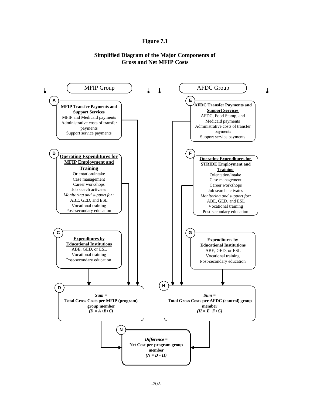#### **Figure 7.1**

### **Simplified Diagram of the Major Components of Gross and Net MFIP Costs**

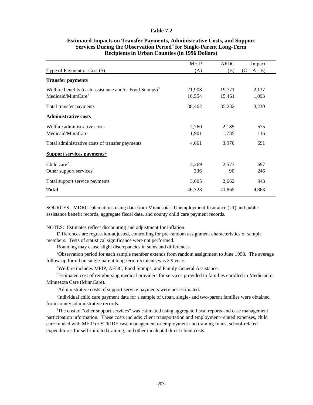|                                                                    | <b>MFIP</b> | <b>AFDC</b> | Impact        |
|--------------------------------------------------------------------|-------------|-------------|---------------|
| Type of Payment or Cost (\$)                                       | (A)         | (B)         | $(C = A - B)$ |
| <b>Transfer payments</b>                                           |             |             |               |
| Welfare benefits (cash assistance and/or Food Stamps) <sup>b</sup> | 21,908      | 19,771      | 2,137         |
| Medicaid/MinnCare <sup>c</sup>                                     | 16,554      | 15,461      | 1,093         |
| Total transfer payments                                            | 38,462      | 35,232      | 3,230         |
| <b>Administrative costs</b>                                        |             |             |               |
| Welfare administrative costs                                       | 2,760       | 2,185       | 575           |
| Medicaid/MinnCare                                                  | 1,901       | 1,785       | 116           |
| Total administrative costs of transfer payments                    | 4,661       | 3,970       | 691           |
| <b>Support services payments<sup>d</sup></b>                       |             |             |               |
| Child care <sup>e</sup>                                            | 3,269       | 2,573       | 697           |
| Other support services <sup>f</sup>                                | 336         | 90          | 246           |
| Total support service payments                                     | 3,605       | 2,662       | 943           |
| <b>Total</b>                                                       | 46,728      | 41,865      | 4,863         |

#### **Estimated Impacts on Transfer Payments, Administrative Costs, and Support Services During the Observation Period<sup>a</sup> for Single-Parent Long-Term Recipients in Urban Counties (in 1996 Dollars)**

SOURCES: MDRC calculations using data from Minnesota's Unemployment Insurance (UI) and public assistance benefit records, aggregate fiscal data, and county child care payment records.

NOTES: Estimates reflect discounting and adjustment for inflation.

 Differences are regression-adjusted, controlling for pre-random assignment characteristics of sample members. Tests of statistical significance were not performed.

Rounding may cause slight discrepancies in sums and differences.

<sup>a</sup>Observation period for each sample member extends from random assignment to June 1998. The average follow-up for urban single-parent long-term recipients was 3.9 years.

<sup>b</sup>Welfare includes MFIP, AFDC, Food Stamps, and Family General Assistance.

<sup>c</sup>Estimated cost of reimbursing medical providers for services provided to families enrolled in Medicaid or Minnesota Care (MinnCare).

<sup>d</sup>Administrative costs of support service payments were not estimated.

e Individual child care payment data for a sample of urban, single- and two-parent families were obtained from county administrative records.

<sup>f</sup>The cost of "other support services" was estimated using aggregate fiscal reports and case management participation information. These costs include: client transportation and employment-related expenses, child care funded with MFIP or STRIDE case management or employment and training funds, school-related expenditures for self-initiated training, and other incidental direct client costs.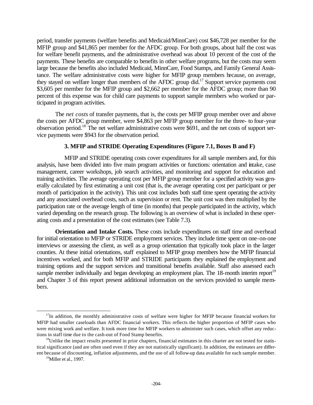period, transfer payments (welfare benefits and Medicaid/MinnCare) cost \$46,728 per member for the MFIP group and \$41,865 per member for the AFDC group. For both groups, about half the cost was for welfare benefit payments, and the administrative overhead was about 10 percent of the cost of the payments. These benefits are comparable to benefits in other welfare programs, but the costs may seem large because the benefits also included Medicaid, MinnCare, Food Stamps, and Family General Assistance. The welfare administrative costs were higher for MFIP group members because, on average, they stayed on welfare longer than members of the AFDC group did.<sup>17</sup> Support service payments cost \$3,605 per member for the MFIP group and \$2,662 per member for the AFDC group; more than 90 percent of this expense was for child care payments to support sample members who worked or participated in program activities.

The *net costs* of transfer payments, that is, the costs per MFIP group member over and above the costs per AFDC group member, were \$4,863 per MFIP group member for the three- to four-year observation period.<sup>18</sup> The net welfare administrative costs were \$691, and the net costs of support service payments were \$943 for the observation period.

### **3. MFIP and STRIDE Operating Expenditures (Figure 7.1, Boxes B and F)**

MFIP and STRIDE operating costs cover expenditures for all sample members and, for this analysis, have been divided into five main program activities or functions: orientation and intake, case management, career workshops, job search activities, and monitoring and support for education and training activities. The average operating cost per MFIP group member for a specified activity was generally calculated by first estimating a unit cost (that is, the average operating cost per participant or per month of participation in the activity). This unit cost includes both staff time spent operating the activity and any associated overhead costs, such as supervision or rent. The unit cost was then multiplied by the participation rate or the average length of time (in months) that people participated in the activity, which varied depending on the research group. The following is an overview of what is included in these operating costs and a presentation of the cost estimates (see Table 7.3).

**Orientation and Intake Costs.** These costs include expenditures on staff time and overhead for initial orientation to MFIP or STRIDE employment services. They include time spent on one-on-one interviews or assessing the client, as well as a group orientation that typically took place in the larger counties. At these initial orientations, staff explained to MFIP group members how the MFIP financial incentives worked, and for both MFIP and STRIDE participants they explained the employment and training options and the support services and transitional benefits available. Staff also assessed each sample member individually and began developing an employment plan. The 18-month interim report<sup>19</sup> and Chapter 3 of this report present additional information on the services provided to sample members.

<sup>&</sup>lt;sup>17</sup>In addition, the monthly administrative costs of welfare were higher for MFIP because financial workers for MFIP had smaller caseloads than AFDC financial workers. This reflects the higher proportion of MFIP cases who were mixing work and welfare. It took more time for MFIP workers to administer such cases, which offset any reductions in staff time due to the cash-out of Food Stamp benefits.

 $18$ Unlike the impact results presented in prior chapters, financial estimates in this charter are not tested for statistical significance (and are often used even if they are not statistically significant). In addition, the estimates are different because of discounting, inflation adjustments, and the use of all follow-up data available for each sample member.

 $19$ Miller et al., 1997.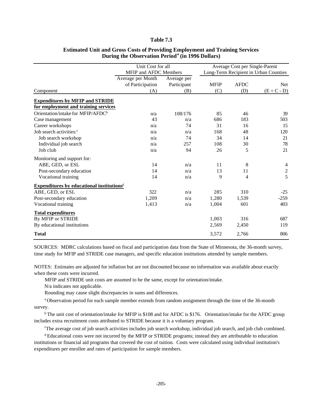|                                                       | Unit Cost for all     |             |                                       | Average Cost per Single-Parent |                                       |  |
|-------------------------------------------------------|-----------------------|-------------|---------------------------------------|--------------------------------|---------------------------------------|--|
|                                                       | MFIP and AFDC Members |             | Long-Term Recipient in Urban Counties |                                |                                       |  |
|                                                       | Average per Month     | Average per |                                       |                                |                                       |  |
|                                                       | of Participation      | Participant | <b>MFIP</b>                           | <b>AFDC</b>                    | <b>Net</b>                            |  |
| Component                                             | (A)                   | (B)         | (C)                                   | (D)                            | $(E = C - D)$                         |  |
| <b>Expenditures by MFIP and STRIDE</b>                |                       |             |                                       |                                |                                       |  |
| for employment and training services                  |                       |             |                                       |                                |                                       |  |
| Orientation/intake for MFIP/AFDC <sup>b</sup>         | n/a                   | 108/176     | 85                                    | 46                             | 39                                    |  |
| Case management                                       | 43                    | n/a         | 686                                   | 183                            | 503                                   |  |
| Career workshops                                      | n/a                   | 74          | 31                                    | 16                             | 15                                    |  |
| Job search activities: <sup>c</sup>                   | n/a                   | n/a         | 168                                   | 48                             | 120                                   |  |
| Job search workshop                                   | n/a                   | 74          | 34                                    | 14                             | 21                                    |  |
| Individual job search                                 | n/a                   | 257         | 108                                   | 30                             | 78                                    |  |
| Job club                                              | n/a                   | 94          | 26                                    | 5                              | 21                                    |  |
| Monitoring and support for:                           |                       |             |                                       |                                |                                       |  |
| ABE, GED, or ESL                                      | 14                    | n/a         | 11                                    | 8                              | $\overline{4}$                        |  |
| Post-secondary education                              | 14                    | n/a         | 13                                    | 11                             | $\begin{array}{c} 2 \\ 5 \end{array}$ |  |
| Vocational training                                   | 14                    | n/a         | 9                                     | 4                              |                                       |  |
| Expenditures by educational institutions <sup>d</sup> |                       |             |                                       |                                |                                       |  |
| ABE, GED, or ESL                                      | 322                   | n/a         | 285                                   | 310                            | $-25$                                 |  |
| Post-secondary education                              | 1,209                 | n/a         | 1,280                                 | 1,539                          | $-259$                                |  |
| Vocational training                                   | 1,413                 | n/a         | 1,004                                 | 601                            | 403                                   |  |
| <b>Total expenditures</b>                             |                       |             |                                       |                                |                                       |  |
| By MFIP or STRIDE                                     |                       |             | 1,003                                 | 316                            | 687                                   |  |
| By educational institutions                           |                       |             | 2,569                                 | 2,450                          | 119                                   |  |
| <b>Total</b>                                          |                       |             | 3,572                                 | 2,766                          | 806                                   |  |

#### **Estimated Unit and Gross Costs of Providing Employment and Training Services During the Observation Period<sup>a</sup> (in 1996 Dollars)**

SOURCES: MDRC calculations based on fiscal and participation data from the State of Minnesota, the 36-month survey, time study for MFIP and STRIDE case managers, and specific education institutions attended by sample members.

NOTES: Estimates are adjusted for inflation but are not discounted because no information was available about exactly when these costs were incurred.

MFIP and STRIDE unit costs are assumed to be the same, except for orientation/intake.

N/a indicates not applicable.

Rounding may cause slight discrepancies in sums and differences.

<sup>a</sup>Observation period for each sample member extends from random assignment through the time of the 36-month survey.

<sup>b</sup> The unit cost of orientation/intake for MFIP is \$108 and for AFDC is \$176. Orientation/intake for the AFDC group includes extra recruitment costs attributed to STRIDE because it is a voluntary program.

<sup>c</sup>The average cost of job search activities includes job search workshop, individual job search, and job club combined.

<sup>d</sup>Educational costs were not incurred by the MFIP or STRIDE programs; instead they are attributable to education institutions or financial aid programs that covered the cost of tuition. Costs were calculated using individual institution's expenditures per enrollee and rates of participation for sample members.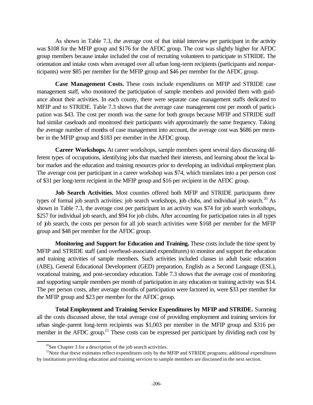As shown in Table 7.3, the average cost of that initial interview per participant in the activity was \$108 for the MFIP group and \$176 for the AFDC group. The cost was slightly higher for AFDC group members because intake included the cost of recruiting volunteers to participate in STRIDE. The orientation and intake costs when averaged over all urban long-term recipients (participants and nonparticipants) were \$85 per member for the MFIP group and \$46 per member for the AFDC group.

**Case Management Costs.** These costs include expenditures on MFIP and STRIDE case management staff, who monitored the participation of sample members and provided them with guidance about their activities. In each county, there were separate case management staffs dedicated to MFIP and to STRIDE. Table 7.3 shows that the average case management cost per month of participation was \$43. The cost per month was the same for both groups because MFIP and STRIDE staff had similar caseloads and monitored their participants with approximately the same frequency. Taking the average number of months of case management into account, the average cost was \$686 per member in the MFIP group and \$183 per member in the AFDC group.

**Career Workshops.** At career workshops, sample members spent several days discussing different types of occupations, identifying jobs that matched their interests, and learning about the local labor market and the education and training resources prior to developing an individual employment plan. The average cost per participant in a career workshop was \$74, which translates into a per person cost of \$31 per long-term recipient in the MFIP group and \$16 per recipient in the AFDC group.

**Job Search Activities.** Most counties offered both MFIP and STRIDE participants three types of formal job search activities: job search workshops, job clubs, and individual job search.<sup>20</sup> As shown in Table 7.3, the average cost per participant in an activity was \$74 for job search workshops, \$257 for individual job search, and \$94 for job clubs. After accounting for participation rates in all types of job search, the costs per person for all job search activities were \$168 per member for the MFIP group and \$48 per member for the AFDC group.

**Monitoring and Support for Education and Training.** These costs include the time spent by MFIP and STRIDE staff (and overhead-associated expenditures) to monitor and support the education and training activities of sample members. Such activities included classes in adult basic education (ABE), General Educational Development (GED) preparation, English as a Second Language (ESL), vocational training, and post-secondary education. Table 7.3 shows that the average cost of monitoring and supporting sample members per month of participation in any education or training activity was \$14. The per person costs, after average months of participation were factored in, were \$33 per member for the MFIP group and \$23 per member for the AFDC group.

**Total Employment and Training Service Expenditures by MFIP and STRIDE.** Summing all the costs discussed above, the total average cost of providing employment and training services for urban single-parent long-term recipients was \$1,003 per member in the MFIP group and \$316 per member in the AFDC group.<sup>21</sup> These costs can be expressed per participant by dividing each cost by

<sup>&</sup>lt;sup>20</sup>See Chapter 3 for a description of the job search activities.

<sup>&</sup>lt;sup>21</sup>Note that these estimates reflect expenditures only by the MFIP and STRIDE programs; additional expenditures by institutions providing education and training services to sample members are discussed in the next section.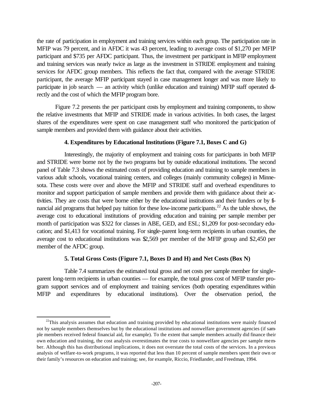the rate of participation in employment and training services within each group. The participation rate in MFIP was 79 percent, and in AFDC it was 43 percent, leading to average costs of \$1,270 per MFIP participant and \$735 per AFDC participant. Thus, the investment per participant in MFIP employment and training services was nearly twice as large as the investment in STRIDE employment and training services for AFDC group members. This reflects the fact that, compared with the average STRIDE participant, the average MFIP participant stayed in case management longer and was more likely to participate in job search — an activity which (unlike education and training) MFIP staff operated directly and the cost of which the MFIP program bore.

Figure 7.2 presents the per participant costs by employment and training components, to show the relative investments that MFIP and STRIDE made in various activities. In both cases, the largest shares of the expenditures were spent on case management staff who monitored the participation of sample members and provided them with guidance about their activities.

### **4. Expenditures by Educational Institutions (Figure 7.1, Boxes C and G)**

Interestingly, the majority of employment and training costs for participants in both MFIP and STRIDE were borne not by the two programs but by outside educational institutions. The second panel of Table 7.3 shows the estimated costs of providing education and training to sample members in various adult schools, vocational training centers, and colleges (mainly community colleges) in Minnesota. These costs were over and above the MFIP and STRIDE staff and overhead expenditures to monitor and support participation of sample members and provide them with guidance about their activities. They are costs that were borne either by the educational institutions and their funders or by financial aid programs that helped pay tuition for these low-income participants.<sup>22</sup> As the table shows, the average cost to educational institutions of providing education and training per sample member per month of participation was \$322 for classes in ABE, GED, and ESL; \$1,209 for post-secondary education; and \$1,413 for vocational training. For single-parent long-term recipients in urban counties, the average cost to educational institutions was \$2,569 per member of the MFIP group and \$2,450 per member of the AFDC group.

## **5. Total Gross Costs (Figure 7.1, Boxes D and H) and Net Costs (Box N)**

Table 7.4 summarizes the estimated total gross and net costs per sample member for singleparent long-term recipients in urban counties — for example, the total gross cost of MFIP transfer program support services and of employment and training services (both operating expenditures within MFIP and expenditures by educational institutions). Over the observation period, the

<sup>&</sup>lt;sup>22</sup>This analysis assumes that education and training provided by educational institutions were mainly financed not by sample members themselves but by the educational institutions and nonwelfare government agencies (if sample members received federal financial aid, for example). To the extent that sample members actually did finance their own education and training, the cost analysis overestimates the true costs to nonwelfare agencies per sample member. Although this has distributional implications, it does not overstate the total costs of the services. In a previous analysis of welfare-to-work programs, it was reported that less than 10 percent of sample members spent their own or their family's resources on education and training; see, for example, Riccio, Friedlander, and Freedman, 1994.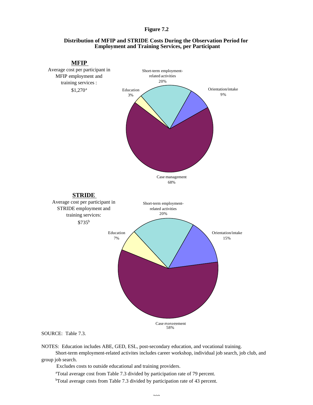#### **Figure 7.2**

#### **Distribution of MFIP and STRIDE Costs During the Observation Period for Employment and Training Services, per Participant**



SOURCE: Table 7.3.

NOTES: Education includes ABE, GED, ESL, post-secondary education, and vocational training.

 Short-term employment-related activites includes career workshop, individual job search, job club, and group job search.

Excludes costs to outside educational and training providers.

<sup>a</sup>Total average cost from Table 7.3 divided by participation rate of 79 percent.

<sup>b</sup>Total average costs from Table 7.3 divided by participation rate of 43 percent.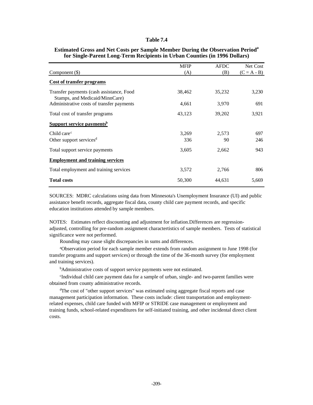|                                                                            | <b>MFIP</b> | <b>AFDC</b> | Net Cost      |
|----------------------------------------------------------------------------|-------------|-------------|---------------|
| Component $(\$)$                                                           | (A)         | (B)         | $(C = A - B)$ |
| Cost of transfer programs                                                  |             |             |               |
| Transfer payments (cash assistance, Food<br>Stamps, and Medicaid/MinnCare) | 38,462      | 35,232      | 3,230         |
| Administrative costs of transfer payments                                  | 4,661       | 3,970       | 691           |
| Total cost of transfer programs                                            | 43,123      | 39,202      | 3,921         |
| Support service payments <sup>b</sup>                                      |             |             |               |
| Child care <sup>c</sup>                                                    | 3,269       | 2,573       | 697           |
| Other support services <sup>d</sup>                                        | 336         | 90          | 246           |
| Total support service payments                                             | 3,605       | 2,662       | 943           |
| <b>Employment and training services</b>                                    |             |             |               |
| Total employment and training services                                     | 3,572       | 2,766       | 806           |
| <b>Total costs</b>                                                         | 50,300      | 44,631      | 5,669         |

#### **Estimated Gross and Net Costs per Sample Member During the Observation Period<sup>a</sup> for Single-Parent Long-Term Recipients in Urban Counties (in 1996 Dollars)**

SOURCES: MDRC calculations using data from Minnesota's Unemployment Insurance (UI) and public assistance benefit records, aggregate fiscal data, county child care payment records, and specific education institutions attended by sample members.

NOTES: Estimates reflect discounting and adjustment for inflation.Differences are regressionadjusted, controlling for pre-random assignment charactertistics of sample members. Tests of statistical significance were not performed.

Rounding may cause slight discrepancies in sums and differences.

<sup>a</sup>Observation period for each sample member extends from random assignment to June 1998 (for transfer programs and support services) or through the time of the 36-month survey (for employment and training services).

<sup>b</sup>Administrative costs of support service payments were not estimated.

c Individual child care payment data for a sample of urban, single- and two-parent families were obtained from county administrative records.

<sup>d</sup>The cost of "other support services" was estimated using aggregate fiscal reports and case management participation information. These costs include: client transportation and employmentrelated expenses, child care funded with MFIP or STRIDE case management or employment and training funds, school-related expenditures for self-initiated training, and other incidental direct client costs.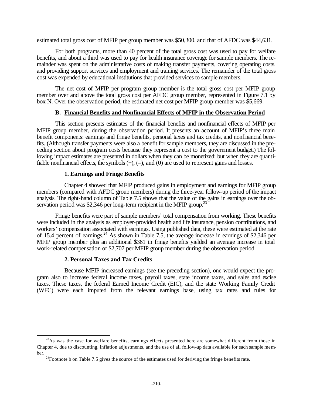estimated total gross cost of MFIP per group member was \$50,300, and that of AFDC was \$44,631.

For both programs, more than 40 percent of the total gross cost was used to pay for welfare benefits, and about a third was used to pay for health insurance coverage for sample members. The remainder was spent on the administrative costs of making transfer payments, covering operating costs, and providing support services and employment and training services. The remainder of the total gross cost was expended by educational institutions that provided services to sample members.

The net cost of MFIP per program group member is the total gross cost per MFIP group member over and above the total gross cost per AFDC group member, represented in Figure 7.1 by box N. Over the observation period, the estimated net cost per MFIP group member was \$5,669.

### **B. Financial Benefits and Nonfinancial Effects of MFIP in the Observation Period**

This section presents estimates of the financial benefits and nonfinancial effects of MFIP per MFIP group member, during the observation period. It presents an account of MFIP's three main benefit components: earnings and fringe benefits, personal taxes and tax credits, and nonfinancial benefits. (Although transfer payments were also a benefit for sample members, they are discussed in the preceding section about program costs because they represent a cost to the government budget.) The following impact estimates are presented in dollars when they can be monetized; but when they are quantifiable nonfinancial effects, the symbols  $(+)$ ,  $(-)$ , and  $(0)$  are used to represent gains and losses.

### **1. Earnings and Fringe Benefits**

Chapter 4 showed that MFIP produced gains in employment and earnings for MFIP group members (compared with AFDC group members) during the three-year follow-up period of the impact analysis. The right-hand column of Table 7.5 shows that the value of the gains in earnings over the observation period was \$2,346 per long-term recipient in the MFIP group.<sup>23</sup>

Fringe benefits were part of sample members' total compensation from working. These benefits were included in the analysis as employer-provided health and life insurance, pension contributions, and workers' compensation associated with earnings. Using published data, these were estimated at the rate of 15.4 percent of earnings.<sup>24</sup> As shown in Table 7.5, the average increase in earnings of \$2,346 per MFIP group member plus an additional \$361 in fringe benefits yielded an average increase in total work-related compensation of \$2,707 per MFIP group member during the observation period.

### **2. Personal Taxes and Tax Credits**

l

Because MFIP increased earnings (see the preceding section), one would expect the program also to increase federal income taxes, payroll taxes, state income taxes, and sales and excise taxes. These taxes, the federal Earned Income Credit (EIC), and the state Working Family Credit (WFC) were each imputed from the relevant earnings base, using tax rates and rules for

 $^{23}$ As was the case for welfare benefits, earnings effects presented here are somewhat different from those in Chapter 4, due to discounting, inflation adjustments, and the use of all follow-up data available for each sample member.

 $^{24}$ Footnote b on Table 7.5 gives the source of the estimates used for deriving the fringe benefits rate.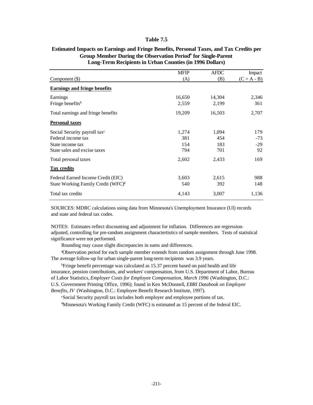|                                                                                                                    | <b>MFIP</b>                | <b>AFDC</b>                | Impact                      |
|--------------------------------------------------------------------------------------------------------------------|----------------------------|----------------------------|-----------------------------|
| Component $(\$)$                                                                                                   | (A)                        | (B)                        | $(C = A - B)$               |
| <b>Earnings and fringe benefits</b>                                                                                |                            |                            |                             |
| Earnings<br>Fringe benefits <sup>b</sup>                                                                           | 16,650<br>2,559            | 14,304<br>2,199            | 2,346<br>361                |
| Total earnings and fringe benefits                                                                                 | 19,209                     | 16,503                     | 2,707                       |
| <b>Personal taxes</b>                                                                                              |                            |                            |                             |
| Social Security payroll tax <sup>c</sup><br>Federal income tax<br>State income tax<br>State sales and excise taxes | 1,274<br>381<br>154<br>794 | 1,094<br>454<br>183<br>701 | 179<br>$-73$<br>$-29$<br>92 |
| Total personal taxes                                                                                               | 2,602                      | 2,433                      | 169                         |
| <b>Tax credits</b>                                                                                                 |                            |                            |                             |
| Federal Earned Income Credit (EIC)<br>State Working Family Credit (WFC) <sup>d</sup>                               | 3,603<br>540               | 2,615<br>392               | 988<br>148                  |
| Total tax credits                                                                                                  | 4,143                      | 3,007                      | 1,136                       |

#### **Estimated Impacts on Earnings and Fringe Benefits, Personal Taxes, and Tax Credits per Group Member During the Observation Period<sup>a</sup> for Single-Parent Long-Term Recipients in Urban Counties (in 1996 Dollars)**

SOURCES: MDRC calculations using data from Minnesota's Unemployment Insurance (UI) records and state and federal tax codes.

NOTES: Estimates reflect discounting and adjustment for inflation. Differences are regressionadjusted, controlling for pre-random assignment charactertistics of sample members. Tests of statistical significance were not performed.

Rounding may cause slight discrepancies in sums and differences.

<sup>a</sup>Observation period for each sample member extends from random assignment through June 1998. The average follow-up for urban single-parent long-term recipients was 3.9 years.

<sup>b</sup>Fringe benefit percentage was calculated as 15.37 percent based on paid health and life insurance, pension contributions, and workers' compensation, from U.S. Department of Labor, Bureau of Labor Statistics, *Employer Costs for Employee Compensation, March 1996* (Washington, D.C.: U.S. Government Printing Office, 1996); found in Ken McDonnell*, EBRI Databook on Employee Benefits, IV* (Washington, D.C.: Employee Benefit Research Institute, 1997).

<sup>c</sup>Social Security payroll tax includes both employer and employee portions of tax.

 $d$ Minnesota's Working Family Credit (WFC) is estimated as 15 percent of the federal EIC.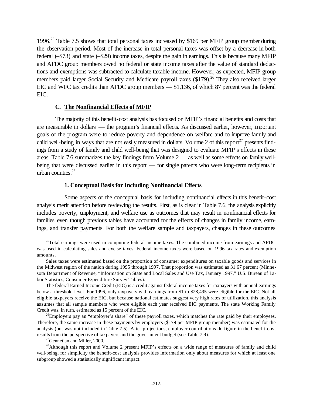1996.<sup>25</sup> Table 7.5 shows that total personal taxes increased by \$169 per MFIP group member during the observation period. Most of the increase in total personal taxes was offset by a decrease in both federal (–\$73) and state (–\$29) income taxes, despite the gain in earnings. This is because many MFIP and AFDC group members owed no federal or state income taxes after the value of standard deductions and exemptions was subtracted to calculate taxable income. However, as expected, MFIP group members paid larger Social Security and Medicare payroll taxes (\$179).<sup>26</sup> They also received larger EIC and WFC tax credits than AFDC group members — \$1,136, of which 87 percent was the federal EIC.

#### **C. The Nonfinancial Effects of MFIP**

The majority of this benefit-cost analysis has focused on MFIP's financial benefits and costs that are measurable in dollars — the program's financial effects. As discussed earlier, however, important goals of the program were to reduce poverty and dependence on welfare and to improve family and child well-being in ways that are not easily measured in dollars. Volume 2 of this report<sup>27</sup> presents findings from a study of family and child well-being that was designed to evaluate MFIP's effects in these areas. Table 7.6 summarizes the key findings from Volume 2 — as well as some effects on family wellbeing that were discussed earlier in this report — for single parents who were long-term recipients in urban counties.<sup>28</sup>

### **1. Conceptual Basis for Including Nonfinancial Effects**

Some aspects of the conceptual basis for including nonfinancial effects in this benefit-cost analysis merit attention before reviewing the results. First, as is clear in Table 7.6, the analysis explicitly includes poverty, employment, and welfare use as outcomes that may result in nonfinancial effects for families, even though previous tables have accounted for the effects of changes in family income, earnings, and transfer payments. For both the welfare sample and taxpayers, changes in these outcomes

 $^{25}$ Total earnings were used in computing federal income taxes. The combined income from earnings and AFDC was used in calculating sales and excise taxes. Federal income taxes were based on 1996 tax rates and exemption amounts.

Sales taxes were estimated based on the proportion of consumer expenditures on taxable goods and services in the Midwest region of the nation during 1995 through 1997. That proportion was estimated as 31.67 percent (Minnesota Department of Revenue, "Information on State and Local Sales and Use Tax, January 1997," U.S. Bureau of Labor Statistics, Consumer Expenditure Survey Tables).

The federal Earned Income Credit (EIC) is a credit against federal income taxes for taxpayers with annual earnings below a threshold level. For 1996, only taxpayers with earnings from \$1 to \$28,495 were eligible for the EIC. Not all eligible taxpayers receive the EIC, but because national estimates suggest very high rates of utilization, this analysis assumes that all sample members who were eligible each year received EIC payments. The state Working Family Credit was, in turn, estimated as 15 percent of the EIC.

 $^{26}$ Employers pay an "employer's share" of these payroll taxes, which matches the rate paid by their employees. Therefore, the same increase in these payments by employers (\$179 per MFIP group member) was estimated for the analysis (but was not included in Table 7.5). After projections, employer contributions do figure in the benefit-cost results from the perspective of taxpayers and the government budget (see Table 7.9).

<sup>27</sup>Gennetian and Miller, 2000.

<sup>&</sup>lt;sup>28</sup>Although this report and Volume 2 present MFIP's effects on a wide range of measures of family and child well-being, for simplicity the benefit-cost analysis provides information only about measures for which at least one subgroup showed a statistically significant impact.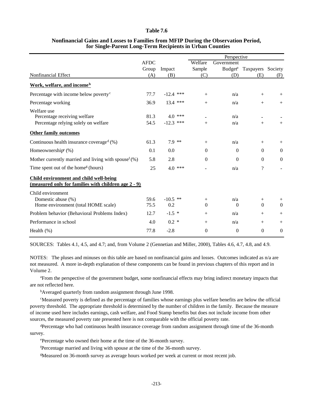|                                                                                                |             |             |           | Perspective |                            |                    |                  |
|------------------------------------------------------------------------------------------------|-------------|-------------|-----------|-------------|----------------------------|--------------------|------------------|
|                                                                                                | <b>AFDC</b> |             |           | Welfare     | Government                 |                    |                  |
|                                                                                                | Group       | Impact      |           | Sample      | <b>Budget</b> <sup>a</sup> | Taxpayers Society  |                  |
| Nonfinancial Effect                                                                            | (A)         | (B)         |           | (C)         | (D)                        | (E)                | (F)              |
| Work, welfare, and income <sup>b</sup>                                                         |             |             |           |             |                            |                    |                  |
| Percentage with income below poverty <sup>c</sup>                                              | 77.7        | $-12.4$ *** |           | $^{+}$      | n/a                        | $+$                | $^{+}$           |
| Percentage working                                                                             | 36.9        | 13.4 ***    |           | $+$         | n/a                        | $^{+}$             | $^{+}$           |
| Welfare use                                                                                    |             |             |           |             |                            |                    |                  |
| Percentage receiving welfare                                                                   | 81.3        |             | $4.0$ *** |             | n/a                        |                    |                  |
| Percentage relying solely on welfare                                                           | 54.5        | $-12.3$ *** |           | $+$         | n/a                        | $+$                | $+$              |
| <b>Other family outcomes</b>                                                                   |             |             |           |             |                            |                    |                  |
| Continuous health insurance coverage <sup>d</sup> (%)                                          | 61.3        | $7.9$ **    |           | $^{+}$      | n/a                        | $^{+}$             | $^{+}$           |
| Homeownership <sup>e</sup> $(\%)$                                                              | 0.1         | 0.0         |           | $\Omega$    | $\Omega$                   | $\Omega$           | $\theta$         |
| Mother currently married and living with spouse $(\%)$                                         | 5.8         | 2.8         |           | $\Omega$    | $\Omega$                   | $\Omega$           | $\Omega$         |
| Time spent out of the home <sup>g</sup> (hours)                                                | 25          |             | 4.0 ***   |             | n/a                        | $\overline{\cdot}$ |                  |
| Child environment and child well-being<br>(measured only for families with children age 2 - 9) |             |             |           |             |                            |                    |                  |
| Child environment                                                                              |             |             |           |             |                            |                    |                  |
| Domestic abuse (%)                                                                             | 59.6        | $-10.5$ **  |           | $^{+}$      | n/a                        | $^{+}$             | $^{+}$           |
| Home environment (total HOME scale)                                                            | 75.5        | 0.2         |           | $\theta$    | $\theta$                   | $\boldsymbol{0}$   | $\boldsymbol{0}$ |
| Problem behavior (Behavioral Problems Index)                                                   | 12.7        | $-1.5$ *    |           | $^{+}$      | n/a                        | $^{+}$             | $+$              |
| Performance in school                                                                          | 4.0         | $0.2*$      |           | $^{+}$      | n/a                        | $^{+}$             | $^{+}$           |
| Health $(\%)$                                                                                  | 77.8        | $-2.8$      |           | $\theta$    | $\overline{0}$             | $\theta$           | $\Omega$         |

### **Nonfinancial Gains and Losses to Families from MFIP During the Observation Period, for Single-Parent Long-Term Recipients in Urban Counties**

SOURCES: Tables 4.1, 4.5, and 4.7; and, from Volume 2 (Gennetian and Miller, 2000), Tables 4.6, 4.7, 4.8, and 4.9.

NOTES: The pluses and minuses on this table are based on nonfinancial gains and losses. Outcomes indicated as n/a are not measured. A more in-depth explanation of these components can be found in previous chapters of this report and in Volume 2.

<sup>a</sup>From the perspective of the government budget, some nonfinancial effects may bring indirect monetary impacts that are not reflected here.

bAveraged quarterly from random assignment through June 1998.

<sup>c</sup>Measured poverty is defined as the percentage of families whose earnings plus welfare benefits are below the official poverty threshold. The appropriate threshold is determined by the number of children in the family. Because the measure of income used here includes earnings, cash welfare, and Food Stamp benefits but does not include income from other sources, the measured poverty rate presented here is not comparable with the official poverty rate.

<sup>d</sup>Percentage who had continuous health insurance coverage from random assignment through time of the 36-month survey.

<sup>e</sup>Percentage who owned their home at the time of the 36-month survey.

<sup>f</sup>Percentage married and living with spouse at the time of the 36-month survey.

<sup>g</sup>Measured on 36-month survey as average hours worked per week at current or most recent job.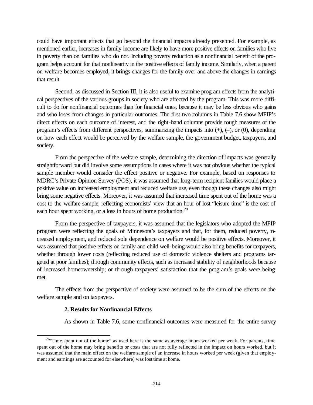could have important effects that go beyond the financial impacts already presented. For example, as mentioned earlier, increases in family income are likely to have more positive effects on families who live in poverty than on families who do not. Including poverty reduction as a nonfinancial benefit of the program helps account for that nonlinearity in the positive effects of family income. Similarly, when a parent on welfare becomes employed, it brings changes for the family over and above the changes in earnings that result.

Second, as discussed in Section III, it is also useful to examine program effects from the analytical perspectives of the various groups in society who are affected by the program. This was more difficult to do for nonfinancial outcomes than for financial ones, because it may be less obvious who gains and who loses from changes in particular outcomes. The first two columns in Table 7.6 show MFIP's direct effects on each outcome of interest, and the right-hand columns provide rough measures of the program's effects from different perspectives, summarizing the impacts into  $(+)$ ,  $(-)$ , or  $(0)$ , depending on how each effect would be perceived by the welfare sample, the government budget, taxpayers, and society.

From the perspective of the welfare sample, determining the direction of impacts was generally straightforward but did involve some assumptions in cases where it was not obvious whether the typical sample member would consider the effect positive or negative. For example, based on responses to MDRC's Private Opinion Survey (POS), it was assumed that long-term recipient families would place a positive value on increased employment and reduced welfare use, even though these changes also might bring some negative effects. Moreover, it was assumed that increased time spent out of the home was a cost to the welfare sample, reflecting economists' view that an hour of lost "leisure time" is the cost of each hour spent working, or a loss in hours of home production.<sup>29</sup>

From the perspective of taxpayers, it was assumed that the legislators who adopted the MFIP program were reflecting the goals of Minnesota's taxpayers and that, for them, reduced poverty, increased employment, and reduced sole dependence on welfare would be positive effects. Moreover, it was assumed that positive effects on family and child well-being would also bring benefits for taxpayers, whether through lower costs (reflecting reduced use of domestic violence shelters and programs targeted at poor families); through community effects, such as increased stability of neighborhoods because of increased homeownership; or through taxpayers' satisfaction that the program's goals were being met.

The effects from the perspective of society were assumed to be the sum of the effects on the welfare sample and on taxpayers.

### **2. Results for Nonfinancial Effects**

l

As shown in Table 7.6, some nonfinancial outcomes were measured for the entire survey

<sup>&</sup>lt;sup>29</sup>"Time spent out of the home" as used here is the same as average hours worked per week. For parents, time spent out of the home may bring benefits or costs that are not fully reflected in the impact on hours worked, but it was assumed that the main effect on the welfare sample of an increase in hours worked per week (given that employment and earnings are accounted for elsewhere) was lost time at home.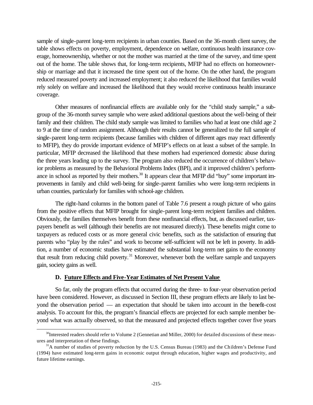sample of single-parent long-term recipients in urban counties. Based on the 36-month client survey, the table shows effects on poverty, employment, dependence on welfare, continuous health insurance coverage, homeownership, whether or not the mother was married at the time of the survey, and time spent out of the home. The table shows that, for long-term recipients, MFIP had no effects on homeownership or marriage and that it increased the time spent out of the home. On the other hand, the program reduced measured poverty and increased employment; it also reduced the likelihood that families would rely solely on welfare and increased the likelihood that they would receive continuous health insurance coverage.

Other measures of nonfinancial effects are available only for the "child study sample," a subgroup of the 36-month survey sample who were asked additional questions about the well-being of their family and their children. The child study sample was limited to families who had at least one child age 2 to 9 at the time of random assignment. Although their results cannot be generalized to the full sample of single-parent long-term recipients (because families with children of different ages may react differently to MFIP), they do provide important evidence of MFIP's effects on at least a subset of the sample. In particular, MFIP decreased the likelihood that these mothers had experienced domestic abuse during the three years leading up to the survey. The program also reduced the occurrence of children's behavior problems as measured by the Behavioral Problems Index (BPI), and it improved children's performance in school as reported by their mothers.<sup>30</sup> It appears clear that MFIP did "buy" some important improvements in family and child well-being for single-parent families who were long-term recipients in urban counties, particularly for families with school-age children.

The right-hand columns in the bottom panel of Table 7.6 present a rough picture of who gains from the positive effects that MFIP brought for single-parent long-term recipient families and children. Obviously, the families themselves benefit from these nonfinancial effects, but, as discussed earlier, taxpayers benefit as well (although their benefits are not measured directly). These benefits might come to taxpayers as reduced costs or as more general civic benefits, such as the satisfaction of ensuring that parents who "play by the rules" and work to become self-sufficient will not be left in poverty. In addition, a number of economic studies have estimated the substantial long-term net gains to the economy that result from reducing child poverty.<sup>31</sup> Moreover, whenever both the welfare sample and taxpayers gain, society gains as well.

### **D. Future Effects and Five-Year Estimates of Net Present Value**

l

So far, only the program effects that occurred during the three- to four-year observation period have been considered. However, as discussed in Section III, these program effects are likely to last beyond the observation period — an expectation that should be taken into account in the benefit-cost analysis. To account for this, the program's financial effects are projected for each sample member beyond what was actually observed, so that the measured and projected effects together cover five years

 $30$ Interested readers should refer to Volume 2 (Gennetian and Miller, 2000) for detailed discussions of these measures and interpretation of these findings.

 $31A$  number of studies of poverty reduction by the U.S. Census Bureau (1983) and the Children's Defense Fund (1994) have estimated long-term gains in economic output through education, higher wages and productivity, and future lifetime earnings.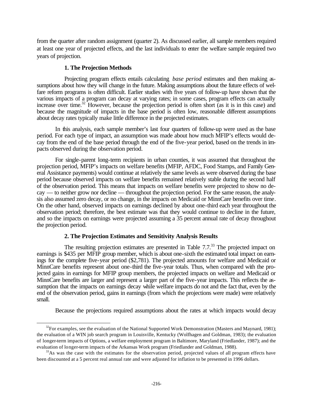from the quarter after random assignment (quarter 2). As discussed earlier, all sample members required at least one year of projected effects, and the last individuals to enter the welfare sample required two years of projection.

### **1. The Projection Methods**

l

Projecting program effects entails calculating *base period* estimates and then making assumptions about how they will change in the future. Making assumptions about the future effects of welfare reform programs is often difficult. Earlier studies with five years of follow-up have shown that the various impacts of a program can decay at varying rates; in some cases, program effects can actually increase over time.<sup>32</sup> However, because the projection period is often short (as it is in this case) and because the magnitude of impacts in the base period is often low, reasonable different assumptions about decay rates typically make little difference in the projected estimates.

In this analysis, each sample member's last four quarters of follow-up were used as the base period. For each type of impact, an assumption was made about how much MFIP's effects would decay from the end of the base period through the end of the five-year period, based on the trends in impacts observed during the observation period.

For single-parent long-term recipients in urban counties, it was assumed that throughout the projection period, MFIP's impacts on welfare benefits (MFIP, AFDC, Food Stamps, and Family General Assistance payments) would continue at relatively the same levels as were observed during the base period because observed impacts on welfare benefits remained relatively stable during the second half of the observation period. This means that impacts on welfare benefits were projected to show no decay — to neither grow nor decline — throughout the projection period. For the same reason, the analysis also assumed zero decay, or no change, in the impacts on Medicaid or MinnCare benefits over time. On the other hand, observed impacts on earnings declined by about one-third each year throughout the observation period; therefore, the best estimate was that they would continue to decline in the future, and so the impacts on earnings were projected assuming a 35 percent annual rate of decay throughout the projection period.

### **2. The Projection Estimates and Sensitivity Analysis Results**

The resulting projection estimates are presented in Table  $7.7<sup>33</sup>$  The projected impact on earnings is \$435 per MFIP group member, which is about one-sixth the estimated total impact on earnings for the complete five-year period (\$2,781). The projected amounts for welfare and Medicaid or MinnCare benefits represent about one-third the five-year totals. Thus, when compared with the projected gains in earnings for MFIP group members, the projected impacts on welfare and Medicaid or MinnCare benefits are larger and represent a larger part of the five-year impacts. This reflects the assumption that the impacts on earnings decay while welfare impacts do not and the fact that, even by the end of the observation period, gains in earnings (from which the projections were made) were relatively small.

Because the projections required assumptions about the rates at which impacts would decay

<sup>&</sup>lt;sup>32</sup>For examples, see the evaluation of the National Supported Work Demonstration (Masters and Maynard, 1981); the evaluation of a WIN job search program in Louisville, Kentucky (Wolfhagen and Goldman, 1983); the evaluation of longer-term impacts of Options, a welfare employment program in Baltimore, Maryland (Friedlander, 1987); and the evaluation of longer-term impacts of the Arkansas Work program (Friedlander and Goldman, 1988).

 $33$ As was the case with the estimates for the observation period, projected values of all program effects have been discounted at a 5 percent real annual rate and were adjusted for inflation to be presented in 1996 dollars.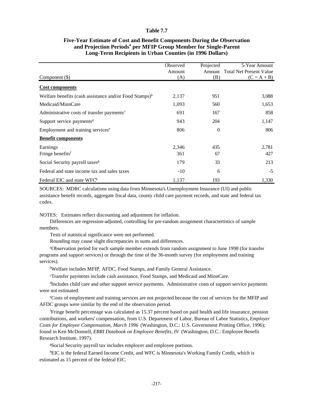| Component $(\$)$                                                   | Observed<br>Amount<br>(A) | Projected<br>Amount<br>(B) | 5-Year Amount<br><b>Total Net Present Value</b><br>$(C = A + B)$ |
|--------------------------------------------------------------------|---------------------------|----------------------------|------------------------------------------------------------------|
| <b>Cost components</b>                                             |                           |                            |                                                                  |
| Welfare benefits (cash assistance and/or Food Stamps) <sup>b</sup> | 2,137                     | 951                        | 3,088                                                            |
| Medicaid/MinnCare                                                  | 1,093                     | 560                        | 1,653                                                            |
| Administrative costs of transfer payments <sup>c</sup>             | 691                       | 167                        | 858                                                              |
| Support service payments <sup>d</sup>                              | 943                       | 204                        | 1,147                                                            |
| Employment and training services <sup>e</sup>                      | 806                       | $\Omega$                   | 806                                                              |
| <b>Benefit components</b>                                          |                           |                            |                                                                  |
| Earnings                                                           | 2,346                     | 435                        | 2,781                                                            |
| Fringe benefits <sup>f</sup>                                       | 361                       | 67                         | 427                                                              |
| Social Security payroll taxes <sup>g</sup>                         | 179                       | 33                         | 213                                                              |
| Federal and state income tax and sales taxes                       | $-10$                     | 6                          | $-5$                                                             |
| Federal EIC and state WFCh                                         | 1,137                     | 193                        | 1,330                                                            |

### **Five-Year Estimate of Cost and Benefit Components During the Observation and Projection Periods<sup>a</sup> per MFIP Group Member for Single-Parent Long-Term Recipients in Urban Counties (in 1996 Dollars)**

SOURCES: MDRC calculations using data from Minnesota's Unemployment Insurance (UI) and public assistance benefit records, aggregate fiscal data, county child care payment records, and state and federal tax codes.

NOTES: Estimates reflect discounting and adjustment for inflation.

 Differences are regression-adjusted, controlling for pre-random assignment charactertistics of sample members.

Tests of statistical significance were not performed.

Rounding may cause slight discrepancies in sums and differences.

<sup>a</sup>Observation period for each sample member extends from random assignment to June 1998 (for transfer programs and support services) or through the time of the 36-month survey (for employment and training services).

<sup>b</sup>Welfare includes MFIP, AFDC, Food Stamps, and Family General Assistance.

<sup>c</sup>Transfer payments include cash assistance, Food Stamps, and Medicaid and MinnCare.

<sup>d</sup>Includes child care and other support service payments. Administrative costs of support service payments were not estimated.

<sup>e</sup>Costs of employment and training services are not projected because the cost of services for the MFIP and AFDC groups were similar by the end of the observation period.

<sup>f</sup>Fringe benefit percentage was calculated as 15.37 percent based on paid health and life insurance, pension contributions, and workers' compensation, from U.S. Department of Labor, Bureau of Labor Statistics, *Employer Costs for Employee Compensation, March 1996* (Washington, D.C.: U.S. Government Printing Office, 1996); found in Ken McDonnell, *EBRI Databook on Employee Benefits, IV* (Washington, D.C.: Employee Benefit Research Institute, 1997).

<sup>g</sup>Social Security payroll tax includes employer and employee portions.

hEIC is the federal Earned Income Credit, and WFC is Minnesota's Working Family Credit, which is estimated as 15 percent of the federal EIC.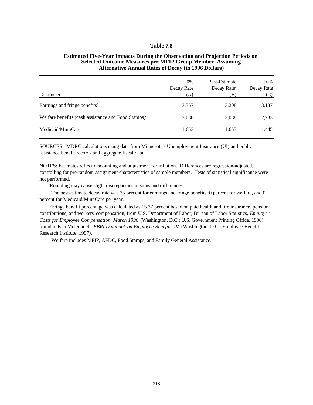#### **Estimated Five-Year Impacts During the Observation and Projection Periods on Selected Outcome Measures per MFIP Group Member, Assuming Alternative Annual Rates of Decay (in 1996 Dollars)**

| Component                                                       | $0\%$<br>Decay Rate<br>(A) | <b>Best-Estimate</b><br>Decay Rate <sup>a</sup><br>B) | 50%<br>Decay Rate |
|-----------------------------------------------------------------|----------------------------|-------------------------------------------------------|-------------------|
| Earnings and fringe benefits <sup>b</sup>                       | 3,367                      | 3,208                                                 | 3,137             |
| Welfare benefits (cash assistance and Food Stamps) <sup>c</sup> | 3,088                      | 3,088                                                 | 2,733             |
| Medicaid/MinnCare                                               | 1,653                      | 1,653                                                 | 1,445             |

SOURCES: MDRC calculations using data from Minnesota's Unemployment Insurance (UI) and public assistance benefit records and aggregate fiscal data.

NOTES: Estimates reflect discounting and adjustment for inflation. Differences are regression-adjusted, controlling for pre-random assignment charactertistics of sample members. Tests of statistical significance were not performed.

Rounding may cause slight discrepancies in sums and differences.

 $a<sup>a</sup>$ The best-estimate decay rate was 35 percent for earnings and fringe benefits, 0 percent for welfare, and 0 percent for Medicaid/MinnCare per year.

<sup>b</sup>Fringe benefit percentage was calculated as 15.37 percent based on paid health and life insurance, pension contributions, and workers' compensation, from U.S. Department of Labor, Bureau of Labor Statistics, *Employer Costs for Employee Compensation, March 1996* (Washington, D.C.: U.S. Government Printing Office, 1996); found in Ken McDonnell, *EBRI Databook on Employee Benefits, IV* (Washington, D.C.: Employee Benefit Research Institute, 1997).

cWelfare includes MFIP, AFDC, Food Stamps, and Family General Assistance.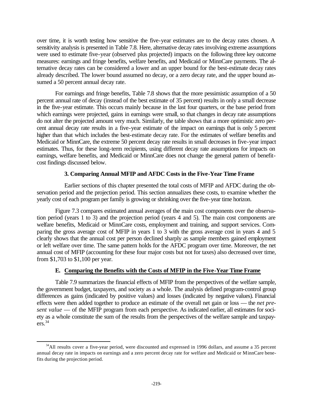over time, it is worth testing how sensitive the five-year estimates are to the decay rates chosen. A sensitivity analysis is presented in Table 7.8. Here, alternative decay rates involving extreme assumptions were used to estimate five-year (observed plus projected) impacts on the following three key outcome measures: earnings and fringe benefits, welfare benefits, and Medicaid or MinnCare payments. The alternative decay rates can be considered a lower and an upper bound for the best-estimate decay rates already described. The lower bound assumed no decay, or a zero decay rate, and the upper bound assumed a 50 percent annual decay rate.

For earnings and fringe benefits, Table 7.8 shows that the more pessimistic assumption of a 50 percent annual rate of decay (instead of the best estimate of 35 percent) results in only a small decrease in the five-year estimate. This occurs mainly because in the last four quarters, or the base period from which earnings were projected, gains in earnings were small, so that changes in decay rate assumptions do not alter the projected amount very much. Similarly, the table shows that a more optimistic zero percent annual decay rate results in a five-year estimate of the impact on earnings that is only 5 percent higher than that which includes the best-estimate decay rate. For the estimates of welfare benefits and Medicaid or MinnCare, the extreme 50 percent decay rate results in small decreases in five-year impact estimates. Thus, for these long-term recipients, using different decay rate assumptions for impacts on earnings, welfare benefits, and Medicaid or MinnCare does not change the general pattern of benefitcost findings discussed below.

### **3. Comparing Annual MFIP and AFDC Costs in the Five-Year Time Frame**

Earlier sections of this chapter presented the total costs of MFIP and AFDC during the observation period and the projection period. This section annualizes these costs, to examine whether the yearly cost of each program per family is growing or shrinking over the five-year time horizon.

Figure 7.3 compares estimated annual averages of the main cost components over the observation period (years 1 to 3) and the projection period (years 4 and 5). The main cost components are welfare benefits, Medicaid or MinnCare costs, employment and training, and support services. Comparing the gross average cost of MFIP in years 1 to 3 with the gross average cost in years 4 and 5 clearly shows that the annual cost per person declined sharply as sample members gained employment or left welfare over time. The same pattern holds for the AFDC program over time. Moreover, the net annual cost of MFIP (accounting for these four major costs but not for taxes) also decreased over time, from \$1,703 to \$1,100 per year.

#### **E. Comparing the Benefits with the Costs of MFIP in the Five-Year Time Frame**

Table 7.9 summarizes the financial effects of MFIP from the perspectives of the welfare sample, the government budget, taxpayers, and society as a whole. The analysis defined program-control group differences as gains (indicated by positive values) and losses (indicated by negative values). Financial effects were then added together to produce an estimate of the overall net gain or loss — the *net present value* — of the MFIP program from each perspective. As indicated earlier, all estimates for society as a whole constitute the sum of the results from the perspectives of the welfare sample and taxpay $ers.<sup>34</sup>$ 

 $34$ All results cover a five-year period, were discounted and expressed in 1996 dollars, and assume a 35 percent annual decay rate in impacts on earnings and a zero percent decay rate for welfare and Medicaid or MinnCare benefits during the projection period.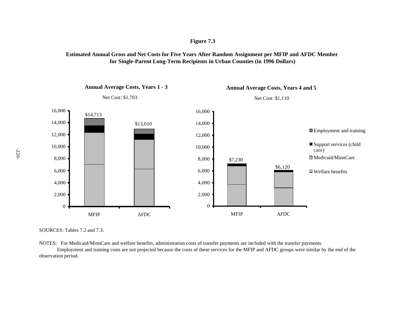**Figure 7.3**

### **Estimated Annual Gross and Net Costs for Five Years After Random Assignment per MFIP and AFDC Member for Single-Parent Long-Term Recipients in Urban Counties (in 1996 Dollars)**



NOTES: For Medicaid/MinnCare and welfare benefits, administration costs of transfer payments are included with the transfer payments.

 Employment and training costs are not projected because the costs of these services for the MFIP and AFDC groups were similar by the end of the observation period.

SOURCES: Tables 7.2 and 7.3.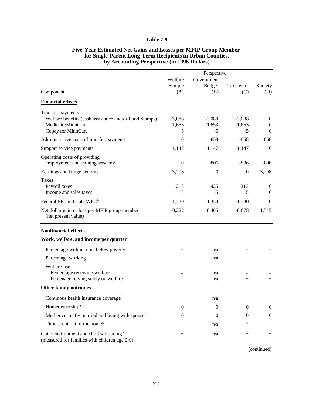|                                                                                                      |              | Perspective   |                  |                  |
|------------------------------------------------------------------------------------------------------|--------------|---------------|------------------|------------------|
|                                                                                                      | Welfare      | Government    |                  |                  |
|                                                                                                      | Sample       | <b>Budget</b> | Taxpayers        | Society          |
| Component                                                                                            | (A)          | (B)           | (C)              | (D)              |
| <b>Financial effects</b>                                                                             |              |               |                  |                  |
| Transfer payments                                                                                    |              |               |                  |                  |
| Welfare benefits (cash assistance and/or Food Stamps)                                                | 3,088        | $-3,088$      | $-3,088$         | 0                |
| Medicaid/MinnCare                                                                                    | 1,653        | $-1,653$      | $-1,653$         | $\theta$         |
| Copay for MinnCare                                                                                   | 5            | $-5$          | $-5$             | $\Omega$         |
| Administrative costs of transfer payments                                                            | $\mathbf{0}$ | $-858$        | $-858$           | $-858$           |
| Support service payments                                                                             | 1,147        | $-1,147$      | $-1,147$         | $\mathbf{0}$     |
| Operating costs of providing                                                                         |              |               |                  |                  |
| employment and training services <sup>a</sup>                                                        | $\Omega$     | $-806$        | $-806$           | $-806$           |
| Earnings and fringe benefits                                                                         | 3,208        | $\theta$      | $\boldsymbol{0}$ | 3,208            |
| Taxes                                                                                                |              |               |                  |                  |
| Payroll taxes                                                                                        | $-213$       | 425           | 213              | 0                |
| Income and sales taxes                                                                               | 5            | $-5$          | $-5$             | $\Omega$         |
| Federal EIC and state WFC <sup>b</sup>                                                               | 1,330        | $-1,330$      | $-1,330$         | $\Omega$         |
| Net dollar gain or loss per MFIP group member<br>(net present value)                                 | 10,222       | $-8,465$      | $-8,678$         | 1,545            |
| <b>Nonfinancial effects</b>                                                                          |              |               |                  |                  |
| Work, welfare, and income per quarter                                                                |              |               |                  |                  |
| Percentage with income below poverty <sup>c</sup>                                                    | $^{+}$       | n/a           | $^{+}$           | $^{+}$           |
| Percentage working                                                                                   | $^{+}$       | n/a           | $^{+}$           | $^{+}$           |
| Welfare use                                                                                          |              |               |                  |                  |
| Percentage receiving welfare                                                                         |              | n/a           |                  |                  |
| Percenage relying solely on welfare                                                                  | $\ddot{}$    | n/a           | $^{+}$           | $^{+}$           |
| <b>Other family outcomes</b>                                                                         |              |               |                  |                  |
| Continous health insurance coverage <sup>d</sup>                                                     | $^{+}$       | n/a           | $^{+}$           | $^{+}$           |
| Homeownershipe                                                                                       | 0            | $\Omega$      | 0                | $\boldsymbol{0}$ |
| Mother currently married and living with spouse <sup>f</sup>                                         | $\Omega$     | $\theta$      | 0                | $\mathbf{0}$     |
| Time spent out of the home <sup>g</sup>                                                              |              | n/a           | ?                |                  |
| Child environment and child well-being <sup>h</sup><br>(measured for families with children age 2-9) | $^{+}$       | n/a           | $^{+}$           | $^{+}$           |

#### **Five-Year Estimated Net Gains and Losses per MFIP Group Member for Single-Parent Long-Term Recipients in Urban Counties, by Accounting Perspective (in 1996 Dollars)**

(continued)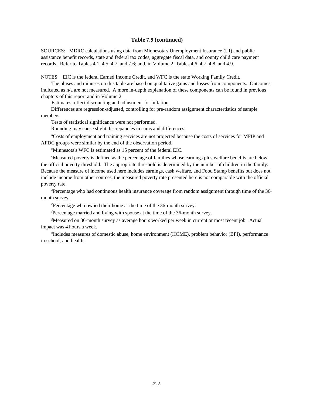#### **Table 7.9 (continued)**

SOURCES: MDRC calculations using data from Minnesota's Unemployment Insurance (UI) and public assistance benefit records, state and federal tax codes, aggregate fiscal data, and county child care payment records. Refer to Tables 4.1, 4.5, 4.7, and 7.6; and, in Volume 2, Tables 4.6, 4.7, 4.8, and 4.9.

NOTES: EIC is the federal Earned Income Credit, and WFC is the state Working Family Credit.

 The pluses and minuses on this table are based on qualitative gains and losses from components. Outcomes indicated as n/a are not measured. A more in-depth explanation of these components can be found in previous chapters of this report and in Volume 2.

Estimates reflect discounting and adjustment for inflation.

 Differences are regression-adjusted, controlling for pre-random assignment charactertistics of sample members.

Tests of statistical significance were not performed.

Rounding may cause slight discrepancies in sums and differences.

<sup>a</sup>Costs of employment and training services are not projected because the costs of services for MFIP and AFDC groups were similar by the end of the observation period.

bMinnesota's WFC is estimated as 15 percent of the federal EIC.

<sup>c</sup>Measured poverty is defined as the percentage of families whose earnings plus welfare benefits are below the official poverty threshold. The appropriate threshold is determined by the number of children in the family. Because the measure of income used here includes earnings, cash welfare, and Food Stamp benefits but does not include income from other sources, the measured poverty rate presented here is not comparable with the official poverty rate.

<sup>d</sup>Percentage who had continuous health insurance coverage from random assignment through time of the 36 month survey.

<sup>e</sup>Percentage who owned their home at the time of the 36-month survey.

<sup>f</sup>Percentage married and living with spouse at the time of the 36-month survey.

<sup>g</sup>Measured on 36-month survey as average hours worked per week in current or most recent job. Actual impact was 4 hours a week.

hIncludes measures of domestic abuse, home environment (HOME), problem behavior (BPI), performance in school, and health.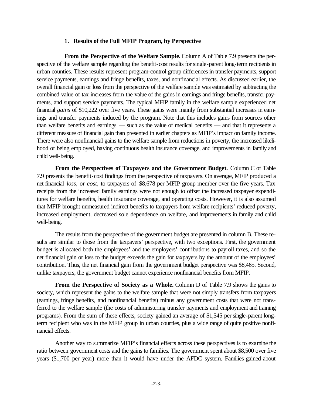### **1. Results of the Full MFIP Program, by Perspective**

**From the Perspective of the Welfare Sample.** Column A of Table 7.9 presents the perspective of the welfare sample regarding the benefit-cost results for single-parent long-term recipients in urban counties. These results represent program-control group differences in transfer payments, support service payments, earnings and fringe benefits, taxes, and nonfinancial effects. As discussed earlier, the overall financial gain or loss from the perspective of the welfare sample was estimated by subtracting the combined value of tax increases from the value of the gains in earnings and fringe benefits, transfer payments, and support service payments. The typical MFIP family in the welfare sample experienced net financial *gains* of \$10,222 over five years. These gains were mainly from substantial increases in earnings and transfer payments induced by the program. Note that this includes gains from sources other than welfare benefits and earnings — such as the value of medical benefits — and that it represents a different measure of financial gain than presented in earlier chapters as MFIP's impact on family income. There were also nonfinancial gains to the welfare sample from reductions in poverty, the increased likelihood of being employed, having continuous health insurance coverage, and improvements in family and child well-being.

**From the Perspectives of Taxpayers and the Government Budget.** Column C of Table 7.9 presents the benefit-cost findings from the perspective of taxpayers. On average, MFIP produced a net financial *loss,* or *cost,* to taxpayers of \$8,678 per MFIP group member over the five years. Tax receipts from the increased family earnings were not enough to offset the increased taxpayer expenditures for welfare benefits, health insurance coverage, and operating costs. However, it is also assumed that MFIP brought unmeasured indirect benefits to taxpayers from welfare recipients' reduced poverty, increased employment, decreased sole dependence on welfare, and improvements in family and child well-being.

The results from the perspective of the government budget are presented in column B. These results are similar to those from the taxpayers' perspective, with two exceptions. First, the government budget is allocated both the employees' and the employers' contributions to payroll taxes, and so the net financial gain or loss to the budget exceeds the gain for taxpayers by the amount of the employees' contribution. Thus, the net financial gain from the government budget perspective was \$8,465. Second, unlike taxpayers, the government budget cannot experience nonfinancial benefits from MFIP.

**From the Perspective of Society as a Whole.** Column D of Table 7.9 shows the gains to society, which represent the gains to the welfare sample that were not simply transfers from taxpayers (earnings, fringe benefits, and nonfinancial benefits) minus any government costs that were not transferred to the welfare sample (the costs of administering transfer payments and employment and training programs). From the sum of these effects, society gained an average of \$1,545 per single-parent longterm recipient who was in the MFIP group in urban counties, plus a wide range of quite positive nonfinancial effects.

Another way to summarize MFIP's financial effects across these perspectives is to examine the ratio between government costs and the gains to families. The government spent about \$8,500 over five years (\$1,700 per year) more than it would have under the AFDC system. Families gained about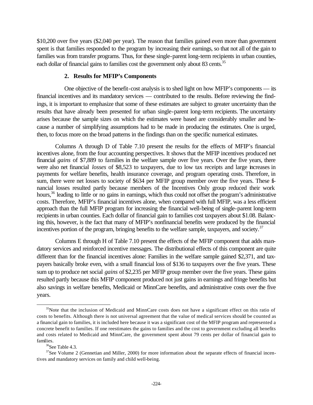\$10,200 over five years (\$2,040 per year). The reason that families gained even more than government spent is that families responded to the program by increasing their earnings, so that not all of the gain to families was from transfer programs. Thus, for these single-parent long-term recipients in urban counties, each dollar of financial gains to families cost the government only about 83 cents.<sup>35</sup>

### **2. Results for MFIP's Components**

One objective of the benefit-cost analysis is to shed light on how MFIP's components — its financial incentives and its mandatory services — contributed to the results. Before reviewing the findings, it is important to emphasize that some of these estimates are subject to greater uncertainty than the results that have already been presented for urban single-parent long-term recipients. The uncertainty arises because the sample sizes on which the estimates were based are considerably smaller and because a number of simplifying assumptions had to be made in producing the estimates. One is urged, then, to focus more on the broad patterns in the findings than on the specific numerical estimates.

Columns A through D of Table 7.10 present the results for the effects of MFIP's financial incentives alone, from the four accounting perspectives. It shows that the MFIP incentives produced net financial *gains* of \$7,889 to families in the welfare sample over five years. Over the five years, there were also net financial *losses* of \$8,523 to taxpayers, due to low tax receipts and large increases in payments for welfare benefits, health insurance coverage, and program operating costs. Therefore, in sum, there were net losses to society of \$634 per MFIP group member over the five years. These financial losses resulted partly because members of the Incentives Only group reduced their work hours,<sup>36</sup> leading to little or no gains in earnings, which thus could not offset the program's administrative costs. Therefore, MFIP's financial incentives alone, when compared with full MFIP, was a less efficient approach than the full MFIP program for increasing the financial well-being of single-parent long-term recipients in urban counties. Each dollar of financial gain to families cost taxpayers about \$1.08. Balancing this, however, is the fact that many of MFIP's nonfinancial benefits were produced by the financial incentives portion of the program, bringing benefits to the welfare sample, taxpayers, and society.<sup>37</sup>

Columns E through H of Table 7.10 present the effects of the MFIP component that adds mandatory services and reinforced incentive messages. The distributional effects of this component are quite different than for the financial incentives alone: Families in the welfare sample gained \$2,371, and taxpayers basically broke even, with a small financial loss of \$136 to taxpayers over the five years. These sum up to produce net social *gains* of \$2,235 per MFIP group member over the five years. These gains resulted partly because this MFIP component produced not just gains in earnings and fringe benefits but also savings in welfare benefits, Medicaid or MinnCare benefits, and administrative costs over the five years.

<sup>&</sup>lt;sup>35</sup>Note that the inclusion of Medicaid and MinnCare costs does not have a significant effect on this ratio of costs to benefits. Although there is not universal agreement that the value of medical services should be counted as a financial gain to families, it is included here because it was a significant cost of the MFIP program and represented a concrete benefit to families. If one reestimates the gains to families and the cost to government excluding all benefits and costs related to Medicaid and MinnCare, the government spent about 79 cents per dollar of financial gain to families.

<sup>&</sup>lt;sup>36</sup>See Table 4.3.

<sup>&</sup>lt;sup>37</sup>See Volume 2 (Gennetian and Miller, 2000) for more information about the separate effects of financial incentives and mandatory services on family and child well-being.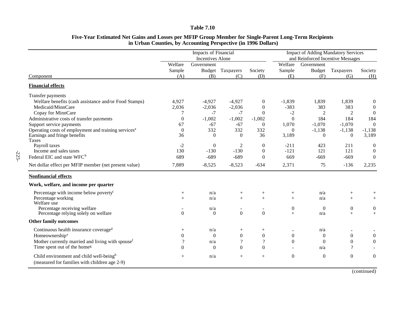|                                                                                                      | Impacts of Financial<br><b>Incentives Alone</b> |                |                          |                            | <b>Impact of Adding Mandatory Services</b><br>and Reinforced Incentive Messages |                  |                          |                  |
|------------------------------------------------------------------------------------------------------|-------------------------------------------------|----------------|--------------------------|----------------------------|---------------------------------------------------------------------------------|------------------|--------------------------|------------------|
|                                                                                                      | Welfare                                         | Government     |                          |                            | Welfare                                                                         | Government       |                          |                  |
|                                                                                                      | Sample                                          |                | Budget Taxpayers         | Society                    | Sample                                                                          | <b>Budget</b>    | Taxpayers                | Society          |
| Component                                                                                            | (A)                                             | (B)            | (C)                      | (D)                        | (E)                                                                             | (F)              | (G)                      | (H)              |
| <b>Financial effects</b>                                                                             |                                                 |                |                          |                            |                                                                                 |                  |                          |                  |
| <b>Transfer payments</b>                                                                             |                                                 |                |                          |                            |                                                                                 |                  |                          |                  |
| Welfare benefits (cash assistance and/or Food Stamps)                                                | 4,927                                           | $-4,927$       | $-4,927$                 | $\overline{0}$             | $-1,839$                                                                        | 1,839            | 1,839                    | $\boldsymbol{0}$ |
| Medicaid/MinnCare                                                                                    | 2,036                                           | $-2,036$       | $-2,036$                 | $\theta$                   | $-383$                                                                          | 383              | 383                      | $\boldsymbol{0}$ |
| Copay for MinnCare                                                                                   | 7                                               | $-7$           | $-7$                     | $\theta$                   | $-2$                                                                            | $\overline{2}$   | 2                        | $\boldsymbol{0}$ |
| Administrative costs of transfer payments                                                            | $\boldsymbol{0}$                                | $-1,002$       | $-1,002$                 | $-1,002$                   | $\overline{0}$                                                                  | 184              | 184                      | 184              |
| Support service payments                                                                             | 67                                              | $-67$          | $-67$                    | $\overline{0}$             | 1,070                                                                           | $-1,070$         | $-1,070$                 | $\theta$         |
| Operating costs of employment and training services <sup>a</sup>                                     | $\overline{0}$                                  | 332            | 332                      | 332                        | $\Omega$                                                                        | $-1,138$         | $-1,138$                 | $-1,138$         |
| Earnings and fringe benefits                                                                         | 36                                              | $\overline{0}$ | $\theta$                 | 36                         | 3,189                                                                           | $\boldsymbol{0}$ | $\overline{0}$           | 3,189            |
| Taxes                                                                                                |                                                 |                |                          |                            |                                                                                 |                  |                          |                  |
| Payroll taxes                                                                                        | -2                                              | $\overline{0}$ | 2                        | $\overline{0}$             | $-211$                                                                          | 423              | 211                      | $\boldsymbol{0}$ |
| Income and sales taxes                                                                               | 130                                             | $-130$         | $-130$                   | $\overline{0}$             | $-121$                                                                          | 121              | 121                      | $\boldsymbol{0}$ |
| Federal EIC and state WFC <sup>b</sup>                                                               | 689                                             | $-689$         | $-689$                   | $\overline{0}$             | 669                                                                             | $-669$           | $-669$                   | $\boldsymbol{0}$ |
| Net dollar effect per MFIP member (net present value)                                                | 7,889                                           | $-8,525$       | $-8,523$                 | $-634$                     | 2,371                                                                           | 75               | $-136$                   | 2,235            |
| <b>Nonfinancial effects</b>                                                                          |                                                 |                |                          |                            |                                                                                 |                  |                          |                  |
| Work, welfare, and income per quarter                                                                |                                                 |                |                          |                            |                                                                                 |                  |                          |                  |
| Percentage with income below poverty <sup>c</sup>                                                    | $^{+}$                                          | n/a            | $^{+}$                   | $^{+}$                     | $^{+}$                                                                          | n/a              | $+$                      | $^{+}$           |
| Percentage working                                                                                   | $+$                                             | n/a            | $+$                      | $+$                        | $+$                                                                             | n/a              | $+$                      | $+$              |
| Welfare use                                                                                          |                                                 |                |                          |                            |                                                                                 |                  |                          |                  |
| Percentage receiving welfare                                                                         |                                                 | n/a            | $\overline{\phantom{m}}$ | $\qquad \qquad -$          | $\boldsymbol{0}$                                                                | $\boldsymbol{0}$ | $\boldsymbol{0}$         | $\boldsymbol{0}$ |
| Percentage relying solely on welfare                                                                 | $\overline{0}$                                  | $\Omega$       | $\overline{0}$           | $\Omega$                   | $+$                                                                             | n/a              | $+$                      | $^{+}$           |
| <b>Other family outcomes</b>                                                                         |                                                 |                |                          |                            |                                                                                 |                  |                          |                  |
| Continuous health insurance coveraged                                                                | $^{+}$                                          | n/a            | $^{+}$                   | $^{+}$                     |                                                                                 | n/a              |                          |                  |
| Homeownership <sup>e</sup>                                                                           | $\Omega$                                        | $\Omega$       | $\Omega$                 | $\mathbf{0}$               | $\boldsymbol{0}$                                                                | $\overline{0}$   | $\overline{0}$           | $\boldsymbol{0}$ |
| Mother currently married and living with spouse <sup>f</sup>                                         | $\gamma$                                        | n/a            | $\gamma$                 | $\boldsymbol{\mathcal{P}}$ | $\Omega$                                                                        | $\Omega$         | $\overline{0}$           | $\theta$         |
| Time spent out of the home <sup>g</sup>                                                              | $\Omega$                                        | $\Omega$       | $\Omega$                 | $\Omega$                   |                                                                                 | n/a              | $\overline{\mathcal{L}}$ |                  |
| Child environment and child well-being <sup>h</sup><br>(measured for families with children age 2-9) | $^{+}$                                          | n/a            | $^{+}$                   | $\boldsymbol{+}$           | $\boldsymbol{0}$                                                                | $\boldsymbol{0}$ | $\boldsymbol{0}$         | $\boldsymbol{0}$ |
|                                                                                                      |                                                 |                |                          |                            |                                                                                 |                  |                          |                  |

#### **Five-Year Estimated Net Gains and Losses per MFIP Group Member for Single-Parent Long-Term Recipients in Urban Counties, by Accounting Perspective (in 1996 Dollars)**

(continued)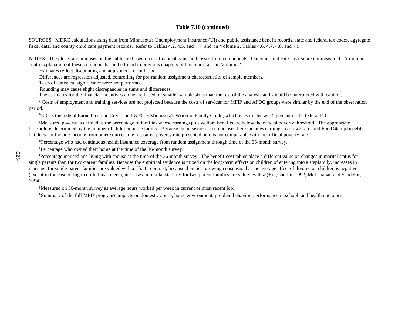#### **Table 7.10 (continued)**

SOURCES: MDRC calculations using data from Minnesota's Unemployment Insurance (UI) and public assistance benefit records, state and federal tax codes, aggregate fiscal data, and county child care payment records. Refer to Tables 4.2, 4.5, and 4.7; and, in Volume 2, Tables 4.6, 4.7, 4.8, and 4.9.

NOTES: The pluses and minuses on this table are based on nonfinancial gains and losses from components. Outcomes indicated as n/a are not measured. A more indepth explanation of these components can be found in previous chapters of this report and in Volume 2.

Estimates reflect discounting and adjustment for inflation.

Differences are regression-adjusted, controlling for pre-random assignment charactertistics of sample members.

Tests of statistical significance were not performed.

Rounding may cause slight discrepancies in sums and differences.

The estimates for the financial incentives alone are based on smaller sample sizes than the rest of the analysis and should be interpreted with caution.

<sup>a</sup> Costs of employment and training services are not projected because the costs of services for MFIP and AFDC groups were similar by the end of the observation period.

<sup>b</sup>EIC is the federal Earned Income Credit, and WFC is Minnesota's Working Family Credit, which is estimated as 15 percent of the federal EIC.

<sup>c</sup>Measured poverty is defined as the percentage of families whose earnings plus welfare benefits are below the official poverty threshold. The appropriate threshold is determined by the number of children in the family. Because the measure of income used here includes earnings, cash welfare, and Food Stamp benefits but does not include income from other sources, the measured poverty rate presented here is not comparable with the official poverty rate.

<sup>d</sup>Percentage who had continuous health insurance coverage from random assignment through time of the 36-month survey.

<sup>e</sup>Percentage who owned their home at the time of the 36-month survey.

<sup>f</sup>Percentage married and living with spouse at the time of the 36-month survey. The benefit-cost tables place a different value on changes in marital status for single parents than for two-parent families. Because the empirical evidence is mixed on the long-term effects on children of entering into a stepfamily, increases in marriage for single-parent families are valued with a (?). In contrast, because there is a growing consensus that the average effect of divorce on children is negative (except in the case of high-conflict marriages), increases in marital stability for two-parent families are valued with a (+) (Cherlin, 1992; McLanahan and Sandefur, 1994).

<sup>g</sup>Measured on 36-month survey as average hours worked per week in current or most recent job.

hSummary of the full MFIP program's impacts on domestic abuse, home environment, problem behavior, performance in school, and health outcomes.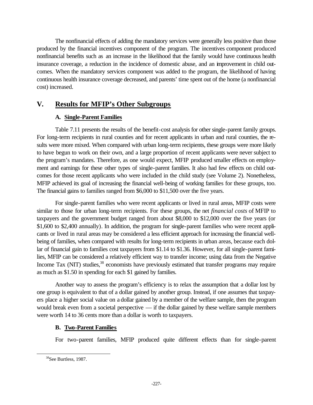The nonfinancial effects of adding the mandatory services were generally less positive than those produced by the financial incentives component of the program. The incentives component produced nonfinancial benefits such as an increase in the likelihood that the family would have continuous health insurance coverage, a reduction in the incidence of domestic abuse, and an improvement in child outcomes. When the mandatory services component was added to the program, the likelihood of having continuous health insurance coverage decreased, and parents' time spent out of the home (a nonfinancial cost) increased.

## **V. Results for MFIP's Other Subgroups**

## **A. Single-Parent Families**

Table 7.11 presents the results of the benefit-cost analysis for other single-parent family groups. For long-term recipients in rural counties and for recent applicants in urban and rural counties, the results were more mixed. When compared with urban long-term recipients, these groups were more likely to have begun to work on their own, and a large proportion of recent applicants were never subject to the program's mandates. Therefore, as one would expect, MFIP produced smaller effects on employment and earnings for these other types of single-parent families. It also had few effects on child outcomes for those recent applicants who were included in the child study (see Volume 2). Nonetheless, MFIP achieved its goal of increasing the financial well-being of working families for these groups, too. The financial gains to families ranged from \$6,000 to \$11,500 over the five years.

For single-parent families who were recent applicants or lived in rural areas, MFIP costs were similar to those for urban long-term recipients. For these groups, the net *financial costs* of MFIP to taxpayers and the government budget ranged from about \$8,000 to \$12,000 over the five years (or \$1,600 to \$2,400 annually). In addition, the program for single-parent families who were recent applicants or lived in rural areas may be considered a less efficient approach for increasing the financial wellbeing of families, when compared with results for long-term recipients in urban areas, because each dollar of financial gain to families cost taxpayers from \$1.14 to \$1.36. However, for all single-parent families, MFIP can be considered a relatively efficient way to transfer income; using data from the Negative Income Tax (NIT) studies,  $38$  economists have previously estimated that transfer programs may require as much as \$1.50 in spending for each \$1 gained by families.

Another way to assess the program's efficiency is to relax the assumption that a dollar lost by one group is equivalent to that of a dollar gained by another group. Instead, if one assumes that taxpayers place a higher social value on a dollar gained by a member of the welfare sample, then the program would break even from a societal perspective — if the dollar gained by these welfare sample members were worth 14 to 36 cents more than a dollar is worth to taxpayers.

## **B. Two-Parent Families**

For two-parent families, MFIP produced quite different effects than for single-parent

<sup>&</sup>lt;sup>38</sup>See Burtless, 1987.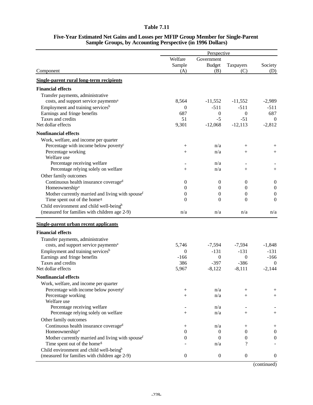|                                                   | Perspective        |                  |                  |                  |  |  |
|---------------------------------------------------|--------------------|------------------|------------------|------------------|--|--|
|                                                   | Welfare            | Government       |                  |                  |  |  |
|                                                   | Sample             | <b>Budget</b>    | Taxpayers        | Society          |  |  |
| Component                                         | (A)                | (B)              | (C)              | (D)              |  |  |
| <b>Single-parent rural long-term recipients</b>   |                    |                  |                  |                  |  |  |
| <b>Financial effects</b>                          |                    |                  |                  |                  |  |  |
| Transfer payments, administrative                 |                    |                  |                  |                  |  |  |
| costs, and support service payments <sup>a</sup>  | 8,564              | $-11,552$        | $-11,552$        | $-2,989$         |  |  |
| Employment and training services <sup>b</sup>     | $\overline{0}$     | $-511$           | $-511$           | $-511$           |  |  |
| Earnings and fringe benefits                      | 687                | $\boldsymbol{0}$ | $\overline{0}$   | 687              |  |  |
| Taxes and credits                                 | 51                 | $-5$             | $-51$            | $\overline{0}$   |  |  |
| Net dollar effects                                | 9,301              | $-12,068$        | $-12,113$        | $-2,812$         |  |  |
| <b>Nonfinancial effects</b>                       |                    |                  |                  |                  |  |  |
| Work, welfare, and income per quarter             |                    |                  |                  |                  |  |  |
| Percentage with income below poverty <sup>c</sup> | $^{+}$             | n/a              | $^{+}$           | $^+$             |  |  |
| Percentage working                                | $^{+}$             | n/a              | $^{+}$           | $+$              |  |  |
| Welfare use                                       |                    |                  |                  |                  |  |  |
| Percentage receiving welfare                      |                    | n/a              |                  |                  |  |  |
| Percentage relying solely on welfare              | $^{+}$             | n/a              | $^{+}$           | $^{+}$           |  |  |
| Other family outcomes                             |                    |                  |                  |                  |  |  |
| Continuous health insurance coveraged             | 0                  | $\overline{0}$   | $\theta$         | $\boldsymbol{0}$ |  |  |
| Homeownershipe                                    | 0                  | 0                | 0                | $\boldsymbol{0}$ |  |  |
| Mother currently married and living with spousef  | 0                  | $\mathbf{0}$     | $\overline{0}$   | $\boldsymbol{0}$ |  |  |
| Time spent out of the home <sup>g</sup>           | 0                  | $\theta$         | $\theta$         | $\Omega$         |  |  |
| Child environment and child well-beingh           |                    |                  |                  |                  |  |  |
| (measured for families with children age 2-9)     | n/a                | n/a              | n/a              | n/a              |  |  |
| Single-parent urban recent applicants             |                    |                  |                  |                  |  |  |
| <b>Financial effects</b>                          |                    |                  |                  |                  |  |  |
| Transfer payments, administrative                 |                    |                  |                  |                  |  |  |
| costs, and support service payments <sup>a</sup>  | 5,746              | $-7,594$         | $-7,594$         | $-1,848$         |  |  |
| Employment and training services <sup>b</sup>     | $\boldsymbol{0}$   | $-131$           | $-131$           | $-131$           |  |  |
| Earnings and fringe benefits                      | $-166$             | $\boldsymbol{0}$ | $\boldsymbol{0}$ | $-166$           |  |  |
| Taxes and credits                                 | 386                | $-397$           | $-386$           | $\mathbf{0}$     |  |  |
| Net dollar effects                                | 5,967              | $-8,122$         | $-8,111$         | $-2,144$         |  |  |
|                                                   |                    |                  |                  |                  |  |  |
| <b>Nonfinancial effects</b>                       |                    |                  |                  |                  |  |  |
| Work, welfare, and income per quarter             |                    |                  |                  |                  |  |  |
| Percentage with income below poverty $c$          | $^{+}$             | n/a              | $^{+}$           | $^+$             |  |  |
| Percentage working                                | $^{+}$             | n/a              | $^{+}$           | $^{+}$           |  |  |
| Welfare use                                       |                    |                  |                  |                  |  |  |
| Percentage receiving welfare                      |                    | n/a              |                  |                  |  |  |
| Percentage relying solely on welfare              | $^{+}$             | n/a              | $^{+}$           | $^{+}$           |  |  |
| Other family outcomes                             |                    |                  |                  |                  |  |  |
| Continuous health insurance coveraged             | $\hspace{0.1mm} +$ | n/a              | $^{+}$           | $^+$             |  |  |
| Homeownershipe                                    | 0                  | 0                | $\mathbf{0}$     | $\boldsymbol{0}$ |  |  |
| Mother currently married and living with spousef  | 0                  | 0                | 0                | $\mathbf{0}$     |  |  |
| Time spent out of the home <sup>g</sup>           |                    | n/a              | ?                |                  |  |  |
| Child environment and child well-beingh           |                    |                  |                  |                  |  |  |
| (measured for families with children age 2-9)     | $\boldsymbol{0}$   | $\boldsymbol{0}$ | $\boldsymbol{0}$ | 0                |  |  |
|                                                   |                    |                  |                  | (continued)      |  |  |

#### **Five-Year Estimated Net Gains and Losses per MFIP Group Member for Single-Parent Sample Groups, by Accounting Perspective (in 1996 Dollars)**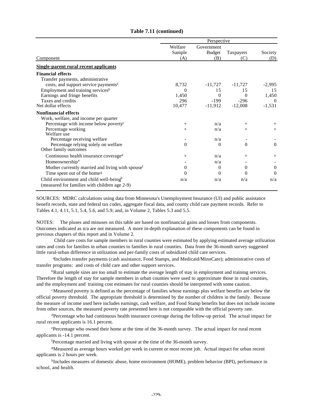|                                                              | Perspective              |                             |                  |                |  |
|--------------------------------------------------------------|--------------------------|-----------------------------|------------------|----------------|--|
| Component                                                    | Welfare<br>Sample<br>(A) | Government<br>Budget<br>(B) | Taxpayers<br>(C) | Society<br>(D) |  |
| <b>Single-parent rural recent applicants</b>                 |                          |                             |                  |                |  |
| <b>Financial effects</b>                                     |                          |                             |                  |                |  |
| Transfer payments, administrative                            |                          |                             |                  |                |  |
| costs, and support service payments <sup>a</sup>             | 8,732                    | $-11,727$                   | $-11,727$        | $-2,995$       |  |
| Employment and training services <sup>b</sup>                | $\Omega$                 | 15                          | 15               | 15             |  |
| Earnings and fringe benefits                                 | 1,450                    | $\Omega$                    | $\Omega$         | 1,450          |  |
| Taxes and credits                                            | 296                      | $-199$                      | $-296$           | $\Omega$       |  |
| Net dollar effects                                           | 10,477                   | $-11,912$                   | $-12,008$        | $-1,531$       |  |
| <b>Nonfinancial effects</b>                                  |                          |                             |                  |                |  |
| Work, welfare, and income per quarter                        |                          |                             |                  |                |  |
| Percentage with income below poverty <sup>c</sup>            | $+$                      | n/a                         | $+$              | $+$            |  |
| Percentage working                                           | $^{+}$                   | n/a                         | $^{+}$           | $+$            |  |
| Welfare use                                                  |                          |                             |                  |                |  |
| Percentage receiving welfare                                 |                          | n/a                         |                  |                |  |
| Percentage relying solely on welfare                         | $\theta$                 | $\Omega$                    | $\Omega$         | $\Omega$       |  |
| Other family outcomes                                        |                          |                             |                  |                |  |
| Continuous health insurance coveraged                        | $+$                      | n/a                         | $+$              | $^{+}$         |  |
| Homeownership <sup>e</sup>                                   |                          | n/a                         |                  |                |  |
| Mother currently married and living with spouse <sup>f</sup> | 0                        | $\Omega$                    | $\Omega$         | $\Omega$       |  |
| Time spent out of the home <sup>g</sup>                      | 0                        | $\Omega$                    | $\Omega$         | $\Omega$       |  |
| Child environment and child well-being <sup>h</sup>          | n/a                      | n/a                         | n/a              | n/a            |  |
| (measured for families with children age 2-9)                |                          |                             |                  |                |  |

#### **Table 7.11 (continued)**

SOURCES: MDRC calculations using data from Minnesota's Unemployment Insurance (UI) and public assistance benefit records, state and federal tax codes, aggregate fiscal data, and county child care payment records. Refer to Tables 4.1, 4.11, 5.1, 5.4, 5.6, and 5.9; and, in Volume 2, Tables 5.3 and 5.5.

NOTES: The pluses and minuses on this table are based on nonfinancial gains and losses from components. Outcomes indicated as n/a are not measured. A more in-depth explanation of these components can be found in previous chapters of this report and in Volume 2.

 Child care costs for sample members in rural counties were estimated by applying estimated average utilization rates and costs for families in urban counties to families in rural counties. Data from the 36-month survey suggested little rural-urban difference in utilization and per-family costs of subsidized child care services.

a Includes transfer payments (cash assistance, Food Stamps, and Medicaid/MinnCare); administrative costs of transfer programs; and costs of child care and other support services.

bRural sample sizes are too small to estimate the average length of stay in employment and training services. Therefore the length of stay for sample members in urban counties were used to approximate those in rural counties, and the employment and training cost estimates for rural counties should be interpreted with some caution.

<sup>c</sup>Measured poverty is defined as the percentage of families whose earnings plus welfare benefits are below the official poverty threshold. The appropriate threshold is determined by the number of children in the family. Because the measure of income used here includes earnings, cash welfare, and Food Stamp benefits but does not include income from other sources, the measured poverty rate presented here is not comparable with the official poverty rate.

 $\rm^d$ Percentage who had continuous health insurance coverage during the follow-up period. The actual impact for rural recent applicants is 16.1 percent.

<sup>e</sup>Percentage who owned their home at the time of the 36-month survey. The actual impact for rural recent applicants is -14.1 percent.

<sup>f</sup>Percentage married and living with spouse at the time of the 36-month survey.

<sup>g</sup>Measured as average hours worked per week in current or most recent job. Actual impact for urban recent applicants is 2 hours per week.

hIncludes measures of domestic abuse, home environment (HOME), problem behavior (BPI), performance in school, and health.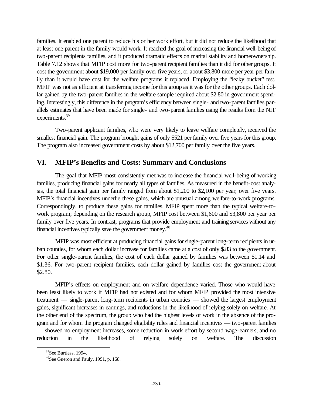families. It enabled one parent to reduce his or her work effort, but it did not reduce the likelihood that at least one parent in the family would work. It reached the goal of increasing the financial well-being of two-parent recipients families, and it produced dramatic effects on marital stability and homeownership. Table 7.12 shows that MFIP cost more for two-parent recipient families than it did for other groups. It cost the government about \$19,000 per family over five years, or about \$3,800 more per year per family than it would have cost for the welfare programs it replaced. Employing the "leaky bucket" test, MFIP was not as efficient at transferring income for this group as it was for the other groups. Each dollar gained by the two-parent families in the welfare sample required about \$2.80 in government spending. Interestingly, this difference in the program's efficiency between single- and two-parent families parallels estimates that have been made for single- and two-parent families using the results from the NIT experiments.<sup>39</sup>

Two-parent applicant families, who were very likely to leave welfare completely, received the smallest financial gain. The program brought gains of only \$521 per family over five years for this group. The program also increased government costs by about \$12,700 per family over the five years.

# **VI. MFIP's Benefits and Costs: Summary and Conclusions**

The goal that MFIP most consistently met was to increase the financial well-being of working families, producing financial gains for nearly all types of families. As measured in the benefit-cost analysis, the total financial gain per family ranged from about \$1,200 to \$2,100 per year, over five years. MFIP's financial incentives underlie these gains, which are unusual among welfare-to-work programs. Correspondingly, to produce these gains for families, MFIP spent more than the typical welfare-towork program; depending on the research group, MFIP cost between \$1,600 and \$3,800 per year per family over five years. In contrast, programs that provide employment and training services without any financial incentives typically save the government money.<sup>40</sup>

MFIP was most efficient at producing financial gains for single-parent long-term recipients in urban counties, for whom each dollar increase for families came at a cost of only \$.83 to the government. For other single-parent families, the cost of each dollar gained by families was between \$1.14 and \$1.36. For two-parent recipient families, each dollar gained by families cost the government about \$2.80.

MFIP's effects on employment and on welfare dependence varied. Those who would have been least likely to work if MFIP had not existed and for whom MFIP provided the most intensive treatment — single-parent long-term recipients in urban counties — showed the largest employment gains, significant increases in earnings, and reductions in the likelihood of relying solely on welfare. At the other end of the spectrum, the group who had the highest levels of work in the absence of the program and for whom the program changed eligibility rules and financial incentives — two-parent families — showed no employment increases, some reduction in work effort by second wage-earners, and no reduction in the likelihood of relying solely on welfare. The discussion

l

<sup>39</sup>See Burtless, 1994.

 $^{40}$ See Gueron and Pauly, 1991, p. 168.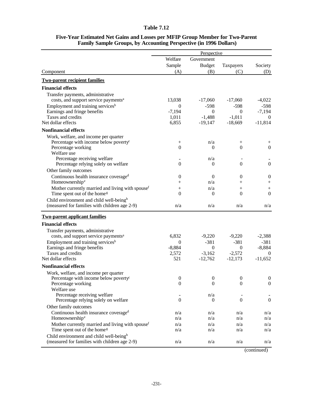### **Table 7.12**

|                                                              | Perspective      |                  |                    |                  |  |  |
|--------------------------------------------------------------|------------------|------------------|--------------------|------------------|--|--|
|                                                              | Welfare          | Government       |                    |                  |  |  |
|                                                              | Sample           | <b>Budget</b>    | Taxpayers          | Society          |  |  |
| Component                                                    | (A)              | (B)              | (C)                | (D)              |  |  |
| <b>Two-parent recipient families</b>                         |                  |                  |                    |                  |  |  |
| <b>Financial effects</b>                                     |                  |                  |                    |                  |  |  |
| Transfer payments, administrative                            |                  |                  |                    |                  |  |  |
| costs, and support service payments <sup>a</sup>             | 13,038           | $-17,060$        | $-17,060$          | $-4,022$         |  |  |
| Employment and training services <sup>b</sup>                | $\theta$         | $-598$           | $-598$             | $-598$           |  |  |
| Earnings and fringe benefits                                 | $-7,194$         | $\boldsymbol{0}$ | $\boldsymbol{0}$   | $-7,194$         |  |  |
| Taxes and credits                                            | 1,011            | $-1,488$         | $-1,011$           | $\theta$         |  |  |
| Net dollar effects                                           | 6,855            | $-19,147$        | $-18,669$          | $-11,814$        |  |  |
| <b>Nonfinancial effects</b>                                  |                  |                  |                    |                  |  |  |
| Work, welfare, and income per quarter                        |                  |                  |                    |                  |  |  |
| Percentage with income below poverty <sup>c</sup>            | $\mathrm{+}$     | n/a              | $^{+}$             | $^{+}$           |  |  |
| Percentage working                                           | $\overline{0}$   | $\mathbf{0}$     | $\overline{0}$     | $\mathbf{0}$     |  |  |
| Welfare use                                                  |                  |                  |                    |                  |  |  |
| Percentage receiving welfare                                 |                  | n/a              |                    |                  |  |  |
| Percentage relying solely on welfare                         | $\theta$         | $\overline{0}$   | $\boldsymbol{0}$   | $\Omega$         |  |  |
| Other family outcomes                                        |                  |                  |                    |                  |  |  |
| Continuous health insurance coverage <sup>d</sup>            | 0                | $\mathbf{0}$     | 0                  | $\boldsymbol{0}$ |  |  |
| Homeownershipe                                               | $^+$             | n/a              | $\hspace{0.1mm} +$ | $\boldsymbol{+}$ |  |  |
| Mother currently married and living with spouse <sup>f</sup> | $^+$             | n/a              | $^{+}$             | $\boldsymbol{+}$ |  |  |
| Time spent out of the home <sup>g</sup>                      | $\theta$         | 0                | $\theta$           | $\theta$         |  |  |
| Child environment and child well-being <sup>h</sup>          |                  |                  |                    |                  |  |  |
| (measured for families with children age 2-9)                | n/a              | n/a              | n/a                | n/a              |  |  |
| <b>Two-parent applicant families</b>                         |                  |                  |                    |                  |  |  |
| <b>Financial effects</b>                                     |                  |                  |                    |                  |  |  |
| Transfer payments, administrative                            |                  |                  |                    |                  |  |  |
| costs, and support service payments <sup>a</sup>             | 6,832            | $-9,220$         | $-9,220$           | $-2,388$         |  |  |
| Employment and training services <sup>b</sup>                | $\overline{0}$   | $-381$           | $-381$             | $-381$           |  |  |
| Earnings and fringe benefits                                 | $-8,884$         | $\overline{0}$   | $\overline{0}$     | $-8,884$         |  |  |
| Taxes and credits                                            | 2,572            | $-3,162$         | $-2,572$           | $\theta$         |  |  |
| Net dollar effects                                           | 521              | $-12,762$        | $-12,173$          | $-11,652$        |  |  |
| <b>Nonfinancial effects</b>                                  |                  |                  |                    |                  |  |  |
| Work, welfare, and income per quarter                        |                  |                  |                    |                  |  |  |
| Percentage with income below poverty <sup>c</sup>            | $\boldsymbol{0}$ | $\boldsymbol{0}$ | $\boldsymbol{0}$   | $\boldsymbol{0}$ |  |  |
| Percentage working                                           | $\theta$         | $\boldsymbol{0}$ | $\boldsymbol{0}$   | $\boldsymbol{0}$ |  |  |
| Welfare use                                                  |                  |                  |                    |                  |  |  |
| Percentage receiving welfare                                 |                  | n/a              |                    |                  |  |  |
| Percentage relying solely on welfare                         | $\mathbf{0}$     | $\Omega$         | $\overline{0}$     | $\boldsymbol{0}$ |  |  |
| Other family outcomes                                        |                  |                  |                    |                  |  |  |
| Continuous health insurance coverage <sup>d</sup>            | n/a              | n/a              | n/a                | n/a              |  |  |
| Homeownershipe                                               | n/a              | n/a              | n/a                | n/a              |  |  |
| Mother currently married and living with spousef             | n/a              | n/a              | n/a                | n/a              |  |  |
| Time spent out of the home <sup>g</sup>                      | n/a              | n/a              | n/a                | n/a              |  |  |
| Child environment and child well-being <sup>h</sup>          |                  |                  |                    |                  |  |  |
| (measured for families with children age 2-9)                | n/a              | n/a              | n/a                | n/a              |  |  |

### **Five-Year Estimated Net Gains and Losses per MFIP Group Member for Two-Parent Family Sample Groups, by Accounting Perspective (in 1996 Dollars)**

(continued)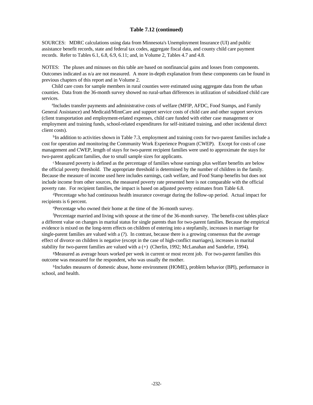#### **Table 7.12 (continued)**

SOURCES: MDRC calculations using data from Minnesota's Unemployment Insurance (UI) and public assistance benefit records, state and federal tax codes, aggregate fiscal data, and county child care payment records. Refer to Tables 6.1, 6.8, 6.9, 6.11; and, in Volume 2, Tables 4.7 and 4.8.

NOTES: The pluses and minuses on this table are based on nonfinancial gains and losses from components. Outcomes indicated as n/a are not measured. A more in-depth explanation from these components can be found in previous chapters of this report and in Volume 2.

 Child care costs for sample members in rural counties were estimated using aggregate data from the urban counties. Data from the 36-month survey showed no rural-urban differences in utilization of subsidized child care services.

<sup>a</sup>Includes transfer payments and administrative costs of welfare (MFIP, AFDC, Food Stamps, and Family General Assistance) and Medicaid/MinnCare and support service costs of child care and other support services (client transportation and employment-related expenses, child care funded with either case management or employment and training funds, school-related expenditures for self-initiated training, and other incidental direct client costs).

<sup>b</sup>In addition to activities shown in Table 7.3, employment and training costs for two-parent families include a cost for operation and monitoring the Community Work Experience Program (CWEP). Except for costs of case management and CWEP, length of stays for two-parent recipient families were used to approximate the stays for two-parent applicant families, due to small sample sizes for applicants.

<sup>c</sup>Measured poverty is defined as the percentage of families whose earnings plus welfare benefits are below the official poverty threshold. The appropriate threshold is determined by the number of children in the family. Because the measure of income used here includes earnings, cash welfare, and Food Stamp benefits but does not include income from other sources, the measured poverty rate presented here is not comparable with the official poverty rate. For recipient families, the impact is based on adjusted poverty estimates from Table 6.8.

<sup>d</sup>Percentage who had continuous health insurance coverage during the follow-up period. Actual impact for recipients is 6 percent.

<sup>e</sup>Percentage who owned their home at the time of the 36-month survey.

<sup>f</sup>Percentage married and living with spouse at the time of the 36-month survey. The benefit-cost tables place a different value on changes in marital status for single parents than for two-parent families. Because the empirical evidence is mixed on the long-term effects on children of entering into a stepfamily, increases in marriage for single-parent families are valued with a (?). In contrast, because there is a growing consensus that the average effect of divorce on children is negative (except in the case of high-conflict marriages), increases in marital stability for two-parent families are valued with a (+) (Cherlin, 1992; McLanahan and Sandefur, 1994).

<sup>g</sup>Measured as average hours worked per week in current or most recent job. For two-parent families this outcome was measured for the respondent, who was usually the mother.

hIncludes measures of domestic abuse, home environment (HOME), problem behavior (BPI), performance in school, and health.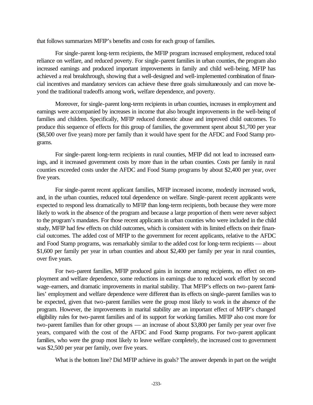that follows summarizes MFIP's benefits and costs for each group of families.

For single-parent long-term recipients, the MFIP program increased employment, reduced total reliance on welfare, and reduced poverty. For single-parent families in urban counties, the program also increased earnings and produced important improvements in family and child well-being. MFIP has achieved a real breakthrough, showing that a well-designed and well-implemented combination of financial incentives and mandatory services can achieve these three goals simultaneously and can move beyond the traditional tradeoffs among work, welfare dependence, and poverty.

Moreover, for single-parent long-term recipients in urban counties, increases in employment and earnings were accompanied by increases in income that also brought improvements in the well-being of families and children. Specifically, MFIP reduced domestic abuse and improved child outcomes. To produce this sequence of effects for this group of families, the government spent about \$1,700 per year (\$8,500 over five years) more per family than it would have spent for the AFDC and Food Stamp programs.

For single-parent long-term recipients in rural counties, MFIP did not lead to increased earnings, and it increased government costs by more than in the urban counties. Costs per family in rural counties exceeded costs under the AFDC and Food Stamp programs by about \$2,400 per year, over five years.

For single-parent recent applicant families, MFIP increased income, modestly increased work, and, in the urban counties, reduced total dependence on welfare. Single-parent recent applicants were expected to respond less dramatically to MFIP than long-term recipients, both because they were more likely to work in the absence of the program and because a large proportion of them were never subject to the program's mandates. For those recent applicants in urban counties who were included in the child study, MFIP had few effects on child outcomes, which is consistent with its limited effects on their financial outcomes. The added cost of MFIP to the government for recent applicants, relative to the AFDC and Food Stamp programs, was remarkably similar to the added cost for long-term recipients — about \$1,600 per family per year in urban counties and about \$2,400 per family per year in rural counties, over five years.

For two-parent families, MFIP produced gains in income among recipients, no effect on employment and welfare dependence, some reductions in earnings due to reduced work effort by second wage-earners, and dramatic improvements in marital stability. That MFIP's effects on two-parent families' employment and welfare dependence were different than its effects on single-parent families was to be expected, given that two-parent families were the group most likely to work in the absence of the program. However, the improvements in marital stability are an important effect of MFIP's changed eligibility rules for two-parent families and of its support for working families. MFIP also cost more for two-parent families than for other groups — an increase of about \$3,800 per family per year over five years, compared with the cost of the AFDC and Food Stamp programs. For two-parent applicant families, who were the group most likely to leave welfare completely, the increased cost to government was \$2,500 per year per family, over five years.

What is the bottom line? Did MFIP achieve its goals? The answer depends in part on the weight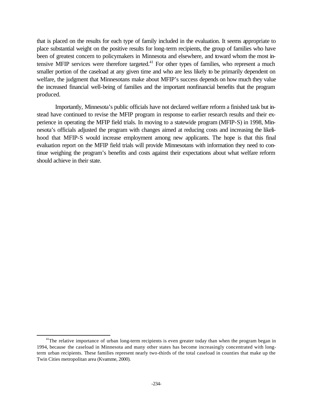that is placed on the results for each type of family included in the evaluation. It seems appropriate to place substantial weight on the positive results for long-term recipients, the group of families who have been of greatest concern to policymakers in Minnesota and elsewhere, and toward whom the most intensive MFIP services were therefore targeted.<sup>41</sup> For other types of families, who represent a much smaller portion of the caseload at any given time and who are less likely to be primarily dependent on welfare, the judgment that Minnesotans make about MFIP's success depends on how much they value the increased financial well-being of families and the important nonfinancial benefits that the program produced.

Importantly, Minnesota's public officials have not declared welfare reform a finished task but instead have continued to revise the MFIP program in response to earlier research results and their experience in operating the MFIP field trials. In moving to a statewide program (MFIP-S) in 1998, Minnesota's officials adjusted the program with changes aimed at reducing costs and increasing the likelihood that MFIP-S would increase employment among new applicants. The hope is that this final evaluation report on the MFIP field trials will provide Minnesotans with information they need to continue weighing the program's benefits and costs against their expectations about what welfare reform should achieve in their state.

l

 $41$ The relative importance of urban long-term recipients is even greater today than when the program began in 1994, because the caseload in Minnesota and many other states has become increasingly concentrated with longterm urban recipients. These families represent nearly two-thirds of the total caseload in counties that make up the Twin Cities metropolitan area (Kvamme, 2000).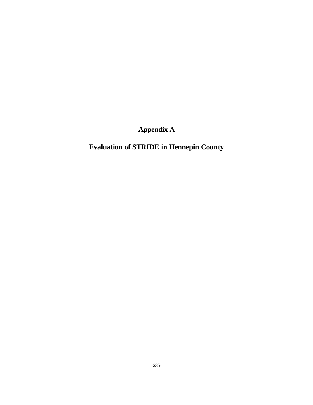**Appendix A**

**Evaluation of STRIDE in Hennepin County**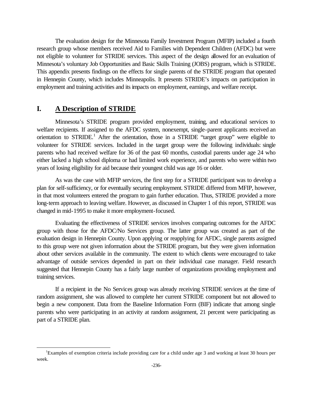The evaluation design for the Minnesota Family Investment Program (MFIP) included a fourth research group whose members received Aid to Families with Dependent Children (AFDC) but were not eligible to volunteer for STRIDE services. This aspect of the design allowed for an evaluation of Minnesota's voluntary Job Opportunities and Basic Skills Training (JOBS) program, which is STRIDE. This appendix presents findings on the effects for single parents of the STRIDE program that operated in Hennepin County, which includes Minneapolis. It presents STRIDE's impacts on participation in employment and training activities and its impacts on employment, earnings, and welfare receipt.

# **I. A Description of STRIDE**

l

Minnesota's STRIDE program provided employment, training, and educational services to welfare recipients. If assigned to the AFDC system, nonexempt, single-parent applicants received an orientation to STRIDE.<sup>1</sup> After the orientation, those in a STRIDE "target group" were eligible to volunteer for STRIDE services. Included in the target group were the following individuals: single parents who had received welfare for 36 of the past 60 months, custodial parents under age 24 who either lacked a high school diploma or had limited work experience, and parents who were within two years of losing eligibility for aid because their youngest child was age 16 or older.

As was the case with MFIP services, the first step for a STRIDE participant was to develop a plan for self-sufficiency, or for eventually securing employment. STRIDE differed from MFIP, however, in that most volunteers entered the program to gain further education. Thus, STRIDE provided a more long-term approach to leaving welfare. However, as discussed in Chapter 1 of this report, STRIDE was changed in mid-1995 to make it more employment-focused.

Evaluating the effectiveness of STRIDE services involves comparing outcomes for the AFDC group with those for the AFDC/No Services group. The latter group was created as part of the evaluation design in Hennepin County. Upon applying or reapplying for AFDC, single parents assigned to this group were not given information about the STRIDE program, but they were given information about other services available in the community. The extent to which clients were encouraged to take advantage of outside services depended in part on their individual case manager. Field research suggested that Hennepin County has a fairly large number of organizations providing employment and training services.

If a recipient in the No Services group was already receiving STRIDE services at the time of random assignment, she was allowed to complete her current STRIDE component but not allowed to begin a new component. Data from the Baseline Information Form (BIF) indicate that among single parents who were participating in an activity at random assignment, 21 percent were participating as part of a STRIDE plan.

<sup>&</sup>lt;sup>1</sup>Examples of exemption criteria include providing care for a child under age 3 and working at least 30 hours per week.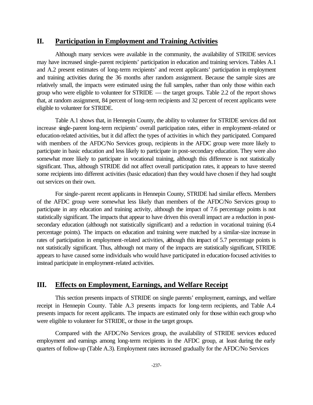# **II. Participation in Employment and Training Activities**

Although many services were available in the community, the availability of STRIDE services may have increased single-parent recipients' participation in education and training services. Tables A.1 and A.2 present estimates of long-term recipients' and recent applicants' participation in employment and training activities during the 36 months after random assignment. Because the sample sizes are relatively small, the impacts were estimated using the full samples, rather than only those within each group who were eligible to volunteer for STRIDE — the target groups. Table 2.2 of the report shows that, at random assignment, 84 percent of long-term recipients and 32 percent of recent applicants were eligible to volunteer for STRIDE.

Table A.1 shows that, in Hennepin County, the ability to volunteer for STRIDE services did not increase single-parent long-term recipients' overall participation rates, either in employment-related or education-related activities, but it did affect the types of activities in which they participated. Compared with members of the AFDC/No Services group, recipients in the AFDC group were more likely to participate in basic education and less likely to participate in post-secondary education. They were also somewhat more likely to participate in vocational training, although this difference is not statistically significant. Thus, although STRIDE did not affect overall participation rates, it appears to have steered some recipients into different activities (basic education) than they would have chosen if they had sought out services on their own.

For single-parent recent applicants in Hennepin County, STRIDE had similar effects. Members of the AFDC group were somewhat less likely than members of the AFDC/No Services group to participate in any education and training activity, although the impact of 7.6 percentage points is not statistically significant. The impacts that appear to have driven this overall impact are a reduction in postsecondary education (although not statistically significant) and a reduction in vocational training  $(6.4)$ percentage points). The impacts on education and training were matched by a similar-size increase in rates of participation in employment-related activities, although this impact of 5.7 percentage points is not statistically significant. Thus, although not many of the impacts are statistically significant, STRIDE appears to have caused some individuals who would have participated in education-focused activities to instead participate in employment-related activities.

# **III. Effects on Employment, Earnings, and Welfare Receipt**

This section presents impacts of STRIDE on single parents' employment, earnings, and welfare receipt in Hennepin County. Table A.3 presents impacts for long-term recipients, and Table A.4 presents impacts for recent applicants. The impacts are estimated only for those within each group who were eligible to volunteer for STRIDE, or those in the target groups.

Compared with the AFDC/No Services group, the availability of STRIDE services reduced employment and earnings among long-term recipients in the AFDC group, at least during the early quarters of follow-up (Table A.3). Employment rates increased gradually for the AFDC/No Services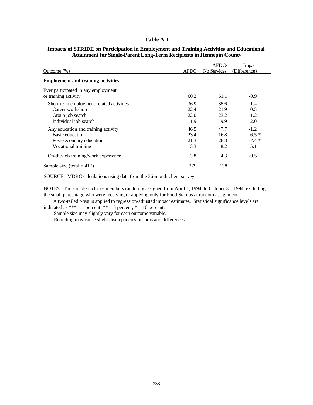|                                           |             | AFDC/       | Impact<br>(Difference) |
|-------------------------------------------|-------------|-------------|------------------------|
| Outcome $(\%)$                            | <b>AFDC</b> | No Services |                        |
| <b>Employment and training activities</b> |             |             |                        |
| Ever participated in any employment       |             |             |                        |
| or training activity                      | 60.2        | 61.1        | $-0.9$                 |
| Short-term employment-related activities  | 36.9        | 35.6        | 1.4                    |
| Career workshop                           | 22.4        | 21.9        | 0.5                    |
| Group job search                          | 22.0        | 23.2        | $-1.2$                 |
| Individual job search                     | 11.9        | 9.9         | 2.0                    |
| Any education and training activity       | 46.5        | 47.7        | $-1.2$                 |
| Basic education                           | 23.4        | 16.8        | $6.5*$                 |
| Post-secondary education                  | 21.3        | 28.8        | $-7.4*$                |
| Vocational training                       | 13.3        | 8.2         | 5.1                    |
| On-the-job training/work experience       | 3.8         | 4.3         | $-0.5$                 |
| Sample size (total $= 417$ )              | 279         | 138         |                        |

### **Impacts of STRIDE on Participation in Employment and Training Activities and Educational Attainment for Single-Parent Long-Term Recipients in Hennepin County**

SOURCE: MDRC calculations using data from the 36-month client survey.

NOTES: The sample includes members randomly assigned from April 1, 1994, to October 31, 1994, excluding the small percentage who were receiving or applying only for Food Stamps at random assignment.

 A two-tailed t-test is applied to regression-adjusted impact estimates. Statistical significance levels are indicated as  $*** = 1$  percent;  $** = 5$  percent;  $* = 10$  percent.

Sample size may slightly vary for each outcome variable.

Rounding may cause slight discrepancies in sums and differences.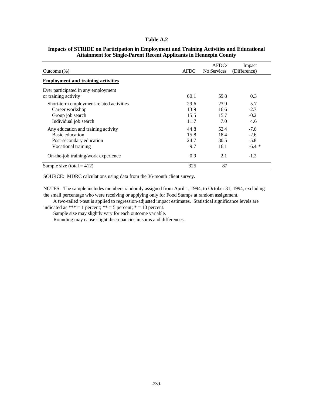| Outcome $(\%)$                                              | <b>AFDC</b> | AFDC/<br>No Services | Impact<br>(Difference) |
|-------------------------------------------------------------|-------------|----------------------|------------------------|
| <b>Employment and training activities</b>                   |             |                      |                        |
| Ever participated in any employment<br>or training activity | 60.1        | 59.8                 | 0.3                    |
| Short-term employment-related activities                    | 29.6        | 23.9                 | 5.7                    |
| Career workshop                                             | 13.9        | 16.6                 | $-2.7$                 |
| Group job search                                            | 15.5        | 15.7                 | $-0.2$                 |
| Individual job search                                       | 11.7        | 7.0                  | 4.6                    |
| Any education and training activity                         | 44.8        | 52.4                 | $-7.6$                 |
| Basic education                                             | 15.8        | 18.4                 | $-2.6$                 |
| Post-secondary education                                    | 24.7        | 30.5                 | $-5.8$                 |
| Vocational training                                         | 9.7         | 16.1                 | $-6.4$ *               |
| On-the-job training/work experience                         | 0.9         | 2.1                  | $-1.2$                 |
| Sample size (total $= 412$ )                                | 325         | 87                   |                        |

### **Impacts of STRIDE on Participation in Employment and Training Activities and Educational Attainment for Single-Parent Recent Applicants in Hennepin County**

SOURCE: MDRC calculations using data from the 36-month client survey.

NOTES: The sample includes members randomly assigned from April 1, 1994, to October 31, 1994, excluding the small percentage who were receiving or applying only for Food Stamps at random assignment.

 A two-tailed t-test is applied to regression-adjusted impact estimates. Statistical significance levels are indicated as  $*** = 1$  percent;  $** = 5$  percent;  $* = 10$  percent.

Sample size may slightly vary for each outcome variable.

Rounding may cause slight discrepancies in sums and differences.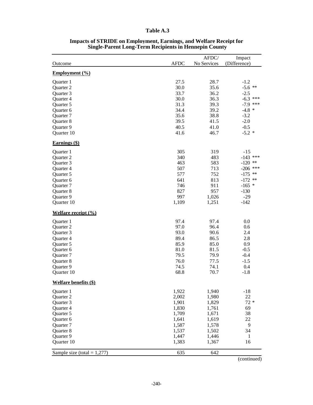| Outcome                         | <b>AFDC</b> | AFDC/<br>No Services | Impact<br>(Difference) |
|---------------------------------|-------------|----------------------|------------------------|
| Employment (%)                  |             |                      |                        |
|                                 |             |                      |                        |
| Quarter 1                       | 27.5        | 28.7                 | $-1.2$                 |
| Quarter 2                       | 30.0        | 35.6                 | $-5.6$ **              |
| Quarter 3                       | 33.7        | 36.2                 | $-2.5$                 |
| Quarter 4                       | 30.0        | 36.3                 | $-6.3$ ***             |
| Quarter 5                       | 31.3        | 39.3                 | $-7.9$ ***             |
| Quarter 6                       | 34.4        | 39.2                 | $-4.8$ *               |
| Quarter 7                       | 35.6        | 38.8                 | $-3.2$                 |
| Quarter 8                       | 39.5        | 41.5                 | $-2.0$                 |
| Quarter 9                       | 40.5        | 41.0                 | $-0.5$                 |
| Quarter 10                      | 41.6        | 46.7                 | $-5.2$ *               |
| <b>Earnings</b> (\$)            |             |                      |                        |
| Quarter 1                       | 305         | 319                  | $-15$                  |
| Quarter 2                       | 340         | 483                  | $-143$ ***             |
| Quarter 3                       | 463         | 583                  | $-120$ **              |
| Quarter 4                       | 507         | 713                  | $-206$ ***             |
| Quarter 5                       | 577         | 752                  | $-175$ **              |
| Quarter 6                       | 641         | 813                  | $-172$ **              |
| Quarter 7                       | 746         | 911                  | $-165$ *               |
| Quarter 8                       | 827         | 957                  | $-130$                 |
| Quarter 9                       | 997         | 1,026                | $-29$                  |
| Quarter 10                      | 1,109       | 1,251                | $-142$                 |
| Welfare receipt $(\frac{6}{6})$ |             |                      |                        |
| Quarter 1                       | 97.4        | 97.4                 | 0.0                    |
| Quarter 2                       | 97.0        | 96.4                 | 0.6                    |
| Quarter 3                       | 93.0        | 90.6                 | 2.4                    |
| Quarter 4                       | 89.4        | 86.5                 | 2.8                    |
| Quarter 5                       | 85.9        | 85.0                 | 0.9                    |
| Quarter 6                       | 81.0        | 81.5                 | $-0.5$                 |
| Quarter 7                       | 79.5        | 79.9                 | $-0.4$                 |
| Quarter 8                       | 76.0        | 77.5                 | $-1.5$                 |
| Quarter 9                       | 74.5        | 74.1                 | 0.4                    |
| Quarter 10                      | 68.8        | 70.7                 | $-1.8$                 |
| <b>Welfare benefits (\$)</b>    |             |                      |                        |
| Quarter 1                       | 1,922       | 1,940                | $-18$                  |
| Quarter 2                       | 2,002       | 1,980                | 22                     |
| Quarter 3                       | 1,901       | 1,829                | $72 *$                 |
| Quarter 4                       | 1,830       | 1,761                | 69                     |
| Quarter 5                       | 1,709       | 1,671                | 38                     |
| Quarter 6                       | 1,641       | 1,619                | 22                     |
| Quarter 7                       | 1,587       | 1,578                | 9                      |
| Quarter 8                       | 1,537       | 1,502                | 34                     |
| Quarter 9                       | 1,447       | 1,446                | 1                      |
| Quarter 10                      | 1,383       | 1,367                | 16                     |
| Sample size (total = $1,277$ )  | 635         | 642                  |                        |

#### **Impacts of STRIDE on Employment, Earnings, and Welfare Receipt for Single-Parent Long-Term Recipients in Hennepin County**

(continued)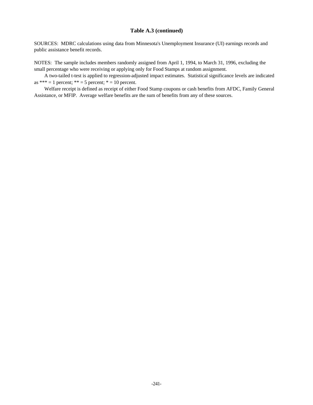### **Table A.3 (continued)**

SOURCES: MDRC calculations using data from Minnesota's Unemployment Insurance (UI) earnings records and public assistance benefit records.

NOTES: The sample includes members randomly assigned from April 1, 1994, to March 31, 1996, excluding the small percentage who were receiving or applying only for Food Stamps at random assignment.

 A two-tailed t-test is applied to regression-adjusted impact estimates. Statistical significance levels are indicated as \*\*\* = 1 percent; \*\* = 5 percent; \* = 10 percent.

 Welfare receipt is defined as receipt of either Food Stamp coupons or cash benefits from AFDC, Family General Assistance, or MFIP. Average welfare benefits are the sum of benefits from any of these sources.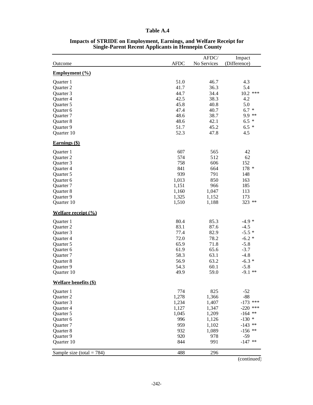| Outcome                         | <b>AFDC</b>  | AFDC/<br>No Services | Impact<br>(Difference) |
|---------------------------------|--------------|----------------------|------------------------|
| Employment (%)                  |              |                      |                        |
| Quarter 1                       | 51.0         | 46.7                 | 4.3                    |
| Quarter 2                       | 41.7         | 36.3                 | 5.4                    |
| Quarter 3                       | 44.7         | 34.4                 | $10.2$ ***             |
| Quarter 4                       | 42.5         | 38.3                 | 4.2                    |
| Quarter 5                       | 45.8         | 40.8                 | 5.0                    |
| Quarter 6                       | 47.4         | 40.7                 | $6.7 *$                |
| Quarter 7                       | 48.6         | 38.7                 | $9.9$ **               |
| Quarter 8                       | 48.6         | 42.1                 | $6.5 *$                |
| Quarter 9                       | 51.7         | 45.2                 | $6.5 *$                |
| Quarter 10                      | 52.3         | 47.8                 | 4.5                    |
| <b>Earnings</b> (\$)            |              |                      |                        |
| Quarter 1                       | 607          | 565                  | 42                     |
| Quarter 2                       | 574          | 512                  | 62                     |
| Quarter 3                       | 758          | 606                  | 152                    |
| Quarter 4                       | 841          | 664                  | 178 *                  |
| Quarter 5                       | 939          | 791                  | 148                    |
| Quarter 6                       | 1,013        | 850                  | 163                    |
| Quarter 7                       | 1,151        | 966                  | 185                    |
| Quarter 8                       | 1,160        | 1,047                | 113                    |
| Quarter 9                       | 1,325        | 1,152                | 173<br>323 **          |
| Quarter 10                      | 1,510        | 1,188                |                        |
| Welfare receipt $(\frac{9}{6})$ |              |                      |                        |
| Quarter 1                       | 80.4         | 85.3                 | $-4.9*$                |
| Quarter 2                       | 83.1         | 87.6                 | $-4.5$                 |
| Quarter 3                       | 77.4         | 82.9                 | $-5.5*$                |
| Quarter 4                       | 72.0         | 78.2                 | $-6.2 *$               |
| Quarter 5                       | 65.9         | 71.8                 | $-5.8$<br>$-3.7$       |
| Quarter 6                       | 61.9<br>58.3 | 65.6<br>63.1         | $-4.8$                 |
| Quarter 7<br>Quarter 8          | 56.9         | 63.2                 | $-6.3*$                |
| Quarter 9                       | 54.3         | 60.1                 | $-5.8$                 |
| Quarter 10                      | 49.9         | 59.0                 | $-9.1$ **              |
| <b>Welfare benefits (\$)</b>    |              |                      |                        |
| Quarter 1                       | 774          | 825                  | $-52$                  |
| Quarter 2                       | 1,278        | 1,366                | $-88$                  |
| Quarter 3                       | 1,234        | 1,407                | $-173$ ***             |
| Quarter 4                       | 1,127        | 1,347                | $-220$ ***             |
| Quarter 5                       | 1,045        | 1,209                | $-164$ **              |
| Quarter 6                       | 996          | 1,126                | $-130$ *               |
| Quarter 7                       | 959          | 1,102                | $-143$ **              |
| Quarter 8                       | 932          | 1,089                | $-156$ **              |
| Quarter 9                       | 920          | 978                  | $-59$                  |
| Quarter 10                      | 844          | 991                  | $-147$ **              |
| Sample size (total $= 784$ )    | 488          | 296                  |                        |

#### **Impacts of STRIDE on Employment, Earnings, and Welfare Receipt for Single-Parent Recent Applicants in Hennepin County**

(continued)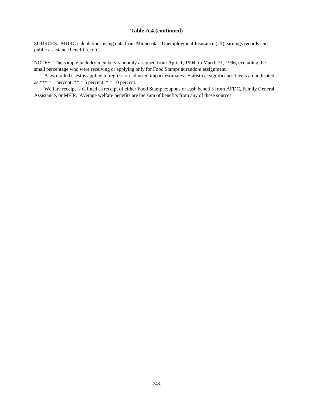### **Table A.4 (continued)**

SOURCES: MDRC calculations using data from Minnesota's Unemployment Insurance (UI) earnings records and public assistance benefit records.

NOTES: The sample includes members randomly assigned from April 1, 1994, to March 31, 1996, excluding the small percentage who were receiving or applying only for Food Stamps at random assignment.

 A two-tailed t-test is applied to regression-adjusted impact estimates. Statistical significance levels are indicated as \*\*\* = 1 percent; \*\* = 5 percent; \* = 10 percent.

 Welfare receipt is defined as receipt of either Food Stamp coupons or cash benefits from AFDC, Family General Assistance, or MFIP. Average welfare benefits are the sum of benefits from any of these sources.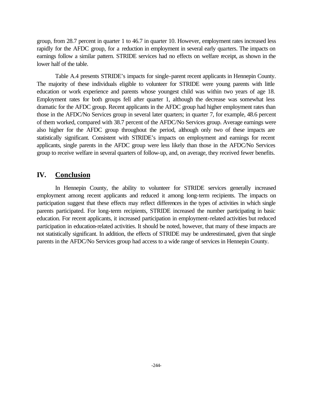group, from 28.7 percent in quarter 1 to 46.7 in quarter 10. However, employment rates increased less rapidly for the AFDC group, for a reduction in employment in several early quarters. The impacts on earnings follow a similar pattern. STRIDE services had no effects on welfare receipt, as shown in the lower half of the table.

Table A.4 presents STRIDE's impacts for single-parent recent applicants in Hennepin County. The majority of these individuals eligible to volunteer for STRIDE were young parents with little education or work experience and parents whose youngest child was within two years of age 18. Employment rates for both groups fell after quarter 1, although the decrease was somewhat less dramatic for the AFDC group. Recent applicants in the AFDC group had higher employment rates than those in the AFDC/No Services group in several later quarters; in quarter 7, for example, 48.6 percent of them worked, compared with 38.7 percent of the AFDC/No Services group. Average earnings were also higher for the AFDC group throughout the period, although only two of these impacts are statistically significant. Consistent with STRIDE's impacts on employment and earnings for recent applicants, single parents in the AFDC group were less likely than those in the AFDC/No Services group to receive welfare in several quarters of follow-up, and, on average, they received fewer benefits.

# **IV. Conclusion**

In Hennepin County, the ability to volunteer for STRIDE services generally increased employment among recent applicants and reduced it among long-term recipients. The impacts on participation suggest that these effects may reflect differences in the types of activities in which single parents participated. For long-term recipients, STRIDE increased the number participating in basic education. For recent applicants, it increased participation in employment-related activities but reduced participation in education-related activities. It should be noted, however, that many of these impacts are not statistically significant. In addition, the effects of STRIDE may be underestimated, given that single parents in the AFDC/No Services group had access to a wide range of services in Hennepin County.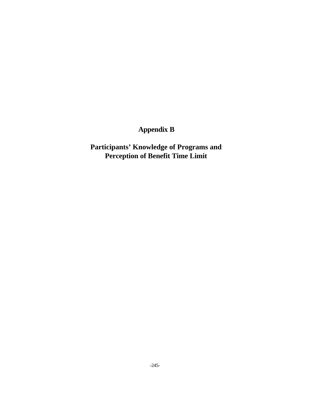# **Appendix B**

# **Participants' Knowledge of Programs and Perception of Benefit Time Limit**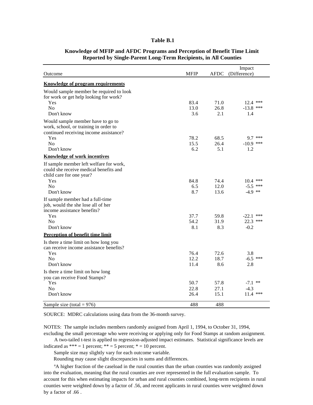#### **Table B.1**

| Impact                                                                 |             |             |                    |  |
|------------------------------------------------------------------------|-------------|-------------|--------------------|--|
| Outcome                                                                | <b>MFIP</b> | <b>AFDC</b> | (Difference)       |  |
| <b>Knowledge of program requirements</b>                               |             |             |                    |  |
| Would sample member be required to look                                |             |             |                    |  |
| for work or get help looking for work?                                 |             |             |                    |  |
| Yes                                                                    | 83.4        | 71.0        | 12.4 ***           |  |
| No                                                                     | 13.0        | 26.8        | $-13.8$ ***        |  |
| Don't know                                                             | 3.6         | 2.1         | 1.4                |  |
| Would sample member have to go to                                      |             |             |                    |  |
| work, school, or training in order to                                  |             |             |                    |  |
| continued receiving income assistance?                                 |             |             |                    |  |
| Yes                                                                    | 78.2        | 68.5        | 9.7 ***            |  |
| No<br>Don't know                                                       | 15.5<br>6.2 | 26.4<br>5.1 | $-10.9$ ***<br>1.2 |  |
|                                                                        |             |             |                    |  |
| <b>Knowledge of work incentives</b>                                    |             |             |                    |  |
| If sample member left welfare for work,                                |             |             |                    |  |
| could she receive medical benefits and                                 |             |             |                    |  |
| child care for one year?<br>Yes                                        | 84.8        | 74.4        | $10.4$ ***         |  |
| N <sub>o</sub>                                                         | 6.5         | 12.0        | $-5.5$ ***         |  |
| Don't know                                                             | 8.7         | 13.6        | $-4.9$ **          |  |
|                                                                        |             |             |                    |  |
| If sample member had a full-time<br>job, would the she lose all of her |             |             |                    |  |
| income assistance benefits?                                            |             |             |                    |  |
| Yes                                                                    | 37.7        | 59.8        | ***<br>$-22.1$     |  |
| No                                                                     | 54.2        | 31.9        | 22.3<br>***        |  |
| Don't know                                                             | 8.1         | 8.3         | $-0.2$             |  |
| Perception of benefit time limit                                       |             |             |                    |  |
| Is there a time limit on how long you                                  |             |             |                    |  |
| can receive income assistance benefits?                                |             |             |                    |  |
| Yes                                                                    | 76.4        | 72.6        | 3.8                |  |
| No                                                                     | 12.2        | 18.7        | $-6.5$ ***         |  |
| Don't know                                                             | 11.4        | 8.6         | 2.8                |  |
| Is there a time limit on how long                                      |             |             |                    |  |
| you can receive Food Stamps?                                           |             |             |                    |  |
| Yes                                                                    | 50.7        | 57.8        | **<br>-7.1         |  |
| N <sub>0</sub>                                                         | 22.8        | 27.1        | $-4.3$             |  |
| Don't know                                                             | 26.4        | 15.1        | $11.4$ ***         |  |
| Sample size (total = $976$ )                                           | 488         | 488         |                    |  |

### **Knowledge of MFIP and AFDC Programs and Perception of Benefit Time Limit Reported by Single-Parent Long-Term Recipients, in All Counties**

SOURCE: MDRC calculations using data from the 36-month survey.

NOTES: The sample includes members randomly assigned from April 1, 1994, to October 31, 1994,

excluding the small percentage who were receiving or applying only for Food Stamps at random assignment. A two-tailed t-test is applied to regression-adjusted impact estimates. Statistical significance levels are

indicated as  $*** = 1$  percent;  $** = 5$  percent;  $* = 10$  percent.

Sample size may slightly vary for each outcome variable.

Rounding may cause slight discrepancies in sums and differences.

<sup>a</sup>A higher fraction of the caseload in the rural counties than the urban counties was randomly assigned into the evaluation, meaning that the rural counties are over represented in the full evaluation sample. To account for this when estimating impacts for urban and rural counties combined, long-term recipients in rural counties were weighted down by a factor of .56, and recent applicants in rural counties were weighted down by a factor of .66 .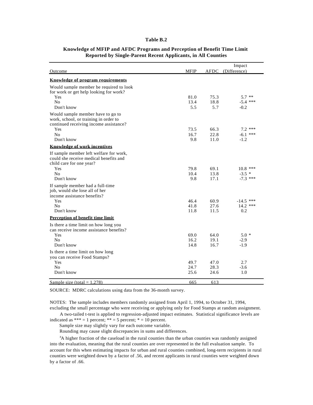### **Table B.2**

|                                         |             |      | Impact       |
|-----------------------------------------|-------------|------|--------------|
| <b>Outcome</b>                          | <b>MFIP</b> | AFDC | (Difference) |
| Knowledge of program requirements       |             |      |              |
| Would sample member be required to look |             |      |              |
| for work or get help looking for work?  |             |      |              |
| Yes                                     | 81.0        | 75.3 | $5.7$ **     |
| No                                      | 13.4        | 18.8 | $-5.4$ ***   |
| Don't know                              | 5.5         | 5.7  | $-0.2$       |
| Would sample member have to go to       |             |      |              |
| work, school, or training in order to   |             |      |              |
| continued receiving income assistance?  |             |      |              |
| Yes                                     | 73.5        | 66.3 | $7.2$ ***    |
| No                                      | 16.7        | 22.8 | $-6.1$ ***   |
| Don't know                              | 9.8         | 11.0 | $-1.2$       |
| <b>Knowledge of work incentives</b>     |             |      |              |
| If sample member left welfare for work. |             |      |              |
| could she receive medical benefits and  |             |      |              |
| child care for one year?                |             |      |              |
| Yes                                     | 79.8        | 69.1 | $10.8$ ***   |
| No                                      | 10.4        | 13.8 | $-3.5$ *     |
| Don't know                              | 9.8         | 17.1 | $-7.3$ ***   |
| If sample member had a full-time        |             |      |              |
| job, would she lose all of her          |             |      |              |
| income assistance benefits?             |             |      |              |
| Yes                                     | 46.4        | 60.9 | $-14.5$ ***  |
| N <sub>0</sub>                          | 41.8        | 27.6 | $14.2$ ***   |
| Don't know                              | 11.8        | 11.5 | 0.2          |
| Perception of benefit time limit        |             |      |              |
| Is there a time limit on how long you   |             |      |              |
| can receive income assistance benefits? |             |      |              |
| <b>Yes</b>                              | 69.0        | 64.0 | $5.0*$       |
| No                                      | 16.2        | 19.1 | $-2.9$       |
| Don't know                              | 14.8        | 16.7 | $-1.9$       |
| Is there a time limit on how long       |             |      |              |
| vou can receive Food Stamps?            |             |      |              |
| Yes                                     | 49.7        | 47.0 | 2.7          |
| N <sub>0</sub>                          | 24.7        | 28.3 | $-3.6$       |
| Don't know                              | 25.6        | 24.6 | 1.0          |
| Sample size (total = $1,278$ )          | 665         | 613  |              |

### **Knowledge of MFIP and AFDC Programs and Perception of Benefit Time Limit Reported by Single-Parent Recent Applicants, in All Counties**

SOURCE: MDRC calculations using data from the 36-month survey.

NOTES: The sample includes members randomly assigned from April 1, 1994, to October 31, 1994, excluding the small percentage who were receiving or applying only for Food Stamps at random assignment.

 A two-tailed t-test is applied to regression-adjusted impact estimates. Statistical significance levels are indicated as  $*** = 1$  percent;  $** = 5$  percent;  $* = 10$  percent.

Sample size may slightly vary for each outcome variable.

Rounding may cause slight discrepancies in sums and differences.

<sup>a</sup>A higher fraction of the caseload in the rural counties than the urban counties was randomly assigned into the evaluation, meaning that the rural counties are over represented in the full evaluation sample. To account for this when estimating impacts for urban and rural counties combined, long-term recipients in rural counties were weighted down by a factor of .56, and recent applicants in rural counties were weighted down by a factor of .66.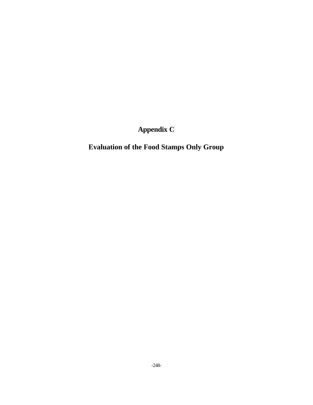**Appendix C**

**Evaluation of the Food Stamps Only Group**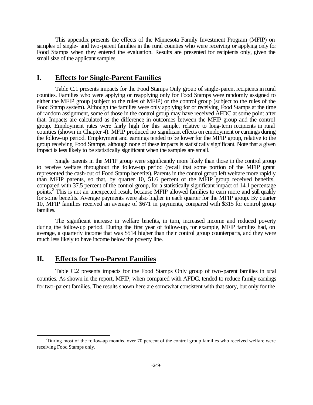This appendix presents the effects of the Minnesota Family Investment Program (MFIP) on samples of single- and two-parent families in the rural counties who were receiving or applying only for Food Stamps when they entered the evaluation. Results are presented for recipients only, given the small size of the applicant samples.

# **I. Effects for Single-Parent Families**

Table C.1 presents impacts for the Food Stamps Only group of single-parent recipients in rural counties. Families who were applying or reapplying only for Food Stamps were randomly assigned to either the MFIP group (subject to the rules of MFIP) or the control group (subject to the rules of the Food Stamp system). Although the families were only applying for or receiving Food Stamps at the time of random assignment, some of those in the control group may have received AFDC at some point after that. Impacts are calculated as the difference in outcomes between the MFIP group and the control group. Employment rates were fairly high for this sample, relative to long-term recipients in rural counties (shown in Chapter 4). MFIP produced no significant effects on employment or earnings during the follow-up period. Employment and earnings tended to be lower for the MFIP group, relative to the group receiving Food Stamps, although none of these impacts is statistically significant. Note that a given impact is less likely to be statistically significant when the samples are small.

Single parents in the MFIP group were significantly more likely than those in the control group to receive welfare throughout the follow-up period (recall that some portion of the MFIP grant represented the cash-out of Food Stamp benefits). Parents in the control group left welfare more rapidly than MFIP parents, so that, by quarter 10, 51.6 percent of the MFIP group received benefits, compared with 37.5 percent of the control group, for a statistically significant impact of 14.1 percentage points.<sup>2</sup> This is not an unexpected result, because MFIP allowed families to earn more and still qualify for some benefits. Average payments were also higher in each quarter for the MFIP group. By quarter 10, MFIP families received an average of \$671 in payments, compared with \$315 for control group families.

The significant increase in welfare benefits, in turn, increased income and reduced poverty during the follow-up period. During the first year of follow-up, for example, MFIP families had, on average, a quarterly income that was \$514 higher than their control group counterparts, and they were much less likely to have income below the poverty line.

# **II. Effects for Two-Parent Families**

l

Table C.2 presents impacts for the Food Stamps Only group of two-parent families in rural counties. As shown in the report, MFIP, when compared with AFDC, tended to reduce family earnings for two-parent families. The results shown here are somewhat consistent with that story, but only for the

<sup>&</sup>lt;sup>2</sup>During most of the follow-up months, over 70 percent of the control group families who received welfare were receiving Food Stamps only.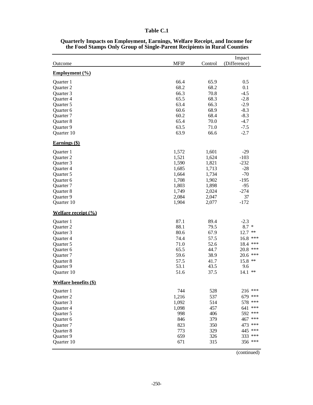# **Table C.1**

|                              |             |         | Impact       |
|------------------------------|-------------|---------|--------------|
| Outcome                      | <b>MFIP</b> | Control | (Difference) |
| Employment (%)               |             |         |              |
| Quarter 1                    | 66.4        | 65.9    | 0.5          |
| Quarter 2                    | 68.2        | 68.2    | 0.1          |
| Quarter 3                    | 66.3        | 70.8    | $-4.5$       |
| Quarter 4                    | 65.5        | 68.3    | $-2.8$       |
| Quarter 5                    | 63.4        | 66.3    | $-2.9$       |
| Quarter 6                    | 60.6        | 68.9    | $-8.3$       |
| Quarter 7                    | 60.2        | 68.4    | $-8.3$       |
| Quarter 8                    | 65.4        | 70.0    | $-4.7$       |
| Quarter 9                    | 63.5        | 71.0    | $-7.5$       |
| Quarter 10                   | 63.9        | 66.6    | $-2.7$       |
| <b>Earnings</b> (\$)         |             |         |              |
| Quarter 1                    | 1,572       | 1,601   | $-29$        |
| Quarter 2                    | 1,521       | 1,624   | $-103$       |
| Quarter 3                    | 1,590       | 1,821   | $-232$       |
| Quarter 4                    | 1,685       | 1,713   | $-28$        |
| Quarter 5                    | 1,664       | 1,734   | $-70$        |
| Quarter 6                    | 1,708       | 1,902   | $-195$       |
| Quarter 7                    | 1,803       | 1,898   | $-95$        |
| Quarter 8                    | 1,749       | 2,024   | $-274$       |
| Quarter 9                    | 2,084       | 2,047   | 37           |
| Quarter 10                   | 1,904       | 2,077   | $-172$       |
| Welfare receipt (%)          |             |         |              |
| Quarter 1                    | 87.1        | 89.4    | $-2.3$       |
| Quarter 2                    | 88.1        | 79.5    | $8.7 *$      |
| Quarter 3                    | 80.6        | 67.9    | $12.7$ **    |
| Quarter 4                    | 74.4        | 57.5    | 16.8<br>***  |
| Quarter 5                    | 71.0        | 52.6    | 18.4 ***     |
| Quarter 6                    | 65.5        | 44.7    | 20.8 ***     |
| Quarter 7                    | 59.6        | 38.9    | 20.6 ***     |
| Quarter 8                    | 57.5        | 41.7    | 15.8 **      |
| Quarter 9                    | 53.1        | 43.5    | 9.6          |
| Quarter 10                   | 51.6        | 37.5    | 14.1 **      |
| <b>Welfare benefits (\$)</b> |             |         |              |
| Quarter 1                    | 744         | 528     | 216 ***      |
| Quarter 2                    | 1,216       | 537     | 679 ***      |
| Quarter 3                    | 1,092       | 514     | 578 ***      |
| Quarter 4                    | 1,098       | 457     | ***<br>641   |
| Quarter 5                    | 998         | 406     | 592 ***      |
| Quarter 6                    | 846         | 379     | 467 ***      |
| Quarter 7                    | 823         | 350     | 473 ***      |
| Quarter 8                    | 773         | 329     | 445 ***      |
| Quarter 9                    | 659         | 326     | 333 ***      |
| Quarter 10                   | 671         | 315     | 356 ***      |
|                              |             |         |              |

**Quarterly Impacts on Employment, Earnings, Welfare Receipt, and Income for the Food Stamps Only Group of Single-Parent Recipients in Rural Counties**

(continued)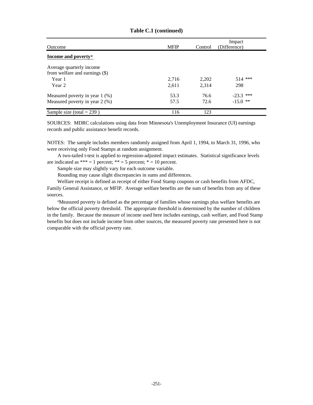| Outcome                                       | <b>MFIP</b> | Control | Impact<br>(Difference) |
|-----------------------------------------------|-------------|---------|------------------------|
| Income and poverty <sup>a</sup>               |             |         |                        |
| Average quarterly income                      |             |         |                        |
| from welfare and earnings (\$)                |             |         |                        |
| Year 1                                        | 2,716       | 2,202   | 514 ***                |
| Year 2                                        | 2,611       | 2,314   | 298                    |
| Measured poverty in year $1$ (%)              | 53.3        | 76.6    | $-23.3$ ***            |
| Measured poverty in year $2 \left( % \right)$ | 57.5        | 72.6    | $-15.0$ **             |
| Sample size (total = $239$ )                  | 116         | 123     |                        |

### **Table C.1 (continued)**

SOURCES: MDRC calculations using data from Minnesota's Unemployment Insurance (UI) earnings records and public assistance benefit records.

NOTES: The sample includes members randomly assigned from April 1, 1994, to March 31, 1996, who were receiving only Food Stamps at random assignment.

 A two-tailed t-test is applied to regression-adjusted impact estimates. Statistical significance levels are indicated as  $*** = 1$  percent;  $** = 5$  percent;  $* = 10$  percent.

Sample size may slightly vary for each outcome variable.

Rounding may cause slight discrepancies in sums and differences.

Welfare receipt is defined as receipt of either Food Stamp coupons or cash benefits from AFDC,

Family General Assistance, or MFIP. Average welfare benefits are the sum of benefits from any of these sources.

<sup>a</sup>Measured poverty is defined as the percentage of families whose earnings plus welfare benefits are below the official poverty threshold. The appropriate threshold is determined by the number of children in the family. Because the measure of income used here includes earnings, cash welfare, and Food Stamp benefits but does not include income from other sources, the measured poverty rate presented here is not comparable with the official poverty rate.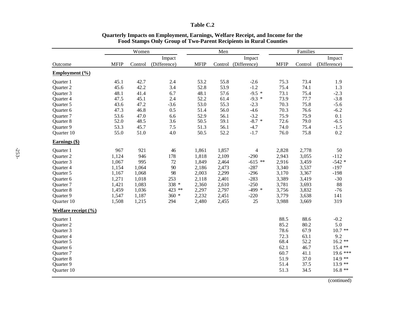## **Table C.2**

|                                 | Women<br>Men |         |              | Families    |         |                |             |         |              |
|---------------------------------|--------------|---------|--------------|-------------|---------|----------------|-------------|---------|--------------|
|                                 |              |         | Impact       |             |         | Impact         |             |         | Impact       |
| Outcome                         | <b>MFIP</b>  | Control | (Difference) | <b>MFIP</b> | Control | (Difference)   | <b>MFIP</b> | Control | (Difference) |
| Employment $(\% )$              |              |         |              |             |         |                |             |         |              |
| Quarter 1                       | 45.1         | 42.7    | 2.4          | 53.2        | 55.8    | $-2.6$         | 75.3        | 73.4    | 1.9          |
| Quarter 2                       | 45.6         | 42.2    | 3.4          | 52.8        | 53.9    | $-1.2$         | 75.4        | 74.1    | 1.3          |
| Quarter 3                       | 48.1         | 41.4    | 6.7          | 48.1        | 57.6    | $-9.5$ *       | 73.1        | 75.4    | $-2.3$       |
| Quarter 4                       | 47.5         | 45.1    | 2.4          | 52.2        | 61.4    | $-9.3*$        | 73.9        | 77.7    | $-3.8$       |
| Quarter 5                       | 43.6         | 47.2    | $-3.6$       | 53.0        | 55.3    | $-2.3$         | 70.3        | 75.8    | $-5.6$       |
| Quarter 6                       | 47.3         | 46.8    | 0.5          | 51.4        | 56.0    | $-4.6$         | 70.3        | 76.6    | $-6.2$       |
| Quarter 7                       | 53.6         | 47.0    | 6.6          | 52.9        | 56.1    | $-3.2$         | 75.9        | 75.9    | $0.1\,$      |
| Quarter 8                       | 52.0         | 48.5    | 3.6          | 50.5        | 59.1    | $-8.7 *$       | 72.6        | 79.0    | $-6.5$       |
| Quarter 9                       | 53.3         | 45.7    | 7.5          | 51.3        | 56.1    | $-4.7$         | 74.0        | 75.4    | $-1.5$       |
| Quarter 10                      | 55.0         | 51.0    | 4.0          | 50.5        | 52.2    | $-1.7$         | 76.0        | 75.8    | 0.2          |
| Earnings (\$)                   |              |         |              |             |         |                |             |         |              |
| Quarter 1                       | 967          | 921     | 46           | 1,861       | 1,857   | $\overline{4}$ | 2,828       | 2,778   | 50           |
| Quarter 2                       | 1,124        | 946     | 178          | 1,818       | 2,109   | $-290$         | 2,943       | 3,055   | $-112$       |
| Quarter 3                       | 1,067        | 995     | 72           | 1,849       | 2,464   | $-615$ **      | 2,916       | 3,459   | $-542$ *     |
| Quarter 4                       | 1,154        | 1,064   | 90           | 2,186       | 2,473   | $-287$         | 3,340       | 3,537   | $-197$       |
| Quarter 5                       | 1,167        | 1,068   | 98           | 2,003       | 2,299   | $-296$         | 3,170       | 3,367   | $-198$       |
| Quarter 6                       | 1,271        | 1,018   | 253          | 2,118       | 2,401   | $-283$         | 3,389       | 3,419   | $-30$        |
| Quarter 7                       | 1,421        | 1,083   | 338 *        | 2,360       | 2,610   | $-250$         | 3,781       | 3,693   | $88\,$       |
| Quarter 8                       | 1,459        | 1,036   | 423 **       | 2,297       | 2,797   | $-499$ *       | 3,756       | 3,832   | $-76$        |
| Quarter 9                       | 1,547        | 1,187   | $360 *$      | 2,232       | 2,451   | $-220$         | 3,779       | 3,638   | 141          |
| Quarter 10                      | 1,508        | 1,215   | 294          | 2,480       | 2,455   | 25             | 3,988       | 3,669   | 319          |
| Welfare receipt $(\frac{6}{6})$ |              |         |              |             |         |                |             |         |              |
| Quarter 1                       |              |         |              |             |         |                | 88.5        | 88.6    | $-0.2$       |
| Quarter 2                       |              |         |              |             |         |                | 85.2        | 80.2    | 5.0          |
| Quarter 3                       |              |         |              |             |         |                | 78.6        | 67.9    | $10.7**$     |
| Quarter 4                       |              |         |              |             |         |                | 72.3        | 63.1    | 9.2          |
| Quarter 5                       |              |         |              |             |         |                | 68.4        | 52.2    | $16.2**$     |
| Quarter 6                       |              |         |              |             |         |                | 62.1        | 46.7    | $15.4$ **    |
| Quarter 7                       |              |         |              |             |         |                | 60.7        | 41.1    | 19.6 ***     |
| Quarter 8                       |              |         |              |             |         |                | 51.9        | 37.0    | 14.9 **      |
| Quarter 9                       |              |         |              |             |         |                | 51.4        | 37.5    | $13.9**$     |
| Quarter 10                      |              |         |              |             |         |                | 51.3        | 34.5    | $16.8**$     |
|                                 |              |         |              |             |         |                |             |         |              |

#### **Quarterly Impacts on Employment, Earnings, Welfare Receipt, and Income for the Food Stamps Only Group of Two-Parent Recipients in Rural Counties**

(continued)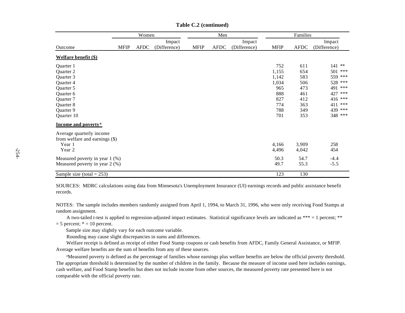|                                                                                                                                 |             | Women       |                        |             | Men         |                        |                                                                          | Families                                                           |                                                                                                             |  |
|---------------------------------------------------------------------------------------------------------------------------------|-------------|-------------|------------------------|-------------|-------------|------------------------|--------------------------------------------------------------------------|--------------------------------------------------------------------|-------------------------------------------------------------------------------------------------------------|--|
| Outcome                                                                                                                         | <b>MFIP</b> | <b>AFDC</b> | Impact<br>(Difference) | <b>MFIP</b> | <b>AFDC</b> | Impact<br>(Difference) | <b>MFIP</b>                                                              | <b>AFDC</b>                                                        | Impact<br>(Difference)                                                                                      |  |
| Welfare benefit (\$)                                                                                                            |             |             |                        |             |             |                        |                                                                          |                                                                    |                                                                                                             |  |
| Quarter 1<br>Quarter 2<br>Quarter 3<br>Quarter 4<br>Quarter 5<br>Quarter 6<br>Quarter 7<br>Quarter 8<br>Quarter 9<br>Quarter 10 |             |             |                        |             |             |                        | 752<br>1,155<br>1,142<br>1,034<br>965<br>888<br>827<br>774<br>788<br>701 | 611<br>654<br>583<br>506<br>473<br>461<br>412<br>363<br>349<br>353 | $141$ **<br>501 ***<br>559 ***<br>528 ***<br>491 ***<br>427 ***<br>416 ***<br>411 ***<br>439 ***<br>348 *** |  |
| Income and poverty <sup>a</sup>                                                                                                 |             |             |                        |             |             |                        |                                                                          |                                                                    |                                                                                                             |  |
| Average quarterly income<br>from welfare and earnings (\$)<br>Year 1<br>Year 2                                                  |             |             |                        |             |             |                        | 4,166<br>4,496                                                           | 3,909<br>4,042                                                     | 258<br>454                                                                                                  |  |
| Measured poverty in year $1$ (%)<br>Measured poverty in year $2 \left( % \right)$                                               |             |             |                        |             |             |                        | 50.3<br>49.7                                                             | 54.7<br>55.3                                                       | $-4.4$<br>$-5.5$                                                                                            |  |
| Sample size (total $= 253$ )                                                                                                    |             |             |                        |             |             |                        | 123                                                                      | 130                                                                |                                                                                                             |  |

**Table C.2 (continued)**

SOURCES: MDRC calculations using data from Minnesota's Unemployment Insurance (UI) earnings records and public assistance benefit records.

NOTES: The sample includes members randomly assigned from April 1, 1994, to March 31, 1996, who were only receiving Food Stamps at random assignment.

 A two-tailed t-test is applied to regression-adjusted impact estimates. Statistical significance levels are indicated as \*\*\* = 1 percent; \*\*  $= 5$  percent;  $* = 10$  percent.

Sample size may slightly vary for each outcome variable.

Rounding may cause slight discrepancies in sums and differences.

 Welfare receipt is defined as receipt of either Food Stamp coupons or cash benefits from AFDC, Family General Assistance, or MFIP. Average welfare benefits are the sum of benefits from any of these sources.

<sup>a</sup>Measured poverty is defined as the percentage of families whose earnings plus welfare benefits are below the official poverty threshold. The appropriate threshold is determined by the number of children in the family. Because the measure of income used here includes earnings, cash welfare, and Food Stamp benefits but does not include income from other sources, the measured poverty rate presented here is not comparable with the official poverty rate.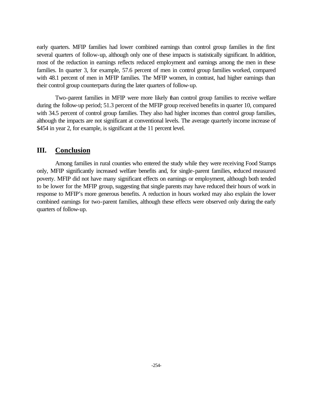early quarters. MFIP families had lower combined earnings than control group families in the first several quarters of follow-up, although only one of these impacts is statistically significant. In addition, most of the reduction in earnings reflects reduced employment and earnings among the men in these families. In quarter 3, for example, 57.6 percent of men in control group families worked, compared with 48.1 percent of men in MFIP families. The MFIP women, in contrast, had higher earnings than their control group counterparts during the later quarters of follow-up.

Two-parent families in MFIP were more likely than control group families to receive welfare during the follow-up period; 51.3 percent of the MFIP group received benefits in quarter 10, compared with 34.5 percent of control group families. They also had higher incomes than control group families, although the impacts are not significant at conventional levels. The average quarterly income increase of \$454 in year 2, for example, is significant at the 11 percent level.

# **III. Conclusion**

Among families in rural counties who entered the study while they were receiving Food Stamps only, MFIP significantly increased welfare benefits and, for single-parent families, reduced measured poverty. MFIP did not have many significant effects on earnings or employment, although both tended to be lower for the MFIP group, suggesting that single parents may have reduced their hours of work in response to MFIP's more generous benefits. A reduction in hours worked may also explain the lower combined earnings for two-parent families, although these effects were observed only during the early quarters of follow-up.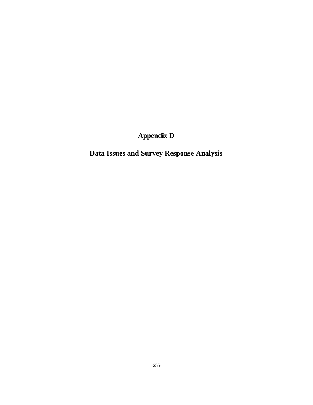# **Appendix D**

**Data Issues and Survey Response Analysis**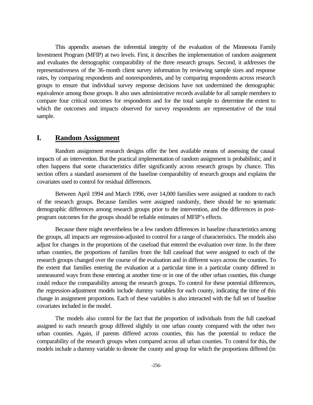This appendix assesses the inferential integrity of the evaluation of the Minnesota Family Investment Program (MFIP) at two levels. First, it describes the implementation of random assignment and evaluates the demographic comparability of the three research groups. Second, it addresses the representativeness of the 36-month client survey information by reviewing sample sizes and response rates, by comparing respondents and nonrespondents, and by comparing respondents across research groups to ensure that individual survey response decisions have not undermined the demographic equivalence among those groups. It also uses administrative records available for all sample members to compare four critical outcomes for respondents and for the total sample to determine the extent to which the outcomes and impacts observed for survey respondents are representative of the total sample.

# **I. Random Assignment**

Random assignment research designs offer the best available means of assessing the causal impacts of an intervention. But the practical implementation of random assignment is probabilistic, and it often happens that some characteristics differ significantly across research groups by chance. This section offers a standard assessment of the baseline comparability of research groups and explains the covariates used to control for residual differences.

Between April 1994 and March 1996, over 14,000 families were assigned at random to each of the research groups. Because families were assigned randomly, there should be no systematic demographic differences among research groups prior to the intervention, and the differences in postprogram outcomes for the groups should be reliable estimates of MFIP's effects.

Because there might nevertheless be a few random differences in baseline characteristics among the groups, all impacts are regression-adjusted to control for a range of characteristics. The models also adjust for changes in the proportions of the caseload that entered the evaluation over time. In the three urban counties, the proportions of families from the full caseload that were assigned to each of the research groups changed over the course of the evaluation and in different ways across the counties. To the extent that families entering the evaluation at a particular time in a particular county differed in unmeasured ways from those entering at another time or in one of the other urban counties, this change could reduce the comparability among the research groups. To control for these potential differences, the regression-adjustment models include dummy variables for each county, indicating the time of this change in assignment proportions. Each of these variables is also interacted with the full set of baseline covariates included in the model.

The models also control for the fact that the proportion of individuals from the full caseload assigned to each research group differed slightly in one urban county compared with the other two urban counties. Again, if parents differed across counties, this has the potential to reduce the comparability of the research groups when compared across all urban counties. To control for this, the models include a dummy variable to denote the county and group for which the proportions differed (in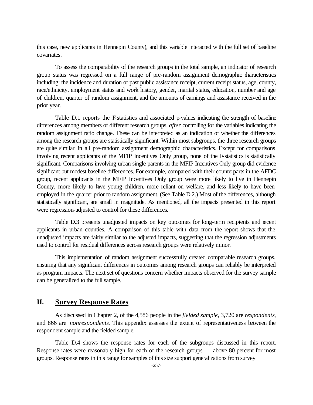this case, new applicants in Hennepin County), and this variable interacted with the full set of baseline covariates.

To assess the comparability of the research groups in the total sample, an indicator of research group status was regressed on a full range of pre-random assignment demographic diaracteristics including: the incidence and duration of past public assistance receipt, current receipt status, age, county, race/ethnicity, employment status and work history, gender, marital status, education, number and age of children, quarter of random assignment, and the amounts of earnings and assistance received in the prior year.

Table D.1 reports the F-statistics and associated p-values indicating the strength of baseline differences among members of different research groups, *after* controlling for the variables indicating the random assignment ratio change. These can be interpreted as an indication of whether the differences among the research groups are statistically significant. Within most subgroups, the three research groups are quite similar in all pre-random assignment demographic characteristics. Except for comparisons involving recent applicants of the MFIP Incentives Only group, none of the F-statistics is statistically significant. Comparisons involving urban single parents in the MFIP Incentives Only group did evidence significant but modest baseline differences. For example, compared with their counterparts in the AFDC group, recent applicants in the MFIP Incentives Only group were more likely to live in Hennepin County, more likely to have young children, more reliant on welfare, and less likely to have been employed in the quarter prior to random assignment. (See Table D.2.) Most of the differences, although statistically significant, are small in magnitude. As mentioned, all the impacts presented in this report were regression-adjusted to control for these differences.

Table D.3 presents unadjusted impacts on key outcomes for long-term recipients and recent applicants in urban counties. A comparison of this table with data from the report shows that the unadjusted impacts are fairly similar to the adjusted impacts, suggesting that the regression adjustments used to control for residual differences across research groups were relatively minor.

This implementation of random assignment successfully created comparable research groups, ensuring that any significant differences in outcomes among research groups can reliably be interpreted as program impacts. The next set of questions concern whether impacts observed for the survey sample can be generalized to the full sample.

# **II. Survey Response Rates**

As discussed in Chapter 2, of the 4,586 people in the *fielded sample*, 3,720 are *respondents*, and 866 are *nonrespondents*. This appendix assesses the extent of representativeness between the respondent sample and the fielded sample.

Table D.4 shows the response rates for each of the subgroups discussed in this report. Response rates were reasonably high for each of the research groups — above 80 percent for most groups. Response rates in this range for samples of this size support generalizations from survey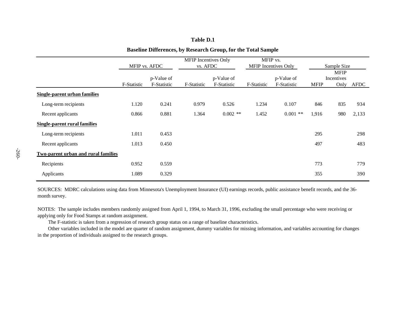### **Baseline Differences, by Research Group, for the Total Sample**

|                                            | MFIP vs. AFDC      |                           | <b>MFIP</b> Incentives Only<br>vs. AFDC |                           | MFIP vs.<br><b>MFIP</b> Incentives Only |                           | Sample Size |                                   |       |
|--------------------------------------------|--------------------|---------------------------|-----------------------------------------|---------------------------|-----------------------------------------|---------------------------|-------------|-----------------------------------|-------|
|                                            | <b>F-Statistic</b> | p-Value of<br>F-Statistic | F-Statistic                             | p-Value of<br>F-Statistic | F-Statistic                             | p-Value of<br>F-Statistic | <b>MFIP</b> | <b>MFIP</b><br>Incentives<br>Only | AFDC  |
| <b>Single-parent urban families</b>        |                    |                           |                                         |                           |                                         |                           |             |                                   |       |
| Long-term recipients                       | 1.120              | 0.241                     | 0.979                                   | 0.526                     | 1.234                                   | 0.107                     | 846         | 835                               | 934   |
| Recent applicants                          | 0.866              | 0.881                     | 1.364                                   | $0.002$ **                | 1.452                                   | $0.001$ **                | 1,916       | 980                               | 2,133 |
| <b>Single-parent rural families</b>        |                    |                           |                                         |                           |                                         |                           |             |                                   |       |
| Long-term recipients                       | 1.011              | 0.453                     |                                         |                           |                                         |                           | 295         |                                   | 298   |
| Recent applicants                          | 1.013              | 0.450                     |                                         |                           |                                         |                           | 497         |                                   | 483   |
| <b>Two-parent urban and rural families</b> |                    |                           |                                         |                           |                                         |                           |             |                                   |       |
| Recipients                                 | 0.952              | 0.559                     |                                         |                           |                                         |                           | 773         |                                   | 779   |
| Applicants                                 | 1.089              | 0.329                     |                                         |                           |                                         |                           | 355         |                                   | 390   |

SOURCES: MDRC calculations using data from Minnesota's Unemployment Insurance (UI) earnings records, public assistance benefit records, and the 36 month survey.

NOTES: The sample includes members randomly assigned from April 1, 1994, to March 31, 1996, excluding the small percentage who were receiving or applying only for Food Stamps at random assignment.

The F-statistic is taken from a regression of research group status on a range of baseline characteristics.

 Other variables included in the model are quarter of random assignment, dummy variables for missing information, and variables accounting for changes in the proportion of individuals assigned to the research groups.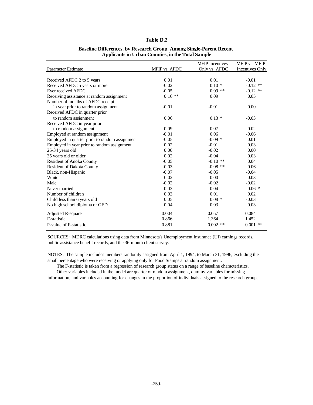|                                                |               | <b>MFIP</b> Incentives | MFIP vs. MFIP   |
|------------------------------------------------|---------------|------------------------|-----------------|
| Parameter Estimate                             | MFIP vs. AFDC | Only vs. AFDC          | Incentives Only |
|                                                |               |                        |                 |
| Received AFDC 2 to 5 years                     | 0.01          | 0.01                   | $-0.01$         |
| Received AFDC 5 years or more                  | $-0.02$       | $0.10*$                | $-0.12$ **      |
| Ever received AFDC                             | $-0.05$       | $0.09$ **              | $-0.12$ **      |
| Receiving assistance at random assignment      | $0.16**$      | 0.09                   | 0.05            |
| Number of months of AFDC receipt               |               |                        |                 |
| in year prior to random assignment             | $-0.01$       | $-0.01$                | 0.00            |
| Received AFDC in quarter prior                 |               |                        |                 |
| to random assignment                           | 0.06          | $0.13*$                | $-0.03$         |
| Received AFDC in year prior                    |               |                        |                 |
| to random assignment                           | 0.09          | 0.07                   | 0.02            |
| Employed at random assignment                  | $-0.01$       | 0.06                   | $-0.06$         |
| Employed in quarter prior to random assignment | $-0.05$       | $-0.09$ *              | 0.01            |
| Employed in year prior to random assignment    | 0.02          | $-0.01$                | 0.03            |
| 25-34 years old                                | 0.00          | $-0.02$                | 0.00            |
| 35 years old or older                          | 0.02          | $-0.04$                | 0.03            |
| <b>Resident of Anoka County</b>                | $-0.05$       | $-0.10$ **             | 0.04            |
| <b>Resident of Dakota County</b>               | $-0.03$       | $-0.08$ **             | 0.06            |
| Black, non-Hispanic                            | $-0.07$       | $-0.05$                | $-0.04$         |
| White                                          | $-0.02$       | 0.00                   | $-0.03$         |
| Male                                           | $-0.02$       | $-0.02$                | $-0.02$         |
| Never married                                  | 0.03          | $-0.04$                | $0.06*$         |
| Number of children                             | 0.03          | 0.01                   | 0.02            |
| Child less than 6 years old                    | 0.05          | $0.08*$                | $-0.03$         |
| No high school diploma or GED                  | 0.04          | 0.03                   | 0.03            |
| <b>Adjusted R-square</b>                       | 0.004         | 0.057                  | 0.084           |
| F-statistic                                    | 0.866         | 1.364                  | 1.452           |
| P-value of F-statistic                         | 0.881         | $0.002$ **             | $0.001$ **      |

### **Baseline Differences, by Research Group, Among Single-Parent Recent Applicants in Urban Counties, in the Total Sample**

SOURCES: MDRC calculations using data from Minnesota's Unemployment Insurance (UI) earnings records, public assistance benefit records, and the 36-month client survey.

NOTES: The sample includes members randomly assigned from April 1, 1994, to March 31, 1996, excluding the small percentage who were receiving or applying only for Food Stamps at random assignment.

 The F-statistic is taken from a regression of research group status on a range of baseline characteristics. Other variables included in the model are quarter of random assignment, dummy variables for missing

information, and variables accounting for changes in the proportion of individuals assigned to the research groups.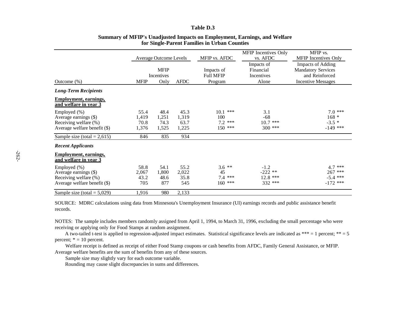|                                                                                                |                                | <b>Average Outcome Levels</b>     |                                | MFIP vs. AFDC                              | <b>MFIP</b> Incentives Only<br>vs. AFDC               | MFIP vs.<br><b>MFIP</b> Incentives Only<br><b>Impacts of Adding</b><br><b>Mandatory Services</b><br>and Reinforced<br><b>Incentive Messages</b> |  |
|------------------------------------------------------------------------------------------------|--------------------------------|-----------------------------------|--------------------------------|--------------------------------------------|-------------------------------------------------------|-------------------------------------------------------------------------------------------------------------------------------------------------|--|
| Outcome $(\%)$                                                                                 | <b>MFIP</b>                    | <b>MFIP</b><br>Incentives<br>Only | <b>AFDC</b>                    | Impacts of<br><b>Full MFIP</b><br>Program  | Impacts of<br>Financial<br><b>Incentives</b><br>Alone |                                                                                                                                                 |  |
| <b>Long-Term Recipients</b>                                                                    |                                |                                   |                                |                                            |                                                       |                                                                                                                                                 |  |
| <b>Employment, earnings,</b><br>and welfare in year 3                                          |                                |                                   |                                |                                            |                                                       |                                                                                                                                                 |  |
| Employed (%)<br>Average earnings (\$)<br>Receiving welfare (%)<br>Average welfare benefit (\$) | 55.4<br>1,419<br>70.8<br>1,376 | 48.4<br>1,251<br>74.3<br>1,525    | 45.3<br>1,319<br>63.7<br>1,225 | ***<br>10.1<br>100<br>$7.2$ ***<br>150 *** | 3.1<br>$-68$<br>$10.7$ ***<br>300 ***                 | $7.0$ ***<br>$168 *$<br>$-3.5*$<br>$-149$ ***                                                                                                   |  |
| Sample size (total = $2,615$ )                                                                 | 846                            | 835                               | 934                            |                                            |                                                       |                                                                                                                                                 |  |
| <b>Recent Applicants</b>                                                                       |                                |                                   |                                |                                            |                                                       |                                                                                                                                                 |  |
| <b>Employment, earnings,</b><br>and welfare in year 3                                          |                                |                                   |                                |                                            |                                                       |                                                                                                                                                 |  |
| Employed (%)<br>Average earnings (\$)<br>Receiving welfare (%)<br>Average welfare benefit (\$) | 58.8<br>2,067<br>43.2<br>705   | 54.1<br>1,800<br>48.6<br>877      | 55.2<br>2,022<br>35.8<br>545   | $3.6$ **<br>45<br>$7.4$ ***<br>$160$ ***   | $-1.2$<br>$-222**$<br>$12.8$ ***<br>332 ***           | $4.7$ ***<br>267 ***<br>$-5.4$ ***<br>$-172$ ***                                                                                                |  |
| Sample size (total = $5,029$ )                                                                 | 1,916                          | 980                               | 2,133                          |                                            |                                                       |                                                                                                                                                 |  |

### **Summary of MFIP's Unadjusted Impacts on Employment, Earnings, and Welfare for Single-Parent Families in Urban Counties**

SOURCE: MDRC calculations using data from Minnesota's Unemployment Insurance (UI) earnings records and public assistance benefit records.

NOTES: The sample includes members randomly assigned from April 1, 1994, to March 31, 1996, excluding the small percentage who were receiving or applying only for Food Stamps at random assignment.

A two-tailed t-test is applied to regression-adjusted impact estimates. Statistical significance levels are indicated as \*\*\* = 1 percent; \*\* = 5 percent;  $* = 10$  percent.

 Welfare receipt is defined as receipt of either Food Stamp coupons or cash benefits from AFDC, Family General Assistance, or MFIP. Average welfare benefits are the sum of benefits from any of these sources.

Sample size may slightly vary for each outcome variable.

Rounding may cause slight discrepancies in sums and differences.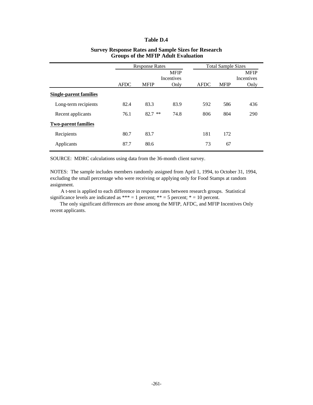|                            |             | <b>Response Rates</b> |                                          | <b>Total Sample Sizes</b> |             |                                          |  |
|----------------------------|-------------|-----------------------|------------------------------------------|---------------------------|-------------|------------------------------------------|--|
|                            | <b>AFDC</b> | <b>MFIP</b>           | <b>MFIP</b><br><b>Incentives</b><br>Only | <b>AFDC</b>               | <b>MFIP</b> | <b>MFIP</b><br><b>Incentives</b><br>Only |  |
| Single-parent families     |             |                       |                                          |                           |             |                                          |  |
| Long-term recipients       | 82.4        | 83.3                  | 83.9                                     | 592                       | 586         | 436                                      |  |
| Recent applicants          | 76.1        | 82.7<br>**            | 74.8                                     | 806                       | 804         | 290                                      |  |
| <b>Two-parent families</b> |             |                       |                                          |                           |             |                                          |  |
| Recipients                 | 80.7        | 83.7                  |                                          | 181                       | 172         |                                          |  |
| Applicants                 | 87.7        | 80.6                  |                                          | 73                        | 67          |                                          |  |

#### **Survey Response Rates and Sample Sizes for Research Groups of the MFIP Adult Evaluation**

SOURCE: MDRC calculations using data from the 36-month client survey.

NOTES: The sample includes members randomly assigned from April 1, 1994, to October 31, 1994, excluding the small percentage who were receiving or applying only for Food Stamps at random assignment.

 A t-test is applied to each difference in response rates between research groups. Statistical significance levels are indicated as \*\*\* = 1 percent; \*\* = 5 percent; \* = 10 percent.

 The only significant differences are those among the MFIP, AFDC, and MFIP Incentives Only recent applicants.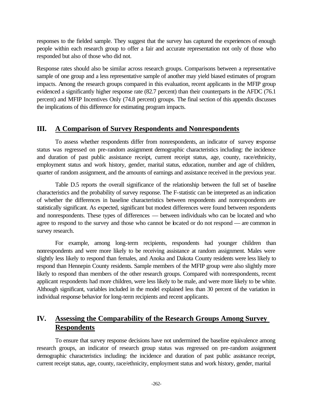responses to the fielded sample. They suggest that the survey has captured the experiences of enough people within each research group to offer a fair and accurate representation not only of those who responded but also of those who did not.

Response rates should also be similar across research groups. Comparisons between a representative sample of one group and a less representative sample of another may yield biased estimates of program impacts. Among the research groups compared in this evaluation, recent applicants in the MFIP group evidenced a significantly higher response rate (82.7 percent) than their counterparts in the AFDC (76.1 percent) and MFIP Incentives Only (74.8 percent) groups. The final section of this appendix discusses the implications of this difference for estimating program impacts.

# **III. A Comparison of Survey Respondents and Nonrespondents**

To assess whether respondents differ from nonrespondents, an indicator of survey response status was regressed on pre-random assignment demographic characteristics including: the incidence and duration of past public assistance receipt, current receipt status, age, county, race/ethnicity, employment status and work history, gender, marital status, education, number and age of children, quarter of random assignment, and the amounts of earnings and assistance received in the previous year.

Table D.5 reports the overall significance of the relationship between the full set of baseline characteristics and the probability of survey response. The F-statistic can be interpreted as an indication of whether the differences in baseline characteristics between respondents and nonrespondents are statistically significant. As expected, significant but modest differences were found between respondents and nonrespondents. These types of differences — between individuals who can be located and who agree to respond to the survey and those who cannot be located or do not respond — are common in survey research.

For example, among long-term recipients, respondents had younger children than nonrespondents and were more likely to be receiving assistance at random assignment. Males were slightly less likely to respond than females, and Anoka and Dakota County residents were less likely to respond than Hennepin County residents. Sample members of the MFIP group were also slightly more likely to respond than members of the other research groups. Compared with nonrespondents, recent applicant respondents had more children, were less likely to be male, and were more likely to be white. Although significant, variables included in the model explained less than 30 percent of the variation in individual response behavior for long-term recipients and recent applicants.

# **IV. Assessing the Comparability of the Research Groups Among Survey Respondents**

To ensure that survey response decisions have not undermined the baseline equivalence among research groups, an indicator of research group status was regressed on pre-random assignment demographic characteristics including: the incidence and duration of past public assistance receipt, current receipt status, age, county, race/ethnicity, employment status and work history, gender, marital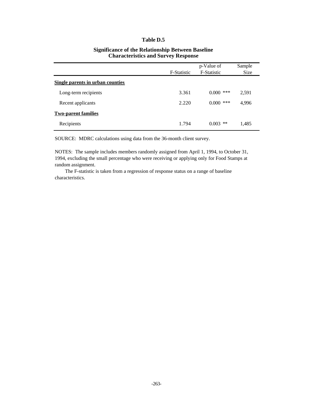|                                  | F-Statistic | p-Value of<br><b>F-Statistic</b> | Sample<br><b>Size</b> |  |
|----------------------------------|-------------|----------------------------------|-----------------------|--|
| Single parents in urban counties |             |                                  |                       |  |
| Long-term recipients             | 3.361       | $0.000$ ***                      | 2,591                 |  |
| Recent applicants                | 2.220       | $0.000$ ***                      | 4,996                 |  |
| <b>Two-parent families</b>       |             |                                  |                       |  |
| Recipients                       | 1.794       | **<br>0.003                      | 1,485                 |  |

### **Significance of the Relationship Between Baseline Characteristics and Survey Response**

SOURCE: MDRC calculations using data from the 36-month client survey.

NOTES: The sample includes members randomly assigned from April 1, 1994, to October 31, 1994, excluding the small percentage who were receiving or applying only for Food Stamps at random assignment.

 The F-statistic is taken from a regression of response status on a range of baseline characteristics.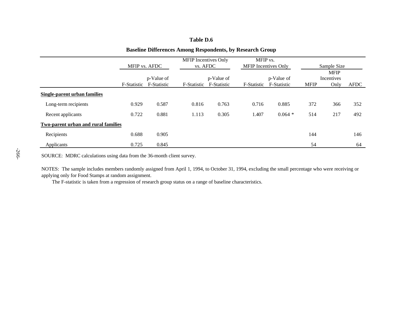| <b>Baseline Differences Among Respondents, by Research Group</b> |               |             |                             |             |                             |             |             |             |             |  |
|------------------------------------------------------------------|---------------|-------------|-----------------------------|-------------|-----------------------------|-------------|-------------|-------------|-------------|--|
|                                                                  |               |             | <b>MFIP</b> Incentives Only |             | MFIP vs.                    |             |             |             |             |  |
|                                                                  | MFIP vs. AFDC |             | vs. AFDC                    |             | <b>MFIP</b> Incentives Only |             | Sample Size |             |             |  |
|                                                                  |               |             |                             |             |                             |             |             | <b>MFIP</b> |             |  |
|                                                                  |               | p-Value of  |                             | p-Value of  |                             | p-Value of  |             | Incentives  |             |  |
|                                                                  | F-Statistic   | F-Statistic | F-Statistic                 | F-Statistic | <b>F-Statistic</b>          | F-Statistic | <b>MFIP</b> | Only        | <b>AFDC</b> |  |
| Single-parent urban families                                     |               |             |                             |             |                             |             |             |             |             |  |
| Long-term recipients                                             | 0.929         | 0.587       | 0.816                       | 0.763       | 0.716                       | 0.885       | 372         | 366         | 352         |  |
| Recent applicants                                                | 0.722         | 0.881       | 1.113                       | 0.305       | l.407                       | $0.064*$    | 514         | 217         | 492         |  |
| Two-parent urban and rural families                              |               |             |                             |             |                             |             |             |             |             |  |
| Recipients                                                       | 0.688         | 0.905       |                             |             |                             |             | 144         |             | 146         |  |

### **Baseline Differences Among Respondents, by Research Group**

SOURCE: MDRC calculations using data from the 36-month client survey.

NOTES: The sample includes members randomly assigned from April 1, 1994, to October 31, 1994, excluding the small percentage who were receiving or applying only for Food Stamps at random assignment.

Applicants 0.725 0.845 54 64

The F-statistic is taken from a regression of research group status on a range of baseline characteristics.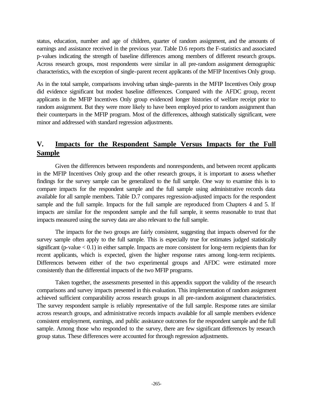status, education, number and age of children, quarter of random assignment, and the amounts of earnings and assistance received in the previous year. Table D.6 reports the F-statistics and associated p-values indicating the strength of baseline differences among members of different research groups. Across research groups, most respondents were similar in all pre-random assignment demographic characteristics, with the exception of single-parent recent applicants of the MFIP Incentives Only group.

As in the total sample, comparisons involving urban single-parents in the MFIP Incentives Only group did evidence significant but modest baseline differences. Compared with the AFDC group, recent applicants in the MFIP Incentives Only group evidenced longer histories of welfare receipt prior to random assignment. But they were more likely to have been employed prior to random assignment than their counterparts in the MFIP program. Most of the differences, although statistically significant, were minor and addressed with standard regression adjustments.

# **V. Impacts for the Respondent Sample Versus Impacts for the Full Sample**

Given the differences between respondents and nonrespondents, and between recent applicants in the MFIP Incentives Only group and the other research groups, it is important to assess whether findings for the survey sample can be generalized to the full sample. One way to examine this is to compare impacts for the respondent sample and the full sample using administrative records data available for all sample members. Table D.7 compares regression-adjusted impacts for the respondent sample and the full sample. Impacts for the full sample are reproduced from Chapters 4 and 5. If impacts are similar for the respondent sample and the full sample, it seems reasonable to trust that impacts measured using the survey data are also relevant to the full sample.

The impacts for the two groups are fairly consistent, suggesting that impacts observed for the survey sample often apply to the full sample. This is especially true for estimates judged statistically significant (p-value < 0.1) in either sample. Impacts are more consistent for long-term recipients than for recent applicants, which is expected, given the higher response rates among long-term recipients. Differences between either of the two experimental groups and AFDC were estimated more consistently than the differential impacts of the two MFIP programs.

Taken together, the assessments presented in this appendix support the validity of the research comparisons and survey impacts presented in this evaluation. This implementation of random assignment achieved sufficient comparability across research groups in all pre-random assignment characteristics. The survey respondent sample is reliably representative of the full sample. Response rates are similar across research groups, and administrative records impacts available for all sample members evidence consistent employment, earnings, and public assistance outcomes for the respondent sample and the full sample. Among those who responded to the survey, there are few significant differences by research group status. These differences were accounted for through regression adjustments.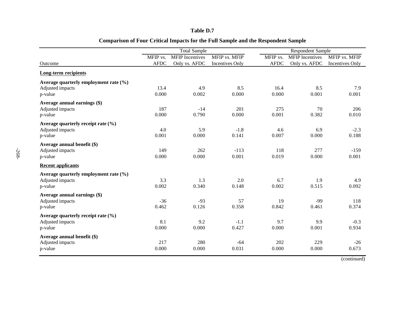# **Table D.7**

|                                           |             | <b>Total Sample</b>    |                 |             | <b>Respondent Sample</b> |                 |  |  |
|-------------------------------------------|-------------|------------------------|-----------------|-------------|--------------------------|-----------------|--|--|
|                                           | MFIP vs.    | <b>MFIP</b> Incentives | MFIP vs. MFIP   | MFIP vs.    | <b>MFIP</b> Incentives   | MFIP vs. MFIP   |  |  |
| Outcome                                   | <b>AFDC</b> | Only vs. AFDC          | Incentives Only | <b>AFDC</b> | Only vs. AFDC            | Incentives Only |  |  |
| Long-term recipients                      |             |                        |                 |             |                          |                 |  |  |
| Average quarterly employment rate $(\% )$ |             |                        |                 |             |                          |                 |  |  |
| Adjusted impacts                          | 13.4        | 4.9                    | 8.5             | 16.4        | 8.5                      | 7.9             |  |  |
| p-value                                   | 0.000       | 0.002                  | 0.000           | 0.000       | 0.001                    | 0.001           |  |  |
| Average annual earnings (\$)              |             |                        |                 |             |                          |                 |  |  |
| Adjusted impacts                          | 187         | $-14$                  | 201             | 275         | 70                       | 206             |  |  |
| p-value                                   | 0.000       | 0.790                  | 0.000           | 0.001       | 0.382                    | 0.010           |  |  |
| Average quarterly receipt rate (%)        |             |                        |                 |             |                          |                 |  |  |
| Adjusted impacts                          | 4.0         | 5.9                    | $-1.8$          | 4.6         | 6.9                      | $-2.3$          |  |  |
| p-value                                   | 0.001       | 0.000                  | 0.141           | 0.007       | 0.000                    | 0.188           |  |  |
| Average annual benefit (\$)               |             |                        |                 |             |                          |                 |  |  |
| Adjusted impacts                          | 149         | 262                    | $-113$          | 118         | 277                      | $-159$          |  |  |
| p-value                                   | 0.000       | 0.000                  | 0.001           | 0.019       | 0.000                    | 0.001           |  |  |
| <b>Recent applicants</b>                  |             |                        |                 |             |                          |                 |  |  |
| Average quarterly employment rate (%)     |             |                        |                 |             |                          |                 |  |  |
| Adjusted impacts                          | 3.3         | 1.3                    | 2.0             | 6.7         | 1.9                      | 4.9             |  |  |
| p-value                                   | 0.002       | 0.340                  | 0.148           | 0.002       | 0.515                    | 0.092           |  |  |
| Average annual earnings (\$)              |             |                        |                 |             |                          |                 |  |  |
| Adjusted impacts                          | $-36$       | $-93$                  | 57              | 19          | $-99$                    | 118             |  |  |
| p-value                                   | 0.462       | 0.126                  | 0.358           | 0.842       | 0.461                    | 0.374           |  |  |
| Average quarterly receipt rate $(\% )$    |             |                        |                 |             |                          |                 |  |  |
| Adjusted impacts                          | 8.1         | 9.2                    | $-1.1$          | 9.7         | 9.9                      | $-0.3$          |  |  |
| p-value                                   | 0.000       | 0.000                  | 0.427           | 0.000       | 0.001                    | 0.934           |  |  |
| Average annual benefit (\$)               |             |                        |                 |             |                          |                 |  |  |
| Adjusted impacts                          | 217         | 280                    | $-64$           | 202         | 229                      | $-26$           |  |  |
| p-value                                   | 0.000       | 0.000                  | 0.031           | 0.000       | 0.000                    | 0.673           |  |  |

# **Comparison of Four Critical Impacts for the Full Sample and the Respondent Sample**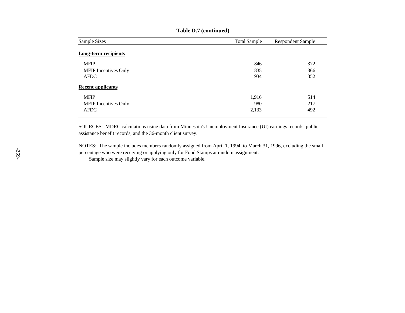| Sample Sizes                | <b>Total Sample</b> | <b>Respondent Sample</b> |  |
|-----------------------------|---------------------|--------------------------|--|
| Long-term recipients        |                     |                          |  |
| <b>MFIP</b>                 | 846                 | 372                      |  |
| <b>MFIP</b> Incentives Only | 835                 | 366                      |  |
| <b>AFDC</b>                 | 934                 | 352                      |  |
| <b>Recent applicants</b>    |                     |                          |  |
| <b>MFIP</b>                 | 1,916               | 514                      |  |
| <b>MFIP</b> Incentives Only | 980                 | 217                      |  |
| <b>AFDC</b>                 | 2,133               | 492                      |  |

**Table D.7 (continued)**

SOURCES: MDRC calculations using data from Minnesota's Unemployment Insurance (UI) earnings records, public assistance benefit records, and the 36-month client survey.

NOTES: The sample includes members randomly assigned from April 1, 1994, to March 31, 1996, excluding the small percentage who were receiving or applying only for Food Stamps at random assignment.

Sample size may slightly vary for each outcome variable.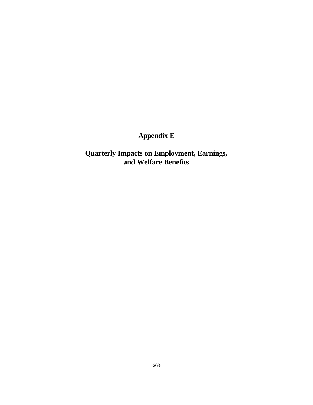# **Appendix E**

# **Quarterly Impacts on Employment, Earnings, and Welfare Benefits**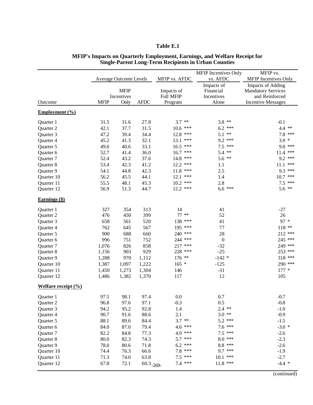|                         |                               |             |              |                  | <b>MFIP</b> Incentives Only | MFIP vs.                  |  |  |
|-------------------------|-------------------------------|-------------|--------------|------------------|-----------------------------|---------------------------|--|--|
|                         | <b>Average Outcome Levels</b> |             |              | MFIP vs. AFDC    | vs. AFDC                    | MFIP Incentives Only      |  |  |
|                         |                               |             |              |                  | Impacts of                  | <b>Impacts of Adding</b>  |  |  |
|                         |                               | <b>MFIP</b> |              | Impacts of       | Financial                   | <b>Mandatory Services</b> |  |  |
|                         |                               | Incentives  |              | <b>Full MFIP</b> | Incentives                  | and Reinforced            |  |  |
| Outcome                 | <b>MFIP</b>                   | Only        | <b>AFDC</b>  | Program          | Alone                       | <b>Incentive Messages</b> |  |  |
| Employment (%)          |                               |             |              |                  |                             |                           |  |  |
| Quarter 1               | 31.5                          | 31.6        | 27.8         | $3.7$ **         | $3.8$ **                    | $-0.1$                    |  |  |
| Quarter 2               | 42.1                          | 37.7        | 31.5         | $10.6$ ***       | $6.2$ ***                   | 4.4 **                    |  |  |
| Quarter 3               | 47.2                          | 39.4        | 34.4         | 12.8 ***         | 5.1<br>$**$                 | 7.8 ***                   |  |  |
| Quarter 4               | 45.2                          | 41.3        | 32.1         | $13.1$ ***       | 9.2 ***                     | $3.9 *$                   |  |  |
| Quarter 5               | 49.6                          | 40.6        | 33.1         | $16.5$ ***       | 7.5 ***                     | 9.0 ***                   |  |  |
| Quarter 6               | 52.7                          | 41.4        | 36.0         | $16.7$ ***       | $5.4$ **                    | $11.4$ ***                |  |  |
| Quarter 7               | 52.4                          | 43.2        | 37.6         | 14.8 ***         | $5.6$ **                    | $9.2$ ***                 |  |  |
| Quarter 8               | 53.4                          | 42.3        | 41.2         | $12.2$ ***       | 1.1                         | ***<br>11.1               |  |  |
| Quarter 9               | 54.1                          | 44.8        | 42.3         | $11.8$ ***       | 2.5                         | ***<br>9.3                |  |  |
| Quarter 10              | 56.2                          | 45.5        | 44.1         | $12.1$ ***       | 1.4                         | ***<br>10.7               |  |  |
| Quarter 11              | 55.5                          | 48.1        | 45.3         | $10.2$ ***       | 2.8                         | 7.5<br>***                |  |  |
| Quarter 12              | 56.9                          | 51.3        | 44.7         | $12.2$ ***       | $6.6$ ***                   | $5.6$ **                  |  |  |
| Earnings (\$)           |                               |             |              |                  |                             |                           |  |  |
| Quarter 1               | 327                           | 354         | 313          | 14               | 41                          | $-27$                     |  |  |
| Quarter 2               | 476                           | 450         | 399          | $77**$           | 52                          | 26                        |  |  |
| Quarter 3               | 658                           | 561         | 520          | 138 ***          | 41                          | 97 *                      |  |  |
| Quarter 4               | 762                           | 645         | 567          | 195 ***          | 77                          | 118 **                    |  |  |
| Quarter 5               | 900                           | 688         | 660          | 240 ***          | 28                          | 212 ***                   |  |  |
| Quarter 6               | 996                           | 751         | 752          | 244 ***          | $\boldsymbol{0}$            | 245 ***                   |  |  |
| Quarter 7               | 1,076                         | 826         | 858          | 217 ***          | $-32$                       | 249 ***                   |  |  |
| Quarter 8               | 1,156                         | 903         | 929          | 228 ***          | $-25$                       | 253 ***                   |  |  |
| Quarter 9               | 1,288                         | 970         | 1,112        | 176 **           | $-142$ *                    | 318 ***                   |  |  |
| Quarter 10              | 1,387                         | 1,097       | 1,222        | $165 *$          | $-125$                      | 290 ***                   |  |  |
| Quarter 11              | 1,450                         | 1,273       | 1,304        | 146              | $-31$                       | $177 *$                   |  |  |
| Quarter 12              | 1,486                         | 1,382       | 1,370        | 117              | 12                          | 105                       |  |  |
| Welfare receipt $(\% )$ |                               |             |              |                  |                             |                           |  |  |
| Quarter 1               | 97.5                          | 98.1        | 97.4         | 0.0              | 0.7                         | $-0.7$                    |  |  |
| Quarter 2               | 96.8                          | 97.6        | 97.1         | $-0.3$           | 0.5                         | $-0.8$                    |  |  |
| Quarter 3               | 94.2                          | 95.2        | 92.8         | 1.4              | $2.4$ **                    | $-1.0$                    |  |  |
| Quarter 4               | 90.7                          | 91.6        | 88.6         | 2.1              | $3.0$ **                    | $-0.9$                    |  |  |
| Quarter 5               | 88.1                          | 89.6        | 84.4         | $3.7$ **         | 5.2 ***                     | $-1.5$                    |  |  |
| Quarter 6               | 84.0                          | 87.0        | 79.4         | 4.6 ***          | 7.6 ***                     | $-3.0*$                   |  |  |
| Quarter 7               | 82.2                          | 84.8        | 77.3         | 4.9 ***          | 7.5 ***                     | $-2.6$                    |  |  |
| Quarter 8               | 80.0                          | 82.3        | 74.3         | 5.7 ***          | 8.0 ***                     | $-2.3$                    |  |  |
| Quarter 9               | 78.0                          | 80.6        | 71.8         | $6.2$ ***        | 8.8 ***                     | $-2.6$                    |  |  |
| Quarter 10              | 74.4                          | 76.3        | 66.6         | $7.8$ ***        | 9.7 ***                     | $-1.9$                    |  |  |
| Quarter 11              | 71.3                          | 74.0        | 63.8         | $7.5$ ***        | $10.1$ ***                  | $-2.7$                    |  |  |
| Quarter 12              | 67.8                          | 72.1        | $60.3 - 269$ | 7.4 ***          | $11.8$ ***                  | $-4.4$ *                  |  |  |

#### **MFIP's Impacts on Quarterly Employment, Earnings, and Welfare Receipt for Single-Parent Long-Term Recipients in Urban Counties**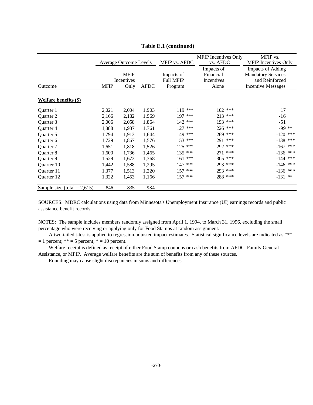|                                | Average Outcome Levels |                                   |       | MFIP vs. AFDC                             | <b>MFIP</b> Incentives Only<br>vs. AFDC        | MFIP vs.<br>MFIP Incentives Only                                                                     |  |
|--------------------------------|------------------------|-----------------------------------|-------|-------------------------------------------|------------------------------------------------|------------------------------------------------------------------------------------------------------|--|
| Outcome                        | <b>MFIP</b>            | <b>MFIP</b><br>Incentives<br>Only | AFDC  | Impacts of<br><b>Full MFIP</b><br>Program | Impacts of<br>Financial<br>Incentives<br>Alone | <b>Impacts of Adding</b><br><b>Mandatory Services</b><br>and Reinforced<br><b>Incentive Messages</b> |  |
| <b>Welfare benefits (\$)</b>   |                        |                                   |       |                                           |                                                |                                                                                                      |  |
| Quarter 1                      | 2,021                  | 2,004                             | 1,903 | $119$ ***                                 | 102<br>***                                     | 17                                                                                                   |  |
| Quarter 2                      | 2,166                  | 2,182                             | 1,969 | 197 ***                                   | 213 ***                                        | $-16$                                                                                                |  |
| Quarter 3                      | 2,006                  | 2,058                             | 1,864 | 142 ***                                   | 193 ***                                        | $-51$                                                                                                |  |
| Quarter 4                      | 1,888                  | 1,987                             | 1,761 | 127<br>***                                | 226 ***                                        | $-99**$                                                                                              |  |
| Quarter 5                      | 1,794                  | 1,913                             | 1,644 | 149 ***                                   | 269 ***                                        | $-120$ ***                                                                                           |  |
| Quarter 6                      | 1,729                  | 1,867                             | 1,576 | 153 ***                                   | 291 ***                                        | $-138$ ***                                                                                           |  |
| Quarter 7                      | 1,651                  | 1,818                             | 1,526 | 125<br>***                                | ***<br>292                                     | $-167$ ***                                                                                           |  |
| Quarter 8                      | 1,600                  | 1,736                             | 1,465 | 135 ***                                   | 271<br>***                                     | $-136$ ***                                                                                           |  |
| Quarter 9                      | 1,529                  | 1,673                             | 1,368 | ***<br>161                                | 305 ***                                        | $-144$ ***                                                                                           |  |
| Quarter 10                     | 1,442                  | 1,588                             | 1,295 | 147<br>***                                | 293 ***                                        | $-146$ ***                                                                                           |  |
| Ouarter 11                     | 1,377                  | 1,513                             | 1,220 | 157 ***                                   | 293 ***                                        | $-136$ ***                                                                                           |  |
| Quarter 12                     | 1,322                  | 1,453                             | 1,166 | 157 ***                                   | 288 ***                                        | $-131$ **                                                                                            |  |
| Sample size (total = $2,615$ ) | 846                    | 835                               | 934   |                                           |                                                |                                                                                                      |  |

|  | Table E.1 (continued) |  |
|--|-----------------------|--|
|  |                       |  |

SOURCES: MDRC calculations using data from Minnesota's Unemployment Insurance (UI) earnings records and public assistance benefit records.

NOTES: The sample includes members randomly assigned from April 1, 1994, to March 31, 1996, excluding the small percentage who were receiving or applying only for Food Stamps at random assignment.

 A two-tailed t-test is applied to regression-adjusted impact estimates. Statistical significance levels are indicated as \*\*\*  $= 1$  percent;  $** = 5$  percent;  $* = 10$  percent.

 Welfare receipt is defined as receipt of either Food Stamp coupons or cash benefits from AFDC, Family General Assistance, or MFIP. Average welfare benefits are the sum of benefits from any of these sources.

Rounding may cause slight discrepancies in sums and differences.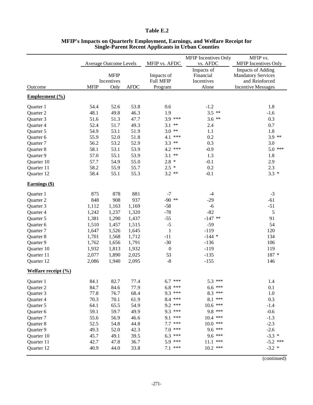|                          |             | Average Outcome Levels            |             | MFIP vs. AFDC                             | <b>MFIP</b> Incentives Only<br>vs. AFDC        | MFIP vs.<br>MFIP Incentives Only                                                                     |
|--------------------------|-------------|-----------------------------------|-------------|-------------------------------------------|------------------------------------------------|------------------------------------------------------------------------------------------------------|
| Outcome                  | <b>MFIP</b> | <b>MFIP</b><br>Incentives<br>Only | <b>AFDC</b> | Impacts of<br><b>Full MFIP</b><br>Program | Impacts of<br>Financial<br>Incentives<br>Alone | <b>Impacts of Adding</b><br><b>Mandatory Services</b><br>and Reinforced<br><b>Incentive Messages</b> |
| <b>Employment</b> $(\%)$ |             |                                   |             |                                           |                                                |                                                                                                      |
|                          |             |                                   |             |                                           |                                                |                                                                                                      |
| Quarter 1                | 54.4        | 52.6                              | 53.8        | 0.6                                       | $-1.2$                                         | 1.8                                                                                                  |
| Quarter 2                | 48.1        | 49.8                              | 46.3        | 1.9                                       | $3.5$ **                                       | $-1.6$                                                                                               |
| Quarter 3                | 51.6        | 51.3                              | 47.7        | $3.9***$                                  | $3.6$ **                                       | 0.3                                                                                                  |
| Quarter 4                | 52.4        | 51.7                              | 49.3        | $**$<br>3.1                               | 2.4                                            | 0.7                                                                                                  |
| Quarter 5                | 54.9        | 53.1                              | 51.9        | $3.0$ **                                  | 1.1                                            | 1.8                                                                                                  |
| Quarter 6                | 55.9        | 52.0                              | 51.8        | ***<br>4.1                                | 0.2                                            | $3.9$ **                                                                                             |
| Quarter 7                | 56.2        | 53.2                              | 52.9        | 3.3<br>**                                 | 0.3                                            | 3.0                                                                                                  |
| Quarter 8                | 58.1        | 53.1                              | 53.9        | 4.2 ***                                   | $-0.9$                                         | 5.0 ***                                                                                              |
| Quarter 9                | 57.0        | 55.1                              | 53.9        | $3.1$ **                                  | 1.3                                            | 1.8                                                                                                  |
| Quarter 10               | 57.7        | 54.9                              | 55.0        | $2.8 *$                                   | $-0.1$                                         | 2.9                                                                                                  |
| Quarter 11               | 58.2        | 55.9                              | 55.7        | $2.5 *$                                   | 0.2                                            | 2.3                                                                                                  |
| Quarter 12               | 58.4        | 55.1                              | 55.3        | $3.2$ **                                  | $-0.1$                                         | $3.3 *$                                                                                              |
| Earnings (\$)            |             |                                   |             |                                           |                                                |                                                                                                      |
| Quarter 1                | 875         | 878                               | 881         | $-7$                                      | $-4$                                           | $-3$                                                                                                 |
| Quarter 2                | 848         | 908                               | 937         | $-90$ **                                  | $-29$                                          | $-61$                                                                                                |
| Quarter 3                | 1,112       | 1,163                             | 1,169       | $-58$                                     | $-6$                                           | $-51$                                                                                                |
| Quarter 4                | 1,242       | 1,237                             | 1,320       | $-78$                                     | $-82$                                          | 5                                                                                                    |
| Quarter 5                | 1,381       | 1,290                             | 1,437       | $-55$                                     | $-147$ **                                      | 91                                                                                                   |
| Quarter 6                | 1,510       | 1,457                             | 1,515       | $-5$                                      | $-59$                                          | 54                                                                                                   |
| Quarter 7                | 1,647       | 1,526                             | 1,645       | $\mathbf{1}$                              | $-119$                                         | 120                                                                                                  |
| Quarter 8                | 1,701       | 1,568                             | 1,712       | $-11$                                     | $-144$ *                                       | 134                                                                                                  |
| Quarter 9                | 1,762       | 1,656                             | 1,791       | $-30$                                     | $-136$                                         | 106                                                                                                  |
| Quarter 10               | 1,932       | 1,813                             | 1,932       | $\boldsymbol{0}$                          | $-119$                                         | 119                                                                                                  |
| Quarter 11               | 2,077       | 1,890                             | 2,025       | 53                                        | $-135$                                         | 187 *                                                                                                |
| Quarter 12               | 2,086       | 1,940                             | 2,095       | $-8$                                      | $-155$                                         | 146                                                                                                  |
| Welfare receipt $(\% )$  |             |                                   |             |                                           |                                                |                                                                                                      |
| Quarter 1                | 84.1        | 82.7                              | 77.4        | $6.7$ ***                                 | 5.3 ***                                        | 1.4                                                                                                  |
| Quarter 2                | 84.7        | 84.6                              | 77.9        | $6.8$ ***                                 | $6.6$ ***                                      | 0.1                                                                                                  |
| Quarter 3                | 77.8        | 76.7                              | 68.4        | 9.3 ***                                   | 8.3 ***                                        | 1.0                                                                                                  |
| Quarter 4                | 70.3        | 70.1                              | 61.9        | 8.4 ***                                   | 8.1 ***                                        | 0.3                                                                                                  |
| Quarter 5                | 64.1        | 65.5                              | 54.9        | $9.2$ ***                                 | $10.6$ ***                                     | $-1.4$                                                                                               |
| Quarter 6                | 59.1        | 59.7                              | 49.9        | 9.3 ***                                   | 9.8 ***                                        | $-0.6$                                                                                               |
| Quarter 7                | 55.6        | 56.9                              | 46.6        | 9.1 ***                                   | $10.4$ ***                                     | $-1.3$                                                                                               |
| Quarter 8                | 52.5        | 54.8                              | 44.8        | $7.7$ ***                                 | $10.0$ ***                                     | $-2.3$                                                                                               |
| Quarter 9                | 49.3        | 52.0                              | 42.3        | $7.0$ ***                                 | 9.6 ***                                        | $-2.6$                                                                                               |
| Quarter 10               | 45.7        | 49.1                              | 39.5        | $6.3$ ***                                 | 9.6 ***                                        | $-3.3$ *                                                                                             |
| Quarter 11               | 42.7        | 47.8                              | 36.7        | 5.9 ***                                   | $11.1$ ***                                     | $-5.2$ ***                                                                                           |
| Quarter 12               | 40.9        | 44.0                              | 33.8        | $7.1$ ***                                 | $10.2$ ***                                     | $-3.2$ *                                                                                             |
|                          |             |                                   |             |                                           |                                                |                                                                                                      |

#### **MFIP's Impacts on Quarterly Employment, Earnings, and Welfare Receipt for Single-Parent Recent Applicants in Urban Counties**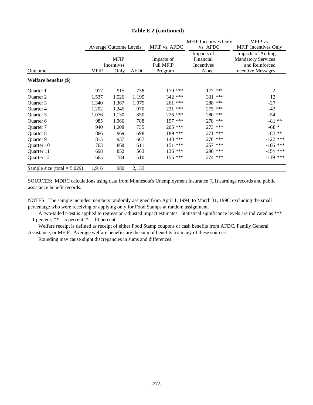|                                | Average Outcome Levels |                                                                                                                                                 |       | MFIP vs. AFDC                                                                                        | <b>MFIP</b> Incentives Only<br>vs. AFDC | MFIP vs.<br>MFIP Incentives Only |  |
|--------------------------------|------------------------|-------------------------------------------------------------------------------------------------------------------------------------------------|-------|------------------------------------------------------------------------------------------------------|-----------------------------------------|----------------------------------|--|
| Outcome                        | <b>MFIP</b>            | Impacts of<br><b>MFIP</b><br>Financial<br>Impacts of<br><b>Full MFIP</b><br>Incentives<br>Incentives<br><b>AFDC</b><br>Only<br>Program<br>Alone |       | <b>Impacts of Adding</b><br><b>Mandatory Services</b><br>and Reinforced<br><b>Incentive Messages</b> |                                         |                                  |  |
| Welfare benefits (\$)          |                        |                                                                                                                                                 |       |                                                                                                      |                                         |                                  |  |
| Quarter 1                      | 917                    | 915                                                                                                                                             | 738   | 179 ***                                                                                              | ***<br>177                              | 2                                |  |
| Quarter 2                      | 1,537                  | 1,526                                                                                                                                           | 1,195 | 342 ***                                                                                              | 331 ***                                 | 12                               |  |
| Quarter 3                      | 1,340                  | 1,367                                                                                                                                           | 1,079 | 261<br>***                                                                                           | 288 ***                                 | $-27$                            |  |
| Quarter 4                      | 1,202                  | 1,245                                                                                                                                           | 970   | 231 ***                                                                                              | 275 ***                                 | $-43$                            |  |
| Quarter 5                      | 1,076                  | 1,130                                                                                                                                           | 850   | 226 ***                                                                                              | 280 ***                                 | $-54$                            |  |
| Quarter 6                      | 985                    | 1,066                                                                                                                                           | 788   | 197 ***                                                                                              | 278 ***                                 | $-81**$                          |  |
| Quarter 7                      | 940                    | 1,008                                                                                                                                           | 735   | 205 ***                                                                                              | 273 ***                                 | $-68 *$                          |  |
| Quarter 8                      | 886                    | 969                                                                                                                                             | 698   | 189 ***                                                                                              | ***<br>271                              | $-83$ **                         |  |
| Ouarter 9                      | 815                    | 937                                                                                                                                             | 667   | 148 ***                                                                                              | 270 ***                                 | $-122$ ***                       |  |
| Quarter 10                     | 763                    | 868                                                                                                                                             | 611   | $151$ ***                                                                                            | 257 ***                                 | $-106$ ***                       |  |
| Quarter 11                     | 698                    | 852                                                                                                                                             | 563   | 136 ***                                                                                              | 290 ***                                 | $-154$ ***                       |  |
| Quarter 12                     | 665                    | 784                                                                                                                                             | 510   | 155 ***                                                                                              | 274 ***                                 | $-119$ ***                       |  |
| Sample size (total = $5,029$ ) | 1,916                  | 980                                                                                                                                             | 2,133 |                                                                                                      |                                         |                                  |  |

**Table E.2 (continued)**

SOURCES: MDRC calculations using data from Minnesota's Unemployment Insurance (UI) earnings records and public assistance benefit records.

NOTES: The sample includes members randomly assigned from April 1, 1994, to March 31, 1996, excluding the small percentage who were receiving or applying only for Food Stamps at random assignment.

 A two-tailed t-test is applied to regression-adjusted impact estimates. Statistical significance levels are indicated as \*\*\*  $= 1$  percent;  $** = 5$  percent;  $* = 10$  percent.

 Welfare receipt is defined as receipt of either Food Stamp coupons or cash benefits from AFDC, Family General Assistance, or MFIP. Average welfare benefits are the sum of benefits from any of these sources.

Rounding may cause slight discrepancies in sums and differences.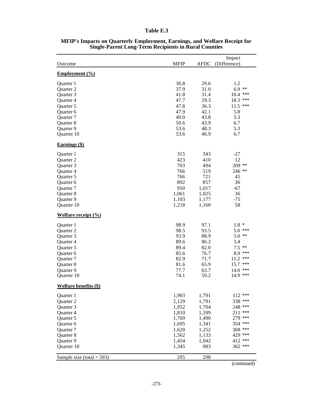|                                   |             |             | Impact       |
|-----------------------------------|-------------|-------------|--------------|
| Outcome                           | <b>MFIP</b> | <b>AFDC</b> | (Difference) |
| <b>Employment</b> $(\frac{9}{6})$ |             |             |              |
|                                   |             |             |              |
| Quarter 1                         | 30.8        | 29.6        | 1.2          |
| Quarter 2                         | 37.9        | 31.0        | $6.9$ **     |
| Quarter 3                         | 41.8        | 31.4        | ***<br>10.4  |
| Quarter 4                         | 47.7        | 29.3        | 18.3<br>***  |
| Quarter 5                         | 47.8        | 36.3        | $11.5$ ***   |
| Quarter 6                         | 47.9        | 42.1        | 5.8          |
| Quarter 7                         | 49.0        | 43.8        | 5.3          |
| Quarter 8                         | 50.6        | 43.9        | 6.7          |
| Quarter 9                         | 53.6        | 48.3        | 5.3          |
| Quarter 10                        | 53.6        | 46.9        | 6.7          |
| <b>Earnings</b> (\$)              |             |             |              |
| Quarter 1                         | 315         | 343         | $-27$        |
| Quarter 2                         | 423         | 410         | 12           |
| Quarter 3                         | 703         | 494         | 209 **       |
| Quarter 4                         | 766         | 519         | 246 **       |
| Quarter 5                         | 766         | 721         | 45           |
| Quarter 6                         | 892         | 857         | 36           |
| Quarter 7                         | 950         | 1,017       | $-67$        |
| Quarter 8                         | 1,061       | 1,025       | 36           |
| Quarter 9                         | 1,103       | 1,177       | $-75$        |
| Quarter 10                        |             |             | 58           |
|                                   | 1,218       | 1,160       |              |
| Welfare receipt (%)               |             |             |              |
| Quarter 1                         | 98.9        | 97.1        | $1.8 *$      |
| Quarter 2                         | 98.5        | 93.5        | $5.0$ ***    |
| Quarter 3                         | 93.9        | 88.9        | $5.0$ **     |
| Quarter 4                         | 89.6        | 86.2        | 3.4          |
| Quarter 5                         | 89.4        | 82.0        | $7.5$ **     |
| Quarter 6                         | 85.6        | 76.7        | 8.9 ***      |
| Quarter 7                         | 82.9        | 71.7        | 11.2<br>***  |
| Quarter 8                         | 81.6        | 65.9        | $15.7$ ***   |
| Quarter 9                         | 77.7        | 63.7        | 14.0<br>***  |
| Quarter 10                        | 74.1        | 59.2        | 14.9 ***     |
| <b>Welfare benefits (\$)</b>      |             |             |              |
| Quarter 1                         | 1,903       | 1,791       | 112 ***      |
| Quarter 2                         | 2,129       | 1,791       | 338 ***      |
| Quarter 3                         | 1,952       | 1,704       | 248 ***      |
| Quarter 4                         | 1,810       | 1,599       | 211 ***      |
| Quarter 5                         | 1,769       | 1,490       | 279 ***      |
| Quarter 6                         | 1,695       | 1,341       | 354 ***      |
| Quarter 7                         | 1,620       | 1,252       | 368 ***      |
| Quarter 8                         | 1,562       | 1,133       | 429 ***      |
| Quarter 9                         | 1,454       | 1,042       | 412 ***      |
| Quarter 10                        | 1,345       | 983         | 362 ***      |
| Sample size (total = 593)         | 295         | 298         |              |

#### **MFIP's Impacts on Quarterly Employment, Earnings, and Welfare Receipt for Single-Parent Long-Term Recipients in Rural Counties**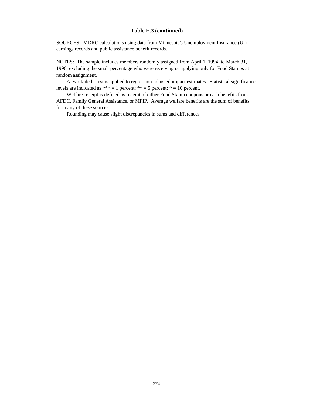## **Table E.3 (continued)**

SOURCES: MDRC calculations using data from Minnesota's Unemployment Insurance (UI) earnings records and public assistance benefit records.

NOTES: The sample includes members randomly assigned from April 1, 1994, to March 31, 1996, excluding the small percentage who were receiving or applying only for Food Stamps at random assignment.

 A two-tailed t-test is applied to regression-adjusted impact estimates. Statistical significance levels are indicated as  $*** = 1$  percent;  $** = 5$  percent;  $* = 10$  percent.

 Welfare receipt is defined as receipt of either Food Stamp coupons or cash benefits from AFDC, Family General Assistance, or MFIP. Average welfare benefits are the sum of benefits from any of these sources.

Rounding may cause slight discrepancies in sums and differences.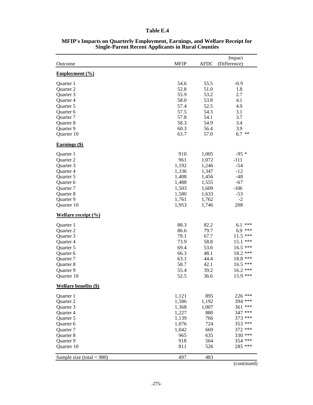|                              |             |             | Impact       |
|------------------------------|-------------|-------------|--------------|
| Outcome                      | <b>MFIP</b> | <b>AFDC</b> | (Difference) |
| Employment (%)               |             |             |              |
| Quarter 1                    | 54.6        | 55.5        | $-0.9$       |
| Quarter 2                    | 52.8        | 51.0        | 1.8          |
| Quarter 3                    | 55.9        | 53.2        | 2.7          |
| Quarter 4                    | 58.0        | 53.8        | 4.1          |
| Quarter 5                    | 57.4        | 52.5        | 4.9          |
| Quarter 6                    | 57.5        | 54.3        | 3.1          |
| Quarter 7                    | 57.8        | 54.1        | 3.7          |
| Quarter 8                    | 58.3        | 54.9        | 3.4          |
| Quarter 9                    | 60.3        | 56.4        | 3.9          |
| Quarter 10                   | 63.7        | 57.0        | $6.7$ **     |
| Earnings (\$)                |             |             |              |
| Quarter 1                    | 910         | 1,005       | $-95*$       |
| Quarter 2                    | 961         | 1,072       | $-111$       |
| Quarter 3                    | 1,192       | 1,246       | $-54$        |
| Quarter 4                    | 1,336       | 1,347       | $-12$        |
| Quarter 5                    | 1,408       | 1,456       | $-48$        |
| Quarter 6                    | 1,488       | 1,555       | $-67$        |
| Quarter 7                    | 1,503       | 1,609       | $-106$       |
| Quarter 8                    | 1,580       | 1,633       | $-53$        |
| Quarter 9                    | 1,761       | 1,762       | $-2$         |
| Quarter 10                   | 1,953       | 1,746       | 208          |
| Welfare receipt (%)          |             |             |              |
| Quarter 1                    | 88.3        | 82.2        | ***<br>6.1   |
| Quarter 2                    | 86.6        | 79.7        | 6.9<br>***   |
| Quarter 3                    | 79.1        | 67.7        | $11.5$ ***   |
| Quarter 4                    | 73.9        | 58.8        | 15.1<br>***  |
| Quarter 5                    | 69.4        | 53.0        | $16.5$ ***   |
| Quarter 6                    | 66.3        | 48.1        | $18.2$ ***   |
| Quarter 7                    | 63.1        | 44.4        | 18.8 ***     |
| Quarter 8                    | 58.7        | 42.1        | $16.5$ ***   |
| Quarter 9                    | 55.4        | 39.2        | $16.2$ ***   |
| Quarter 10                   | 52.5        | 36.6        | $15.9$ ***   |
| <b>Welfare benefits (\$)</b> |             |             |              |
| Quarter 1                    | 1,121       | 895         | 226 ***      |
| Quarter 2                    | 1,586       | 1,192       | 394 ***      |
| Quarter 3                    | 1,368       | 1,007       | 361 ***      |
| Quarter 4                    | 1,227       | 880         | 347 ***      |
| Quarter 5                    | 1,139       | 766         | 373 ***      |
| Quarter 6                    | 1,076       | 724         | 353 ***      |
| Quarter 7                    | 1,042       | 669         | 372 ***      |
| Quarter 8                    | 965         | 635         | 330 ***      |
| Quarter 9                    | 918         | 564         | 354 ***      |
| Quarter 10                   | 811         | 526         | 285 ***      |
| Sample size (total = $980$ ) | 497         | 483         |              |

#### **MFIP's Impacts on Quarterly Employment, Earnings, and Welfare Receipt for Single-Parent Recent Applicants in Rural Counties**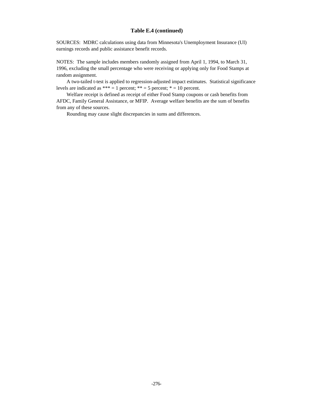## **Table E.4 (continued)**

SOURCES: MDRC calculations using data from Minnesota's Unemployment Insurance (UI) earnings records and public assistance benefit records.

NOTES: The sample includes members randomly assigned from April 1, 1994, to March 31, 1996, excluding the small percentage who were receiving or applying only for Food Stamps at random assignment.

 A two-tailed t-test is applied to regression-adjusted impact estimates. Statistical significance levels are indicated as  $*** = 1$  percent;  $** = 5$  percent;  $* = 10$  percent.

 Welfare receipt is defined as receipt of either Food Stamp coupons or cash benefits from AFDC, Family General Assistance, or MFIP. Average welfare benefits are the sum of benefits from any of these sources.

Rounding may cause slight discrepancies in sums and differences.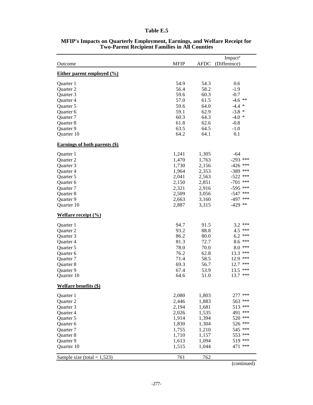|                                      |             |             | Impact <sup>a</sup> |
|--------------------------------------|-------------|-------------|---------------------|
| Outcome                              | <b>MFIP</b> | <b>AFDC</b> | (Difference)        |
| Either parent employed (%)           |             |             |                     |
| Quarter 1                            | 54.9        | 54.3        | 0.6                 |
| Quarter 2                            | 56.4        | 58.2        | $-1.9$              |
| Quarter 3                            | 59.6        | 60.3        | $-0.7$              |
| Quarter 4                            | 57.0        | 61.5        | $-4.6$ **           |
| Quarter 5                            | 59.6        | 64.0        | $-4.4$ *            |
| Quarter 6                            | 59.1        | 62.9        | $-3.8$ *            |
| Quarter 7                            | 60.3        | 64.3        | $-4.0*$             |
| Quarter 8                            | 61.8        | 62.6        | $-0.8$              |
| Quarter 9                            | 63.5        | 64.5        | $-1.0$              |
| Quarter 10                           | 64.2        | 64.1        | 0.1                 |
| <b>Earnings of both parents (\$)</b> |             |             |                     |
| Quarter 1                            | 1,241       | 1,305       | $-64$               |
| Quarter 2                            | 1,470       | 1,763       | $-293$ ***          |
| Quarter 3                            | 1,730       | 2,156       | $-426$ ***          |
| Quarter 4                            | 1,964       | 2,353       | $-389$ ***          |
| Quarter 5                            | 2,041       | 2,563       | $-522$ ***          |
| Quarter 6                            | 2,150       | 2,851       | $-701$ ***          |
| <b>Ouarter 7</b>                     | 2,321       | 2,916       | $-595$ ***          |
| Quarter 8                            | 2,509       | 3,056       | $-547$ ***          |
| Quarter 9                            | 2,663       | 3,160       | $-497$ ***          |
| Quarter 10                           | 2,887       | 3,315       | $-429$ **           |
| Welfare receipt (%)                  |             |             |                     |
| Quarter 1                            | 94.7        | 91.5        | $3.2$ ***           |
| Quarter 2                            | 93.2        | 88.8        | 4.5 ***             |
| Quarter 3                            | 86.2        | 80.0        | $6.2$ ***           |
| Quarter 4                            | 81.3        | 72.7        | ***<br>8.6          |
| Quarter 5                            | 78.0        | 70.0        | 8.0<br>***          |
| Quarter 6                            | 76.2        | 62.8        | ***<br>13.3         |
| Quarter 7                            | 71.4        | 58.5        | 12.9 ***            |
| Quarter 8                            | 69.3        | 56.7        | $12.7$ ***          |
| <b>Ouarter 9</b>                     | 67.4        | 53.9        | 13.5<br>***         |
| Quarter 10                           | 64.6        | 51.0        | $13.7$ ***          |
| Welfare benefits (\$)                |             |             |                     |
| Quarter 1                            | 2,080       | 1,803       | 277 ***             |
| Quarter 2                            | 2,446       | 1,883       | 563 ***             |
| Quarter 3                            | 2,194       | 1,681       | 513 ***             |
| Quarter 4                            | 2,026       | 1,535       | 491 ***             |
| Quarter 5                            | 1,914       | 1,394       | 520 ***             |
| Quarter 6                            | 1,830       | 1,304       | 526 ***             |
| Quarter <sub>7</sub>                 | 1,755       | 1,210       | 545 ***             |
| Quarter 8                            | 1,710       | 1,157       | 553 ***             |
| Quarter 9                            | 1,613       | 1,094       | 519 ***             |
| Quarter 10                           | 1,515       | 1,044       | 471 ***             |
| Sample size (total = $1,523$ )       | 761         | 762         |                     |

#### **MFIP's Impacts on Quarterly Employment, Earnings, and Welfare Receipt for Two-Parent Recipient Families in All Counties**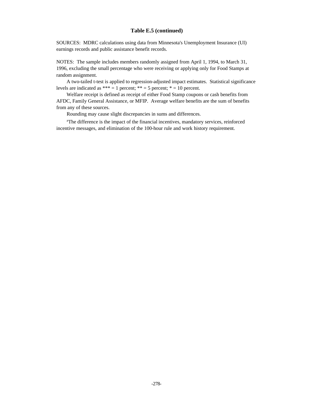## **Table E.5 (continued)**

SOURCES: MDRC calculations using data from Minnesota's Unemployment Insurance (UI) earnings records and public assistance benefit records.

NOTES: The sample includes members randomly assigned from April 1, 1994, to March 31, 1996, excluding the small percentage who were receiving or applying only for Food Stamps at random assignment.

 A two-tailed t-test is applied to regression-adjusted impact estimates. Statistical significance levels are indicated as  $*** = 1$  percent;  $** = 5$  percent;  $* = 10$  percent.

 Welfare receipt is defined as receipt of either Food Stamp coupons or cash benefits from AFDC, Family General Assistance, or MFIP. Average welfare benefits are the sum of benefits from any of these sources.

Rounding may cause slight discrepancies in sums and differences.

<sup>a</sup>The difference is the impact of the financial incentives, mandatory services, reinforced incentive messages, and elimination of the 100-hour rule and work history requirement.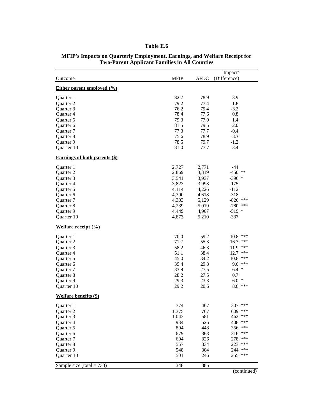|                                        |             |             | Impact <sup>a</sup> |
|----------------------------------------|-------------|-------------|---------------------|
| Outcome                                | <b>MFIP</b> | <b>AFDC</b> | (Difference)        |
| Either parent employed $(\frac{6}{6})$ |             |             |                     |
| Quarter 1                              | 82.7        | 78.9        | 3.9                 |
| Quarter 2                              | 79.2        | 77.4        | 1.8                 |
| Quarter 3                              | 76.2        | 79.4        | $-3.2$              |
| Quarter 4                              | 78.4        | 77.6        | 0.8                 |
| Quarter 5                              | 79.3        | 77.9        | 1.4                 |
| Quarter 6                              | 81.5        | 79.5        | 2.0                 |
| Quarter 7                              | 77.3        | 77.7        | $-0.4$              |
| Quarter 8                              | 75.6        | 78.9        | $-3.3$              |
| Quarter 9                              | 78.5        | 79.7        | $-1.2$              |
| Quarter 10                             | 81.0        | 77.7        | 3.4                 |
| <b>Earnings of both parents (\$)</b>   |             |             |                     |
| Quarter 1                              | 2,727       | 2,771       | $-44$               |
| Quarter 2                              | 2,869       | 3,319       | $-450$ **           |
| Quarter 3                              | 3,541       | 3,937       | $-396$ *            |
| Quarter 4                              | 3,823       | 3,998       | $-175$              |
| Quarter 5                              | 4,114       | 4,226       | $-112$              |
| Quarter 6                              | 4,300       | 4,618       | $-318$              |
| Quarter 7                              | 4,303       | 5,129       | $-826$ ***          |
| Quarter 8                              | 4,239       | 5,019       | $-780$ ***          |
| Quarter 9                              | 4,449       | 4,967       | $-519$ *            |
| Quarter 10                             | 4,873       | 5,210       | $-337$              |
| Welfare receipt $(\frac{6}{6})$        |             |             |                     |
| Quarter 1                              | 70.0        | 59.2        | $10.8$ ***          |
| Quarter 2                              | 71.7        | 55.3        | $16.3$ ***          |
| Quarter 3                              | 58.2        | 46.3        | $11.9$ ***          |
| Quarter 4                              | 51.1        | 38.4        | $12.7$ ***          |
| Quarter 5                              | 45.0        | 34.2        | $10.8$ ***          |
| Quarter 6                              | 39.4        | 29.8        | $9.6$ ***           |
| Quarter 7                              | 33.9        | 27.5        | $6.4 *$             |
| Quarter 8                              | 28.2        | 27.5        | 0.7                 |
| Quarter 9                              | 29.3        | 23.3        | $6.0*$              |
| Quarter 10                             | 29.2        | 20.6        | $8.6$ ***           |
| Welfare benefits (\$)                  |             |             |                     |
| Quarter 1                              | 774         | 467         | 307 ***             |
| Quarter 2                              | 1,375       | 767         | 609 ***             |
| Quarter 3                              | 1,043       | 581         | 462 ***             |
| Quarter 4                              | 934         | 526         | 408 ***             |
| Quarter 5                              | 804         | 448         | 356 ***             |
| Quarter 6                              | 679         | 363         | 316 ***             |
| Quarter 7                              | 604         | 326         | 278 ***             |
| Quarter 8                              | 557         | 334         | 223 ***             |
| Quarter 9                              | 548         | 304         | 244 ***             |
| Quarter 10                             | 501         | 246         | 255 ***             |
| Sample size (total = $733$ )           | 348         | 385         |                     |
|                                        |             |             |                     |

### **MFIP's Impacts on Quarterly Employment, Earnings, and Welfare Receipt for Two-Parent Applicant Families in All Counties**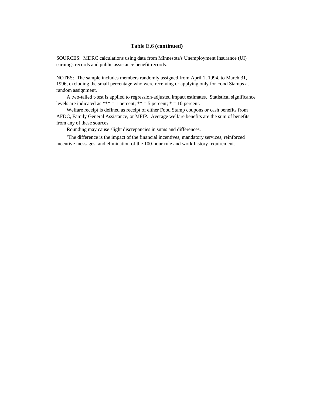### **Table E.6 (continued)**

SOURCES: MDRC calculations using data from Minnesota's Unemployment Insurance (UI) earnings records and public assistance benefit records.

NOTES: The sample includes members randomly assigned from April 1, 1994, to March 31, 1996, excluding the small percentage who were receiving or applying only for Food Stamps at random assignment.

 A two-tailed t-test is applied to regression-adjusted impact estimates. Statistical significance levels are indicated as  $*** = 1$  percent;  $** = 5$  percent;  $* = 10$  percent.

 Welfare receipt is defined as receipt of either Food Stamp coupons or cash benefits from AFDC, Family General Assistance, or MFIP. Average welfare benefits are the sum of benefits from any of these sources.

Rounding may cause slight discrepancies in sums and differences.

<sup>a</sup>The difference is the impact of the financial incentives, mandatory services, reinforced incentive messages, and elimination of the 100-hour rule and work history requirement.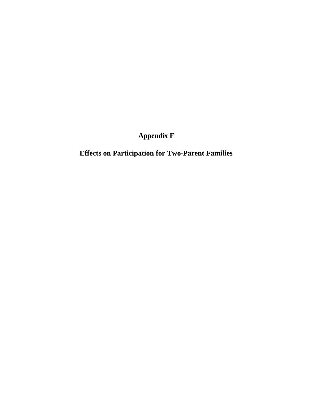**Appendix F**

**Effects on Participation for Two-Parent Families**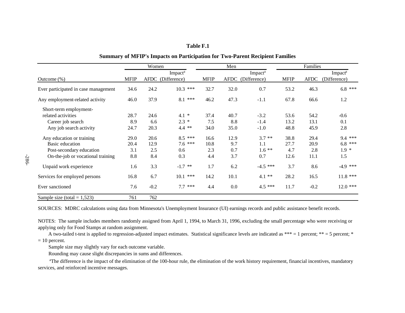## **Table F.1**

#### **Summary of MFIP's Impacts on Participation for Two-Parent Recipient Families**

|                                      |             | Women  |                     |             | Men  |                     |             | Families    |                     |  |
|--------------------------------------|-------------|--------|---------------------|-------------|------|---------------------|-------------|-------------|---------------------|--|
|                                      |             |        | Impact <sup>a</sup> |             |      | Impact <sup>a</sup> |             |             | Impact <sup>a</sup> |  |
| Outcome $(\%)$                       | <b>MFIP</b> |        | AFDC (Difference)   | <b>MFIP</b> |      | AFDC (Difference)   | <b>MFIP</b> | <b>AFDC</b> | (Difference)        |  |
| Ever participated in case management | 34.6        | 24.2   | $10.3$ ***          | 32.7        | 32.0 | 0.7                 | 53.2        | 46.3        | $6.8$ ***           |  |
| Any employment-related activity      | 46.0        | 37.9   | 8.1 ***             | 46.2        | 47.3 | $-1.1$              | 67.8        | 66.6        | 1.2                 |  |
| Short-term employment-               |             |        |                     |             |      |                     |             |             |                     |  |
| related activities                   | 28.7        | 24.6   | $4.1 *$             | 37.4        | 40.7 | $-3.2$              | 53.6        | 54.2        | $-0.6$              |  |
| Career job search                    | 8.9         | 6.6    | $2.3 *$             | 7.5         | 8.8  | $-1.4$              | 13.2        | 13.1        | 0.1                 |  |
| Any job search activity              | 24.7        | 20.3   | 4.4 **              | 34.0        | 35.0 | $-1.0$              | 48.8        | 45.9        | 2.8                 |  |
| Any education or training            | 29.0        | 20.6   | $8.5$ ***           | 16.6        | 12.9 | $3.7**$             | 38.8        | 29.4        | $9.4***$            |  |
| Basic education                      | 20.4        | 12.9   | $7.6$ ***           | 10.8        | 9.7  | 1.1                 | 27.7        | 20.9        | $6.8$ ***           |  |
| Post-secondary education             | 3.1         | 2.5    | 0.6                 | 2.3         | 0.7  | $1.6**$             | 4.7         | 2.8         | $1.9 *$             |  |
| On-the-job or vocational training    | 8.8         | 8.4    | 0.3                 | 4.4         | 3.7  | 0.7                 | 12.6        | 11.1        | 1.5                 |  |
| Unpaid work experience               | 1.6         | 3.3    | **<br>$-1.7$        | 1.7         | 6.2  | $-4.5$ ***          | 3.7         | 8.6         | $-4.9$ ***          |  |
| Services for employed persons        | 16.8        | 6.7    | $10.1$ ***          | 14.2        | 10.1 | $4.1$ **            | 28.2        | 16.5        | $11.8***$           |  |
| Ever sanctioned                      | 7.6         | $-0.2$ | $7.7***$            | 4.4         | 0.0  | $4.5***$            | 11.7        | $-0.2$      | $12.0$ ***          |  |
| Sample size (total = $1,523$ )       | 761         | 762    |                     |             |      |                     |             |             |                     |  |

SOURCES: MDRC calculations using data from Minnesota's Unemployment Insurance (UI) earnings records and public assistance benefit records.

NOTES: The sample includes members randomly assigned from April 1, 1994, to March 31, 1996, excluding the small percentage who were receiving or applying only for Food Stamps at random assignment.

A two-tailed t-test is applied to regression-adjusted impact estimates. Statistical significance levels are indicated as  $*** = 1$  percent;  $** = 5$  percent; \*  $= 10$  percent.

Sample size may slightly vary for each outcome variable.

Rounding may cause slight discrepancies in sums and differences.

<sup>a</sup>The difference is the impact of the elimination of the 100-hour rule, the elimination of the work history requirement, financial incentives, mandatory services, and reinforced incentive messages.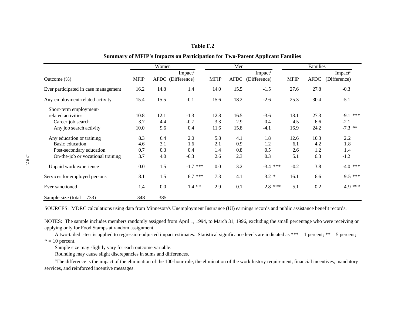## **Table F.2**

#### **Summary of MFIP's Impacts on Participation for Two-Parent Applicant Families**

|                                      | Women       |      | Men                 |             |             | Families            |             |             |                     |
|--------------------------------------|-------------|------|---------------------|-------------|-------------|---------------------|-------------|-------------|---------------------|
|                                      |             |      | Impact <sup>a</sup> |             |             | Impact <sup>a</sup> |             |             | Impact <sup>a</sup> |
| Outcome $(\%)$                       | <b>MFIP</b> |      | AFDC (Difference)   | <b>MFIP</b> | <b>AFDC</b> | (Difference)        | <b>MFIP</b> | <b>AFDC</b> | (Difference)        |
| Ever participated in case management | 16.2        | 14.8 | 1.4                 | 14.0        | 15.5        | $-1.5$              | 27.6        | 27.8        | $-0.3$              |
| Any employment-related activity      | 15.4        | 15.5 | $-0.1$              | 15.6        | 18.2        | $-2.6$              | 25.3        | 30.4        | $-5.1$              |
| Short-term employment-               |             |      |                     |             |             |                     |             |             |                     |
| related activities                   | 10.8        | 12.1 | $-1.3$              | 12.8        | 16.5        | $-3.6$              | 18.1        | 27.3        | $-9.1$ ***          |
| Career job search                    | 3.7         | 4.4  | $-0.7$              | 3.3         | 2.9         | 0.4                 | 4.5         | 6.6         | $-2.1$              |
| Any job search activity              | 10.0        | 9.6  | 0.4                 | 11.6        | 15.8        | $-4.1$              | 16.9        | 24.2        | $-7.3$ **           |
| Any education or training            | 8.3         | 6.4  | 2.0                 | 5.8         | 4.1         | 1.8                 | 12.6        | 10.3        | 2.2                 |
| Basic education                      | 4.6         | 3.1  | 1.6                 | 2.1         | 0.9         | 1.2                 | 6.1         | 4.2         | 1.8                 |
| Post-secondary education             | 0.7         | 0.3  | 0.4                 | 1.4         | 0.8         | 0.5                 | 2.6         | 1.2         | 1.4                 |
| On-the-job or vocational training    | 3.7         | 4.0  | $-0.3$              | 2.6         | 2.3         | 0.3                 | 5.1         | 6.3         | $-1.2$              |
| Unpaid work experience               | 0.0         | 1.5  | ***<br>$-1.7$       | 0.0         | 3.2         | $-3.4$ ***          | $-0.2$      | 3.8         | $-4.0$ ***          |
| Services for employed persons        | 8.1         | 1.5  | 6.7<br>***          | 7.3         | 4.1         | $3.2 *$             | 16.1        | 6.6         | $9.5***$            |
| Ever sanctioned                      | 1.4         | 0.0  | $1.4$ **            | 2.9         | 0.1         | 2.8<br>***          | 5.1         | 0.2         | $4.9***$            |
| Sample size (total = $733$ )         | 348         | 385  |                     |             |             |                     |             |             |                     |

SOURCES: MDRC calculations using data from Minnesota's Unemployment Insurance (UI) earnings records and public assistance benefit records.

NOTES: The sample includes members randomly assigned from April 1, 1994, to March 31, 1996, excluding the small percentage who were receiving or applying only for Food Stamps at random assignment.

A two-tailed t-test is applied to regression-adjusted impact estimates. Statistical significance levels are indicated as  $*** = 1$  percent;  $** = 5$  percent;  $* = 10$  percent.

Sample size may slightly vary for each outcome variable.

Rounding may cause slight discrepancies in sums and differences.

<sup>a</sup>The difference is the impact of the elimination of the 100-hour rule, the elimination of the work history requirement, financial incentives, mandatory services, and reinforced incentive messages.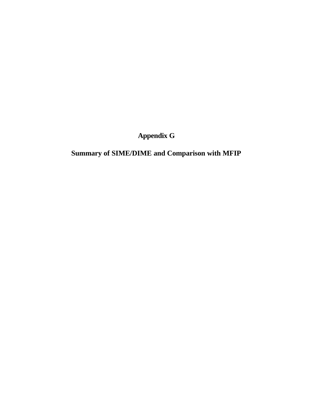**Appendix G**

**Summary of SIME/DIME and Comparison with MFIP**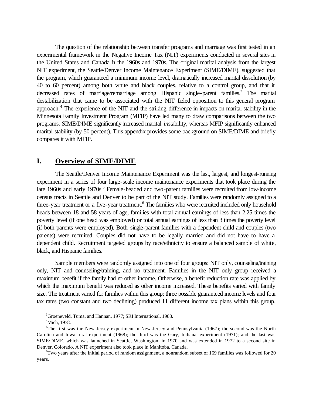The question of the relationship between transfer programs and marriage was first tested in an experimental framework in the Negative Income Tax (NIT) experiments conducted in several sites in the United States and Canada in the 1960s and 1970s. The original marital analysis from the largest NIT experiment, the Seattle/Denver Income Maintenance Experiment (SIME/DIME), suggested that the program, which guaranteed a minimum income level, dramatically increased marital dissolution (by 40 to 60 percent) among both white and black couples, relative to a control group, and that it decreased rates of marriage/remarriage among Hispanic single-parent families.<sup>3</sup> The marital destabilization that came to be associated with the NIT fueled opposition to this general program approach.<sup>4</sup> The experience of the NIT and the striking difference in impacts on marital stability in the Minnesota Family Investment Program (MFIP) have led many to draw comparisons between the two programs. SIME/DIME significantly increased marital *in*stability, whereas MFIP significantly enhanced marital stability (by 50 percent). This appendix provides some background on SIME/DIME and briefly compares it with MFIP.

# **I. Overview of SIME/DIME**

The Seattle/Denver Income Maintenance Experiment was the last, largest, and longest-running experiment in a series of four large-scale income maintenance experiments that took place during the late 1960s and early 1970s.<sup>5</sup> Female-headed and two-parent families were recruited from low-income census tracts in Seattle and Denver to be part of the NIT study. Families were randomly assigned to a three-year treatment or a five-year treatment.<sup>6</sup> The families who were recruited included only household heads between 18 and 58 years of age, families with total annual earnings of less than 2.25 times the poverty level (if one head was employed) or total annual earnings of less than 3 times the poverty level (if both parents were employed). Both single-parent families with a dependent child and couples (two parents) were recruited. Couples did not have to be legally married and did not have to have a dependent child. Recruitment targeted groups by race/ethnicity to ensure a balanced sample of white, black, and Hispanic families.

Sample members were randomly assigned into one of four groups: NIT only, counseling/training only, NIT and counseling/training, and no treatment. Families in the NIT only group received a maximum benefit if the family had no other income. Otherwise, a benefit reduction rate was applied by which the maximum benefit was reduced as other income increased. These benefits varied with family size. The treatment varied for families within this group; three possible guaranteed income levels and four tax rates (two constant and two declining) produced 11 different income tax plans within this group.

l

<sup>&</sup>lt;sup>3</sup>Groeneveld, Tuma, and Hannan, 1977; SRI International, 1983.

<sup>&</sup>lt;sup>4</sup>Mich, 1978.

<sup>&</sup>lt;sup>5</sup>The first was the New Jersey experiment in New Jersey and Pennsylvania (1967); the second was the North Carolina and Iowa rural experiment (1968); the third was the Gary, Indiana, experiment (1971); and the last was SIME/DIME, which was launched in Seattle, Washington, in 1970 and was extended in 1972 to a second site in Denver, Colorado. A NIT experiment also took place in Manitoba, Canada.

<sup>6</sup> Two years after the initial period of random assignment, a nonrandom subset of 169 families was followed for 20 years.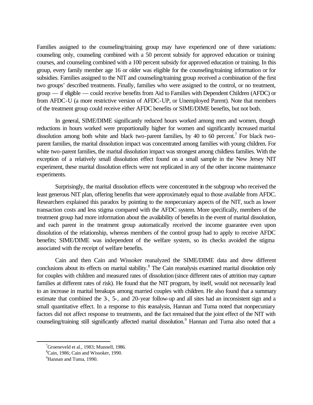Families assigned to the counseling/training group may have experienced one of three variations: counseling only, counseling combined with a 50 percent subsidy for approved education or training courses, and counseling combined with a 100 percent subsidy for approved education or training. In this group, every family member age 16 or older was eligible for the counseling/training information or for subsidies. Families assigned to the NIT and counseling/training group received a combination of the first two groups' described treatments. Finally, families who were assigned to the control, or no treatment, group — if eligible — could receive benefits from Aid to Families with Dependent Children (AFDC) or from AFDC-U (a more restrictive version of AFDC-UP, or Unemployed Parent). Note that members of the treatment group could receive either AFDC benefits or SIME/DIME benefits, but not both.

In general, SIME/DIME significantly reduced hours worked among men and women, though reductions in hours worked were proportionally higher for women and significantly increased marital dissolution among both white and black two-parent families, by 40 to 60 percent.<sup>7</sup> For black twoparent families, the marital dissolution impact was concentrated among families with young children. For white two-parent families, the marital dissolution impact was strongest among childless families. With the exception of a relatively small dissolution effect found on a small sample in the New Jersey NIT experiment, these marital dissolution effects were not replicated in any of the other income maintenance experiments.

Surprisingly, the marital dissolution effects were concentrated in the subgroup who received the least generous NIT plan, offering benefits that were approximately equal to those available from AFDC. Researchers explained this paradox by pointing to the nonpecuniary aspects of the NIT, such as lower transaction costs and less stigma compared with the AFDC system. More specifically, members of the treatment group had more information about the availability of benefits in the event of marital dissolution, and each parent in the treatment group automatically received the income guarantee even upon dissolution of the relationship, whereas members of the control group had to apply to receive AFDC benefits; SIME/DIME was independent of the welfare system, so its checks avoided the stigma associated with the receipt of welfare benefits.

Cain and then Cain and Wissoker reanalyzed the SIME/DIME data and drew different conclusions about its effects on marital stability.<sup>8</sup> The Cain reanalysis examined marital dissolution only for couples with children and measured rates of dissolution (since different rates of attrition may capture families at different rates of risk). He found that the NIT program, by itself, would not necessarily lead to an increase in marital breakups among married couples with children. He also found that a summary estimate that combined the 3-, 5-, and 20-year follow-up and all sites had an inconsistent sign and a small quantitative effect. In a response to this reanalysis, Hannan and Tuma noted that nonpecuniary factors did not affect response to treatments, and the fact remained that the joint effect of the NIT with counseling/training still significantly affected marital dissolution.<sup>9</sup> Hannan and Tuma also noted that a

l

 ${}^{7}$ Groeneveld et al., 1983; Munnell, 1986.

<sup>8</sup>Cain, 1986; Cain and Wissoker, 1990.

 $^{9}$ Hannan and Tuma, 1990.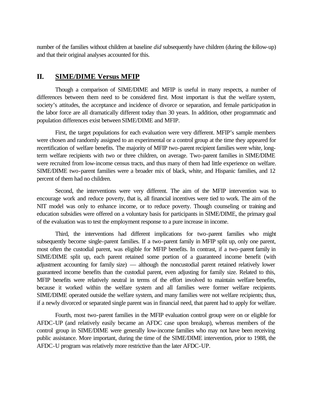number of the families without children at baseline *did* subsequently have children (during the follow-up) and that their original analyses accounted for this.

# **II. SIME/DIME Versus MFIP**

Though a comparison of SIME/DIME and MFIP is useful in many respects, a number of differences between them need to be considered first. Most important is that the welfare system, society's attitudes, the acceptance and incidence of divorce or separation, and female participation in the labor force are all dramatically different today than 30 years. In addition, other programmatic and population differences exist between SIME/DIME and MFIP.

First, the target populations for each evaluation were very different. MFIP's sample members were chosen and randomly assigned to an experimental or a control group at the time they appeared for recertification of welfare benefits. The majority of MFIP two-parent recipient families were white, longterm welfare recipients with two or three children, on average. Two-parent families in SIME/DIME were recruited from low-income census tracts, and thus many of them had little experience on welfare. SIME/DIME two-parent families were a broader mix of black, white, and Hispanic families, and 12 percent of them had no children.

Second, the interventions were very different. The aim of the MFIP intervention was to encourage work and reduce poverty, that is, all financial incentives were tied to work. The aim of the NIT model was only to enhance income, or to reduce poverty. Though counseling or training and education subsidies were offered on a voluntary basis for participants in SIME/DIME, the primary goal of the evaluation was to test the employment response to a pure increase in income.

Third, the interventions had different implications for two-parent families who might subsequently become single-parent families. If a two-parent family in MFIP split up, only one parent, most often the custodial parent, was eligible for MFIP benefits. In contrast, if a two-parent family in SIME/DIME split up, each parent retained some portion of a guaranteed income benefit (with adjustment accounting for family size) — although the noncustodial parent retained relatively lower guaranteed income benefits than the custodial parent, even adjusting for family size. Related to this, MFIP benefits were relatively neutral in terms of the effort involved to maintain welfare benefits, because it worked within the welfare system and all families were former welfare recipients. SIME/DIME operated outside the welfare system, and many families were not welfare recipients; thus, if a newly divorced or separated single parent was in financial need, that parent had to apply for welfare.

Fourth, most two-parent families in the MFIP evaluation control group were on or eligible for AFDC-UP (and relatively easily became an AFDC case upon breakup), whereas members of the control group in SIME/DIME were generally low-income families who may not have been receiving public assistance. More important, during the time of the SIME/DIME intervention, prior to 1988, the AFDC-U program was relatively more restrictive than the later AFDC-UP.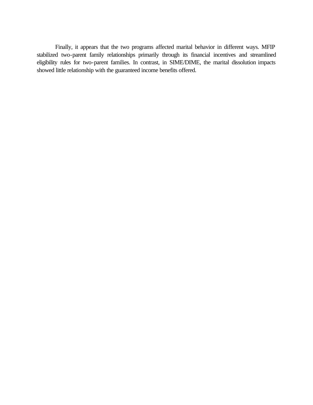Finally, it appears that the two programs affected marital behavior in different ways. MFIP stabilized two-parent family relationships primarily through its financial incentives and streamlined eligibility rules for two-parent families. In contrast, in SIME/DIME, the marital dissolution impacts showed little relationship with the guaranteed income benefits offered.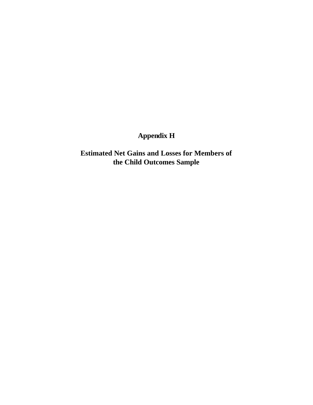# **Appendix H**

**Estimated Net Gains and Losses for Members of the Child Outcomes Sample**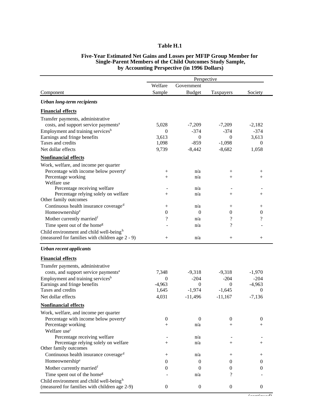# **Table H.1**

| Five-Year Estimated Net Gains and Losses per MFIP Group Member for |
|--------------------------------------------------------------------|
| <b>Single-Parent Members of the Child Outcomes Study Sample,</b>   |
| by Accounting Perspective (in 1996 Dollars)                        |

|                                                               | Perspective      |                  |                          |                  |  |  |  |  |
|---------------------------------------------------------------|------------------|------------------|--------------------------|------------------|--|--|--|--|
|                                                               | Welfare          | Government       |                          |                  |  |  |  |  |
| Component                                                     | Sample           | <b>Budget</b>    | Taxpayers                | Society          |  |  |  |  |
| Urban long-term recipients                                    |                  |                  |                          |                  |  |  |  |  |
| <b>Financial effects</b>                                      |                  |                  |                          |                  |  |  |  |  |
| Transfer payments, administrative                             |                  |                  |                          |                  |  |  |  |  |
| costs, and support service payments <sup>a</sup>              | 5,028            | $-7,209$         | $-7,209$                 | $-2,182$         |  |  |  |  |
| Employment and training services <sup>b</sup>                 | $\boldsymbol{0}$ | $-374$           | $-374$                   | $-374$           |  |  |  |  |
| Earnings and fringe benefits                                  | 3,613            | $\boldsymbol{0}$ | $\theta$                 | 3,613            |  |  |  |  |
| Taxes and credits                                             | 1,098            | $-859$           | $-1,098$                 | $\mathbf{0}$     |  |  |  |  |
| Net dollar effects                                            | 9,739            | $-8,442$         | $-8,682$                 | 1,058            |  |  |  |  |
| <b>Nonfinancial effects</b>                                   |                  |                  |                          |                  |  |  |  |  |
| Work, welfare, and income per quarter                         |                  |                  |                          |                  |  |  |  |  |
| Percentage with income below poverty <sup>c</sup>             | $^{+}$           | n/a              | $^+$                     | $^+$             |  |  |  |  |
| Percentage working                                            | $^{+}$           | n/a              | $^{+}$                   | $^{+}$           |  |  |  |  |
| Welfare use                                                   |                  |                  |                          |                  |  |  |  |  |
| Percentage receiving welfare                                  |                  | n/a              |                          |                  |  |  |  |  |
| Percentage relying solely on welfare                          | $^{+}$           | n/a              | $^{+}$                   | $^{+}$           |  |  |  |  |
| Other family outcomes                                         |                  |                  |                          |                  |  |  |  |  |
| Continuous health insurance coverage <sup>d</sup>             | $^{+}$           | n/a              | $^{+}$                   | $^{+}$           |  |  |  |  |
| Homeownershipe                                                | $\boldsymbol{0}$ | $\overline{0}$   | $\boldsymbol{0}$         | $\boldsymbol{0}$ |  |  |  |  |
| Mother currently married <sup>f</sup>                         | $\gamma$         | n/a              | $\overline{\mathcal{C}}$ | $\gamma$         |  |  |  |  |
| Time spent out of the home <sup>g</sup>                       |                  | n/a              | $\overline{\mathcal{L}}$ |                  |  |  |  |  |
| Child environment and child well-being <sup>h</sup>           |                  |                  |                          |                  |  |  |  |  |
| (measured for families with children age 2 - 9)               | $^{+}$           | n/a              | $^{+}$                   | $^{+}$           |  |  |  |  |
| <b>Urban recent applicants</b>                                |                  |                  |                          |                  |  |  |  |  |
| <b>Financial effects</b>                                      |                  |                  |                          |                  |  |  |  |  |
| Transfer payments, administrative                             |                  |                  |                          |                  |  |  |  |  |
| costs, and support service payments <sup>a</sup>              | 7,348            | $-9,318$         | $-9,318$                 | $-1,970$         |  |  |  |  |
| Employment and training services <sup>b</sup>                 | $\overline{0}$   | $-204$           | $-204$                   | $-204$           |  |  |  |  |
| Earnings and fringe benefits                                  | $-4,963$         | $\overline{0}$   | $\overline{0}$           | $-4,963$         |  |  |  |  |
| Taxes and credits                                             | 1,645            | $-1,974$         | $-1,645$                 | 0                |  |  |  |  |
| Net dollar effects                                            | 4,031            | $-11,496$        | $-11,167$                | $-7,136$         |  |  |  |  |
| <b>Nonfinancial effects</b>                                   |                  |                  |                          |                  |  |  |  |  |
| Work, welfare, and income per quarter                         |                  |                  |                          |                  |  |  |  |  |
| Percentage with income below poverty <sup>c</sup>             | 0                | $\overline{0}$   | 0                        | 0                |  |  |  |  |
| Percentage working                                            | $^{+}$           | n/a              | $^{+}$                   | $^{+}$           |  |  |  |  |
| Welfare use <sup>i</sup>                                      |                  |                  |                          |                  |  |  |  |  |
| Percentage receiving welfare                                  |                  | n/a              |                          |                  |  |  |  |  |
| Percentage relying solely on welfare<br>Other family outcomes | $^{+}$           | n/a              | $^{+}$                   | $^{+}$           |  |  |  |  |
| Continuous health insurance coverage <sup>d</sup>             | $^+$             | n/a              | $^+$                     | $^+$             |  |  |  |  |
| Homeownershipe                                                | 0                | $\theta$         | 0                        | 0                |  |  |  |  |
| Mother currently married <sup>f</sup>                         | 0                | $\Omega$         | 0                        | 0                |  |  |  |  |
| Time spent out of the home <sup>g</sup>                       |                  | n/a              | ?                        |                  |  |  |  |  |
| Child environment and child well-being <sup>h</sup>           |                  |                  |                          |                  |  |  |  |  |
| (measured for families with children age 2-9)                 | $\boldsymbol{0}$ | $\boldsymbol{0}$ | $\boldsymbol{0}$         | $\mathbf{0}$     |  |  |  |  |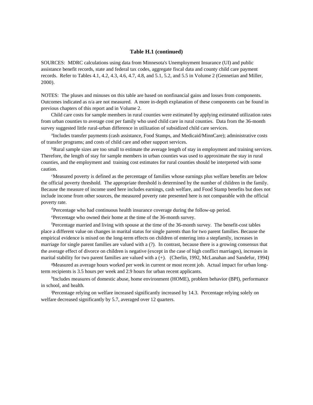#### **Table H.1 (continued)**

SOURCES: MDRC calculations using data from Minnesota's Unemployment Insurance (UI) and public assistance benefit records, state and federal tax codes, aggregate fiscal data and county child care payment records. Refer to Tables 4.1, 4.2, 4.3, 4.6, 4.7, 4.8, and 5.1, 5.2, and 5.5 in Volume 2 (Gennetian and Miller, 2000).

NOTES: The pluses and minuses on this table are based on nonfinancial gains and losses from components. Outcomes indicated as n/a are not measured. A more in-depth explanation of these components can be found in previous chapters of this report and in Volume 2.

 Child care costs for sample members in rural counties were estimated by applying estimated utilization rates from urban counties to average cost per family who used child care in rural counties. Data from the 36-month survey suggested little rural-urban difference in utilization of subsidized child care services.

a Includes transfer payments (cash assistance, Food Stamps, and Medicaid/MinnCare); administrative costs of transfer programs; and costs of child care and other support services.

<sup>b</sup>Rural sample sizes are too small to estimate the average length of stay in employment and training services. Therefore, the length of stay for sample members in urban counties was used to approximate the stay in rural counties, and the employment and training cost estimates for rural counties should be interpreted with some caution.

<sup>c</sup>Measured poverty is defined as the percentage of families whose earnings plus welfare benefits are below the official poverty threshold. The appropriate threshold is determined by the number of children in the family. Because the measure of income used here includes earnings, cash welfare, and Food Stamp benefits but does not include income from other sources, the measured poverty rate presented here is not comparable with the official poverty rate.

<sup>d</sup>Percentage who had continuous health insurance coverage during the follow-up period.

<sup>e</sup>Percentage who owned their home at the time of the 36-month survey.

<sup>f</sup>Percentage married and living with spouse at the time of the 36-month survey. The benefit-cost tables place a different value on changes in marital status for single parents than for two parent families. Because the empirical evidence is mixed on the long-term effects on children of entering into a stepfamily, increases in marriage for single parent families are valued with a (?). In contrast, because there is a growing consensus that the average effect of divorce on children is negative (except in the case of high conflict marriages), increases in marital stability for two parent families are valued with a (+). (Cherlin, 1992, McLanahan and Sandefur, 1994)

gMeasured as average hours worked per week in current or most recent job. Actual impact for urban longterm recipients is 3.5 hours per week and 2.9 hours for urban recent applicants.

hIncludes measures of domestic abuse, home environment (HOME), problem behavior (BPI), performance in school, and health.

<sup>i</sup>Percentage relying on welfare increased significantly increased by 14.3. Percentage relying solely on welfare decreased significantly by 5.7, averaged over 12 quarters.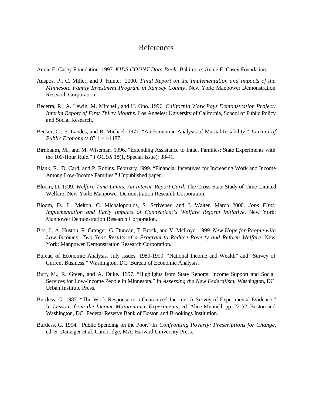# References

Annie E. Casey Foundation. 1997. *KIDS COUNT Data Book*. Baltimore: Annie E. Casey Foundation.

- Auspos, P., C. Miller, and J. Hunter. 2000. *Final Report on the Implementation and Impacts of the Minnesota Family Investment Program in Ramsey County*. New York: Manpower Demonstration Research Corporation.
- Becerra, R., A. Lewin, M. Mitchell, and H. Ono. 1996. *California Work Pays Demonstration Project: Interim Report of First Thirty Months.* Los Angeles: University of California, School of Public Policy and Social Research.
- Becker, G., E. Landes, and R. Michael. 1977. "An Economic Analysis of Marital Instability." *Journal of Public Economics* 85:1141-1187.
- Birnbaum, M., and M. Wiseman. 1996. "Extending Assistance to Intact Families: State Experiments with the 100-Hour Rule." *FOCUS* 18(1, Special Issue): 38-41.
- Blank, R., D. Card, and P. Robins. February 1999. "Financial Incentives for Increasing Work and Income Among Low-Income Families." Unpublished paper.
- Bloom, D. 1999. *Welfare Time Limits: An Interim Report Card.* The Cross-State Study of Time-Limited Welfare. New York: Manpower Demonstration Research Corporation.
- Bloom, D., L. Melton, C. Michalopoulos, S. Scrivener, and J. Walter. March 2000. *Jobs First: Implementation and Early Impacts of Connecticut's Welfare Reform Initiative*. New York: Manpower Demonstration Research Corporation.
- Bos, J., A. Huston, R. Granger, G. Duncan, T. Brock, and V. McLoyd. 1999. *New Hope for People with Low Incomes: Two-Year Results of a Program to Reduce Poverty and Reform Welfare.* New York: Manpower Demonstration Research Corporation.
- Bureau of Economic Analysis. July issues, 1980-1999. "National Income and Wealth" and "Survey of Current Business." Washington, DC: Bureau of Economic Analysis.
- Burt, M., R. Green, and A. Duke. 1997. "Highlights from State Reports: Income Support and Social Services for Low-Income People in Minnesota." In *Assessing the New Federalism.* Washington, DC: Urban Institute Press.
- Burtless, G. 1987. "The Work Response to a Guaranteed Income: A Survey of Experimental Evidence." In *Lessons from the Income Maintenance Experiments,* ed. Alice Munnell, pp. 22-52. Boston and Washington, DC: Federal Reserve Bank of Boston and Brookings Institution.
- Burtless, G. 1994. "Public Spending on the Poor." In *Confronting Poverty: Prescriptions for Change*, ed. S. Danziger et al. Cambridge, MA: Harvard University Press.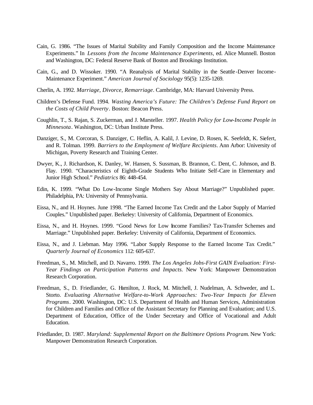- Cain, G. 1986. "The Issues of Marital Stability and Family Composition and the Income Maintenance Experiments." In *Lessons from the Income Maintenance Experiments,* ed. Alice Munnell. Boston and Washington, DC: Federal Reserve Bank of Boston and Brookings Institution.
- Cain, G., and D. Wissoker. 1990. "A Reanalysis of Marital Stability in the Seattle -Denver Income-Maintenance Experiment." *American Journal of Sociology* 95(5): 1235-1269.
- Cherlin, A. 1992. *Marriage, Divorce, Remarriage*. Cambridge, MA: Harvard University Press.
- Children's Defense Fund. 1994. *Wasting America's Future: The Children's Defense Fund Report on the Costs of Child Poverty*. Boston: Beacon Press.
- Coughlin, T., S. Rajan, S. Zuckerman, and J. Marsteller. 1997. *Health Policy for Low-Income People in Minnesota*. Washington, DC: Urban Institute Press.
- Danziger, S., M. Corcoran, S. Danziger, C. Heflin, A. Kalil, J. Levine, D. Rosen, K. Seefeldt, K. Siefert, and R. Tolman. 1999. *Barriers to the Employment of Welfare Recipients*. Ann Arbor: University of Michigan, Poverty Research and Training Center.
- Dwyer, K., J. Richardson, K. Danley, W. Hansen, S. Sussman, B. Brannon, C. Dent, C. Johnson, and B. Flay. 1990. "Characteristics of Eighth-Grade Students Who Initiate Self-Care in Elementary and Junior High School." *Pediatrics* 86: 448-454.
- Edin, K. 1999. "What Do Low-Income Single Mothers Say About Marriage?" Unpublished paper. Philadelphia, PA: University of Pennsylvania.
- Eissa, N., and H. Hoynes. June 1998. "The Earned Income Tax Credit and the Labor Supply of Married Couples." Unpublished paper. Berkeley: University of California, Department of Economics.
- Eissa, N., and H. Hoynes. 1999. "Good News for Low Income Families? Tax-Transfer Schemes and Marriage." Unpublished paper. Berkeley: University of California, Department of Economics.
- Eissa, N., and J. Liebman. May 1996. "Labor Supply Response to the Earned Income Tax Credit." *Quarterly Journal of Economics* 112: 605-637.
- Freedman, S., M. Mitchell, and D. Navarro. 1999. *The Los Angeles Jobs-First GAIN Evaluation: First-Year Findings on Participation Patterns and Impacts.* New York: Manpower Demonstration Research Corporation.
- Freedman, S., D. Friedlander, G. Hamilton, J. Rock, M. Mitchell, J. Nudelman, A. Schweder, and L. Storto. *Evaluating Alternative Welfare-to-Work Approaches: Two-Year Impacts for Eleven Programs*. 2000. Washington, DC: U.S. Department of Health and Human Services, Administration for Children and Families and Office of the Assistant Secretary for Planning and Evaluation; and U.S. Department of Education, Office of the Under Secretary and Office of Vocational and Adult Education.
- Friedlander, D. 1987. *Maryland: Supplemental Report on the Baltimore Options Program*. New York: Manpower Demonstration Research Corporation.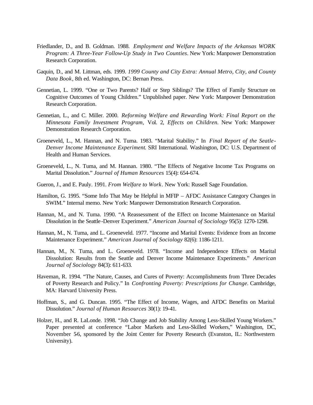- Friedlander, D., and B. Goldman. 1988. *Employment and Welfare Impacts of the Arkansas WORK Program: A Three-Year Follow-Up Study in Two Counties*. New York: Manpower Demonstration Research Corporation.
- Gaquin, D., and M. Littman, eds. 1999. *1999 County and City Extra: Annual Metro, City, and County Data Book*, 8th ed. Washington, DC: Bernan Press.
- Gennetian, L. 1999. "One or Two Parents? Half or Step Siblings? The Effect of Family Structure on Cognitive Outcomes of Young Children." Unpublished paper. New York: Manpower Demonstration Research Corporation.
- Gennetian, L., and C. Miller. 2000. *Reforming Welfare and Rewarding Work: Final Report on the Minnesota Family Investment Program,* Vol. 2*, Effects on Children.* New York: Manpower Demonstration Research Corporation.
- Groeneveld, L., M. Hannan, and N. Tuma. 1983. "Marital Stability." In *Final Report of the Seatle-Denver Income Maintenance Experiment*. SRI International. Washington, DC: U.S. Department of Health and Human Services.
- Groeneveld, L., N. Tuma, and M. Hannan. 1980. "The Effects of Negative Income Tax Programs on Marital Dissolution." *Journal of Human Resources* 15(4): 654-674.
- Gueron, J., and E. Pauly. 1991. *From Welfare to Work*. New York: Russell Sage Foundation.
- Hamilton, G. 1995. "Some Info That May be Helpful in MFIP AFDC Assistance Category Changes in SWIM." Internal memo. New York: Manpower Demonstration Research Corporation.
- Hannan, M., and N. Tuma. 1990. "A Reassessment of the Effect on Income Maintenance on Marital Dissolution in the Seattle-Denver Experiment." *American Journal of Sociology* 95(5): 1270-1298.
- Hannan, M., N. Tuma, and L. Groeneveld. 1977. "Income and Marital Events: Evidence from an Income Maintenance Experiment." *American Journal of Sociology* 82(6): 1186-1211.
- Hannan, M., N. Tuma, and L. Groeneveld. 1978. "Income and Independence Effects on Marital Dissolution: Results from the Seattle and Denver Income Maintenance Experiments." *American Journal of Sociology* 84(3): 611-633.
- Haveman, R. 1994. "The Nature, Causes, and Cures of Poverty: Accomplishments from Three Decades of Poverty Research and Policy." In *Confronting Poverty: Prescriptions for Change.* Cambridge, MA: Harvard University Press.
- Hoffman, S., and G. Duncan. 1995. "The Effect of Income, Wages, and AFDC Benefits on Marital Dissolution." *Journal of Human Resources* 30(1): 19-41.
- Holzer, H., and R. LaLonde. 1998. "Job Change and Job Stability Among Less-Skilled Young Workers." Paper presented at conference "Labor Markets and Less-Skilled Workers," Washington, DC, November 56, sponsored by the Joint Center for Poverty Research (Evanston, IL: Northwestern University).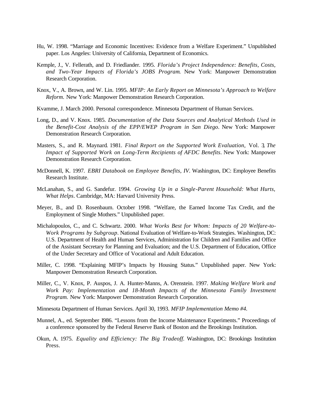- Hu, W. 1998. "Marriage and Economic Incentives: Evidence from a Welfare Experiment." Unpublished paper. Los Angeles: University of California, Department of Economics.
- Kemple, J., V. Fellerath, and D. Friedlander. 1995. *Florida's Project Independence: Benefits, Costs, and Two-Year Impacts of Florida's JOBS Program*. New York: Manpower Demonstration Research Corporation.
- Knox, V., A. Brown, and W. Lin. 1995. *MFIP: An Early Report on Minnesota's Approach to Welfare Reform.* New York: Manpower Demonstration Research Corporation.
- Kvamme, J. March 2000. Personal correspondence. Minnesota Department of Human Services.
- Long, D., and V. Knox. 1985. *Documentation of the Data Sources and Analytical Methods Used in the Benefit-Cost Analysis of the EPP/EWEP Program in San Diego*. New York: Manpower Demonstration Research Corporation.
- Masters, S., and R. Maynard. 1981. *Final Report on the Supported Work Evaluation,* Vol. 3*, The Impact of Supported Work on Long-Term Recipients of AFDC Benefits*. New York: Manpower Demonstration Research Corporation.
- McDonnell, K. 1997. *EBRI Databook on Employee Benefits, IV*. Washington, DC: Employee Benefits Research Institute.
- McLanahan, S., and G. Sandefur. 1994. *Growing Up in a Single-Parent Household: What Hurts, What Helps*. Cambridge, MA: Harvard University Press.
- Meyer, B., and D. Rosenbaum. October 1998. "Welfare, the Earned Income Tax Credit, and the Employment of Single Mothers." Unpublished paper.
- Michalopoulos, C., and C. Schwartz. 2000. *What Works Best for Whom: Impacts of 20 Welfare-to-Work Programs by Subgroup*. National Evaluation of Welfare-to-Work Strategies. Washington, DC: U.S. Department of Health and Human Services, Administration for Children and Families and Office of the Assistant Secretary for Planning and Evaluation; and the U.S. Department of Education, Office of the Under Secretary and Office of Vocational and Adult Education.
- Miller, C. 1998. "Explaining MFIP's Impacts by Housing Status." Unpublished paper. New York: Manpower Demonstration Research Corporation.
- Miller, C., V. Knox, P. Auspos, J. A. Hunter-Manns, A. Orenstein. 1997. *Making Welfare Work and Work Pay: Implementation and 18-Month Impacts of the Minnesota Family Investment Program.* New York: Manpower Demonstration Research Corporation.
- Minnesota Department of Human Services. April 30, 1993. *MFIP Implementation Memo #4.*
- Munnel, A., ed. September 1986. "Lessons from the Income Maintenance Experiments." Proceedings of a conference sponsored by the Federal Reserve Bank of Boston and the Brookings Institution.
- Okun, A. 1975. *Equality and Efficiency: The Big Tradeoff.* Washington, DC: Brookings Institution Press.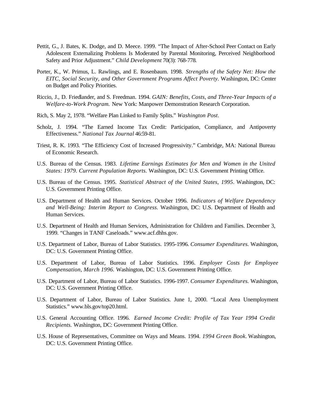- Pettit, G., J. Bates, K. Dodge, and D. Meece. 1999. "The Impact of After-School Peer Contact on Early Adolescent Externalizing Problems Is Moderated by Parental Monitoring, Perceived Neighborhood Safety and Prior Adjustment." *Child Development* 70(3): 768-778.
- Porter, K., W. Primus, L. Rawlings, and E. Rosenbaum. 1998. *Strengths of the Safety Net: How the EITC, Social Security, and Other Government Programs Affect Poverty.* Washington, DC: Center on Budget and Policy Priorities.
- Riccio, J., D. Friedlander, and S. Freedman. 1994. *GAIN: Benefits, Costs, and Three-Year Impacts of a Welfare-to-Work Program.* New York: Manpower Demonstration Research Corporation.
- Rich, S. May 2, 1978. "Welfare Plan Linked to Family Splits." *Washington Post*.
- Scholz, J. 1994. "The Earned Income Tax Credit: Participation, Compliance, and Antipoverty Effectiveness." *National Tax Journal* 46:59-81.
- Triest, R. K. 1993. "The Efficiency Cost of Increased Progressivity." Cambridge, MA: National Bureau of Economic Research.
- U.S. Bureau of the Census. 1983. *Lifetime Earnings Estimates for Men and Women in the United States: 1979. Current Population Reports.* Washington, DC: U.S. Government Printing Office.
- U.S. Bureau of the Census. 1995. *Statistical Abstract of the United States, 1995*. Washington, DC: U.S. Government Printing Office.
- U.S. Department of Health and Human Services. October 1996. *Indicators of Welfare Dependency and Well-Being: Interim Report to Congress.* Washington, DC: U.S. Department of Health and Human Services.
- U.S. Department of Health and Human Services, Administration for Children and Families. December 3, 1999. "Changes in TANF Caseloads." www.acf.dhhs.gov.
- U.S. Department of Labor, Bureau of Labor Statistics. 1995-1996. *Consumer Expenditures.* Washington, DC: U.S. Government Printing Office.
- U.S. Department of Labor, Bureau of Labor Statistics. 1996. *Employer Costs for Employee Compensation, March 1996.* Washington, DC: U.S. Government Printing Office.
- U.S. Department of Labor, Bureau of Labor Statistics. 1996-1997. *Consumer Expenditures.* Washington, DC: U.S. Government Printing Office.
- U.S. Department of Labor, Bureau of Labor Statistics. June 1, 2000. "Local Area Unemployment Statistics." www.bls.gov/top20.html.
- U.S. General Accounting Office. 1996. *Earned Income Credit: Profile of Tax Year 1994 Credit Recipients.* Washington, DC: Government Printing Office.
- U.S. House of Representatives, Committee on Ways and Means. 1994. *1994 Green Book.* Washington, DC: U.S. Government Printing Office.